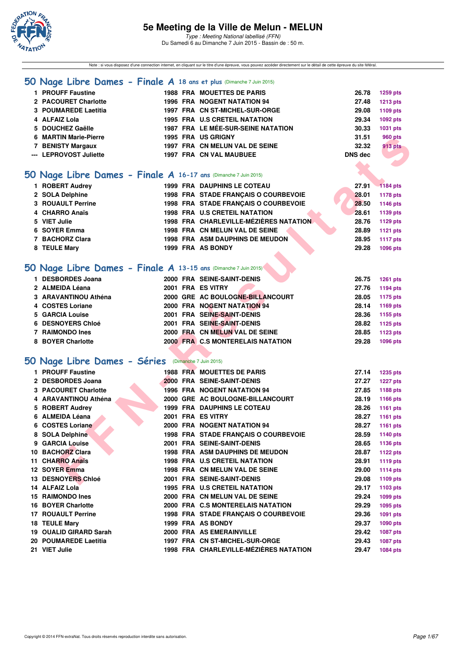

Note : si vous disposez d'une connection internet, en cliquant sur le titre d'une épreuve, vous pouvez accéder directement sur le détail de cette épreuve du site féféral.

#### **[50 Nage Libre Dames - Finale A](http://www.ffnatation.fr/webffn/resultats.php?idact=nat&go=epr&idcpt=31115&idepr=1) 18 ans et plus** (Dimanche 7 Juin 2015)

| 1 PROUFF Faustine      |  | <b>1988 FRA MOUETTES DE PARIS</b>         | 26.78   | <b>1259 pts</b> |
|------------------------|--|-------------------------------------------|---------|-----------------|
| 2 PACOURET Charlotte   |  | 1996 FRA NOGENT NATATION 94               | 27.48   | <b>1213 pts</b> |
| 3 POUMAREDE Laetitia   |  | 1997 FRA CN ST-MICHEL-SUR-ORGE            | 29.08   | 1109 pts        |
| 4 ALFAIZ Lola          |  | <b>1995 FRA U.S CRETEIL NATATION</b>      | 29.34   | 1092 pts        |
| 5 DOUCHEZ Gaëlle       |  | <b>1987 FRA LE MÉE-SUR-SEINE NATATION</b> | 30.33   | 1031 pts        |
| 6 MARTIN Marie-Pierre  |  | <b>1995 FRA US GRIGNY</b>                 | 31.51   | 960 pts         |
| 7 BENISTY Margaux      |  | 1997 FRA CN MELUN VAL DE SEINE            | 32.32   | 913 pts         |
| --- LEPROVOST Juliette |  | <b>1997 FRA CN VAL MAUBUEE</b>            | DNS dec | <b>All P</b>    |
|                        |  |                                           |         |                 |

## **[50 Nage Libre Dames - Finale A](http://www.ffnatation.fr/webffn/resultats.php?idact=nat&go=epr&idcpt=31115&idepr=1) 16-17 ans** (Dimanche 7 Juin 2015)

| 1 ROBERT Audrey          |  | <b>1999 FRA DAUPHINS LE COTEAU</b>     | 27.91 | $-1184$ pts |
|--------------------------|--|----------------------------------------|-------|-------------|
| 2 SOLA Delphine          |  | 1998 FRA STADE FRANCAIS O COURBEVOIE   | 28.01 | 1178 pts    |
| <b>3 ROUAULT Perrine</b> |  | 1998 FRA STADE FRANCAIS O COURBEVOIE   | 28.50 | 1146 pts    |
| 4 CHARRO Anaïs           |  | <b>1998 FRA U.S CRETEIL NATATION</b>   | 28.61 | 1139 pts    |
| 5 VIET Julie             |  | 1998 FRA CHARLEVILLE-MÉZIÈRES NATATION | 28.76 | 1129 pts    |
| 6 SOYER Emma             |  | 1998 FRA CN MELUN VAL DE SEINE         | 28.89 | 1121 pts    |
| 7 BACHORZ Clara          |  | <b>1998 FRA ASM DAUPHINS DE MEUDON</b> | 28.95 | 1117 pts    |
| 8 TEULE Mary             |  | 1999 FRA AS BONDY                      | 29.28 | 1096 pts    |
|                          |  |                                        |       |             |

### **[50 Nage Libre Dames - Finale A](http://www.ffnatation.fr/webffn/resultats.php?idact=nat&go=epr&idcpt=31115&idepr=1) 13-15 ans** (Dimanche 7 Juin 2015)

| <b>DESBORDES Joana</b> | 2000 FRA SEINE-SAINT-DENIS        | 26.75<br><b>1261 pts</b> |
|------------------------|-----------------------------------|--------------------------|
| 2 ALMEIDA Léana        | 2001 FRA ES VITRY                 | 1194 pts<br>27.76        |
| 3 ARAVANTINOU Athéna   | 2000 GRE AC BOULOGNE-BILLANCOURT  | 1175 pts<br>28.05        |
| 4 COSTES Loriane       | 2000 FRA NOGENT NATATION 94       | 1169 pts<br>28.14        |
| 5 GARCIA Louise        | 2001 FRA SEINE-SAINT-DENIS        | 28.36<br>1155 pts        |
| 6 DESNOYERS Chloé      | 2001 FRA SEINE-SAINT-DENIS        | 28.82<br>1125 pts        |
| 7 RAIMONDO Ines        | 2000 FRA CN MELUN VAL DE SEINE    | <b>1123 pts</b><br>28.85 |
| 8 BOYER Charlotte      | 2000 FRA C.S MONTERELAIS NATATION | 1096 pts<br>29.28        |

### **[50 Nage Libre Dames - Séries](http://www.ffnatation.fr/webffn/resultats.php?idact=nat&go=epr&idcpt=31115&idepr=1)** (Dimanche 7 Juin 2015)

| <b>MARTIN Marie-Pierre</b>                                      |  | 1995 FRA USGRIGNY                      | 31.51          | 960 pts         |
|-----------------------------------------------------------------|--|----------------------------------------|----------------|-----------------|
| 7 BENISTY Margaux                                               |  | 1997 FRA CN MELUN VAL DE SEINE         | 32.32          | 913 pts         |
| --- LEPROVOST Juliette                                          |  | 1997 FRA CN VAL MAUBUEE                | <b>DNS dec</b> |                 |
|                                                                 |  |                                        |                |                 |
| iO Nage Libre Dames - Finale A 16-17 ans (Dimanche 7 Juin 2015) |  |                                        |                |                 |
|                                                                 |  |                                        |                |                 |
| 1 ROBERT Audrey                                                 |  | 1999 FRA DAUPHINS LE COTEAU            | 27.91          | 1184 pts        |
| 2 SOLA Delphine                                                 |  | 1998 FRA STADE FRANÇAIS O COURBEVOIE   | 28.01          | <b>1178 pts</b> |
| 3 ROUAULT Perrine                                               |  | 1998 FRA STADE FRANÇAIS O COURBEVOIE   | 28.50          | <b>1146 pts</b> |
| 4 CHARRO Anaïs                                                  |  | <b>1998 FRA U.S CRETEIL NATATION</b>   | 28.61          | 1139 pts        |
| 5 VIET Julie                                                    |  | 1998 FRA CHARLEVILLE-MÉZIÈRES NATATION | 28.76          | <b>1129 pts</b> |
| 6 SOYER Emma                                                    |  | 1998 FRA CN MELUN VAL DE SEINE         | 28.89          | <b>1121 pts</b> |
| 7 BACHORZ Clara                                                 |  | <b>1998 FRA ASM DAUPHINS DE MEUDON</b> | 28.95          | <b>1117 pts</b> |
| 8 TEULE Mary                                                    |  | 1999 FRA AS BONDY                      | 29.28          | 1096 pts        |
|                                                                 |  |                                        |                |                 |
| 10 Nage Libre Dames - Finale A 13-15 ans (Dimanche 7 Juin 2015) |  |                                        |                |                 |
| 1 DESBORDES Joana                                               |  | 2000 FRA SEINE-SAINT-DENIS             | 26.75          | <b>1261 pts</b> |
| 2 ALMEIDA Léana                                                 |  | 2001 FRA ES VITRY                      | 27.76          | <b>1194 pts</b> |
| 3 ARAVANTINOU Athéna                                            |  | 2000 GRE AC BOULOGNE-BILLANCOURT       | 28.05          | <b>1175 pts</b> |
| 4 COSTES Loriane                                                |  | 2000 FRA NOGENT NATATION 94            | 28.14          | 1169 pts        |
| 5 GARCIA Louise                                                 |  | 2001 FRA SEINE-SAINT-DENIS             | 28.36          | 1155 pts        |
| <b>6 DESNOYERS Chloé</b>                                        |  | 2001 FRA SEINE-SAINT-DENIS             | 28.82          | 1125 pts        |
| 7 RAIMONDO Ines                                                 |  | 2000 FRA CN MELUN VAL DE SEINE         | 28.85          | <b>1123 pts</b> |
| 8 BOYER Charlotte                                               |  | 2000 FRA C.S MONTERELAIS NATATION      | 29.28          | <b>1096 pts</b> |
|                                                                 |  |                                        |                |                 |
|                                                                 |  |                                        |                |                 |
| iO Nage Libre Dames - Séries (Dimanche 7 Juin 2015)             |  |                                        |                |                 |
| 1 PROUFF Faustine                                               |  | <b>1988 FRA MOUETTES DE PARIS</b>      | 27.14          | <b>1235 pts</b> |
| 2 DESBORDES Joana                                               |  | 2000 FRA SEINE-SAINT-DENIS             | 27.27          | <b>1227 pts</b> |
| 3 PACOURET Charlotte                                            |  | 1996 FRA NOGENT NATATION 94            | 27.85          | 1188 pts        |
| 4 ARAVANTINOU Athéna                                            |  | 2000 GRE AC BOULOGNE-BILLANCOURT       | 28.19          | <b>1166 pts</b> |
| 5 ROBERT Audrey                                                 |  | <b>1999 FRA DAUPHINS LE COTEAU</b>     | 28.26          | 1161 pts        |
| 6 ALMEIDA Léana                                                 |  | 2001 FRA ES VITRY                      | 28.27          | <b>1161 pts</b> |
| 6 COSTES Loriane                                                |  | 2000 FRA NOGENT NATATION 94            | 28.27          | 1161 pts        |
| 8 SOLA Delphine                                                 |  | 1998 FRA STADE FRANÇAIS O COURBEVOIE   | 28.59          | 1140 pts        |
| 9 GARCIA Louise                                                 |  | 2001 FRA SEINE-SAINT-DENIS             | 28.65          | 1136 pts        |
| 10 BACHORZ Clara                                                |  | <b>1998 FRA ASM DAUPHINS DE MEUDON</b> | 28.87          | <b>1122 pts</b> |
| 11 CHARRO Anaïs                                                 |  | <b>1998 FRA U.S CRETEIL NATATION</b>   | 28.91          | <b>1119 pts</b> |
| 12 SOYER Emma                                                   |  | 1998 FRA CN MELUN VAL DE SEINE         | 29.00          | <b>1114 pts</b> |
| 13 DESNOYERS Chloé                                              |  | 2001 FRA SEINE-SAINT-DENIS             | 29.08          | 1109 pts        |
| 14 ALFAIZ Lola                                                  |  | 1995 FRA U.S CRETEIL NATATION          | 29.17          | 1103 pts        |
| 15 RAIMONDO Ines                                                |  | 2000 FRA CN MELUN VAL DE SEINE         | 29.24          | 1099 pts        |
| <b>16 BOYER Charlotte</b>                                       |  | 2000 FRA C.S MONTERELAIS NATATION      | 29.29          | 1095 pts        |
| <b>17 ROUAULT Perrine</b>                                       |  | 1998 FRA STADE FRANÇAIS O COURBEVOIE   | 29.36          | 1091 pts        |
| 18 TEULE Mary                                                   |  | 1999 FRA AS BONDY                      | 29.37          | <b>1090 pts</b> |
| 19 OUALID GIRARD Sarah                                          |  | 2000 FRA AS EMERAINVILLE               | 29.42          | 1087 pts        |
| 20 POUMAREDE Laetitia                                           |  | 1997 FRA CN ST-MICHEL-SUR-ORGE         | 29.43          | 1087 pts        |
| 21 VIET Julie                                                   |  | 1998 FRA CHARLEVILLE-MÉZIÈRES NATATION | 29.47          | <b>1084 pts</b> |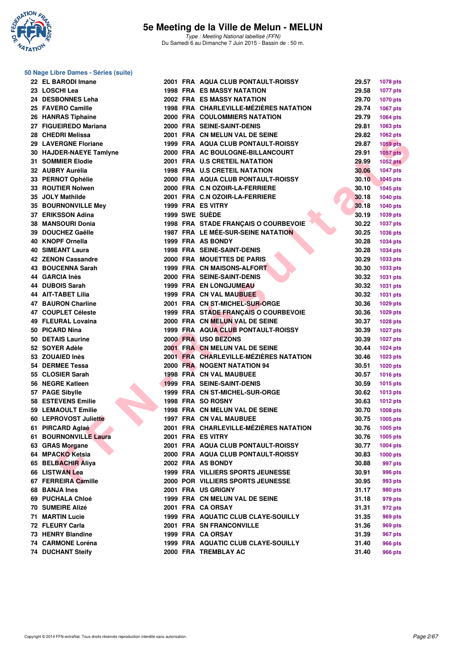

**50 Nage Libre Dames - Séries (suite)**

| 22 EL BARODI Imane        |  | 2001 FRA AQUA CLUB PONTAULT-ROISSY       | 29.57 | <b>1078 pts</b> |
|---------------------------|--|------------------------------------------|-------|-----------------|
| 23 LOSCHI Lea             |  | <b>1998 FRA ES MASSY NATATION</b>        | 29.58 | <b>1077 pts</b> |
| 24 DESBONNES Leha         |  | <b>2002 FRA ES MASSY NATATION</b>        | 29.70 | <b>1070 pts</b> |
| 25 FAVERO Camille         |  | 1998 FRA CHARLEVILLE-MÉZIÈRES NATATION   | 29.74 | 1067 pts        |
| 26 HANRAS Tiphaine        |  | <b>2000 FRA COULOMMIERS NATATION</b>     | 29.79 | 1064 pts        |
| 27 FIGUEIREDO Mariana     |  | 2000 FRA SEINE-SAINT-DENIS               | 29.81 | 1063 pts        |
| 28 CHEDRI Melissa         |  | 2001 FRA CN MELUN VAL DE SEINE           | 29.82 | 1062 pts        |
| 29 LAVERGNE Floriane      |  | 1999 FRA AQUA CLUB PONTAULT-ROISSY       | 29.87 | <b>1059 pts</b> |
| 30 HAJDER-NAEYE Tamlyne   |  | 2000 FRA AC BOULOGNE-BILLANCOURT         | 29.91 | $1057$ pts      |
| 31 SOMMIER Elodie         |  | 2001 FRA U.S CRETEIL NATATION            | 29.99 | <b>1052 pts</b> |
| 32 AUBRY Aurélia          |  | <b>1998 FRA U.S CRETEIL NATATION</b>     | 30.06 | <b>1047 pts</b> |
| 33 PERNOT Ophélie         |  | 2000 FRA AQUA CLUB PONTAULT-ROISSY       | 30.10 | <b>1045 pts</b> |
| 33 ROUTIER Nolwen         |  | 2000 FRA C.N OZOIR-LA-FERRIERE           | 30.10 | <b>1045 pts</b> |
| 35 JOLY Mathilde          |  | 2001 FRA C.N OZOIR-LA-FERRIERE           | 30.18 | 1040 pts        |
| 35 BOURNONVILLE Mey       |  | 1999 FRA ES VITRY                        | 30.18 | <b>1040 pts</b> |
| 37 ERIKSSON Adina         |  | 1999 SWE SUÈDE                           | 30.19 | 1039 pts        |
| 38 MANSOURI Donia         |  | 1998 FRA STADE FRANÇAIS O COURBEVOIE     | 30.22 | <b>1037 pts</b> |
| 39 DOUCHEZ Gaëlle         |  | 1987 FRA LE MÉE-SUR-SEINE NATATION       | 30.25 |                 |
| 40 KNOPF Ornella          |  | 1999 FRA AS BONDY                        | 30.28 | 1036 pts        |
|                           |  |                                          |       | <b>1034 pts</b> |
| <b>40 SIMEANT Laura</b>   |  | <b>1998 FRA SEINE-SAINT-DENIS</b>        | 30.28 | 1034 pts        |
| <b>42 ZENON Cassandre</b> |  | 2000 FRA MOUETTES DE PARIS               | 30.29 | 1033 pts        |
| 43 BOUCENNA Sarah         |  | 1999 FRA CN MAISONS-ALFORT               | 30.30 | 1033 pts        |
| 44 GARCIA Inès            |  | 2000 FRA SEINE-SAINT-DENIS               | 30.32 | 1031 pts        |
| 44 DUBOIS Sarah           |  | <b>1999 FRA EN LONGJUMEAU</b>            | 30.32 | 1031 pts        |
| <b>44 AIT-TABET Lilia</b> |  | 1999 FRA CN VAL MAUBUEE                  | 30.32 | <b>1031 pts</b> |
| 47 BAURON Charline        |  | 2001 FRA CN ST-MICHEL-SUR-ORGE           | 30.36 | 1029 pts        |
| 47 COUPLET Céleste        |  | 1999 FRA STADE FRANÇAIS O COURBEVOIE     | 30.36 | 1029 pts        |
| 49 FLEURAL Lovaina        |  | 2000 FRA CN MELUN VAL DE SEINE           | 30.37 | 1028 pts        |
| 50 PICARD Nina            |  | 1999 FRA AQUA CLUB PONTAULT-ROISSY       | 30.39 | <b>1027 pts</b> |
| 50 DETAIS Laurine         |  | 2000 FRA USO BEZONS                      | 30.39 | <b>1027 pts</b> |
| 52 SOYER Adèle            |  | 2001 FRA CN MELUN VAL DE SEINE           | 30.44 | <b>1024 pts</b> |
| 53 ZOUAIED Inès           |  | 2001 FRA CHARLEVILLE-MÉZIÈRES NATATION   | 30.46 | 1023 pts        |
| 54 DERMEE Tessa           |  | 2000 FRA NOGENT NATATION 94              | 30.51 | 1020 pts        |
| 55 CLOSIER Sarah          |  | 1998 FRA CN VAL MAUBUEE                  | 30.57 | <b>1016 pts</b> |
| 56 NEGRE Katleen          |  | <b>1999 FRA SEINE-SAINT-DENIS</b>        | 30.59 | 1015 pts        |
| 57 PAGE Sibylle           |  | 1999 FRA CN ST-MICHEL-SUR-ORGE           | 30.62 | <b>1013 pts</b> |
| <b>58 ESTEVENS Emilie</b> |  | 1998 FRA SO ROSNY                        | 30.63 | <b>1012 pts</b> |
| 59 LEMAOULT Emilie        |  | 1998 FRA CN MELUN VAL DE SEINE           | 30.70 | 1008 pts        |
| 60 LEPROVOST Juliette     |  | 1997 FRA CN VAL MAUBUEE                  | 30.75 | 1005 pts        |
| 61 PIRCARD Aglaé          |  | 2001 FRA CHARLEVILLE-MÉZIÈRES NATATION   | 30.76 | 1005 pts        |
| 61 BOURNONVILLE Laura     |  | 2001 FRA ES VITRY                        | 30.76 | 1005 pts        |
| 63 GRAS Morgane           |  | 2001 FRA AQUA CLUB PONTAULT-ROISSY       | 30.77 | 1004 pts        |
| 64 MPACKO Ketsia          |  | 2000 FRA AQUA CLUB PONTAULT-ROISSY       | 30.83 | <b>1000 pts</b> |
| 65 BELBACHIR Aliya        |  | 2002 FRA AS BONDY                        | 30.88 | 997 pts         |
| 66 LISTWAN Lea            |  | <b>1999 FRA VILLIERS SPORTS JEUNESSE</b> | 30.91 | 996 pts         |
| 67 FERREIRA Camille       |  | 2000 POR VILLIERS SPORTS JEUNESSE        | 30.95 | 993 pts         |
| 68 BANJA Ines             |  | 2001 FRA US GRIGNY                       | 31.17 | 980 pts         |
| 69 PUCHALA Chloé          |  | 1999 FRA CN MELUN VAL DE SEINE           | 31.18 | 979 pts         |
| <b>70 SUMEIRE Alizé</b>   |  | 2001 FRA CA ORSAY                        | 31.31 | 972 pts         |
| 71 MARTIN Lucie           |  | 1999 FRA AQUATIC CLUB CLAYE-SOUILLY      | 31.35 | 969 pts         |
| 72 FLEURY Carla           |  | 2001 FRA SN FRANCONVILLE                 | 31.36 | 969 pts         |
| 73 HENRY Blandine         |  | 1999 FRA CA ORSAY                        | 31.39 | 967 pts         |
| 74 CARMONE Loréna         |  | 1999 FRA AQUATIC CLUB CLAYE-SOUILLY      | 31.40 | 966 pts         |
| <b>74 DUCHANT Steify</b>  |  | 2000 FRA TREMBLAY AC                     | 31.40 | 966 pts         |
|                           |  |                                          |       |                 |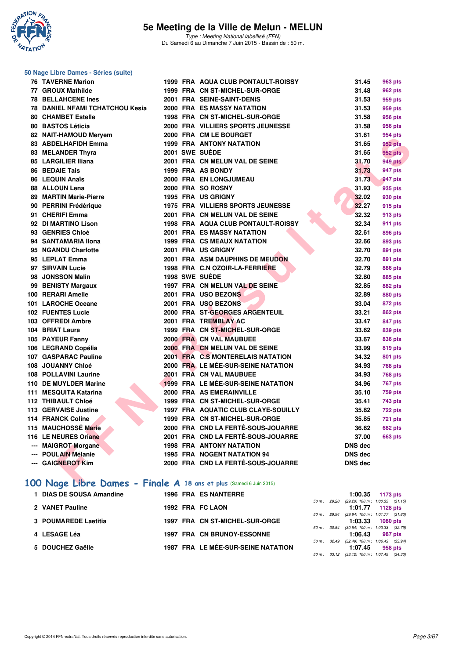

| 50 Nage Libre Dames - Séries (suite)                                |  |                                                                          |                |                                  |
|---------------------------------------------------------------------|--|--------------------------------------------------------------------------|----------------|----------------------------------|
| <b>76 TAVERNE Marion</b>                                            |  | 1999 FRA AQUA CLUB PONTAULT-ROISSY                                       | 31.45          | 963 pts                          |
| 77 GROUX Mathilde                                                   |  | 1999 FRA CN ST-MICHEL-SUR-ORGE                                           | 31.48          | 962 pts                          |
| <b>78 BELLAHCENE Ines</b>                                           |  | 2001 FRA SEINE-SAINT-DENIS                                               | 31.53          | 959 pts                          |
| <b>78 DANIEL NFAMI TCHATCHOU Kesia</b>                              |  | <b>2000 FRA ES MASSY NATATION</b>                                        | 31.53          | 959 pts                          |
| <b>80 CHAMBET Estelle</b>                                           |  | 1998 FRA CN ST-MICHEL-SUR-ORGE                                           | 31.58          | 956 pts                          |
| 80 BASTOS Léticia                                                   |  | 2000 FRA VILLIERS SPORTS JEUNESSE                                        | 31.58          | 956 pts                          |
| 82 NAIT-HAMOUD Meryem                                               |  | 2000 FRA CM LE BOURGET                                                   | 31.61          | 954 pts                          |
| 83 ABDELHAFIDH Emma                                                 |  | <b>1999 FRA ANTONY NATATION</b>                                          | 31.65          | 952 pts                          |
| 83 MELANDER Thyra                                                   |  | 2001 SWE SUEDE                                                           | 31.65          | <b>952 pts</b>                   |
| 85 LARGILIER Iliana                                                 |  | 2001 FRA CN MELUN VAL DE SEINE                                           | 31.70          | <b>949 pts</b>                   |
| <b>86 BEDAIE Tais</b>                                               |  | 1999 FRA AS BONDY                                                        | 31.73          | 947 pts                          |
| 86 LEQUIN Anaïs                                                     |  | 2000 FRA EN LONGJUMEAU                                                   | 31.73          | 947 pts                          |
| 88 ALLOUN Lena                                                      |  | 2000 FRA SO ROSNY                                                        | 31.93          | 935 pts                          |
| <b>89 MARTIN Marie-Pierre</b>                                       |  | 1995 FRA US GRIGNY                                                       | 32.02          | 930 pts                          |
| 90 PERRINI Frédérique                                               |  | <b>1975 FRA VILLIERS SPORTS JEUNESSE</b>                                 | 32.27          | 915 pts                          |
| 91 CHERIFI Emma                                                     |  | 2001 FRA CN MELUN VAL DE SEINE                                           | 32.32          | 913 pts                          |
| 92 DI MARTINO Lison                                                 |  | <b>1998 FRA AQUA CLUB PONTAULT-ROISSY</b>                                | 32.34          | 911 pts                          |
| 93 GENRIES Chloé                                                    |  | <b>2001 FRA ES MASSY NATATION</b>                                        | 32.61          | 896 pts                          |
| 94 SANTAMARIA Ilona                                                 |  | 1999 FRA CS MEAUX NATATION                                               | 32.66          | 893 pts                          |
| 95 NGANDU Charlotte                                                 |  | 2001 FRA US GRIGNY                                                       | 32.70          | 891 pts                          |
| 95 LEPLAT Emma                                                      |  | 2001 FRA ASM DAUPHINS DE MEUDON                                          | 32.70          | 891 pts                          |
| 97 SIRVAIN Lucie                                                    |  | 1998 FRA C.N OZOIR-LA-FERRIERE                                           | 32.79          | 886 pts                          |
| 98 JONSSON Malin                                                    |  | 1998 SWE SUEDE                                                           | 32.80          | 885 pts                          |
| 99 BENISTY Margaux                                                  |  | 1997 FRA CN MELUN VAL DE SEINE                                           | 32.85          | 882 pts                          |
| 100 RERARI Amelle                                                   |  | 2001 FRA USO BEZONS                                                      | 32.89          | 880 pts                          |
| 101 LAROCHE Oceane                                                  |  | 2001 FRA USO BEZONS                                                      | 33.04          | 872 pts                          |
| <b>102 FUENTES Lucie</b>                                            |  | 2000 FRA ST-GEORGES ARGENTEUIL                                           | 33.21          | 862 pts                          |
| 103 OFFREDI Ambre                                                   |  | 2001 FRA TREMBLAY AC                                                     | 33.47          | 847 pts                          |
| 104 BRIAT Laura                                                     |  | 1999 FRA CN ST-MICHEL-SUR-ORGE                                           | 33.62          | 839 pts                          |
| 105 PAYEUR Fanny                                                    |  | 2000 FRA CN VAL MAUBUEE                                                  | 33.67          | 836 pts                          |
| 106 LEGRAND Copélia                                                 |  | 2000 FRA CN MELUN VAL DE SEINE                                           | 33.99          | <b>819 pts</b>                   |
| 107 GASPARAC Pauline                                                |  | 2001 FRA C.S MONTERELAIS NATATION                                        | 34.32          | 801 pts                          |
| 108 JOUANNY Chloé                                                   |  | 2000 FRA LE MÉE-SUR-SEINE NATATION                                       | 34.93          | <b>768 pts</b>                   |
| 108 POLLAVINI Laurine                                               |  | 2001 FRA CN VAL MAUBUEE                                                  | 34.93          | <b>768 pts</b>                   |
| 110 DE MUYLDER Marine                                               |  | 1999 FRA LE MÉE-SUR-SEINE NATATION                                       | 34.96          | <b>767 pts</b>                   |
| 111 MESQUITA Katarina<br>112 THIBAULT Chloé                         |  | 2000 FRA AS EMERAINVILLE<br>1999 FRA CN ST-MICHEL-SUR-ORGE               | 35.10          | 759 pts                          |
| 113 GERVAISE Justine                                                |  | 1997 FRA AQUATIC CLUB CLAYE-SOUILLY                                      | 35.41<br>35.82 | 743 pts                          |
| <b>114 FRANCK Coline</b>                                            |  | 1999 FRA CN ST-MICHEL-SUR-ORGE                                           |                | <b>722 pts</b>                   |
|                                                                     |  |                                                                          | 35.85          | <b>721 pts</b>                   |
| 115 MAUCHOSSE Marie<br>116 LE NEURES Oriane                         |  | 2000 FRA CND LA FERTÉ-SOUS-JOUARRE<br>2001 FRA CND LA FERTÉ-SOUS-JOUARRE | 36.62<br>37.00 | <b>682 pts</b><br><b>663 pts</b> |
| --- MAIGROT Morgane                                                 |  | <b>1998 FRA ANTONY NATATION</b>                                          | <b>DNS dec</b> |                                  |
| --- POULAIN Mélanie                                                 |  | 1995 FRA NOGENT NATATION 94                                              | <b>DNS dec</b> |                                  |
| --- GAIGNEROT Kim                                                   |  | 2000 FRA CND LA FERTÉ-SOUS-JOUARRE                                       | <b>DNS</b> dec |                                  |
|                                                                     |  |                                                                          |                |                                  |
| 100 Nage Libre Dames - Finale A 18 ans et plus (Samedi 6 Juin 2015) |  |                                                                          |                |                                  |

#### **[100 Nage Libre Dames - Finale A](http://www.ffnatation.fr/webffn/resultats.php?idact=nat&go=epr&idcpt=31115&idepr=2) 18 ans et plus** (Samedi 6 Juin 2015)

| <b>DIAS DE SOUSA Amandine</b> | <b>1996 FRA ES NANTERRE</b>        |              |                                     | $1:00.35$ 1173 pts |  |
|-------------------------------|------------------------------------|--------------|-------------------------------------|--------------------|--|
|                               |                                    | 50 m : 29.20 | $(29.20)$ 100 m : 1:00.35 $(31.15)$ |                    |  |
| 2 VANET Pauline               | 1992 FRA FC LAON                   |              |                                     | $1:01.77$ 1128 pts |  |
|                               |                                    | 50 m: 29.94  | (29.94) 100 m : 1:01.77 (31.83)     |                    |  |
| 3 POUMAREDE Laetitia          | 1997 FRA CN ST-MICHEL-SUR-ORGE     |              | 1:03.33                             | 1080 pts           |  |
|                               |                                    | 50 m : 30.54 | $(30.54)$ 100 m : 1:03.33 $(32.79)$ |                    |  |
| 4 LESAGE Léa                  | <b>1997 FRA CN BRUNOY-ESSONNE</b>  |              | 1:06.43                             | 987 pts            |  |
|                               |                                    | 50 m : 32.49 | $(32.49)$ 100 m : 1:06.43 $(33.94)$ |                    |  |
| 5 DOUCHEZ Gaëlle              | 1987 FRA LE MÉE-SUR-SEINE NATATION |              | 1:07.45                             | 958 pts            |  |
|                               |                                    | 50 m : 33.12 | $(33.12)$ 100 m : 1:07.45 $(34.33)$ |                    |  |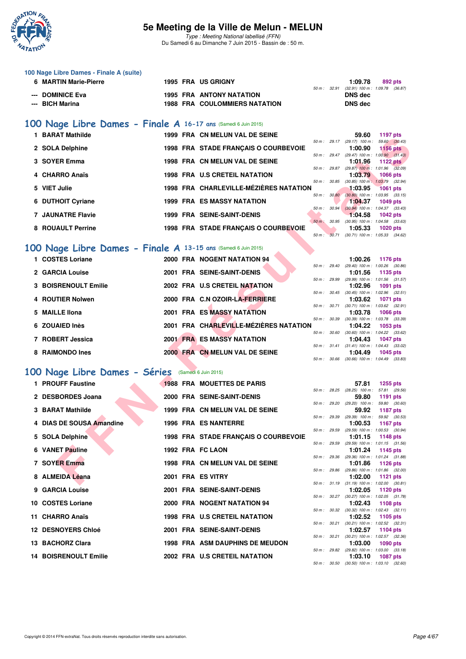

Type : Meeting National labellisé (FFN) Du Samedi 6 au Dimanche 7 Juin 2015 - Bassin de : 50 m.

| 100 Nage Libre Dames - Finale A (suite) |  |                                      |                        |                                |         |
|-----------------------------------------|--|--------------------------------------|------------------------|--------------------------------|---------|
| 6 MARTIN Marie-Pierre                   |  | <b>1995 FRA US GRIGNY</b>            |                        | 1:09.78                        | 892 pts |
|                                         |  |                                      | $50 \text{ m}$ : 32.91 | (32.91) 100 m : 1:09.78 (36.87 |         |
| --- DOMINICE Eva                        |  | <b>1995 FRA ANTONY NATATION</b>      |                        | DNS dec                        |         |
| --- BICH Marina                         |  | <b>1988 FRA COULOMMIERS NATATION</b> |                        | DNS dec                        |         |
|                                         |  |                                      |                        |                                |         |
|                                         |  |                                      |                        |                                |         |

## **[100 Nage Libre Dames - Finale A](http://www.ffnatation.fr/webffn/resultats.php?idact=nat&go=epr&idcpt=31115&idepr=2) 16-17 ans** (Samedi 6 Juin 2015)

| 1 BARAT Mathilde  |  | 1999 FRA CN MELUN VAL DE SEINE         |                          |       | 59.60                               | 1197 pts        |  |
|-------------------|--|----------------------------------------|--------------------------|-------|-------------------------------------|-----------------|--|
|                   |  |                                        | $50 m$ : 29.17           |       | $(29.17)$ 100 m :                   | 59.60 (30.43)   |  |
| 2 SOLA Delphine   |  | 1998 FRA STADE FRANCAIS O COURBEVOIE   |                          |       | 1:00.90                             | <b>1156 pts</b> |  |
|                   |  |                                        | $50 m$ : 29.47           |       | $(29.47)$ 100 m : 1:00.90 $(31.43)$ |                 |  |
| 3 SOYER Emma      |  | 1998 FRA CN MELUN VAL DE SEINE         |                          |       | 1:01.96                             | 1122 $pts$      |  |
|                   |  |                                        | 50 m: 29.87              |       | $(29.87)$ 100 m : 1:01.96 $(32.09)$ |                 |  |
| 4 CHARRO Anaïs    |  | <b>1998 FRA U.S CRETEIL NATATION</b>   |                          |       | 1:03.79                             | <b>1066 pts</b> |  |
|                   |  |                                        | $50 m$ : $30.85$         |       | $(30.85)$ 100 m : 1:03.79 $(32.94)$ |                 |  |
| 5 VIET Julie      |  | 1998 FRA CHARLEVILLE-MÉZIÈRES NATATION |                          |       | 1:03.95                             | <b>1061 pts</b> |  |
|                   |  |                                        | $50 \text{ m}$ : $30.80$ |       | $(30.80)$ 100 m : 1:03.95 $(33.15)$ |                 |  |
| 6 DUTHOIT Cyriane |  | <b>1999 FRA ES MASSY NATATION</b>      |                          |       | 1:04.37                             | 1049 pts        |  |
|                   |  |                                        | 50 m: 30.94              |       | $(30.94)$ 100 m : 1:04.37 $(33.43)$ |                 |  |
| 7 JAUNATRE Flavie |  | <b>1999 FRA SEINE-SAINT-DENIS</b>      |                          |       | 1:04.58                             | 1042 pts        |  |
|                   |  |                                        | $50 m$ :                 | 30.95 | $(30.95)$ 100 m : 1:04.58 $(33.63)$ |                 |  |
| 8 ROUAULT Perrine |  | 1998 FRA STADE FRANÇAIS O COURBEVOIE   |                          |       | 1:05.33                             | $1020$ pts      |  |
|                   |  |                                        | 50 m: 30.71              |       | $(30.71)$ 100 m : 1:05.33 $(34.62)$ |                 |  |

### **[100 Nage Libre Dames - Finale A](http://www.ffnatation.fr/webffn/resultats.php?idact=nat&go=epr&idcpt=31115&idepr=2) 13-15 ans** (Samedi 6 Juin 2015)

| PANA I MAUTIC                                                 |  | 1999 FRA CN MELON VAL DE SEINE         |              |              | JJ.UU                                                   | າ ເ <i>ອເ</i> ນເອ         |  |
|---------------------------------------------------------------|--|----------------------------------------|--------------|--------------|---------------------------------------------------------|---------------------------|--|
| 2 SOLA Delphine                                               |  | 1998 FRA STADE FRANCAIS O COURBEVOIE   |              |              | 50 m: 29.17 (29.17) 100 m: 59.60 (30.43)<br>1:00.90     | <b>1156 pts</b>           |  |
| 3 SOYER Emma                                                  |  | 1998 FRA CN MELUN VAL DE SEINE         |              |              | 50 m: 29.47 (29.47) 100 m: 1:00.90 (31.43)<br>1:01.96   | <b>1122 pts</b>           |  |
|                                                               |  |                                        |              |              | 50 m : 29.87 (29.87) 100 m : 1:01.96 (32.09)            |                           |  |
| 4 CHARRO Anaïs                                                |  | 1998 FRA U.S CRETEIL NATATION          | 50 m : 30.85 |              | 1:03.79<br>$(30.85)$ 100 m : 1:03.79 $(32.94)$          | <b>1066 pts</b>           |  |
| 5 VIET Julie                                                  |  | 1998 FRA CHARLEVILLE-MÉZIÈRES NATATION |              |              | 1:03.95                                                 | <b>1061 pts</b>           |  |
|                                                               |  |                                        | 50 m: 30.80  |              | $(30.80)$ 100 m : 1:03.95 $(33.15)$                     |                           |  |
| 6 DUTHOIT Cyriane                                             |  | <b>1999 FRA ES MASSY NATATION</b>      |              |              | 1:04.37<br>50 m : 30.94 (30.94) 100 m : 1:04.37 (33.43) | <b>1049 pts</b>           |  |
| <b>7 JAUNATRE Flavie</b>                                      |  | <b>1999 FRA SEINE-SAINT-DENIS</b>      |              |              | 1:04.58                                                 | <b>1042 pts</b>           |  |
|                                                               |  |                                        | 50 m : 30.95 |              | $(30.95)$ 100 m : 1:04.58 $(33.63)$                     |                           |  |
| 8 ROUAULT Perrine                                             |  | 1998 FRA STADE FRANÇAIS O COURBEVOIE   |              |              | 1:05.33<br>50 m : 30.71 (30.71) 100 m : 1:05.33 (34.62) | <b>1020 pts</b>           |  |
|                                                               |  |                                        |              |              |                                                         |                           |  |
| 00 Nage Libre Dames - Finale A 13-15 ans (Samedi 6 Juin 2015) |  |                                        |              |              |                                                         |                           |  |
| 1 COSTES Loriane                                              |  | 2000 FRA NOGENT NATATION 94            |              |              | 1:00.26                                                 | 1176 pts                  |  |
|                                                               |  |                                        | 50 m : 29.40 |              | $(29.40)$ 100 m : 1:00.26 $(30.86)$                     |                           |  |
| 2 GARCIA Louise                                               |  | 2001 FRA SEINE-SAINT-DENIS             |              | 50 m : 29.99 | 1:01.56<br>(29.99) 100 m: 1:01.56 (31.57)               | 1135 pts                  |  |
| <b>3 BOISRENOULT Emilie</b>                                   |  | 2002 FRA U.S CRETEIL NATATION          |              |              | 1:02.96                                                 | 1091 pts                  |  |
|                                                               |  |                                        |              |              | 50 m: 30.45 (30.45) 100 m: 1:02.96 (32.51)              |                           |  |
| 4 ROUTIER Nolwen                                              |  | 2000 FRA C.N OZOIR-LA-FERRIERE         |              |              | 1:03.62<br>50 m: 30.71 (30.71) 100 m: 1:03.62 (32.91)   | <b>1071 pts</b>           |  |
| 5 MAILLE IIona                                                |  | <b>2001 FRA ES MASSY NATATION</b>      |              |              | 1:03.78                                                 | 1066 pts                  |  |
|                                                               |  |                                        |              |              | 50 m: 30.39 (30.39) 100 m: 1:03.78 (33.39)              |                           |  |
| 6 ZOUAIED Inès                                                |  | 2001 FRA CHARLEVILLE-MÉZIÈRES NATATION |              |              | 1:04.22<br>50 m: 30.60 (30.60) 100 m: 1:04.22 (33.62)   | 1053 pts                  |  |
| 7 ROBERT Jessica                                              |  | <b>2001 FRA ES MASSY NATATION</b>      |              |              | 1:04.43                                                 | <b>1047 pts</b>           |  |
|                                                               |  |                                        |              |              | 50 m: 31.41 (31.41) 100 m: 1:04.43 (33.02)              |                           |  |
| 8 RAIMONDO Ines                                               |  | 2000 FRA CN MELUN VAL DE SEINE         |              |              | 1:04.49<br>50 m: 30.66 (30.66) 100 m: 1:04.49 (33.83)   | 1045 pts                  |  |
|                                                               |  |                                        |              |              |                                                         |                           |  |
| 00 Nage Libre Dames - Séries (Samedi 6 Juin 2015)             |  |                                        |              |              |                                                         |                           |  |
| 1 PROUFF Faustine                                             |  | <b>1988 FRA MOUETTES DE PARIS</b>      |              |              | 57.81                                                   | <b>1255 pts</b>           |  |
|                                                               |  |                                        |              |              | 50 m: 28.25 (28.25) 100 m: 57.81 (29.56)                |                           |  |
| 2 DESBORDES Joana                                             |  | 2000 FRA SEINE-SAINT-DENIS             |              |              | 59.80<br>50 m : 29.20 (29.20) 100 m :                   | 1191 pts<br>59.80 (30.60) |  |
| 3 BARAT Mathilde                                              |  | 1999 FRA CN MELUN VAL DE SEINE         |              |              | 59.92                                                   | 1187 pts                  |  |
|                                                               |  |                                        | 50 m : 29.39 |              | $(29.39)$ 100 m : 59.92 $(30.53)$                       |                           |  |
| 4 DIAS DE SOUSA Amandine                                      |  | <b>1996 FRA ES NANTERRE</b>            |              |              | 1:00.53<br>50 m: 29.59 (29.59) 100 m: 1:00.53 (30.94)   | <b>1167 pts</b>           |  |
| 5 SOLA Delphine                                               |  | 1998 FRA STADE FRANÇAIS O COURBEVOIE   |              |              | 1:01.15                                                 | <b>1148 pts</b>           |  |
|                                                               |  |                                        | 50 m: 29.59  |              | (29.59) 100 m: 1:01.15 (31.56)                          |                           |  |
| 6 VANET Pauline                                               |  | 1992 FRA FC LAON                       |              |              | 1:01.24<br>50 m: 29.36 (29.36) 100 m: 1:01.24 (31.88)   | 1145 pts                  |  |
| 7 SOYER Emma                                                  |  | 1998 FRA CN MELUN VAL DE SEINE         |              |              | 1:01.86                                                 | <b>1126 pts</b>           |  |
|                                                               |  |                                        |              |              | 50 m: 29.86 (29.86) 100 m: 1:01.86 (32.00)              |                           |  |
| 8 ALMEIDA Léana                                               |  | 2001 FRA ES VITRY                      |              |              | 1:02.00<br>50 m: 31.19 (31.19) 100 m: 1:02.00 (30.81)   | 1121 pts                  |  |
|                                                               |  |                                        |              |              |                                                         |                           |  |

### **[100 Nage Libre Dames - Séries](http://www.ffnatation.fr/webffn/resultats.php?idact=nat&go=epr&idcpt=31115&idepr=2)** (Samedi 6 Juin 2015)

|                                                                                                                                                                                                                                                                                                             |  |                                                                                                                                                                                                                                                                                                                                                                                                                                                            | 57.81 | 1255 pts |                                                                                                                                                                                                                                                                                                                                                                                                                                                                                                                                                                                                                                                                                                                                                                                                                                    |
|-------------------------------------------------------------------------------------------------------------------------------------------------------------------------------------------------------------------------------------------------------------------------------------------------------------|--|------------------------------------------------------------------------------------------------------------------------------------------------------------------------------------------------------------------------------------------------------------------------------------------------------------------------------------------------------------------------------------------------------------------------------------------------------------|-------|----------|------------------------------------------------------------------------------------------------------------------------------------------------------------------------------------------------------------------------------------------------------------------------------------------------------------------------------------------------------------------------------------------------------------------------------------------------------------------------------------------------------------------------------------------------------------------------------------------------------------------------------------------------------------------------------------------------------------------------------------------------------------------------------------------------------------------------------------|
|                                                                                                                                                                                                                                                                                                             |  |                                                                                                                                                                                                                                                                                                                                                                                                                                                            | 59.80 | 1191 pts |                                                                                                                                                                                                                                                                                                                                                                                                                                                                                                                                                                                                                                                                                                                                                                                                                                    |
|                                                                                                                                                                                                                                                                                                             |  |                                                                                                                                                                                                                                                                                                                                                                                                                                                            |       |          |                                                                                                                                                                                                                                                                                                                                                                                                                                                                                                                                                                                                                                                                                                                                                                                                                                    |
|                                                                                                                                                                                                                                                                                                             |  |                                                                                                                                                                                                                                                                                                                                                                                                                                                            |       |          |                                                                                                                                                                                                                                                                                                                                                                                                                                                                                                                                                                                                                                                                                                                                                                                                                                    |
|                                                                                                                                                                                                                                                                                                             |  |                                                                                                                                                                                                                                                                                                                                                                                                                                                            |       |          |                                                                                                                                                                                                                                                                                                                                                                                                                                                                                                                                                                                                                                                                                                                                                                                                                                    |
|                                                                                                                                                                                                                                                                                                             |  |                                                                                                                                                                                                                                                                                                                                                                                                                                                            |       |          |                                                                                                                                                                                                                                                                                                                                                                                                                                                                                                                                                                                                                                                                                                                                                                                                                                    |
|                                                                                                                                                                                                                                                                                                             |  |                                                                                                                                                                                                                                                                                                                                                                                                                                                            |       |          |                                                                                                                                                                                                                                                                                                                                                                                                                                                                                                                                                                                                                                                                                                                                                                                                                                    |
|                                                                                                                                                                                                                                                                                                             |  |                                                                                                                                                                                                                                                                                                                                                                                                                                                            |       |          |                                                                                                                                                                                                                                                                                                                                                                                                                                                                                                                                                                                                                                                                                                                                                                                                                                    |
|                                                                                                                                                                                                                                                                                                             |  |                                                                                                                                                                                                                                                                                                                                                                                                                                                            |       |          |                                                                                                                                                                                                                                                                                                                                                                                                                                                                                                                                                                                                                                                                                                                                                                                                                                    |
|                                                                                                                                                                                                                                                                                                             |  |                                                                                                                                                                                                                                                                                                                                                                                                                                                            |       |          |                                                                                                                                                                                                                                                                                                                                                                                                                                                                                                                                                                                                                                                                                                                                                                                                                                    |
|                                                                                                                                                                                                                                                                                                             |  |                                                                                                                                                                                                                                                                                                                                                                                                                                                            |       |          |                                                                                                                                                                                                                                                                                                                                                                                                                                                                                                                                                                                                                                                                                                                                                                                                                                    |
|                                                                                                                                                                                                                                                                                                             |  |                                                                                                                                                                                                                                                                                                                                                                                                                                                            |       |          |                                                                                                                                                                                                                                                                                                                                                                                                                                                                                                                                                                                                                                                                                                                                                                                                                                    |
|                                                                                                                                                                                                                                                                                                             |  |                                                                                                                                                                                                                                                                                                                                                                                                                                                            |       |          |                                                                                                                                                                                                                                                                                                                                                                                                                                                                                                                                                                                                                                                                                                                                                                                                                                    |
|                                                                                                                                                                                                                                                                                                             |  |                                                                                                                                                                                                                                                                                                                                                                                                                                                            |       |          |                                                                                                                                                                                                                                                                                                                                                                                                                                                                                                                                                                                                                                                                                                                                                                                                                                    |
|                                                                                                                                                                                                                                                                                                             |  |                                                                                                                                                                                                                                                                                                                                                                                                                                                            |       |          |                                                                                                                                                                                                                                                                                                                                                                                                                                                                                                                                                                                                                                                                                                                                                                                                                                    |
| 1 PROUFF Faustine<br>2 DESBORDES Joana<br>3 BARAT Mathilde<br>4 DIAS DE SOUSA Amandine<br>5 SOLA Delphine<br>6 VANET Pauline<br>7 SOYER Emma<br>8 ALMEIDA Léana<br>9 GARCIA Louise<br>10 COSTES Loriane<br>11 CHARRO Anaïs<br><b>12 DESNOYERS Chloé</b><br>13 BACHORZ Clara<br><b>14 BOISRENOULT Emilie</b> |  | <b>1988 FRA MOUETTES DE PARIS</b><br>2000 FRA SEINE-SAINT-DENIS<br>1999 FRA CN MELUN VAL DE SEINE<br><b>1996 FRA ES NANTERRE</b><br>1998 FRA STADE FRANCAIS O COURBEVOIE<br>1992 FRA FC LAON<br>1998 FRA CN MELUN VAL DE SEINE<br>2001 FRA ES VITRY<br>2001 FRA SEINE-SAINT-DENIS<br>2000 FRA NOGENT NATATION 94<br>1998 FRA U.S CRETEIL NATATION<br>2001 FRA SEINE-SAINT-DENIS<br><b>1998 FRA ASM DAUPHINS DE MEUDON</b><br>2002 FRA U.S CRETEIL NATATION |       |          | 50 m: 28.25 (28.25) 100 m: 57.81 (29.<br>50 m : 29.20 (29.20) 100 m : 59.80 (30.<br>59.92 1187 pts<br>50 m : 29.39 (29.39) 100 m : 59.92 (30.<br>1:00.53<br>1167 pts<br>50 m: 29.59 (29.59) 100 m: 1:00.53 (30.<br>1:01.15 1148 pts<br>50 m : 29.59 (29.59) 100 m : 1:01.15 (31.<br>1:01.24 1145 pts<br>50 m: 29.36 (29.36) 100 m: 1:01.24 (31.<br>1:01.86 1126 pts<br>50 m : 29.86 (29.86) 100 m : 1:01.86 (32.<br>1:02.00 1121 pts<br>50 m: 31.19 (31.19) 100 m: 1:02.00 (30.<br>1:02.05 1120 pts<br>50 m: 30.27 (30.27) 100 m: 1:02.05 (31.<br>1:02.43 1108 pts<br>50 m : 30.32 (30.32) 100 m : 1:02.43 (32.<br>1:02.52 1105 pts<br>50 m: 30.21 (30.21) 100 m: 1:02.52 (32.<br>1:02.57 1104 pts<br>50 m: 30.21 (30.21) 100 m: 1:02.57 (32.<br>1:03.00 1090 pts<br>50 m : 29.82 (29.82) 100 m : 1:03.00 (33.<br>1:03.10 1087 pts |

|                  |                | 57.81                        | 1255 pts            |  |
|------------------|----------------|------------------------------|---------------------|--|
|                  | $50 m$ : 28.25 | (28.25) 100 m: 57.81 (29.56) |                     |  |
|                  |                | 59.80                        | 1191 pts            |  |
| 50 m: 29.20      |                | $(29.20)$ 100 m :            | 59.80 (30.60)       |  |
|                  |                | 59.92                        | 1187 pts            |  |
| 50 m: 29.39      |                | $(29.39)$ 100 m :            | 59.92 (30.53)       |  |
|                  |                | 1:00.53                      | <b>1167 pts</b>     |  |
| $50 m$ :         | 29.59          | $(29.59)$ 100 m :            | 1:00.53 (30.94)     |  |
|                  |                | 1:01.15                      | 1148 pts            |  |
| 50 m: 29.59      |                | $(29.59)$ 100 m :            | $1:01.15$ $(31.56)$ |  |
|                  |                | 1:01.24                      | 1145 pts            |  |
| 50 m: 29.36      |                | $(29.36) 100 m$ :            | 1:01.24 (31.88)     |  |
|                  |                | 1:01.86                      | 1126 pts            |  |
| 50 m: 29.86      |                | $(29.86) 100 m$ :            | 1:01.86 (32.00)     |  |
|                  |                | 1:02.00                      | <b>1121 pts</b>     |  |
|                  | 50 m: 31.19    | $(31.19) 100 m$ :            | 1:02.00 (30.81)     |  |
|                  |                | 1:02.05                      | 1120 pts            |  |
|                  | 50 m: 30.27    | $(30.27)$ 100 m :            | 1:02.05 (31.78)     |  |
|                  |                | 1:02.43                      | 1108 pts            |  |
| 50 m: 30.32      |                | $(30.32)$ 100 m :            | $1:02.43$ $(32.11)$ |  |
|                  |                | 1:02.52                      | 1105 pts            |  |
| $50 m$ : $30.21$ |                | $(30.21)$ 100 m :            | 1:02.52 (32.31)     |  |
|                  |                | 1:02.57                      | 1104 $pts$          |  |
| $50 m$ : $30.21$ |                | $(30.21)$ 100 m :            | 1:02.57 (32.36)     |  |
|                  |                | 1:03.00                      | 1090 pts            |  |
| 50 m: 29.82      |                | $(29.82)$ 100 m :            | $1:03.00$ $(33.18)$ |  |
|                  |                | 1:03.10                      | <b>1087 pts</b>     |  |
| 50 m: 30.50      |                | $(30.50)$ 100 m :            | $1:03.10$ $(32.60)$ |  |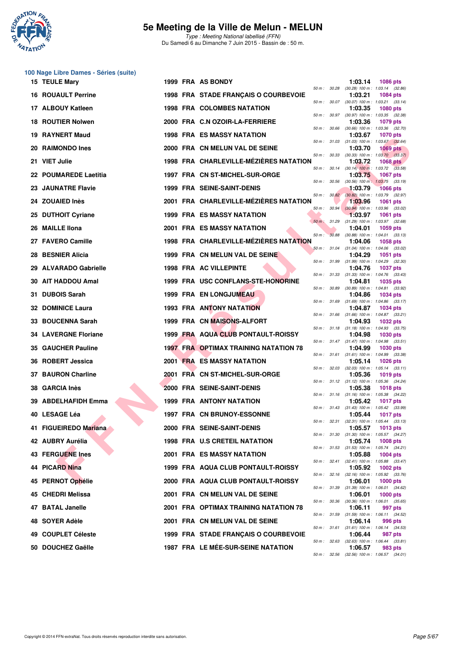

|     | 100 Nage Libre Dames - Séries (suite) |  |                                              |              |              |                                                         |                 |  |
|-----|---------------------------------------|--|----------------------------------------------|--------------|--------------|---------------------------------------------------------|-----------------|--|
|     | <b>15 TEULE Mary</b>                  |  | 1999 FRA AS BONDY                            |              |              | 1:03.14<br>50 m: 30.28 (30.28) 100 m: 1:03.14 (32.86)   | <b>1086 pts</b> |  |
|     | <b>16 ROUAULT Perrine</b>             |  | 1998 FRA STADE FRANÇAIS O COURBEVOIE         |              |              | 1:03.21<br>50 m: 30.07 (30.07) 100 m: 1:03.21 (33.14)   | <b>1084 pts</b> |  |
|     | 17 ALBOUY Katleen                     |  | <b>1998 FRA COLOMBES NATATION</b>            |              | 50 m : 30.97 | 1:03.35<br>$(30.97)$ 100 m : 1:03.35 $(32.38)$          | <b>1080 pts</b> |  |
|     | 18 ROUTIER Nolwen                     |  | 2000 FRA C.N OZOIR-LA-FERRIERE               |              |              | 1:03.36                                                 | 1079 pts        |  |
|     | <b>19 RAYNERT Maud</b>                |  | <b>1998 FRA ES MASSY NATATION</b>            | 50 m: 30.66  |              | $(30.66)$ 100 m : 1:03.36 $(32.70)$<br>1:03.67          | <b>1070 pts</b> |  |
|     | 20 RAIMONDO Ines                      |  | 2000 FRA CN MELUN VAL DE SEINE               |              |              | 50 m: 31.03 (31.03) 100 m: 1:03.67 (32.64)<br>1:03.70   | $1069$ pts      |  |
|     | 21 VIET Julie                         |  | 1998 FRA CHARLEVILLE-MÉZIÈRES NATATION       | 50 m: 30.33  |              | $(30.33)$ 100 m : 1:03.70 $(33.37)$<br>1:03.72          | <b>1068 pts</b> |  |
|     | 22 POUMAREDE Laetitia                 |  | 1997 FRA CN ST-MICHEL-SUR-ORGE               |              |              | 50 m : 30.14 (30.14) 100 m : 1:03.72 (33.58)<br>1:03.75 | <b>1067 pts</b> |  |
|     | 23 JAUNATRE Flavie                    |  | <b>1999 FRA SEINE-SAINT-DENIS</b>            | 50 m : 30.56 |              | $(30.56)$ 100 m : 1:03.75 $(33.19)$<br>1:03.79          | <b>1066 pts</b> |  |
|     | <b>24 ZOUAIED Inès</b>                |  | 2001 FRA CHARLEVILLE-MÉZIÈRES NATATION       | 50 m: 30.82  |              | (30.82) 100 m : 1:03.79 (32.97)<br>1:03.96              | <b>1061 pts</b> |  |
|     | 25 DUTHOIT Cyriane                    |  | <b>1999 FRA ES MASSY NATATION</b>            | 50 m: 30.94  |              | $(30.94)$ 100 m : 1:03.96 $(33.02)$<br>1:03.97          | 1061 pts        |  |
|     | 26 MAILLE IIona                       |  | 2001 FRA ES MASSY NATATION                   | 50 m: 31.29  |              | (31.29) 100 m: 1:03.97 (32.68)<br>1:04.01               | 1059 pts        |  |
|     | 27 FAVERO Camille                     |  | 1998 FRA CHARLEVILLE-MÉZIÈRES NATATION       | $50 m$ :     |              | 30.88 (30.88) 100 m: 1:04.01 (33.13)<br>1:04.06         | 1058 pts        |  |
|     | 28 BESNIER Alicia                     |  | 1999 FRA CN MELUN VAL DE SEINE               |              |              | 50 m: 31.04 (31.04) 100 m: 1:04.06 (33.02)<br>1:04.29   | 1051 pts        |  |
|     | 29 ALVARADO Gabrielle                 |  | 1998 FRA AC VILLEPINTE                       |              |              | 50 m: 31.99 (31.99) 100 m: 1:04.29 (32.30)<br>1:04.76   | <b>1037 pts</b> |  |
|     | 30 AIT HADDOU Amal                    |  | 1999 FRA USC CONFLANS-STE-HONORINE           |              |              | 50 m: 31.33 (31.33) 100 m: 1:04.76 (33.43)<br>1:04.81   | 1035 pts        |  |
| 31. | <b>DUBOIS Sarah</b>                   |  | <b>1999 FRA EN LONGJUMEAU</b>                | 50 m : 30.89 |              | (30.89) 100 m: 1:04.81 (33.92)<br>1:04.86               | 1034 pts        |  |
|     | <b>32 DOMINICE Laura</b>              |  | <b>1993 FRA ANTONY NATATION</b>              |              |              | 50 m: 31.69 (31.69) 100 m: 1:04.86 (33.17)<br>1:04.87   | <b>1034 pts</b> |  |
|     | 33 BOUCENNA Sarah                     |  | 1999 FRA CN MAISONS-ALFORT                   |              |              | 50 m: 31.66 (31.66) 100 m: 1:04.87 (33.21)<br>1:04.93   | 1032 pts        |  |
|     | <b>34 LAVERGNE Floriane</b>           |  | 1999 FRA AQUA CLUB PONTAULT-ROISSY           |              |              | 50 m: 31.18 (31.18) 100 m: 1:04.93 (33.75)<br>1:04.98   | <b>1030 pts</b> |  |
|     | <b>35 GAUCHER Pauline</b>             |  | <b>1997 FRA OPTIMAX TRAINING NATATION 78</b> |              |              | 50 m: 31.47 (31.47) 100 m: 1:04.98 (33.51)<br>1:04.99   | <b>1030 pts</b> |  |
|     | 36 ROBERT Jessica                     |  | <b>2001 FRA ES MASSY NATATION</b>            |              |              | 50 m: 31.61 (31.61) 100 m: 1:04.99 (33.38)<br>1:05.14   | <b>1026 pts</b> |  |
|     | 37 BAURON Charline                    |  | 2001 FRA CN ST-MICHEL-SUR-ORGE               | 50 m: 32.03  |              | $(32.03)$ 100 m : 1:05.14 $(33.11)$                     |                 |  |
|     |                                       |  |                                              |              |              | 1:05.36<br>50 m: 31.12 (31.12) 100 m: 1:05.36 (34.24)   | <b>1019 pts</b> |  |
|     | 38 GARCIA Inès                        |  | 2000 FRA SEINE-SAINT-DENIS                   |              |              | 1:05.38<br>50 m: 31.16 (31.16) 100 m: 1:05.38 (34.22)   | <b>1018 pts</b> |  |
|     | 39 ABDELHAFIDH Emma                   |  | <b>1999 FRA ANTONY NATATION</b>              |              |              | 1:05.42<br>50 m: 31.43 (31.43) 100 m: 1:05.42 (33.99)   | <b>1017 pts</b> |  |
|     | 40 LESAGE Léa                         |  | <b>1997 FRA CN BRUNOY-ESSONNE</b>            |              |              | 1:05.44<br>50 m: 32.31 (32.31) 100 m: 1:05.44 (33.13)   | <b>1017 pts</b> |  |
|     | 41 FIGUEIREDO Mariana                 |  | 2000 FRA SEINE-SAINT-DENIS                   |              |              | 1:05.57<br>50 m: 31.30 (31.30) 100 m: 1:05.57 (34.27)   | 1013 pts        |  |
|     | 42 AUBRY Aurélia                      |  | 1998 FRA U.S CRETEIL NATATION                |              |              | 1:05.74<br>50 m: 31.53 (31.53) 100 m: 1:05.74 (34.21)   | 1008 pts        |  |
|     | <b>43 FERGUENE Ines</b>               |  | <b>2001 FRA ES MASSY NATATION</b>            | 50 m : 32.41 |              | 1:05.88<br>(32.41) 100 m: 1:05.88 (33.47)               | <b>1004 pts</b> |  |
|     | 44 PICARD Nina                        |  | 1999 FRA AQUA CLUB PONTAULT-ROISSY           |              |              | 1:05.92<br>50 m: 32.16 (32.16) 100 m: 1:05.92 (33.76)   | 1002 pts        |  |
|     | 45 PERNOT Ophélie                     |  | 2000 FRA AQUA CLUB PONTAULT-ROISSY           |              |              | 1:06.01<br>50 m: 31.39 (31.39) 100 m: 1:06.01 (34.62)   | 1000 pts        |  |
|     | 45 CHEDRI Melissa                     |  | 2001 FRA CN MELUN VAL DE SEINE               |              |              | 1:06.01<br>50 m: 30.36 (30.36) 100 m: 1:06.01 (35.65)   | $1000$ pts      |  |
|     | 47 BATAL Janelle                      |  | 2001 FRA OPTIMAX TRAINING NATATION 78        |              |              | 1:06.11<br>50 m : 31.59 (31.59) 100 m : 1:06.11 (34.52) | 997 pts         |  |
|     | 48 SOYER Adèle                        |  | 2001 FRA CN MELUN VAL DE SEINE               |              |              | 1:06.14<br>50 m: 31.61 (31.61) 100 m: 1:06.14 (34.53)   | 996 pts         |  |
|     | 49 COUPLET Céleste                    |  | 1999 FRA STADE FRANÇAIS O COURBEVOIE         | 50 m : 32.63 |              | 1:06.44<br>$(32.63)$ 100 m : 1:06.44 $(33.81)$          | 987 pts         |  |
|     | 50 DOUCHEZ Gaëlle                     |  | 1987 FRA LE MÉE-SUR-SEINE NATATION           |              |              | 1:06.57<br>50 m: 32.56 (32.56) 100 m: 1:06.57 (34.01)   | 983 pts         |  |
|     |                                       |  |                                              |              |              |                                                         |                 |  |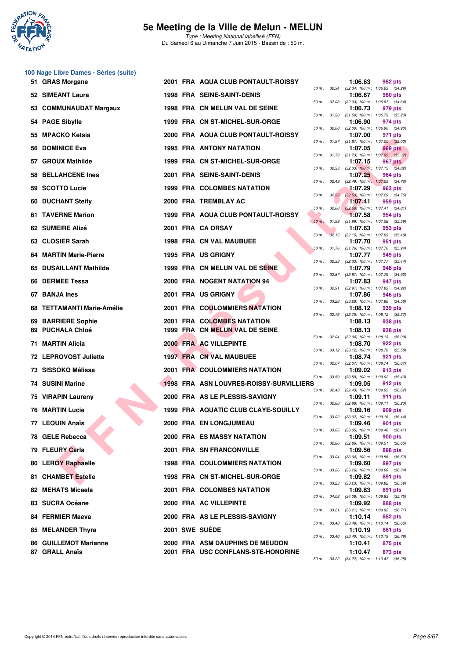

|    | 100 Nage Libre Dames - Séries (suite) |  |                                         |              |              |         |                                                              |
|----|---------------------------------------|--|-----------------------------------------|--------------|--------------|---------|--------------------------------------------------------------|
|    | 51 GRAS Morgane                       |  | 2001 FRA AQUA CLUB PONTAULT-ROISSY      |              |              | 1:06.63 | 982 pts<br>50 m: 32.34 (32.34) 100 m: 1:06.63 (34.29)        |
|    | 52 SIMEANT Laura                      |  | <b>1998 FRA SEINE-SAINT-DENIS</b>       |              |              | 1:06.67 | 980 pts<br>50 m : 32.03 (32.03) 100 m : 1:06.67 (34.64)      |
| 53 | <b>COMMUNAUDAT Margaux</b>            |  | 1998 FRA CN MELUN VAL DE SEINE          |              |              | 1:06.73 | 979 pts                                                      |
|    | 54 PAGE Sibylle                       |  | 1999 FRA CN ST-MICHEL-SUR-ORGE          |              | 50 m : 31.50 | 1:06.90 | $(31.50)$ 100 m : 1:06.73 $(35.23)$<br>974 pts               |
| 55 | <b>MPACKO Ketsia</b>                  |  | 2000 FRA AQUA CLUB PONTAULT-ROISSY      |              | 50 m : 32.00 | 1:07.00 | $(32.00)$ 100 m : 1:06.90 $(34.90)$<br>971 pts               |
| 56 | <b>DOMINICE Eva</b>                   |  | <b>1995 FRA ANTONY NATATION</b>         |              |              | 1:07.05 | 50 m: 31.97 (31.97) 100 m: 1:07.00 (35.03)<br>969 pts        |
| 57 | <b>GROUX Mathilde</b>                 |  | 1999 FRA CN ST-MICHEL-SUR-ORGE          |              |              | 1:07.15 | 50 m: 31.73 (31.73) 100 m: 1:07.05 (35.32)<br><b>967 pts</b> |
| 58 | <b>BELLAHCENE Ines</b>                |  | 2001 FRA SEINE-SAINT-DENIS              |              |              | 1:07.25 | 50 m: 32.33 (32.33) 100 m: 1:07.15 (34.82)<br>964 pts        |
| 59 | <b>SCOTTO Lucie</b>                   |  | <b>1999 FRA COLOMBES NATATION</b>       |              | 50 m : 32.49 | 1:07.29 | $(32.49)$ 100 m : 1:07.25 $(34.76)$<br>963 pts               |
| 60 | <b>DUCHANT Steify</b>                 |  | 2000 FRA TREMBLAY AC                    |              | 50 m: 32.53  | 1:07.41 | $(32.53)$ 100 m : 1:07.29 $(34.76)$<br>959 pts               |
|    | 61 TAVERNE Marion                     |  | 1999 FRA AQUA CLUB PONTAULT-ROISSY      | 50 m :       | 32.60        | 1:07.58 | $(32.60)$ 100 m : 1:07.41 $(34.81)$<br>954 pts               |
|    | 62 SUMEIRE Alizé                      |  | 2001 FRA CA ORSAY                       | $50 m$ :     | 31.99        | 1:07.63 | $(31.99)$ 100 m : 1:07.58 $(35.59)$<br>953 pts               |
|    | 63 CLOSIER Sarah                      |  | 1998 FRA CN VAL MAUBUEE                 | 50 m :       |              | 1:07.70 | 32.15 (32.15) 100 m : 1:07.63 (35.48)<br>951 pts             |
| 64 | <b>MARTIN Marie-Pierre</b>            |  | 1995 FRA US GRIGNY                      |              |              | 1:07.77 | 50 m: 31.76 (31.76) 100 m: 1:07.70 (35.94)<br>949 pts        |
| 65 | <b>DUSAILLANT Mathilde</b>            |  | 1999 FRA CN MELUN VAL DE SEINE          |              |              | 1:07.79 | 50 m: 32.33 (32.33) 100 m: 1:07.77 (35.44)<br>948 pts        |
|    | 66 DERMEE Tessa                       |  | 2000 FRA NOGENT NATATION 94             |              | 50 m : 32.87 | 1:07.83 | (32.87) 100 m : 1:07.79 (34.92)<br>947 pts                   |
| 67 | <b>BANJA Ines</b>                     |  | 2001 FRA US GRIGNY                      |              | 50 m : 32.91 | 1:07.86 | (32.91) 100 m: 1:07.83 (34.92)<br>946 pts                    |
|    | 68 TETTAMANTI Marie-Amélie            |  | 2001 FRA COULOMMIERS NATATION           | 50 m :       | 33.28        | 1:08.12 | (33.28) 100 m: 1:07.86 (34.58)<br>939 pts                    |
| 69 | <b>BARRIERE Sophie</b>                |  | 2001 FRA COLOMBES NATATION              |              |              | 1:08.13 | 50 m: 32.75 (32.75) 100 m: 1:08.12 (35.37)<br>938 pts        |
| 69 | <b>PUCHALA Chloé</b>                  |  | 1999 FRA CN MELUN VAL DE SEINE          |              |              | 1:08.13 | 938 pts                                                      |
|    | 71 MARTIN Alicia                      |  | 2000 FRA AC VILLEPINTE                  |              |              | 1:08.70 | 50 m: 32.04 (32.04) 100 m: 1:08.13 (36.09)<br>922 pts        |
|    | 72 LEPROVOST Juliette                 |  | 1997 FRA CN VAL MAUBUEE                 |              |              | 1:08.74 | 50 m: 33.12 (33.12) 100 m: 1:08.70 (35.58)<br>921 pts        |
|    | 73 SISSOKO Mélissa                    |  | <b>2001 FRA COULOMMIERS NATATION</b>    |              |              | 1:09.02 | 50 m: 32.07 (32.07) 100 m: 1:08.74 (36.67)<br>913 pts        |
|    | 74 SUSINI Marine                      |  | 1998 FRA ASN LOUVRES-ROISSY-SURVILLIERS | 50 m :       | 33.59        | 1:09.05 | $(33.59)$ 100 m : 1:09.02 $(35.43)$<br>912 pts               |
|    | 75 VIRAPIN Laureny                    |  | 2000 FRA AS LE PLESSIS-SAVIGNY          |              | 50 m: 32.43  | 1:09.11 | (32.43) 100 m : 1:09.05 (36.62)<br>911 pts                   |
|    | <b>76 MARTIN Lucie</b>                |  | 1999 FRA AQUATIC CLUB CLAYE-SOUILLY     |              |              | 1:09.16 | 50 m: 32.88 (32.88) 100 m: 1:09.11 (36.23)<br>909 pts        |
|    | 77 LEQUIN Anaïs                       |  | 2000 FRA ENLONGJUMEAU                   | $50\,m$ :    | 33.02        | 1:09.46 | $(33.02)$ 100 m : 1:09.16 $(36.14)$<br>901 pts               |
|    | 78 GELE Rebecca                       |  | <b>2000 FRA ES MASSY NATATION</b>       |              | 50 m : 33.05 | 1:09.51 | $(33.05)$ 100 m : 1:09.46 $(36.41)$<br>900 pts               |
|    | 79 FLEURY Carla                       |  | 2001 FRA SN FRANCONVILLE                |              |              | 1:09.56 | 50 m : 32.86 (32.86) 100 m : 1:09.51 (36.65)<br>898 pts      |
|    | 80 LEROY Raphaelle                    |  | <b>1998 FRA COULOMMIERS NATATION</b>    | 50 m :       | 33.04        | 1:09.60 | (33.04) 100 m: 1:09.56 (36.52)<br>897 pts                    |
|    | 81 CHAMBET Estelle                    |  | 1998 FRA CN ST-MICHEL-SUR-ORGE          | 50 m : 33.26 |              | 1:09.82 | (33.26) 100 m: 1:09.60 (36.34)<br>891 pts                    |
|    | 82 MEHATS Micaela                     |  | 2001 FRA COLOMBES NATATION              |              |              | 1:09.83 | 50 m: 33.23 (33.23) 100 m: 1:09.82 (36.59)<br>891 pts        |
|    | 83 SUCRA Océane                       |  | 2000 FRA AC VILLEPINTE                  |              | 50 m : 34.08 | 1:09.92 | $(34.08)$ 100 m : 1:09.83 $(35.75)$<br>888 pts               |
|    | 84 FERMIER Maeva                      |  | 2000 FRA AS LE PLESSIS-SAVIGNY          |              |              | 1:10.14 | 50 m: 33.21 (33.21) 100 m: 1:09.92 (36.71)<br>882 pts        |
|    | 85 MELANDER Thyra                     |  | 2001 SWE SUEDE                          |              | 50 m : 33.48 | 1:10.19 | $(33.48)$ 100 m : 1:10.14 $(36.66)$<br>881 pts               |
|    | <b>86 GUILLEMOT Marianne</b>          |  | 2000 FRA ASM DAUPHINS DE MEUDON         |              | 50 m : 33.40 | 1:10.41 | (33.40) 100 m: 1:10.19 (36.79)<br>875 pts                    |
|    | 87 GRALL Anaïs                        |  | 2001 FRA USC CONFLANS-STE-HONORINE      |              |              | 1:10.47 | 873 pts                                                      |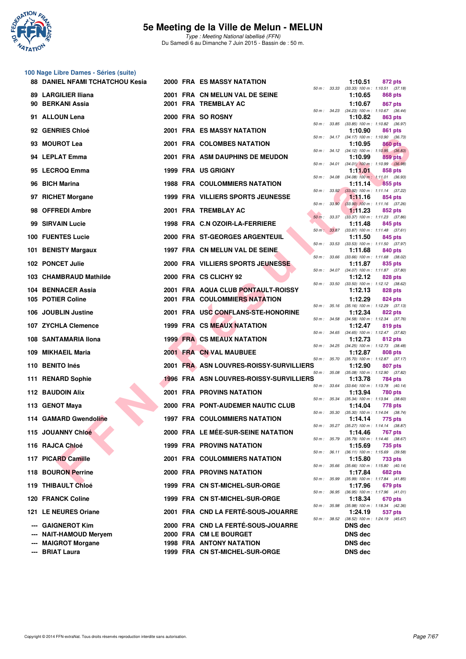

#### **100 Nage Libre Dames - Séries (suite)**

| <b>88 DANIEL NFAMI TCHATCHOU Kesia</b>  |  | <b>2000 FRA ES MASSY NATATION</b>                      |              | 1:10.51            | 872 pts                                                          |
|-----------------------------------------|--|--------------------------------------------------------|--------------|--------------------|------------------------------------------------------------------|
| 89 LARGILIER Iliana<br>90 BERKANI Assia |  | 2001 FRA CN MELUN VAL DE SEINE<br>2001 FRA TREMBLAY AC |              | 1:10.65<br>1:10.67 | 50 m: 33.33 (33.33) 100 m: 1:10.51 (37.18)<br>868 pts<br>867 pts |
| 91 ALLOUN Lena                          |  | 2000 FRA SO ROSNY                                      |              | 1:10.82            | 50 m: 34.23 (34.23) 100 m: 1:10.67 (36.44)<br>863 pts            |
| 92 GENRIES Chloé                        |  | <b>2001 FRA ES MASSY NATATION</b>                      |              | 1:10.90            | 50 m: 33.85 (33.85) 100 m: 1:10.82 (36.97)<br>861 pts            |
| 93 MOUROT Lea                           |  | 2001 FRA COLOMBES NATATION                             |              | 1:10.95            | 50 m: 34.17 (34.17) 100 m: 1:10.90 (36.73)<br><b>860 pts</b>     |
| 94 LEPLAT Emma                          |  | 2001 FRA ASM DAUPHINS DE MEUDON                        |              | 1:10.99            | 50 m: 34.12 (34.12) 100 m: 1:10.95 (36.83)<br>859 pts            |
|                                         |  |                                                        |              |                    | 50 m : 34.01 (34.01) 100 m : 1:10.99 (36.98)                     |
| 95 LECROQ Emma                          |  | 1999 FRA US GRIGNY                                     |              | 1:11.01            | 858 pts<br>50 m: 34.08 (34.08) 100 m: 1:11.01 (36.93)            |
| 96 BICH Marina                          |  | <b>1988 FRA COULOMMIERS NATATION</b>                   |              | 1:11.14            | 855 pts<br>50 m : 33.92 (33.92) 100 m : 1:11.14 (37.22)          |
| 97 RICHET Morgane                       |  | <b>1999 FRA VILLIERS SPORTS JEUNESSE</b>               |              | 1:11.16            | 854 pts<br>50 m : 33.90 (33.90) 100 m : 1:11.16 (37.26)          |
| 98 OFFREDI Ambre                        |  | 2001 FRA TREMBLAY AC                                   |              | 1:11.23            | 852 pts<br>50 m: 33.37 (33.37) 100 m: 1:11.23 (37.86)            |
| 99 SIRVAIN Lucie                        |  | 1998 FRA C.N OZOIR-LA-FERRIERE                         |              | 1:11.48            | 845 pts<br>50 m: 33.87 (33.87) 100 m: 1:11.48 (37.61)            |
| 100 FUENTES Lucie                       |  | 2000 FRA ST-GEORGES ARGENTEUIL                         | 50 m : 33.53 | 1:11.50            | 845 pts<br>$(33.53)$ 100 m : 1:11.50 $(37.97)$                   |
| 101 BENISTY Margaux                     |  | 1997 FRA CN MELUN VAL DE SEINE                         |              | 1:11.68            | 840 pts                                                          |
| 102 PONCET Julie                        |  | 2000 FRA VILLIERS SPORTS JEUNESSE                      |              | 1:11.87            | 50 m: 33.66 (33.66) 100 m: 1:11.68 (38.02)<br>835 pts            |
| 103 CHAMBRAUD Mathilde                  |  | 2000 FRA CS CLICHY 92                                  |              | 1:12.12            | 50 m: 34.07 (34.07) 100 m: 1:11.87 (37.80)<br>828 pts            |
| 104 BENNACER Assia                      |  | 2001 FRA AQUA CLUB PONTAULT-ROISSY                     |              | 1:12.13            | 50 m: 33.50 (33.50) 100 m: 1:12.12 (38.62)<br>828 pts            |
| 105 POTIER Coline                       |  | <b>2001 FRA COULOMMIERS NATATION</b>                   |              | 1:12.29            | 824 pts                                                          |
| 106 JOUBLIN Justine                     |  | 2001 FRA USC CONFLANS-STE-HONORINE                     |              | 1:12.34            | 50 m: 35.16 (35.16) 100 m: 1:12.29 (37.13)<br>822 pts            |
| 107 ZYCHLA Clemence                     |  | 1999 FRA CS MEAUX NATATION                             |              | 1:12.47            | 50 m: 34.58 (34.58) 100 m: 1:12.34 (37.76)<br>819 pts            |
| 108 SANTAMARIA Ilona                    |  | <b>1999 FRA CS MEAUX NATATION</b>                      |              | 1:12.73            | 50 m: 34.65 (34.65) 100 m: 1:12.47 (37.82)<br>812 pts            |
| 109 MIKHAEIL Maria                      |  | 2001 FRA CN VAL MAUBUEE                                |              | 1:12.87            | 50 m: 34.25 (34.25) 100 m: 1:12.73 (38.48)<br>808 pts            |
| 110 BENITO Inés                         |  | 2001 FRA ASN LOUVRES-ROISSY-SURVILLIERS                |              | 1:12.90            | 50 m: 35.70 (35.70) 100 m: 1:12.87 (37.17)<br>807 pts            |
| 111 RENARD Sophie                       |  | <b>1996 FRA ASN LOUVRES-ROISSY-SURVILLIERS</b>         |              | 1:13.78            | 50 m: 35.08 (35.08) 100 m: 1:12.90 (37.82)<br>784 pts            |
| 112 BAUDOIN Alix                        |  | 2001 FRA PROVINS NATATION                              |              | 1:13.94            | 50 m: 33.64 (33.64) 100 m: 1:13.78 (40.14)<br><b>780 pts</b>     |
|                                         |  | 2000 FRA PONT-AUDEMER NAUTIC CLUB                      |              | 1:14.04            | 50 m : 35.34 (35.34) 100 m : 1:13.94 (38.60)                     |
| 113 GENOT Maya                          |  |                                                        |              |                    | 778 pts<br>50 m: 35.30 (35.30) 100 m: 1:14.04 (38.74)            |
| 114 GAMARD Gwendoline                   |  | <b>1997 FRA COULOMMIERS NATATION</b>                   |              | 1:14.14            | 775 pts<br>50 m: 35.27 (35.27) 100 m: 1:14.14 (38.87)            |
| 115 JOUANNY Chloé                       |  | 2000 FRA LE MÉE-SUR-SEINE NATATION                     |              | 1:14.46            | 767 pts<br>50 m: 35.79 (35.79) 100 m: 1:14.46 (38.67)            |
| 116 RAJCA Chloé                         |  | <b>1999 FRA PROVINS NATATION</b>                       |              | 1:15.69            | 735 pts<br>50 m: 36.11 (36.11) 100 m: 1:15.69 (39.58)            |
| 117 PICARD Camille                      |  | <b>2001 FRA COULOMMIERS NATATION</b>                   |              | 1:15.80            | <b>733 pts</b><br>50 m: 35.66 (35.66) 100 m: 1:15.80 (40.14)     |
| 118 BOURON Perrine                      |  | 2000 FRA PROVINS NATATION                              | 50 m : 35.99 | 1:17.84            | 682 pts<br>$(35.99)$ 100 m : 1:17.84 $(41.85)$                   |
| 119 THIBAULT Chloé                      |  | 1999 FRA CN ST-MICHEL-SUR-ORGE                         |              | 1:17.96            | 679 pts                                                          |
| 120 FRANCK Coline                       |  | 1999 FRA CN ST-MICHEL-SUR-ORGE                         |              | 1:18.34            | 50 m: 36.95 (36.95) 100 m: 1:17.96 (41.01)<br>670 pts            |
| 121 LE NEURES Oriane                    |  | 2001 FRA CND LA FERTÉ-SOUS-JOUARRE                     | 50 m : 35.98 | 1:24.19            | $(35.98)$ 100 m : 1:18.34 $(42.36)$<br>537 pts                   |
| --- GAIGNEROT Kim                       |  | 2000 FRA CND LA FERTÉ-SOUS-JOUARRE                     |              | <b>DNS dec</b>     | 50 m: 38.52 (38.52) 100 m: 1:24.19 (45.67)                       |
| --- NAIT-HAMOUD Meryem                  |  | 2000 FRA CM LE BOURGET                                 |              | <b>DNS dec</b>     |                                                                  |
| --- MAIGROT Morgane                     |  | <b>1998 FRA ANTONY NATATION</b>                        |              | <b>DNS dec</b>     |                                                                  |
| --- BRIAT Laura                         |  | 1999 FRA CN ST-MICHEL-SUR-ORGE                         |              | <b>DNS dec</b>     |                                                                  |

| 50 m :               | 33.33          | 1:10.51<br>$(33.33) 100 m$ :<br>1:10.65           | 872 pts<br>1:10.51<br>(37.18)<br>868 pts                   |
|----------------------|----------------|---------------------------------------------------|------------------------------------------------------------|
| $50 m$ :             | 34.23          | 1:10.67<br>$(34.23) 100 m$ :<br>1:10.82           | <b>867 pts</b><br>$1:10.67$ (36.44)<br>863 pts             |
| $50 m$ :             | 33.85          | $(33.85)$ 100 m :<br>1:10.90                      | 1:10.82 (36.97)<br>861 pts                                 |
| $50 m$ :             | 34.17<br>34.12 | $(34.17) 100 m$ :<br>1:10.95                      | 1:10.90 (36.73)<br><b>860 pts</b>                          |
| $50 m$ :<br>$50 m$ : | 34.01          | $(34.12) 100 m$ :<br>1:10.99<br>$(34.01)$ 100 m : | 1:10.95<br>(36.83)<br>859 pts<br>1:10.99 (36.98)           |
| $50 m$ :             | 34.08          | 1:11.01<br>$(34.08) 100 m$ :                      | 858 pts<br>1:11.01<br>(36.93)                              |
| $50 m$ :             | 33.92          | 1:11.14<br>$(33.92)$ 100 m :                      | 855 pts<br>1:11.14<br>(37.22)                              |
| $50 m$ :             | 33.90          | 1:11.16<br>$(33.90)$ 100 m :                      | 854 pts<br>1:11.16<br>(37.26)                              |
| $50 m$ :             | 33.37          | 1:11.23<br>$(33.37) 100 m$ :<br>1:11.48           | 852 pts<br>1:11.23 (37.86)<br>845 pts                      |
| $50 m$ :             | 33.87          | (33.87) 100 m :<br>1:11.50                        | $1:11.48$ (37.61)<br>845 pts                               |
| $50 m$ :             | 33.53          | (33.53) 100 m :<br>1:11.68                        | 1:11.50<br>(37.97)<br>840 pts                              |
| $50 m$ :             | 33.66<br>34.07 | $(33.66) 100 m$ :<br>1:11.87                      | 1:11.68<br>(38.02)<br>835 pts                              |
| $50 m$ :<br>$50 m$ : | 33.50          | $(34.07) 100 m$ :<br>1:12.12<br>$(33.50)$ 100 m : | 1:11.87<br>(37.80)<br><b>828 pts</b><br>1:12.12<br>(38.62) |
|                      |                | 1:12.13<br>1:12.29                                | 828 pts<br><b>824 pts</b>                                  |
| $50 m$ :             | 35.16          | $(35.16) 100 m$ :<br>1:12.34                      | 1:12.29<br>(37.13)<br>822 pts                              |
| $50 m$ :             | 34.58          | $(34.58) 100 m$ :<br>1:12.47                      | 1:12.34 (37.76)<br>819 pts                                 |
| $50 m$ :             | 34.65<br>34.25 | $(34.65) 100 m$ :<br>1:12.73                      | (37.82)<br>1:12.47<br>812 pts<br>1:12.73                   |
| $50 m$ :<br>$50 m$ : | 35.70          | $(34.25)$ 100 m :<br>1:12.87<br>$(35.70)$ 100 m : | (38.48)<br>808 pts<br>1:12.87<br>(37.17)                   |
| $50 m$ :             | 35.08          | 1:12.90<br>$(35.08) 100 m$ :                      | 807 pts<br>1:12.90<br>(37.82)                              |
| $50 m$ :             | 33.64          | 1:13.78<br>$(33.64) 100 m$ :                      | 784 pts<br>$1:13.78$ $(40.14)$                             |
| $50 m$ :             | 35.34          | 1:13.94<br>$(35.34) 100 m$ :<br>1:14.04           | 780 pts<br>1:13.94<br>(38.60)<br><b>778 pts</b>            |
| $50 m$ :             | 35.30          | $(35.30)$ 100 m :<br>1:14.14                      | 1:14.04<br>(38.74)<br>775 pts                              |
| 50 m :               | 35.27          | $(35.27)$ 100 m :<br>1:14.46                      | 1:14.14 (38.87)<br>767 pts                                 |
| 50 m :<br>$50 m$ :   | 35.79          | (35.79) 100 m:<br>1:15.69                         | (38.67)<br>1:14.46<br>735 pts                              |
| $50 m$ :             | 36.11<br>35.66 | $(36.11)$ 100 m :<br>1:15.80<br>$(35.66) 100 m$ : | 1:15.69<br>(39.58)<br><b>733 pts</b><br>1:15.80<br>(40.14) |
| $50 m$ :             | 35.99          | 1:17.84<br>$(35.99)$ 100 m :                      | <b>682 pts</b><br>1:17.84<br>(41.85)                       |
| $50 m$ :             | 36.95          | 1:17.96<br>$(36.95) 100 m$ :                      | 679 pts<br>1:17.96<br>(41.01)                              |
| $50 m$ :             | 35.98          | 1:18.34<br>$(35.98) 100 m$ :<br>1:24.19           | 670 pts<br>1:18.34<br>(42.36)<br>537 pts                   |
| 50 m :               | 38.52          | $(38.52) 100 m$ :<br>DNS dec                      | 1:24.19<br>(45.67)                                         |
|                      |                | DNS dec                                           |                                                            |
|                      |                | DNS dec<br>DNS dec                                |                                                            |
|                      |                |                                                   |                                                            |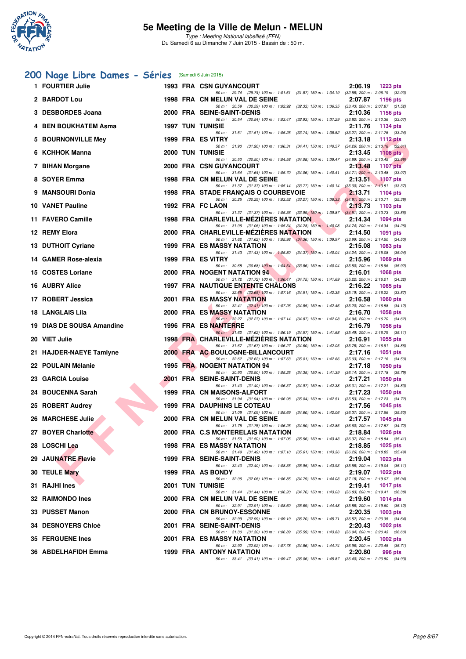

## **[200 Nage Libre Dames - Séries](http://www.ffnatation.fr/webffn/resultats.php?idact=nat&go=epr&idcpt=31115&idepr=3)** (Samedi 6 Juin 2015)

| 1 FOURTIER Julie          |  | <b>1993 FRA CSN GUYANCOURT</b><br>2:06.19<br><b>1223 pts</b>                                                                                                       |
|---------------------------|--|--------------------------------------------------------------------------------------------------------------------------------------------------------------------|
| 2 BARDOT Lou              |  | 50 m: 29.74 (29.74) 100 m: 1:01.61 (31.87) 150 m: 1:34.19 (32.58) 200 m: 2:06.19 (32.00)<br>1998 FRA CN MELUN VAL DE SEINE<br>2:07.87<br>1196 pts                  |
| 3 DESBORDES Joana         |  | 50 m: 30.59 (30.59) 100 m: 1:02.92 (32.33) 150 m: 1:36.35 (33.43) 200 m: 2:07.87 (31.52)<br>2000 FRA SEINE-SAINT-DENIS<br>2:10.36<br><b>1156 pts</b>               |
| 4 BEN BOUKHATEM Asma      |  | 50 m: 30.54 (30.54) 100 m: 1:03.47 (32.93) 150 m: 1:37.29 (33.82) 200 m: 2:10.36 (33.07)<br><b>1997 TUN TUNISIE</b><br>2:11.76<br>1134 pts                         |
| 5 BOURNONVILLE Mey        |  | 50 m: 31.51 (31.51) 100 m: 1:05.25 (33.74) 150 m: 1:38.52 (33.27) 200 m: 2:11.76 (33.24)<br>1999 FRA ES VITRY<br>2:13.18<br><b>1112 pts</b>                        |
| 6 KCHHOK Manna            |  | 50 m: 31.90 (31.90) 100 m: 1:06.31 (34.41) 150 m: 1:40.57 (34.26) 200 m: 2:13.18 (32.61)<br><b>2000 TUN TUNISIE</b><br>2:13.45<br>1108 $pts$                       |
| 7 BIHAN Morgane           |  | 50 m: 30.50 (30.50) 100 m: 1:04.58 (34.08) 150 m: 1:39.47 (34.89) 200 m: 2:13.45 (33.98)<br>2000 FRA CSN GUYANCOURT<br>2:13.48<br><b>1107 pts</b>                  |
| 8 SOYER Emma              |  | 50 m: 31.64 (31.64) 100 m: 1:05.70 (34.06) 150 m: 1:40.41 (34.71) 200 m: 2:13.48 (33.07)<br>1998 FRA CN MELUN VAL DE SEINE<br>2:13.51<br>$-1107$ pts               |
| 9 MANSOURI Donia          |  | 50 m: 31.37 (31.37) 100 m: 1:05.14 (33.77) 150 m: 1:40.14 (35.00) 200 m: 2:13.51 (33.37)<br>1998 FRA STADE FRANÇAIS O COURBEVOIE<br>2:13.71<br>1104 pts            |
| <b>10 VANET Pauline</b>   |  | 50 m: 30.25 (30.25) 100 m: 1:03.52 (33.27) 150 m: 1:38.33 (34.81) 200 m: 2:13.71 (35.38)<br>1992 FRA FC LAON<br><b>2:13.73</b><br>1103 pts                         |
| 11 FAVERO Camille         |  | 50 m: 31.37 (31.37) 100 m: 1:05.36 (33.99) 150 m: 1:39.87 (34.51) 200 m: 2:13.73 (33.86)<br>1998 FRA CHARLEVILLE-MEZIERES NATATION<br>2:14.34<br><b>1094 pts</b>   |
| 12 REMY Elora             |  | 50 m: 31.06 (31.06) 100 m: 1:05.34 (34.28) 150 m: 1:40.08 (34.74) 200 m: 2:14.34 (34.26)<br>2000 FRA CHARLEVILLE-MEZIERES NATATION<br><b>STATE</b><br>2:14.50      |
|                           |  | <b>1091 pts</b><br>50 m: 31.62 (31.62) 100 m: 1:05.98 (34.36) 150 m: 1:39.97 (33.99) 200 m: 2:14.50 (34.53)                                                        |
| 13 DUTHOIT Cyriane        |  | 1999 FRA ES MASSY NATATION<br>2:15.08<br>1083 pts<br>50 m: 31.43 (31.43) 100 m: 1:05.80 (34.37) 150 m: 1:40.04 (34.24) 200 m: 2:15.08 (35.04)                      |
| 14 GAMER Rose-alexia      |  | 1999 FRA ES VITRY<br>2:15.96<br>1069 $pts$<br>50 m: 30.68 (30.68) 100 m: 1:04.54 (33.86) 150 m: 1:40.04 (35.50) 200 m: 2:15.96 (35.92)                             |
| 15 COSTES Loriane         |  | <b>2000 FRA NOGENT NATATION 94</b><br>2:16.01<br><b>1068 pts</b><br>50 m: 31.72 (31.72) 100 m: 1:06.47 (34.75) 150 m: 1:41.69 (35.22) 200 m: 2:16.01 (34.32)       |
| <b>16 AUBRY Alice</b>     |  | <b>1997 FRA NAUTIQUE ENTENTE CHALONS</b><br>2:16.22<br><b>1065 pts</b><br>50 m: 32.65 (32.65) 100 m: 1:07.16 (34.51) 150 m: 1:42.35 (35.19) 200 m: 2:16.22 (33.87) |
| 17 ROBERT Jessica         |  | <b>2001 FRA ES MASSY NATATION</b><br>2:16.58<br><b>1060 pts</b><br>50 m: 32.41 (32.41) 100 m: 1:07.26 (34.85) 150 m: 1:42.46 (35.20) 200 m: 2:16.58 (34.12)        |
| 18 LANGLAIS Lila          |  | 2000 FRA ES MASSY NATATION<br>2:16.70<br><b>1058 pts</b><br>50 m: 32.27 (32.27) 100 m: 1:07.14 (34.87) 150 m: 1:42.08 (34.94) 200 m: 2:16.70 (34.62)               |
| 19 DIAS DE SOUSA Amandine |  | 1996 FRA ES NANTERRE<br>2:16.79<br><b>1056 pts</b><br>50 m: 31.62 (31.62) 100 m: 1:06.19 (34.57) 150 m: 1:41.68 (35.49) 200 m: 2:16.79 (35.11)                     |
| 20 VIET Julie             |  | <b>1998 FRA CHARLEVILLE-MEZIERES NATATION</b><br>2:16.91<br><b>1055 pts</b>                                                                                        |
| 21 HAJDER-NAEYE Tamlyne   |  | 50 m: 31.67 (31.67) 100 m: 1:06.27 (34.60) 150 m: 1:42.05 (35.78) 200 m: 2:16.91 (34.86)<br>2000 FRA AC BOULOGNE-BILLANCOURT<br>2:17.16<br>1051 pts                |
| 22 POULAIN Mélanie        |  | 50 m: 32.62 (32.62) 100 m: 1:07.63 (35.01) 150 m: 1:42.66 (35.03) 200 m: 2:17.16 (34.50)<br>1995 FRA NOGENT NATATION 94<br>2:17.18<br><b>1050 pts</b>              |
| 23 GARCIA Louise          |  | 50 m: 30.90 (30.90) 100 m: 1:05.25 (34.35) 150 m: 1:41.39 (36.14) 200 m: 2:17.18 (35.79)<br><b>2001 FRA SEINE-SAINT-DENIS</b><br>2:17.21<br><b>1050 pts</b>        |
| 24 BOUCENNA Sarah         |  | 50 m: 31.40 (31.40) 100 m: 1:06.37 (34.97) 150 m: 1:42.38 (36.01) 200 m: 2:17.21 (34.83)<br>2:17.23<br>1999 FRA CN MAISONS-ALFORT<br><b>1050 pts</b>               |
| 25 ROBERT Audrey          |  | 50 m: 31.94 (31.94) 100 m: 1:06.98 (35.04) 150 m: 1:42.51 (35.53) 200 m: 2:17.23 (34.72)<br><b>1999 FRA DAUPHINS LE COTEAU</b><br>2:17.56<br><b>1045 pts</b>       |
| 26 MARCHESE Julie         |  | 50 m: 31.09 (31.09) 100 m: 1:05.69 (34.60) 150 m: 1:42.06 (36.37) 200 m: 2:17.56 (35.50)<br>2000 FRA CN MELUN VAL DE SEINE<br>2:17.57<br>1045 pts                  |
| 27 BOYER Charlotte        |  | 50 m: 31.75 (31.75) 100 m: 1:06.25 (34.50) 150 m: 1:42.85 (36.60) 200 m: 2:17.57 (34.72)<br>2000 FRA C.S MONTERELAIS NATATION<br>2:18.84<br>1026 pts               |
| 28 LOSCHI Lea             |  | 50 m: 31.50 (31.50) 100 m: 1:07.06 (35.56) 150 m: 1:43.43 (36.37) 200 m: 2:18.84 (35.41)<br><b>1998 FRA ES MASSY NATATION</b><br>2:18.85<br>1025 pts               |
| 29 JAUNATRE Flavie        |  | 50 m: 31.49 (31.49) 100 m: 1:07.10 (35.61) 150 m: 1:43.36 (36.26) 200 m: 2:18.85 (35.49)<br><b>1999 FRA SEINE-SAINT-DENIS</b><br>2:19.04<br>1023 pts               |
| 30 TEULE Mary             |  | 50 m: 32.40 (32.40) 100 m: 1:08.35 (35.95) 150 m: 1:43.93 (35.58) 200 m: 2:19.04 (35.11)<br>1999 FRA AS BONDY<br>2:19.07<br><b>1022 pts</b>                        |
|                           |  | 50 m : 32.06 (32.06) 100 m : 1:06.85<br>(34.79) 150 m : 1:44.03 (37.18) 200 m : 2:19.07 (35.04)                                                                    |
| 31 RAJHI Ines             |  | <b>2001 TUN TUNISIE</b><br>2:19.41<br>1017 pts<br>50 m: 31.44 (31.44) 100 m: 1:06.20<br>(34.76) 150 m : 1:43.03 (36.83) 200 m : 2:19.41 (36.38)                    |
| 32 RAIMONDO Ines          |  | 2000 FRA CN MELUN VAL DE SEINE<br>2:19.60<br>1014 pts<br>50 m: 32.91 (32.91) 100 m: 1:08.60 (35.69) 150 m: 1:44.48 (35.88) 200 m: 2:19.60 (35.12)                  |
| 33 PUSSET Manon           |  | 2000 FRA CN BRUNOY-ESSONNE<br>2:20.35<br>1003 pts<br>50 m: 32.99 (32.99) 100 m: 1:09.19 (36.20) 150 m: 1:45.71 (36.52) 200 m: 2:20.35 (34.64)                      |
| <b>34 DESNOYERS Chloé</b> |  | 2001 FRA SEINE-SAINT-DENIS<br>2:20.43<br><b>1002 pts</b><br>50 m: 31.30 (31.30) 100 m: 1:06.89 (35.59) 150 m: 1:43.83 (36.94) 200 m: 2:20.43 (36.60)               |
| <b>35 FERGUENE Ines</b>   |  | <b>2001 FRA ES MASSY NATATION</b><br>2:20.45<br>1002 pts<br>50 m: 32.92 (32.92) 100 m: 1:07.78 (34.86) 150 m: 1:44.74 (36.96) 200 m: 2:20.45 (35.71)               |
| 36 ABDELHAFIDH Emma       |  | 1999 FRA ANTONY NATATION<br>2:20.80<br>996 pts<br>50 m: 33.41 (33.41) 100 m: 1:09.47 (36.06) 150 m: 1:45.87 (36.40) 200 m: 2:20.80 (34.93)                         |
|                           |  |                                                                                                                                                                    |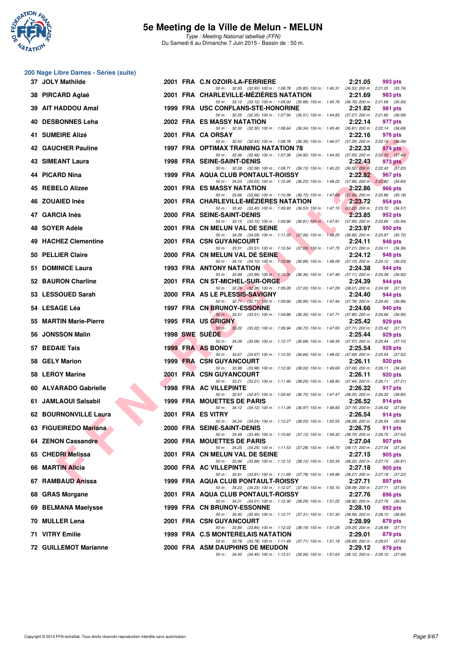

|     | 200 Nage Libre Dames - Séries (suite) |  |                                                                                                                                          |         |                                            |
|-----|---------------------------------------|--|------------------------------------------------------------------------------------------------------------------------------------------|---------|--------------------------------------------|
|     | 37 JOLY Mathilde                      |  | 2001 FRA C.N OZOIR-LA-FERRIERE<br>50 m: 32.93 (32.93) 100 m: 1:08.78 (35.85) 150 m: 1:45.31 (36.53) 200 m: 2:21.05 (35.74)               | 2:21.05 | 993 pts                                    |
|     | 38 PIRCARD Aglaé                      |  | 2001 FRA CHARLEVILLE-MEZIERES NATATION                                                                                                   | 2:21.69 | 983 pts                                    |
|     | 39 AIT HADDOU Amal                    |  | 50 m: 33.12 (33.12) 100 m: 1:09.00 (35.88) 150 m: 1:45.76 (36.76) 200 m: 2:21.69 (35.93)<br>1999 FRA USC CONFLANS-STE-HONORINE           | 2:21.82 | 981 pts                                    |
|     | 40 DESBONNES Leha                     |  | 50 m: 32.05 (32.05) 100 m: 1:07.56 (35.51) 150 m: 1:44.83 (37.27) 200 m: 2:21.82 (36.99)<br>2002 FRA ES MASSY NATATION                   | 2:22.14 | 977 pts                                    |
|     | 41 SUMEIRE Alizé                      |  | 50 m: 32.30 (32.30) 100 m: 1:08.64 (36.34) 150 m: 1:45.45 (36.81) 200 m: 2:22.14 (36.69)<br>2001 FRA CA ORSAY                            | 2:22.16 | 976 pts                                    |
|     | 42 GAUCHER Pauline                    |  | 50 m: 32.43 (32.43) 100 m: 1:08.78 (36.35) 150 m: 1:46.07 (37.29) 200 m: 2:22.16 (36.09)<br><b>1997 FRA OPTIMAX TRAINING NATATION 78</b> | 2:22.33 | 974 pts                                    |
|     | 43 SIMEANT Laura                      |  | 50 m: 32.46 (32.46) 100 m: 1:07.38 (34.92) 150 m: 1:44.93 (37.55) 200 m: 2:22.33 (37.40)<br>1998 FRA SEINE-SAINT-DENIS                   | 2:22.43 | 973 pts                                    |
|     | 44 PICARD Nina                        |  | 50 m: 32.58 (32.58) 100 m: 1:08.71 (36.13) 150 m: 1:45.23 (36.52) 200 m: 2:22.43 (37.20)<br>1999 FRA AQUA CLUB PONTAULT-ROISSY           | 2:22.82 | 967 pts                                    |
|     |                                       |  | 50 m: 34.03 (34.03) 100 m: 1:10.26 (36.23) 150 m: 1:48.22 (37.96) 200 m: 2:22.82 (34.60)                                                 |         |                                            |
|     | 45 REBELO Alizee                      |  | 2001 FRA ES MASSY NATATION<br>50 m: 33.66 (33.66) 100 m: 1:10.38 (36.72) 150 m: 1:47.68 (37.30) 200 m: 2:22.86 (35.18)                   | 2:22.86 | 966 pts                                    |
|     | 46 ZOUAIED Inès                       |  | 2001 FRA CHARLEVILLE-MEZIERES NATATION<br>50 m: 33.40 (33.40) 100 m: 1:09.93 (36.53) 150 m: 1:47.15 (37.22) 200 m: 2:23.72 (36.57)       | 2:23.72 | 954 pts                                    |
|     | 47 GARCIA Inès                        |  | 2000 FRA SEINE-SAINT-DENIS<br>50 m: 33.15 (33.15) 100 m: 1:09.96 (36.81) 150 m: 1:47.91 (37.95) 200 m: 2:23.85 (35.94)                   | 2:23.85 | 952 pts                                    |
| 48. | SOYER Adèle                           |  | 2001 FRA CN MELUN VAL DE SEINE<br>50 m: 34.29 (34.29) 100 m: 1:11.35 (37.06) 150 m: 1:48.25 (36.90) 200 m: 2:23.97 (35.72)               | 2:23.97 | 950 pts                                    |
|     | 49 HACHEZ Clementine                  |  | 2001 FRA CSN GUYANCOURT<br>50 m: 33.51 (33.51) 100 m: 1:10.54 (37.03) 150 m: 1:47.75 (37.21) 200 m: 2:24.11 (36.36)                      | 2:24.11 | 948 pts                                    |
|     | 50 PELLIER Claire                     |  | 2000 FRA CN MELUN VAL DE SEINE                                                                                                           | 2:24.12 | 948 pts                                    |
|     | 51 DOMINICE Laura                     |  | 50 m: 34.10 (34.10) 100 m: 1:10.99 (36.89) 150 m: 1:48.09 (37.10) 200 m: 2:24.12 (36.03)<br><b>1993 FRA ANTONY NATATION</b>              | 2:24.38 | 944 pts                                    |
|     | 52 BAURON Charline                    |  | 50 m: 33.99 (33.99) 100 m: 1:10.35 (36.36) 150 m: 1:47.46 (37.11) 200 m: 2:24.38 (36.92)<br>2001 FRA CN ST-MICHEL-SUR-ORGE               | 2:24.39 | 944 pts                                    |
|     | 53 LESSOUED Sarah                     |  | 50 m: 32.28 (32.28) 100 m: 1:09.28 (37.00) 150 m: 1:47.29 (38.01) 200 m: 2:24.39 (37.10)<br>2000 FRA AS LE PLESSIS-SAVIGNY               | 2:24.40 | 944 pts                                    |
|     | 54 LESAGE Léa                         |  | 50 m: 32.71 (32.71) 100 m: 1.09.66 (36.95) 150 m: 1.47.44 (37.78) 200 m: 2:24.40 (36.96)<br><b>1997 FRA CN BRUNOY-ESSONNE</b>            | 2:24.66 | 940 pts                                    |
| 55  | <b>MARTIN Marie-Pierre</b>            |  | 50 m: 33.51 (33.51) 100 m: 1:09.86 (36.35) 150 m: 1:47.71 (37.85) 200 m: 2:24.66 (36.95)<br>1995 FRA US GRIGNY                           | 2:25.42 | 929 pts                                    |
|     | 56 JONSSON Malin                      |  | 50 m: 33.22 (33.22) 100 m: 1:09.94 (36.72) 150 m: 1:47.65 (37.71) 200 m: 2:25.42 (37.77)<br>1998 SWE SUEDE                               | 2:25.44 | 929 pts                                    |
|     | 57 BEDAIE Tais                        |  | 50 m: 34.09 (34.09) 100 m: 1:10.77 (36.68) 150 m: 1:48.34 (37.57) 200 m: 2:25.44 (37.10)<br>1999 FRA AS BONDY                            |         |                                            |
|     |                                       |  | 50 m: 33.67 (33.67) 100 m: 1:10.33 (36.66) 150 m: 1:48.02 (37.69) 200 m: 2:25.54 (37.52)                                                 | 2:25.54 | 928 pts                                    |
|     | 58 GELY Marion                        |  | <b>1999 FRA CSN GUYANCOURT</b><br>50 m: 33.98 (33.98) 100 m: 1:12.00 (38.02) 150 m: 1:49.69 (37.69) 200 m: 2:26.11 (36.42)               | 2:26.11 | 920 pts                                    |
|     | 58 LEROY Marine                       |  | 2001 FRA CSN GUYANCOURT<br>50 m: 33.21 (33.21) 100 m: 1:11.46 (38.25) 150 m: 1:48.90 (37.44) 200 m: 2:26.11 (37.21)                      | 2:26.11 | 920 pts                                    |
|     | 60 ALVARADO Gabrielle                 |  | 1998 FRA AC VILLEPINTE<br>50 m: 32.67 (32.67) 100 m: 1:09.42 (36.75) 150 m: 1:47.47 (38.05) 200 m: 2:26.32 (38.85)                       | 2:26.32 | 917 pts                                    |
|     | 61 JAMLAOUI Salsabil                  |  | 1999 FRA MOUETTES DE PARIS<br>50 m: 34.12 (34.12) 100 m: 1:11.09 (36.97) 150 m: 1:48.83 (37.74) 200 m: 2:26.52 (37.69)                   | 2:26.52 | 914 pts                                    |
|     | 62 BOURNONVILLE Laura                 |  | 2001 FRA ES VITRY<br>50 m: 34.24 (34.24) 100 m: 1:12.27 (38.03) 150 m: 1:50.55 (38.28) 200 m: 2:26.54 (35.99)                            | 2:26.54 | 914 pts                                    |
|     | 63 FIGUEIREDO Mariana                 |  | 2000 FRA SEINE-SAINT-DENIS                                                                                                               | 2:26.75 | 911 pts                                    |
|     | 64 ZENON Cassandre                    |  | 50 m : 33.49 (33.49) 100 m : 1:10.62 (37.13) 150 m : 1:49.32 (38.70) 200 m : 2:26.75 (37.43)<br>2000 FRA MOUETTES DE PARIS               | 2:27.04 | 907 pts                                    |
|     | 65 CHEDRI Melissa                     |  | 50 m: 34.25 (34.25) 100 m: 1:11.53 (37.28) 150 m: 1:49.70 (38.17) 200 m: 2:27.04 (37.34)<br>2001 FRA CN MELUN VAL DE SEINE               | 2:27.15 | 905 pts                                    |
|     | 66 MARTIN Alicia                      |  | 50 m: 33.99 (33.99) 100 m: 1:12.12 (38.13) 150 m: 1:50.34<br>2000 FRA AC VILLEPINTE                                                      | 2:27.18 | (38.22) 200 m : 2:27.15 (36.81)<br>905 pts |
|     | 67 RAMBAUD Anissa                     |  | 50 m: 33.91 (33.91) 100 m: 1:11.69 (37.78) 150 m: 1:49.96 (38.27) 200 m: 2:27.18 (37.22)<br>1999 FRA AQUA CLUB PONTAULT-ROISSY           | 2:27.71 | 897 pts                                    |
|     | 68 GRAS Morgane                       |  | 50 m: 34.23 (34.23) 100 m: 1:12.07 (37.84) 150 m: 1:50.16 (38.09) 200 m: 2:27.71 (37.55)<br>2001 FRA AQUA CLUB PONTAULT-ROISSY           | 2:27.76 | 896 pts                                    |
|     | 69 BELMANA Maelysse                   |  | 50 m: 34.01 (34.01) 100 m: 1:12.30 (38.29) 150 m: 1:51.22 (38.92) 200 m: 2:27.76 (36.54)<br>1999 FRA CN BRUNOY-ESSONNE                   | 2:28.10 | 892 pts                                    |
|     |                                       |  | 50 m: 35.40 (35.40) 100 m: 1:12.71 (37.31) 150 m: 1:51.30 (38.59) 200 m: 2:28.10 (36.80)                                                 |         |                                            |
|     | 70 MULLER Lena                        |  | 2001 FRA CSN GUYANCOURT<br>50 m : 33.84 (33.84) 100 m : 1:12.03 (38.19) 150 m : 1:51.28 (39.25) 200 m : 2:28.99 (37.71)                  | 2:28.99 | 879 pts                                    |
|     | 71 VITRY Emilie                       |  | 1999 FRA C.S MONTERELAIS NATATION<br>50 m: 33.78 (33.78) 100 m: 1:11.49 (37.71) 150 m: 1:51.18 (39.69) 200 m: 2:29.01 (37.83)            | 2:29.01 | 879 pts                                    |
|     | <b>72 GUILLEMOT Marianne</b>          |  | 2000 FRA ASM DAUPHINS DE MEUDON<br>50 m: 34.45 (34.45) 100 m: 1:13.51 (39.06) 150 m: 1:51.63 (38.12) 200 m: 2:29.12 (37.49)              | 2:29.12 | 878 pts                                    |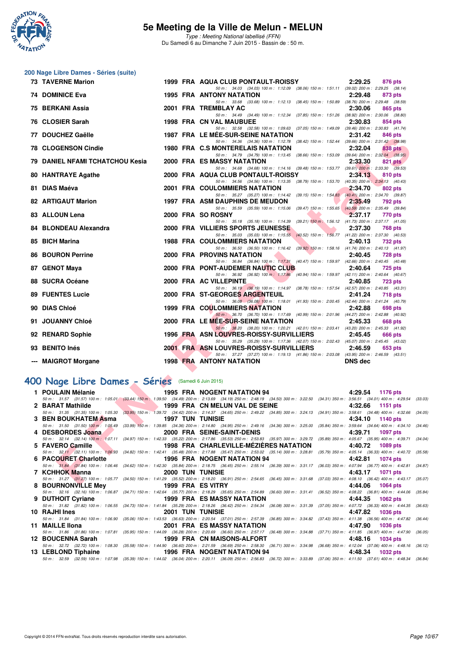

**200 Nage Libre Dames - Séries (suite)**

Type : Meeting National labellisé (FFN) Du Samedi 6 au Dimanche 7 Juin 2015 - Bassin de : 50 m.

| 73 TAVERNE Marion                                  |  | 1999 FRA AQUA CLUB PONTAULT-ROISSY<br>2:29.25<br>876 pts                                                                                                                                                                                             |  |
|----------------------------------------------------|--|------------------------------------------------------------------------------------------------------------------------------------------------------------------------------------------------------------------------------------------------------|--|
| <b>74 DOMINICE Eva</b>                             |  | 50 m: 34.03 (34.03) 100 m: 1:12.09 (38.06) 150 m: 1:51.11 (39.02) 200 m: 2:29.25 (38.14)<br><b>1995 FRA ANTONY NATATION</b><br>2:29.48<br>873 pts                                                                                                    |  |
| 75 BERKANI Assia                                   |  | 50 m: 33.68 (33.68) 100 m: 1:12.13 (38.45) 150 m: 1:50.89 (38.76) 200 m: 2:29.48 (38.59)<br>2001 FRA TREMBLAY AC<br>2:30.06<br>865 pts                                                                                                               |  |
| 76 CLOSIER Sarah                                   |  | 50 m: 34.49 (34.49) 100 m: 1:12.34 (37.85) 150 m: 1:51.26 (38.92) 200 m: 2:30.06 (38.80)<br>1998 FRA CN VAL MAUBUEE<br>2:30.83<br>854 pts                                                                                                            |  |
|                                                    |  | 50 m: 32.58 (32.58) 100 m: 1:09.63 (37.05) 150 m: 1:49.09 (39.46) 200 m: 2:30.83 (41.74)                                                                                                                                                             |  |
| 77 DOUCHEZ Gaëlle                                  |  | <b>1987 FRA LE MÉE-SUR-SEINE NATATION</b><br>2:31.42<br>846 pts<br>50 m: 34.36 (34.36) 100 m: 1:12.78 (38.42) 150 m: 1:52.44 (39.66) 200 m: 2:31.42 (38.98)                                                                                          |  |
| <b>78 CLOGENSON Cindie</b>                         |  | 1980 FRA C.S MONTERELAIS NATATION<br>2:32.04<br>838 pts                                                                                                                                                                                              |  |
| <b>79 DANIEL NFAMI TCHATCHOU Kesia</b>             |  | 50 m: 34.79 (34.79) 100 m: 1:13.45 (38.66) 150 m: 1:53.09 (39.64) 200 m: 2:32.04 (38.95)<br><b>2000 FRA ES MASSY NATATION</b><br>2:33.30<br>821 pts                                                                                                  |  |
| 80 HANTRAYE Agathe                                 |  | 50 m: 34.68 (34.68) 100 m: 1:14.16 (39.48) 150 m: 1:53.77 (39.61) 200 m: 2:33.30 (39.53)<br>2000 FRA AQUA CLUB PONTAULT-ROISSY<br>2:34.13<br>810 pts                                                                                                 |  |
|                                                    |  | 50 m: 34.56 (34.56) 100 m: 1:13.35 (38.79) 150 m: 1:53.70 (40.35) 200 m: 2:34.13 (40.43)                                                                                                                                                             |  |
| 81 DIAS Maéva                                      |  | 2001 FRA COULOMMIERS NATATION<br>2:34.70<br>802 pts<br>50 m: 35.27 (35.27) 100 m: 1:14.42 (39.15) 150 m: 1:54.83 (40.41) 200 m: 2:34.70 (39.87)                                                                                                      |  |
| <b>82 ARTIGAUT Marion</b>                          |  | <b>1997 FRA ASM DAUPHINS DE MEUDON</b><br>2:35.49<br>792 pts                                                                                                                                                                                         |  |
|                                                    |  | 50 m: 35.59 (35.59) 100 m: 1:15.06 (39.47) 150 m: 1:55.65 (40.59) 200 m: 2:35.49 (39.84)                                                                                                                                                             |  |
| 83 ALLOUN Lena                                     |  | 2000 FRA SO ROSNY<br>2:37.17<br>770 pts<br>50 m: 35.18 (35.18) 100 m: 1:14.39 (39.21) 150 m: 1:56.12 (41.73) 200 m: 2:37.17 (41.05)                                                                                                                  |  |
| 84 BLONDEAU Alexandra                              |  | <b>2000 FRA VILLIERS SPORTS JEUNESSE</b><br>2:37.30<br><b>768 pts</b>                                                                                                                                                                                |  |
| 85 BICH Marina                                     |  | 50 m: 35.03 (35.03) 100 m: 1:15.55 (40.52) 150 m: 1:56.77 (41.22) 200 m: 2:37.30 (40.53)<br><b>1988 FRA COULOMMIERS NATATION</b><br>2:40.13<br>732 pts                                                                                               |  |
|                                                    |  | 50 m: 36.50 (36.50) 100 m: 1:16.42 (39.92) 150 m: 1:58.16 (41.74) 200 m: 2:40.13 (41.97)                                                                                                                                                             |  |
| <b>86 BOURON Perrine</b>                           |  | 2000 FRA PROVINS NATATION<br>2:40.45<br><b>728 pts</b>                                                                                                                                                                                               |  |
| 87 GENOT Maya                                      |  | 50 m: 36.84 (36.84) 100 m: 1:17.31 (40.47) 150 m: 1:59.97 (42.66) 200 m: 2:40.45 (40.48)<br>2000 FRA PONT-AUDEMER NAUTIC CLUB<br>2:40.64<br><b>725 pts</b>                                                                                           |  |
|                                                    |  | 50 m: 36.92 (36.92) 100 m: 1:17.86 (40.94) 150 m: 1:59.97 (42.11) 200 m: 2:40.64 (40.67)                                                                                                                                                             |  |
| 88 SUCRA Océane                                    |  | 2000 FRA AC VILLEPINTE<br>2:40.85<br><b>723 pts</b><br>50 m: 36.19 (36.19) 100 m: 1:14.97 (38.78) 150 m: 1:57.54 (42.57) 200 m: 2:40.85 (43.31)                                                                                                      |  |
| <b>89 FUENTES Lucie</b>                            |  | 2000 FRA ST-GEORGES ARGENTEUIL<br>2:41.24<br><b>718 pts</b>                                                                                                                                                                                          |  |
| 90 DIAS Chloé                                      |  | 50 m: 36.08 (36.08) 100 m: 1:18.01 (41.93) 150 m: 2:00.45 (42.44) 200 m: 2:41.24 (40.79)<br><b>1999 FRA COULOMMIERS NATATION</b><br>2:42.88                                                                                                          |  |
|                                                    |  | 698 pts<br>50 m: 36.70 (36.70) 100 m: 1:17.69 (40.99) 150 m: 2:01.96 (44.27) 200 m: 2:42.88 (40.92)                                                                                                                                                  |  |
| 91 JOUANNY Chloé                                   |  | 2000 FRA LE MEE-SUR-SEINE NATATION<br>2:45.33<br>668 pts                                                                                                                                                                                             |  |
| 92 RENARD Sophie                                   |  | 50 m: 38.20 (38.20) 100 m: 1:20.21 (42.01) 150 m: 2:03.41 (43.20) 200 m: 2:45.33 (41.92)<br>1996 FRA ASN LOUVRES-ROISSY-SURVILLIERS<br>2:45.45<br>666 pts                                                                                            |  |
|                                                    |  | 50 m: 35.29 (35.29) 100 m: 1:17.36 (42.07) 150 m: 2:02.43 (45.07) 200 m: 2:45.45 (43.02)                                                                                                                                                             |  |
| 93 BENITO Inés                                     |  | 2001 FRA ASN LOUVRES-ROISSY-SURVILLIERS<br>2:46.59<br>653 pts<br>50 m: 37.27 (37.27) 100 m: 1:19.13 (41.86) 150 m: 2:03.08 (43.95) 200 m: 2:46.59 (43.51)                                                                                            |  |
| --- MAIGROT Morgane                                |  | <b>1998 FRA ANTONY NATATION</b><br><b>DNS</b> dec                                                                                                                                                                                                    |  |
|                                                    |  |                                                                                                                                                                                                                                                      |  |
| FOO Nage Libre Dames - Séries (Samedi 6 Juin 2015) |  |                                                                                                                                                                                                                                                      |  |
| 1 POULAIN Mélanie                                  |  | <b>1995 FRA NOGENT NATATION 94</b><br>4:29.54<br>1176 pts                                                                                                                                                                                            |  |
|                                                    |  | 50 m: 31.57 (31.57) 100 m: 1:05.01 (33.44) 150 m: 1:39.50 (34.49) 200 m: 2:13.69 (34.19) 250 m: 2:48.19 (34.50) 300 m: 3:22.50 (34.31) 350 m: 3:56.51 (34.01) 400 m: 4:29.54 (3:                                                                     |  |
| 2 BARAT Mathilde<br><b>Contract Contract</b>       |  | 1999 FRA CN MELUN VAL DE SEINE<br>4:32.66<br>1151 pts<br>50 m: 31.35 (31.35) 100 m: 1:05.30 (33.95) 150 m: 1:39.72 (34.42) 200 m: 2:14.37 (34.65) 250 m: 2:49.22 (34.85) 300 m: 3:24.13 (34.91) 350 m: 3:58.61 (34.48) 400 m: 4:32.66 (3             |  |
| 3 BEN BOUKHATEM Asma                               |  | <b>1997 TUN TUNISIE</b><br>4:34.10<br>1140 pts                                                                                                                                                                                                       |  |
| 4 DESBORDES Joana                                  |  | 50 m : 31.50 (31.50) 100 m : 1:05.49 (33.99) 150 m : 1:39.85 (34.36) 200 m : 2:14.80 (34.95) 250 m : 2:49.16 (34.36) 300 m : 3:25.00 (35.84) 350 m : 3:59.64 (34.64) 400 m : 4:34.10 (3<br>2000 FRA SEINE-SAINT-DENIS<br>4:39.71<br>1097 pts         |  |
|                                                    |  | 50 m: 32.14 (32.14) 100 m: 1:07.11 (34.97) 150 m: 1:42.33 (35.22) 200 m: 2:17.86 (35.53) 250 m: 2:53.83 (35.97) 300 m: 3:29.72 (35.89) 350 m: 4:05.67 (35.95) 400 m: 4:39.71 (3                                                                      |  |
| 5 FAVERO Camille                                   |  | 1998 FRA CHARLEVILLE-MEZIERES NATATION<br>4:40.72<br><b>1089 pts</b>                                                                                                                                                                                 |  |
| 6 PACOURET Charlotte                               |  | 50 m: 32.11 (32.11) 100 m: 1:06.93 (34.82) 150 m: 1:42.41 (35.48) 200 m: 2:17.88 (35.47) 250 m: 2:53.02 (35.14) 300 m: 3:28.81 (35.79) 350 m: 4:05.14 (36.33) 400 m: 4:40.72 (3.<br><b>1996 FRA NOGENT NATATION 94</b><br>4:42.81<br><b>1074 pts</b> |  |
|                                                    |  | 50 m: 31.84 (31.84) 100 m: 1:06.46 (34.62) 150 m: 1:42.30 (35.84) 200 m: 2:18.75 (36.45) 250 m: 2:55.14 (36.39) 300 m: 3:31.17 (36.03) 350 m: 4:07.94 (36.77) 400 m: 4:42.81 (36.93)                                                                 |  |
| 7 KCHHOK Manna                                     |  | <b>2000 TUN TUNISIE</b><br>4:43.17<br><b>1071 pts</b><br>50 m: 31.27 (31.27) 100 m: 1:05.77 (34.50) 150 m: 1:41.29 (35.52) 200 m: 2:18.20 (36.91) 250 m: 2:54.65 (36.45) 300 m: 3:31.68 (37.03) 350 m: 4:08.10 (36.42) 400 m: 4:43.17 (3.            |  |
| 1000 FBA FOUTBY<br><b>DOUDMONDILLE MALL</b>        |  | 4.44.00<br>$A O C A = 1$                                                                                                                                                                                                                             |  |

## **[400 Nage Libre Dames - Séries](http://www.ffnatation.fr/webffn/resultats.php?idact=nat&go=epr&idcpt=31115&idepr=4)** (Samedi 6 Juin 2015)

| 1 POULAIN Mélanie    |                         | <b>1995 FRA NOGENT NATATION 94</b>                                                                                                                                                   | 4:29.54<br>1176 pts        |
|----------------------|-------------------------|--------------------------------------------------------------------------------------------------------------------------------------------------------------------------------------|----------------------------|
|                      |                         | 50 m: 31.57 (31.57) 100 m: 1:05.01 (33.44) 150 m: 1:39.50 (34.49) 200 m: 2:13.69 (34.19) 250 m: 2:48.19 (34.50) 300 m: 3:22.50 (34.31) 350 m: 3:56.51 (34.01) 400 m: 4:29.54         | (33.03)                    |
| 2 BARAT Mathilde     |                         | 1999 FRA CN MELUN VAL DE SEINE                                                                                                                                                       | 4:32.66<br>1151 pts        |
|                      |                         | 50 m: 31.35 (31.35) 100 m: 1:05.30 (33.95) 150 m: 1:39.72 (34.42) 200 m: 2:14.37 (34.65) 250 m: 2:49.22 (34.85) 300 m: 3:24.13 (34.91) 350 m: 3:58.61 (34.48) 400 m: 4:32.66         | (34.05)                    |
| 3 BEN BOUKHATEM Asma | <b>1997 TUN TUNISIE</b> |                                                                                                                                                                                      | 4:34.10<br>1140 pts        |
|                      |                         | 50 m : 31.50 (31.50) 100 m : 1:05.49 (33.99) 150 m : 1:39.85 (34.36) 200 m : 2:14.80 (34.95) 250 m : 2:49.16 (34.36) 300 m : 3:25.00 (35.84) 350 m : 3:59.64 (34.64) 400 m : 4:34.10 | (34.46)                    |
| 4 DESBORDES Joana    |                         | 2000 FRA SEINE-SAINT-DENIS                                                                                                                                                           | 4:39.71<br>1097 pts        |
|                      |                         | 50 m: 32.14 (32.14) 100 m: 1:07.11 (34.97) 150 m: 1:42.33 (35.22) 200 m: 2:17.86 (35.53) 250 m: 2:53.83 (35.97) 300 m: 3:29.72 (35.89) 350 m: 4:05.67 (35.95) 400 m: 4:39.71         | (34.04)                    |
| 5 FAVERO Camille     |                         | 1998 FRA CHARLEVILLE-MEZIERES NATATION                                                                                                                                               | 4:40.72<br>1089 pts        |
|                      |                         | 50 m: 32.11 (32.11) 100 m: 1:06.93 (34.82) 150 m: 1:42.41 (35.48) 200 m: 2:17.88 (35.47) 250 m: 2:53.02 (35.14) 300 m: 3:28.81 (35.79) 350 m: 4:05.14 (36.33) 400 m: 4:40.72         | (35.58)                    |
| 6 PACOURET Charlotte |                         | 1996 FRA NOGENT NATATION 94                                                                                                                                                          | 4:42.81<br>1074 pts        |
|                      |                         | 50 m: 31.84 (31.84) 100 m: 1:06.46 (34.62) 150 m: 1:42.30 (35.84) 200 m: 2:18.75 (36.45) 250 m: 2:55.14 (36.39) 300 m: 3:31.17 (36.03) 350 m: 4:07.94 (36.77) 400 m: 4:42.81 (34.87) |                            |
| 7 KCHHOK Manna       | <b>2000 TUN TUNISIE</b> |                                                                                                                                                                                      | 4:43.17 1071 pts           |
|                      |                         | 50 m: 31.27 (31.27) 100 m: 1:05.77 (34.50) 150 m: 1:41.29 (35.52) 200 m: 2:18.20 (36.91) 250 m: 2:54.65 (36.45) 300 m: 3:31.68 (37.03) 350 m: 4:08.10 (36.42) 400 m: 4:43.17 (35.07) |                            |
| 8 BOURNONVILLE Mey   | 1999 FRA ES VITRY       |                                                                                                                                                                                      | 4:44.06<br><b>1064 pts</b> |
|                      |                         | 50 m: 32.16 (32.16) 100 m: 1:06.87 (34.71) 150 m: 1:42.64 (35.77) 200 m: 2:18.29 (35.65) 250 m: 2:54.89 (36.60) 300 m: 3:31.41 (36.52) 350 m: 4:08.22 (36.81) 400 m: 4:44.06         | (35, 84)                   |
| 9 DUTHOIT Cyriane    |                         | <b>1999 FRA ES MASSY NATATION</b>                                                                                                                                                    | 4:44.35<br>$1062$ pts      |
|                      |                         | 50 m: 31.82 (31.82) 100 m: 1:06.55 (34.73) 150 m: 1:41.84 (35.29) 200 m: 2:18.26 (36.42) 250 m: 2:54.34 (36.08) 300 m: 3:31.39 (37.05) 350 m: 4:07.72 (36.33) 400 m: 4:44.35         | (36.63)                    |
| 10 RAJHI Ines        | <b>2001 TUN TUNISIE</b> |                                                                                                                                                                                      | 4:47.82<br><b>1036 pts</b> |
|                      |                         | 50 m: 31.84 (31.84) 100 m: 1:06.90 (35.06) 150 m: 1:43.53 (36.63) 200 m: 2:20.54 (37.01) 250 m: 2:57.39 (36.85) 300 m: 3:34.82 (37.43) 350 m: 4:11.38 (36.56) 400 m: 4:47.82         | (36.44)                    |
| 11 MAILLE IIona      |                         | <b>2001 FRA ES MASSY NATATION</b>                                                                                                                                                    | 4:47.90<br><b>1036 pts</b> |
|                      |                         | 50 m: 31.86 (31.86) 100 m: 1:07.81 (35.95) 150 m: 1:44.09 (36.28) 200 m: 2:20.69 (36.60) 250 m: 2:57.17 (36.48) 300 m: 3:34.88 (37.71) 350 m: 4:11.85 (36.97) 400 m: 4:47.90         | (36.05)                    |
| 12 BOUCENNA Sarah    |                         | 1999 FRA CN MAISONS-ALFORT                                                                                                                                                           | 4:48.16<br>1034 pts        |
|                      |                         | 50 m : 32.72 (32.72) 100 m : 1:08.30 (35.58) 150 m : 1:44.90 (36.60) 200 m : 2:21.59 (36.69) 250 m : 2:58.30 (36.71) 300 m : 3:34.98 (36.68) 350 m : 4:12.04 (37.06) 400 m : 4:48.16 | (36.12)                    |
| 13 LEBLOND Tiphaine  |                         | <b>1996 FRA NOGENT NATATION 94</b>                                                                                                                                                   | 4:48.34<br>1032 pts        |
|                      |                         | 50 m: 32.59 (32.59) 100 m: 1:07.98 (35.39) 150 m: 1:44.02 (36.04) 200 m: 2:20.11 (36.09) 250 m: 2:56.83 (36.72) 300 m: 3:33.89 (37.06) 350 m: 4:11.50 (37.61) 400 m: 4:48.34 (36.84) |                            |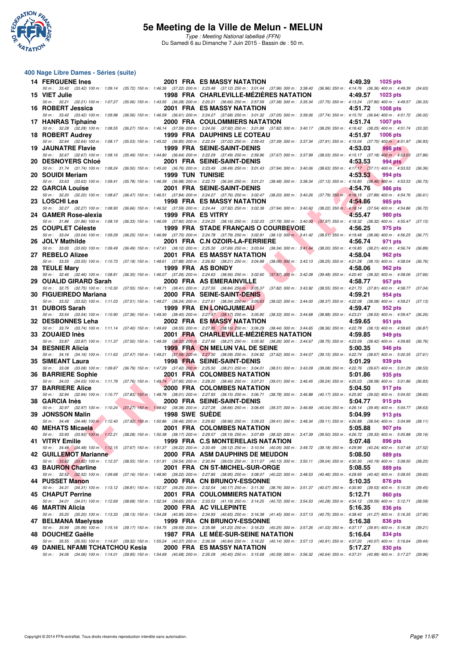

Type : Meeting National labellisé (FFN) Du Samedi 6 au Dimanche 7 Juin 2015 - Bassin de : 50 m.

#### **400 Nage Libre Dames - Séries (suite)**

| <b>14 FERGUENE Ines</b>                                         |                         | <b>2001 FRA ES MASSY NATATION</b>                                                                                                                                                                                                 | 4:49.39<br>1025 pts        |         |
|-----------------------------------------------------------------|-------------------------|-----------------------------------------------------------------------------------------------------------------------------------------------------------------------------------------------------------------------------------|----------------------------|---------|
| 15 VIET Julie                                                   |                         | 50 m: 33.42 (33.42) 100 m: 1:09.14 (35.72) 150 m: 1:46.36 (37.22) 200 m: 2:23.48 (37.12) 250 m: 3:01.44 (37.96) 300 m: 3:38.40 (36.96) 350 m: 4:14.76 (36.36) 400 m: 4:49.39 (34.63)<br>1998 FRA CHARLEVILLE-MEZIERES NATATION    | 4:49.57<br>1023 pts        |         |
|                                                                 |                         | 50 m: 32.21 (32.21) 100 m: 1:07.27 (35.06) 150 m: 1:43.55 (36.28) 200 m: 2:20.21 (36.66) 250 m: 2:57.59 (37.38) 300 m: 3:35.34 (37.75) 350 m: 4:13.24 (37.90) 400 m: 4:49.57 (36.33)                                              |                            |         |
| 16 ROBERT Jessica                                               |                         | 2001 FRA ES MASSY NATATION<br>50 m : 33.42 (33.42) 100 m : 1:09.98 (36.56) 150 m : 1:46.59 (36.61) 200 m : 2:24.27 (37.68) 250 m : 3:01.32 (37.05) 300 m : 3:39.06 (37.74) 350 m : 4:15.70 (36.64) 400 m : 4:51.72                | 4:51.72<br><b>1008 pts</b> | (36.02) |
| 17 HANRAS Tiphaine                                              |                         | 2000 FRA COULOMMIERS NATATION                                                                                                                                                                                                     | 4:51.74<br><b>1007 pts</b> |         |
| 18 ROBERT Audrey                                                |                         | 50 m: 32.28 (32.28) 100 m: 1:08.55 (36.27) 150 m: 1:46.14 (37.59) 200 m: 2:24.06 (37.92) 250 m: 3:01.88 (37.82) 300 m: 3:40.17 (38.29) 350 m: 4:18.42 (38.25) 400 m: 4:51.74<br><b>1999 FRA DAUPHINS LE COTEAU</b>                | 4:51.97<br><b>1006 pts</b> | (33.32) |
|                                                                 |                         | 50 m: 32.64 (32.64) 100 m: 1:08.17 (35.53) 150 m: 1:45.02 (36.85) 200 m: 2:22.04 (37.02) 250 m: 2:59.43 (37.39) 300 m: 3:37.34 (37.91) 350 m: 4:15.04 (37.70) 400 m: 4:51.97                                                      |                            | (36.93) |
| <b>19 JAUNATRE Flavie</b>                                       |                         | 1999 FRA SEINE-SAINT-DENIS<br>50 m : 32.67 (32.67) 100 m : 1:08.16 (35.49) 150 m : 1:44.80 (36.64) 200 m : 2:22.29 (37.49) 250 m : 2:59.96 (37.67) 300 m : 3:37.99 (38.03) 350 m : 4:15.17 (37.18) 400 m : 4:53.03                | 4:53.03<br><b>998 pts</b>  | (37.86) |
| <b>20 DESNOYERS Chloé</b>                                       |                         | 2001 FRA SEINE-SAINT-DENIS                                                                                                                                                                                                        | 4:53.53<br>994 pts         |         |
| 20 SOUIDI Meriam                                                | <b>1999 TUN TUNISIE</b> | 50 m: 31.74 (31.74) 100 m: 1:08.24 (36.50) 150 m: 1:45.00 (36.76) 200 m: 2:23.49 (38.49) 250 m: 3:01.43 (37.94) 300 m: 3:40.06 (38.63) 350 m: 4:17.17 (37.11) 400 m: 4:53.53 (36.36)                                              | 4:53.53<br>994 pts         |         |
|                                                                 |                         | 50 m: 33.63 (33.63) 100 m: 1:09.41 (35.78) 150 m: 1:46.39 (36.98) 200 m: 2:22.73 (36.34) 250 m: 3:01.21 (38.48) 300 m: 3:38.34 (37.13) 350 m: 4:16.80 (38.46) 400 m: 4:53.53                                                      |                            | (36.73) |
| 22 GARCIA Louise                                                |                         | 2001 FRA SEINE-SAINT-DENIS<br>50 m : 32.20 (32.20) 100 m : 1:08.67 (36.47) 150 m : 1:46.51 (37.84) 200 m : 2:24.27 (37.76) 250 m : 3:02.47 (38.20) 300 m : 3:40.26 (37.79) 350 m : 4:18.15 (37.89) 400 m : 4:54.76                | 4:54.76<br>986 pts         | (36.61) |
| 23 LOSCHI Lea                                                   |                         | <b>1998 FRA ES MASSY NATATION</b>                                                                                                                                                                                                 | 4:54.86<br>985 pts         |         |
|                                                                 |                         | 50 m: 32.27 (32.27) 100 m: 1:08.93 (36.66) 150 m: 1:46.52 (37.59) 200 m: 2:24.44 (37.92) 250 m: 3:02.38 (37.94) 300 m: 3:40.60 (38.22) 350 m: 4:18.14 (37.54) 400 m: 4:54.86                                                      |                            | (36.72) |
| 24 GAMER Rose-alexia                                            | 1999 FRA ES VITRY       | 50 m : 31.86 (31.86) 100 m : 1:08.19 (36.33) 150 m : 1:46.09 (37.90) 200 m : 2:24.25 (38.16) 250 m : 3:02.03 (37.78) 300 m : 3:40.00 (37.97) 350 m : 4:18.32 (38.32) 400 m : 4:55.47                                              | 4:55.47<br><b>980 pts</b>  | (37.15) |
| 25 COUPLET Céleste                                              |                         | 1999 FRA STADE FRANÇAIS O COURBEVOIE                                                                                                                                                                                              | 4:56.25<br>975 pts         |         |
| 26 JOLY Mathilde                                                |                         | 50 m: 33.04 (33.04) 100 m: 1:09.29 (36.25) 150 m: 1:46.99 (37.70) 200 m: 2:24.78 (37.79) 250 m: 3:02.91 (38.13) 300 m: 3:41.42 (38.51) 350 m: 4:19.48 (38.06) 400 m: 4:56.25 (36.77)<br>2001 FRA C.N OZOIR-LA-FERRIERE            | 4:56.74<br>971 pts         |         |
|                                                                 |                         | 50 m : 33.00 (33.00) 100 m : 1:09.49 (36.49) 150 m : 1:47.61 (38.12) 200 m : 2:25.30 (37.69) 250 m : 3:03.64 (38.34) 300 m : 3:41.64 (38.00) 350 m : 4:19.85 (38.21) 400 m : 4:56.74                                              |                            | (36.89) |
| 27 REBELO Alizee                                                |                         | 2001 FRA ES MASSY NATATION<br>50 m: 33.55 (33.55) 100 m: 1:10.73 (37.18) 150 m: 1:48.61 (37.88) 200 m: 2:26.82 (38.21) 250 m: 3:04.88 (38.06) 300 m: 3:43.13 (38.25) 350 m: 4:21.28 (38.15) 400 m: 4:58.04 (36.76)                | 4:58.04<br>962 pts         |         |
| 28 TEULE Marv                                                   |                         | 1999 FRA AS BONDY                                                                                                                                                                                                                 | 4:58.06<br>962 pts         |         |
| 29 OUALID GIRARD Sarah                                          |                         | 50 m : 32.46 (32.46) 100 m : 1:08.81 (36.35) 150 m : 1:46.07 (37.26) 200 m : 2:24.63 (38.56) 250 m : 3:02.60 (37.97) 300 m : 3:42.08 (39.48) 350 m : 4:20.40 (38.32) 400 m : 4:58.06<br>2000 FRA AS EMERAINVILLE                  | 4:58.77<br>957 pts         | (37.66) |
|                                                                 |                         | 50 m: 32.75 (32.75) 100 m: 1:10.30 (37.55) 150 m: 1:48.71 (38.41) 200 m: 2:27.55 (38.84) 250 m: 3:05.37 (37.82) 300 m: 3:43.92 (38.55) 350 m: 4:21.73 (37.81) 400 m: 4:58.77                                                      |                            | (37.04) |
| 30 FIGUEIREDO Mariana                                           |                         | 2000 FRA SEINE-SAINT-DENIS<br>50 m: 33.52 (33.52) 100 m: 1:11.03 (37.51) 150 m: 1:49.27 (38.24) 200 m: 2:27.61 (38.34) 250 m: 3:05.63 (38.02) 300 m: 3:44.00 (38.37) 350 m: 4:22.08 (38.08) 400 m: 4:59.21                        | 4:59.21<br>954 pts         | (37.13) |
| 31 DUBOIS Sarah                                                 |                         | 1999 FRA EN LONGJUMEAU                                                                                                                                                                                                            | 4:59.47<br>952 pts         |         |
| 32 DESBONNES Leha                                               |                         | 50 m: 33.54 (33.54) 100 m: 1:10.90 (37.36) 150 m: 1:49.30 (38.40) 200 m: 2:27.47 (38.17) 250 m: 3:05.80 (38.33) 300 m: 3:44.68 (38.88) 350 m: 4:23.21 (38.53) 400 m: 4:59.47<br>2002 FRA ES MASSY NATATION                        | 4:59.65<br>951 pts         | (36.26) |
|                                                                 |                         | 50 m: 33.74 (33.74) 100 m: 1:11.14 (37.40) 150 m: 1:49.69 (38.55) 200 m: 2:27.85 (38.16) 250 m: 3:06.29 (38.44) 300 m: 3:44.65 (38.36) 350 m: 4:22.78 (38.13) 400 m: 4:59.65 (36.87)                                              |                            |         |
| 33 ZOUAIED Inès                                                 |                         | 2001 FRA CHARLEVILLE-MEZIERES NATATION<br>50 m: 33.87 (33.87) 100 m: 1:11.37 (37.50) 150 m: 1:49.39 (38.02) 200 m: 2:27.66 (38.27) 250 m: 3:05.92 (38.26) 300 m: 3:44.67 (38.75) 350 m: 4:23.09 (38.42) 400 m: 4:59.85            | 4:59.85<br>949 pts         | (36.76) |
| 34 BESNIER Alicia                                               |                         | 1999 FRA CN MELUN VAL DE SEINE                                                                                                                                                                                                    | 5:00.35<br>946 pts         |         |
| <b>35 SIMEANT Laura</b>                                         |                         | 50 m: 34.16 (34.16) 100 m: 1:11.63 (37.47) 150 m: 1:49.21 (37.58) 200 m: 2:27.30 (38.09) 250 m: 3:04.92 (37.62) 300 m: 3:44.07 (39.15) 350 m: 4:22.74 (38.67) 400 m: 5:00.35 (37.61)<br>1998 FRA SEINE-SAINT-DENIS                | 5:01.29<br>939 pts         |         |
|                                                                 |                         | 50 m: 33.08 (33.08) 100 m: 1:09.87 (36.79) 150 m: 1:47.29 (37.42) 200 m: 2:25.50 (38.21) 250 m: 3:04.01 (38.51) 300 m: 3:43.09 (39.08) 350 m: 4:22.76 (39.67) 400 m: 5:01.29                                                      |                            | (38.53) |
| 36 BARRIERE Sophie                                              |                         | 2001 FRA COLOMBES NATATION<br>50 m: 34.03 (34.03) 100 m: 1:11.79 (37.76) 150 m: 1:49.74 (37.95) 200 m: 2:28.20 (38.46) 250 m: 3:07.21 (39.01) 300 m: 3:46.45 (39.24) 350 m: 4:25.03 (38.58) 400 m: 5:01.86 (36.83)                | 5:01.86<br>935 pts         |         |
| 37 BARRIERE Alice                                               |                         | 2000 FRA COLOMBES NATATION                                                                                                                                                                                                        | 5:04.50<br>917 pts         |         |
| 38 GARCIA Inès                                                  |                         | 50 m : 32.94 (32.94) 100 m : 1:10.77 (37.83) 150 m : 1:48.78 (38.01) 200 m : 2:27.93 (39.15) 250 m : 3:06.71 (38.78) 300 m : 3:46.88 (40.17) 350 m : 4:25.90 (39.02) 400 m : 5:04.50 (38.60)<br>2000 FRA SEINE-SAINT-DENIS        | 5:04.77<br>915 pts         |         |
|                                                                 |                         | 50 m: 32.97 (32.97) 100 m: 1:10.24 (37.27) 150 m: 1:48.62 (38.38) 200 m: 2:27.28 (38.66) 250 m: 3:06.65 (39.37) 300 m: 3:46.69 (40.04) 350 m: 4:26.14 (39.45) 400 m: 5:04.77 (38.63)                                              |                            |         |
| 39 JONSSON Malin                                                | <b>1998 SWE SUEDE</b>   | 50 m: 34.48 (34.48) 100 m: 1:12.40 (37.92) 150 m: 1:50.86 (38.46) 200 m: 2:29.82 (38.96) 250 m: 3:09.23 (39.41) 300 m: 3:48.34 (39.11) 350 m: 4:26.88 (38.54) 400 m: 5:04.99 (38.11)                                              | 5:04.99<br>913 pts         |         |
| 40 MEHATS Micaela<br><b>Contract Contract Contract Contract</b> |                         | 2001 FRA COLOMBES NATATION                                                                                                                                                                                                        | 5:05.88<br>907 pts         |         |
| 41 VITRY Emilie                                                 |                         | 50 m: 33.93 (33.93) 100 m: 1:12.21 (38.28) 150 m: 1:50.38 (38.17) 200 m: 2:29.57 (39.19) 250 m: 3:07.89 (38.32) 300 m: 3:47.39 (39.50) 350 m: 4:26.72 (39.33) 400 m: 5:05.88 (39.16)<br>1999 FRA C.S MONTERELAIS NATATION         | 5:07.48<br>896 pts         |         |
|                                                                 |                         | 50 m: 34.48 (34.48) 100 m: 1:12.15 (37.67) 150 m: 1:51.37 (39.22) 200 m: 2:30.49 (39.12) 250 m: 3:10.54 (40.05) 300 m: 3:49.72 (39.18) 350 m: 4:29.96 (40.24) 400 m: 5:07.48 (37.52)                                              |                            |         |
| 42 GUILLEMOT Marianne                                           |                         | 2000 FRA ASM DAUPHINS DE MEUDON<br>50 m: (33.82) (33.82) 100 m: 1:12.37) (38.55) 150 m: 1:51.91) (39.54) 200 m: 2:30.94) (39.03) 250 m: 3:11.07) (40.13) 300 m: 3:50.11) (39.04) 350 m: 4:30.30) (40.19) 400 m: 5:08.50           | 5:08.50<br>889 pts         | (38.20) |
| 43 BAURON Charline                                              |                         | 2001 FRA CN ST-MICHEL-SUR-ORGE                                                                                                                                                                                                    | 5:08.55<br>889 pts         |         |
| 44 PUSSET Manon                                                 |                         | 50 m : 32.52 (32.52) 100 m : 1:09.68 (37.16) 150 m : 1:48.90 (39.22) 200 m : 2:27.85 (38.95) 250 m : 3:08.07 (40.22) 300 m : 3:48.53 (40.46) 350 m : 4:28.95 (40.42) 400 m : 5:08.55 (39.60)<br>2000 FRA CN BRUNOY-ESSONNE        | 5:10.35<br>876 pts         |         |
|                                                                 |                         | 50 m : 34.31 (34.31) 100 m : 1:13.12 (38.81) 150 m : 1:52.37 (39.25) 200 m : 2:32.54 (40.17) 250 m : 3:11.30 (38.76) 300 m : 3:51.37 (40.07) 350 m : 4:30.90 (39.53) 400 m : 5:10.35 (39.45)                                      |                            |         |
| 45 CHAPUT Perrine                                               |                         | 2001 FRA COULOMMIERS NATATION<br>50 m : 34.01 (34.01) 100 m : 1:12.69 (38.68) 150 m : 1:52.34 (39.65) 200 m : 2:33.53 (41.19) 250 m : 3:14.25 (40.72) 300 m : 3:54.53 (40.28) 350 m : 4:34.12 (39.59) 400 m : 5:12.71 (38.59)     | 5:12.71<br>860 pts         |         |
| 46 MARTIN Alicia                                                |                         | 2000 FRA AC VILLEPINTE                                                                                                                                                                                                            | 5:16.35<br>836 pts         |         |
| 47 BELMANA Maelysse                                             |                         | 50 m : 35.20 (35.20) 100 m : 1:13.33 (38.13) 150 m : 1:54.28 (40.95) 200 m : 2:34.93 (40.65) 250 m : 3:16.38 (41.45) 300 m : 3:57.13 (40.75) 350 m : 4:38.40 (41.27) 400 m : 5:16.35 (37.95)<br>1999 FRA CN BRUNOY-ESSONNE        | 5:16.38<br>836 pts         |         |
|                                                                 |                         | 50 m : 35.99 (35.99) 100 m : 1:15.16 (39.17) 150 m : 1:54.75 (39.59) 200 m : 2:35.98 (41.23) 250 m : 3:16.23 (40.25) 300 m : 3:57.26 (41.03) 350 m : 4:37.17 (39.91) 400 m : 5:16.38 (39.21)                                      |                            |         |
| 48 DOUCHEZ Gaëlle                                               |                         | <b>1987 FRA LE MEE-SUR-SEINE NATATION</b><br>50 m: 35.55 (35.55) 100 m: 1:14.87 (39.32) 150 m: 1:55.24 (40.37) 200 m: 2:36.08 (40.84) 250 m: 3:16.22 (40.14) 300 m: 3:57.13 (40.91) 350 m: 4:37.20 (40.07) 400 m: 5:16.64 (39.44) | 5:16.64<br>834 pts         |         |
| 49 DANIEL NFAMI TCHATCHOU Kesia                                 |                         | 2000 FRA ES MASSY NATATION                                                                                                                                                                                                        | 5:17.27<br>830 pts         |         |
|                                                                 |                         | 50 m : 34.06 (34.06) 100 m : 1:14.01 (39.95) 150 m : 1:54.69 (40.68) 200 m : 2:35.09 (40.40) 250 m : 3:15.68 (40.59) 300 m : 3:56.32 (40.64) 350 m : 4:37.31 (40.99) 400 m : 5:17.27 (39.96)                                      |                            |         |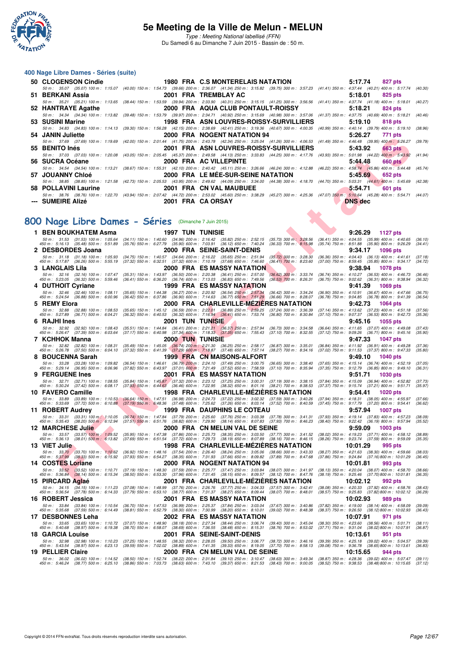

Type : Meeting National labellisé (FFN) Du Samedi 6 au Dimanche 7 Juin 2015 - Bassin de : 50 m.

#### **400 Nage Libre Dames - Séries (suite)**

| 50 CLOGENSON Cindie <b>Example 20</b> |                                                                                                                                                                                              | 1980 FRA C.S MONTERELAIS NATATION       | 5:17.74        | 827 pts |
|---------------------------------------|----------------------------------------------------------------------------------------------------------------------------------------------------------------------------------------------|-----------------------------------------|----------------|---------|
|                                       | 50 m: 35.07 (35.07) 100 m: 1:15.07 (40.00) 150 m: 1:54.73 (39.66) 200 m: 2:36.07 (41.34) 250 m: 3:15.82 (39.75) 300 m: 3:57.23 (41.41) 350 m: 4:37.44 (40.21) 400 m: 5:17.74 (40.30)         |                                         |                |         |
| 51 BERKANI Assia                      |                                                                                                                                                                                              | 2001 FRA TREMBLAY AC                    | 5:18.01        | 825 pts |
|                                       | 50 m: 35.21 (35.21) 100 m: 1:13.65 (38.44) 150 m: 1:53.59 (39.94) 200 m: 2:33.90 (40.31) 250 m: 3:15.15 (41.25) 300 m: 3:56.56 (41.41) 350 m: 4:37.74 (41.18) 400 m: 5:18.01 (40.27)         |                                         |                |         |
| 52 HANTRAYE Agathe                    |                                                                                                                                                                                              | 2000 FRA AQUA CLUB PONTAULT-ROISSY      | 5:18.21        | 824 pts |
|                                       | 50 m: 34.34 (34.34) 100 m: 1:13.82 (39.48) 150 m: 1:53.79 (39.97) 200 m: 2:34.71 (40.92) 250 m: 3:15.69 (40.98) 300 m: 3:57.06 (41.37) 350 m: 4:37.75 (40.69) 400 m: 5:18.21 (40.46)         |                                         |                |         |
| 53 SUSINI Marine                      |                                                                                                                                                                                              | 1998 FRA ASN LOUVRES-ROISSY-SURVILLIERS | 5:19.10        | 818 pts |
|                                       | 50 m: 34.83 (34.83) 100 m: 1:14.13 (39.30) 150 m: 1:56.28 (42.15) 200 m: 2:38.69 (42.41) 250 m: 3:19.36 (40.67) 300 m: 4:00.35 (40.99) 350 m: 4:40.14 (39.79) 400 m: 5:19.10 (38.96)         |                                         |                |         |
| 54 JANIN Juliette                     |                                                                                                                                                                                              | 2000 FRA NOGENT NATATION 94             | 5:26.27        | 771 pts |
|                                       | 50 m: 37.69 (37.69) 100 m: 1:19.69 (42.00) 150 m: 2:01.44 (41.75) 200 m: 2:43.78 (42.34) 250 m: 3:25.04 (41.26) 300 m: 4:06.53 (41.49) 350 m: 4:46.48 (39.95) 400 m: 5:26.27 (39.79)         |                                         |                |         |
| 55 BENITO Inés                        |                                                                                                                                                                                              | 2001 FRA ASN LOUVRES-ROISSY-SURVILLIERS | 5:43.92        | 663 pts |
|                                       | 50 m : 37.03 (37.03) 100 m : 1:20.08 (43.05) 150 m : 2:05.45 (45.37) 200 m : 2:49.58 (44.13) 250 m : 3:33.83 (44.25) 300 m : 4:17.76 (43.93) 350 m : 5:01.98 (44.22) 400 m : 5:43.92 (41.94) |                                         |                |         |
| 56 SUCRA Océane                       |                                                                                                                                                                                              | 2000 FRA AC VILLEPINTE                  | 5:44.48        | 660 pts |
|                                       | 50 m: 34.54 (34.54) 100 m: 1:13.21 (38.67) 150 m: 1:55.31 (42.10) 200 m: 2:40.42 (45.11) 250 m: 3:26.66 (46.24) 300 m: 4:12.88 (46.22) 350 m: 4:58.74 (45.66) 400 m: 5:44.48 (45.74)         |                                         |                |         |
| 57 JOUANNY Chloé                      |                                                                                                                                                                                              | 2000 FRA LE MÉE-SUR-SEINE NATATION      | 5:45.69        | 652 pts |
|                                       | 50 m: 38.85 (38.85) 100 m: 1:21.58 (42.73) 150 m: 2:05.53 (43.95) 200 m: 2:49.62 (44.09) 250 m: 3:34.00 (44.38) 300 m: 4:18.70 (44.70) 350 m: 5:03.31 (44.61) 400 m: 5:45.69 (42.38)         |                                         |                |         |
| 58 POLLAVINI Laurine                  |                                                                                                                                                                                              | 2001 FRA CN VAL MAUBUEE                 | 5:54.71        | 601 pts |
|                                       | 50 m : 38.76 (38.76) 100 m : 1:22.70 (43.94) 150 m : 2:07.42 (44.72) 200 m : 2:53.02 (45.60) 250 m : 3:38.29 (45.27) 300 m : 4:25.36 (47.07) 350 m : 5:10.64 (45.28) 400 m : 5:54.71 (44.07) |                                         |                |         |
| --- SUMEIRE Alizé                     | 2001 FRA CA ORSAY                                                                                                                                                                            |                                         | <b>DNS</b> dec |         |
|                                       |                                                                                                                                                                                              |                                         |                |         |
|                                       |                                                                                                                                                                                              |                                         |                |         |
|                                       | 100 Nage Libre Dames - Séries (Dimanche 7 Juin 2015)                                                                                                                                         |                                         |                |         |
|                                       |                                                                                                                                                                                              |                                         |                |         |

## [800 Nage Libre Dames - Séries](http://www.ffnatation.fr/webffn/resultats.php?idact=nat&go=epr&idcpt=31115&idepr=5) (Dimanche 7 Juin 2015)

| <b>UMININ JUIICLIC</b>                                                             |                                                                                                                                                    | ZUUU FRA NUGENI NAIAIIUN 34                                                                        |                                                        | J.ZU.Z1<br>$111 \mu s$                                                                                                                                                                                     |                    |
|------------------------------------------------------------------------------------|----------------------------------------------------------------------------------------------------------------------------------------------------|----------------------------------------------------------------------------------------------------|--------------------------------------------------------|------------------------------------------------------------------------------------------------------------------------------------------------------------------------------------------------------------|--------------------|
| 55   BENITO Inés                                                                   |                                                                                                                                                    | 2001 FRA ASN LOUVRES-ROISSY-SURVILLIERS                                                            |                                                        | 50 m : 37.69 (37.69) 100 m : 1:19.69 (42.00) 150 m : 2:01.44 (41.75) 200 m : 2:43.78 (42.34) 250 m : 3:25.04 (41.26) 300 m : 4:06.53 (41.49) 350 m : 4:46.48 (39.95) 400 m : 5:26.27<br>5:43.92<br>663 pts | (39.79)            |
|                                                                                    |                                                                                                                                                    |                                                                                                    |                                                        | 50 m : 37.03 (37.03) 100 m : 1:20.08 (43.05) 150 m : 2:05.45 (45.37) 200 m : 2:49.58 (44.13) 250 m : 3:33.83 (44.25) 300 m : 4:17.76 (43.93) 350 m : 5:01.98 (44.22) 400 m : 5:43.92                       | (41.94)            |
| 56   SUCRA Océane                                                                  |                                                                                                                                                    | 2000 FRA AC VILLEPINTE                                                                             |                                                        | 5:44.48<br>660 pts<br>50 m: 34.54 (34.54) 100 m: 1:13.21 (38.67) 150 m: 1:55.31 (42.10) 200 m: 2:40.42 (45.11) 250 m: 3:26.66 (46.24) 300 m: 4:12.88 (46.22) 350 m: 4:58.74 (45.86) 400 m: 5:44.48         | (45.74)            |
| 57  JOUANNY Chloé                                                                  |                                                                                                                                                    | 2000 FRA LE MEE-SUR-SEINE NATATION                                                                 |                                                        | 5:45.69<br>652 pts                                                                                                                                                                                         |                    |
| 58 POLLAVINI Laurine                                                               |                                                                                                                                                    | 2001 FRA CN VAL MAUBUEE                                                                            |                                                        | 50 m: 38.85 (38.85) 100 m: 1:21.58 (42.73) 150 m: 2:05.53 (43.95) 200 m: 2:49.62 (44.09) 250 m: 3:34.00 (44.38) 300 m: 4:18.70 (44.70) 350 m: 5:03.31 (44.61) 400 m: 5:45.69<br>5:54.71<br>601 pts         | (42.38)            |
|                                                                                    |                                                                                                                                                    |                                                                                                    |                                                        | 50 m : 38.76 (38.76) 100 m : 1:22.70 (43.94) 150 m : 2:07.42 (44.72) 200 m : 2:53.02 (45.60) 250 m : 3:38.29 (45.27) 300 m : 4:25.36 (47.07) 350 m : 5:10.64 (45.28) 400 m : 5:54.71                       | (44.07)            |
| ---   SUMEIRE Alizé                                                                |                                                                                                                                                    | 2001 FRA CA ORSAY                                                                                  |                                                        | <b>DNS dec</b>                                                                                                                                                                                             |                    |
|                                                                                    |                                                                                                                                                    |                                                                                                    |                                                        |                                                                                                                                                                                                            |                    |
| 00 Nage Libre Dames - Séries (Dimanche 7 Juin 2015)                                |                                                                                                                                                    |                                                                                                    |                                                        |                                                                                                                                                                                                            |                    |
| 1 BEN BOUKHATEM Asma                                                               | <b>1997 TUN TUNISIE</b>                                                                                                                            |                                                                                                    |                                                        | 9:26.29<br><b>1127 pts</b>                                                                                                                                                                                 |                    |
| 50 m: 31.53 (31.53) 100 m: 1:05.64<br>450 m : 5:16.13 (35.48) 500 m : 5:51.89      | (35.76) 550 m : 6:27.79 (35.90) 600 m : 7:03.91 (36.12) 650 m : 7:40.24                                                                            |                                                                                                    | $(36.33)$ 700 m : $8:15.98$                            | (34.11) 150 m : 1:40.60 (34.96) 200 m : 2:16.42 (35.82) 250 m : 2:52.15 (35.73) 300 m : 3:28.56 (36.41) 350 m : 4:04.55 (35.99) 400 m : 4:40.65<br>(35.74) 750 m : 8:51.88 (35.90) 800 m : 9:26.29         | (36.10)<br>(34.41) |
| 2 DESBORDES Joana                                                                  |                                                                                                                                                    | 2000 FRA SEINE-SAINT-DENIS                                                                         |                                                        | 9:34.17<br><b>1096 pts</b>                                                                                                                                                                                 |                    |
| 50 m : 31.18 (31.18) 100 m : 1:05.93<br>450 m : 5:17.87 (36.26) 500 m : 5:55.19    | (34.75) 150 m: 1:40.57 (34.64) 200 m: 2:16.22 (35.65) 250 m: 2:51.94<br>(37.32) 550 m: 6:32.51 (37.32) 600 m: 7:10.19 (37.68) 650 m: 7:46.60       |                                                                                                    | $(35.72)$ 300 m : 3:28.30<br>(36.41) 700 m : 8:23.60   | $(36.36)$ 350 m : 4:04.43 $(36.13)$ 400 m : 4:41.61<br>(37.00) 750 m : 8:59.45 (35.85) 800 m : 9:34.17                                                                                                     | (37.18)<br>(34.72) |
| 3 LANGLAIS Lila                                                                    |                                                                                                                                                    | 2000 FRA ES MASSY NATATION                                                                         |                                                        | 9:38.94<br>1078 pts                                                                                                                                                                                        |                    |
| 50 m: 32.16 (32.16) 100 m: 1:07.47<br>450 m : 5:23.05 (36.32) 500 m : 5:59.46      | (35.31) 150 m: 1:43.97 (36.50) 200 m: 2:20.38 (36.41) 250 m: 2:57.00<br>(36.41) 550 m: 6:36.20 (36.74) 600 m: 7:13.03 (36.83) 650 m: 7:49.56       |                                                                                                    | $(36.62)$ 300 m : 3:33.74<br>$(36.53)$ 700 m : 8:26.31 | (36.74) 350 m: 4:10.27 (36.53) 400 m: 4:46.73<br>(36.75) 750 m : 9:02.62 (36.31) 800 m : 9:38.94                                                                                                           | (36.46)<br>(36.32) |
| 4 DUTHOIT Cyriane                                                                  |                                                                                                                                                    | <b>1999 FRA ES MASSY NATATION</b>                                                                  |                                                        | 9:41.39<br><b>1069 pts</b>                                                                                                                                                                                 |                    |
| 50 m : 32.46 (32.46) 100 m : 1:08.11<br>450 m : 5:24.54 (36.88) 500 m : 6:00.96    | (35.65) 150 m : 1:44.38 (36.27) 200 m : 2:20.92 (36.54) 250 m : 2:57.34<br>(36.42) 550 m : 6:37.86 (36.90) 600 m : 7:14.63 (36.77) 650 m : 7:51.29 |                                                                                                    | $(36.42)$ 300 m : 3:34.24<br>$(36.66)$ 700 m : 8:28.07 | $(36.90)$ 350 m : 4:10.91<br>$(36.67)$ 400 m : 4:47.66<br>(36.78) 750 m : 9:04.85 (36.78) 800 m : 9:41.39                                                                                                  | (36.75)<br>(36.54) |
| 5 REMY Elora                                                                       |                                                                                                                                                    | 2000 FRA CHARLEVILLE-MEZIERES NATATION                                                             |                                                        | 9:42.73<br><b>1064 pts</b>                                                                                                                                                                                 |                    |
| 50 m : 32.88<br>(32.88) 100 m : 1:08.53<br>450 m : 5:27.89 (36.71) 500 m : 6:04.21 | (35.65) 150 m : 1:45.12 (36.59) 200 m : 2:22.01 (36.89) 250 m : 2:59.25<br>(36.32) 550 m : 6:40.53 (36.32) 600 m : 7:16.94 (36.41) 650 m : 7:53.74 |                                                                                                    | (37.24) 300 m : 3:36.39<br>$(36.80)$ 700 m : 8:30.84   | (37.14) 350 m: 4:13.62 (37.23) 400 m: 4:51.18<br>(37.10) 750 m : 9:07.37 (36.53) 800 m : 9:42.73                                                                                                           | (37.56)<br>(35.36) |
| 6 RAJHI Ines                                                                       | 2001 TUN TUNISIE                                                                                                                                   |                                                                                                    |                                                        | 9:45.16<br>1055 pts                                                                                                                                                                                        |                    |
| 50 m: 32.92 (32.92) 100 m: 1:08.43<br>450 m : 5:26.47 (37.39) 500 m : 6:03.64      | $(35.51)$ 150 m : 1:44.84<br>$(37.17)$ 550 m : 6:40.98                                                                                             | (36.41) 200 m : 2:21.21 (36.37) 250 m : 2:57.94<br>(37.34) 600 m : 7:18.33 (37.35) 650 m : 7:55.43 | $(36.73)$ 300 m : 3:34.58<br>$(37.10)$ 700 m : 8:32.55 | (36.64) 350 m: 4:11.65 (37.07) 400 m: 4:49.08<br>$(37.12)$ 750 m : 9:09.26<br>$(36.71)$ 800 m : 9:45.16                                                                                                    | (37.43)<br>(35.90) |
| 7 KCHHOK Manna                                                                     | 2000 TUN TUNISIE                                                                                                                                   |                                                                                                    |                                                        | 9:47.33<br><b>1047 pts</b>                                                                                                                                                                                 |                    |
| 50 m : 32.82 (32.82) 100 m : 1:08.31<br>450 m : 5:26.78 (37.50) 500 m : 6:04.10    | $(35.49)$ 150 m : 1:45.05<br>(37.32) 550 m : 6:41.39 (37.29) 600 m : 7:18.87 (37.48) 650 m : 7:57.14                                               | (36.74) 200 m : 2:21.30 (36.25) 250 m : 2:58.17                                                    | $(36.87)$ 300 m : 3:35.01<br>$(38.27)$ 700 m : 8:34.16 | $(36.84)$ 350 m : 4:11.92<br>$(36.91)$ 400 m : 4:49.28<br>$(37.02)$ 750 m : 9:11.53<br>$(37.37)$ 800 m : 9:47.33                                                                                           | (37.36)<br>(35.80) |
| <b>BOUCENNA Sarah</b>                                                              |                                                                                                                                                    | 1999 FRA CN MAISONS-ALFORT                                                                         |                                                        | 9:49.10<br>1040 pts                                                                                                                                                                                        |                    |
| 50 m: 33.28 (33.28) 100 m: 1:09.82                                                 | (36.54) 150 m: 1:46.61 (36.79) 200 m: 2:24.10 (37.49) 250 m: 3:00.75                                                                               |                                                                                                    | $(36.65)$ 300 m : 3:38.40<br>(37.10) 700 m : 8:35.94   | (37.65) 350 m: 4:15.14 (36.74) 400 m: 4:52.19                                                                                                                                                              | (37.05)<br>(36.31) |
| 450 m : 5:29.14 (36.95) 500 m : 6:06.96<br><b>9 FERGUENE Ines</b>                  | (37.82) 550 m: 6:43.97 (37.01) 600 m: 7:21.49 (37.52) 650 m: 7:58.59                                                                               | 2001 FRA ES MASSY NATATION                                                                         |                                                        | (37.35) 750 m : 9:12.79 (36.85) 800 m : 9:49.10<br>9:51.71<br><b>1030 pts</b>                                                                                                                              |                    |
| 50 m : 32.71 (32.71) 100 m : 1:08.55                                               | (35.84) 150 m : 1:45.87 (37.32) 200 m : 2:23.12 (37.25) 250 m : 3:00.31                                                                            |                                                                                                    | $(37.19)$ 300 m : 3:38.15                              | (37.84) 350 m : 4:15.09 (36.94) 400 m : 4:52.82                                                                                                                                                            | (37.73)            |
| 450 m : 5:30.24 (37.42) 500 m : 6:08.17<br>10 FAVERO Camille                       | (37.93) 550 m: 6:44.63 (36.46) 600 m: 7:22.95 (38.32) 650 m: 8:01.16                                                                               | 1998 FRA CHARLEVILLE-MEZIERES NATATION                                                             | $(38.21)$ 700 m : 8:38.53                              | (37.37) 750 m : 9:15.74 (37.21) 800 m : 9:51.71<br>9:54.41<br><b>1020 pts</b>                                                                                                                              | (35.97)            |
| 50 m : 33.89 (33.89) 100 m : 1:10.53                                               | $(36.64)$ 150 m $\cdot$ 1:47.51 $(36.98)$ 200 m $\cdot$ 2:24.73 $(37.22)$ 250 m $\cdot$ 3:02.32 $(37.59)$ 300 m $\cdot$ 3:40.26                    |                                                                                                    |                                                        | (37.94) 350 m : 4:18.31 (38.05) 400 m : 4:55.97                                                                                                                                                            | (37.66)            |
| 450 m : 5:33.69 (37.72) 500 m : 6:10.88<br>11 ROBERT Audrey                        | (37.19) 550 m : 6:48.36 (37.48) 600 m : 7:25.62 (37.26) 650 m : 8:03.14 (37.52) 700 m : 8:40.59                                                    | <b>1999 FRA DAUPHINS LE COTEAU</b>                                                                 |                                                        | (37.45) 750 m : 9:17.79 (37.20) 800 m : 9:54.41<br>9:57.94<br>1007 pts                                                                                                                                     | (36.62)            |
| 50 m : 33.31 (33.31) 100 m : 1:10.05                                               | (36.74) 150 m : 1:47.84 (37.79) 200 m : 2:25.60 (37.76) 250 m : 3:03.38 (37.78) 300 m : 3:41.31                                                    |                                                                                                    |                                                        | (37.93) 350 m: 4:19.14 (37.83) 400 m: 4:57.23                                                                                                                                                              | (38.09)            |
| 450 m : 5:35.43<br>$(38.20)$ 500 m : 6:12.94<br>12 MARCHESE Julie                  | (38.82) 600 m : 7:29.90<br>$(37.51)$ 550 m : 6:51.76                                                                                               | (38.14) 650 m : 8:07.83<br>2000 FRA  CN MELUN VAL DE SEINE                                         | $(37.93)$ 700 m : 8:46.23                              | (38.40) 750 m : 9:22.42 (36.19) 800 m : 9:57.94<br>9:59.09<br>1003 pts                                                                                                                                     | (35.52)            |
| 50 m :<br>33.57<br>$(33.57)$ 100 m : 1:09.52                                       | (35.95) 150 m : 1:47.38 (37.86) 200 m : 2:25.73 (38.35) 250 m : 3:03.50 (37.77) 300 m : 3:41.52                                                    |                                                                                                    |                                                        | (38.02) 350 m: 4:19.23 (37.71) 400 m: 4:58.12                                                                                                                                                              | (38.89)            |
| 450 m : 5:36.13<br>$(38.01)$ 500 m : 6:13.82<br>13 VIET Julie                      | (37.69) 550 m : 6:51.54 (37.72) 600 m : 7:29.73 (38.19) 650 m : 8:07.89 (38.16) 700 m : 8:46.15                                                    | 1998 FRA CHARLEVILLE-MEZIERES NATATION                                                             |                                                        | (38.26) 750 m : 9:23.74 (37.59) 800 m : 9:59.09<br>10:01.29<br>995 pts                                                                                                                                     | (35.35)            |
| 50 m : 33.70 (33.70) 100 m : 1:10.62                                               | (36.92) 150 m : 1:48.16 (37.54) 200 m : 2:26.40 (38.24) 250 m : 3:05.06 (38.66) 300 m : 3:43.33                                                    |                                                                                                    |                                                        | (38.27) 350 m: 4:21.63 (38.30) 400 m: 4:59.66                                                                                                                                                              | (38.03)            |
| 450 m : 5:37.99 (38.33) 500 m : 6:15.92<br>14 COSTES Loriane                       | (37.93) 550 m: 6:54.27 (38.35) 600 m: 7:31.93 (37.66) 650 m: 8:09.82 (37.89) 700 m: 8:47.68                                                        | 2000 FRA NOGENT NATATION 94                                                                        |                                                        | (37.86) 750 m: 9:24.84 (37.16) 800 m: 10:01.29<br>10:01.81<br>993 pts                                                                                                                                      | (36.45)            |
| 50 m: 33.52 (33.52) 100 m: 1:10.71                                                 | (37.19) 150 m : 1:48.30 (37.59) 200 m : 2:25.77 (37.47) 250 m : 3:03.84 (38.07) 300 m : 3:41.97                                                    |                                                                                                    |                                                        | (38.13) 350 m: 4:20.04 (38.07) 400 m: 4:58.70                                                                                                                                                              | (38.66)            |
| 450 m : 5:36.84 (38.14) 500 m : 6:15.34<br>15 PIRCARD Aglaé                        | (38.50) 550 m : 6:53.30 (37.96) 600 m : 7:31.45 (38.15) 650 m : 8:09.57 (38.12) 700 m : 8:47.76                                                    | 2001 FRA CHARLEVILLE-MEZIERES NATATION                                                             |                                                        | (38.19) 750 m : 9:25.46 (37.70) 800 m : 10:01.81<br>10:02.12<br><b>992 pts</b>                                                                                                                             | (36.35)            |
| 50 m : 34.15 (34.15) 100 m : 1:11.23                                               | (37.08) 150 m : 1:48.99 (37.76) 200 m : 2:26.76 (37.77) 250 m : 3:04.33                                                                            |                                                                                                    | (37.57) 300 m : 3:42.41                                | (38.08) 350 m : 4:20.33 (37.92) 400 m : 4:58.76                                                                                                                                                            | (38.43)            |
| 450 m : 5:36.54 (37.78) 500 m : 6:14.33                                            | (37.79) 550 m : 6:53.10 (38.77) 600 m : 7:31.37 (38.27) 650 m : 8:09.44                                                                            | 2001 FRA ES MASSY NATATION                                                                         | $(38.07)$ 700 m : 8:48.01                              | (38.57) 750 m : 9:25.83 (37.82) 800 m : 10:02.12                                                                                                                                                           | (36.29)            |
| 16 ROBERT Jessica<br>50 m: 33.84 (33.84) 100 m: 1:10.54                            | (36.70) 150 m: 1:47.53 (36.99) 200 m: 2:25.37 (37.84) 250 m: 3:03.04                                                                               |                                                                                                    | $(37.67)$ 300 m : 3:40.86                              | 10:02.93<br>989 pts<br>(37.82) 350 m : 4:19.00 (38.14) 400 m : 4:58.09                                                                                                                                     | (39.09)            |
| 450 m : 5:35.68 (37.59) 500 m : 6:14.49                                            | (38.81) 550 m: 6:52.79 (38.30) 600 m: 7:30.99 (38.20) 650 m: 8:10.01                                                                               |                                                                                                    | $(39.02)$ 700 m : 8:48.38                              | (38.37) 750 m : 9:26.50 (38.12) 800 m : 10:02.93<br>10:07.91                                                                                                                                               | (36.43)            |
| 17 DESBONNES Leha<br>50 m: 33.65 (33.65) 100 m: 1:10.72                            | (37.07) 150 m: 1:48.90 (38.18) 200 m: 2:27.34 (38.44) 250 m: 3:06.74                                                                               | 2002 FRA ES MASSY NATATION                                                                         | $(39.40)$ 300 m : 3:45.04                              | 971 pts<br>(38.30) 350 m: 4:23.60 (38.56) 400 m: 5:01.71                                                                                                                                                   | (38.11)            |
| 450 m: 5:40.68 (38.97) 500 m: 6:19.38                                              | (38.70) 550 m: 6:58.07 (38.69) 600 m: 7:36.55 (38.48) 650 m: 8:15.31                                                                               |                                                                                                    | $(38.76)$ 700 m : 8:53.02                              | (37.71) 750 m : 9:31.04 (38.02) 800 m : 10:07.91                                                                                                                                                           | (36.87)            |
| <b>18 GARCIA Louise</b><br>50 m : 32.98<br>(32.98) 100 m : 1:10.23                 | (37.25) 150 m: 1:48.55 (38.32) 200 m: 2:28.05 (39.50) 250 m: 3:06.77                                                                               | 2001 FRA SEINE-SAINT-DENIS                                                                         | $(38.72)$ 300 m : 3:46.16                              | 10:13.61<br>951 pts<br>(39.39) 350 m : 4:25.18 (39.02) 400 m : 5:04.57                                                                                                                                     | (39.39)            |
| 450 m : 5:43.54 (38.97) 500 m : 6:23.13                                            | (39.59) 550 m : 7:02.02 (38.89) 600 m : 7:41.35 (39.33) 650 m : 8:19.05                                                                            |                                                                                                    | $(37.70)$ 700 m : 8:58.13                              | (39.08) 750 m : 9:36.78 (38.65) 800 m : 10:13.61                                                                                                                                                           | (36.83)            |
| 19 PELLIER Claire<br>50 m : 36.02 (36.02) 100 m : 1:14.52                          | (38.50) 150 m : 1:52.74 (38.22) 200 m : 2:31.84 (39.10) 250 m : 3:10.47 (38.63) 300 m : 3:49.34                                                    | 2000 FRA CN MELUN VAL DE SEINE                                                                     |                                                        | 10:15.65<br>944 pts<br>(38.87) 350 m: 4:28.36 (39.02) 400 m: 5:07.47 (39.11)                                                                                                                               |                    |
|                                                                                    |                                                                                                                                                    |                                                                                                    |                                                        | 450 m : 5:46.24 (38.77) 500 m : 6:25.10 (38.86) 550 m : 7:03.73 (38.63) 600 m : 7:43.10 (39.37) 650 m : 8:21.53 (38.43) 700 m : 9:00.05 (38.52) 750 m : 9:38.53 (38.48) 800 m : 10:15.65 (37.12)           |                    |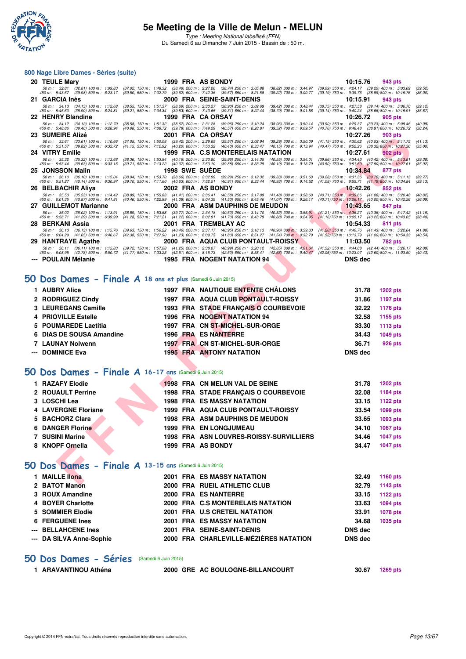

#### **800 Nage Libre Dames - Séries (suite)**

| 20 TEULE Mary                                                                                                                                                                                                                     |  | 1999 FRA AS BONDY                                                                                                                                                                                                                                                                                                              |                                                        | 10:15.76                                                                                                                                                                                                                                                                                | 943 pts                      |                    |
|-----------------------------------------------------------------------------------------------------------------------------------------------------------------------------------------------------------------------------------|--|--------------------------------------------------------------------------------------------------------------------------------------------------------------------------------------------------------------------------------------------------------------------------------------------------------------------------------|--------------------------------------------------------|-----------------------------------------------------------------------------------------------------------------------------------------------------------------------------------------------------------------------------------------------------------------------------------------|------------------------------|--------------------|
| 50 m : 32.81 (32.81) 100 m : 1:09.83 (37.02) 150 m : 1:48.32 (38.49) 200 m : 2:27.06 (38.74) 250 m : 3:05.88<br>450 m : 5:43.67 (39.98) 500 m : 6:23.17 (39.50) 550 m : 7:02.79 (39.62) 600 m : 7:42.36 (39.57) 650 m : 8:21.58   |  | $(39.50)$ 550 m : 7:02.79 $(39.62)$ 600 m : 7:42.36 $(39.57)$ 650 m : 8:21.58                                                                                                                                                                                                                                                  |                                                        | $\begin{array}{cccc} (38.82) \ 300 \ m \ \vdots \ \ 3:44.97 & (39.09) \ 350 \ m \ \vdots \ \ 4:24.17 & (39.20) \ 400 \ m \ \vdots \ \ 5:03.69 \\ (39.22) \ 700 \ m \ \vdots \ \ 9:00.77 & (39.19) \ 750 \ m \ \vdots \ \ 9:39.76 & (38.99) \ 800 \ m \ \vdots \ \ 10:15.76 \end{array}$ |                              | (39.52)<br>(36.00) |
| 21 GARCIA Inès                                                                                                                                                                                                                    |  | 2000 FRA SEINE-SAINT-DENIS                                                                                                                                                                                                                                                                                                     |                                                        | 10:15.91                                                                                                                                                                                                                                                                                | 943 pts                      |                    |
| 50 m: 34.13 (34.13) 100 m: 1:12.68<br>$(38.55)$ 150 m : 1:51.37<br>450 m : 5:45.60 (38.90) 500 m : 6:24.81<br>$(39.21)$ 550 m : 7:04.34                                                                                           |  | $(38.69)$ 200 m : 2:30.27 $(38.90)$ 250 m : 3:09.69<br>$(39.53)$ 600 m : 7:43.65 $(39.31)$ 650 m : 8:22.44                                                                                                                                                                                                                     | $(39.42)$ 300 m : 3:48.44<br>$(38.79)$ 700 m : 9:01.58 | (38.75) 350 m: 4:27.58 (39.14) 400 m: 5:06.70<br>$(39.14)$ 750 m : 9:40.24                                                                                                                                                                                                              | (38.66) 800 m : 10.15.91     | (39.12)<br>(35.67) |
| 22 HENRY Blandine                                                                                                                                                                                                                 |  | 1999 FRA CAORSAY                                                                                                                                                                                                                                                                                                               |                                                        | 10:26.72                                                                                                                                                                                                                                                                                | 905 pts                      |                    |
| 50 m : 34.12 (34.12) 100 m : 1:12.70<br>450 m : 5:48.86 (39.40) 500 m : 6:28.94                                                                                                                                                   |  | (38.58) 150 m: 1:51.32 (38.62) 200 m: 2:31.28 (39.96) 250 m: 3:10.24<br>(40.08) 550 m : 7:08.72 (39.78) 600 m : 7:49.29 (40.57) 650 m : 8:28.81                                                                                                                                                                                | $(38.96)$ 300 m : 3:50.14<br>$(39.52)$ 700 m : 9:09.57 | (39.90) 350 m: 4:29.37 (39.23) 400 m: 5:09.46<br>(40.76) 750 m : 9:48.48 (38.91) 800 m : 10:26.72                                                                                                                                                                                       |                              | (40.09)<br>(38.24) |
| 23 SUMEIRE Alizé                                                                                                                                                                                                                  |  | 2001 FRA CAORSAY                                                                                                                                                                                                                                                                                                               |                                                        | 10:27.26                                                                                                                                                                                                                                                                                | 903 pts                      |                    |
| 50 m: 33.61 (33.61) 100 m: 1:10.66<br>450 m : 5:51.57 (39.82) 500 m : 6:32.72                                                                                                                                                     |  | $\begin{array}{cccc} (37.05) \ 150 \ m \ \colon \ \ 1:50.08 \quad \  \  (39.42) \ 200 \ m \ \colon \ \ 2:29.65 \quad \  \  (39.57) \ 250 \ m \ \colon \ \ 3:08.94 \\ (41.15) \ 550 \ m \ \colon \ \ 7:12.92 \quad \  \  (40.20) \ 600 \ m \ \colon \ \ 7:53.32 \quad \  \  (40.40) \ 650 \ m \ \colon \ \ 8:33.47 \end{array}$ | $(39.29)$ 300 m : 3:50.09<br>$(40.15)$ 700 m : 9:13.94 | $(41.15)$ 350 m : $4:30.62$ $(40.53)$ 400 m : $5:11.75$<br>$(40.47)$ 750 m : $9:52.26$ $(38.32)$ 800 m : $10:27.26$                                                                                                                                                                     |                              | (41.13)<br>(35.00) |
| 24 VITRY Emilie                                                                                                                                                                                                                   |  | 1999 FRA C.S MONTERELAIS NATATION                                                                                                                                                                                                                                                                                              |                                                        | 10:27.61                                                                                                                                                                                                                                                                                | 902 pts                      |                    |
| 50 m: 35.32 (35.32) 100 m: 1:13.68                                                                                                                                                                                                |  | $\left(38.36\right) \ 150\ m : \ \ 1.53.84 \quad \left(40.16\right) \ 200\ m : \ \ 2.33.80 \quad \left(39.96\right) \ 250\ m : \ \ 3.14.35$<br>$(39.71)$ 550 m : 7:13.22 $(40.07)$ 600 m : 7:53.10 $(39.88)$ 650 m : 8:33.29                                                                                                   | $(40.55)$ 300 m : 3:54.01                              | $(39.66)$ $350$ m : $4:34.43$ $(40.42)$ $400$ m : $5:13.81$<br>$(40.50)$ $750$ m : $9:51.69$ $(37.90)$ 800 m : $10:27.61$                                                                                                                                                               |                              | (39.38)            |
| 450 m : 5:53.44<br>(39.63) 500 m : 6:33.15<br>25 JONSSON Malin                                                                                                                                                                    |  | <b>1998 SWE SUEDE</b>                                                                                                                                                                                                                                                                                                          | (40.19) 700 m : 9:13.79                                | 10:34.84                                                                                                                                                                                                                                                                                | 877 pts                      | (35.92)            |
| 50 m : 36.10 (36.10) 100 m : 1:15.04<br>450 m : 5:51.27 (40.14) 500 m : 6:30.97                                                                                                                                                   |  | $\begin{array}{cccc} (38.94) \ 150 \ m \colon \ 1:53.70 & (38.66) \ 200 \ m \colon \ 2:32.99 & (39.29) \ 250 \ m \colon \ 3:12.32 \\ (39.70) \ 550 \ m \colon \ 7:11.60 & (40.63) \ 600 \ m \colon \ 7:52.51 & (40.91) \ 650 \ m \colon \ 8:33.44 \end{array}$                                                                 | $(39.33)$ 300 m : 3:51.60                              | (39.28) 350 m: 4:31.36 (39.76) 400 m: 5:11.13<br>(41.08) 750 m : 9:55.71 (41.19) 800 m : 10:34.84                                                                                                                                                                                       |                              | (39.77)            |
| 26 BELBACHIR Aliya                                                                                                                                                                                                                |  | 2002 FRA ASBONDY                                                                                                                                                                                                                                                                                                               | (40.93) 700 m : 9:14.52                                | 10:42.26                                                                                                                                                                                                                                                                                | 852 pts                      | (39.13)            |
| 50 m : 35.53 (35.53) 100 m : 1:14.42 (38.89) 150 m : 1:55.83 (41.41) 200 m : 2:36.41 (40.58) 250 m : 3:17.89 (41.48) 300 m : 3:58.60 (40.71) 350 m : 4:39.66 (41.06) 400 m : 5:20.48                                              |  |                                                                                                                                                                                                                                                                                                                                |                                                        |                                                                                                                                                                                                                                                                                         |                              | (40.82)            |
| 450 m : 6:01.35 (40.87) 500 m : 6:41.81<br>27 GUILLEMOT Marianne                                                                                                                                                                  |  | (40.46) 550 m: 7:22.89 (41.08) 600 m: 8:04.39 (41.50) 650 m: 8:45.46 (41.07) 700 m: 9:26.17<br>2000 FRA ASM DAUPHINS DE MEUDON                                                                                                                                                                                                 |                                                        | (40.71) 750 m : 10:06.17 (40.00) 800 m : 10:42.26<br>10:43.65                                                                                                                                                                                                                           | 847 pts                      | (36.09)            |
| 50 m : 35.02 (35.02) 100 m : 1:13.91                                                                                                                                                                                              |  | (38.89) 150 m : 1:53.68 (39.77) 200 m : 2:34.18 (40.50) 250 m : 3:14.70 (40.52) 300 m : 3:55.91 (41.21) 350 m : 4:36.27 (40.36) 400 m : 5:17.42<br>(41.28) 550 m : 7:21.21 (41.22) 600 m : 8:02.91 (41.70) 650 m : 8:43.79 (40.88                                                                                              |                                                        |                                                                                                                                                                                                                                                                                         |                              | (41.15)            |
| 450 m : 5:58.71 (41.29) 500 m : 6:39.99<br>28 BERKANI Assia                                                                                                                                                                       |  | 2001 FRA TREMBLAY AC                                                                                                                                                                                                                                                                                                           |                                                        | 10:54.33                                                                                                                                                                                                                                                                                | 811 pts                      | (38.48)            |
| 50 m : 36.13 (36.13) 100 m : 1:15.76 (39.63) 150 m : 1:56.22 (40.46) 200 m : 2:37.17 (40.95) 250 m : 3:18.13 (40.96) 300 m : 3:59.33 (41.20) 350 m : 4:40.76 (41.43) 400 m : 5:22.64                                              |  |                                                                                                                                                                                                                                                                                                                                |                                                        |                                                                                                                                                                                                                                                                                         |                              | (41.88)            |
| 450 m : 6:04.29 (41.65) 500 m : 6:46.67<br>29 HANTRAYE Agathe                                                                                                                                                                     |  | (42.38) 550 m: 7:27.90 (41.23) 600 m: 8:09.73 (41.83) 650 m: 8:51.27 (41.54) 700 m: 9:32.79<br>2000 FRA AQUA CLUB PONTAULT-ROISSY                                                                                                                                                                                              |                                                        | (41.52) 750 m : 10:13.79 (41.00) 800 m : 10:54.33<br>11:03.50                                                                                                                                                                                                                           | 782 pts                      | (40.54)            |
| 50 m: 36.11 (36.11) 100 m: 1:15.83 (39.72) 150 m: 1:57.08 (41.25) 200 m: 2:38.07 (40.99) 250 m: 3:20.12 (42.05) 300 m: 4:01.64 (41.52) 350 m: 4:44.08 (42.44) 400 m: 5:26.17<br>450 m: 6:08.95 (42.78) 500 m: 6:50.72 (41.77) 550 |  |                                                                                                                                                                                                                                                                                                                                |                                                        |                                                                                                                                                                                                                                                                                         |                              | (42.09)            |
| --- POULAIN Mélanie                                                                                                                                                                                                               |  | 1995 FRA NOGENT NATATION 94                                                                                                                                                                                                                                                                                                    |                                                        | <b>DNS dec</b>                                                                                                                                                                                                                                                                          |                              | (40.43)            |
|                                                                                                                                                                                                                                   |  |                                                                                                                                                                                                                                                                                                                                |                                                        |                                                                                                                                                                                                                                                                                         |                              |                    |
|                                                                                                                                                                                                                                   |  |                                                                                                                                                                                                                                                                                                                                |                                                        |                                                                                                                                                                                                                                                                                         |                              |                    |
| $50$ Dos Dames - Finale A 18 ans et plus (Samedi 6 Juin 2015)                                                                                                                                                                     |  |                                                                                                                                                                                                                                                                                                                                |                                                        |                                                                                                                                                                                                                                                                                         |                              |                    |
|                                                                                                                                                                                                                                   |  |                                                                                                                                                                                                                                                                                                                                |                                                        |                                                                                                                                                                                                                                                                                         |                              |                    |
| 1 AUBRY Alice                                                                                                                                                                                                                     |  | <b>1997 FRA NAUTIQUE ENTENTE CHALONS</b>                                                                                                                                                                                                                                                                                       |                                                        | 31.78                                                                                                                                                                                                                                                                                   | <b>1202 pts</b>              |                    |
| 2 RODRIGUEZ Cindy                                                                                                                                                                                                                 |  | 1997 FRA AQUA CLUB PONTAULT-ROISSY                                                                                                                                                                                                                                                                                             |                                                        | 31.86                                                                                                                                                                                                                                                                                   | <b>1197 pts</b>              |                    |
| 3 LEUREGANS Camille                                                                                                                                                                                                               |  | 1993 FRA STADE FRANÇAIS O COURBEVOIE                                                                                                                                                                                                                                                                                           |                                                        | 32.22                                                                                                                                                                                                                                                                                   | <b>1176 pts</b>              |                    |
| 4 PRIOVILLE Estelle                                                                                                                                                                                                               |  | 1996 FRA NOGENT NATATION 94                                                                                                                                                                                                                                                                                                    |                                                        | 32.58                                                                                                                                                                                                                                                                                   | 1155 pts                     |                    |
| 5 POUMAREDE Laetitia                                                                                                                                                                                                              |  | 1997 FRA CN ST-MICHEL-SUR-ORGE                                                                                                                                                                                                                                                                                                 |                                                        | 33.30                                                                                                                                                                                                                                                                                   | <b>1113 pts</b>              |                    |
| <b>DIAS DE SOUSA Amandine</b>                                                                                                                                                                                                     |  | 1996 FRA ES NANTERRE                                                                                                                                                                                                                                                                                                           |                                                        | 34.43                                                                                                                                                                                                                                                                                   | 1049 pts                     |                    |
| <b>7 LAUNAY Nolwenn</b>                                                                                                                                                                                                           |  | 1997 FRA CN ST-MICHEL-SUR-ORGE                                                                                                                                                                                                                                                                                                 |                                                        | 36.71                                                                                                                                                                                                                                                                                   | 926 pts                      |                    |
| --- DOMINICE Eva                                                                                                                                                                                                                  |  | <b>1995 FRA ANTONY NATATION</b>                                                                                                                                                                                                                                                                                                |                                                        | <b>DNS</b> dec                                                                                                                                                                                                                                                                          |                              |                    |
|                                                                                                                                                                                                                                   |  |                                                                                                                                                                                                                                                                                                                                |                                                        |                                                                                                                                                                                                                                                                                         |                              |                    |
| $50$ Dos Dames - Finale A 16-17 ans (Samedi 6 Juin 2015)                                                                                                                                                                          |  |                                                                                                                                                                                                                                                                                                                                |                                                        |                                                                                                                                                                                                                                                                                         |                              |                    |
| 1 RAZAFY Elodie                                                                                                                                                                                                                   |  | 1998 FRA CN MELUN VAL DE SEINE                                                                                                                                                                                                                                                                                                 |                                                        | 31.78                                                                                                                                                                                                                                                                                   |                              |                    |
| 2 ROUAULT Perrine                                                                                                                                                                                                                 |  |                                                                                                                                                                                                                                                                                                                                |                                                        | 32.08                                                                                                                                                                                                                                                                                   | 1202 pts<br><b>1184 pts</b>  |                    |
| 3 LOSCHI Lea                                                                                                                                                                                                                      |  | 1998 FRA STADE FRANÇAIS O COURBEVOIE<br><b>1998 FRA ES MASSY NATATION</b>                                                                                                                                                                                                                                                      |                                                        | 33.15                                                                                                                                                                                                                                                                                   | <b>1122 pts</b>              |                    |
| 4 LAVERGNE Floriane                                                                                                                                                                                                               |  | 1999 FRA AQUA CLUB PONTAULT-ROISSY                                                                                                                                                                                                                                                                                             |                                                        | 33.54                                                                                                                                                                                                                                                                                   |                              |                    |
| 5 BACHORZ Clara                                                                                                                                                                                                                   |  | <b>1998 FRA ASM DAUPHINS DE MEUDON</b>                                                                                                                                                                                                                                                                                         |                                                        | 33.65                                                                                                                                                                                                                                                                                   | 1099 pts                     |                    |
| <b>6 DANGER Florine</b>                                                                                                                                                                                                           |  | <b>1999 FRA EN LONGJUMEAU</b>                                                                                                                                                                                                                                                                                                  |                                                        | 34.10                                                                                                                                                                                                                                                                                   | 1093 pts                     |                    |
|                                                                                                                                                                                                                                   |  |                                                                                                                                                                                                                                                                                                                                |                                                        |                                                                                                                                                                                                                                                                                         | 1067 pts                     |                    |
| <b>7 SUSINI Marine</b><br>8 KNOPF Ornella                                                                                                                                                                                         |  | 1998 FRA ASN LOUVRES-ROISSY-SURVILLIERS<br>1999 FRA AS BONDY                                                                                                                                                                                                                                                                   |                                                        | 34.46<br>34.47                                                                                                                                                                                                                                                                          | <b>1047 pts</b>              |                    |
|                                                                                                                                                                                                                                   |  |                                                                                                                                                                                                                                                                                                                                |                                                        |                                                                                                                                                                                                                                                                                         | <b>1047 pts</b>              |                    |
|                                                                                                                                                                                                                                   |  |                                                                                                                                                                                                                                                                                                                                |                                                        |                                                                                                                                                                                                                                                                                         |                              |                    |
| $50$ Dos Dames - Finale A 13-15 ans (Samedi 6 Juin 2015)                                                                                                                                                                          |  |                                                                                                                                                                                                                                                                                                                                |                                                        |                                                                                                                                                                                                                                                                                         |                              |                    |
| 1 MAILLE Ilona<br>$0.01707$ $M_{\odot}$                                                                                                                                                                                           |  | <b>2001 FRA ES MASSY NATATION</b><br>$0.000$ FBA BUFU ATULETIO OLUB                                                                                                                                                                                                                                                            |                                                        | 32.49<br>00.70                                                                                                                                                                                                                                                                          | <b>1160 pts</b><br>$-4.4.80$ |                    |

#### **[50 Dos Dames - Finale A](http://www.ffnatation.fr/webffn/resultats.php?idact=nat&go=epr&idcpt=31115&idepr=11) 18 ans et plus** (Samedi 6 Juin 2015)

| 1 AUBRY Alice            |  | 1997 FRA NAUTIQUE ENTENTE CHÂLONS    | 31.78          | <b>1202 pts</b> |
|--------------------------|--|--------------------------------------|----------------|-----------------|
| 2 RODRIGUEZ Cindy        |  | 1997 FRA AQUA CLUB PONTAULT-ROISSY   | 31.86          | 1197 pts        |
| 3 LEUREGANS Camille      |  | 1993 FRA STADE FRANCAIS O COURBEVOIE | 32.22          | 1176 pts        |
| 4 PRIOVILLE Estelle      |  | 1996 FRA NOGENT NATATION 94          | 32.58          | 1155 pts        |
| 5 POUMAREDE Laetitia     |  | 1997 FRA CN ST-MICHEL-SUR-ORGE       | 33.30          | 1113 pts        |
| 6 DIAS DE SOUSA Amandine |  | 1996 FRA ES NANTERRE                 | 34.43          | <b>1049 pts</b> |
| <b>7 LAUNAY Nolwenn</b>  |  | 1997 FRA CN ST-MICHEL-SUR-ORGE       | 36.71          | 926 pts         |
| --- DOMINICE Eva         |  | <b>1995 FRA ANTONY NATATION</b>      | <b>DNS</b> dec |                 |

### **[50 Dos Dames - Finale A](http://www.ffnatation.fr/webffn/resultats.php?idact=nat&go=epr&idcpt=31115&idepr=11) 16-17 ans** (Samedi 6 Juin 2015)

| 1 RAZAFY Elodie         |  | 1998 FRA CN MELUN VAL DE SEINE          | 31.78 | <b>1202 pts</b> |
|-------------------------|--|-----------------------------------------|-------|-----------------|
| 2 ROUAULT Perrine       |  | 1998 FRA STADE FRANCAIS O COURBEVOIE    | 32.08 | 1184 pts        |
| 3 LOSCHI Lea            |  | <b>1998 FRA ES MASSY NATATION</b>       | 33.15 | 1122 pts        |
| 4 LAVERGNE Floriane     |  | 1999 FRA AQUA CLUB PONTAULT-ROISSY      | 33.54 | 1099 pts        |
| 5 BACHORZ Clara         |  | <b>1998 FRA ASM DAUPHINS DE MEUDON</b>  | 33.65 | 1093 pts        |
| <b>6 DANGER Florine</b> |  | <b>1999 FRA EN LONGJUMEAU</b>           | 34.10 | 1067 pts        |
| 7 SUSINI Marine         |  | 1998 FRA ASN LOUVRES-ROISSY-SURVILLIERS | 34.46 | 1047 pts        |
| 8 KNOPF Ornella         |  | 1999 FRA AS BONDY                       | 34.47 | <b>1047 pts</b> |

#### **[50 Dos Dames - Finale A](http://www.ffnatation.fr/webffn/resultats.php?idact=nat&go=epr&idcpt=31115&idepr=11) 13-15 ans** (Samedi 6 Juin 2015)

| 1 MAILLE llona           |  | <b>2001 FRA ES MASSY NATATION</b>      | 32.49          | 1160 pts |
|--------------------------|--|----------------------------------------|----------------|----------|
| 2 BATOT Manon            |  | 2000 FRA RUEIL ATHLETIC CLUB           | 32.79          | 1143 pts |
| 3 ROUX Amandine          |  | 2000 FRA ES NANTERRE                   | 33.15          | 1122 pts |
| 4 BOYER Charlotte        |  | 2000 FRA C.S MONTERELAIS NATATION      | 33.63          | 1094 pts |
| 5 SOMMIER Elodie         |  | 2001 FRA U.S CRETEIL NATATION          | 33.91          | 1078 pts |
| 6 FERGUENE Ines          |  | <b>2001 FRA ES MASSY NATATION</b>      | 34.68          | 1035 pts |
| --- BELLAHCENE Ines      |  | 2001 FRA SEINE-SAINT-DENIS             | DNS dec        |          |
| --- DA SILVA Anne-Sophie |  | 2000 FRA CHARLEVILLE-MÉZIÈRES NATATION | <b>DNS</b> dec |          |
|                          |  |                                        |                |          |

### **[50 Dos Dames - Séries](http://www.ffnatation.fr/webffn/resultats.php?idact=nat&go=epr&idcpt=31115&idepr=11)** (Samedi 6 Juin 2015)

| 1 ARAVANTINOU Athéna | 2000 GRE AC BOULOGNE-BILLANCOURT | 30.67 | <b>1269 pts</b> |
|----------------------|----------------------------------|-------|-----------------|
|                      |                                  |       |                 |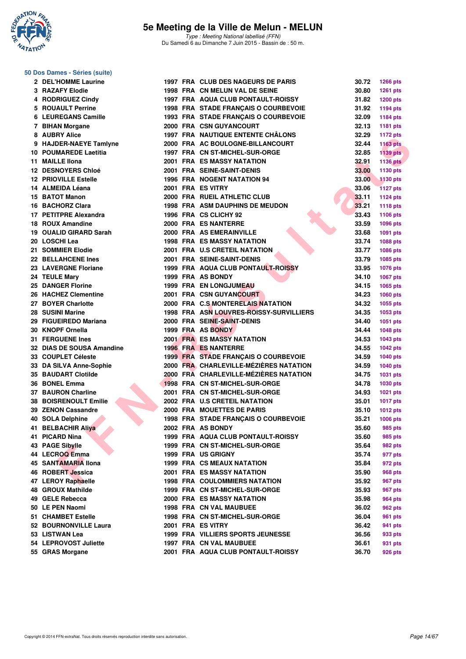

|  |  | 50 Dos Dames - Séries (suite) |  |
|--|--|-------------------------------|--|
|--|--|-------------------------------|--|

| 2 DEL'HOMME Laurine         |  | 1997 FRA CLUB DES NAGEURS DE PARIS       | 30.72 | <b>1266 pts</b> |
|-----------------------------|--|------------------------------------------|-------|-----------------|
| 3 RAZAFY Elodie             |  | 1998 FRA CN MELUN VAL DE SEINE           | 30.80 | <b>1261 pts</b> |
| 4 RODRIGUEZ Cindy           |  | 1997 FRA AQUA CLUB PONTAULT-ROISSY       | 31.82 | <b>1200 pts</b> |
| 5 ROUAULT Perrine           |  | 1998 FRA STADE FRANÇAIS O COURBEVOIE     | 31.92 | 1194 pts        |
| 6 LEUREGANS Camille         |  | 1993 FRA STADE FRANÇAIS O COURBEVOIE     | 32.09 | 1184 pts        |
| 7 BIHAN Morgane             |  | 2000 FRA CSN GUYANCOURT                  | 32.13 | 1181 pts        |
| 8 AUBRY Alice               |  | <b>1997 FRA NAUTIQUE ENTENTE CHÂLONS</b> | 32.29 | <b>1172 pts</b> |
| 9 HAJDER-NAEYE Tamlyne      |  | 2000 FRA AC BOULOGNE-BILLANCOURT         | 32.44 | <b>1163 pts</b> |
| 10 POUMAREDE Laetitia       |  | 1997 FRA CN ST-MICHEL-SUR-ORGE           | 32.85 | <b>1139 pts</b> |
| 11 MAILLE IIona             |  | 2001 FRA ES MASSY NATATION               | 32.91 | <b>1136 pts</b> |
| 12 DESNOYERS Chloé          |  | 2001 FRA SEINE-SAINT-DENIS               | 33.00 | 1130 pts        |
| <b>12 PRIOVILLE Estelle</b> |  | <b>1996 FRA NOGENT NATATION 94</b>       | 33.00 | <b>1130 pts</b> |
| 14 ALMEIDA Léana            |  | 2001 FRA ES VITRY                        | 33.06 | <b>1127 pts</b> |
| 15 BATOT Manon              |  | 2000 FRA RUEIL ATHLETIC CLUB             | 33.11 | 1124 pts        |
| 16 BACHORZ Clara            |  | <b>1998 FRA ASM DAUPHINS DE MEUDON</b>   | 33.21 | 1118 pts        |
| 17 PETITPRE Alexandra       |  | 1996 FRA CS CLICHY 92                    | 33.43 | 1106 pts        |
| 18 ROUX Amandine            |  | 2000 FRA ES NANTERRE                     | 33.59 | 1096 pts        |
| 19 OUALID GIRARD Sarah      |  | 2000 FRA AS EMERAINVILLE                 | 33.68 | 1091 pts        |
| 20 LOSCHI Lea               |  | <b>1998 FRA ES MASSY NATATION</b>        | 33.74 | 1088 pts        |
| 21 SOMMIER Elodie           |  | 2001 FRA U.S CRETEIL NATATION            | 33.77 |                 |
| <b>22 BELLAHCENE Ines</b>   |  |                                          |       | 1086 pts        |
| 23 LAVERGNE Floriane        |  | 2001 FRA SEINE-SAINT-DENIS               | 33.79 | 1085 pts        |
|                             |  | 1999 FRA AQUA CLUB PONTAULT-ROISSY       | 33.95 | 1076 pts        |
| 24 TEULE Mary               |  | 1999 FRA AS BONDY                        | 34.10 | 1067 pts        |
| 25 DANGER Florine           |  | <b>1999 FRA EN LONGJUMEAU</b>            | 34.15 | 1065 pts        |
| 26 HACHEZ Clementine        |  | 2001 FRA CSN GUYANCOURT                  | 34.23 | 1060 pts        |
| 27 BOYER Charlotte          |  | 2000 FRA C.S MONTERELAIS NATATION        | 34.32 | 1055 pts        |
| 28 SUSINI Marine            |  | 1998 FRA ASN LOUVRES-ROISSY-SURVILLIERS  | 34.35 | 1053 pts        |
| 29 FIGUEIREDO Mariana       |  | 2000 FRA SEINE-SAINT-DENIS               | 34.40 | 1051 pts        |
| 30 KNOPF Ornella            |  | 1999 FRA AS BONDY                        | 34.44 | 1048 pts        |
| <b>31 FERGUENE Ines</b>     |  | <b>2001 FRA ES MASSY NATATION</b>        | 34.53 | <b>1043 pts</b> |
| 32 DIAS DE SOUSA Amandine   |  | <b>1996 FRA ES NANTERRE</b>              | 34.55 | <b>1042 pts</b> |
| 33 COUPLET Céleste          |  | 1999 FRA STADE FRANÇAIS O COURBEVOIE     | 34.59 | <b>1040 pts</b> |
| 33 DA SILVA Anne-Sophie     |  | 2000 FRA CHARLEVILLE-MÉZIÈRES NATATION   | 34.59 | <b>1040 pts</b> |
| <b>35 BAUDART Clotilde</b>  |  | 2000 FRA CHARLEVILLE-MÉZIÈRES NATATION   | 34.75 | 1031 pts        |
| 36 BONEL Emma               |  | 1998 FRA CN ST-MICHEL-SUR-ORGE           | 34.78 | 1030 pts        |
| 37 BAURON Charline          |  | 2001 FRA CN ST-MICHEL-SUR-ORGE           | 34.93 | 1021 pts        |
| 38 BOISRENOULT Emilie       |  | 2002 FRA U.S CRETEIL NATATION            | 35.01 | <b>1017 pts</b> |
| 39 ZENON Cassandre          |  | 2000 FRA MOUETTES DE PARIS               | 35.10 | <b>1012 pts</b> |
| 40 SOLA Delphine            |  | 1998 FRA STADE FRANÇAIS O COURBEVOIE     | 35.21 | <b>1006 pts</b> |
| 41 BELBACHIR Aliya          |  | 2002 FRA AS BONDY                        | 35.60 | 985 pts         |
| 41 PICARD Nina              |  | 1999 FRA AQUA CLUB PONTAULT-ROISSY       | 35.60 | 985 pts         |
| 43 PAGE Sibylle             |  | 1999 FRA CN ST-MICHEL-SUR-ORGE           | 35.64 | 982 pts         |
| 44 LECROQ Emma              |  | 1999 FRA US GRIGNY                       | 35.74 | 977 pts         |
| 45 SANTAMARIA Ilona         |  | <b>1999 FRA CS MEAUX NATATION</b>        | 35.84 | 972 pts         |
| 46 ROBERT Jessica           |  | <b>2001 FRA ES MASSY NATATION</b>        | 35.90 | 968 pts         |
| 47 LEROY Raphaelle          |  | <b>1998 FRA COULOMMIERS NATATION</b>     | 35.92 | 967 pts         |
| 48 GROUX Mathilde           |  | 1999 FRA CN ST-MICHEL-SUR-ORGE           | 35.93 | 967 pts         |
| 49 GELE Rebecca             |  | <b>2000 FRA ES MASSY NATATION</b>        | 35.98 | 964 pts         |
| 50 LE PEN Naomi             |  | <b>1998 FRA CN VAL MAUBUEE</b>           | 36.02 | 962 pts         |
| <b>51 CHAMBET Estelle</b>   |  | 1998 FRA CN ST-MICHEL-SUR-ORGE           | 36.04 | 961 pts         |
| 52 BOURNONVILLE Laura       |  | 2001 FRA ES VITRY                        | 36.42 | 941 pts         |
| 53   LISTWAN Lea            |  | 1999 FRA VILLIERS SPORTS JEUNESSE        | 36.56 | 933 pts         |
| 54 LEPROVOST Juliette       |  | 1997 FRA CN VAL MAUBUEE                  | 36.61 | 931 pts         |
| 55 GRAS Morgane             |  | 2001 FRA AQUA CLUB PONTAULT-ROISSY       | 36.70 | 926 pts         |
|                             |  |                                          |       |                 |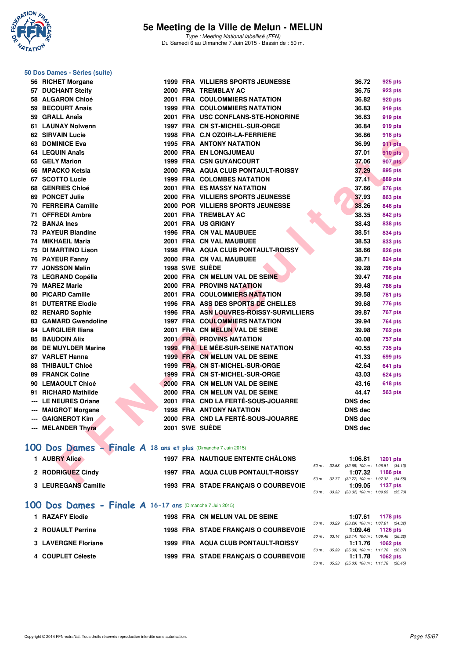

Type : Meeting National labellisé (FFN) Du Samedi 6 au Dimanche 7 Juin 2015 - Bassin de : 50 m.

|     | 50 Dos Dames - Séries (suite)                                  |  |                                           |                                                                                                     |                 |
|-----|----------------------------------------------------------------|--|-------------------------------------------|-----------------------------------------------------------------------------------------------------|-----------------|
|     | 56 RICHET Morgane                                              |  | <b>1999 FRA VILLIERS SPORTS JEUNESSE</b>  | 36.72                                                                                               | 925 pts         |
|     | 57 DUCHANT Steify                                              |  | 2000 FRA TREMBLAY AC                      | 36.75                                                                                               | 923 pts         |
|     | 58 ALGARON Chloé                                               |  | 2001 FRA COULOMMIERS NATATION             | 36.82                                                                                               | 920 pts         |
|     | 59 BECOURT Anais                                               |  | <b>1999 FRA COULOMMIERS NATATION</b>      | 36.83                                                                                               | 919 pts         |
|     | 59 GRALL Anaïs                                                 |  | 2001 FRA USC CONFLANS-STE-HONORINE        | 36.83                                                                                               | 919 pts         |
|     | 61 LAUNAY Nolwenn                                              |  | 1997 FRA CN ST-MICHEL-SUR-ORGE            | 36.84                                                                                               | 919 pts         |
|     | <b>62 SIRVAIN Lucie</b>                                        |  | 1998 FRA C.N OZOIR-LA-FERRIERE            | 36.86                                                                                               | 918 pts         |
|     | 63 DOMINICE Eva                                                |  | <b>1995 FRA ANTONY NATATION</b>           | 36.99                                                                                               | 911 pts         |
|     | 64 LEQUIN Anaïs                                                |  | 2000 FRA EN LONGJUMEAU                    | 37.01                                                                                               | 910 pts         |
|     | 65 GELY Marion                                                 |  | <b>1999 FRA CSN GUYANCOURT</b>            | 37.06                                                                                               | <b>907 pts</b>  |
|     | 66 MPACKO Ketsia                                               |  | 2000 FRA AQUA CLUB PONTAULT-ROISSY        | 37.29                                                                                               | 895 pts         |
|     | 67 SCOTTO Lucie                                                |  | <b>1999 FRA COLOMBES NATATION</b>         | 37.41                                                                                               | 889 pts         |
|     | 68 GENRIES Chloé                                               |  | 2001 FRA ES MASSY NATATION                | 37.66                                                                                               | 876 pts         |
|     | 69 PONCET Julie                                                |  | 2000 FRA VILLIERS SPORTS JEUNESSE         | 37.93                                                                                               | 863 pts         |
|     | 70 FERREIRA Camille                                            |  | 2000 POR VILLIERS SPORTS JEUNESSE         | 38.26                                                                                               | 846 pts         |
|     | 71 OFFREDI Ambre                                               |  | 2001 FRA TREMBLAY AC                      | 38.35                                                                                               | <b>842 pts</b>  |
|     | 72 BANJA Ines                                                  |  | 2001 FRA US GRIGNY                        | 38.43                                                                                               | 838 pts         |
|     | 73 PAYEUR Blandine                                             |  | 1996 FRA CN VAL MAUBUEE                   | 38.51                                                                                               | 834 pts         |
|     | 74 MIKHAEIL Maria                                              |  | 2001 FRA CN VAL MAUBUEE                   | 38.53                                                                                               | 833 pts         |
|     | 75 DI MARTINO Lison                                            |  | 1998 FRA AQUA CLUB PONTAULT-ROISSY        | 38.66                                                                                               | 826 pts         |
|     | 76 PAYEUR Fanny                                                |  | 2000 FRA CN VAL MAUBUEE                   | 38.71                                                                                               | 824 pts         |
| 77. | <b>JONSSON Malin</b>                                           |  | <b>1998 SWE SUEDE</b>                     | 39.28                                                                                               | <b>796 pts</b>  |
|     | 78 LEGRAND Copélia                                             |  | 2000 FRA CN MELUN VAL DE SEINE            | 39.47                                                                                               | <b>786 pts</b>  |
|     | 79 MAREZ Marie                                                 |  | <b>2000 FRA PROVINS NATATION</b>          | 39.48                                                                                               | <b>786 pts</b>  |
|     | 80 PICARD Camille                                              |  | <b>2001 FRA COULOMMIERS NATATION</b>      | 39.58                                                                                               | <b>781 pts</b>  |
|     | 81 DUTERTRE Elodie                                             |  | 1996 FRA ASS DES SPORTS DE CHELLES        | 39.68                                                                                               | 776 pts         |
|     | 82 RENARD Sophie                                               |  | 1996 FRA ASN LOUVRES-ROISSY-SURVILLIERS   | 39.87                                                                                               | <b>767 pts</b>  |
|     | 83 GAMARD Gwendoline                                           |  | <b>1997 FRA COULOMMIERS NATATION</b>      | 39.94                                                                                               | <b>764 pts</b>  |
|     | 84 LARGILIER Iliana                                            |  | 2001 FRA CN MELUN VAL DE SEINE            | 39.98                                                                                               | 762 pts         |
|     | <b>85 BAUDOIN Alix</b>                                         |  | <b>2001 FRA PROVINS NATATION</b>          | 40.08                                                                                               | 757 pts         |
|     | <b>86 DE MUYLDER Marine</b>                                    |  | <b>1999 FRA LE MÉE-SUR-SEINE NATATION</b> | 40.55                                                                                               | 735 pts         |
|     | 87 VARLET Hanna                                                |  | 1999 FRA CN MELUN VAL DE SEINE            | 41.33                                                                                               | 699 pts         |
|     | <b>88 THIBAULT Chloé</b>                                       |  | 1999 FRA CN ST-MICHEL-SUR-ORGE            | 42.64                                                                                               | 641 pts         |
|     | <b>89 FRANCK Coline</b>                                        |  | 1999 FRA CN ST-MICHEL-SUR-ORGE            | 43.03                                                                                               | <b>624 pts</b>  |
|     | 90 LEMAOULT Chloé                                              |  | 2000 FRA CN MELUN VAL DE SEINE            | 43.16                                                                                               | <b>618 pts</b>  |
|     | 91 RICHARD Mathilde                                            |  | 2000 FRA CN MELUN VAL DE SEINE            | 44.47                                                                                               | <b>563 pts</b>  |
|     | --- LE NEURES Oriane                                           |  | 2001 FRA CND LA FERTÉ-SOUS-JOUARRE        | <b>DNS dec</b>                                                                                      |                 |
|     | --- MAIGROT Morgane                                            |  | <b>1998 FRA ANTONY NATATION</b>           | <b>DNS dec</b>                                                                                      |                 |
|     | --- GAIGNEROT Kim                                              |  | 2000 FRA CND LA FERTÉ-SOUS-JOUARRE        | <b>DNS</b> dec                                                                                      |                 |
|     | --- MELANDER Thyra                                             |  | 2001 SWE SUÈDE                            | DNS dec                                                                                             |                 |
|     | 100 Dos Dames - Finale A 18 ans et plus (Dimanche 7 Juin 2015) |  |                                           |                                                                                                     |                 |
|     | 1 AUBRY Alice                                                  |  | <b>1997 FRA NAUTIQUE ENTENTE CHÂLONS</b>  | 1:06.81                                                                                             | <b>1201 pts</b> |
|     | 2 RODRIGUEZ Cindy                                              |  | 1997 FRA AQUA CLUB PONTAULT-ROISSY        | 50 m: 32.68 (32.68) 100 m: 1:06.81 (34.13)<br>1:07.32<br>50 m: 32.77 (32.77) 100 m: 1:07.32 (34.55) | 1186 pts        |
|     | <b>C. LEUREO AND OSSILIA</b>                                   |  | 1002 EDA CTADE EDANCAIO O COUDDEVOIE      | 1.000E                                                                                              |                 |

#### **[100 Dos Dames - Finale A](http://www.ffnatation.fr/webffn/resultats.php?idact=nat&go=epr&idcpt=31115&idepr=12) 18 ans et plus** (Dimanche 7 Juin 2015)

| 1 AUBRY Alice       | <b>1997 FRA NAUTIQUE ENTENTE CHÂLONS</b> |  | 1:06.81 1201 pts                             |  |
|---------------------|------------------------------------------|--|----------------------------------------------|--|
|                     |                                          |  | 50 m: 32.68 (32.68) 100 m: 1:06.81 (34.13)   |  |
| 2 RODRIGUEZ Cindy   | 1997 FRA AQUA CLUB PONTAULT-ROISSY       |  | 1:07.32 1186 pts                             |  |
|                     |                                          |  | 50 m: 32.77 (32.77) 100 m: 1:07.32 (34.55)   |  |
| 3 LEUREGANS Camille | 1993 FRA STADE FRANCAIS O COURBEVOIE     |  | $1:09.05$ 1137 pts                           |  |
|                     |                                          |  | 50 m : 33.32 (33.32) 100 m : 1:09.05 (35.73) |  |

#### **[100 Dos Dames - Finale A](http://www.ffnatation.fr/webffn/resultats.php?idact=nat&go=epr&idcpt=31115&idepr=12) 16-17 ans** (Dimanche 7 Juin 2015)

| 1 RAZAFY Elodie     | 1998 FRA CN MELUN VAL DE SEINE       |                        | 1:07.61                                                          | 1178 pts |  |
|---------------------|--------------------------------------|------------------------|------------------------------------------------------------------|----------|--|
| 2 ROUAULT Perrine   | 1998 FRA STADE FRANCAIS O COURBEVOIE | $50 \text{ m}$ : 33.29 | $(33.29)$ 100 m : 1:07.61 $(34.32)$<br>$1:09.46$ 1126 pts        |          |  |
| 3 LAVERGNE Floriane | 1999 FRA AQUA CLUB PONTAULT-ROISSY   |                        | 50 m : 33.14 (33.14) 100 m : 1:09.46 (36.32)<br>1:11.76 1062 pts |          |  |
| 4 COUPLET Céleste   | 1999 FRA STADE FRANCAIS O COURBEVOIE | 50 m : 35.39           | $(35.39)$ 100 m : 1:11.76 $(36.37)$<br>1:11.78                   | 1062 pts |  |
|                     |                                      | 50 m: 35.33            | $(35.33)$ 100 m : 1:11.78 $(36.45)$                              |          |  |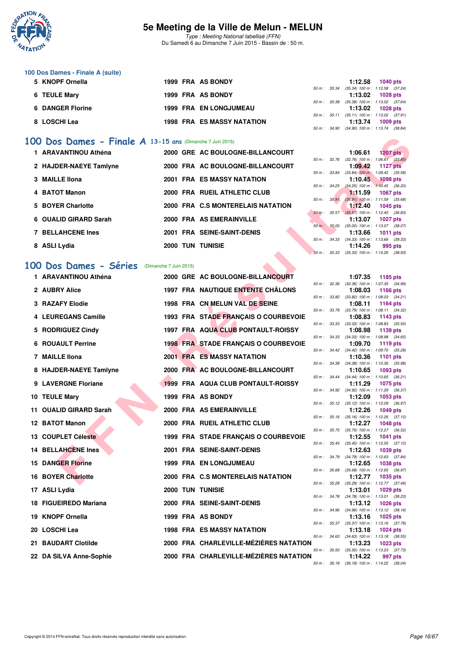

Type : Meeting National labellisé (FFN) Du Samedi 6 au Dimanche 7 Juin 2015 - Bassin de : 50 m.

#### **100 Dos Dames - Finale A (suite)**

| 5 KNOPF Ornella         | 1999 FRA AS BONDY                 | 1:12.58                                 | 1040 pts         |
|-------------------------|-----------------------------------|-----------------------------------------|------------------|
|                         |                                   | 50 m: 35.34 (35.34) 100 m: 1:12.58 (37. |                  |
| 6 TEULE Mary            | 1999 FRA AS BONDY                 |                                         | 1:13.02 1028 pts |
|                         |                                   | 50 m: 35.38 (35.38) 100 m: 1:13.02 (37. |                  |
| <b>6 DANGER Florine</b> | <b>1999 FRA EN LONGJUMEAU</b>     |                                         | 1:13.02 1028 pts |
|                         |                                   | 50 m: 35.11 (35.11) 100 m: 1:13.02 (37. |                  |
| 8 LOSCHI Lea            | <b>1998 FRA ES MASSY NATATION</b> | 1:13.74                                 | 1009 pts         |

#### **[100 Dos Dames - Finale A](http://www.ffnatation.fr/webffn/resultats.php?idact=nat&go=epr&idcpt=31115&idepr=12) 13-15 ans** (Dimanche 7 Juin 2015)

|                   | 1 ARAVANTINOU Athéna     |             | 2000 GRE AC BOULOGNE-BILLANCOURT  |          |              | 1:06.61                                            | <b>1207 pts</b> |  |
|-------------------|--------------------------|-------------|-----------------------------------|----------|--------------|----------------------------------------------------|-----------------|--|
|                   |                          |             |                                   |          | 50 m : 32.76 | $(32.76)$ 100 m : 1:06.61 $(33.$                   |                 |  |
|                   | 2 HAJDER-NAEYE Tamlyne   |             | 2000 FRA AC BOULOGNE-BILLANCOURT  |          |              | 1:09.42                                            | 1127 pts        |  |
|                   |                          |             |                                   |          | 50 m: 33.84  | $(33.84)$ 100 m : 1:09.42 (35.                     |                 |  |
| 3 MAILLE IIona    |                          |             | <b>2001 FRA ES MASSY NATATION</b> |          |              | 1:10.45<br>50 m: 34.25 (34.25) 100 m: 1:10.45 (36. | <b>1098</b> pts |  |
| 4 BATOT Manon     |                          |             | 2000 FRA RUEIL ATHLETIC CLUB      |          |              | 1.11.59                                            | 1067 pts        |  |
|                   |                          |             |                                   | $50 m$ : | 35.91        | $(35.91)$ 100 m : 1:11.59 (35.                     |                 |  |
| 5 BOYER Charlotte |                          |             | 2000 FRA C.S MONTERELAIS NATATION |          |              | 1:12.40                                            | 1045 pts        |  |
|                   |                          |             |                                   | $50 m$ : | 35.57        | $(35.57)$ 100 m : 1:12.40 (36.                     |                 |  |
|                   | 6 OUALID GIRARD Sarah    |             | 2000 FRA AS EMERAINVILLE          |          |              | 1:13.07                                            | <b>1027 pts</b> |  |
|                   | <b>7 BELLAHCENE Ines</b> |             | 2001 FRA SEINE-SAINT-DENIS        |          | 50 m: 35.00  | $(35.00)$ 100 m : 1:13.07 (38.<br>1:13.66          |                 |  |
|                   |                          |             |                                   |          |              | $(34.33)$ 100 m : 1:13.66 $(39.$                   | <b>1011 pts</b> |  |
| 8 ASLI Lydia      |                          | TUN<br>2000 | <b>TUNISIE</b>                    |          | 50 m : 34.33 | 1:14.26                                            | 995 pts         |  |
|                   |                          |             |                                   |          |              | $F0.$ $0.500$ $0.5001$ $100.$ $1100$ $100$         |                 |  |

## **[100 Dos Dames - Séries](http://www.ffnatation.fr/webffn/resultats.php?idact=nat&go=epr&idcpt=31115&idepr=12)** (Dimanche 7 Juin 2015)

| 00 Dos Dames - Finale $A$ 13-15 ans (Dimanche 7 Juin 2015) |  |                                          |                        |              |         |                                                                 |
|------------------------------------------------------------|--|------------------------------------------|------------------------|--------------|---------|-----------------------------------------------------------------|
| 1 ARAVANTINOU Athéna                                       |  | 2000 GRE AC BOULOGNE-BILLANCOURT         |                        |              | 1:06.61 | 1207 $pts$                                                      |
| 2 HAJDER-NAEYE Tamlyne                                     |  | 2000 FRA AC BOULOGNE-BILLANCOURT         |                        |              | 1:09.42 | 50 m : 32.76 (32.76) 100 m : 1:06.61 (33.85)<br><b>1127 pts</b> |
| 3 MAILLE IIona                                             |  | <b>2001 FRA ES MASSY NATATION</b>        | 50 m : 33.84           |              | 1:10.45 | $(33.84)$ 100 m : 1:09.42 $(35.58)$<br><b>1098 pts</b>          |
|                                                            |  |                                          | 50 m : 34.25           |              |         | $(34.25)$ 100 m : 1:10.45 $(36.20)$                             |
| 4 BATOT Manon                                              |  | 2000 FRA RUEIL ATHLETIC CLUB             | 50 m: 35.91            |              | 1:11.59 | <b>1067 pts</b><br>$(35.91)$ 100 m : 1:11.59 $(35.68)$          |
| 5 BOYER Charlotte                                          |  | 2000 FRA C.S MONTERELAIS NATATION        | $50 \text{ m}$ : 35.57 |              | 1:12.40 | 1045 pts                                                        |
| 6 OUALID GIRARD Sarah                                      |  | 2000 FRA AS EMERAINVILLE                 |                        |              | 1:13.07 | $(35.57)$ 100 m : 1:12.40 $(36.83)$<br><b>1027 pts</b>          |
| 7 BELLAHCENE Ines                                          |  | 2001 FRA SEINE-SAINT-DENIS               |                        | 50 m : 35.00 | 1:13.66 | $(35.00)$ 100 m : 1:13.07 $(38.07)$<br>1011 pts                 |
|                                                            |  |                                          |                        |              |         | 50 m: 34.33 (34.33) 100 m: 1:13.66 (39.33)                      |
| 8 ASLI Lydia                                               |  | <b>2000 TUN TUNISIE</b>                  |                        | 50 m: 35.33  | 1:14.26 | 995 pts<br>$(35.33)$ 100 m : 1:14.26 $(38.93)$                  |
| 00 Dos Dames - Séries<br>(Dimanche 7 Juin 2015)            |  |                                          |                        |              |         |                                                                 |
| 1 ARAVANTINOU Athéna                                       |  | 2000 GRE AC BOULOGNE-BILLANCOURT         |                        |              | 1:07.35 | 1185 pts                                                        |
|                                                            |  |                                          |                        | 50 m : 32.36 |         | (32.36) 100 m: 1:07.35 (34.99)                                  |
| 2 AUBRY Alice                                              |  | <b>1997 FRA NAUTIQUE ENTENTE CHÂLONS</b> | 50 m : 33.82           |              | 1:08.03 | 1166 pts<br>$(33.82)$ 100 m : 1:08.03 $(34.21)$                 |
| 3 RAZAFY Elodie                                            |  | 1998 FRA CN MELUN VAL DE SEINE           |                        |              | 1:08.11 | 1164 pts                                                        |
| 4 LEUREGANS Camille                                        |  | 1993 FRA STADE FRANÇAIS O COURBEVOIE     |                        | 50 m : 33.79 | 1:08.83 | $(33.79)$ 100 m : 1:08.11 $(34.32)$<br>1143 pts                 |
|                                                            |  |                                          | 50 m: 33.33            |              |         | $(33.33)$ 100 m : 1:08.83 $(35.50)$                             |
| 5 RODRIGUEZ Cindy                                          |  | 1997 FRA AQUA CLUB PONTAULT-ROISSY       |                        | 50 m : 34.33 | 1:08.98 | 1139 pts<br>$(34.33)$ 100 m : 1:08.98 $(34.65)$                 |
| <b>6 ROUAULT Perrine</b>                                   |  | 1998 FRA STADE FRANÇAIS O COURBEVOIE     |                        |              | 1:09.70 | 1119 pts<br>50 m: 34.42 (34.42) 100 m: 1:09.70 (35.28)          |
| 7 MAILLE IIona                                             |  | <b>2001 FRA ES MASSY NATATION</b>        |                        |              | 1:10.36 | <b>1101 pts</b>                                                 |
| 8 HAJDER-NAEYE Tamlyne                                     |  | 2000 FRA AC BOULOGNE-BILLANCOURT         |                        |              | 1:10.65 | 50 m: 34.38 (34.38) 100 m: 1:10.36 (35.98)<br>1093 pts          |
| 9 LAVERGNE Floriane                                        |  | 1999 FRA AQUA CLUB PONTAULT-ROISSY       |                        | 50 m : 34.44 |         | $(34.44)$ 100 m : 1:10.65 $(36.21)$                             |
|                                                            |  |                                          |                        |              | 1:11.29 | <b>1075 pts</b><br>50 m: 34.92 (34.92) 100 m: 1:11.29 (36.37)   |
| 10 TEULE Mary                                              |  | 1999 FRA AS BONDY                        |                        |              | 1:12.09 | 1053 pts<br>50 m: 35.12 (35.12) 100 m: 1:12.09 (36.97)          |
| 11 OUALID GIRARD Sarah                                     |  | 2000 FRA AS EMERAINVILLE                 |                        |              | 1:12.26 | 1049 pts                                                        |
| 12 BATOT Manon                                             |  | 2000 FRA RUEIL ATHLETIC CLUB             |                        | 50 m: 35.16  | 1:12.27 | $(35.16)$ 100 m : 1:12.26 $(37.10)$<br><b>1048 pts</b>          |
| 13 COUPLET Céleste                                         |  | 1999 FRA STADE FRANÇAIS O COURBEVOIE     |                        |              | 1:12.55 | 50 m: 35.75 (35.75) 100 m: 1:12.27 (36.52)<br>1041 pts          |
|                                                            |  |                                          |                        |              |         | 50 m: 35.45 (35.45) 100 m: 1:12.55 (37.10)                      |
| <b>14 BELLAHCENE Ines</b>                                  |  | 2001 FRA SEINE-SAINT-DENIS               |                        | 50 m : 34.79 | 1:12.63 | 1039 pts<br>$(34.79)$ 100 m : 1:12.63 $(37.84)$                 |
| <b>15 DANGER Florine</b>                                   |  | <b>1999 FRA EN LONGJUMEAU</b>            |                        |              | 1:12.65 | <b>1038 pts</b>                                                 |
| <b>16 BOYER Charlotte</b>                                  |  | 2000 FRA C.S MONTERELAIS NATATION        |                        | 50 m : 35.68 | 1:12.77 | $(35.68)$ 100 m : 1:12.65 $(36.97)$<br>1035 pts                 |
| 17 ASLI Lydia                                              |  | <b>2000 TUN TUNISIE</b>                  |                        |              | 1:13.01 | 50 m: 35.28 (35.28) 100 m: 1:12.77 (37.49)<br>1029 pts          |
|                                                            |  |                                          |                        |              |         | 50 m: 34.78 (34.78) 100 m: 1:13.01 (38.23)                      |
| 18 FIGUEIREDO Mariana                                      |  | 2000 FRA SEINE-SAINT-DENIS               |                        |              | 1:13.12 | <b>1026 pts</b><br>50 m: 34.96 (34.96) 100 m: 1:13.12 (38.16)   |
| 19 KNOPF Ornella                                           |  | 1999 FRA AS BONDY                        |                        |              | 1:13.16 | <b>1025 pts</b>                                                 |
| 20   LOSCHI Lea                                            |  | <b>1998 FRA ES MASSY NATATION</b>        |                        |              | 1:13.18 | 50 m: 35.37 (35.37) 100 m: 1:13.16 (37.79)<br>1024 pts          |
| 21 BAUDART Clotilde                                        |  | 2000 FRA CHARLEVILLE-MÉZIÈRES NATATION   |                        |              | 1:13.23 | 50 m: 34.63 (34.63) 100 m: 1:13.18 (38.55)<br>1023 pts          |
|                                                            |  |                                          |                        |              |         | 50 m: 35.50 (35.50) 100 m: 1:13.23 (37.73)                      |
| 22 DA SILVA Anne-Sophie                                    |  | 2000 FRA CHARLEVILLE-MÉZIÈRES NATATION   |                        |              | 1:14.22 | 997 pts<br>50 m : 36.18 (36.18) 100 m : 1:14.22 (38.04)         |

|  | $1:12.58$ 1040 pts                                             |  |
|--|----------------------------------------------------------------|--|
|  | 50 m: 35.34 (35.34) 100 m: 1:12.58 (37.24)                     |  |
|  | $1:13.02$ 1028 pts                                             |  |
|  | 50 m: 35.38 (35.38) 100 m: 1:13.02 (37.64)                     |  |
|  |                                                                |  |
|  | 1:13.02 1028 pts                                               |  |
|  | 50 m: 35.11 (35.11) 100 m: 1:13.02 (37.91)                     |  |
|  | 1:13.74 1009 pts<br>50 m: 34.90 (34.90) 100 m: 1:13.74 (38.84) |  |

|                  |       | 1:06.61           | $1207$ pts          |  |
|------------------|-------|-------------------|---------------------|--|
| 50 m : 32.76     |       | $(32.76)$ 100 m : | $1:06.61$ $(33.85)$ |  |
|                  |       | 1:09.42           | 1127 pts            |  |
| 50 m : 33.84     |       | $(33.84)$ 100 m : | 1:09.42 (35.58)     |  |
|                  |       | 1:10.45           | 1098 pts            |  |
| $50 m$ : 34.25   |       | $(34.25)$ 100 m : | $1:10.45$ (36.20)   |  |
|                  |       | 1:11.59           | <b>1067 pts</b>     |  |
| $50 m$ : $35.91$ |       | $(35.91)$ 100 m : | 1:11.59 (35.68)     |  |
|                  |       | 1:12.40           | 1045 pts            |  |
| $50 m$ :         | 35.57 | $(35.57)$ 100 m : | $1:12.40$ (36.83)   |  |
|                  |       | 1:13.07           | <b>1027 pts</b>     |  |
| 50 m: 35.00      |       | $(35.00)$ 100 m : | $1:13.07$ $(38.07)$ |  |
|                  |       | 1:13.66           | 1011 pts            |  |
| 50 m :           | 34.33 | $(34.33) 100 m$ : | 1:13.66 (39.33)     |  |
|                  |       | $1:14.26$ 995 pts |                     |  |
| 50 m: 35.33      |       | $(35.33) 100 m$ : | $1:14.26$ (38.93)   |  |

|              |       | 1:07.35                      | 1185 pts            |         |
|--------------|-------|------------------------------|---------------------|---------|
| 50 m : 32.36 |       | $(32.36)$ 100 m :            | 1:07.35 (34.99)     |         |
|              |       | 1:08.03                      | 1166 pts            |         |
| $50 m$ :     | 33.82 | $(33.82) 100 m$ :            | 1:08.03             | (34.21) |
|              |       | 1:08.11                      | 1164 pts            |         |
| $50 m$ :     | 33.79 | $(33.79) 100 m$ :            | $1:08.11$ $(34.32)$ |         |
|              |       | 1:08.83                      | 1143 pts            |         |
| $50 m$ :     | 33.33 | $(33.33) 100 m$ :            | 1:08.83             | (35.50) |
|              |       | 1:08.98                      | 1139 pts            |         |
| $50 m$ :     | 34.33 | $(34.33) 100 m$ :            | 1:08.98             | (34.65) |
|              |       | 1:09.70                      | 1119 pts            |         |
| $50 m$ :     | 34.42 | $(34.42) 100 m$ :            | 1:09.70             | (35.28) |
|              |       | 1:10.36                      | <b>1101 pts</b>     |         |
| $50 m$ :     | 34.38 | $(34.38) 100 m$ :            | 1:10.36 (35.98)     |         |
|              |       | 1:10.65                      | 1093 pts            |         |
| $50 m$ :     | 34.44 | $(34.44) 100 m$ :            | 1:10.65             | (36.21) |
|              |       | 1:11.29                      | 1075 pts            |         |
| $50 m$ :     | 34.92 | $(34.92)$ 100 m :            | 1:11.29             | (36.37) |
|              |       | 1:12.09                      | 1053 pts            |         |
| 50 m :       | 35.12 | $(35.12) 100 m$ :            | 1:12.09             | (36.97) |
|              |       | 1:12.26                      | 1049 pts            |         |
| $50 m$ :     | 35.16 | $(35.16) 100 m$ :            | 1:12.26             | (37.10) |
|              |       | 1:12.27                      | <b>1048 pts</b>     |         |
| $50 m$ :     | 35.75 | $(35.75)$ 100 m :            | 1:12.27 (36.52)     |         |
|              |       | 1:12.55                      | 1041 pts            |         |
| 50 m :       | 35.45 | $(35.45) 100 m$ :            | 1:12.55             | (37.10) |
|              |       | 1:12.63                      | 1039 pts            |         |
| $50 m$ :     | 34.79 | $(34.79) 100 m$ :            | 1:12.63             | (37.84) |
|              |       | 1:12.65                      | <b>1038 pts</b>     |         |
| $50 m$ :     | 35.68 | $(35.68) 100 m$ :            | 1:12.65 (36.97)     |         |
|              |       | 1:12.77                      | 1035 pts            |         |
| $50 m$ :     | 35.28 | $(35.28) 100 m$ :            | 1:12.77             | (37.49) |
|              |       | 1:13.01                      | 1029 pts            |         |
| $50 m$ :     | 34.78 | $(34.78) 100 m$ :            | 1:13.01             | (38.23) |
|              |       | 1:13.12                      | 1026 pts            |         |
| $50 m$ :     | 34.96 | $(34.96)$ 100 m :            | 1:13.12             | (38.16) |
|              |       | 1:13.16                      | 1025 pts            |         |
| $50 m$ :     | 35.37 | $(35.37) 100 m$ :            | 1:13.16             | (37.79) |
|              |       | 1:13.18                      | 1024 pts            |         |
| $50 m$ :     | 34.63 | $(34.63) 100 m$ :<br>1:13.23 | 1:13.18             | (38.55) |
| 50 m:        | 35.50 | $(35.50)$ 100 m :            | 1023 pts<br>1:13.23 | (37.73) |
|              |       | 1:14.22                      |                     |         |
|              |       |                              | 997 pts             |         |
| $50 m$ :     | 36.18 | $(36.18) 100 m$ :            | $1:14.22$ (38.04)   |         |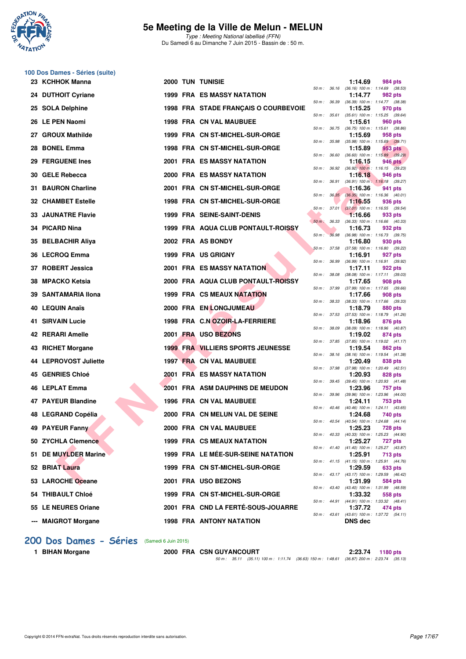

Type : Meeting National labellisé (FFN) Du Samedi 6 au Dimanche 7 Juin 2015 - Bassin de : 50 m.

| 100 Dos Dames - Séries (suite) |  |  |  |  |  |
|--------------------------------|--|--|--|--|--|
|--------------------------------|--|--|--|--|--|

| 23 KCHHOK Manna           |  | 2000 TUN TUNISIE                         |              |              | 1:14.69        | 984 pts                                                        |
|---------------------------|--|------------------------------------------|--------------|--------------|----------------|----------------------------------------------------------------|
| 24 DUTHOIT Cyriane        |  | <b>1999 FRA ES MASSY NATATION</b>        | 50 m: 36.16  |              | 1:14.77        | $(36.16)$ 100 m : 1:14.69 $(38.53)$<br>982 pts                 |
| 25 SOLA Delphine          |  | 1998 FRA STADE FRANÇAIS O COURBEVOIE     | 50 m : 36.39 |              | 1:15.25        | (36.39) 100 m: 1:14.77 (38.38)<br>970 pts                      |
| 26 LE PEN Naomi           |  | <b>1998 FRA CN VAL MAUBUEE</b>           |              | 50 m : 35.61 | 1:15.61        | $(35.61)$ 100 m : 1:15.25 $(39.64)$<br>960 pts                 |
|                           |  |                                          |              | 50 m : 36.75 |                | $(36.75)$ 100 m : 1:15.61 $(38.86)$                            |
| 27 GROUX Mathilde         |  | 1999 FRA CN ST-MICHEL-SUR-ORGE           |              | 50 m : 35.98 | 1:15.69        | 958 pts<br>$(35.98)$ 100 m : 1:15.69 $(39.71)$                 |
| 28 BONEL Emma             |  | 1998 FRA CN ST-MICHEL-SUR-ORGE           | 50 m : 36.60 |              | 1:15.89        | 953 pts<br>$(36.60)$ 100 m : 1:15.89 $(39.29)$                 |
| 29 FERGUENE Ines          |  | <b>2001 FRA ES MASSY NATATION</b>        |              |              | 1:16.15        | 946 pts                                                        |
| 30 GELE Rebecca           |  | <b>2000 FRA ES MASSY NATATION</b>        |              |              | 1:16.18        | 50 m : 36.92 (36.92) 100 m : 1:16.15 (39.23)<br>946 pts        |
| 31 BAURON Charline        |  | 2001 FRA CN ST-MICHEL-SUR-ORGE           | 50 m :       | 36.91        | 1:16.36        | $(36.91)$ 100 m : 1:16.18 $(39.27)$<br>941 pts                 |
| <b>32 CHAMBET Estelle</b> |  | 1998 FRA CN ST-MICHEL-SUR-ORGE           |              | 50 m: 36.35  | 1:16.55        | $(36.35)$ 100 m : 1:16.36 $(40.01)$<br>936 pts                 |
|                           |  |                                          |              |              |                | 50 m : 37.01 (37.01) 100 m : 1:16.55 (39.54)                   |
| <b>33 JAUNATRE Flavie</b> |  | 1999 FRA SEINE-SAINT-DENIS               | $50 m$ :     | 36.33        | 1:16.66        | 933 pts<br>$(36.33)$ 100 m : 1:16.66 $(40.33)$                 |
| 34 PICARD Nina            |  | 1999 FRA AQUA CLUB PONTAULT-ROISSY       | 50 m :       | 36.98        | 1:16.73        | 932 pts<br>$(36.98)$ 100 m : 1:16.73 $(39.75)$                 |
| 35 BELBACHIR Aliya        |  | 2002 FRA AS BONDY                        |              |              | 1:16.80        | 930 pts                                                        |
| 36 LECROQ Emma            |  | 1999 FRA US GRIGNY                       | 50 m: 37.58  |              | 1:16.91        | $(37.58)$ 100 m : 1:16.80 $(39.22)$<br>927 pts                 |
| 37 ROBERT Jessica         |  | <b>2001 FRA ES MASSY NATATION</b>        | 50 m : 36.99 |              | 1:17.11        | $(36.99)$ 100 m : 1:16.91 $(39.92)$<br>922 pts                 |
|                           |  |                                          | 50 m : 38.08 |              |                | $(38.08)$ 100 m : 1:17.11 $(39.03)$                            |
| 38 MPACKO Ketsia          |  | 2000 FRA AQUA CLUB PONTAULT-ROISSY       |              | 50 m : 37.99 | 1:17.65        | 908 pts<br>$(37.99)$ 100 m : 1:17.65 $(39.66)$                 |
| 39 SANTAMARIA Ilona       |  | <b>1999 FRA CS MEAUX NATATION</b>        |              |              | 1:17.66        | 908 pts<br>50 m: 38.33 (38.33) 100 m: 1:17.66 (39.33)          |
| 40 LEQUIN Anaïs           |  | 2000 FRA EN LONGJUMEAU                   |              |              | 1:18.79        | 880 pts                                                        |
| <b>41 SIRVAIN Lucie</b>   |  | 1998 FRA C.N OZOIR-LA-FERRIERE           |              | 50 m : 37.53 | 1:18.96        | (37.53) 100 m : 1:18.79 (41.26)<br>876 pts                     |
| 42 RERARI Amelle          |  | 2001 FRA USO BEZONS                      | 50 m : 38.09 |              | 1:19.02        | (38.09) 100 m: 1:18.96 (40.87)<br>874 pts                      |
| 43 RICHET Morgane         |  | <b>1999 FRA VILLIERS SPORTS JEUNESSE</b> | 50 m :       | 37.85        | 1:19.54        | $(37.85)$ 100 m : 1:19.02 $(41.17)$<br>862 pts                 |
|                           |  |                                          |              | 50 m : 38.16 |                | $(38.16)$ 100 m : 1:19.54 $(41.38)$                            |
| 44 LEPROVOST Juliette     |  | 1997 FRA CN VAL MAUBUEE                  |              |              | 1:20.49        | 838 pts<br>50 m: 37.98 (37.98) 100 m: 1:20.49 (42.51)          |
| 45 GENRIES Chloé          |  | 2001 FRA ES MASSY NATATION               |              | 50 m : 39.45 | 1:20.93        | 828 pts<br>$(39.45)$ 100 m : 1:20.93 $(41.48)$                 |
| 46 LEPLAT Emma            |  | <b>2001 FRA ASM DAUPHINS DE MEUDON</b>   |              |              | 1:23.96        | 757 pts                                                        |
| 47 PAYEUR Blandine        |  | 1996 FRA CN VAL MAUBUEE                  |              |              | 1:24.11        | 50 m : 39.96 (39.96) 100 m : 1:23.96 (44.00)<br><b>753 pts</b> |
| 48 LEGRAND Copélia        |  | 2000 FRA CN MELUN VAL DE SEINE           | 50 m: 40.46  |              | 1:24.68        | $(40.46)$ 100 m : 1:24.11 $(43.65)$<br><b>740 pts</b>          |
| 49 PAYEUR Fanny           |  | 2000 FRA CN VAL MAUBUEE                  |              | 50 m : 40.54 | 1:25.23        | (40.54) 100 m: 1:24.68 (44.14)<br>728 pts                      |
|                           |  |                                          |              |              |                | 50 m : 40.33 (40.33) 100 m : 1:25.23 (44.90)                   |
| 50 ZYCHLA Clemence        |  | 1999 FRA CS MEAUX NATATION               |              |              | 1:25.27        | <b>727 pts</b><br>50 m: 41.40 (41.40) 100 m: 1:25.27 (43.87)   |
| 51 DE MUYLDER Marine      |  | 1999 FRA LE MÉE-SUR-SEINE NATATION       |              |              | 1:25.91        | 713 pts<br>50 m : 41.15 (41.15) 100 m : 1:25.91 (44.76)        |
| 52 BRIAT Laura            |  | 1999 FRA CN ST-MICHEL-SUR-ORGE           |              |              | 1:29.59        | 633 pts                                                        |
| 53 LAROCHE Oceane         |  | 2001 FRA USO BEZONS                      |              |              | 1:31.99        | 50 m: 43.17 (43.17) 100 m: 1:29.59 (46.42)<br>584 pts          |
| 54 THIBAULT Chloé         |  | 1999 FRA CN ST-MICHEL-SUR-ORGE           |              |              | 1:33.32        | 50 m: 43.40 (43.40) 100 m: 1:31.99 (48.59)<br>558 pts          |
| 55 LE NEURES Oriane       |  | 2001 FRA CND LA FERTÉ-SOUS-JOUARRE       |              |              | 1:37.72        | 50 m: 44.91 (44.91) 100 m: 1:33.32 (48.41)<br>474 pts          |
|                           |  |                                          |              | 50 m : 43.61 |                | (43.61) 100 m: 1:37.72 (54.11)                                 |
| --- MAIGROT Morgane       |  | 1998 FRA ANTONY NATATION                 |              |              | <b>DNS</b> dec |                                                                |

### **[200 Dos Dames - Séries](http://www.ffnatation.fr/webffn/resultats.php?idact=nat&go=epr&idcpt=31115&idepr=13)** (Samedi 6 Juin 2015)

**1 BIHAN Morgane 2000 FRA CSN GUYANCOURT 2:23.74 1180 pts** 50 m : 35.11 (35.11) 100 m : 1:11.74 (36.63) 150 m : 1:48.61 (36.87) 200 m : 2:23.74 (35.13)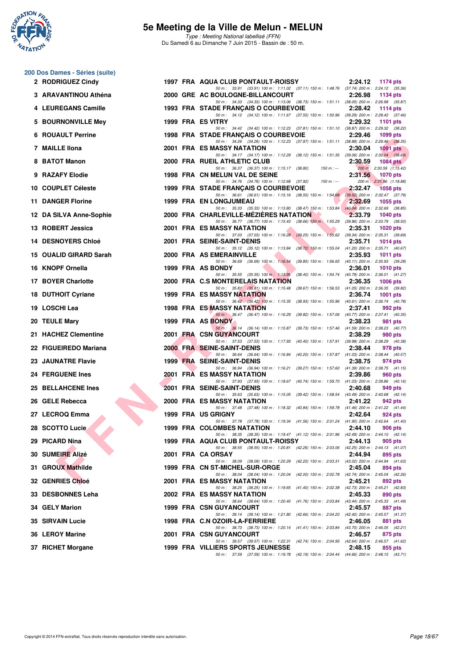

|  | 200 Dos Dames - Séries (suite) |  |
|--|--------------------------------|--|
|  | 2 RODRIGUEZ Cindy              |  |

| 2 RODRIGUEZ Cindy         |  | 1997 FRA AQUA CLUB PONTAULT-ROISSY                                                                                                   | 2:24.12 | <b>1174 pts</b>                             |
|---------------------------|--|--------------------------------------------------------------------------------------------------------------------------------------|---------|---------------------------------------------|
| 3 ARAVANTINOU Athéna      |  | 50 m: 33.91 (33.91) 100 m: 1:11.02 (37.11) 150 m: 1:48.76 (37.74) 200 m: 2:24.12 (35.36)<br>2000 GRE AC BOULOGNE-BILLANCOURT         | 2:26.98 | 1134 pts                                    |
| 4 LEUREGANS Camille       |  | 50 m: 34.33 (34.33) 100 m: 1:13.06 (38.73) 150 m: 1:51.11 (38.05) 200 m: 2:26.98 (35.87)<br>1993 FRA STADE FRANCAIS O COURBEVOIE     | 2:28.42 | 1114 pts                                    |
| 5 BOURNONVILLE Mey        |  | 50 m: 34.12 (34.12) 100 m: 1:11.67 (37.55) 150 m: 1:50.96 (39.29) 200 m: 2:28.42 (37.46)<br>1999 FRA ES VITRY                        | 2:29.32 | 1101 $pts$                                  |
| <b>6 ROUAULT Perrine</b>  |  | 50 m: 34.42 (34.42) 100 m: 1:12.23 (37.81) 150 m: 1:51.10 (38.87) 200 m: 2:29.32 (38.22)<br>1998 FRA STADE FRANÇAIS O COURBEVOIE     | 2:29.46 | 1099 pts                                    |
| 7 MAILLE IIona            |  | 50 m: 34.26 (34.26) 100 m: 1:12.23 (37.97) 150 m: 1:51.11 (38.88) 200 m: 2:29.46 (38.35)<br><b>2001 FRA ES MASSY NATATION</b>        | 2:30.04 | <b>1091 pts</b>                             |
| 8 BATOT Manon             |  | 50 m: 34.17 (34.17) 100 m: 1:12.29 (38.12) 150 m: 1:51.35 (39.06) 200 m: 2:30.04 (38.69)<br>2000 FRA RUEIL ATHLETIC CLUB             | 2:30.59 | 1084 $pts$                                  |
| 9 RAZAFY Elodie           |  | 50 m: 36.37 (36.37) 100 m: 1:15.17 (38.80) 150 m: ---<br>1998 FRA CN MELUN VAL DE SEINE                                              | 2:31.56 | 200 m: 2:30.59 (1:15.42)<br>1070 pts        |
| 10 COUPLET Céleste        |  | 50 m : 34.76 (34.76) 100 m : 1:12.68 (37.92) 150 m :---<br>1999 FRA STADE FRANÇAIS O COURBEVOIE                                      | 2:32.47 | 200 m: 2:31.56 (1:18.88)<br><b>1058 pts</b> |
| 11 DANGER Florine         |  | 50 m: 36.61 (36.61) 100 m: 1:15.16 (38.55) 150 m: 1:54.68 (39.52) 200 m: 2:32.47 (37.79)<br><b>1999 FRA EN LONGJUMEAU</b>            | 2:32.69 | <b>1055 pts</b>                             |
| 12 DA SILVA Anne-Sophie   |  | 50 m: 35.33 (35.33) 100 m: 1:13.80 (38.47) 150 m: 1:53.84 (40.04) 200 m: 2:32.69 (38.85)<br>2000 FRA CHARLEVILLE-MEZIERES NATATION   | 2:33.79 | <b>1040 pts</b>                             |
| 13 ROBERT Jessica         |  | 50 m: 36.77 (36.77) 100 m: 1:15.43 (38.66) 150 m: 1:55.29 (39.86) 200 m: 2:33.79 (38.50)<br>2001 FRA ES MASSY NATATION               | 2:35.31 | 1020 $pts$                                  |
| <b>14 DESNOYERS Chloé</b> |  | 50 m: 37.03 (37.03) 100 m: 1:16.28 (39.25) 150 m: 1:55.62 (39.34) 200 m: 2:35.31 (39.69)<br>2001 FRA SEINE-SAINT-DENIS               | 2:35.71 | 1014 $pts$                                  |
| 15   OUALID GIRARD Sarah  |  | 50 m: 35.12 (35.12) 100 m: 1:13.84 (38.72) 150 m: 1:55.04 (41.20) 200 m: 2:35.71 (40.67)<br>2000 FRA AS EMERAINVILLE                 | 2:35.93 | 1011 $pts$                                  |
| 16 KNOPF Ornella          |  | 50 m: 36.69 (36.69) 100 m: 1:16.54 (39.85) 150 m: 1:56.65 (40.11) 200 m: 2:35.93 (39.28)<br>1999 FRA AS BONDY                        | 2:36.01 | <b>1010 pts</b>                             |
| 17 BOYER Charlotte        |  | 50 m: 35.55 (35.55) 100 m: 1:13.95 (38.40) 150 m: 1:54.74 (40.79) 200 m: 2:36.01 (41.27)<br>2000 FRA C.S MONTERELAIS NATATION        | 2:36.35 | <b>1006 pts</b>                             |
| <b>18 DUTHOIT Cyriane</b> |  | 50 m: 35.81 (35.81) 100 m: 1:15.48 (39.67) 150 m: 1:56.53 (41.05) 200 m: 2:36.35 (39.82)<br><b>1999 FRA ES MASSY NATATION</b>        | 2:36.74 | <b>1001 pts</b>                             |
| 19 LOSCHI Lea             |  | 50 m: 36.42 (36.42) 100 m: 1:15.35 (38.93) 150 m: 1:55.96 (40.61) 200 m: 2:36.74 (40.78)<br><b>1998 FRA ES MASSY NATATION</b>        | 2:37.41 | 992 pts                                     |
| 20 TEULE Mary             |  | 50 m: 36.47 (36.47) 100 m: 1:16.29 (39.82) 150 m: 1:57.06 (40.77) 200 m: 2:37.41 (40.35)<br>1999 FRA AS BONDY                        | 2:38.23 | 981 pts                                     |
| 21 HACHEZ Clementine      |  | 50 m: 36.14 (36.14) 100 m: 1:15.87 (39.73) 150 m: 1:57.46 (41.59) 200 m: 2:38.23 (40.77)<br>2001 FRA CSN GUYANCOURT                  | 2:38.29 | 980 pts                                     |
| 22 FIGUEIREDO Mariana     |  | 50 m: 37.53 (37.53) 100 m: 1:17.93 (40.40) 150 m: 1:57.91 (39.98) 200 m: 2:38.29 (40.38)<br>2000 FRA SEINE-SAINT-DENIS               | 2:38.44 | 978 pts                                     |
| 23 JAUNATRE Flavie        |  | 50 m: 36.64 (36.64) 100 m: 1:16.84 (40.20) 150 m: 1:57.87 (41.03) 200 m: 2:38.44 (40.57)<br>1999 FRA SEINE-SAINT-DENIS               | 2:38.75 | 974 pts                                     |
| <b>24 FERGUENE Ines</b>   |  | 50 m: 36.94 (36.94) 100 m: 1:16.21 (39.27) 150 m: 1:57.60 (41.39) 200 m: 2:38.75 (41.15)<br><b>2001 FRA ES MASSY NATATION</b>        | 2:39.86 | <b>960 pts</b>                              |
| 25 BELLAHCENE Ines        |  | 50 m: 37.93 (37.93) 100 m: 1:18.67 (40.74) 150 m: 1:59.70 (41.03) 200 m: 2:39.86 (40.16)<br>2001 FRA SEINE-SAINT-DENIS               | 2:40.68 | 949 pts                                     |
| 26 GELE Rebecca           |  | 50 m: 35.63 (35.63) 100 m: 1:15.05 (39.42) 150 m: 1:58.54 (43.49) 200 m: 2:40.68 (42.14)<br><b>2000 FRA ES MASSY NATATION</b>        | 2:41.22 | 942 pts                                     |
| 27 LECROQ Emma            |  | 50 m: 37.48 (37.48) 100 m: 1:18.32 (40.84) 150 m: 1:59.78 (41.46) 200 m: 2:41.22 (41.44)<br><b>1999 FRA US GRIGNY</b>                | 2:42.64 | 924 pts                                     |
| 28 SCOTTO Lucie           |  | 50 m: 37.78 (37.78) 100 m: 1:19.34 (41.56) 150 m: 2:01.24 (41.90) 200 m: 2:42.64 (41.40)<br>1999 FRA COLOMBES NATATION               | 2:44.10 | 906 pts                                     |
| 29 PICARD Nina            |  | 50 m: 38.35 (38.35) 100 m: 1:19.47 (41.12) 150 m: 2:01.96 (42.49) 200 m: 2:44.10 (42.14)<br>1999 FRA AQUA CLUB PONTAULT-ROISSY       | 2:44.13 | 905 pts                                     |
| 30 SUMEIRE Alizé          |  | 50 m: 38.55 (38.55) 100 m: 1:20.81 (42.26) 150 m: 2:03.06 (42.25) 200 m: 2:44.13 (41.07)<br>2001 FRA CA ORSAY                        | 2:44.94 | 895 pts                                     |
| 31 GROUX Mathilde         |  | 50 m: 38.09 (38.09) 100 m: 1:20.29 (42.20) 150 m: 2:03.31 (43.02) 200 m: 2:44.94 (41.63)<br>1999 FRA CN ST-MICHEL-SUR-ORGE           | 2:45.04 | 894 pts                                     |
| 32 GENRIES Chloé          |  | 50 m: 38.04 (38.04) 100 m: 1:20.04 (42.00) 150 m: 2:02.78 (42.74) 200 m: 2:45.04 (42.26)<br>2001 FRA ES MASSY NATATION               | 2:45.21 | 892 pts                                     |
| 33 DESBONNES Leha         |  | 50 m: 38.25 (38.25) 100 m: 1:19.65 (41.40) 150 m: 2:02.38 (42.73) 200 m: 2:45.21 (42.83)<br><b>2002 FRA ES MASSY NATATION</b>        | 2:45.33 | 890 pts                                     |
| 34 GELY Marion            |  | 50 m: 38.64 (38.64) 100 m: 1:20.40 (41.76) 150 m: 2:03.84 (43.44) 200 m: 2:45.33 (41.49)<br><b>1999 FRA CSN GUYANCOURT</b>           | 2:45.57 | 887 pts                                     |
| <b>35 SIRVAIN Lucie</b>   |  | 50 m: 39.14 (39.14) 100 m: 1:21.80 (42.66) 150 m: 2:04.20 (42.40) 200 m: 2:45.57 (41.37)<br>1998 FRA C.N OZOIR-LA-FERRIERE           | 2:46.05 | 881 pts                                     |
| 36 LEROY Marine           |  | 50 m: 38.73 (38.73) 100 m: 1:20.14 (41.41) 150 m: 2:03.84 (43.70) 200 m: 2:46.05 (42.21)<br>2001 FRA CSN GUYANCOURT                  | 2:46.57 | 875 pts                                     |
| 37 RICHET Morgane         |  | 50 m: 39.57 (39.57) 100 m: 1:22.31 (42.74) 150 m: 2:04.95 (42.64) 200 m: 2:46.57 (41.62)<br><b>1999 FRA VILLIERS SPORTS JEUNESSE</b> | 2:48.15 | 855 pts                                     |
|                           |  | 50 m: 37.59 (37.59) 100 m: 1:19.78 (42.19) 150 m: 2:04.44 (44.66) 200 m: 2:48.15 (43.71)                                             |         |                                             |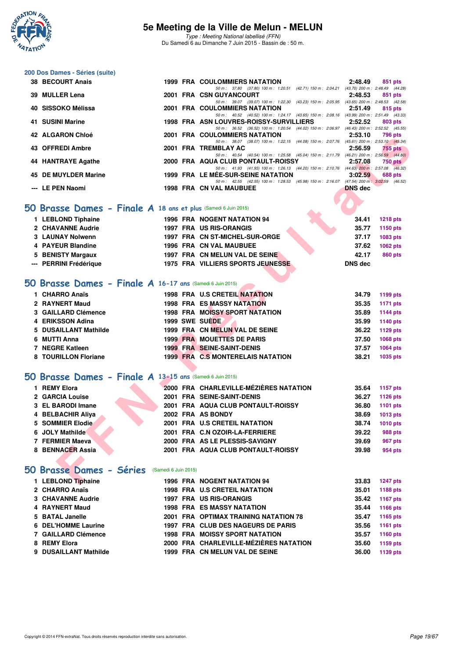

Type : Meeting National labellisé (FFN) Du Samedi 6 au Dimanche 7 Juin 2015 - Bassin de : 50 m.

# **200 Dos Dames - Séries (suite)**

| 38 BECOURT Anais     |  | <b>1999 FRA COULOMMIERS NATATION</b>                                                     | 2:48.49        | 851 pts        |
|----------------------|--|------------------------------------------------------------------------------------------|----------------|----------------|
|                      |  | 50 m: 37.80 (37.80) 100 m: 1:20.51 (42.71) 150 m: 2:04.21 (43.70) 200 m: 2:48.49 (44.28) |                |                |
| 39 MULLER Lena       |  | 2001 FRA CSN GUYANCOURT                                                                  | 2:48.53        | 851 pts        |
|                      |  | 50 m: 39.07 (39.07) 100 m: 1:22.30 (43.23) 150 m: 2:05.95 (43.65) 200 m: 2:48.53 (42.58) |                |                |
| 40 SISSOKO Mélissa   |  | 2001 FRA COULOMMIERS NATATION                                                            | 2:51.49        | 815 pts        |
|                      |  | 50 m: 40.52 (40.52) 100 m: 1:24.17 (43.65) 150 m: 2:08.16 (43.99) 200 m: 2:51.49 (43.33) |                |                |
| 41 SUSINI Marine     |  | 1998 FRA ASN LOUVRES-ROISSY-SURVILLIERS                                                  | 2:52.52        | 803 pts        |
|                      |  | 50 m: 36.52 (36.52) 100 m: 1:20.54 (44.02) 150 m: 2:06.97 (46.43) 200 m: 2:52.52 (45.55) |                |                |
| 42 ALGARON Chloé     |  | <b>2001 FRA COULOMMIERS NATATION</b>                                                     | 2:53.10        | 796 pts        |
|                      |  | 50 m: 38.07 (38.07) 100 m: 1:22.15 (44.08) 150 m: 2:07.76 (45.61) 200 m: 2:53.10 (45.34) |                |                |
| 43 OFFREDI Ambre     |  | 2001 FRA TREMBLAY AC                                                                     | 2:56.59        | 755 pts        |
|                      |  | 50 m: 40.54 (40.54) 100 m: 1:25.58 (45.04) 150 m: 2:11.79 (46.21) 200 m: 2:56.59 (44.80) |                |                |
| 44 HANTRAYE Agathe   |  | 2000 FRA AQUA CLUB PONTAULT-ROISSY                                                       | 2:57.08        | 750 pts        |
|                      |  | 50 m: 41.93 (41.93) 100 m: 1:26.13 (44.20) 150 m: 2:10.76 (44.63) 200 m: 2:57.08 (46.32) |                |                |
| 45 DE MUYLDER Marine |  | <b>1999 FRA LE MEE-SUR-SEINE NATATION</b>                                                | 3:02.59        | <b>688 pts</b> |
|                      |  | 50 m: 42.55 (42.55) 100 m: 1:28.53 (45.98) 150 m: 2:16.07 (47.54) 200 m: 3:02.59 (46.52) |                |                |
| --- LE PEN Naomi     |  | 1998 FRA CN VAL MAUBUEE                                                                  | <b>DNS</b> dec |                |
|                      |  |                                                                                          |                |                |

#### **[50 Brasse Dames - Finale A](http://www.ffnatation.fr/webffn/resultats.php?idact=nat&go=epr&idcpt=31115&idepr=21) 18 ans et plus** (Samedi 6 Juin 2015)

| 1 LEBLOND Tiphaine     | <b>1996 FRA NOGENT NATATION 94</b>       |  | 34.41   | 1218 pts        |
|------------------------|------------------------------------------|--|---------|-----------------|
| 2 CHAVANNE Audrie      | 1997 FRA US RIS-ORANGIS                  |  | 35.77   | 1150 pts        |
| 3 LAUNAY Nolwenn       | 1997 FRA CN ST-MICHEL-SUR-ORGE           |  | 37.17   | 1083 pts        |
| 4 PAYEUR Blandine      | 1996 FRA CN VAL MAUBUEE                  |  | 37.62   | <b>1062 pts</b> |
| 5 BENISTY Margaux      | 1997 FRA CN MELUN VAL DE SEINE           |  | 42.17   | 860 pts         |
| --- PERRINI Frédérique | <b>1975 FRA VILLIERS SPORTS JEUNESSE</b> |  | DNS dec |                 |

## **[50 Brasse Dames - Finale A](http://www.ffnatation.fr/webffn/resultats.php?idact=nat&go=epr&idcpt=31115&idepr=21) 16-17 ans** (Samedi 6 Juin 2015)

| 1 CHARRO Anaïs        | <b>1998 FRA U.S CRETEIL NATATION</b>     | 34.79<br>1199 pts |
|-----------------------|------------------------------------------|-------------------|
| 2 RAYNERT Maud        | <b>1998 FRA ES MASSY NATATION</b>        | 35.35<br>1171 pts |
| 3 GAILLARD Clémence   | <b>1998 FRA MOISSY SPORT NATATION</b>    | 1144 pts<br>35.89 |
| 4 ERIKSSON Adina      | 1999 SWE SUEDE                           | 1140 pts<br>35.99 |
| 5 DUSAILLANT Mathilde | 1999 FRA CN MELUN VAL DE SEINE           | 36.22<br>1129 pts |
| 6 MUTTI Anna          | <b>1999 FRA MOUETTES DE PARIS</b>        | 37.50<br>1068 pts |
| 7 NEGRE Katleen       | <b>1999 FRA SEINE-SAINT-DENIS</b>        | 1064 pts<br>37.57 |
| 8 TOURILLON Floriane  | <b>1999 FRA C.S MONTERELAIS NATATION</b> | 38.21<br>1035 pts |

#### **[50 Brasse Dames - Finale A](http://www.ffnatation.fr/webffn/resultats.php?idact=nat&go=epr&idcpt=31115&idepr=21) 13-15 ans** (Samedi 6 Juin 2015)

| 14 ALUANUN UHUC                                               |  | ZUUT FRA COULOMMILRƏNATATION                                                                                                          | 2.JJ.IU        | 790 PG          |
|---------------------------------------------------------------|--|---------------------------------------------------------------------------------------------------------------------------------------|----------------|-----------------|
| <b>43 OFFREDI Ambre</b>                                       |  | 50 m: 38.07 (38.07) 100 m: 1:22.15 (44.08) 150 m: 2:07.76 (45.61) 200 m: 2:53.10 (45.34)<br>2001 FRA TREMBLAY AC                      | 2:56.59        | 755 pts         |
|                                                               |  | 50 m: 40.54 (40.54) 100 m: 1:25.58 (45.04) 150 m: 2:11.79 (46.21) 200 m: 2:56.59 (44.80)                                              |                |                 |
| 44 HANTRAYE Agathe                                            |  | 2000 FRA AQUA CLUB PONTAULT-ROISSY                                                                                                    | 2:57.08        | 750 pts         |
| 45 DE MUYLDER Marine                                          |  | 50 m: 41.93 (41.93) 100 m: 1:26.13 (44.20) 150 m: 2:10.76 (44.63) 200 m: 2:57.08 (46.32)<br><b>1999 FRA LE MÉE-SUR-SEINE NATATION</b> | 3:02.59        | 688 pts         |
| --- LE PEN Naomi                                              |  | 50 m: 42.55 (42.55) 100 m: 1:28.53 (45.98) 150 m: 2:16.07 (47.54) 200 m: 3:02.59 (46.52)<br><b>1998 FRA CN VAL MAUBUEE</b>            | <b>DNS</b> dec |                 |
|                                                               |  |                                                                                                                                       |                |                 |
|                                                               |  |                                                                                                                                       |                |                 |
| O Brasse Dames - Finale A 18 ans et plus (Samedi 6 Juin 2015) |  |                                                                                                                                       |                |                 |
| 1 LEBLOND Tiphaine                                            |  | <b>1996 FRA NOGENT NATATION 94</b>                                                                                                    | 34.41          | <b>1218 pts</b> |
| 2 CHAVANNE Audrie                                             |  | 1997 FRA US RIS-ORANGIS                                                                                                               | 35.77          | 1150 pts        |
| 3 LAUNAY Nolwenn                                              |  | 1997 FRA CN ST-MICHEL-SUR-ORGE                                                                                                        | 37.17          | <b>1083 pts</b> |
| 4 PAYEUR Blandine                                             |  | 1996 FRA CN VAL MAUBUEE                                                                                                               | 37.62          | 1062 pts        |
| 5 BENISTY Margaux                                             |  | 1997 FRA CN MELUN VAL DE SEINE                                                                                                        | 42.17          | 860 pts         |
| --- PERRINI Frédérique                                        |  | 1975 FRA VILLIERS SPORTS JEUNESSE                                                                                                     | <b>DNS dec</b> |                 |
|                                                               |  |                                                                                                                                       |                |                 |
| O Brasse Dames - Finale A 16-17 ans (Samedi 6 Juin 2015)      |  |                                                                                                                                       |                |                 |
| 1 CHARRO Anaïs                                                |  | <b>1998 FRA U.S CRETEIL NATATION</b>                                                                                                  | 34.79          | 1199 pts        |
| 2 RAYNERT Maud                                                |  | <b>1998 FRA ES MASSY NATATION</b>                                                                                                     | 35.35          | 1171 pts        |
| 3 GAILLARD Clémence                                           |  | <b>1998 FRA MOISSY SPORT NATATION</b>                                                                                                 | 35.89          | <b>1144 pts</b> |
| 4 ERIKSSON Adina                                              |  | 1999 SWE SUEDE                                                                                                                        | 35.99          | <b>1140 pts</b> |
| 5 DUSAILLANT Mathilde                                         |  | 1999 FRA CN MELUN VAL DE SEINE                                                                                                        | 36.22          | 1129 $pts$      |
| 6 MUTTI Anna                                                  |  | <b>1999 FRA MOUETTES DE PARIS</b>                                                                                                     | 37.50          | 1068 pts        |
| 7 NEGRE Katleen                                               |  | <b>1999 FRA SEINE-SAINT-DENIS</b>                                                                                                     | 37.57          | <b>1064 pts</b> |
| 8 TOURILLON Floriane                                          |  | <b>1999 FRA C.S MONTERELAIS NATATION</b>                                                                                              | 38.21          | 1035 pts        |
|                                                               |  |                                                                                                                                       |                |                 |
| O Brasse Dames - Finale A 13-15 ans (Samedi 6 Juin 2015)      |  |                                                                                                                                       |                |                 |
| 1 REMY Elora                                                  |  | 2000 FRA CHARLEVILLE-MÉZIÈRES NATATION                                                                                                | 35.64          | 1157 pts        |
| 2 GARCIA Louise                                               |  | 2001 FRA SEINE-SAINT-DENIS                                                                                                            | 36.27          | <b>1126 pts</b> |
| 3 EL BARODI Imane                                             |  | 2001 FRA AQUA CLUB PONTAULT-ROISSY                                                                                                    | 36.80          | 1101 $pts$      |
| 4 BELBACHIR Aliya                                             |  | 2002 FRA AS BONDY                                                                                                                     | 38.69          | 1013 pts        |
| 5 SOMMIER Elodie                                              |  | 2001 FRA U.S CRETEIL NATATION                                                                                                         | 38.74          | <b>1010 pts</b> |
| 6 JOLY Mathilde                                               |  | 2001 FRA C.N OZOIR-LA-FERRIERE                                                                                                        | 39.22          | 988 pts         |
| 7 FERMIER Maeva                                               |  | 2000 FRA AS LE PLESSIS-SAVIGNY                                                                                                        | 39.69          | 967 pts         |
| 8 BENNACER Assia                                              |  | 2001 FRA AQUA CLUB PONTAULT-ROISSY                                                                                                    | 39.98          | 954 pts         |
|                                                               |  |                                                                                                                                       |                |                 |
| O Brasse Dames - Séries (Samedi 6 Juin 2015)                  |  |                                                                                                                                       |                |                 |
| 1 LEBLOND Tiphaine                                            |  | <b>1996 FRA NOGENT NATATION 94</b>                                                                                                    | 33.83          | <b>1247 pts</b> |
|                                                               |  |                                                                                                                                       |                |                 |

#### **[50 Brasse Dames - Séries](http://www.ffnatation.fr/webffn/resultats.php?idact=nat&go=epr&idcpt=31115&idepr=21)** (Samedi 6 Juin 2015)

| 1 LEBLOND Tiphaine       |  | 1996 FRA NOGENT NATATION 94            | 33.83 | <b>1247 pts</b> |
|--------------------------|--|----------------------------------------|-------|-----------------|
| 2 CHARRO Anaïs           |  | <b>1998 FRA U.S CRETEIL NATATION</b>   | 35.01 | 1188 pts        |
| <b>3 CHAVANNE Audrie</b> |  | <b>1997 FRA US RIS-ORANGIS</b>         | 35.42 | 1167 pts        |
| 4 RAYNERT Maud           |  | <b>1998 FRA ES MASSY NATATION</b>      | 35.44 | 1166 pts        |
| 5 BATAL Janelle          |  | 2001 FRA OPTIMAX TRAINING NATATION 78  | 35.47 | 1165 pts        |
| 6 DEL'HOMME Laurine      |  | 1997 FRA CLUB DES NAGEURS DE PARIS     | 35.56 | 1161 pts        |
| 7 GAILLARD Clémence      |  | <b>1998 FRA MOISSY SPORT NATATION</b>  | 35.57 | 1160 pts        |
| 8 REMY Elora             |  | 2000 FRA CHARLEVILLE-MÉZIÈRES NATATION | 35.60 | 1159 pts        |
| 9 DUSAILLANT Mathilde    |  | 1999 FRA CN MELUN VAL DE SEINE         | 36.00 | 1139 pts        |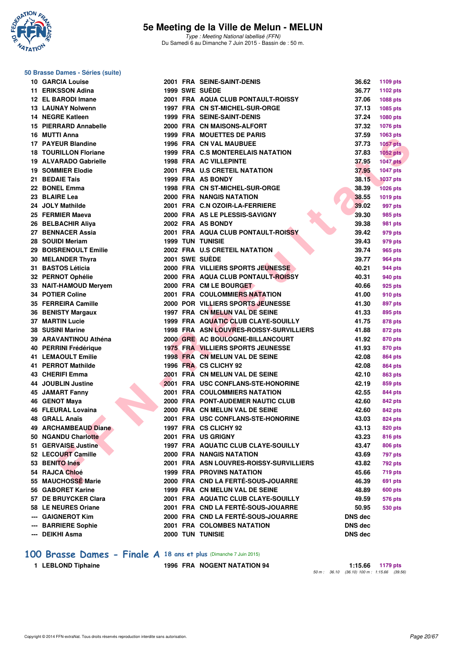

Type : Meeting National labellisé (FFN) Du Samedi 6 au Dimanche 7 Juin 2015 - Bassin de : 50 m.

|     | asse Danies Cencs (Sanc)     |  |                                          |                |                 |
|-----|------------------------------|--|------------------------------------------|----------------|-----------------|
|     | <b>10 GARCIA Louise</b>      |  | 2001 FRA SEINE-SAINT-DENIS               | 36.62          | 1109 pts        |
|     | 11 ERIKSSON Adina            |  | 1999 SWE SUEDE                           | 36.77          | 1102 pts        |
|     | 12 EL BARODI Imane           |  | 2001 FRA AQUA CLUB PONTAULT-ROISSY       | 37.06          | 1088 pts        |
|     | <b>13 LAUNAY Nolwenn</b>     |  | 1997 FRA CN ST-MICHEL-SUR-ORGE           | 37.13          | 1085 pts        |
|     | <b>14 NEGRE Katleen</b>      |  | <b>1999 FRA SEINE-SAINT-DENIS</b>        | 37.24          | 1080 pts        |
|     | 15 PIERRARD Annabelle        |  | 2000 FRA CN MAISONS-ALFORT               | 37.32          | 1076 pts        |
|     | 16 MUTTI Anna                |  | 1999 FRA MOUETTES DE PARIS               | 37.59          | 1063 pts        |
|     | 17 PAYEUR Blandine           |  | <b>1996 FRA CN VAL MAUBUEE</b>           | 37.73          | <b>1057 pts</b> |
|     | <b>18 TOURILLON Floriane</b> |  | 1999 FRA C.S MONTERELAIS NATATION        | 37.83          | $1052$ pts      |
|     | 19 ALVARADO Gabrielle        |  | <b>1998 FRA AC VILLEPINTE</b>            | 37.95          | <b>1047 pts</b> |
|     | <b>19 SOMMIER Elodie</b>     |  | 2001 FRA U.S CRETEIL NATATION            | 37.95          | <b>1047 pts</b> |
|     | 21 BEDAIE Tais               |  | 1999 FRA AS BONDY                        | 38.15          | <b>1037 pts</b> |
|     | 22 BONEL Emma                |  | 1998 FRA CN ST-MICHEL-SUR-ORGE           | 38.39          | <b>1026 pts</b> |
|     | 23 BLAIRE Lea                |  | 2000 FRA NANGIS NATATION                 | 38.55          | 1019 pts        |
|     | 24 JOLY Mathilde             |  | 2001 FRA C.N OZOIR-LA-FERRIERE           | 39.02          | 997 pts         |
|     | 25 FERMIER Maeva             |  | 2000 FRA AS LE PLESSIS-SAVIGNY           | 39.30          | 985 pts         |
|     | 26 BELBACHIR Aliya           |  | 2002 FRA AS BONDY                        | 39.38          | 981 pts         |
|     | 27 BENNACER Assia            |  | 2001 FRA AQUA CLUB PONTAULT-ROISSY       | 39.42          | 979 pts         |
|     | 28 SOUIDI Meriam             |  | <b>1999 TUN TUNISIE</b>                  | 39.43          | 979 pts         |
|     | 29 BOISRENOULT Emilie        |  | 2002 FRA U.S CRETEIL NATATION            | 39.74          | 965 pts         |
|     | 30 MELANDER Thyra            |  | 2001 SWE SUEDE                           | 39.77          | <b>964 pts</b>  |
|     | 31 BASTOS Léticia            |  | 2000 FRA VILLIERS SPORTS JEUNESSE        | 40.21          | 944 pts         |
|     | 32 PERNOT Ophélie            |  | 2000 FRA AQUA CLUB PONTAULT-ROISSY       | 40.31          | 940 pts         |
|     | 33 NAIT-HAMOUD Meryem        |  | 2000 FRA CM LE BOURGET                   | 40.66          | 925 pts         |
|     | 34 POTIER Coline             |  | <b>2001 FRA COULOMMIERS NATATION</b>     | 41.00          | 910 pts         |
|     | 35 FERREIRA Camille          |  | 2000 POR VILLIERS SPORTS JEUNESSE        | 41.30          | 897 pts         |
|     | 36 BENISTY Margaux           |  | 1997 FRA CN MELUN VAL DE SEINE           | 41.33          | 895 pts         |
|     | <b>37 MARTIN Lucie</b>       |  | 1999 FRA AQUATIC CLUB CLAYE-SOUILLY      | 41.75          | 878 pts         |
|     | 38 SUSINI Marine             |  | 1998 FRA ASN LOUVRES-ROISSY-SURVILLIERS  | 41.88          | 872 pts         |
|     | 39 ARAVANTINOU Athéna        |  | 2000 GRE AC BOULOGNE-BILLANCOURT         | 41.92          | 870 pts         |
|     | 40 PERRINI Frédérique        |  | <b>1975 FRA VILLIERS SPORTS JEUNESSE</b> | 41.93          | 870 pts         |
|     | <b>41 LEMAOULT Emilie</b>    |  | 1998 FRA CN MELUN VAL DE SEINE           | 42.08          | 864 pts         |
|     | 41 PERROT Mathilde           |  | 1996 FRA CS CLICHY 92                    | 42.08          | <b>864 pts</b>  |
|     | 43 CHERIFI Emma              |  | 2001 FRA CN MELUN VAL DE SEINE           | 42.10          | 863 pts         |
|     | 44 JOUBLIN Justine           |  | 2001 FRA USC CONFLANS-STE-HONORINE       | 42.19          | 859 pts         |
|     | <b>45 JAMART Fanny</b>       |  | <b>2001 FRA COULOMMIERS NATATION</b>     | 42.55          | 844 pts         |
|     | 46 GENOT Maya                |  | 2000 FRA PONT-AUDEMER NAUTIC CLUB        | 42.60          | 842 pts         |
|     | <b>46 FLEURAL Lovaina</b>    |  | 2000 FRA CN MELUN VAL DE SEINE           | 42.60          | 842 pts         |
|     | <b>48 GRALL Anaïs</b>        |  | 2001 FRA USC CONFLANS-STE-HONORINE       | 43.03          | 824 pts         |
|     | 49 ARCHAMBEAUD Diane         |  | 1997 FRA CS CLICHY 92                    | 43.13          | 820 pts         |
|     | 50 NGANDU Charlotte          |  | 2001 FRA US GRIGNY                       | 43.23          | <b>816 pts</b>  |
|     | 51 GERVAISE Justine          |  | 1997 FRA AQUATIC CLUB CLAYE-SOUILLY      | 43.47          | 806 pts         |
|     | 52 LECOURT Camille           |  | 2000 FRA NANGIS NATATION                 | 43.69          | 797 pts         |
|     | 53 BENITO Inés               |  | 2001 FRA ASN LOUVRES-ROISSY-SURVILLIERS  | 43.82          | 792 pts         |
|     | 54 RAJCA Chloé               |  | <b>1999 FRA PROVINS NATATION</b>         | 45.66          | <b>719 pts</b>  |
|     | 55 MAUCHOSSE Marie           |  | 2000 FRA CND LA FERTÉ-SOUS-JOUARRE       | 46.39          | 691 pts         |
|     | 56 GABORET Karine            |  | 1999 FRA CN MELUN VAL DE SEINE           | 48.89          | <b>600 pts</b>  |
|     | 57 DE BRUYCKER Clara         |  | 2001 FRA AQUATIC CLUB CLAYE-SOUILLY      | 49.59          | <b>576 pts</b>  |
|     | 58 LE NEURES Oriane          |  | 2001 FRA CND LA FERTÉ-SOUS-JOUARRE       | 50.95          | <b>530 pts</b>  |
| --- | <b>GAIGNEROT Kim</b>         |  | 2000 FRA CND LA FERTÉ-SOUS-JOUARRE       | <b>DNS dec</b> |                 |
| --- | <b>BARRIERE Sophie</b>       |  | 2001 FRA COLOMBES NATATION               | <b>DNS dec</b> |                 |
| --- | DEIKHI Asma                  |  | 2000 TUN TUNISIE                         | DNS dec        |                 |

#### **[100 Brasse Dames - Finale A](http://www.ffnatation.fr/webffn/resultats.php?idact=nat&go=epr&idcpt=31115&idepr=22) 18 ans et plus** (Dimanche 7 Juin 2015)

|  |  |  | 1 LEBLOND Tiphaine |
|--|--|--|--------------------|
|--|--|--|--------------------|

**1996 FRA NOGENT NATATION 94 1:15.66 1179 pts** 50 m : 36.10 (36.10) 100 m : 1:15.66 (39.56)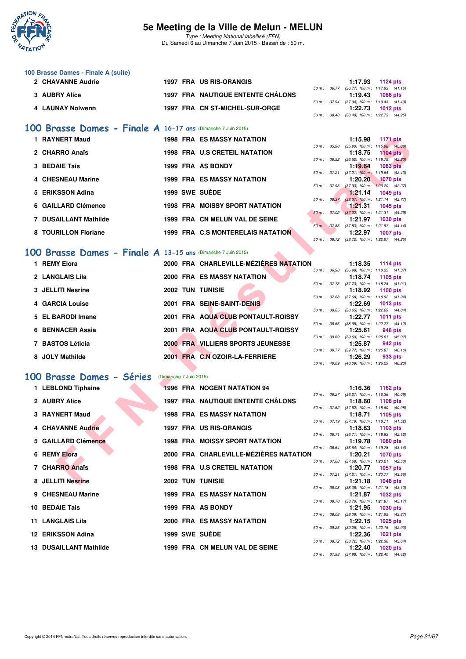

Type : Meeting National labellisé (FFN) Du Samedi 6 au Dimanche 7 Juin 2015 - Bassin de : 50 m.

| 100 Brasse Dames - Finale A (suite) |  |                                          |              |              |                                            |
|-------------------------------------|--|------------------------------------------|--------------|--------------|--------------------------------------------|
| 2 CHAVANNE Audrie                   |  | 1997 FRA US RIS-ORANGIS                  |              |              | 1:17.93 $1124 \text{ pts}$                 |
|                                     |  |                                          | 50 m : 36.77 |              | $(36.77)$ 100 m : 1:17.93 $(41.16)$        |
| 3 AUBRY Alice                       |  | <b>1997 FRA NAUTIQUE ENTENTE CHÂLONS</b> |              |              | $1:19.43$ 1088 pts                         |
|                                     |  |                                          |              |              | 50 m: 37.94 (37.94) 100 m: 1:19.43 (41.49) |
| 4 LAUNAY Nolwenn                    |  | 1997 FRA CN ST-MICHEL-SUR-ORGE           |              |              | $1:22.73$ 1012 pts                         |
|                                     |  |                                          |              | 50 m : 38.48 | $(38.48)$ 100 m : 1:22.73 $(44.25)$        |

### **[100 Brasse Dames - Finale A](http://www.ffnatation.fr/webffn/resultats.php?idact=nat&go=epr&idcpt=31115&idepr=22) 16-17 ans** (Dimanche 7 Juin 2015)

| 1 RAYNERT Maud               | <b>1998 FRA ES MASSY NATATION</b>     |              | 1:15.98 | <b>1171 pts</b>                              |
|------------------------------|---------------------------------------|--------------|---------|----------------------------------------------|
|                              |                                       | 50 m : 35.90 |         | $(35.90)$ 100 m : 1:15.98 $(40.08)$          |
| 2 CHARRO Anaïs               | <b>1998 FRA U.S CRETEIL NATATION</b>  |              | 1:18.75 | $1104$ pts                                   |
|                              |                                       | 50 m : 36.52 |         | $(36.52)$ 100 m : 1:18.75 $(42.23)$          |
| 3 BEDAIE Tais                | 1999 FRA AS BONDY                     |              | 1:19.64 | 1083 pts                                     |
|                              |                                       |              |         | 50 m : 37.21 (37.21) 100 m : 1:19.64 (42.43) |
| 4 CHESNEAU Marine            | <b>1999 FRA ES MASSY NATATION</b>     |              | 1:20.20 | <b>1070 pts</b>                              |
|                              |                                       | 50 m : 37.93 |         | $(37.93)$ 100 m : 1:20.20 $(42.27)$          |
| 5 ERIKSSON Adina             | 1999 SWE SUÈDE                        |              |         | $1:21.14$ 1049 pts                           |
|                              |                                       | 50 m: 38.37  |         | $(38.37)$ 100 m : 1:21.14 $(42.77)$          |
| 6 GAILLARD Clémence          | <b>1998 FRA MOISSY SPORT NATATION</b> |              | 1:21.31 | 1045 pts                                     |
|                              |                                       | 50 m: 37.02  |         | $(37.02)$ 100 m : 1:21.31 $(44.29)$          |
| <b>7 DUSAILLANT Mathilde</b> | 1999 FRA CN MELUN VAL DE SEINE        |              | 1:21.97 | 1030 pts                                     |
|                              |                                       | 50 m : 37.83 |         | $(37.83)$ 100 m : 1:21.97 $(44.14)$          |
| 8 TOURILLON Floriane         | 1999 FRA C.S MONTERELAIS NATATION     |              | 1:22.97 | <b>1007 pts</b>                              |
|                              |                                       |              |         | 50 m: 38.72 (38.72) 100 m: 1:22.97 (44.25)   |

#### **[100 Brasse Dames - Finale A](http://www.ffnatation.fr/webffn/resultats.php?idact=nat&go=epr&idcpt=31115&idepr=22) 13-15 ans** (Dimanche 7 Juin 2015)

|   | 1 RAYNERT Maud                                                 |                        | <b>1998 FRA ES MASSY NATATION</b>        |                  |              | 1:15.98                                               | <b>1171 pts</b> |  |
|---|----------------------------------------------------------------|------------------------|------------------------------------------|------------------|--------------|-------------------------------------------------------|-----------------|--|
|   |                                                                |                        |                                          | 50 m : 35.90     |              | $(35.90)$ 100 m : 1:15.98 $(40.08)$                   |                 |  |
|   | 2 CHARRO Anaïs                                                 |                        | <b>1998 FRA U.S CRETEIL NATATION</b>     |                  |              | 1:18.75                                               | $1104$ pts      |  |
|   | <b>3 BEDAIE Tais</b>                                           |                        | 1999 FRA AS BONDY                        |                  |              | 50 m: 36.52 (36.52) 100 m: 1:18.75 (42.23)<br>1:19.64 | <b>1083 pts</b> |  |
|   |                                                                |                        |                                          |                  | 50 m : 37.21 | $(37.21)$ 100 m : 1:19.64 $(42.43)$                   |                 |  |
|   | <b>CHESNEAU Marine</b>                                         |                        | <b>1999 FRA ES MASSY NATATION</b>        |                  |              | 1:20.20                                               | <b>1070 pts</b> |  |
|   |                                                                |                        |                                          | 50 m : 37.93     |              | $(37.93)$ 100 m : 1:20.20 $(42.27)$                   |                 |  |
|   | <b>ERIKSSON Adina</b>                                          |                        | 1999 SWE SUEDE                           |                  |              | 1:21.14                                               | <b>1049 pts</b> |  |
|   |                                                                |                        |                                          | $50 m$ : $38.37$ |              | $(38.37)$ 100 m : 1:21.14 $(42.77)$                   |                 |  |
| 6 | <b>GAILLARD Clémence</b>                                       |                        | <b>1998 FRA MOISSY SPORT NATATION</b>    |                  |              | 1:21.31<br>50 m: 37.02 (37.02) 100 m: 1:21.31 (44.29) | 1045 pts        |  |
|   | <b>DUSAILLANT Mathilde</b>                                     |                        | 1999 FRA CN MELUN VAL DE SEINE           |                  |              | 1:21.97                                               | 1030 pts        |  |
|   |                                                                |                        |                                          |                  |              | 50 m: 37.83 (37.83) 100 m: 1:21.97 (44.14)            |                 |  |
| 8 | <b>TOURILLON Floriane</b>                                      |                        | 1999 FRA C.S MONTERELAIS NATATION        |                  |              | 1:22.97                                               | <b>1007 pts</b> |  |
|   |                                                                |                        |                                          |                  |              | 50 m: 38.72 (38.72) 100 m: 1:22.97 (44.25)            |                 |  |
|   |                                                                |                        |                                          |                  |              |                                                       |                 |  |
|   | $100$ Brasse Dames - Finale A 13-15 ans (Dimanche 7 Juin 2015) |                        |                                          |                  |              |                                                       |                 |  |
|   | 1 REMY Elora                                                   |                        | 2000 FRA CHARLEVILLE-MÉZIÈRES NATATION   |                  |              | 1:18.35                                               | 1114 pts        |  |
|   |                                                                |                        |                                          | 50 m : 36.98     |              | $(36.98)$ 100 m : 1:18.35 $(41.37)$                   |                 |  |
|   | 2 LANGLAIS Lila                                                |                        | <b>2000 FRA ES MASSY NATATION</b>        |                  |              | 1:18.74                                               | 1105 pts        |  |
|   |                                                                |                        |                                          |                  |              | 50 m: 37.73 (37.73) 100 m: 1:18.74 (41.01)            |                 |  |
| 3 | <b>JELLITI Nesrine</b>                                         |                        | <b>2002 TUN TUNISIE</b>                  |                  |              | 1:18.92                                               | <b>1100 pts</b> |  |
|   | 4 GARCIA Louise                                                |                        | 2001 FRA SEINE-SAINT-DENIS               |                  |              | 50 m: 37.68 (37.68) 100 m: 1:18.92 (41.24)<br>1:22.69 |                 |  |
|   |                                                                |                        |                                          |                  |              | 50 m : 38.65 (38.65) 100 m : 1:22.69 (44.04)          | 1013 pts        |  |
| 5 | <b>EL BARODI Imane</b>                                         |                        | 2001 FRA AQUA CLUB PONTAULT-ROISSY       |                  |              | 1:22.77                                               | <b>1011 pts</b> |  |
|   |                                                                |                        |                                          | 50 m : 38.65     |              | $(38.65)$ 100 m : 1:22.77 $(44.12)$                   |                 |  |
|   | <b>BENNACER Assia</b>                                          |                        | 2001 FRA AQUA CLUB PONTAULT-ROISSY       |                  |              | 1:25.61                                               | 948 pts         |  |
|   |                                                                |                        |                                          |                  |              | 50 m: 39.69 (39.69) 100 m: 1:25.61 (45.92)            |                 |  |
|   | 7 BASTOS Léticia                                               |                        | 2000 FRA VILLIERS SPORTS JEUNESSE        |                  |              | 1:25.87                                               | 942 pts         |  |
|   | 8 JOLY Mathilde                                                |                        | 2001 FRA C.N OZOIR-LA-FERRIERE           |                  |              | 50 m: 39.77 (39.77) 100 m: 1:25.87 (46.10)<br>1:26.29 | 933 pts         |  |
|   |                                                                |                        |                                          |                  | 50 m : 40.09 | $(40.09)$ 100 m : 1:26.29 $(46.20)$                   |                 |  |
|   |                                                                |                        |                                          |                  |              |                                                       |                 |  |
|   | 100 Brasse Dames - Séries                                      | (Dimanche 7 Juin 2015) |                                          |                  |              |                                                       |                 |  |
|   | 1 LEBLOND Tiphaine                                             |                        | 1996 FRA NOGENT NATATION 94              |                  |              | 1:16.36                                               | 1162 pts        |  |
|   |                                                                |                        |                                          |                  |              | 50 m: 36.27 (36.27) 100 m: 1:16.36 (40.09)            |                 |  |
|   | 2 AUBRY Alice                                                  |                        | <b>1997 FRA NAUTIQUE ENTENTE CHÂLONS</b> |                  |              | 1:18.60                                               | 1108 pts        |  |
|   |                                                                |                        |                                          |                  |              | 50 m: 37.62 (37.62) 100 m: 1:18.60 (40.98)            |                 |  |
| з | <b>RAYNERT Maud</b>                                            |                        | <b>1998 FRA ES MASSY NATATION</b>        |                  |              | 1:18.71                                               | 1105 pts        |  |
|   |                                                                |                        |                                          |                  |              | 50 m: 37.19 (37.19) 100 m: 1:18.71 (41.52)            |                 |  |
|   | <b>CHAVANNE Audrie</b>                                         |                        | 1997 FRA US RIS-ORANGIS                  |                  |              | 1:18.83                                               | 1103 pts        |  |
|   | <b>GAILLARD Clémence</b>                                       |                        | <b>1998 FRA MOISSY SPORT NATATION</b>    |                  | 50 m: 36.71  | $(36.71)$ 100 m : 1:18.83 $(42.12)$<br>1:19.78        | <b>1080 pts</b> |  |
|   |                                                                |                        |                                          | 50 m : 36.64     |              | $(36.64)$ 100 m : 1:19.78 $(43.14)$                   |                 |  |
| 6 | <b>REMY Elora</b>                                              |                        | 2000 FRA CHARLEVILLE-MÉZIÈRES NATATION   |                  |              | 1:20.21                                               | <b>1070 pts</b> |  |
|   |                                                                |                        |                                          |                  | 50 m : 37.68 | $(37.68)$ 100 m : 1:20.21 $(42.53)$                   |                 |  |
|   | 7 CHARRO Anaïs                                                 |                        | <b>1998 FRA U.S CRETEIL NATATION</b>     |                  |              | 1:20.77                                               | <b>1057 pts</b> |  |
|   |                                                                |                        |                                          |                  |              | 50 m: 37.21 (37.21) 100 m: 1:20.77 (43.56)            |                 |  |
|   | 8 JELLITI Nesrine                                              |                        | <b>2002 TUN TUNISIE</b>                  |                  |              | 1:21.18                                               | 1048 pts        |  |

#### **[100 Brasse Dames - Séries](http://www.ffnatation.fr/webffn/resultats.php?idact=nat&go=epr&idcpt=31115&idepr=22)** (Dimanche 7 Juin 2015)

| 1 LEBLOND Tiphaine     |  | <b>1996 FRA NOGENT NATATION 94</b>     |  | 1:16.36 1162 pts                                            |  |
|------------------------|--|----------------------------------------|--|-------------------------------------------------------------|--|
| 2 AUBRY Alice          |  | 1997 FRA NAUTIQUE ENTENTE CHÂLONS      |  | 50 m: 36.27 (36.27) 100 m: 1:16.36 (40.<br>1:18.60 1108 pts |  |
| 3 RAYNERT Maud         |  | <b>1998 FRA ES MASSY NATATION</b>      |  | 50 m: 37.62 (37.62) 100 m: 1:18.60 (40.<br>1:18.71 1105 pts |  |
| 4 CHAVANNE Audrie      |  | 1997 FRA US RIS-ORANGIS                |  | 50 m: 37.19 (37.19) 100 m: 1:18.71 (41.<br>1:18.83 1103 pts |  |
| 5 GAILLARD Clémence    |  | <b>1998 FRA MOISSY SPORT NATATION</b>  |  | 50 m: 36.71 (36.71) 100 m: 1:18.83 (42.<br>1:19.78 1080 pts |  |
| 6 REMY Elora           |  | 2000 FRA CHARLEVILLE-MÉZIÈRES NATATION |  | 50 m: 36.64 (36.64) 100 m: 1:19.78 (43.<br>1:20.21 1070 pts |  |
| 7 CHARRO Anaïs         |  | <b>1998 FRA U.S CRETEIL NATATION</b>   |  | 50 m: 37.68 (37.68) 100 m: 1:20.21 (42.<br>1:20.77 1057 pts |  |
| 8 JELLITI Nesrine      |  | <b>2002 TUN TUNISIE</b>                |  | 50 m: 37.21 (37.21) 100 m: 1:20.77 (43.<br>1:21.18 1048 pts |  |
| 9 CHESNEAU Marine      |  | <b>1999 FRA ES MASSY NATATION</b>      |  | 50 m: 38.08 (38.08) 100 m: 1:21.18 (43.<br>1:21.87 1032 pts |  |
| 10 BEDAIE Tais         |  | 1999 FRA AS BONDY                      |  | 50 m: 38.70 (38.70) 100 m: 1:21.87 (43.<br>1:21.95 1030 pts |  |
| 11 LANGLAIS Lila       |  | <b>2000 FRA ES MASSY NATATION</b>      |  | 50 m: 38.08 (38.08) 100 m: 1:21.95 (43.<br>1:22.15 1025 pts |  |
| 12 ERIKSSON Adina      |  | 1999 SWE SUÈDE                         |  | 50 m: 39.25 (39.25) 100 m: 1:22.15 (42.<br>1:22.36 1021 pts |  |
| 13 DUSAILLANT Mathilde |  | 1999 FRA CN MELUN VAL DE SEINE         |  | 50 m: 38.72 (38.72) 100 m: 1:22.36 (43.<br>1:22.40 1020 pts |  |

|              |              | 1:18.35           | <b>1114 pts</b>     |
|--------------|--------------|-------------------|---------------------|
| $50 m$ :     | 36.98        | $(36.98) 100 m$ : | $1:18.35$ $(41.37)$ |
|              |              | 1:18.74           | 1105 pts            |
| 50 m: 37.73  |              | $(37.73) 100 m$ : | $1:18.74$ $(41.01)$ |
|              |              | 1:18.92           | 1100 pts            |
| 50 m : 37.68 |              | $(37.68) 100 m$ : | $1:18.92$ $(41.24)$ |
|              |              | 1:22.69           | 1013 pts            |
| 50 m: 38.65  |              | $(38.65)$ 100 m : | 1:22.69 (44.04)     |
|              |              | 1:22.77           | 1011 pts            |
| 50 m: 38.65  |              | $(38.65)$ 100 m : | $1:22.77$ $(44.12)$ |
|              |              | 1:25.61           | 948 pts             |
| $50 m$ :     | 39.69        | $(39.69)$ 100 m : | 1:25.61 (45.92)     |
|              |              | 1:25.87           | 942 pts             |
|              | 50 m : 39.77 | $(39.77) 100 m$ : | $1:25.87$ $(46.10)$ |
|              |              |                   | $1:26.29$ 933 pts   |
| $50 m$ :     | 40.09        | $(40.09)$ 100 m : | 1:26.29 (46.20)     |

|                  |       | 1:16.36           | 1162 pts            |  |
|------------------|-------|-------------------|---------------------|--|
| $50 m$ : $36.27$ |       | $(36.27)$ 100 m : | 1:16.36 (40.09)     |  |
|                  |       | 1:18.60           | 1108 pts            |  |
| 50 m : 37.62     |       | $(37.62)$ 100 m : | 1:18.60 (40.98)     |  |
|                  |       | 1:18.71           | 1105 pts            |  |
| 50 m: 37.19      |       | $(37.19) 100 m$ : | $1:18.71$ $(41.52)$ |  |
|                  |       | 1:18.83           | 1103 pts            |  |
| $50 m$ : $36.71$ |       | $(36.71)$ 100 m : | $1:18.83$ $(42.12)$ |  |
|                  |       | 1:19.78           | 1080 pts            |  |
| $50 m$ :         | 36.64 | $(36.64) 100 m$ : | $1:19.78$ $(43.14)$ |  |
|                  |       | 1:20.21           | 1070 pts            |  |
| $50 m$ :         | 37.68 | $(37.68) 100 m$ : | $1:20.21$ $(42.53)$ |  |
|                  |       | 1:20.77           | 1057 pts            |  |
| 50 m: 37.21      |       | $(37.21)$ 100 m : | 1:20.77 (43.56)     |  |
|                  |       | 1:21.18           | 1048 pts            |  |
| 50 m: 38.08      |       | $(38.08) 100 m$ : | $1:21.18$ $(43.10)$ |  |
|                  |       | 1:21.87           | 1032 pts            |  |
| 50 m : 38.70     |       | $(38.70)$ 100 m : | $1:21.87$ $(43.17)$ |  |
|                  |       | 1:21.95           | 1030 pts            |  |
| 50 m : 38.08     |       | $(38.08) 100 m$ : | 1:21.95 (43.87)     |  |
|                  |       | 1:22.15           | 1025 pts            |  |
| 50 m: 39.25      |       | $(39.25)$ 100 m : | 1:22.15 (42.90)     |  |
|                  |       | 1:22.36 1021 pts  |                     |  |
| 50 m: 38.72      |       | $(38.72) 100 m$ : | 1:22.36 (43.64)     |  |
|                  |       | 1:22.40           | 1020 pts            |  |
| 50 m: 37.98      |       | $(37.98) 100 m$ : | 1:22.40 (44.42)     |  |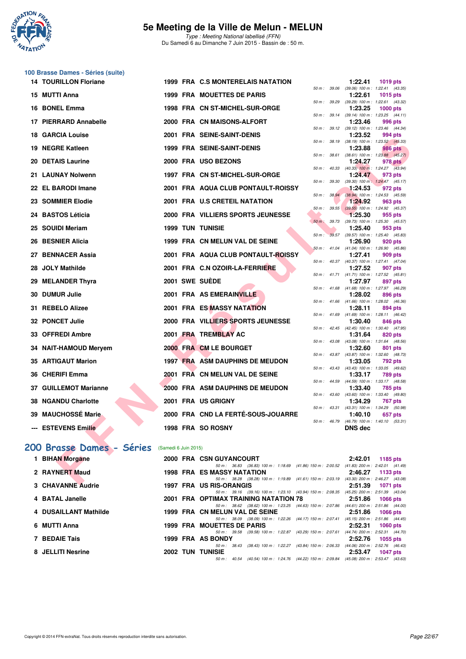

Type : Meeting National labellisé (FFN) Du Samedi 6 au Dimanche 7 Juin 2015 - Bassin de : 50 m.

| 100 Brasse Dames - Séries (suite) |
|-----------------------------------|
| <b>14 TOURILLON Floriane</b>      |

| <b>14 TOURILLON Floriane</b>                  |  | 1999 FRA C.S MONTERELAIS NATATION                                                                                             |              | 1:22.41                                                      | <b>1019 pts</b> |  |
|-----------------------------------------------|--|-------------------------------------------------------------------------------------------------------------------------------|--------------|--------------------------------------------------------------|-----------------|--|
| 15 MUTTI Anna                                 |  | <b>1999 FRA MOUETTES DE PARIS</b>                                                                                             |              | 50 m: 39.06 (39.06) 100 m: 1:22.41 (43.35)<br>1:22.61        | <b>1015 pts</b> |  |
|                                               |  |                                                                                                                               |              | 50 m: 39.29 (39.29) 100 m: 1:22.61 (43.32)                   |                 |  |
| 16 BONEL Emma                                 |  | 1998 FRA CN ST-MICHEL-SUR-ORGE                                                                                                |              | 1:23.25<br>50 m: 39.14 (39.14) 100 m: 1:23.25 (44.11)        | 1000 $pts$      |  |
| 17 PIERRARD Annabelle                         |  | 2000 FRA CN MAISONS-ALFORT                                                                                                    |              | 1:23.46<br>50 m: 39.12 (39.12) 100 m: 1:23.46 (44.34)        | 996 pts         |  |
| 18 GARCIA Louise                              |  | 2001 FRA SEINE-SAINT-DENIS                                                                                                    |              | 1:23.52                                                      | 994 pts         |  |
| 19 NEGRE Katleen                              |  | <b>1999 FRA SEINE-SAINT-DENIS</b>                                                                                             | 50 m : 38.19 | $(38.19)$ 100 m : 1:23.52 $(45.33)$<br>1:23.88               | 986 pts         |  |
| <b>20 DETAIS Laurine</b>                      |  | 2000 FRA USO BEZONS                                                                                                           |              | 50 m: 38.61 (38.61) 100 m: 1:23.88 (45.27)<br>1:24.27        | 978 pts         |  |
|                                               |  |                                                                                                                               |              | 50 m : 40.33 (40.33) 100 m : 1:24.27 (43.94)                 |                 |  |
| 21 LAUNAY Nolwenn                             |  | 1997 FRA CN ST-MICHEL-SUR-ORGE                                                                                                |              | 1:24.47<br>50 m: 39.30 (39.30) 100 m: 1:24.47 (45.17)        | 973 pts         |  |
| 22 EL BARODI Imane                            |  | 2001 FRA AQUA CLUB PONTAULT-ROISSY                                                                                            | 50 m: 38.94  | 1:24.53                                                      | 972 pts         |  |
| 23 SOMMIER Elodie                             |  | 2001 FRA U.S CRETEIL NATATION                                                                                                 |              | $(38.94)$ 100 m : 1:24.53 $(45.59)$<br>1:24.92               | 963 pts         |  |
| 24 BASTOS Léticia                             |  | 2000 FRA VILLIERS SPORTS JEUNESSE                                                                                             | 50 m: 39.55  | $(39.55)$ 100 m : 1:24.92 $(45.37)$<br>1:25.30               | 955 pts         |  |
|                                               |  |                                                                                                                               |              | 50 m : 39.73 (39.73) 100 m : 1:25.30 (45.57)                 |                 |  |
| 25 SOUIDI Meriam                              |  | <b>1999 TUN TUNISIE</b>                                                                                                       |              | 1:25.40<br>50 m : 39.57 (39.57) 100 m : 1:25.40 (45.83)      | 953 pts         |  |
| 26 BESNIER Alicia                             |  | 1999 FRA CN MELUN VAL DE SEINE                                                                                                |              | 1:26.90                                                      | 920 pts         |  |
| 27   BENNACER Assia                           |  | 2001 FRA AQUA CLUB PONTAULT-ROISSY                                                                                            |              | 50 m : 41.04 (41.04) 100 m : 1:26.90 (45.86)<br>1:27.41      | 909 pts         |  |
| 28 JOLY Mathilde                              |  | 2001 FRA C.N OZOIR-LA-FERRIERE                                                                                                |              | 50 m: 40.37 (40.37) 100 m: 1:27.41 (47.04)<br>1:27.52        | 907 pts         |  |
|                                               |  |                                                                                                                               |              | 50 m: 41.71 (41.71) 100 m: 1:27.52 (45.81)                   |                 |  |
| 29 MELANDER Thyra                             |  | 2001 SWE SUEDE                                                                                                                |              | 1:27.97<br>50 m: 41.68 (41.68) 100 m: 1:27.97 (46.29)        | 897 pts         |  |
| 30 DUMUR Julie                                |  | 2001 FRA AS EMERAINVILLE                                                                                                      |              | 1:28.02                                                      | 896 pts         |  |
| <b>31 REBELO Alizee</b>                       |  | 2001 FRA ES MASSY NATATION                                                                                                    |              | 50 m: 41.66 (41.66) 100 m: 1:28.02 (46.36)<br>1:28.11        | 894 pts         |  |
| 32 PONCET Julie                               |  | 2000 FRA VILLIERS SPORTS JEUNESSE                                                                                             |              | 50 m: 41.69 (41.69) 100 m: 1:28.11 (46.42)<br>1:30.40        | 846 pts         |  |
|                                               |  |                                                                                                                               |              | 50 m: 42.45 (42.45) 100 m: 1:30.40 (47.95)                   |                 |  |
| 33 OFFREDI Ambre                              |  | 2001 FRA TREMBLAY AC                                                                                                          |              | 1:31.64<br>50 m: 43.08 (43.08) 100 m: 1:31.64 (48.56)        | 820 pts         |  |
| 34 NAIT-HAMOUD Meryem                         |  | 2000 FRA CM LE BOURGET                                                                                                        |              | 1:32.60                                                      | 801 pts         |  |
| 35 ARTIGAUT Marion                            |  | 1997 FRA ASM DAUPHINS DE MEUDON                                                                                               |              | 50 m: 43.87 (43.87) 100 m: 1:32.60 (48.73)<br>1:33.05        | <b>792 pts</b>  |  |
| 36 CHERIFI Emma                               |  | 2001 FRA CN MELUN VAL DE SEINE                                                                                                |              | 50 m: 43.43 (43.43) 100 m: 1:33.05 (49.62)<br>1:33.17        | 789 pts         |  |
|                                               |  |                                                                                                                               |              | 50 m: 44.59 (44.59) 100 m: 1:33.17 (48.58)                   |                 |  |
| 37 GUILLEMOT Marianne                         |  | 2000 FRA ASM DAUPHINS DE MEUDON                                                                                               |              | 1:33.40<br>50 m: 43.60 (43.60) 100 m: 1:33.40 (49.80)        | 785 pts         |  |
| 38 NGANDU Charlotte                           |  | 2001 FRA US GRIGNY                                                                                                            |              | 1:34.29                                                      | <b>767 pts</b>  |  |
| <b>39 MAUCHOSSE Marie</b>                     |  | 2000 FRA CND LA FERTE-SOUS-JOUARRE                                                                                            |              | 50 m: 43.31 (43.31) 100 m: 1:34.29 (50.98)<br>1:40.10        | 657 pts         |  |
| --- ESTEVENS Emilie                           |  | 1998 FRA SO ROSNY                                                                                                             |              | 50 m: 46.79 (46.79) 100 m: 1:40.10 (53.31)<br><b>DNS dec</b> |                 |  |
|                                               |  |                                                                                                                               |              |                                                              |                 |  |
| 00 Brasse Dames - Séries (Samedi 6 Juin 2015) |  |                                                                                                                               |              |                                                              |                 |  |
| 1 BIHAN Morgane                               |  | 2000 FRA CSN GUYANCOURT                                                                                                       |              | 2:42.01                                                      | 1185 pts        |  |
| 2 RAYNERT Maud                                |  | 50 m: 36.83 (36.83) 100 m: 1:18.69 (41.86) 150 m: 2:00.52 (41.83) 200 m: 2:42.01 (41.49)<br><b>1998 FRA ES MASSY NATATION</b> |              | 2:46.27                                                      | 1133 pts        |  |
|                                               |  | 50 m : 38.28 (38.28) 100 m : 1:19.89 (41.61) 150 m : 2:03.19 (43.30) 200 m : 2:46.27 (43.08)                                  |              |                                                              |                 |  |
| $0.0114 \text{V}$ ANINIT Anders               |  | 4007 FBA HC BIC OBANOIC                                                                                                       |              | $0.54.00 \times 0.74 \times 1$                               |                 |  |

| $50 m$ : | 39.06 | $(39.06) 100 m$ : | 1:22.41             | (43.35) |
|----------|-------|-------------------|---------------------|---------|
|          |       | 1:22.61           | 1015 pts            |         |
| $50 m$ : | 39.29 | (39.29) 100 m :   | 1:22.61             | (43.32) |
|          |       | 1:23.25           | <b>1000 pts</b>     |         |
| $50 m$ : | 39.14 | $(39.14) 100 m$ : | 1:23.25             | (44.11) |
|          |       | 1:23.46           | 996 pts             |         |
| $50 m$ : | 39.12 | $(39.12)$ 100 m : | 1:23.46             | (44.34) |
|          |       | 1:23.52           | 994 pts             |         |
| $50 m$ : | 38.19 | $(38.19) 100 m$ : | 1:23.52             | (45.33) |
|          |       | 1:23.88           | <b>986 pts</b>      |         |
| $50 m$ : | 38.61 | $(38.61)$ 100 m : | 1:23.88             | (45.27) |
|          |       | 1:24.27           | 978 pts             |         |
| $50 m$ : | 40.33 | $(40.33)$ 100 m : | 1:24.27             | (43.94) |
|          |       | 1:24.47           | 973 pts             |         |
| $50 m$ : | 39.30 | $(39.30)$ 100 m : | 1:24.47             | (45.17) |
|          |       | 1:24.53           | 972 pts             |         |
| $50 m$ : | 38.94 | $(38.94) 100 m$ : | 1:24.53 (45.59)     |         |
|          |       | 1:24.92           | 963 pts             |         |
| $50 m$ : | 39.55 | $(39.55)$ 100 m : | 1:24.92             | (45.37) |
|          |       | 1:25.30           | 955 pts             |         |
| $50 m$ : | 39.73 | $(39.73) 100 m$ : | 1:25.30             | (45.57) |
|          |       | 1:25.40           | 953 pts             |         |
| $50 m$ : | 39.57 | (39.57) 100 m :   | 1:25.40             | (45.83) |
|          |       | 1:26.90           | 920 pts             |         |
| $50 m$ : | 41.04 | $(41.04) 100 m$ : | 1:26.90             | (45.86) |
|          |       | 1:27.41           | 909 pts             |         |
| $50 m$ : | 40.37 | $(40.37) 100 m$ : | 1:27.41             | (47.04) |
|          |       | 1:27.52           | 907 pts             |         |
| $50 m$ : | 41.71 | $(41.71) 100 m$ : | 1:27.52             | (45.81) |
|          |       | 1:27.97           | 897 pts             |         |
| $50 m$ : | 41.68 | $(41.68) 100 m$ : | 1:27.97             | (46.29) |
|          |       | 1:28.02           | 896 pts             |         |
| $50 m$ : | 41.66 | $(41.66) 100 m$ : | 1:28.02             | (46.36) |
|          |       | 1:28.11           | <b>894 pts</b>      |         |
| $50 m$ : | 41.69 | $(41.69) 100 m$ : | 1:28.11             | (46.42) |
|          |       | 1:30.40           | 846 pts             |         |
| $50 m$ : | 42.45 | $(42.45)$ 100 m : | 1:30.40             | (47.95) |
|          |       | 1:31.64           | <b>820 pts</b>      |         |
| $50 m$ : | 43.08 | (43.08) 100 m :   | 1:31.64             | (48.56) |
|          |       | 1:32.60           | 801                 | pts     |
| $50 m$ : | 43.87 | $(43.87) 100 m$ : | 1:32.60             | (48.73) |
|          |       | 1:33.05           | 792 pts             |         |
| $50 m$ : | 43.43 | $(43.43) 100 m$ : | 1:33.05             | (49.62) |
|          |       | 1:33.17           | <b>789 pts</b>      |         |
| $50 m$ : | 44.59 | $(44.59) 100 m$ : | 1:33.17             | (48.58) |
|          |       | 1:33.40           | 785 pts             |         |
| $50 m$ : | 43.60 | $(43.60)$ 100 m : | 1:33.40             | (49.80) |
|          |       | 1:34.29           | <b>767 pts</b>      |         |
| $50 m$ : | 43.31 | $(43.31)$ 100 m : | 1:34.29             | (50.98) |
|          |       | 1:40.10           | 657 pts             |         |
| $50 m$ : | 46.79 | $(46.79) 100 m$ : | $1:40.10$ $(53.31)$ |         |
|          |       | <b>DNS dec</b>    |                     |         |

## **[200 Brasse Dames - Séries](http://www.ffnatation.fr/webffn/resultats.php?idact=nat&go=epr&idcpt=31115&idepr=23)** (Samedi 6 Juin 2015)

| 1 BIHAN Morgane       |                 | 2000 FRA CSN GUYANCOURT                                                                 | 2:42.01 | 1185 $p$ ts                     |
|-----------------------|-----------------|-----------------------------------------------------------------------------------------|---------|---------------------------------|
|                       |                 | 50 m: 36.83 (36.83) 100 m: 1:18.69 (41.86) 150 m: 2:00.52 (41.83) 200 m: 2:42.01 (41.49 |         |                                 |
| 2 RAYNERT Maud        |                 | <b>1998 FRA ES MASSY NATATION</b>                                                       | 2:46.27 | 1133 $pts$                      |
|                       |                 | 50 m: 38.28 (38.28) 100 m: 1:19.89 (41.61) 150 m: 2:03.19                               |         | (43.30) 200 m : 2:46.27 (43.08  |
| 3 CHAVANNE Audrie     |                 | 1997 FRA US RIS-ORANGIS                                                                 | 2:51.39 | 1071 pts                        |
|                       |                 | 50 m: 39.16 (39.16) 100 m: 1:23.10 (43.94) 150 m: 2:08.35                               |         | (45.25) 200 m : 2:51.39 (43.04) |
| 4 BATAL Janelle       |                 | 2001 FRA OPTIMAX TRAINING NATATION 78                                                   | 2:51.86 | 1066 pts                        |
|                       |                 | 50 m : 38.62 (38.62) 100 m : 1:23.25 (44.63) 150 m : 2:07.86                            |         | (44.61) 200 m : 2:51.86 (44.00  |
| 4 DUSAILLANT Mathilde |                 | 1999 FRA CN MELUN VAL DE SEINE                                                          | 2:51.86 | 1066 pts                        |
|                       |                 | 50 m : 38.09 (38.09) 100 m : 1:22.26 (44.17) 150 m : 2:07.41                            |         | (45.15) 200 m : 2:51.86 (44.45) |
| 6 MUTTI Anna          |                 | 1999 FRA MOUETTES DE PARIS                                                              | 2:52.31 | 1060 pts                        |
|                       |                 | (39.58) 100 m : 1:22.87 (43.29) 150 m : 2:07.61<br>50 m : 39.58                         |         | (44.74) 200 m : 2:52.31 (44.70  |
| 7 BEDAIE Tais         |                 | 1999 FRA AS BONDY                                                                       | 2:52.76 | 1055 pts                        |
|                       |                 | $(43.84)$ 150 m : 2:06.33<br>$(38.43)$ 100 m : 1:22.27<br>38.43<br>50 m :               |         | (44.06) 200 m : 2:52.76 (46.43) |
| 8 JELLITI Nesrine     | <b>2002 TUN</b> | <b>TUNISIE</b>                                                                          | 2:53.47 | <b>1047 pts</b>                 |
|                       |                 | 50 m : 40.54 (40.54) 100 m : 1:24.76 (44.22) 150 m : 2:09.84                            |         | (45.08) 200 m : 2:53.47 (43.63  |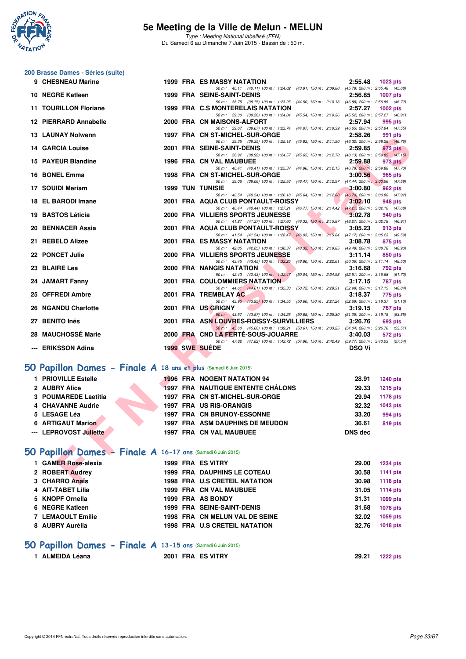

Type : Meeting National labellisé (FFN) Du Samedi 6 au Dimanche 7 Juin 2015 - Bassin de : 50 m.

## **200 Brasse Dames - Séries (suite)**

| 9 CHESNEAU Marine                                                |  | 1999 FRA ES MASSY NATATION                                                                                                           | 2:55.48        | 1023 pts        |
|------------------------------------------------------------------|--|--------------------------------------------------------------------------------------------------------------------------------------|----------------|-----------------|
| 10 NEGRE Katleen                                                 |  | 50 m: 40.11 (40.11) 100 m: 1:24.02 (43.91) 150 m: 2:09.80 (45.78) 200 m: 2:55.48 (45.68)<br><b>1999 FRA SEINE-SAINT-DENIS</b>        | 2:56.85        | <b>1007 pts</b> |
| <b>11 TOURILLON Floriane</b>                                     |  | 50 m: 38.75 (38.75) 100 m: 1:23.25 (44.50) 150 m: 2:10.13 (46.88) 200 m: 2:56.85 (46.72)<br>1999 FRA C.S MONTERELAIS NATATION        | 2:57.27        |                 |
|                                                                  |  | 50 m: 39.30 (39.30) 100 m: 1:24.84 (45.54) 150 m: 2:10.36 (45.52) 200 m: 2:57.27 (46.91)                                             |                | <b>1002 pts</b> |
| 12 PIERRARD Annabelle                                            |  | 2000 FRA CN MAISONS-ALFORT                                                                                                           | 2:57.94        | 995 pts         |
| <b>13 LAUNAY Nolwenn</b>                                         |  | 50 m: 39.67 (39.67) 100 m: 1:23.74 (44.07) 150 m: 2:10.39 (46.65) 200 m: 2:57.94 (47.55)<br>1997 FRA CN ST-MICHEL-SUR-ORGE           | 2:58.26        | 991 pts         |
| <b>14 GARCIA Louise</b>                                          |  | 50 m: 39.35 (39.35) 100 m: 1:25.18 (45.83) 150 m: 2:11.50 (46.32) 200 m: 2:58.26 (46.76)<br>2001 FRA SEINE-SAINT-DENIS               | 2:59.85        | 973 pts         |
|                                                                  |  | 50 m: 38.92 (38.92) 100 m: 1:24.57 (45.65) 150 m: 2:12.70 (48.13) 200 m: 2:59.85 (47.15)                                             |                |                 |
| 15 PAYEUR Blandine                                               |  | 1996 FRA CN VAL MAUBUEE<br>50 m: 40.41 (40.41) 100 m: 1:25.37 (44.96) 150 m: 2:12.15 (46.78) 200 m: 2:59.88 (47.73)                  | 2:59.88        | 973 pts         |
| 16 BONEL Emma                                                    |  | 1998 FRA CN ST-MICHEL-SUR-ORGE                                                                                                       | 3:00.56        | 965 pts         |
| 17 SOUIDI Meriam                                                 |  | 50 m: 39.06 (39.06) 100 m: 1:25.53 (46.47) 150 m: 2:12.97 (47.44) 200 m: 3:00.56 (47.59)<br><b>1999 TUN TUNISIE</b>                  | 3:00.80        | 962 pts         |
|                                                                  |  | 50 m: 40.54 (40.54) 100 m: 1:26.18 (45.64) 150 m: 2:12.88 (46.70) 200 m: 3:00.80 (47.92)                                             |                |                 |
| 18 EL BARODI Imane                                               |  | 2001 FRA AQUA CLUB PONTAULT-ROISSY                                                                                                   | 3:02.10        | 948 pts         |
| 19 BASTOS Léticia                                                |  | 50 m: 40.44 (40.44) 100 m: 1:27.21 (46.77) 150 m: 2:14.42 (47.21) 200 m: 3:02.10 (47.68)<br>2000 FRA VILLIERS SPORTS JEUNESSE        | 3:02.78        | 940 pts         |
|                                                                  |  | 50 m: 41.27 (41.27) 100 m: 1:27.60 (46.33) 150 m: 2:15.87 (48.27) 200 m: 3:02.78 (46.91)                                             |                |                 |
| 20 BENNACER Assia                                                |  | 2001 FRA AQUA CLUB PONTAULT-ROISSY<br>50 m: 41.54 (41.54) 100 m: 1:28.47 (46.93) 150 m: 2:15.64 (47.17) 200 m: 3:05.23 (49.59)       | 3:05.23        | 913 pts         |
| 21 REBELO Alizee                                                 |  | <b>2001 FRA ES MASSY NATATION</b>                                                                                                    | 3:08.78        | 875 pts         |
| 22 PONCET Julie                                                  |  | 50 m: 42.05 (42.05) 100 m: 1:30.37 (48.32) 150 m: 2:19.85 (49.48) 200 m: 3:08.78 (48.93)<br><b>2000 FRA VILLIERS SPORTS JEUNESSE</b> | 3:11.14        | 850 pts         |
|                                                                  |  | 50 m: 43.45 (43.45) 100 m: 1:32.25 (48.80) 150 m: 2:22.61 (50.36) 200 m: 3:11.14 (48.53)                                             |                |                 |
| 23 BLAIRE Lea                                                    |  | 2000 FRA NANGIS NATATION                                                                                                             | 3:16.68        | <b>792 pts</b>  |
| 24 JAMART Fanny                                                  |  | 50 m: 42.43 (42.43) 100 m: 1:32.47 (50.04) 150 m: 2:24.98 (52.51) 200 m: 3:16.68 (51.70)<br><b>2001 FRA COULOMMIERS NATATION</b>     | 3:17.15        | 787 pts         |
|                                                                  |  | 50 m: 44.61 (44.61) 100 m: 1:35.33 (50.72) 150 m: 2:28.31 (52.98) 200 m: 3:17.15 (48.84)                                             |                |                 |
| 25 OFFREDI Ambre                                                 |  | 2001 FRA TREMBLAY AC<br>50 m: 43.95 (43.95) 100 m: 1:34.55 (50.60) 150 m: 2:27.24 (52.69) 200 m: 3:18.37 (51.13)                     | 3:18.37        | 775 pts         |
| 26 NGANDU Charlotte                                              |  | 2001 FRA US GRIGNY                                                                                                                   | 3:19.15        | 767 pts         |
| 27 BENITO Inés                                                   |  | 50 m: 43.57 (43.57) 100 m: 1:34.25 (50.68) 150 m: 2:25.30 (51.05) 200 m: 3:19.15 (53.85)<br>2001 FRA ASN LOUVRES-ROISSY-SURVILLIERS  | 3:26.76        | 693 pts         |
|                                                                  |  | 50 m: 45.60 (45.60) 100 m: 1:39.21 (53.61) 150 m: 2:33.25 (54.04) 200 m: 3:26.76 (53.51)                                             |                |                 |
| 28 MAUCHOSSÉ Marie                                               |  | 2000 FRA CND LA FERTE-SOUS-JOUARRE<br>50 m: 47.82 (47.82) 100 m: 1:42.72 (54.90) 150 m: 2:42.49 (59.77) 200 m: 3:40.03 (57.54)       | 3:40.03        | 572 pts         |
| --- ERIKSSON Adina                                               |  | <b>1999 SWE SUEDE</b>                                                                                                                | <b>DSQ Vi</b>  |                 |
|                                                                  |  |                                                                                                                                      |                |                 |
| iO Papillon Dames - Finale A 18 ans et plus (Samedi 6 Juin 2015) |  |                                                                                                                                      |                |                 |
| 1 PRIOVILLE Estelle                                              |  | <b>1996 FRA NOGENT NATATION 94</b>                                                                                                   | 28.91          | <b>1240 pts</b> |
| 2 AUBRY Alice                                                    |  | <b>1997 FRA NAUTIQUE ENTENTE CHÂLONS</b>                                                                                             | 29.33          | <b>1215 pts</b> |
| 3 POUMAREDE Laetitia                                             |  | 1997 FRA CN ST-MICHEL-SUR-ORGE                                                                                                       | 29.94          | 1178 pts        |
| 4 CHAVANNE Audrie                                                |  | 1997 FRA US RIS-ORANGIS                                                                                                              | 32.32          | 1043 pts        |
| 5 LESAGE Léa                                                     |  | <b>1997 FRA CN BRUNOY-ESSONNE</b>                                                                                                    | 33.20          | 994 pts         |
| <b>6 ARTIGAUT Marion</b>                                         |  | <b>1997 FRA ASM DAUPHINS DE MEUDON</b>                                                                                               | 36.61          | <b>819 pts</b>  |
| --- LEPROVOST Juliette                                           |  | 1997 FRA CN VAL MAUBUEE                                                                                                              | <b>DNS dec</b> |                 |
|                                                                  |  |                                                                                                                                      |                |                 |
| iO Papillon Dames - Finale A 16-17 ans (Samedi 6 Juin 2015)      |  |                                                                                                                                      |                |                 |
| 1 GAMER Rose-alexia                                              |  | 1999 FRA ES VITRY                                                                                                                    | 29.00          | <b>1234 pts</b> |
| 2 ROBERT Audrey                                                  |  | <b>1999 FRA DAUPHINS LE COTEAU</b>                                                                                                   | 30.58          | 1141 pts        |
| 3 CHARRO Anaïs                                                   |  | <b>1998 FRA U.S CRETEIL NATATION</b>                                                                                                 | 30.98          | <b>1118 pts</b> |

### **[50 Papillon Dames - Finale A](http://www.ffnatation.fr/webffn/resultats.php?idact=nat&go=epr&idcpt=31115&idepr=31) 18 ans et plus** (Samedi 6 Juin 2015)

| 1 PRIOVILLE Estelle      |  | <b>1996 FRA NOGENT NATATION 94</b>       | 28.91   | <b>1240 pts</b> |
|--------------------------|--|------------------------------------------|---------|-----------------|
| 2 AUBRY Alice            |  | <b>1997 FRA NAUTIQUE ENTENTE CHÂLONS</b> | 29.33   | <b>1215 pts</b> |
| 3 POUMAREDE Laetitia     |  | 1997 FRA CN ST-MICHEL-SUR-ORGE           | 29.94   | <b>1178 pts</b> |
| 4 CHAVANNE Audrie        |  | <b>1997 FRA US RIS-ORANGIS</b>           | 32.32   | 1043 pts        |
| 5 LESAGE Léa             |  | 1997 FRA CN BRUNOY-ESSONNE               | 33.20   | 994 pts         |
| <b>6 ARTIGAUT Marion</b> |  | <b>1997 FRA ASM DAUPHINS DE MEUDON</b>   | 36.61   | 819 pts         |
| --- LEPROVOST Juliette   |  | <b>1997 FRA CN VAL MAUBUEE</b>           | DNS dec |                 |
|                          |  |                                          |         |                 |

## **[50 Papillon Dames - Finale A](http://www.ffnatation.fr/webffn/resultats.php?idact=nat&go=epr&idcpt=31115&idepr=31) 16-17 ans** (Samedi 6 Juin 2015)

| 1 GAMER Rose-alexia      |  | 1999 FRA ES VITRY                    | 29.00 | <b>1234 pts</b> |
|--------------------------|--|--------------------------------------|-------|-----------------|
| 2 ROBERT Audrey          |  | <b>1999 FRA DAUPHINS LE COTEAU</b>   | 30.58 | 1141 pts        |
| 3 CHARRO Anaïs           |  | <b>1998 FRA U.S CRETEIL NATATION</b> | 30.98 | 1118 pts        |
| 4 AIT-TABET Lilia        |  | <b>1999 FRA CN VAL MAUBUEE</b>       | 31.05 | 1114 pts        |
| 5 KNOPF Ornella          |  | 1999 FRA AS BONDY                    | 31.31 | 1099 pts        |
| 6 NEGRE Katleen          |  | <b>1999 FRA SEINE-SAINT-DENIS</b>    | 31.68 | 1078 pts        |
| <b>7 LEMAOULT Emilie</b> |  | 1998 FRA CN MELUN VAL DE SEINE       | 32.02 | 1059 pts        |
| 8 AUBRY Aurélia          |  | <b>1998 FRA U.S CRETEIL NATATION</b> | 32.76 | 1018 pts        |
|                          |  |                                      |       |                 |

### **[50 Papillon Dames - Finale A](http://www.ffnatation.fr/webffn/resultats.php?idact=nat&go=epr&idcpt=31115&idepr=31) 13-15 ans** (Samedi 6 Juin 2015)

| 1 ALMEIDA Léana | 2001 FRA ES VITRY | 29.21 | <b>1222 pts</b> |
|-----------------|-------------------|-------|-----------------|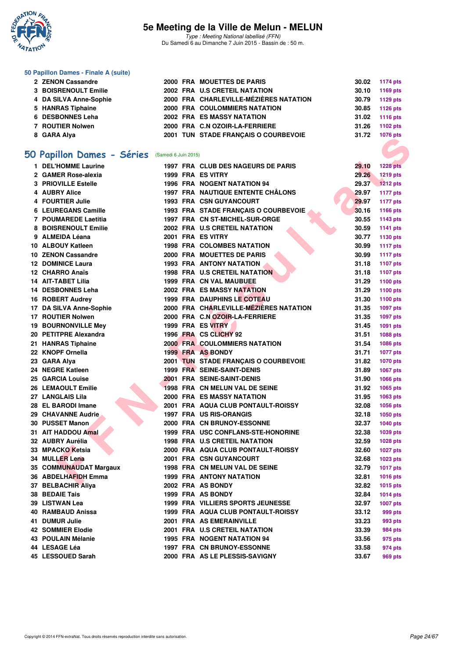

Type : Meeting National labellisé (FFN) Du Samedi 6 au Dimanche 7 Juin 2015 - Bassin de : 50 m.

#### **50 Papillon Dames - Finale A (suite)**

| 2 ZENON Cassandre      |  | 2000 FRA MOUETTES DE PARIS             |       | 30.02 1174 pts |
|------------------------|--|----------------------------------------|-------|----------------|
| 3 BOISRENOULT Emilie   |  | 2002 FRA U.S CRETEIL NATATION          | 30.10 | 1169 pts       |
| 4 DA SILVA Anne-Sophie |  | 2000 FRA CHARLEVILLE-MÉZIÈRES NATATION | 30.79 | 1129 pts       |
| 5 HANRAS Tiphaine      |  | 2000 FRA COULOMMIERS NATATION          | 30.85 | 1126 pts       |
| 6 DESBONNES Leha       |  | 2002 FRA ES MASSY NATATION             |       | 31.02 1116 pts |
| 7 ROUTIER Nolwen       |  | 2000 FRA C.N OZOIR-LA-FERRIERE         | 31.26 | 1102 pts       |
| 8 GARA Alya            |  | 2001 TUN STADE FRANCAIS O COURBEVOIE   | 31.72 | 1076 pts       |
|                        |  |                                        |       |                |

## **[50 Papillon Dames - Séries](http://www.ffnatation.fr/webffn/resultats.php?idact=nat&go=epr&idcpt=31115&idepr=31)** (Samedi 6 Juin 2015)

| <b>0</b> GARA Alya                             |  | <b>2001 TON STADE FRANÇAIS O COURDEVOIE</b> |       | <u>iuru pia</u> |
|------------------------------------------------|--|---------------------------------------------|-------|-----------------|
|                                                |  |                                             |       |                 |
| O Papillon Dames - Séries (Samedi 6 Juin 2015) |  |                                             |       |                 |
| 1 DEL'HOMME Laurine                            |  | 1997 FRA CLUB DES NAGEURS DE PARIS          | 29.10 | <b>1228 pts</b> |
| 2 GAMER Rose-alexia                            |  | 1999 FRA ES VITRY                           | 29.26 | 1219 pts        |
| 3 PRIOVILLE Estelle                            |  | 1996 FRA NOGENT NATATION 94                 | 29.37 | <b>1212 pts</b> |
| 4 AUBRY Alice                                  |  | 1997 FRA NAUTIQUE ENTENTE CHÂLONS           | 29.97 | <b>1177 pts</b> |
| 4 FOURTIER Julie                               |  | <b>1993 FRA CSN GUYANCOURT</b>              | 29.97 | <b>1177 pts</b> |
| 6 LEUREGANS Camille                            |  | 1993 FRA STADE FRANÇAIS O COURBEVOIE        | 30.16 | 1166 pts        |
| 7 POUMAREDE Laetitia                           |  | 1997 FRA CN ST-MICHEL-SUR-ORGE              | 30.55 | 1143 pts        |
| 8 BOISRENOULT Emilie                           |  | 2002 FRA U.S CRETEIL NATATION               | 30.59 | 1141 pts        |
| 9 ALMEIDA Léana                                |  | 2001 FRA ES VITRY                           | 30.77 | 1130 pts        |
| 10 ALBOUY Katleen                              |  | <b>1998 FRA COLOMBES NATATION</b>           | 30.99 | <b>1117 pts</b> |
| 10 ZENON Cassandre                             |  | 2000 FRA MOUETTES DE PARIS                  | 30.99 | <b>1117 pts</b> |
| <b>12 DOMINICE Laura</b>                       |  | <b>1993 FRA ANTONY NATATION</b>             | 31.18 | 1107 pts        |
| 12 CHARRO Anaïs                                |  | 1998 FRA U.S CRETEIL NATATION               | 31.18 | 1107 pts        |
| 14 AIT-TABET Lilia                             |  | <b>1999 FRA CN VAL MAUBUEE</b>              | 31.29 | 1100 pts        |
| 14 DESBONNES Leha                              |  | 2002 FRA ES MASSY NATATION                  | 31.29 | 1100 pts        |
| 16 ROBERT Audrey                               |  | <b>1999 FRA DAUPHINS LE COTEAU</b>          | 31.30 | 1100 pts        |
| 17 DA SILVA Anne-Sophie                        |  | 2000 FRA CHARLEVILLE-MEZIERES NATATION      | 31.35 | <b>1097 pts</b> |
| 17 ROUTIER Nolwen                              |  | 2000 FRA C.N OZOIR-LA-FERRIERE              | 31.35 | 1097 pts        |
| <b>19 BOURNONVILLE Mev</b>                     |  | 1999 FRA ES VITRY                           | 31.45 | 1091 pts        |
| 20 PETITPRE Alexandra                          |  | 1996 FRA CS CLICHY 92                       | 31.51 | <b>1088 pts</b> |
| 21 HANRAS Tiphaine                             |  | <b>2000 FRA COULOMMIERS NATATION</b>        | 31.54 | 1086 pts        |
| 22 KNOPF Ornella                               |  | 1999 FRA AS BONDY                           | 31.71 | <b>1077 pts</b> |
| 23 GARA Alya                                   |  | 2001 TUN STADE FRANÇAIS O COURBEVOIE        | 31.82 | 1070 pts        |
| 24 NEGRE Katleen                               |  | 1999 FRA SEINE-SAINT-DENIS                  | 31.89 | 1067 pts        |
| <b>25 GARCIA Louise</b>                        |  | 2001 FRA SEINE-SAINT-DENIS                  | 31.90 | 1066 pts        |
| 26 LEMAOULT Emilie                             |  | 1998 FRA CN MELUN VAL DE SEINE              | 31.92 | 1065 pts        |
| 27 LANGLAIS Lila                               |  | 2000 FRA ES MASSY NATATION                  | 31.95 | 1063 pts        |
| 28 EL BARODI Imane                             |  | 2001 FRA AQUA CLUB PONTAULT-ROISSY          | 32.08 | 1056 pts        |
| 29 CHAVANNE Audrie                             |  | <b>1997 FRA US RIS-ORANGIS</b>              | 32.18 | 1050 pts        |
| 30 PUSSET Manon                                |  | 2000 FRA CN BRUNOY-ESSONNE                  | 32.37 | 1040 pts        |
| 31 AIT HADDOU Amal                             |  | 1999 FRA USC CONFLANS-STE-HONORINE          | 32.38 | 1039 pts        |
| 32 AUBRY Aurélia                               |  | 1998 FRA U.S CRETEIL NATATION               | 32.59 | <b>1028 pts</b> |
| 33 MPACKO Ketsia                               |  | 2000 FRA AQUA CLUB PONTAULT-ROISSY          | 32.60 | <b>1027 pts</b> |
| <b>34 MULLER Lena</b>                          |  | 2001 FRA CSN GUYANCOURT                     | 32.68 | 1023 pts        |
| 35 COMMUNAUDAT Margaux                         |  | 1998 FRA CN MELUN VAL DE SEINE              | 32.79 | <b>1017 pts</b> |
| 36 ABDELHAFIDH Emma                            |  | 1999 FRA ANTONY NATATION                    | 32.81 | 1016 pts        |
| 37 BELBACHIR Aliya                             |  | 2002 FRA AS BONDY                           | 32.82 | <b>1015 pts</b> |
| 38 BEDAIE Tais                                 |  | 1999 FRA AS BONDY                           | 32.84 | <b>1014 pts</b> |
| 39   LISTWAN Lea                               |  | <b>1999 FRA VILLIERS SPORTS JEUNESSE</b>    | 32.97 | <b>1007 pts</b> |
| 40   RAMBAUD Anissa                            |  | 1999 FRA AQUA CLUB PONTAULT-ROISSY          | 33.12 | 999 pts         |
| 41 DUMUR Julie                                 |  | 2001 FRA AS EMERAINVILLE                    | 33.23 | 993 pts         |
| 42 SOMMIER Elodie                              |  | 2001 FRA U.S CRETEIL NATATION               | 33.39 | 984 pts         |
| 43 POULAIN Mélanie                             |  | 1995 FRA NOGENT NATATION 94                 | 33.56 | 975 pts         |
| 44 LESAGE Léa                                  |  | 1997 FRA CN BRUNOY-ESSONNE                  | 33.58 | 974 pts         |
| 45 LESSOUED Sarah                              |  | 2000 FRA AS LE PLESSIS-SAVIGNY              | 33.67 | 969 pts         |
|                                                |  |                                             |       |                 |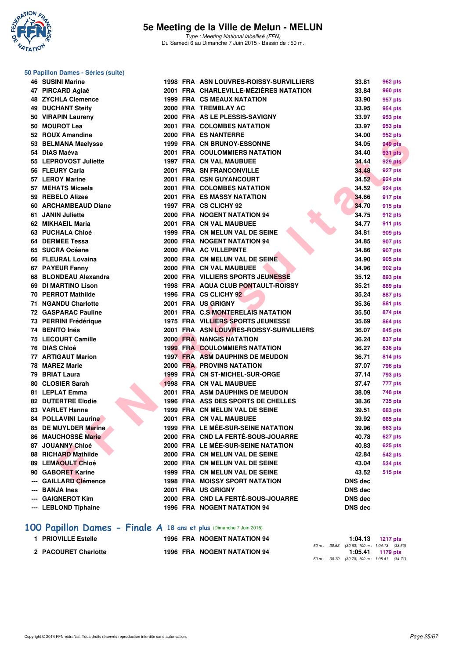

## **50 Papillon Dames - Séries (suite)**

| <b>46 SUSINI Marine</b>                                             |  | 1998 FRA ASN LOUVRES-ROISSY-SURVILLIERS                               | 33.81          | 962 pts            |
|---------------------------------------------------------------------|--|-----------------------------------------------------------------------|----------------|--------------------|
| 47 PIRCARD Aglaé                                                    |  | 2001 FRA CHARLEVILLE-MÉZIÈRES NATATION                                | 33.84          | <b>960 pts</b>     |
| <b>48 ZYCHLA Clemence</b>                                           |  | <b>1999 FRA CS MEAUX NATATION</b>                                     | 33.90          | 957 pts            |
| <b>49 DUCHANT Steify</b>                                            |  | 2000 FRA TREMBLAY AC                                                  | 33.95          | 954 pts            |
| 50 VIRAPIN Laureny                                                  |  | 2000 FRA AS LE PLESSIS-SAVIGNY                                        | 33.97          | 953 pts            |
| 50 MOUROT Lea                                                       |  | 2001 FRA COLOMBES NATATION                                            | 33.97          | 953 pts            |
| 52 ROUX Amandine                                                    |  | 2000 FRA ES NANTERRE                                                  | 34.00          | 952 pts            |
| 53 BELMANA Maelysse                                                 |  | <b>1999 FRA CN BRUNOY-ESSONNE</b>                                     | 34.05          | <b>949 pts</b>     |
| 54 DIAS Maéva                                                       |  | <b>2001 FRA COULOMMIERS NATATION</b>                                  | 34.40          | 931 pts            |
| 55 LEPROVOST Juliette                                               |  | <b>1997 FRA CN VAL MAUBUEE</b>                                        | 34.44          | 929 pts            |
| 56 FLEURY Carla                                                     |  | <b>2001 FRA SN FRANCONVILLE</b>                                       | 34.48          | 927 pts            |
| 57 LEROY Marine                                                     |  | <b>2001 FRA CSN GUYANCOURT</b>                                        | 34.52          | 924 pts            |
| 57 MEHATS Micaela                                                   |  | 2001 FRA COLOMBES NATATION                                            | 34.52          | 924 pts            |
| 59 REBELO Alizee                                                    |  | 2001 FRA ES MASSY NATATION                                            | 34.66          | 917 pts            |
| 60 ARCHAMBEAUD Diane                                                |  | 1997 FRA CS CLICHY 92                                                 | 34.70          | 915 pts            |
| 61 JANIN Juliette                                                   |  | 2000 FRA NOGENT NATATION 94                                           | 34.75          | 912 pts            |
| 62 MIKHAEIL Maria                                                   |  | 2001 FRA CN VAL MAUBUEE                                               | 34.77          | 911 pts            |
| 63 PUCHALA Chloé                                                    |  | 1999 FRA CN MELUN VAL DE SEINE                                        | 34.81          | 909 pts            |
| 64 DERMEE Tessa                                                     |  | 2000 FRA NOGENT NATATION 94                                           | 34.85          | 907 pts            |
| 65 SUCRA Océane                                                     |  | 2000 FRA AC VILLEPINTE                                                | 34.86          | 907 pts            |
| 66 FLEURAL Lovaina                                                  |  | 2000 FRA CN MELUN VAL DE SEINE                                        | 34.90          | 905 pts            |
| 67 PAYEUR Fanny                                                     |  | 2000 FRA CN VAL MAUBUEE                                               | 34.96          | 902 pts            |
| 68 BLONDEAU Alexandra                                               |  | 2000 FRA VILLIERS SPORTS JEUNESSE                                     | 35.12          | 893 pts            |
| 69 DI MARTINO Lison                                                 |  | 1998 FRA AQUA CLUB PONTAULT-ROISSY                                    | 35.21          | 889 pts            |
| <b>70 PERROT Mathilde</b>                                           |  | 1996 FRA CS CLICHY 92                                                 | 35.24          | 887 pts            |
| <b>71 NGANDU Charlotte</b>                                          |  | 2001 FRA US GRIGNY                                                    | 35.36          |                    |
| 72 GASPARAC Pauline                                                 |  | 2001 FRA C.S MONTERELAIS NATATION                                     | 35.50          | 881 pts            |
| 73 PERRINI Frédérique                                               |  | 1975 FRA VILLIERS SPORTS JEUNESSE                                     | 35.69          | 874 pts<br>864 pts |
| 74 BENITO Inés                                                      |  | 2001 FRA ASN LOUVRES-ROISSY-SURVILLIERS                               | 36.07          | 845 pts            |
| 75 LECOURT Camille                                                  |  | <b>2000 FRA NANGIS NATATION</b>                                       | 36.24          |                    |
| 76 DIAS Chloé                                                       |  | <b>1999 FRA COULOMMIERS NATATION</b>                                  |                | 837 pts            |
| 77 ARTIGAUT Marion                                                  |  |                                                                       | 36.27          | 836 pts            |
|                                                                     |  | <b>1997 FRA ASM DAUPHINS DE MEUDON</b>                                | 36.71          | 814 pts            |
| 78 MAREZ Marie                                                      |  | <b>2000 FRA PROVINS NATATION</b>                                      | 37.07          | <b>796 pts</b>     |
| 79 BRIAT Laura                                                      |  | 1999 FRA CN ST-MICHEL-SUR-ORGE                                        | 37.14          | <b>793 pts</b>     |
| 80 CLOSIER Sarah                                                    |  | <b>1998 FRA CN VAL MAUBUEE</b>                                        | 37.47          | 777 pts            |
| 81 LEPLAT Emma                                                      |  | 2001 FRA ASM DAUPHINS DE MEUDON<br>1996 FRA ASS DES SPORTS DE CHELLES | 38.09          | <b>748 pts</b>     |
| <b>82 DUTERTRE Elodie</b>                                           |  |                                                                       | 38.36          | 735 pts            |
| 83 VARLET Hanna                                                     |  | 1999 FRA CN MELUN VAL DE SEINE                                        | 39.51          | <b>683 pts</b>     |
| <b>84 POLLAVINI Laurine</b>                                         |  | 2001 FRA CN VAL MAUBUEE<br>1999 FRA LE MÉE-SUR-SEINE NATATION         | 39.92          | <b>665 pts</b>     |
| 85 DE MUYLDER Marine<br>86 MAUCHOSSÉ Marie                          |  | 2000 FRA CND LA FERTÉ-SOUS-JOUARRE                                    | 39.96          | <b>663 pts</b>     |
| 87 JOUANNY Chloé                                                    |  | 2000 FRA LE MÉE-SUR-SEINE NATATION                                    | 40.78          | 627 pts            |
|                                                                     |  |                                                                       | 40.83          | <b>625 pts</b>     |
| 88 RICHARD Mathilde                                                 |  | 2000 FRA CN MELUN VAL DE SEINE                                        | 42.84          | <b>542 pts</b>     |
| 89 LEMAOULT Chloé                                                   |  | 2000 FRA CN MELUN VAL DE SEINE                                        | 43.04          | <b>534 pts</b>     |
| 90 GABORET Karine                                                   |  | 1999 FRA CN MELUN VAL DE SEINE                                        | 43.52          | <b>515 pts</b>     |
| <b>GAILLARD Clémence</b>                                            |  | <b>1998 FRA MOISSY SPORT NATATION</b>                                 | <b>DNS dec</b> |                    |
| <b>BANJA Ines</b>                                                   |  | 2001 FRA US GRIGNY                                                    | <b>DNS dec</b> |                    |
| <b>GAIGNEROT Kim</b>                                                |  | 2000 FRA CND LA FERTÉ-SOUS-JOUARRE                                    | <b>DNS dec</b> |                    |
| --- LEBLOND Tiphaine                                                |  | <b>1996 FRA NOGENT NATATION 94</b>                                    | <b>DNS</b> dec |                    |
| 100 Papillon Dames - Finale A 18 ans et plus (Dimanche 7 Juin 2015) |  |                                                                       |                |                    |

| 1 PRIOVILLE Estelle  | <b>1996 FRA NOGENT NATATION 94</b> |  | $1:04.13$ 1217 pts                           |                    |  |
|----------------------|------------------------------------|--|----------------------------------------------|--------------------|--|
|                      |                                    |  | 50 m : 30.63 (30.63) 100 m : 1:04.13 (33.50) |                    |  |
|                      |                                    |  |                                              | $1:05.41$ 1179 pts |  |
| 2 PACOURET Charlotte | <b>1996 FRA NOGENT NATATION 94</b> |  |                                              |                    |  |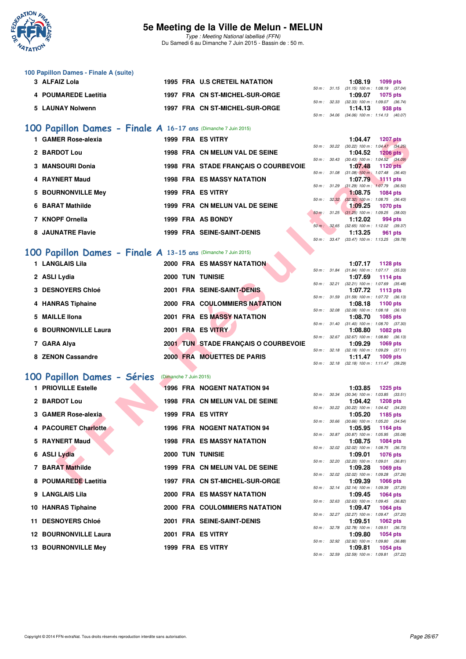

Type : Meeting National labellisé (FFN) Du Samedi 6 au Dimanche 7 Juin 2015 - Bassin de : 50 m.

| 100 Papillon Dames - Finale A (suite) |  |                                |              |         |                                            |
|---------------------------------------|--|--------------------------------|--------------|---------|--------------------------------------------|
| 3 ALFAIZ Lola                         |  | 1995 FRA U.S CRETEIL NATATION  |              | 1:08.19 | 1099 pts                                   |
|                                       |  |                                |              |         | 50 m: 31.15 (31.15) 100 m: 1:08.19 (37.04) |
| 4 POUMAREDE Laetitia                  |  | 1997 FRA CN ST-MICHEL-SUR-ORGE |              | 1:09.07 | 1075 pts                                   |
|                                       |  |                                | 50 m : 32.33 |         | $(32.33)$ 100 m : 1:09.07 $(36.74)$        |
| 5 LAUNAY Nolwenn                      |  | 1997 FRA CN ST-MICHEL-SUR-ORGE |              | 1:14.13 | 938 pts                                    |
|                                       |  |                                |              |         | 50 m: 34.06 (34.06) 100 m: 1:14.13 (40.07) |

### **[100 Papillon Dames - Finale A](http://www.ffnatation.fr/webffn/resultats.php?idact=nat&go=epr&idcpt=31115&idepr=32) 16-17 ans** (Dimanche 7 Juin 2015)

| 1 GAMER Rose-alexia |  | 1999 FRA ES VITRY                    |              | 1:04.47                                              | 1207 pts |         |
|---------------------|--|--------------------------------------|--------------|------------------------------------------------------|----------|---------|
| 2 BARDOT Lou        |  | 1998 FRA CN MELUN VAL DE SEINE       | 50 m: 30.22  | $(30.22)$ 100 m : 1:04.47 (34.<br>1:04.52 1206 pts   |          |         |
| 3 MANSOURI Donia    |  | 1998 FRA STADE FRANCAIS O COURBEVOIE | 50 m: 30.43  | $(30.43)$ 100 m : 1:04.52 $(34.$<br>1:07.48          | 1120 pts |         |
|                     |  |                                      | 50 m: 31.08  | $(31.08)$ 100 m : 1:07.48 (36.                       |          |         |
| 4 RAYNERT Maud      |  | <b>1998 FRA ES MASSY NATATION</b>    | 50 m: 31.29  | 1:07.79 1111 pts<br>$(31.29)$ 100 m : 1:07.79 (36.   |          |         |
| 5 BOURNONVILLE Mev  |  | 1999 FRA ES VITRY                    |              | 1:08.75<br>50 m : 32.32 (32.32) 100 m : 1:08.75 (36. | 1084 pts |         |
| 6 BARAT Mathilde    |  | 1999 FRA CN MELUN VAL DE SEINE       |              | 1:09.25<br>50 m : 31.25 (31.25) 100 m : 1:09.25 (38. | 1070 pts |         |
| 7 KNOPF Ornella     |  | 1999 FRA AS BONDY                    | 50 m : 32.65 | 1:12.02<br>$(32.65)$ 100 m : 1:12.02 (39.            |          | 994 pts |
| 8 JAUNATRE Flavie   |  | <b>1999 FRA SEINE-SAINT-DENIS</b>    |              | 1:13.25                                              |          | 961 pts |

### **[100 Papillon Dames - Finale A](http://www.ffnatation.fr/webffn/resultats.php?idact=nat&go=epr&idcpt=31115&idepr=32) 13-15 ans** (Dimanche 7 Juin 2015)

| 1 GAMER Rose-alexia                                                  |                        | 1999 FRA ES VITRY                    |                          |              | 1:04.47                                                 | <b>1207 pts</b> |  |
|----------------------------------------------------------------------|------------------------|--------------------------------------|--------------------------|--------------|---------------------------------------------------------|-----------------|--|
| 2 BARDOT Lou                                                         |                        | 1998 FRA CN MELUN VAL DE SEINE       |                          |              | 50 m: 30.22 (30.22) 100 m: 1:04.47 (34.25)<br>1:04.52   | <b>1206 pts</b> |  |
|                                                                      |                        |                                      |                          |              | 50 m : 30.43 (30.43) 100 m : 1:04.52 (34.09)            |                 |  |
| 3 MANSOURI Donia                                                     |                        | 1998 FRA STADE FRANÇAIS O COURBEVOIE |                          |              | 1:07.48                                                 | <b>1120 pts</b> |  |
|                                                                      |                        |                                      |                          |              | 50 m : 31.08 (31.08) 100 m : 1:07.48 (36.40)            |                 |  |
| 4 RAYNERT Maud                                                       |                        | <b>1998 FRA ES MASSY NATATION</b>    | 50 m : 31.29             |              | 1:07.79<br>$(31.29)$ 100 m : 1:07.79 $(36.50)$          | 1111 pts        |  |
| 5 BOURNONVILLE Mey                                                   |                        | 1999 FRA ES VITRY                    |                          |              | 1.08.75                                                 | <b>1084 pts</b> |  |
|                                                                      |                        |                                      | $50 \text{ m}$ : $32.32$ |              | $(32.32)$ 100 m : 1:08.75 $(36.43)$                     |                 |  |
| 6 BARAT Mathilde                                                     |                        | 1999 FRA CN MELUN VAL DE SEINE       |                          |              | 1:09.25                                                 | <b>1070 pts</b> |  |
| 7 KNOPF Ornella                                                      |                        | 1999 FRA AS BONDY                    |                          |              | 50 m : 31.25 (31.25) 100 m : 1:09.25 (38.00)<br>1:12.02 | 994 pts         |  |
|                                                                      |                        |                                      |                          |              | 50 m : 32.65 (32.65) 100 m : 1:12.02 (39.37)            |                 |  |
| 8 JAUNATRE Flavie                                                    |                        | <b>1999 FRA SEINE-SAINT-DENIS</b>    |                          |              | 1:13.25                                                 | 961 pts         |  |
|                                                                      |                        |                                      |                          |              | 50 m: 33.47 (33.47) 100 m: 1:13.25 (39.78)              |                 |  |
|                                                                      |                        |                                      |                          |              |                                                         |                 |  |
| <b>00 Papillon Dames - Finale A 13-15 ans (Dimanche 7 Juin 2015)</b> |                        |                                      |                          |              |                                                         |                 |  |
| 1 LANGLAIS Lila                                                      |                        | <b>2000 FRA ES MASSY NATATION</b>    |                          |              | 1:07.17                                                 | 1128 pts        |  |
|                                                                      |                        |                                      |                          |              | 50 m: 31.84 (31.84) 100 m: 1:07.17 (35.33)              |                 |  |
| 2 ASLI Lydia                                                         |                        | <b>2000 TUN TUNISIE</b>              |                          | 50 m : 32.21 | 1:07.69<br>$(32.21)$ 100 m : 1:07.69 $(35.48)$          | <b>1114 pts</b> |  |
| <b>3 DESNOYERS Chloé</b>                                             |                        | 2001 FRA SEINE-SAINT-DENIS           |                          |              | 1:07.72                                                 | 1113 pts        |  |
|                                                                      |                        |                                      |                          |              | 50 m: 31.59 (31.59) 100 m: 1:07.72 (36.13)              |                 |  |
| 4 HANRAS Tiphaine                                                    |                        | 2000 FRA COULOMMIERS NATATION        |                          |              | 1:08.18                                                 | 1100 pts        |  |
| 5 MAILLE Ilona                                                       |                        | <b>2001 FRA ES MASSY NATATION</b>    |                          |              | 50 m: 32.08 (32.08) 100 m: 1:08.18 (36.10)<br>1:08.70   |                 |  |
|                                                                      |                        |                                      |                          |              | 50 m: 31.40 (31.40) 100 m: 1:08.70 (37.30)              | 1085 pts        |  |
| <b>6 BOURNONVILLE Laura</b>                                          |                        | 2001 FRA ES VITRY                    |                          |              | 1:08.80                                                 | 1082 pts        |  |
|                                                                      |                        |                                      |                          |              | 50 m: 32.67 (32.67) 100 m: 1:08.80 (36.13)              |                 |  |
| 7 GARA Alya                                                          |                        | 2001 TUN STADE FRANÇAIS O COURBEVOIE |                          |              | 1:09.29                                                 | <b>1069 pts</b> |  |
| 8 ZENON Cassandre                                                    |                        | 2000 FRA MOUETTES DE PARIS           |                          |              | 50 m: 32.18 (32.18) 100 m: 1:09.29 (37.11)<br>1:11.47   | <b>1009 pts</b> |  |
|                                                                      |                        |                                      |                          |              | 50 m: 32.18 (32.18) 100 m: 1:11.47 (39.29)              |                 |  |
|                                                                      |                        |                                      |                          |              |                                                         |                 |  |
| 00 Papillon Dames - Séries                                           | (Dimanche 7 Juin 2015) |                                      |                          |              |                                                         |                 |  |
| 1 PRIOVILLE Estelle                                                  |                        | <b>1996 FRA NOGENT NATATION 94</b>   |                          |              | 1:03.85                                                 | <b>1225 pts</b> |  |
|                                                                      |                        |                                      |                          | 50 m : 30.34 | $(30.34)$ 100 m : 1:03.85 $(33.51)$                     |                 |  |
| 2 BARDOT Lou                                                         |                        | 1998 FRA CN MELUN VAL DE SEINE       |                          |              | 1:04.42                                                 | <b>1208 pts</b> |  |
| 3 GAMER Rose-alexia                                                  |                        | 1999 FRA ES VITRY                    |                          | 50 m: 30.22  | $(30.22)$ 100 m : 1:04.42 $(34.20)$<br>1:05.20          | 1185 pts        |  |
|                                                                      |                        |                                      |                          |              | 50 m : 30.66 (30.66) 100 m : 1:05.20 (34.54)            |                 |  |
| 4 PACOURET Charlotte                                                 |                        | <b>1996 FRA NOGENT NATATION 94</b>   |                          |              | 1:05.95                                                 | 1164 pts        |  |
|                                                                      |                        |                                      | 50 m: 30.87              |              | $(30.87)$ 100 m : 1:05.95 $(35.08)$                     |                 |  |
| 5 RAYNERT Maud                                                       |                        | <b>1998 FRA ES MASSY NATATION</b>    |                          |              | 1:08.75                                                 | <b>1084 pts</b> |  |
| 6 ASLI Lydia                                                         |                        | <b>2000 TUN TUNISIE</b>              |                          |              | 50 m: 32.02 (32.02) 100 m: 1:08.75 (36.73)<br>1:09.01   | <b>1076 pts</b> |  |
|                                                                      |                        |                                      |                          |              | 50 m: 32.20 (32.20) 100 m: 1:09.01 (36.81)              |                 |  |
| 7 BARAT Mathilde                                                     |                        | 1999 FRA CN MELUN VAL DE SEINE       |                          |              | 1:09.28                                                 | 1069 pts        |  |
|                                                                      |                        |                                      |                          |              | 50 m : 32.02 (32.02) 100 m : 1:09.28 (37.26)            |                 |  |
| 8 POUMAREDE Laetitia                                                 |                        | 1997 FRA CN ST-MICHEL-SUR-ORGE       |                          |              | 1:09.39                                                 | <b>1066 pts</b> |  |

### **[100 Papillon Dames - Séries](http://www.ffnatation.fr/webffn/resultats.php?idact=nat&go=epr&idcpt=31115&idepr=32)** (Dimanche 7 Juin 2015)

| 1 PRIOVILLE Estelle                                      |  | 1996 FRA NOGENT NATATION 94       |  | $1:03.85$ 1225 pts                                          |  |
|----------------------------------------------------------|--|-----------------------------------|--|-------------------------------------------------------------|--|
|                                                          |  |                                   |  | 50 m: 30.34 (30.34) 100 m: 1:03.85 (33.                     |  |
| 2 BARDOT Lou                                             |  | 1998 FRA CN MELUN VAL DE SEINE    |  | 1:04.42 1208 pts                                            |  |
|                                                          |  |                                   |  | 50 m: 30.22 (30.22) 100 m: 1:04.42 (34.                     |  |
| 3 GAMER Rose-alexia                                      |  | 1999 FRA ES VITRY                 |  | 1:05.20 1185 pts                                            |  |
|                                                          |  |                                   |  | 50 m : 30.66 (30.66) 100 m : 1:05.20 (34.                   |  |
| 4 PACOURET Charlotte                                     |  | 1996 FRA NOGENT NATATION 94       |  | 1:05.95 1164 pts                                            |  |
|                                                          |  |                                   |  | 50 m : 30.87 (30.87) 100 m : 1:05.95 (35.                   |  |
| 5 RAYNERT Maud                                           |  | <b>1998 FRA ES MASSY NATATION</b> |  | 1:08.75 1084 pts                                            |  |
|                                                          |  |                                   |  | 50 m: 32.02 (32.02) 100 m: 1:08.75 (36.                     |  |
| 6 ASLI Lydia                                             |  | <b>2000 TUN TUNISIE</b>           |  | 1:09.01 1076 pts                                            |  |
| 7 BARAT Mathilde                                         |  | 1999 FRA CN MELUN VAL DE SEINE    |  | 50 m: 32.20 (32.20) 100 m: 1:09.01 (36.                     |  |
|                                                          |  |                                   |  | 1:09.28 1069 pts<br>50 m: 32.02 (32.02) 100 m: 1:09.28 (37. |  |
| 8 POUMAREDE Laetitia                                     |  | 1997 FRA CN ST-MICHEL-SUR-ORGE    |  | 1:09.39 1066 pts                                            |  |
|                                                          |  |                                   |  | 50 m: 32.14 (32.14) 100 m: 1:09.39 (37.                     |  |
| 9 LANGLAIS Lila                                          |  | <b>2000 FRA ES MASSY NATATION</b> |  | 1:09.45 1064 pts                                            |  |
|                                                          |  |                                   |  | 50 m: 32.63 (32.63) 100 m: 1:09.45 (36.                     |  |
| 10 HANRAS Tiphaine                                       |  | 2000 FRA COULOMMIERS NATATION     |  | 1:09.47 1064 pts                                            |  |
|                                                          |  |                                   |  | 50 m: 32.27 (32.27) 100 m: 1:09.47 (37.                     |  |
| <b>11 DESNOYERS Chloé</b>                                |  | 2001 FRA SEINE-SAINT-DENIS        |  | 1:09.51 1062 pts                                            |  |
|                                                          |  |                                   |  | 50 m: 32.78 (32.78) 100 m: 1:09.51 (36.                     |  |
| <b>12 BOURNONVILLE Laura</b><br><b>2001 FRA ES VITRY</b> |  |                                   |  | 1:09.80 1054 pts                                            |  |
|                                                          |  |                                   |  | 50 m: 32.92 (32.92) 100 m: 1:09.80 (36.                     |  |
| <b>13 BOURNONVILLE Mey</b><br>1999 FRA ES VITRY          |  |                                   |  | $1:09.81$ 1054 pts                                          |  |

| 50 m : 30.22 | $(30.22)$ 100 m :                          | $1:04.47$ $(34.25)$ |  |
|--------------|--------------------------------------------|---------------------|--|
|              | 1:04.52 1206 pts                           |                     |  |
| 50 m : 30.43 | $(30.43)$ 100 m :                          | $1:04.52$ $(34.09)$ |  |
|              | $1:07.48$ 1120 pts                         |                     |  |
| 50 m: 31.08  | $(31.08) 100 m$ :                          | 1:07.48 (36.40)     |  |
|              | $1:07.79$ 1111 pts                         |                     |  |
|              | 50 m: 31.29 (31.29) 100 m:                 | $1:07.79$ (36.50)   |  |
|              | 1:08.75 1084 pts                           |                     |  |
| 50 m : 32.32 | $(32.32)$ 100 m :                          | 1:08.75 (36.43)     |  |
|              | $1:09.25$ 1070 pts                         |                     |  |
| $50 m$ :     | $31.25$ $(31.25)$ 100 m :                  | 1:09.25 (38.00)     |  |
|              | 1:12.02 994 pts                            |                     |  |
|              | 50 m: 32.65 (32.65) 100 m: 1:12.02 (39.37) |                     |  |
|              | $1:13.25$ 961 pts                          |                     |  |
|              | 50 m: 33.47 (33.47) 100 m: 1:13.25 (39.78) |                     |  |
|              |                                            |                     |  |

**1 GAMER Rose-alexia 1999 FRA ES VITRY 1:04.47 1207 pts**

|              |       | 1:07.17            | <b>1128 pts</b>     |  |
|--------------|-------|--------------------|---------------------|--|
| $50 m$ :     | 31.84 | $(31.84) 100 m$ :  | $1:07.17$ $(35.33)$ |  |
|              |       | 1:07.69            | <b>1114 pts</b>     |  |
| $50 m$ :     | 32.21 | $(32.21)$ 100 m :  | 1:07.69 (35.48)     |  |
|              |       | 1:07.72            | 1113 pts            |  |
| 50 m: 31.59  |       | $(31.59) 100 m$ :  | $1:07.72$ $(36.13)$ |  |
|              |       | 1:08.18            | 1100 pts            |  |
| 50 m : 32.08 |       | $(32.08)$ 100 m :  | $1:08.18$ $(36.10)$ |  |
|              |       | 1:08.70            | 1085 pts            |  |
| 50 m: 31.40  |       | $(31.40)$ 100 m :  | 1:08.70 (37.30)     |  |
|              |       | 1:08.80            | 1082 pts            |  |
| 50 m: 32.67  |       | $(32.67)$ 100 m :  | 1:08.80 (36.13)     |  |
|              |       | 1:09.29            | 1069 pts            |  |
| 50 m: 32.18  |       | $(32.18) 100 m$ :  | $1:09.29$ $(37.11)$ |  |
|              |       | $1:11.47$ 1009 pts |                     |  |
| 50 m : 32.18 |       | $(32.18) 100 m$ :  | $1:11.47$ (39.29)   |  |
|              |       |                    |                     |  |

|                  |       | 1:03.85           | $1225$ pts          |
|------------------|-------|-------------------|---------------------|
| $50 m$ : $30.34$ |       | $(30.34) 100 m$ : | $1:03.85$ $(33.51)$ |
|                  |       | 1:04.42           | $1208$ pts          |
| $50 m$ :         | 30.22 | $(30.22)$ 100 m : | 1:04.42 (34.20)     |
|                  |       | 1:05.20           | 1185 pts            |
| 50 m: 30.66      |       | $(30.66)$ 100 m : | 1:05.20 (34.54)     |
|                  |       | 1:05.95           | 1164 pts            |
| 50 m: 30.87      |       | $(30.87) 100 m$ : | 1:05.95 (35.08)     |
|                  |       | 1:08.75           | <b>1084 pts</b>     |
| 50 m: 32.02      |       | $(32.02)$ 100 m : | 1:08.75 (36.73)     |
|                  |       | 1:09.01           | 1076 pts            |
| 50 m: 32.20      |       | $(32.20)$ 100 m : | $1:09.01$ $(36.81)$ |
|                  |       | 1:09.28           | 1069 pts            |
| 50 m: 32.02      |       | $(32.02)$ 100 m : | 1:09.28 (37.26)     |
|                  |       | 1:09.39           | <b>1066 pts</b>     |
| 50 m: 32.14      |       | $(32.14) 100 m$ : | 1:09.39 (37.25)     |
|                  |       | 1:09.45           | <b>1064 pts</b>     |
| 50 m: 32.63      |       | $(32.63) 100 m$ : | 1:09.45 (36.82)     |
|                  |       | 1:09.47           | 1064 pts            |
| 50 m: 32.27      |       | $(32.27)$ 100 m : | 1:09.47 (37.20)     |
|                  |       | 1:09.51           | 1062 pts            |
| $50 m$ : $32.78$ |       | $(32.78) 100 m$ : | $1:09.51$ $(36.73)$ |
|                  |       | 1:09.80           | 1054 pts            |
| $50 m$ : $32.92$ |       | $(32.92)$ 100 m : | 1:09.80 (36.88)     |
|                  |       | 1:09.81           | 1054 pts            |
| 50 m: 32.59      |       | $(32.59)$ 100 m : | 1:09.81 (37.22)     |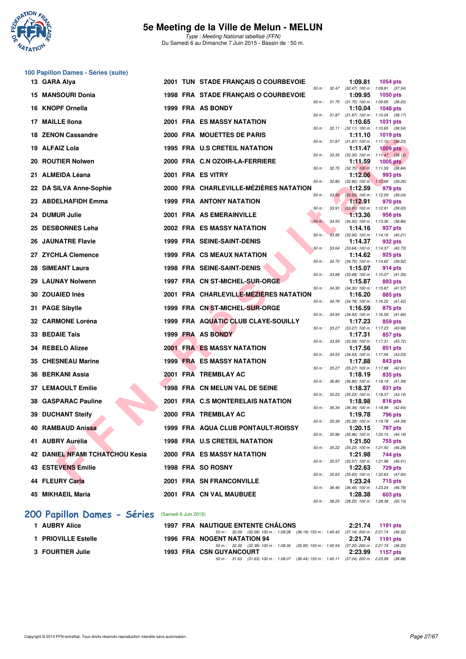

|     | 100 Papillon Dames - Séries (suite)    |                      |                                          |              |       |         |                                                                |
|-----|----------------------------------------|----------------------|------------------------------------------|--------------|-------|---------|----------------------------------------------------------------|
|     | 13 GARA Alya                           |                      | 2001 TUN STADE FRANÇAIS O COURBEVOIE     |              |       | 1:09.81 | 1054 pts<br>50 m: 32.47 (32.47) 100 m: 1:09.81 (37.34)         |
|     | <b>15 MANSOURI Donia</b>               |                      | 1998 FRA STADE FRANÇAIS O COURBEVOIE     |              |       | 1:09.95 | <b>1050 pts</b><br>50 m: 31.75 (31.75) 100 m: 1:09.95 (38.20)  |
| 16  | <b>KNOPF Ornella</b>                   |                      | 1999 FRA AS BONDY                        |              |       | 1:10.04 | <b>1048 pts</b>                                                |
| 17  | <b>MAILLE Ilona</b>                    |                      | 2001 FRA ES MASSY NATATION               |              |       | 1:10.65 | 50 m: 31.87 (31.87) 100 m: 1:10.04 (38.17)<br><b>1031 pts</b>  |
|     | 18 ZENON Cassandre                     |                      | 2000 FRA MOUETTES DE PARIS               |              |       | 1:11.10 | 50 m: 32.11 (32.11) 100 m: 1:10.65 (38.54)<br><b>1019 pts</b>  |
|     | 19 ALFAIZ Lola                         |                      | 1995 FRA U.S CRETEIL NATATION            |              |       | 1:11.47 | 50 m: 31.87 (31.87) 100 m: 1:11.10 (39.23)<br><b>1009 pts</b>  |
| 20  | <b>ROUTIER Nolwen</b>                  |                      | 2000 FRA C.N OZOIR-LA-FERRIERE           | 50 m : 33.35 |       | 1:11.59 | $(33.35)$ 100 m : 1:11.47 $(38.12)$<br>$1005$ pts              |
|     | 21 ALMEIDA Léana                       |                      | 2001 FRA ES VITRY                        |              |       | 1:12.06 | 50 m : 32.75 (32.75) 100 m : 1:11.59 (38.84)<br>993 pts        |
|     | 22 DA SILVA Anne-Sophie                |                      | 2000 FRA CHARLEVILLE-MÉZIÈRES NATATION   | 50 m :       | 32.80 | 1:12.59 | $(32.80)$ 100 m : 1:12.06 $(39.26)$<br>979 pts                 |
|     | 23 ABDELHAFIDH Emma                    |                      | 1999 FRA ANTONY NATATION                 |              |       |         | 50 m: 33.55 (33.55) 100 m: 1:12.59 (39.04)                     |
|     |                                        |                      |                                          | 50 m: 33.91  |       | 1:12.91 | 970 pts<br>$(33.91)$ 100 m : 1:12.91 $(39.00)$                 |
|     | 24 DUMUR Julie                         |                      | 2001 FRA AS EMERAINVILLE                 | $50 m$ :     | 34.50 | 1:13.36 | 958 pts<br>(34.50) 100 m: 1:13.36 (38.86)                      |
| 25  | <b>DESBONNES Leha</b>                  |                      | 2002 FRA ES MASSY NATATION               | $50 m$ :     |       | 1:14.16 | 937 pts<br>33.95 (33.95) 100 m: 1:14.16 (40.21)                |
| 26  | <b>JAUNATRE Flavie</b>                 |                      | <b>1999 FRA SEINE-SAINT-DENIS</b>        | 50 m: 33.64  |       | 1:14.37 | 932 pts<br>(33.64) 100 m: 1:14.37 (40.73)                      |
| 27  | <b>ZYCHLA Clemence</b>                 |                      | <b>1999 FRA CS MEAUX NATATION</b>        |              |       | 1:14.62 | 925 pts<br>50 m: 34.70 (34.70) 100 m: 1:14.62 (39.92)          |
| 28  | <b>SIMEANT Laura</b>                   |                      | <b>1998 FRA SEINE-SAINT-DENIS</b>        |              |       | 1:15.07 | 914 pts                                                        |
| 29  | <b>LAUNAY Nolwenn</b>                  |                      | 1997 FRA CN ST-MICHEL-SUR-ORGE           | 50 m : 33.68 |       | 1:15.87 | (33.68) 100 m: 1:15.07 (41.39)<br>893 pts                      |
| 30. | <b>ZOUAIED Inès</b>                    |                      | 2001 FRA CHARLEVILLE-MÉZIÈRES NATATION   | 50 m : 34.30 |       | 1:16.20 | $(34.30)$ 100 m : 1:15.87 $(41.57)$<br>885 pts                 |
|     | 31 PAGE Sibylle                        |                      | 1999 FRA CN ST-MICHEL-SUR-ORGE           | 50 m : 34.78 |       | 1:16.59 | (34.78) 100 m: 1:16.20 (41.42)<br>875 pts                      |
|     | 32 CARMONE Loréna                      |                      | 1999 FRA AQUATIC CLUB CLAYE-SOUILLY      | 50 m : 34.93 |       | 1:17.23 | (34.93) 100 m: 1:16.59 (41.66)<br>859 pts                      |
|     | 33 BEDAIE Tais                         |                      | 1999 FRA AS BONDY                        |              |       | 1:17.31 | 50 m: 33.27 (33.27) 100 m: 1:17.23 (43.96)<br>857 pts          |
|     | <b>REBELO Alizee</b>                   |                      | <b>2001 FRA ES MASSY NATATION</b>        | 50 m : 33.59 |       |         | (33.59) 100 m: 1:17.31 (43.72)                                 |
| 34  |                                        |                      |                                          |              |       | 1:17.56 | 851 pts<br>50 m: 34.53 (34.53) 100 m: 1:17.56 (43.03)          |
|     | 35 CHESNEAU Marine                     |                      | <b>1999 FRA ES MASSY NATATION</b>        | 50 m: 35.27  |       | 1:17.88 | 843 pts<br>$(35.27)$ 100 m : 1:17.88 $(42.61)$                 |
|     | 36 BERKANI Assia                       |                      | 2001 FRA TREMBLAY AC                     | 50 m : 36.80 |       | 1:18.19 | 835 pts<br>(36.80) 100 m: 1:18.19 (41.39)                      |
|     | 37 LEMAOULT Emilie                     |                      | <b>1998 FRA CN MELUN VAL DE SEINE</b>    | 50 m: 35.23  |       | 1:18.37 | 831 pts<br>(35.23) 100 m: 1:18.37 (43.14)                      |
| 38. | <b>GASPARAC Pauline</b>                |                      | 2001 FRA C.S MONTERELAIS NATATION        | 50 m : 36.34 |       | 1:18.98 | 816 pts<br>(36.34) 100 m: 1:18.98 (42.64)                      |
|     | 39 DUCHANT Steify                      |                      | 2000 FRA TREMBLAY AC                     |              |       | 1:19.78 | 796 pts                                                        |
|     | 40 RAMBAUD Anissa                      |                      | 1999 FRA AQUA CLUB PONTAULT-ROISSY       |              |       | 1:20.15 | 50 m : 35.39 (35.39) 100 m : 1:19.78 (44.39)<br><b>787 pts</b> |
|     | 41 AUBRY Aurélia                       |                      | 1998 FRA U.S CRETEIL NATATION            |              |       | 1:21.50 | 50 m: 35.96 (35.96) 100 m: 1:20.15 (44.19)<br>755 pts          |
|     | <b>42 DANIEL NFAMI TCHATCHOU Kesia</b> |                      | <b>2000 FRA ES MASSY NATATION</b>        |              |       | 1:21.98 | 50 m: 35.22 (35.22) 100 m: 1:21.50 (46.28)<br>744 pts          |
|     | <b>43 ESTEVENS Emilie</b>              |                      | 1998 FRA SO ROSNY                        |              |       | 1:22.63 | 50 m: 35.57 (35.57) 100 m: 1:21.98 (46.41)<br>729 pts          |
|     | 44 FLEURY Carla                        |                      |                                          |              |       |         | 50 m: 35.63 (35.63) 100 m: 1:22.63 (47.00)                     |
|     |                                        |                      | 2001 FRA SN FRANCONVILLE                 |              |       | 1:23.24 | 715 pts<br>50 m: 36.46 (36.46) 100 m: 1:23.24 (46.78)          |
|     | 45 MIKHAEIL Maria                      |                      | 2001 FRA CN VAL MAUBUEE                  |              |       | 1:28.38 | 603 pts<br>50 m: 38.25 (38.25) 100 m: 1:28.38 (50.13)          |
|     | 200 Papillon Dames - Séries            | (Samedi 6 Juin 2015) |                                          |              |       |         |                                                                |
|     | 1 AUBRY Alice                          |                      | <b>1997 FRA NAUTIQUE ENTENTE CHÂLONS</b> |              |       | 2:21.74 | <b>1191 pts</b>                                                |
|     |                                        |                      |                                          |              |       |         |                                                                |

| 50 m : 32.09 (32.09) 100 m : 1:08.28 (36.19) 150 m : 1:45.42 (37.14) 200 m : 2:21.74 (36.32) |
|----------------------------------------------------------------------------------------------|
| 2:21.74 1191 pts                                                                             |
| 50 m : 32.39 (32.39) 100 m : 1:08.34 (35.95) 150 m : 1:45.54 (37.20) 200 m : 2:21.74 (36.20) |
| 2:23.99 1157 pts                                                                             |
| 50 m : 31.63 (31.63) 100 m : 1:08.07 (36.44) 150 m : 1:45.11 (37.04) 200 m : 2:23.99 (38.88) |
|                                                                                              |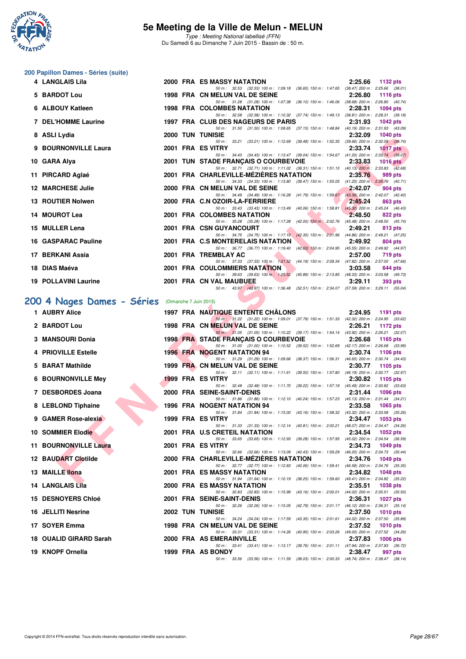

Type : Meeting National labellisé (FFN) Du Samedi 6 au Dimanche 7 Juin 2015 - Bassin de : 50 m.

#### **200 Papillon Dames - Séries (suite)**

| 4 LANGLAIS Lila             |  | 2000 FRA ES MASSY NATATION                                                                                                      | $2:25.66$ 1132 pts |          |                |
|-----------------------------|--|---------------------------------------------------------------------------------------------------------------------------------|--------------------|----------|----------------|
|                             |  | 50 m: 32.53 (32.53) 100 m: 1:09.18 (36.65) 150 m: 1:47.65 (38.47) 200 m: 2:25.66 (38.01)                                        |                    |          |                |
| 5 BARDOT Lou                |  | 1998 FRA CN MELUN VAL DE SEINE<br><b>2:26.80 1116 pts</b>                                                                       |                    |          |                |
|                             |  | 50 m: 31.28 (31.28) 100 m: 1.07.38 (36.10) 150 m: 1.46.06 (38.68) 200 m: 2.26.80 (40.74)                                        |                    |          |                |
| 6 ALBOUY Katleen            |  | 1998 FRA COLOMBES NATATION                                                                                                      | 2:28.31            |          | 1094 pts       |
|                             |  | 50 m: 32.58 (32.58) 100 m: 1:10.32 (37.74) 150 m: 1:49.13 (38.81) 200 m: 2:28.31 (39.18)                                        |                    |          |                |
| 7 DEL'HOMME Laurine         |  | 1997 FRA CLUB DES NAGEURS DE PARIS 2:31.93                                                                                      |                    | 1042 pts |                |
|                             |  | 50 m: 31.50 (31.50) 100 m: 1:08.65 (37.15) 150 m: 1:48.84 (40.19) 200 m: 2:31.93 (43.09)                                        |                    |          |                |
| 8 ASLI Lydia                |  | <b>2000 TUN TUNISIE</b><br>50 m: 33.21 (33.21) 100 m: 1:12.69 (39.48) 150 m: 1:52.35 (39.66) 200 m: 2:32.09 (39.74)             | 2:32.09 1040 pts   |          |                |
| 9 BOURNONVILLE Laura        |  | 2001 FRA ES VITRY                                                                                                               | 2:33.74            |          | 1017 $pts$     |
|                             |  | 50 m: 34.43 (34.43) 100 m: 1:13.47 (39.04) 150 m: 1:54.67 (41.20) 200 m: 2:33.74 (39.07)                                        |                    |          |                |
| 10 GARA Alya                |  | 2001 TUN STADE FRANÇAIS O COURBEVOIE 2:33.83 1016 pts                                                                           |                    |          |                |
|                             |  | 50 m: 32.71 (32.71) 100 m: 1:11.02 (38.31) 150 m: 1:51.15 (40.13) 200 m: 2:33.83 (42.68)                                        |                    |          |                |
| 11 PIRCARD Aglaé            |  | 2001 FRA CHARLEVILLE-MÉZIÈRES NATATION 2:35.76                                                                                  |                    |          | 989 pts        |
|                             |  | 50 m: 34.33 (34.33) 100 m: 1:13.80 (39.47) 150 m: 1:55.05 (41.25) 200 m: 2:35.76 (40.71)                                        |                    |          |                |
| <b>12 MARCHESE Julie</b>    |  | 2000 FRA CN MELUN VAL DE SEINE 2:42.07                                                                                          |                    |          | 904 pts        |
|                             |  | 50 m: 34.49 (34.49) 100 m: 1:16.28 (41.79) 150 m: 1:59.67 (43.39) 200 m: 2:42.07 (42.40)                                        |                    |          |                |
| 13 ROUTIER Nolwen           |  | 2000 FRA C.N OZOIR-LA-FERRIERE                                                                                                  | 2:45.24            |          | 863 pts        |
|                             |  | 50 m: 33.43 (33.43) 100 m: 1:13.49 (40.06) 150 m: 1:58.81 (45.32) 200 m: 2:45.24 (46.43)                                        |                    |          |                |
| 14 MOUROT Lea               |  | 2001 FRA COLOMBES NATATION 2:48.50                                                                                              |                    |          | 822 pts        |
| 15 MULLER Lena              |  | 50 m: 35.28 (35.28) 100 m: 1:17.28 (42.00) 150 m: 2:02.76 (45.48) 200 m: 2:48.50 (45.74)<br>2001 FRA CSN GUYANCOURT AND ACCOUNT |                    |          |                |
|                             |  | 50 m: 34.75 (34.75) 100 m: 1:17.10 (42.35) 150 m: 2:01.96 (44.86) 200 m: 2:49.21 (47.25)                                        | 2:49.21            |          | 813 pts        |
| <b>16 GASPARAC Pauline</b>  |  | 2001 FRA C.S MONTERELAIS NATATION 2:49.92                                                                                       |                    |          | 804 pts        |
|                             |  | 50 m: 36.77 (36.77) 100 m: 1:19.40 (42.63) 150 m: 2:04.95 (45.55) 200 m: 2:49.92 (44.97)                                        |                    |          |                |
| 17 BERKANI Assia            |  | 2001 FRA TREMBLAY AC                                                                                                            | 2:57.00            |          | 719 pts        |
|                             |  | 50 m: 37.33 (37.33) 100 m: 1:21.52 (44.19) 150 m: 2:09.34 (47.82) 200 m: 2:57.00 (47.66)                                        |                    |          |                |
|                             |  |                                                                                                                                 |                    |          |                |
| 18 DIAS Maéva               |  | 2001 FRA COULOMMIERS NATATION                                                                                                   | 3:03.58            |          | 644 pts        |
|                             |  | 50 m: 39.63 (39.63) 100 m: 1:25.52 (45.89) 150 m: 2:13.85 (48.33) 200 m: 3:03.58 (49.73)                                        |                    |          |                |
| <b>19 POLLAVINI Laurine</b> |  | 2001 FRA CN VAL MAUBUEE<br><b>Contract Contract Contract Contract</b>                                                           | 3:29.11            |          | <b>393 pts</b> |

# **[200 4 Nages Dames - Séries](http://www.ffnatation.fr/webffn/resultats.php?idact=nat&go=epr&idcpt=31115&idepr=41)** (Dimanche 7 Juin 2015)

| <b>0 AJLILYUIA</b>                               |  | ᅵUNDIE<br>2.32.09<br>איט די טו                                                                                                                            |
|--------------------------------------------------|--|-----------------------------------------------------------------------------------------------------------------------------------------------------------|
| 9 BOURNONVILLE Laura                             |  | 50 m: 33.21 (33.21) 100 m: 1:12.69 (39.48) 150 m: 1:52.35 (39.66) 200 m: 2:32.09 (39.74)<br>2001 FRA ES VITRY<br>2:33.74<br><b>1017 pts</b>               |
| 10 GARA Alya                                     |  | 50 m: 34.43 (34.43) 100 m: 1:13.47 (39.04) 150 m: 1:54.67 (41.20) 200 m: 2:33.74 (39.07)<br>2001 TUN STADE FRANCAIS O COURBEVOIE<br>2:33.83<br>1016 $pts$ |
|                                                  |  | 50 m: 32.71 (32.71) 100 m: 1:11.02 (38.31) 150 m: 1:51.15 (40.13) 200 m: 2:33.83 (42.68)                                                                  |
| 11 PIRCARD Aglaé                                 |  | 2001 FRA CHARLEVILLE-MEZIERES NATATION<br>2:35.76<br>989 pts                                                                                              |
| <b>12 MARCHESE Julie</b>                         |  | 50 m: 34.33 (34.33) 100 m: 1:13.80 (39.47) 150 m: 1:55.05 (41.25) 200 m: 2:35.76 (40.71)<br>2000 FRA CN MELUN VAL DE SEINE<br>2:42.07<br>904 pts          |
|                                                  |  | 50 m: 34.49 (34.49) 100 m: 1:16.28 (41.79) 150 m: 1:59.67 (43.39) 200 m: 2:42.07 (42.40)                                                                  |
| 13 ROUTIER Nolwen                                |  | 2000 FRA C.N OZOIR-LA-FERRIERE<br>2:45.24<br>863 pts<br>50 m: 33.43 (33.43) 100 m: 1:13.49 (40.06) 150 m: 1:58.81 (45.32) 200 m: 2:45.24 (46.43)          |
| 14 MOUROT Lea                                    |  | 2001 FRA COLOMBES NATATION<br>2:48.50<br>822 pts                                                                                                          |
| 15 MULLER Lena                                   |  | 50 m: 35.28 (35.28) 100 m: 1:17.28 (42.00) 150 m: 2:02.76 (45.48) 200 m: 2:48.50 (45.74)<br>2001 FRA CSN GUYANCOURT<br>2:49.21<br>813 pts                 |
|                                                  |  | 50 m: 34.75 (34.75) 100 m: 1:17.10 (42.35) 150 m: 2:01.96 (44.86) 200 m: 2:49.21 (47.25)                                                                  |
| 16 GASPARAC Pauline                              |  | 2001 FRA C.S MONTERELAIS NATATION<br>2:49.92<br>804 pts<br>50 m: 36.77 (36.77) 100 m: 1:19.40 (42.63) 150 m: 2:04.95 (45.55) 200 m: 2:49.92 (44.97)       |
| 17   BERKANI Assia                               |  | 2001 FRA TREMBLAY AC<br>2:57.00<br>719 pts                                                                                                                |
|                                                  |  | 50 m: 37.33 (37.33) 100 m: 1:21.52 (44.19) 150 m: 2:09.34 (47.82) 200 m: 2:57.00 (47.66)                                                                  |
| 18 DIAS Maéva                                    |  | 2001 FRA COULOMMIERS NATATION<br>3:03.58<br>644 pts<br>50 m: 39.63 (39.63) 100 m: 1:25.52 (45.89) 150 m: 2:13.85 (48.33) 200 m: 3:03.58 (49.73)           |
| 19 POLLAVINI Laurine                             |  | 2001 FRA CN VAL MAUBUEE<br>3:29.11<br>393 pts                                                                                                             |
|                                                  |  | 50 m: 43.97 (43.97) 100 m: 1:36.48 (52.51) 150 m: 2:34.07 (57.59) 200 m: 3:29.11 (55.04)                                                                  |
| 00 4 Nages Dames - Séries (Dimanche 7 Juin 2015) |  |                                                                                                                                                           |
| 1 AUBRY Alice                                    |  | 1997 FRA NAUTIQUE ENTENTE CHALONS<br>2:24.95<br>1191 pts                                                                                                  |
| 2 BARDOT Lou                                     |  | 50 m: 31.22 (31.22) 100 m: 1:09.01 (37.79) 150 m: 1:51.33 (42.32) 200 m: 2:24.95 (33.62)<br>1998 FRA CN MELUN VAL DE SEINE<br>2:26.21<br>1172 pts         |
|                                                  |  | 50 m: 31.05 (31.05) 100 m: 1:10.22 (39.17) 150 m: 1:54.14 (43.92) 200 m: 2:26.21 (32.07)                                                                  |
| 3 MANSOURI Donia                                 |  | <b>1998 FRA STADE FRANCAIS O COURBEVOIE</b><br>2:26.68<br>1165 pts                                                                                        |
| 4 PRIOVILLE Estelle                              |  | 50 m: 31.00 (31.00) 100 m: 1:10.52 (39.52) 150 m: 1:52.69 (42.17) 200 m: 2:26.68 (33.99)<br><b>1996 FRA NOGENT NATATION 94</b><br>2:30.74<br>1106 $pts$   |
|                                                  |  | 50 m: 31.29 (31.29) 100 m: 1:09.66 (38.37) 150 m: 1:56.31 (46.65) 200 m: 2:30.74 (34.43)                                                                  |
| 5 BARAT Mathilde                                 |  | 1999 FRA CN MELUN VAL DE SEINE<br>2:30.77<br>1105 pts<br>50 m: 32.11 (32.11) 100 m: 1:11.61 (39.50) 150 m: 1:57.80 (46.19) 200 m: 2:30.77 (32.97)         |
| <b>6 BOURNONVILLE Mey</b>                        |  | 1999 FRA ES VITRY<br>2:30.82<br>1105 $pts$                                                                                                                |
| 7 DESBORDES Joana                                |  | 50 m: 32.48 (32.48) 100 m: 1:11.70 (39.22) 150 m: 1:57.19 (45.49) 200 m: 2:30.82 (33.63)<br>2000 FRA SEINE-SAINT-DENIS<br>2:31.44<br>1096 pts             |
|                                                  |  | 50 m: 31.86 (31.86) 100 m: 1:12.10 (40.24) 150 m: 1:57.23 (45.13) 200 m: 2:31.44 (34.21)                                                                  |
| 8 LEBLOND Tiphaine                               |  | 1996 FRA NOGENT NATATION 94<br>2:33.58<br>1065 pts<br>50 m: 31.84 (31.84) 100 m: 1:15.00 (43.16) 150 m: 1:58.32 (43.32) 200 m: 2:33.58 (35.26)            |
| 9 GAMER Rose-alexia                              |  | 1999 FRA ES VITRY<br>2:34.47<br>1053 pts                                                                                                                  |
| 10 SOMMIER Elodie                                |  | 50 m: 31.33 (31.33) 100 m: 1:12.14 (40.81) 150 m: 2:00.21 (48.07) 200 m: 2:34.47 (34.26)<br>2001 FRA U.S CRETEIL NATATION<br>2:34.54<br>1052 pts          |
|                                                  |  | 50 m: 33.65 (33.65) 100 m: 1:12.93 (39.28) 150 m: 1:57.95 (45.02) 200 m: 2:34.54 (36.59)                                                                  |
| 11 BOURNONVILLE Laura                            |  | 2001 FRA ES VITRY<br>2:34.73<br>1049 pts<br>50 m: 32.66 (32.66) 100 m: 1:13.09 (40.43) 150 m: 1:59.29 (46.20) 200 m: 2:34.73 (35.44)                      |
| 12 BAUDART Clotilde                              |  | 2000 FRA CHARLEVILLE-MEZIERES NATATION<br>2:34.76<br>1049 pts                                                                                             |
| 13 MAILLE llona                                  |  | 50 m: 32.77 (32.77) 100 m: 1:12.83 (40.06) 150 m: 1:59.41 (46.58) 200 m: 2:34.76 (35.35)<br>2001 FRA ES MASSY NATATION<br>2:34.82<br>1048 pts             |
|                                                  |  | 50 m: 31.94 (31.94) 100 m: 1:10.19 (38.25) 150 m: 1:59.60 (49.41) 200 m: 2:34.82 (35.22)                                                                  |
| 14 LANGLAIS Lila                                 |  | 2000 FRA ES MASSY NATATION<br>2:35.51<br>1038 pts                                                                                                         |
| <b>15 DESNOYERS Chloé</b>                        |  | 50 m: 32.83 (32.83) 100 m: 1:15.99 (43.16) 150 m: 2:00.01 (44.02) 200 m: 2:35.51 (35.50)<br>2001 FRA SEINE-SAINT-DENIS<br>2:36.31<br>1027 $p$ ts          |
|                                                  |  | 50 m: 32.26 (32.26) 100 m: 1:15.05 (42.79) 150 m: 2:01.17 (46.12) 200 m: 2:36.31 (35.14)                                                                  |
| 16 JELLITI Nesrine                               |  | <b>2002 TUN TUNISIE</b><br>2:37.50<br><b>1010 pts</b><br>50 m: 34.24 (34.24) 100 m: 1:17.59 (43.35) 150 m: 2:01.61 (44.02) 200 m: 2:37.50 (35.89)         |
| 17 SOYER Emma                                    |  | 1998 FRA CN MELUN VAL DE SEINE<br>2:37.52<br><b>1010 pts</b>                                                                                              |
| 18 OUALID GIRARD Sarah                           |  | 50 m: 33.31 (33.31) 100 m: 1:14.26 (40.95) 150 m: 2:03.26 (49.00) 200 m: 2:37.52 (34.26)<br>2000 FRA AS EMERAINVILLE<br>2:37.83<br>1006 pts               |
|                                                  |  | 50 m: 33.41 (33.41) 100 m: 1:13.17 (39.76) 150 m: 2:01.11 (47.94) 200 m: 2:37.83 (36.72)                                                                  |
| 19 KNOPF Ornella                                 |  | 1999 FRA AS BONDY<br>2:38.47<br>997 pts<br>50 m: 33.56 (33.56) 100 m: 1:11.59 (38.03) 150 m: 2:00.33 (48.74) 200 m: 2:38.47 (38.14)                       |
|                                                  |  |                                                                                                                                                           |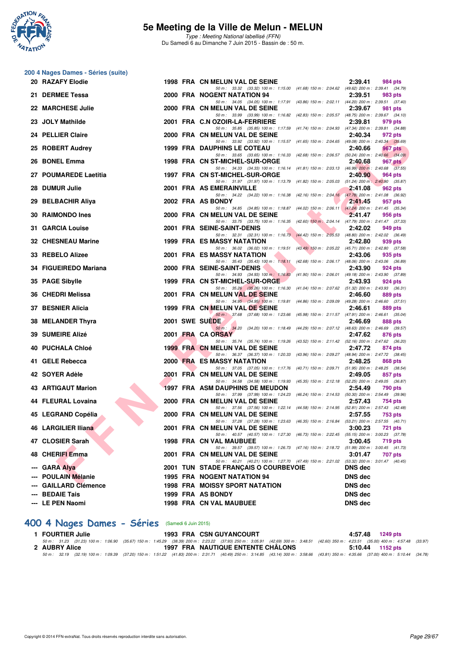

Type : Meeting National labellisé (FFN) Du Samedi 6 au Dimanche 7 Juin 2015 - Bassin de : 50 m.

|    | 200 4 Nages Dames - Séries (suite) |  |                                                                                                                                    |                                            |                |
|----|------------------------------------|--|------------------------------------------------------------------------------------------------------------------------------------|--------------------------------------------|----------------|
|    | 20 RAZAFY Elodie                   |  | 1998 FRA CN MELUN VAL DE SEINE                                                                                                     | 2:39.41                                    | 984 pts        |
|    | 21 DERMEE Tessa                    |  | 50 m: 33.32 (33.32) 100 m: 1:15.00 (41.68) 150 m: 2:04.62 (49.62) 200 m: 2:39.41 (34.79)<br>2000 FRA NOGENT NATATION 94            | 2:39.51                                    | 983 pts        |
|    | 22 MARCHESE Julie                  |  | 50 m: 34.05 (34.05) 100 m: 1:17.91 (43.86) 150 m: 2:02.11 (44.20) 200 m: 2:39.51 (37.40)<br>2000 FRA CN MELUN VAL DE SEINE         | 2:39.67                                    | 981 pts        |
|    | 23 JOLY Mathilde                   |  | 50 m: 33.99 (33.99) 100 m: 1:16.82 (42.83) 150 m: 2:05.57 (48.75) 200 m: 2:39.67 (34.10)<br>2001 FRA C.N OZOIR-LA-FERRIERE         |                                            |                |
|    |                                    |  | 50 m: 35.85 (35.85) 100 m: 1:17.59 (41.74) 150 m: 2:04.93 (47.34) 200 m: 2:39.81 (34.88)                                           | 2:39.81                                    | 979 pts        |
|    | 24 PELLIER Claire                  |  | 2000 FRA CN MELUN VAL DE SEINE<br>50 m: 33.92 (33.92) 100 m: 1:15.57 (41.65) 150 m: 2:04.65 (49.08) 200 m: 2:40.34 (35.69)         | 2:40.34                                    | 972 pts        |
|    | 25 ROBERT Audrey                   |  | <b>1999 FRA DAUPHINS LE COTEAU</b>                                                                                                 | 2:40.66                                    | 967 pts        |
| 26 | <b>BONEL Emma</b>                  |  | 50 m: 33.65 (33.65) 100 m: 1:16.33 (42.68) 150 m: 2:06.57 (50.24) 200 m: 2:40.66 (34.09)<br>1998 FRA CN ST-MICHEL-SUR-ORGE         | 2:40.68                                    | 967 pts        |
|    | 27 POUMAREDE Laetitia              |  | 50 m: 34.33 (34.33) 100 m: 1:16.14 (41.81) 150 m: 2:03.13 (46.99) 200 m: 2:40.68 (37.55)<br>1997 FRA CN ST-MICHEL-SUR-ORGE         | 2:40.90                                    | 964 pts        |
|    | 28 DUMUR Julie                     |  | 50 m: 31.97 (31.97) 100 m: 1:13.79 (41.82) 150 m: 2:05.03 (51.24) 200 m: 2:40.90 (35.87)<br>2001 FRA AS EMERAINVILLE               | 2:41.08                                    | 962 pts        |
|    | 29 BELBACHIR Aliya                 |  | 50 m: 34.22 (34.22) 100 m: 1:16.38 (42.16) 150 m: 2:04.16 (47.78) 200 m: 2:41.08 (36.92)<br>2002 FRA AS BONDY                      | 2:41.45                                    | 957 pts        |
|    |                                    |  | 50 m: 34.85 (34.85) 100 m: 1:18.87 (44.02) 150 m: 2:06.11 (47.24) 200 m: 2:41.45 (35.34)                                           |                                            |                |
|    | 30 RAIMONDO Ines                   |  | 2000 FRA CN MELUN VAL DE SEINE<br>50 m: 33.75 (33.75) 100 m: 1:16.35 (42.60) 150 m: 2:04.14 (47.79) 200 m: 2:41.47 (37.33)         | 2:41.47                                    | 956 pts        |
|    | 31 GARCIA Louise                   |  | 2001 FRA SEINE-SAINT-DENIS                                                                                                         | 2:42.02                                    | 949 pts        |
|    | 32 CHESNEAU Marine                 |  | 50 m: 32.31 (32.31) 100 m: 1:16.73 (44.42) 150 m: 2:05.53 (48.80) 200 m: 2:42.02 (36.49)<br>1999 FRA ES MASSY NATATION             | 2:42.80                                    | 939 pts        |
|    |                                    |  | 50 m: 36.02 (36.02) 100 m: 1:19.51 (43.49) 150 m: 2:05.22 (45.71) 200 m: 2:42.80 (37.58)<br>2001 FRA ES MASSY NATATION             |                                            |                |
|    | 33 REBELO Alizee                   |  | 50 m: 35.43 (35.43) 100 m: 1:18.11 (42.68) 150 m: 2:06.17 (48.06) 200 m: 2:43.06 (36.89)                                           | 2:43.06                                    | 935 pts        |
|    | 34 FIGUEIREDO Mariana              |  | 2000 FRA SEINE-SAINT-DENIS<br>50 m: 34.93 (34.93) 100 m: 1:16.83 (41.90) 150 m: 2:06.01 (49.18) 200 m: 2:43.90 (37.89)             | 2:43.90                                    | 924 pts        |
|    | 35 PAGE Sibylle                    |  | 1999 FRA CN ST-MICHEL-SUR-ORGE                                                                                                     | 2:43.93                                    | 924 pts        |
|    | 36 CHEDRI Melissa                  |  | 50 m: 35.26 (35.26) 100 m: 1:16.30 (41.04) 150 m: 2:07.62 (51.32) 200 m: 2:43.93 (36.31)<br>2001 FRA CN MELUN VAL DE SEINE         | 2:46.60                                    | 889 pts        |
|    | 37 BESNIER Alicia                  |  | 50 m: 34.95 (34.95) 100 m: 1:19.81 (44.86) 150 m: 2:09.09 (49.28) 200 m: 2:46.60 (37.51)<br>1999 FRA CN MELUN VAL DE SEINE         | 2:46.61                                    | 889 pts        |
|    |                                    |  | 50 m: 37.68 (37.68) 100 m: 1:23.66 (45.98) 150 m: 2:11.57 (47.91) 200 m: 2:46.61 (35.04)                                           |                                            |                |
|    | 38 MELANDER Thyra                  |  | 2001 SWE SUEDE<br>50 m: 34.20 (34.20) 100 m: 1:18.49 (44.29) 150 m: 2:07.12 (48.63) 200 m: 2:46.69 (39.57)                         | 2:46.69                                    | 888 pts        |
|    | <b>39 SUMEIRE Alizé</b>            |  | 2001 FRA CA ORSAY<br>50 m: 35.74 (35.74) 100 m: 1:19.26 (43.52) 150 m: 2:11.42 (52.16) 200 m: 2:47.62 (36.20)                      | 2:47.62                                    | 876 pts        |
|    | 40 PUCHALA Chloé                   |  | 1999 FRA CN MELUN VAL DE SEINE                                                                                                     | 2:47.72                                    | 874 pts        |
|    | 41 GELE Rebecca                    |  | 50 m: 36.37 (36.37) 100 m: 1:20.33 (43.96) 150 m: 2:09.27 (48.94) 200 m: 2:47.72 (38.45)<br><b>2000 FRA ES MASSY NATATION</b>      | 2:48.25                                    | 868 pts        |
|    |                                    |  | 50 m: 37.05 (37.05) 100 m: 1:17.76 (40.71) 150 m: 2:09.71 (51.95) 200 m: 2:48.25 (38.54)                                           |                                            |                |
|    | 42 SOYER Adèle                     |  | 2001 FRA CN MELUN VAL DE SEINE<br>50 m: 34.58 (34.58) 100 m: 1:19.93 (45.35) 150 m: 2:12.18 (52.25) 200 m: 2:49.05 (36.87)         | 2:49.05                                    | 857 pts        |
|    | 43 ARTIGAUT Marion                 |  | <b>1997 FRA ASM DAUPHINS DE MEUDON</b><br>50 m: 37.99 (37.99) 100 m: 1:24.23 (46.24) 150 m: 2:14.53 (50.30) 200 m: 2:54.49 (39.96) | 2:54.49                                    | 790 pts        |
|    | 44 FLEURAL Lovaina                 |  | 2000 FRA CN MELUN VAL DE SEINE                                                                                                     | 2:57.43                                    | 754 pts        |
|    | 45 LEGRAND Copélia                 |  | 50 m: 37.56 (37.56) 100 m: 1:22.14 (44.58) 150 m: 2:14.95 (52.81) 200 m: 2:57.43 (42.48)<br>2000 FRA CN MELUN VAL DE SEINE         | 2:57.55                                    | 753 pts        |
|    | 46 LARGILIER Iliana                |  | 50 m : 37.28 (37.28) 100 m : 1:23.63 (46.35) 150 m : 2:16.84 (53.21) 200 m : 2:57.55 (40.71)<br>2001 FRA CN MELUN VAL DE SEINE     | 3:00.23                                    | <b>721 pts</b> |
|    |                                    |  | 50 m: 40.57 (40.57) 100 m: 1:27.30 (46.73) 150 m: 2:22.45 (55.15) 200 m: 3:00.23 (37.78)                                           |                                            |                |
|    | 47 CLOSIER Sarah                   |  | 1998 FRA CN VAL MAUBUEE<br>50 m: 39.57 (39.57) 100 m: 1:26.73 (47.16) 150 m: 2:18.72 (51.99) 200 m: 3:00.45 (41.73)                | 3:00.45                                    | <b>719 pts</b> |
|    | 48 CHERIFI Emma                    |  | 2001 FRA CN MELUN VAL DE SEINE<br>50 m: 40.21 (40.21) 100 m: 1:27.70 (47.49) 150 m: 2:21.02                                        | 3:01.47<br>(53.32) 200 m : 3:01.47 (40.45) | 707 pts        |
|    | <b>GARA Alva</b>                   |  | 2001 TUN STADE FRANÇAIS O COURBEVOIE                                                                                               | <b>DNS</b> dec                             |                |
|    | <b>POULAIN Mélanie</b>             |  | <b>1995 FRA NOGENT NATATION 94</b>                                                                                                 | <b>DNS dec</b>                             |                |
|    | <b>GAILLARD Clémence</b>           |  | <b>1998 FRA MOISSY SPORT NATATION</b>                                                                                              | DNS dec                                    |                |
|    | <b>BEDAIE Tais</b>                 |  | 1999 FRA AS BONDY                                                                                                                  | <b>DNS dec</b>                             |                |
|    | --- LE PEN Naomi                   |  | 1998 FRA CN VAL MAUBUEE                                                                                                            | <b>DNS dec</b>                             |                |

#### **[400 4 Nages Dames - Séries](http://www.ffnatation.fr/webffn/resultats.php?idact=nat&go=epr&idcpt=31115&idepr=42)** (Samedi 6 Juin 2015)

1 FOURTIER Julie 1993 FRA CSN GUYANCOURT 4:57.48 1249 pts<br>50 m : 31.23 (31.23) 100 m : 1:06.90 (35.67) 150 m : 1:45.29 (38.39) 200 m : 2:23.22 (37.93) 250 m : 3:05.91 (42.69) 300 m : 3:48.51 (42.60) 350 m : 4:23.51 (35.00)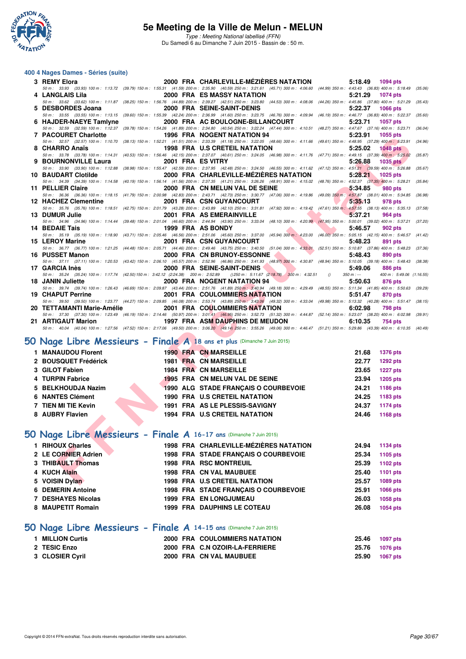

#### **400 4 Nages Dames - Séries (suite)**

| 3 REMY Elora                                                       |  | 2000 FRA CHARLEVILLE-MÉZIÈRES NATATION<br>5:18.49 1094 pts                                                                                                                                                                                                             |         |
|--------------------------------------------------------------------|--|------------------------------------------------------------------------------------------------------------------------------------------------------------------------------------------------------------------------------------------------------------------------|---------|
| 4   LANGLAIS Lila                                                  |  | 50 m: 33.93 (33.93) 100 m: 1:13.72 (39.79) 150 m: 1:55.31 (41.59) 200 m: 2:35.90 (40.59) 250 m: 3:21.61 (45.71) 300 m: 4:06.60 (44.99) 350 m: 4:43.43 (36.83) 400 m: 5:18.49<br>(35.06)<br>2000 FRA ES MASSY NATATION<br>5:21.29<br>1074 pts                           |         |
|                                                                    |  | 50 m: 33.62 (33.62) 100 m: 1:11.87 (38.25) 150 m: 1:56.76 (44.89) 200 m: 2:39.27 (42.51) 250 m: 3:23.80 (44.53) 300 m: 4:08.06 (44.26) 350 m: 4:45.86 (37.80) 400 m: 5:21.29 (35.43)                                                                                   |         |
| 5 DESBORDES Joana                                                  |  | 2000 FRA SEINE-SAINT-DENIS<br>5:22.37<br>1066 pts                                                                                                                                                                                                                      |         |
|                                                                    |  | 50 m: 33.55 (33.55) 100 m: 1:13.15 (39.60) 150 m: 1:55.39 (42.24) 200 m: 2:36.99 (41.60) 250 m: 3:23.75 (46.76) 300 m: 4:09.94 (46.19) 350 m: 4:46.77 (36.83) 400 m: 5:22.37<br>(35.60)                                                                                |         |
|                                                                    |  | 6 HAJDER-NAEYE Tamiyne 2000 FRA AC BOULOGNE-BILLANCOURT<br>5:23.71<br>1057 pts<br>50 m: 32.59 (32.59) 100 m: 1:12.37 (39.78) 150 m: 1:54.26 (41.89) 200 m: 2:34.80 (40.54) 250 m: 3:22.24 (47.44) 300 m: 4:10.51 (48.27) 350 m: 4:47.67 (37.16) 400 m: 5:23.71 (36.04) |         |
| <b>7 PACOURET Charlotte</b>                                        |  | 1996 FRA NOGENT NATATION 94<br>5:23.91<br>1055 pts                                                                                                                                                                                                                     |         |
|                                                                    |  | 50 m: 32.57 (32.57) 100 m: 1:10.70 (38.13) 150 m: 1:52.21 (41.51) 200 m: 2:33.39 (41.18) 250 m: 3:22.05 (48.66) 300 m: 4:11.66 (49.61) 350 m: 4:48.95 (37.29) 400 m: 5:23.91<br>(34.96)                                                                                |         |
| 8 CHARRO Anaïs                                                     |  | <b>1998 FRA U.S CRETEIL NATATION</b><br>5:25.02<br><b>1048 pts</b>                                                                                                                                                                                                     |         |
|                                                                    |  | 50 m: 33.78 (33.78) 100 m: 1:14.31 (40.53) 150 m: 1:56.46 (42.15) 200 m: 2:37.07 (40.61) 250 m: 3:24.05 (46.98) 300 m: 4:11.76 (47.71) 350 m: 4:49.15 (37.39) 400 m: 5:25.02                                                                                           | (35.87) |
| 9 BOURNONVILLE Laura                                               |  | 2001 FRA ES VITRY<br>5:26.88<br><b>1035 pts</b><br>50 m: 33.90 (33.90) 100 m: 1:12.88 (38.98) 150 m: 1:55.47 (42.59) 200 m: 2:37.95 (42.48) 250 m: 3:24.50 (46.55) 300 m: 4:11.62 (47.12) 350 m: 4:51.21 (39.59) 400 m: 5:26.88 (35.67)                                |         |
| 10 BAUDART Clotilde                                                |  | 2000 FRA CHARLEVILLE-MEZIERES NATATION<br>5:28.21<br>1025 pts                                                                                                                                                                                                          |         |
|                                                                    |  | 50 m: 34.39 (34.39) 100 m: 1:14.58 (40.19) 150 m: 1:56.14 (41.56) 200 m: 2:37.35 (41.21) 250 m: 3:26.26 (48.91) 300 m: 4:15.02 (48.76) 350 m: 4:52.37 (37.35) 400 m: 5:28.21                                                                                           | (35.84) |
| 11 PELLIER Claire                                                  |  | 2000 FRA CN MELUN VAL DE SEINE<br>5:34.85<br><b>980 pts</b>                                                                                                                                                                                                            |         |
|                                                                    |  | 50 m: 36.36 (36.36) 100 m: 1:18.15 (41.79) 150 m: 2:00.98 (42.83) 200 m: 2:43.71 (42.73) 250 m: 3:30.77 (47.06) 300 m: 4:19.86 (49.09) 350 m: 4:57.87 (38.01) 400 m: 5:34.85 (36.98)<br>2001 FRA CSN GUYANCOURT                                                        |         |
| 12 HACHEZ Clementine                                               |  | 5:35.13<br>978 pts<br>50 m: 35.76 (35.76) 100 m: 1:18.51 (42.75) 150 m: 2:01.79 (43.28) 200 m: 2:43.89 (42.10) 250 m: 3:31.81 (47.92) 300 m: 4:19.42 (47.61) 350 m: 4:57.55 (38.13) 400 m: 5:35.13<br>(37.58)                                                          |         |
| 13 DUMUR Julie                                                     |  | 2001 FRA AS EMERAINVILLE<br><b>Marine Street</b><br>5:37.21<br>964 pts                                                                                                                                                                                                 |         |
|                                                                    |  | 50 m: 34.96 (34.96) 100 m: 1:14.44 (39.48) 150 m: 2:01.04 (46.60) 200 m: 2:44.94 (43.90) 250 m: 3:33.04 (48.10) 300 m: 4:20.99 (47.95) 350 m: 5:00.01 (39.02) 400 m: 5:37.21 (37.20)                                                                                   |         |
| 14 BEDAIE Tais                                                     |  | 1999 FRA AS BONDY<br>5:46.57<br><b>902 pts</b>                                                                                                                                                                                                                         |         |
| 15 LEROY Marine                                                    |  | 50 m: 35.19 (35.19) 100 m: 1:18.90 (43.71) 150 m: 2:05.46 (46.56) 200 m: 2:51.06 (45.60) 250 m: 3:37.00 (45.94) 300 m: 4:23.00 (46.00) 350 m: 5:05.15 (42.15) 400 m: 5:46.57 (41.42)<br>2001 FRA CSN GUYANCOURT<br>5:48.23<br>891 pts                                  |         |
|                                                                    |  | 50 m: 36.77 (36.77) 100 m: 1:21.25 (44.48) 150 m: 2:05.71 (44.46) 200 m: 2:49.46 (43.75) 250 m: 3:40.50 (51.04) 300 m: 4:33.01 (52.51) 350 m: 5:10.87 (37.86) 400 m: 5:48.23 (37.36)                                                                                   |         |
| 16 PUSSET Manon                                                    |  | 2000 FRA CN BRUNOY-ESSONNE<br>5:48.43<br><b>890 pts</b>                                                                                                                                                                                                                |         |
|                                                                    |  | 50 m: 37.11 (37.11) 100 m: 1:20.53 (43.42) 150 m: 2:06.10 (45.57) 200 m: 2:52.96 (46.86) 250 m: 3:41.93 (48.97) 300 m: 4:30.87 (48.94) 350 m: 5:10.05 (39.18) 400 m: 5:48.43 (38.38)                                                                                   |         |
| 17 GARCIA Inès                                                     |  | 2000 FRA SEINE-SAINT-DENIS<br>5:49.06<br>886 pts                                                                                                                                                                                                                       |         |
| 18 JANIN Juliette                                                  |  | 50 m : 35.24 (35.24) 100 m : 1:17.74 (42.50) 150 m : 3:42.12 (2:24.38) 200 m : 2:52.89 () 250 m : 5:11.67 (2:18.78) 300 m : 4:32.51 ()<br>$350 m : -$<br>400 m: 5:49.06 (1:16.55)<br>2000 FRA NOGENT NATATION 94<br>5:50.63<br><b>876 pts</b>                          |         |
|                                                                    |  | 50 m: 39.74 (39.74) 100 m: 1:26.43 (46.69) 150 m: 2:09.87 (43.44) 200 m: 2:51.76 (41.89) 250 m: 3:40.94 (49.18) 300 m: 4:29.49 (48.55) 350 m: 5:11.34 (41.85) 400 m: 5:50.63 (39.29)                                                                                   |         |
| 19 CHAPUT Perrine                                                  |  | 2001 FRA COULOMMIERS NATATION<br>5:51.47<br>870 pts                                                                                                                                                                                                                    |         |
|                                                                    |  | 50 m : 39.50 (39.50) 100 m : 1:23.77 (44.27) 150 m : 2:09.85 (46.08) 200 m : 2:53.74 (43.89) 250 m : 33.06 (49.32) 300 m : 4:33.04 (49.98) 350 m : 5:13.32 (40.28) 400 m : 5:51.47 (38.15)                                                                             |         |
|                                                                    |  | 6:02.98<br><b>798 pts</b><br>50 m: 37.30 (37.30) 100 m: 1:23.49 (46.19) 150 m: 2:14.46 (50.97) 200 m: 3:01.41 (46.95) 250 m: 3:52.73 (51.32) 300 m: 4:44.87 (52.14) 350 m: 5:23.07 (38.20) 400 m: 6:02.98 (39.91)                                                      |         |
| 21 ARTIGAUT Marion                                                 |  | 1997 FRA ASM DAUPHINS DE MEUDON<br>6:10.35<br>754 pts                                                                                                                                                                                                                  |         |
|                                                                    |  | 50 m: 40.04 (40.04) 100 m: 1:27.56 (47.52) 150 m: 2:17.06 (49.50) 200 m: 3:06.20 (49.14) 250 m: 3:55.26 (49.06) 300 m: 4:46.47 (51.21) 350 m: 5:29.86 (43.39) 400 m: 6:10.35 (40.49)                                                                                   |         |
|                                                                    |  |                                                                                                                                                                                                                                                                        |         |
|                                                                    |  | O Nage Libre Messieurs - Finale A 18 ans et plus (Dimanche 7 Juin 2015)                                                                                                                                                                                                |         |
| 1 MANAUDOU Florent                                                 |  | <b>1990 FRA CN MARSEILLE</b><br>21.68<br><b>1376 pts</b>                                                                                                                                                                                                               |         |
| 2 BOUSQUET Frédérick                                               |  | 1981 FRA CN MARSEILLE<br>22.77<br><b>1292 pts</b>                                                                                                                                                                                                                      |         |
| 3 GILOT Fabien                                                     |  | <b>1984 FRA CN MARSEILLE</b><br>23.65<br><b>1227 pts</b>                                                                                                                                                                                                               |         |
| 4 TURPIN Fabrice                                                   |  | 1995 FRA CN MELUN VAL DE SEINE<br>23.94<br><b>1205 pts</b>                                                                                                                                                                                                             |         |
| 5 BELKHOUDJA Nazim                                                 |  | 1990 ALG STADE FRANÇAIS O COURBEVOIE<br>24.21<br>1186 pts                                                                                                                                                                                                              |         |
| <b>6 NANTES Clément</b>                                            |  | 24.25<br>1990 FRA U.S CRETEIL NATATION<br>1183 pts                                                                                                                                                                                                                     |         |
| 7 TIEN MI TIE Kevin                                                |  | 1991 FRA AS LE PLESSIS-SAVIGNY<br>24.37<br><b>1174 pts</b>                                                                                                                                                                                                             |         |
|                                                                    |  |                                                                                                                                                                                                                                                                        |         |
| 8 AUBRY Flavien                                                    |  | 1994 FRA U.S CRETEIL NATATION<br>24.46<br>1168 pts                                                                                                                                                                                                                     |         |
|                                                                    |  |                                                                                                                                                                                                                                                                        |         |
| O Nage Libre Messieurs - Finale A 16-17 ans (Dimanche 7 Juin 2015) |  |                                                                                                                                                                                                                                                                        |         |
| 1 RIHOUX Charles                                                   |  | 1998 FRA CHARLEVILLE-MÉZIÈRES NATATION<br>24.94<br>1134 pts                                                                                                                                                                                                            |         |
| 2 LE CORNIER Adrien                                                |  | 1998 FRA STADE FRANÇAIS O COURBEVOIE<br>25.34<br>1105 pts                                                                                                                                                                                                              |         |
| 3 THIBAULT Thomas                                                  |  | 25.39<br><b>1998 FRA RSC MONTREUIL</b><br>1102 pts                                                                                                                                                                                                                     |         |
|                                                                    |  |                                                                                                                                                                                                                                                                        |         |
|                                                                    |  |                                                                                                                                                                                                                                                                        |         |
| 4 KUCH Alain<br>5 VOISIN Dylan                                     |  | <b>1998 FRA CN VAL MAUBUEE</b><br>25.40<br>1101 pts<br><b>1998 FRA U.S CRETEIL NATATION</b><br>25.57<br>1089 pts                                                                                                                                                       |         |

### **[50 Nage Libre Messieurs - Finale A](http://www.ffnatation.fr/webffn/resultats.php?idact=nat&go=epr&idcpt=31115&idepr=51) 18 ans et plus** (Dimanche 7 Juin 2015)

| 1 MANAUDOU Florent   |  | <b>1990 FRA CN MARSEILLE</b>         | 21.68 | <b>1376 pts</b> |
|----------------------|--|--------------------------------------|-------|-----------------|
| 2 BOUSQUET Frédérick |  | <b>1981 FRA CN MARSEILLE</b>         | 22.77 | <b>1292 pts</b> |
| 3 GILOT Fabien       |  | <b>1984 FRA CN MARSEILLE</b>         | 23.65 | <b>1227 pts</b> |
| 4 TURPIN Fabrice     |  | 1995 FRA CN MELUN VAL DE SEINE       | 23.94 | <b>1205 pts</b> |
| 5 BELKHOUDJA Nazim   |  | 1990 ALG STADE FRANCAIS O COURBEVOIE | 24.21 | 1186 pts        |
| 6 NANTES Clément     |  | <b>1990 FRA U.S CRETEIL NATATION</b> | 24.25 | 1183 pts        |
| 7 TIEN MI TIE Kevin  |  | 1991 FRA AS LE PLESSIS-SAVIGNY       | 24.37 | <b>1174 pts</b> |
| 8 AUBRY Flavien      |  | <b>1994 FRA U.S CRETEIL NATATION</b> | 24.46 | 1168 pts        |

### **[50 Nage Libre Messieurs - Finale A](http://www.ffnatation.fr/webffn/resultats.php?idact=nat&go=epr&idcpt=31115&idepr=51) 16-17 ans** (Dimanche 7 Juin 2015)

| 2 LE CORNIER Adrien<br>1998 FRA STADE FRANCAIS O COURBEVOIE<br>25.34<br>3 THIBAULT Thomas<br><b>1998 FRA RSC MONTREUIL</b><br>25.39<br>4 KUCH Alain<br>1998 FRA CN VAL MAUBUEE<br>25.40<br><b>1998 FRA U.S CRETEIL NATATION</b><br>5 VOISIN Dylan<br>25.57<br><b>6 DEMERIN Antoine</b><br>1998 FRA STADE FRANCAIS O COURBEVOIE<br>25.91<br>7 DESHAYES Nicolas<br><b>1999 FRA EN LONGJUMEAU</b><br>26.03<br><b>1999 FRA DAUPHINS LE COTEAU</b> | 1 RIHOUX Charles  |  | 1998 FRA CHARLEVILLE-MÉZIÈRES NATATION | 24.94 | 1134 pts |
|-----------------------------------------------------------------------------------------------------------------------------------------------------------------------------------------------------------------------------------------------------------------------------------------------------------------------------------------------------------------------------------------------------------------------------------------------|-------------------|--|----------------------------------------|-------|----------|
|                                                                                                                                                                                                                                                                                                                                                                                                                                               |                   |  |                                        |       | 1105 pts |
|                                                                                                                                                                                                                                                                                                                                                                                                                                               |                   |  |                                        |       | 1102 pts |
|                                                                                                                                                                                                                                                                                                                                                                                                                                               |                   |  |                                        |       | 1101 pts |
|                                                                                                                                                                                                                                                                                                                                                                                                                                               |                   |  |                                        |       | 1089 pts |
|                                                                                                                                                                                                                                                                                                                                                                                                                                               |                   |  |                                        |       | 1066 pts |
|                                                                                                                                                                                                                                                                                                                                                                                                                                               |                   |  |                                        |       | 1058 pts |
|                                                                                                                                                                                                                                                                                                                                                                                                                                               | 8 MAUPETIT Romain |  |                                        | 26.08 | 1054 pts |

### **[50 Nage Libre Messieurs - Finale A](http://www.ffnatation.fr/webffn/resultats.php?idact=nat&go=epr&idcpt=31115&idepr=51) 14-15 ans** (Dimanche 7 Juin 2015)

| 1 MILLION Curtis |  | 2000 FRA COULOMMIERS NATATION  | 25.46          | 1097 pts        |
|------------------|--|--------------------------------|----------------|-----------------|
| 2 TESIC Enzo     |  | 2000 FRA C.N OZOIR-LA-FERRIERE | 25.76 1076 pts |                 |
| 3 CLOSIER Cyril  |  | 2000 FRA CN VAL MAUBUEE        | 25.90          | <b>1067 pts</b> |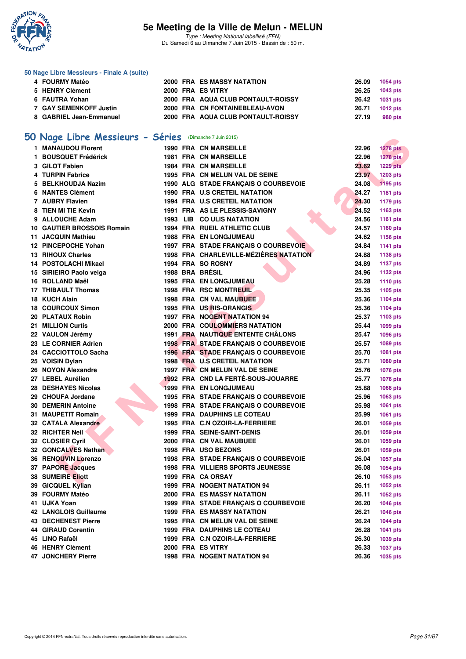

Type : Meeting National labellisé (FFN) Du Samedi 6 au Dimanche 7 Juin 2015 - Bassin de : 50 m.

#### **50 Nage Libre Messieurs - Finale A (suite)**

| 4 FOURMY Matéo          |  | 2000 FRA ES MASSY NATATION         | 26.09 1054 pts |          |
|-------------------------|--|------------------------------------|----------------|----------|
| 5 HENRY Clément         |  | 2000 FRA ES VITRY                  | 26.25 1043 pts |          |
| 6 FAUTRA Yohan          |  | 2000 FRA AQUA CLUB PONTAULT-ROISSY | 26.42 1031 pts |          |
| 7 GAY SEMENKOFF Justin  |  | 2000 FRA CN FONTAINEBLEAU-AVON     | 26.71          | 1012 pts |
| 8 GABRIEL Jean-Emmanuel |  | 2000 FRA AQUA CLUB PONTAULT-ROISSY | 27.19          | 980 pts  |

# **[50 Nage Libre Messieurs - Séries](http://www.ffnatation.fr/webffn/resultats.php?idact=nat&go=epr&idcpt=31115&idepr=51)** (Dimanche 7 Juin 2015)

| <b>U Nage Libre Messieurs - Series</b> (Dimanche 7 Juin 2015) |  |                                             |       |                 |
|---------------------------------------------------------------|--|---------------------------------------------|-------|-----------------|
| 1 MANAUDOU Florent                                            |  | <b>1990 FRA CN MARSEILLE</b>                | 22.96 | <b>1278 pts</b> |
| 1 BOUSQUET Frédérick                                          |  | <b>1981 FRA CN MARSEILLE</b>                | 22.96 | <b>1278 pts</b> |
| 3 GILOT Fabien                                                |  | <b>1984 FRA CN MARSEILLE</b>                | 23.62 | <b>1229 pts</b> |
| 4 TURPIN Fabrice                                              |  | 1995 FRA CN MELUN VAL DE SEINE              | 23.97 | 1203 pts        |
| 5 BELKHOUDJA Nazim                                            |  | 1990 ALG STADE FRANÇAIS O COURBEVOIE        | 24.08 | 1195 pts        |
| <b>6 NANTES Clément</b>                                       |  | 1990 FRA U.S CRETEIL NATATION               | 24.27 | 1181 pts        |
| 7 AUBRY Flavien                                               |  | 1994 FRA U.S CRETEIL NATATION               | 24.30 | 1179 pts        |
| 8 TIEN MI TIE Kevin                                           |  | 1991 FRA AS LE PLESSIS-SAVIGNY              | 24.52 | 1163 pts        |
| 9 ALLOUCHE Adam                                               |  | 1993 LIB CO ULIS NATATION                   | 24.56 | 1161 pts        |
| <b>10 GAUTIER BROSSOIS Romain</b>                             |  | 1994 FRA RUEIL ATHLETIC CLUB                | 24.57 | 1160 pts        |
| 11 JACQUIN Mathieu                                            |  | 1988 FRA EN LONGJUMEAU                      | 24.62 | 1156 pts        |
| 12 PINCEPOCHE Yohan                                           |  | 1997 FRA STADE FRANÇAIS O COURBEVOIE        | 24.84 | 1141 pts        |
| 13 RIHOUX Charles                                             |  | 1998 FRA CHARLEVILLE-MÉZIÈRES NATATION      | 24.88 | 1138 pts        |
| 14 POSTOLACHI Mikael                                          |  | 1994 FRA SO ROSNY                           | 24.89 | <b>1137 pts</b> |
| 15 SIRIEIRO Paolo veiga                                       |  | 1988 BRA BRÉSIL                             | 24.96 | <b>1132 pts</b> |
| 16 ROLLAND Maël                                               |  | <b>1995 FRA EN LONGJUMEAU</b>               | 25.28 | <b>1110 pts</b> |
| 17 THIBAULT Thomas                                            |  | 1998 FRA RSC MONTREUIL                      | 25.35 | 1105 pts        |
| 18 KUCH Alain                                                 |  | 1998 FRA CN VAL MAUBUEE                     | 25.36 | <b>1104 pts</b> |
| <b>18 COURCOUX Simon</b>                                      |  | 1995 FRA US RIS-ORANGIS                     | 25.36 | <b>1104 pts</b> |
| 20 PLATAUX Robin                                              |  | 1997 FRA NOGENT NATATION 94                 | 25.37 | 1103 pts        |
| 21 MILLION Curtis                                             |  | <b>2000 FRA COULOMMIERS NATATION</b>        | 25.44 | 1099 pts        |
| 22 VAULON Jérémy                                              |  | <b>1991 FRA NAUTIQUE ENTENTE CHÂLONS</b>    | 25.47 | 1096 pts        |
| 23 LE CORNIER Adrien                                          |  | <b>1998 FRA STADE FRANÇAIS O COURBEVOIE</b> | 25.57 | 1089 pts        |
| 24 CACCIOTTOLO Sacha                                          |  | 1996 FRA STADE FRANCAIS O COURBEVOIE        | 25.70 | 1081 pts        |
| 25 VOISIN Dylan                                               |  | 1998 FRA U.S CRETEIL NATATION               | 25.71 | 1080 pts        |
| 26 NOYON Alexandre                                            |  | 1997 FRA CN MELUN VAL DE SEINE              | 25.76 | <b>1076 pts</b> |
| 27 LEBEL Aurélien                                             |  | 1992 FRA CND LA FERTÉ-SOUS-JOUARRE          | 25.77 | <b>1076 pts</b> |
| 28 DESHAYES Nicolas                                           |  | <b>1999 FRA EN LONGJUMEAU</b>               | 25.88 | 1068 pts        |
| 29 CHOUFA Jordane                                             |  | 1995 FRA STADE FRANÇAIS O COURBEVOIE        | 25.96 | 1063 pts        |
| <b>30 DEMERIN Antoine</b>                                     |  | 1998 FRA STADE FRANÇAIS O COURBEVOIE        | 25.98 | 1061 pts        |
| <b>31 MAUPETIT Romain</b>                                     |  | <b>1999 FRA DAUPHINS LE COTEAU</b>          | 25.99 | 1061 pts        |
| 32 CATALA Alexandre                                           |  | 1995 FRA C.N OZOIR-LA-FERRIERE              | 26.01 | 1059 pts        |
| 32 RICHTER Neil                                               |  | <b>1999 FRA SEINE-SAINT-DENIS</b>           | 26.01 | 1059 pts        |
| 32 CLOSIER Cyril                                              |  | 2000 FRA CN VAL MAUBUEE                     | 26.01 | 1059 pts        |
| 32 GONCALVES Nathan                                           |  | 1998 FRA USO BEZONS                         | 26.01 | 1059 pts        |
| 36 RENOUVIN Lorenzo                                           |  | 1998 FRA STADE FRANÇAIS O COURBEVOIE        | 26.04 | <b>1057 pts</b> |
| 37 PAPORE Jacques                                             |  | <b>1998 FRA VILLIERS SPORTS JEUNESSE</b>    | 26.08 | <b>1054 pts</b> |
| <b>38 SUMEIRE Eliott</b>                                      |  | 1999 FRA CA ORSAY                           | 26.10 | 1053 pts        |
| 39 GICQUEL Kylian                                             |  | <b>1999 FRA NOGENT NATATION 94</b>          | 26.11 | 1052 pts        |
| 39 FOURMY Matéo                                               |  | <b>2000 FRA ES MASSY NATATION</b>           | 26.11 | 1052 pts        |
| 41 UJKA Yoan                                                  |  | 1999 FRA STADE FRANÇAIS O COURBEVOIE        | 26.20 | <b>1046 pts</b> |
| <b>42 LANGLOIS Guillaume</b>                                  |  | <b>1999 FRA ES MASSY NATATION</b>           | 26.21 | <b>1046 pts</b> |
| <b>43 DECHENEST Pierre</b>                                    |  | 1995 FRA CN MELUN VAL DE SEINE              | 26.24 | <b>1044 pts</b> |
| <b>44 GIRAUD Corentin</b>                                     |  | <b>1999 FRA DAUPHINS LE COTEAU</b>          | 26.28 | <b>1041 pts</b> |
| 45 LINO Rafaël                                                |  | 1999 FRA C.N OZOIR-LA-FERRIERE              | 26.30 | 1039 pts        |
| 46 HENRY Clément                                              |  | 2000 FRA ES VITRY                           | 26.33 | <b>1037 pts</b> |
| 47 JONCHERY Pierre                                            |  | 1998 FRA NOGENT NATATION 94                 | 26.36 | 1035 pts        |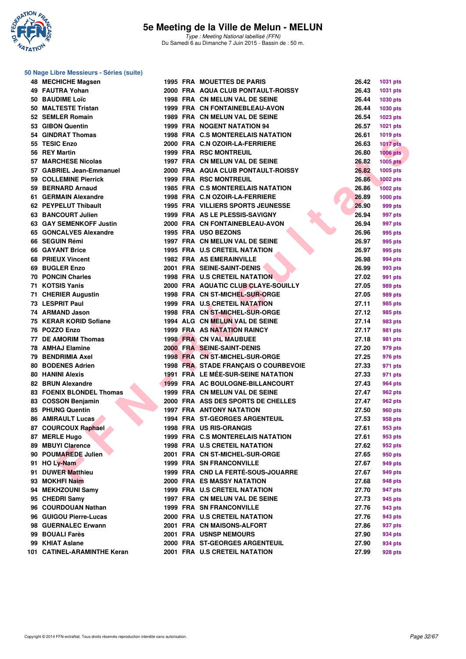

#### **50 Nage Libre Messieurs - Séries (suite)**

| 48 MECHICHE Magsen              |  | <b>1995 FRA MOUETTES DE PARIS</b>                                | 26.42 | <b>1031 pts</b> |
|---------------------------------|--|------------------------------------------------------------------|-------|-----------------|
| 49 FAUTRA Yohan                 |  | 2000 FRA AQUA CLUB PONTAULT-ROISSY                               | 26.43 | 1031 pts        |
| 50 BAUDIME Loïc                 |  | 1998 FRA CN MELUN VAL DE SEINE                                   | 26.44 | 1030 pts        |
| 50 MALTESTE Tristan             |  | 1999 FRA CN FONTAINEBLEAU-AVON                                   | 26.44 | <b>1030 pts</b> |
| 52 SEMLER Romain                |  | 1989 FRA CN MELUN VAL DE SEINE                                   | 26.54 | 1023 pts        |
| 53 GIBON Quentin                |  | 1999 FRA NOGENT NATATION 94                                      | 26.57 | 1021 pts        |
| 54 GINDRAT Thomas               |  | 1998 FRA C.S MONTERELAIS NATATION                                | 26.61 | 1019 pts        |
| 55 TESIC Enzo                   |  | 2000 FRA C.N OZOIR-LA-FERRIERE                                   | 26.63 | <b>1017 pts</b> |
| 56 REY Martin                   |  | <b>1999 FRA RSC MONTREUIL</b>                                    | 26.80 | $1006$ pts      |
| 57 MARCHESE Nicolas             |  | 1997 FRA CN MELUN VAL DE SEINE                                   | 26.82 | <b>1005 pts</b> |
| 57 GABRIEL Jean-Emmanuel        |  | 2000 FRA AQUA CLUB PONTAULT-ROISSY                               | 26.82 | <b>1005 pts</b> |
| 59 COLLEMINE Pierrick           |  | <b>1999 FRA RSC MONTREUIL</b>                                    | 26.86 | <b>1002 pts</b> |
| 59 BERNARD Arnaud               |  | 1985 FRA C.S MONTERELAIS NATATION                                | 26.86 | <b>1002 pts</b> |
| 61 GERMAIN Alexandre            |  | 1998 FRA C.N OZOIR-LA-FERRIERE                                   | 26.89 | 1000 pts        |
| 62 PEYPELUT Thibault            |  | <b>1995 FRA VILLIERS SPORTS JEUNESSE</b>                         | 26.90 | 999 pts         |
| 63 BANCOURT Julien              |  | 1999 FRA AS LE PLESSIS-SAVIGNY                                   | 26.94 | 997 pts         |
| 63 GAY SEMENKOFF Justin         |  | 2000 FRA CN FONTAINEBLEAU-AVON                                   | 26.94 | 997 pts         |
| 65 GONCALVES Alexandre          |  | 1995 FRA USO BEZONS                                              | 26.96 | 995 pts         |
| 66 SEGUIN Rémi                  |  | 1997 FRA CN MELUN VAL DE SEINE                                   | 26.97 | 995 pts         |
| 66 GAYANT Brice                 |  | <b>1995 FRA U.S CRETEIL NATATION</b>                             | 26.97 | 995 pts         |
| 68 PRIEUX Vincent               |  | <b>1982 FRA AS EMERAINVILLE</b>                                  | 26.98 | 994 pts         |
| 69 BUGLER Enzo                  |  | 2001 FRA SEINE-SAINT-DENIS                                       | 26.99 |                 |
| <b>70 PONCIN Charles</b>        |  | <b>1998 FRA U.S CRETEIL NATATION</b>                             | 27.02 | 993 pts         |
| 71 KOTSIS Yanis                 |  | 2000 FRA AQUATIC CLUB CLAYE-SOUILLY                              | 27.05 | 991 pts         |
| 71 CHERIER Augustin             |  |                                                                  | 27.05 | 989 pts         |
| 73 LESPRIT Paul                 |  | 1998 FRA CN ST-MICHEL-SUR-ORGE<br>1999 FRA U.S. CRETEIL NATATION |       | 989 pts         |
|                                 |  |                                                                  | 27.11 | 985 pts         |
| 74 ARMAND Jason                 |  | 1998 FRA CN ST-MICHEL-SUR-ORGE                                   | 27.12 | 985 pts         |
| 75 KERAR KORID Sofiane          |  | 1994 ALG CN MELUN VAL DE SEINE                                   | 27.14 | 983 pts         |
| 76 POZZO Enzo                   |  | <b>1999 FRA AS NATATION RAINCY</b>                               | 27.17 | 981 pts         |
| 77 DE AMORIM Thomas             |  | <b>1998 FRA CN VAL MAUBUEE</b>                                   | 27.18 | 981 pts         |
| 78 AMHAJ Elamine                |  | 2000 FRA SEINE-SAINT-DENIS                                       | 27.20 | 979 pts         |
| 79 BENDRIMIA Axel               |  | 1998 FRA CN ST-MICHEL-SUR-ORGE                                   | 27.25 | 976 pts         |
| <b>80 BODENES Adrien</b>        |  | 1998 FRA STADE FRANÇAIS O COURBEVOIE                             | 27.33 | 971 pts         |
| <b>80 HANINI Alexis</b>         |  | 1991 FRA LE MÉE-SUR-SEINE NATATION                               | 27.33 | 971 pts         |
| 82 BRUN Alexandre               |  | 1999 FRA AC BOULOGNE-BILLANCOURT                                 | 27.43 | 964 pts         |
| <b>83 FOENIX BLONDEL Thomas</b> |  | 1999 FRA CN MELUN VAL DE SEINE                                   | 27.47 | 962 pts         |
| 83 COSSON Benjamin              |  | 2000 FRA ASS DES SPORTS DE CHELLES                               | 27.47 | 962 pts         |
| 85 PHUNG Quentin                |  | <b>1997 FRA ANTONY NATATION</b>                                  | 27.50 | <b>960 pts</b>  |
| <b>86 AMIRAULT Lucas</b>        |  | <b>1994 FRA ST-GEORGES ARGENTEUIL</b>                            | 27.53 | 958 pts         |
| 87 COURCOUX Raphael             |  | 1998 FRA US RIS-ORANGIS                                          | 27.61 | 953 pts         |
| 87 MERLE Hugo                   |  | 1999 FRA C.S MONTERELAIS NATATION                                | 27.61 | 953 pts         |
| 89 MBUYI Clarence               |  | 1998 FRA U.S CRETEIL NATATION                                    | 27.62 | 952 pts         |
| 90 POUMAREDE Julien             |  | 2001 FRA CN ST-MICHEL-SUR-ORGE                                   | 27.65 | 950 pts         |
| 91 HO Ly-Nam                    |  | 1999 FRA SN FRANCONVILLE                                         | 27.67 | 949 pts         |
| 91 DUWER Matthieu               |  | 1999 FRA CND LA FERTÉ-SOUS-JOUARRE                               | 27.67 | 949 pts         |
| 93 MOKHFI Naim                  |  | 2000 FRA ES MASSY NATATION                                       | 27.68 | 948 pts         |
| 94 MEKHZOUNI Samy               |  | 1999 FRA U.S CRETEIL NATATION                                    | 27.70 | 947 pts         |
| 95 CHEDRI Samy                  |  | 1997 FRA CN MELUN VAL DE SEINE                                   | 27.73 | 945 pts         |
| 96 COURDOUAN Nathan             |  | <b>1999 FRA SN FRANCONVILLE</b>                                  | 27.76 | 943 pts         |
| 96 GUIGOU Pierre-Lucas          |  | 2000 FRA U.S CRETEIL NATATION                                    | 27.76 | 943 pts         |
| 98 GUERNALEC Erwann             |  | 2001 FRA CN MAISONS-ALFORT                                       | 27.86 | 937 pts         |
| 99 BOUALI Farès                 |  | <b>2001 FRA USNSP NEMOURS</b>                                    | 27.90 | 934 pts         |
| 99 KHIAT Aslane                 |  | 2000 FRA ST-GEORGES ARGENTEUIL                                   | 27.90 | 934 pts         |
| 101 CATINEL-ARAMINTHE Keran     |  | 2001 FRA U.S CRETEIL NATATION                                    | 27.99 | 928 pts         |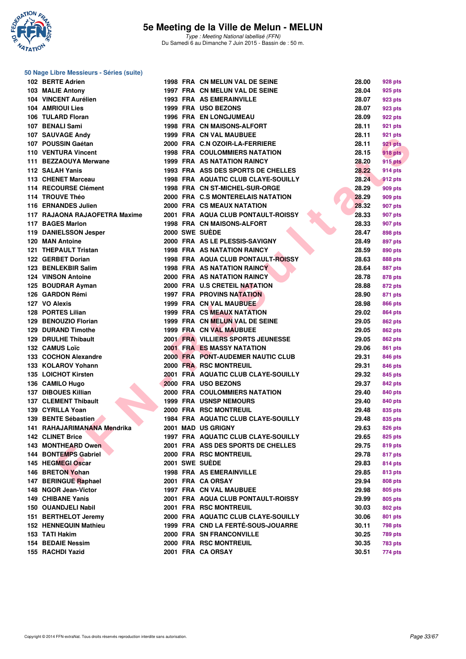

|  | 50 Nage Libre Messieurs - Séries (suite) |  |  |
|--|------------------------------------------|--|--|
|--|------------------------------------------|--|--|

| 102 BERTE Adrien              |  | 1998 FRA CN MELUN VAL DE SEINE             | 28.00 | 928 pts        |
|-------------------------------|--|--------------------------------------------|-------|----------------|
| 103 MALIE Antony              |  | 1997 FRA CN MELUN VAL DE SEINE             | 28.04 | 925 pts        |
| 104 VINCENT Aurélien          |  | <b>1993 FRA AS EMERAINVILLE</b>            | 28.07 | 923 pts        |
| 104 AMRIOUI Lies              |  | 1999 FRA USO BEZONS                        | 28.07 | 923 pts        |
| 106 TULARD Floran             |  | <b>1996 FRA EN LONGJUMEAU</b>              | 28.09 | 922 pts        |
| 107 BENALI Sami               |  | 1998 FRA CN MAISONS-ALFORT                 | 28.11 | 921 pts        |
| 107 SAUVAGE Andy              |  | 1999 FRA CN VAL MAUBUEE                    | 28.11 | 921 pts        |
| 107 POUSSIN Gaétan            |  | 2000 FRA C.N OZOIR-LA-FERRIERE             | 28.11 | 921 pts        |
| <b>110 VENTURA Vincent</b>    |  | <b>1998 FRA COULOMMIERS NATATION</b>       | 28.15 | <b>918 pts</b> |
| 111 BEZZAOUYA Merwane         |  | <b>1999 FRA AS NATATION RAINCY</b>         | 28.20 | <b>915 pts</b> |
| 112 SALAH Yanis               |  | 1993 FRA ASS DES SPORTS DE CHELLES         | 28.22 | 914 pts        |
| 113 CHENET Marceau            |  | <b>1998 FRA AQUATIC CLUB CLAYE-SOUILLY</b> | 28.24 | 912 pts        |
| 114 RECOURSE Clément          |  | 1998 FRA CN ST-MICHEL-SUR-ORGE             | 28.29 | 909 pts        |
| 114 TROUVE Théo               |  | 2000 FRA C.S MONTERELAIS NATATION          | 28.29 | 909 pts        |
| 116 ERNANDES Julien           |  | 2000 FRA CS MEAUX NATATION                 | 28.32 | 907 pts        |
| 117 RAJAONA RAJAOFETRA Maxime |  | 2001 FRA AQUA CLUB PONTAULT-ROISSY         | 28.33 | 907 pts        |
| 117 BAGES Marlon              |  | 1998 FRA CN MAISONS-ALFORT                 | 28.33 | 907 pts        |
| 119 DANIELSSON Jesper         |  | 2000 SWE SUEDE                             | 28.47 | 898 pts        |
| 120 MAN Antoine               |  | 2000 FRA AS LE PLESSIS-SAVIGNY             | 28.49 | 897 pts        |
| 121 THEPAULT Tristan          |  | <b>1998 FRA AS NATATION RAINCY</b>         | 28.59 | 890 pts        |
| 122 GERBET Dorian             |  | <b>1998 FRA AQUA CLUB PONTAULT-ROISSY</b>  | 28.63 | 888 pts        |
| 123 BENLEKBIR Salim           |  | <b>1998 FRA AS NATATION RAINCY</b>         | 28.64 | 887 pts        |
| <b>124 VINSON Antoine</b>     |  | <b>2000 FRA AS NATATION RAINCY</b>         | 28.78 | 878 pts        |
| 125 BOUDRAR Ayman             |  | 2000 FRA U.S CRETEIL NATATION              | 28.88 | 872 pts        |
| 126 GARDON Rémi               |  | <b>1997 FRA PROVINS NATATION</b>           | 28.90 | 871 pts        |
| 127 VO Alexis                 |  | 1999 FRA CN VAL MAUBUEE                    | 28.98 | 866 pts        |
| 128 PORTES Lilian             |  | 1999 FRA CS MEAUX NATATION                 | 29.02 | 864 pts        |
| 129 BENOUZIO Florian          |  | 1999 FRA CN MELUN VAL DE SEINE             | 29.05 | 862 pts        |
| <b>129 DURAND Timothe</b>     |  | 1999 FRA CN VAL MAUBUEE                    | 29.05 | 862 pts        |
| <b>129 DRULHE Thibault</b>    |  | 2001 FRA VILLIERS SPORTS JEUNESSE          | 29.05 | 862 pts        |
| 132 CAMUS Loïc                |  | <b>2001 FRA ES MASSY NATATION</b>          | 29.06 | 861 pts        |
| 133 COCHON Alexandre          |  | 2000 FRA PONT-AUDEMER NAUTIC CLUB          | 29.31 | 846 pts        |
| 133 KOLAROV Yohann            |  | 2000 FRA RSC MONTREUIL                     | 29.31 | 846 pts        |
| 135 LOICHOT Kirsten           |  | 2001 FRA AQUATIC CLUB CLAYE-SOUILLY        | 29.32 | 845 pts        |
| 136 CAMILO Hugo               |  | 2000 FRA USO BEZONS                        | 29.37 |                |
| 137 DIBOUES Killian           |  | 2000 FRA COULOMMIERS NATATION              | 29.40 | 842 pts        |
| <b>137 CLEMENT Thibault</b>   |  | <b>1999 FRA USNSP NEMOURS</b>              | 29.40 | 840 pts        |
| 139 CYRILLA Yoan              |  | 2000 FRA RSC MONTREUIL                     | 29.48 | 840 pts        |
| 139 BENTE Sébastien           |  | 1984 FRA AQUATIC CLUB CLAYE-SOUILLY        | 29.48 | 835 pts        |
|                               |  |                                            |       | 835 pts        |
| 141 RAHAJARIMANANA Mendrika   |  | 2001 MAD US GRIGNY                         | 29.63 | <b>826 pts</b> |
| <b>142 CLINET Brice</b>       |  | 1997 FRA AQUATIC CLUB CLAYE-SOUILLY        | 29.65 | 825 pts        |
| 143 MONTHEARD Owen            |  | 2001 FRA ASS DES SPORTS DE CHELLES         | 29.75 | 819 pts        |
| 144 BONTEMPS Gabriel          |  | 2000 FRA RSC MONTREUIL                     | 29.78 | 817 pts        |
| 145 HEGMEGI Oscar             |  | 2001 SWE SUEDE                             | 29.83 | 814 pts        |
| 146 BRETON Yohan              |  | <b>1998 FRA AS EMERAINVILLE</b>            | 29.85 | 813 pts        |
| 147 BERINGUE Raphael          |  | 2001 FRA CA ORSAY                          | 29.94 | <b>808 pts</b> |
| 148 NGOR Jean-Victor          |  | 1997 FRA CN VAL MAUBUEE                    | 29.98 | 805 pts        |
| 149 CHIBANE Yanis             |  | 2001 FRA AQUA CLUB PONTAULT-ROISSY         | 29.99 | 805 pts        |
| 150 OUANDJELI Nabil           |  | 2001 FRA RSC MONTREUIL                     | 30.03 | 802 pts        |
| 151 BERTHELOT Jeremy          |  | 2000 FRA AQUATIC CLUB CLAYE-SOUILLY        | 30.06 | 801 pts        |
| 152 HENNEQUIN Mathieu         |  | 1999 FRA CND LA FERTE-SOUS-JOUARRE         | 30.11 | 798 pts        |
| 153 TATI Hakim                |  | <b>2000 FRA SN FRANCONVILLE</b>            | 30.25 | 789 pts        |
| <b>154 BEDAIE Nessim</b>      |  | 2000 FRA RSC MONTREUIL                     | 30.35 | 783 pts        |
| 155 RACHDI Yazid              |  | 2001 FRA CA ORSAY                          | 30.51 | 774 pts        |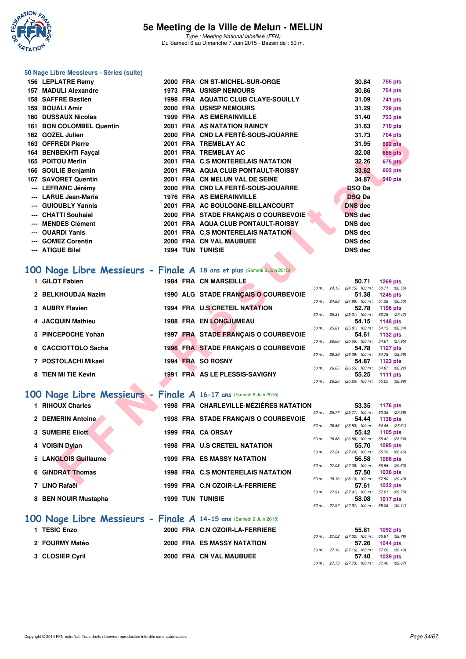

#### **50 Nage Libre Messieurs - Séries (suite)**

|    | 156 LEPLATRE Remy                                                       |  | 2000 FRA CN ST-MICHEL-SUR-ORGE         |  | 30.84                                               | <b>755 pts</b>  |  |
|----|-------------------------------------------------------------------------|--|----------------------------------------|--|-----------------------------------------------------|-----------------|--|
|    | 157 MADULI Alexandre                                                    |  | <b>1973 FRA USNSP NEMOURS</b>          |  | 30.86                                               | 754 pts         |  |
|    | 158 SAFFRE Bastien                                                      |  | 1998 FRA AQUATIC CLUB CLAYE-SOUILLY    |  | 31.09                                               | 741 pts         |  |
|    | <b>159 BOUALI Amir</b>                                                  |  | 2000 FRA USNSP NEMOURS                 |  | 31.29                                               | <b>729 pts</b>  |  |
|    | 160 DUSSAUX Nicolas                                                     |  | <b>1999 FRA AS EMERAINVILLE</b>        |  | 31.40                                               | <b>723 pts</b>  |  |
|    | 161 BON COLOMBEL Quentin                                                |  | 2001 FRA AS NATATION RAINCY            |  | 31.63                                               | <b>710 pts</b>  |  |
|    | 162 GOZEL Julien                                                        |  | 2000 FRA CND LA FERTÉ-SOUS-JOUARRE     |  | 31.73                                               | <b>704 pts</b>  |  |
|    | 163 OFFREDI Pierre                                                      |  | 2001 FRA TREMBLAY AC                   |  | 31.95                                               | 692 pts         |  |
|    | 164 BENBEKHTI Fayçal                                                    |  | 2001 FRA TREMBLAY AC                   |  | 32.08                                               | <b>685 pts</b>  |  |
|    | 165 POITOU Merlin                                                       |  | 2001 FRA C.S MONTERELAIS NATATION      |  | 32.26                                               | 675 pts         |  |
|    | 166 SOULIE Benjamin                                                     |  | 2001 FRA AQUA CLUB PONTAULT-ROISSY     |  | 33.62                                               | 603 pts         |  |
|    | 167 SAVORET Quentin                                                     |  | 2001 FRA CN MELUN VAL DE SEINE         |  | 34.87                                               | <b>540 pts</b>  |  |
|    | --- LEFRANC Jérémy                                                      |  | 2000 FRA CND LA FERTÉ-SOUS-JOUARRE     |  | <b>DSQ Da</b>                                       |                 |  |
|    | --- LARUE Jean-Marie                                                    |  | 1976 FRA AS EMERAINVILLE               |  | <b>DSQ Da</b>                                       |                 |  |
|    | --- GUIOUBLY Yannis                                                     |  | 2001 FRA AC BOULOGNE-BILLANCOURT       |  | <b>DNS</b> dec                                      |                 |  |
|    | --- CHATTI Souhaiel                                                     |  | 2000 FRA STADE FRANCAIS O COURBEVOIE   |  | <b>DNS</b> dec                                      |                 |  |
|    | --- MENDES Clément                                                      |  | 2001 FRA AQUA CLUB PONTAULT-ROISSY     |  | <b>DNS</b> dec                                      |                 |  |
|    | --- OUARDI Yanis                                                        |  | 2001 FRA C.S MONTERELAIS NATATION      |  | <b>DNS dec</b>                                      |                 |  |
|    | --- GOMEZ Corentin                                                      |  | 2000 FRA CN VAL MAUBUEE                |  | <b>DNS dec</b>                                      |                 |  |
|    | --- ATIGUE Bilel                                                        |  | <b>1994 TUN TUNISIE</b>                |  | <b>DNS dec</b>                                      |                 |  |
|    |                                                                         |  |                                        |  |                                                     |                 |  |
|    | 100 Nage Libre Messieurs - Finale A 18 ans et plus (Samedi 6 Juin 2015) |  |                                        |  |                                                     |                 |  |
|    | 1 GILOT Fabien                                                          |  | 1984 FRA CN MARSEILLE                  |  | 50.71                                               | <b>1269 pts</b> |  |
|    | 2 BELKHOUDJA Nazim                                                      |  | 1990 ALG STADE FRANÇAIS O COURBEVOIE   |  | 50 m: 24.15 (24.15) 100 m: 50.71 (26.56)<br>51.38   | <b>1245 pts</b> |  |
|    |                                                                         |  |                                        |  | 50 m: 24.88 (24.88) 100 m: 51.38 (26.50)            |                 |  |
|    | 3 AUBRY Flavien                                                         |  | 1994 FRA U.S CRETEIL NATATION          |  | 52.78<br>50 m: 25.31 (25.31) 100 m: 52.78 (27.47)   | 1196 pts        |  |
|    | <b>JACQUIN Mathieu</b>                                                  |  | 1988 FRA EN LONGJUMEAU                 |  | 54.15                                               | 1148 pts        |  |
|    |                                                                         |  |                                        |  | 50 m: 25.81 (25.81) 100 m: 54.15 (28.34)            |                 |  |
| 5. | <b>PINCEPOCHE Yohan</b>                                                 |  | 1997 FRA STADE FRANÇAIS O COURBEVOIE   |  | 54.61<br>50 m: 26.66 (26.66) 100 m: 54.61 (27.95)   | 1132 pts        |  |
| 6  | <b>CACCIOTTOLO Sacha</b>                                                |  | 1996 FRA STADE FRANÇAIS O COURBEVOIE   |  | 54.78                                               | 1127 pts        |  |
|    | 7 POSTOLACHI Mikael                                                     |  | 1994 FRA SO ROSNY                      |  | 50 m : 26.39 (26.39) 100 m : 54.78 (28.39)<br>54.87 | 1123 pts        |  |
|    |                                                                         |  |                                        |  | 50 m : 26.65 (26.65) 100 m : 54.87 (28.22)          |                 |  |
|    | 8 TIEN MI TIE Kevin                                                     |  | 1991 FRA AS LE PLESSIS-SAVIGNY         |  | 55.25                                               | 1111 $pts$      |  |
|    |                                                                         |  |                                        |  | 50 m: 26.26 (26.26) 100 m: 55.25 (28.99)            |                 |  |
|    | 100 Nage Libre Messieurs - Finale A 16-17 ans (Samedi 6 Juin 2015)      |  |                                        |  |                                                     |                 |  |
|    | 1 RIHOUX Charles                                                        |  | 1998 FRA CHARLEVILLE-MÉZIÈRES NATATION |  | 53.35                                               | 1176 pts        |  |
|    |                                                                         |  |                                        |  | 50 m: 25.77 (25.77) 100 m: 53.35 (27.58)            |                 |  |
|    | 2 DEMERIN Antoine                                                       |  | 1998 FRA STADE FRANÇAIS O COURBEVOIE   |  | 54.44<br>50 m: 26.83 (26.83) 100 m: 54.44 (27.61)   | 1138 pts        |  |
|    | <b>3 SUMEIRE Eliott</b>                                                 |  | 1999 FRA CA ORSAY                      |  | 55.42                                               | 1105 pts        |  |
|    |                                                                         |  | <b>1998 FRA U.S CRETEIL NATATION</b>   |  | 50 m: 26.88 (26.88) 100 m: 55.42 (28.54)            |                 |  |
|    | 4 VOISIN Dylan                                                          |  |                                        |  | 55.70<br>50 m: 27.24 (27.24) 100 m: 55.70 (28.46)   | 1095 pts        |  |
|    | 5 LANGLOIS Guillaume                                                    |  | <b>1999 FRA ES MASSY NATATION</b>      |  | 56.58                                               | 1066 pts        |  |
|    | <b>6 GINDRAT Thomas</b>                                                 |  | 1998 FRA C.S MONTERELAIS NATATION      |  | 50 m: 27.08 (27.08) 100 m: 56.58 (29.50)<br>57.50   | 1036 pts        |  |
|    |                                                                         |  |                                        |  | 50 m: 28.10 (28.10) 100 m: 57.50 (29.40)            |                 |  |
|    | $7.1800 \text{ Pa}$                                                     |  | $1000$ FBA, $0.107001A$ EFRDIEDE       |  | <b>EZ 64</b>                                        | $1000 -$        |  |

# **[100 Nage Libre Messieurs - Finale A](http://www.ffnatation.fr/webffn/resultats.php?idact=nat&go=epr&idcpt=31115&idepr=52) 18 ans et plus (Samedi 6 Juin 2015)**

| 1 GILOT Fabien      | <b>1984 FRA CN MARSEILLE</b>                |              | 50.71             | <b>1269 pts</b>                   |
|---------------------|---------------------------------------------|--------------|-------------------|-----------------------------------|
|                     |                                             | 50 m : 24.15 | $(24.15)$ 100 m : | 50.71 (26.56)                     |
| 2 BELKHOUDJA Nazim  | 1990 ALG STADE FRANCAIS O COURBEVOIE        |              | 51.38             | 1245 pts                          |
|                     |                                             | 50 m: 24.88  | $(24.88)$ 100 m : | 51.38 (26.50)                     |
| 3 AUBRY Flavien     | 1994 FRA U.S CRETEIL NATATION               |              | 52.78             | 1196 pts                          |
|                     |                                             | 50 m : 25.31 | $(25.31)$ 100 m : | 52.78 (27.47)                     |
| 4 JACQUIN Mathieu   | <b>1988 FRA EN LONGJUMEAU</b>               |              | 54.15             | 1148 pts                          |
|                     |                                             | 50 m: 25.81  | $(25.81)$ 100 m : | 54.15 (28.34)                     |
| 5 PINCEPOCHE Yohan  | 1997 FRA STADE FRANCAIS O COURBEVOIE        |              | 54.61             | 1132 pts                          |
|                     |                                             | 50 m: 26.66  | $(26.66)$ 100 m : | 54.61 (27.95)                     |
| 6 CACCIOTTOLO Sacha | <b>1996 FRA STADE FRANCAIS O COURBEVOIE</b> |              | 54.78             | 1127 pts                          |
|                     |                                             | 50 m: 26.39  | $(26.39)$ 100 m : | 54.78 (28.39)                     |
| 7 POSTOLACHI Mikael | <b>SO ROSNY</b><br>1994 FRA                 |              | 54.87             | 1123 pts                          |
|                     |                                             | 50 m: 26.65  | $(26.65)$ 100 m : | 54.87 (28.22)                     |
| 8 TIEN MI TIE Kevin | 1991 FRA AS LE PLESSIS-SAVIGNY              |              | 55.25             | 1111 $pts$                        |
| <b>START START</b>  |                                             | 50 m: 26.26  |                   | $(26.26)$ 100 m : 55.25 $(28.99)$ |

### **[100 Nage Libre Messieurs - Finale A](http://www.ffnatation.fr/webffn/resultats.php?idact=nat&go=epr&idcpt=31115&idepr=52) 16-17 ans** (Samedi 6 Juin 2015)

| 1 RIHOUX Charles     |  | 1998 FRA CHARLEVILLE-MÉZIÈRES NATATION |                |              | 53.35                      | 1176 pts                         |  |
|----------------------|--|----------------------------------------|----------------|--------------|----------------------------|----------------------------------|--|
| 2 DEMERIN Antoine    |  | 1998 FRA STADE FRANÇAIS O COURBEVOIE   | $50 m$ : 25.77 |              | $(25.77)$ 100 m :<br>54.44 | 53.35 (27.58)<br>1138 pts        |  |
| 3 SUMEIRE Eliott     |  | 1999 FRA CA ORSAY                      | 50 m: 26.83    |              | $(26.83)$ 100 m :<br>55.42 | 54.44 (27.61)<br>1105 $pts$      |  |
| 4 VOISIN Dylan       |  | <b>1998 FRA U.S CRETEIL NATATION</b>   | 50 m : 26.88   |              | $(26.88)$ 100 m :<br>55.70 | 55.42 (28.54)<br>$1095$ pts      |  |
| 5 LANGLOIS Guillaume |  | <b>1999 FRA ES MASSY NATATION</b>      | 50 m: 27.24    |              | $(27.24)$ 100 m :<br>56.58 | 55.70 (28.46)<br><b>1066 pts</b> |  |
| 6 GINDRAT Thomas     |  | 1998 FRA C.S MONTERELAIS NATATION      |                | 50 m : 27.08 | $(27.08)$ 100 m :<br>57.50 | 56.58 (29.50)<br><b>1036 pts</b> |  |
| 7 LINO Rafaël        |  | 1999 FRA C.N OZOIR-LA-FERRIERE         | 50 m: 28.10    |              | $(28.10)$ 100 m :<br>57.61 | 57.50 (29.40)<br><b>1032 pts</b> |  |
| 8 BEN NOUIR Mustapha |  | <b>1999 TUN TUNISIE</b>                | 50 m: 27.91    |              | $(27.91)$ 100 m :<br>58.08 | 57.61 (29.70)<br><b>1017 pts</b> |  |
|                      |  |                                        | $50 m$ : 27.97 |              | $(27.97)$ 100 m :          | 58.08 (30.11)                    |  |

### **[100 Nage Libre Messieurs - Finale A](http://www.ffnatation.fr/webffn/resultats.php?idact=nat&go=epr&idcpt=31115&idepr=52) 14-15 ans** (Samedi 6 Juin 2015)

| 1 TESIC Enzo    | 2000 FRA C.N OZOIR-LA-FERRIERE    |  | 55.81 1092 pts                            |  |
|-----------------|-----------------------------------|--|-------------------------------------------|--|
|                 |                                   |  | 50 m: 27.02 (27.02) 100 m: 55.81 (28.79   |  |
| 2 FOURMY Matéo  | <b>2000 FRA ES MASSY NATATION</b> |  | 57.26 1044 pts                            |  |
|                 |                                   |  | 50 m: 27.16 (27.16) 100 m: 57.26 (30.10)  |  |
| 3 CLOSIER Cyril | 2000 FRA CN VAL MAUBUEE           |  | 57.40 1039 pts                            |  |
|                 |                                   |  | 50 m : 27.73 (27.73) 100 m : 57.40 (29.67 |  |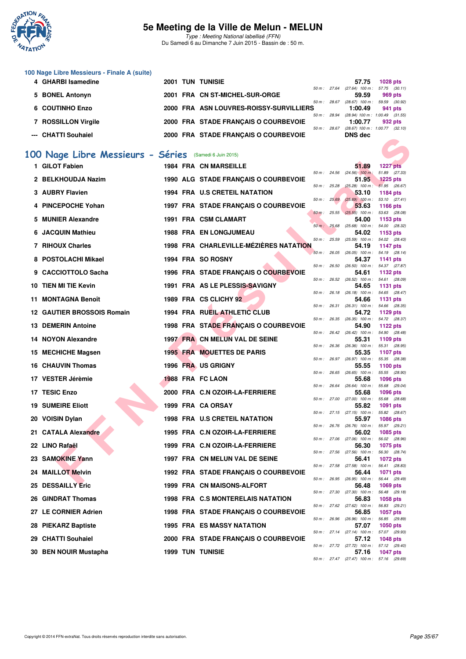

| 100 Nage Libre Messieurs - Finale A (suite)            |  |                                         |                |                |                                     |                 |  |
|--------------------------------------------------------|--|-----------------------------------------|----------------|----------------|-------------------------------------|-----------------|--|
| 4 GHARBI Isamedine                                     |  | <b>2001 TUN TUNISIE</b>                 |                |                | 57.75                               | <b>1028 pts</b> |  |
|                                                        |  |                                         | $50 m$ : 27.64 |                | $(27.64)$ 100 m :                   | 57.75 (30.11)   |  |
| 5 BONEL Antonyn                                        |  | 2001 FRA CN ST-MICHEL-SUR-ORGE          |                |                | 59.59                               | 969 pts         |  |
|                                                        |  |                                         | $50 m$ : 28.67 |                | $(28.67)$ 100 m :                   | 59.59 (30.92)   |  |
| 6 COUTINHO Enzo                                        |  | 2000 FRA ASN LOUVRES-ROISSY-SURVILLIERS |                |                | 1:00.49                             | 941 pts         |  |
|                                                        |  |                                         |                | 50 m: 28.94    | $(28.94)$ 100 m : 1:00.49 $(31.55)$ |                 |  |
| 7 ROSSILLON Virgile                                    |  | 2000 FRA STADE FRANÇAIS O COURBEVOIE    |                |                | 1:00.77                             | 932 pts         |  |
|                                                        |  |                                         |                | $50 m$ : 28.67 | $(28.67)$ 100 m : 1:00.77 $(32.10)$ |                 |  |
| --- CHATTI Souhaiel                                    |  | 2000 FRA STADE FRANÇAIS O COURBEVOIE    |                |                | DNS dec                             |                 |  |
|                                                        |  |                                         |                |                |                                     |                 |  |
|                                                        |  |                                         |                |                |                                     |                 |  |
| 100 Nage Libre Messieurs - Séries (Samedi 6 Juin 2015) |  |                                         |                |                |                                     |                 |  |
|                                                        |  |                                         |                |                |                                     |                 |  |
| 1 GILOT Fabien                                         |  | <b>1984 FRA CN MARSEILLE</b>            |                |                | 51.89                               | <b>1227 pts</b> |  |
|                                                        |  |                                         |                | $50 m$ : 24.56 | $(24.56)$ 100 m :                   | 51.89 (27.33)   |  |
| 2 BELKHOUDJA Nazim                                     |  | 1990 ALG STADE FRANÇAIS O COURBEVOIE    |                |                | 51.95                               | $1225$ pts      |  |
|                                                        |  |                                         |                | $50 m$ : 25.28 | $(25.28)$ 100 m : 51.95 (26.67)     |                 |  |
| 3 AUBRY Flavien                                        |  | 1994 FRA U.S CRETEIL NATATION           |                |                | 53.10                               | 1184 pts        |  |
|                                                        |  |                                         |                | 50 m: 25.69    | $(25.69)$ 100 m :                   | 53.10 (27.41)   |  |
| 4 PINCEPOCHE Yohan                                     |  | 1997 FRA STADE FRANÇAIS O COURBEVOIE    |                |                | 53.63                               | 1166 pts        |  |
|                                                        |  |                                         |                | 50 m: 25.55    | $(25.55)$ 100 m :                   | 53.63 (28.08)   |  |
| <b>MUNIER Alexandre</b><br>5.                          |  | 1991 FRA CSM CLAMART                    |                |                | 54.00                               | 1153 pts        |  |
|                                                        |  |                                         | 50 m: 25.68    |                | $(25.68)$ 100 m :                   | 54.00 (28.32)   |  |
| 6 JACQUIN Mathieu                                      |  | <b>1988 FRA EN LONGJUMEAU</b>           |                |                | 54.02                               | 1153 pts        |  |
|                                                        |  |                                         | $50 m$ :       | 25.59          | $(25.59)$ 100 m :                   | 54.02 (28.43)   |  |
| 7 RIHOUX Charles                                       |  | 1998 FRA CHARLEVILLE-MÉZIÈRES NATATION  |                |                | 54.19                               | 1147 pts        |  |
|                                                        |  |                                         | 50 m : 26.05   |                | $(26.05)$ 100 m :                   | 54.19 (28.14)   |  |
| 8 POSTOLACHI Mikael                                    |  | 1994 FRA SO ROSNY                       |                |                | 54.37                               | 1141 pts        |  |

|                                                       |  | <b>2000 FRA STADE FRANÇAIS O COURDEVOIE</b> |                |              |                                                     |                                  |  |
|-------------------------------------------------------|--|---------------------------------------------|----------------|--------------|-----------------------------------------------------|----------------------------------|--|
| 00 Nage Libre Messieurs - Séries (Samedi 6 Juin 2015) |  |                                             |                |              |                                                     |                                  |  |
| 1 GILOT Fabien                                        |  | <b>1984 FRA CN MARSEILLE</b>                |                |              | 51.89                                               | <b>1227 pts</b>                  |  |
|                                                       |  |                                             | 50 m : 24.56   |              | $(24.56)$ 100 m:                                    | 51.89 (27.33)                    |  |
| 2 BELKHOUDJA Nazim                                    |  | 1990 ALG STADE FRANÇAIS O COURBEVOIE        | 50 m : 25.28   |              | 51.95<br>$(25.28)$ 100 m : 51.95 (26.67)            | <b>1225 pts</b>                  |  |
| 3 AUBRY Flavien                                       |  | 1994 FRA U.S CRETEIL NATATION               |                |              | 53.10                                               | 1184 pts                         |  |
| 4 PINCEPOCHE Yohan                                    |  | 1997 FRA STADE FRANÇAIS O COURBEVOIE        | 50 m: 25.69    |              | $(25.69)$ 100 m : 53.10 $(27.41)$<br>53.63          | 1166 pts                         |  |
|                                                       |  |                                             | $50 m$ : 25.55 |              | $(25.55)$ 100 m :                                   | 53.63 (28.08)                    |  |
| 5 MUNIER Alexandre                                    |  | 1991 FRA CSM CLAMART                        |                |              | 54.00<br>50 m: 25.68 (25.68) 100 m: 54.00 (28.32)   | 1153 pts                         |  |
| 6 JACQUIN Mathieu                                     |  | <b>1988 FRA EN LONGJUMEAU</b>               |                |              | 54.02<br>50 m: 25.59 (25.59) 100 m: 54.02 (28.43)   | 1153 pts                         |  |
| 7 RIHOUX Charles                                      |  | 1998 FRA CHARLEVILLE-MÉZIÈRES NATATION      |                |              | 54.19                                               | 1147 pts                         |  |
| 8 POSTOLACHI Mikael                                   |  | 1994 FRA SO ROSNY                           |                |              | 50 m: 26.05 (26.05) 100 m: 54.19 (28.14)<br>54.37   | 1141 pts                         |  |
|                                                       |  |                                             |                |              | 50 m: 26.50 (26.50) 100 m: 54.37 (27.87)            |                                  |  |
| 9 CACCIOTTOLO Sacha                                   |  | 1996 FRA STADE FRANÇAIS O COURBEVOIE        |                |              | 54.61<br>50 m: 26.52 (26.52) 100 m: 54.61 (28.09)   | 1132 pts                         |  |
| 10 TIEN MI TIE Kevin                                  |  | 1991 FRA AS LE PLESSIS-SAVIGNY              |                |              | 54.65                                               | 1131 pts                         |  |
| 11 MONTAGNA Benoît                                    |  | 1989 FRA CS CLICHY 92                       |                |              | 50 m : 26.18 (26.18) 100 m : 54.65 (28.47)<br>54.66 | 1131 pts                         |  |
|                                                       |  |                                             |                |              | 50 m: 26.31 (26.31) 100 m: 54.66 (28.35)            |                                  |  |
| <b>12 GAUTIER BROSSOIS Romain</b>                     |  | 1994 FRA RUEIL ATHLETIC CLUB                |                |              | 54.72<br>50 m : 26.35 (26.35) 100 m : 54.72 (28.37) | 1129 pts                         |  |
| 13 DEMERIN Antoine                                    |  | 1998 FRA STADE FRANÇAIS O COURBEVOIE        |                |              | 54.90                                               | 1122 pts                         |  |
| 14 NOYON Alexandre                                    |  | 1997 FRA CN MELUN VAL DE SEINE              |                |              | 50 m: 26.42 (26.42) 100 m: 54.90 (28.48)<br>55.31   | 1109 pts                         |  |
|                                                       |  |                                             |                |              | 50 m: 26.36 (26.36) 100 m: 55.31 (28.95)            |                                  |  |
| 15 MECHICHE Magsen                                    |  | <b>1995 FRA MOUETTES DE PARIS</b>           |                |              | 55.35<br>50 m : 26.97 (26.97) 100 m :               | 1107 pts<br>55.35 (28.38)        |  |
| 16 CHAUVIN Thomas                                     |  | 1996 FRA US GRIGNY                          |                |              | 55.55                                               | 1100 pts                         |  |
| 17 VESTER Jérèmie                                     |  | 1988 FRA FC LAON                            |                | 50 m : 26.65 | (26.65) 100 m : 55.55 (28.90)<br>55.68              | 1096 pts                         |  |
|                                                       |  |                                             |                |              | $50 m$ : 26.64 (26.64) 100 m :                      | 55.68 (29.04)                    |  |
| 17 TESIC Enzo                                         |  | 2000 FRA C.N OZOIR-LA-FERRIERE              |                |              | 55.68<br>50 m : 27.00 (27.00) 100 m :               | <b>1096 pts</b><br>55.68 (28.68) |  |
| <b>19 SUMEIRE Eliott</b>                              |  | 1999 FRA CA ORSAY                           |                |              | 55.82<br>50 m: 27.15 (27.15) 100 m: 55.82 (28.67)   | 1091 pts                         |  |
| 20 VOISIN Dylan                                       |  | 1998 FRA U.S CRETEIL NATATION               |                |              | 55.97                                               | <b>1086 pts</b>                  |  |
| 21 CATALA Alexandre                                   |  | 1995 FRA C.N OZOIR-LA-FERRIERE              |                |              | 50 m : 26.76 (26.76) 100 m :<br>56.02               | 55.97 (29.21)<br>1085 pts        |  |
|                                                       |  |                                             |                |              | 50 m : 27.06 (27.06) 100 m : 56.02 (28.96)          |                                  |  |
| 22 LINO Rafaël                                        |  | 1999 FRA C.N OZOIR-LA-FERRIERE              |                |              | 56.30<br>50 m : 27.56 (27.56) 100 m : 56.30 (28.74) | 1075 pts                         |  |
| 23 SAMOKINE Yann                                      |  | 1997 FRA CN MELUN VAL DE SEINE              |                |              | 56.41                                               | <b>1072 pts</b>                  |  |
| 24 MAILLOT Melvin                                     |  | 1992 FRA STADE FRANÇAIS O COURBEVOIE        |                |              | 50 m : 27.58 (27.58) 100 m :<br>56.44               | 56.41 (28.83)<br><b>1071 pts</b> |  |
|                                                       |  |                                             |                |              | 50 m : 26.95 (26.95) 100 m :                        | 56.44 (29.49)                    |  |
| <b>25 DESSAILLY Eric</b>                              |  | 1999 FRA CN MAISONS-ALFORT                  |                |              | 56.48<br>50 m: 27.30 (27.30) 100 m: 56.48 (29.18)   | 1069 pts                         |  |
| 26 GINDRAT Thomas                                     |  | 1998 FRA C.S MONTERELAIS NATATION           |                |              | 56.83                                               | 1058 pts                         |  |
| 27 LE CORNIER Adrien                                  |  | 1998 FRA STADE FRANÇAIS O COURBEVOIE        |                |              | 50 m: 27.62 (27.62) 100 m: 56.83 (29.21)<br>56.85   | <b>1057 pts</b>                  |  |
|                                                       |  |                                             |                |              | 50 m : 26.96 (26.96) 100 m : 56.85 (29.89)          |                                  |  |
| 28 PIEKARZ Baptiste                                   |  | <b>1995 FRA ES MASSY NATATION</b>           |                |              | 57.07<br>50 m: 27.14 (27.14) 100 m: 57.07 (29.93)   | 1050 pts                         |  |
| 29 CHATTI Souhaiel                                    |  | 2000 FRA STADE FRANÇAIS O COURBEVOIE        |                |              | 57.12                                               | <b>1048 pts</b>                  |  |
| 30 BEN NOUIR Mustapha                                 |  | <b>1999 TUN TUNISIE</b>                     |                |              | 50 m: 27.72 (27.72) 100 m: 57.12 (29.40)<br>57.16   | <b>1047 pts</b>                  |  |
|                                                       |  |                                             |                |              | 50 m: 27.47 (27.47) 100 m: 57.16 (29.69)            |                                  |  |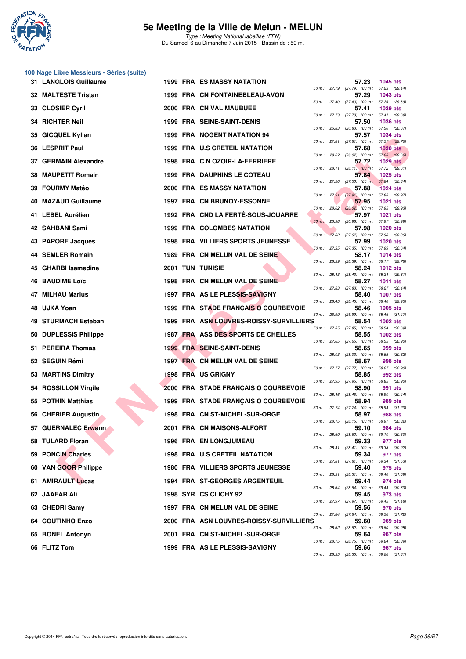

**100 Nage Libre Messieurs - Séries (suite)**

#### **5e Meeting de la Ville de Melun - MELUN**

|     | 31 LANGLOIS Guillaume      |  | <b>1999 FRA ES MASSY NATATION</b>        |             |       | 57.23                                               | 1045 pts                         |  |
|-----|----------------------------|--|------------------------------------------|-------------|-------|-----------------------------------------------------|----------------------------------|--|
|     | <b>32 MALTESTE Tristan</b> |  | 1999 FRA CN FONTAINEBLEAU-AVON           |             |       | 50 m: 27.79 (27.79) 100 m: 57.23 (29.44)<br>57.29   | 1043 pts                         |  |
| 33  | <b>CLOSIER Cyril</b>       |  | 2000 FRA CN VAL MAUBUEE                  |             |       | 50 m: 27.40 (27.40) 100 m: 57.29 (29.89)<br>57.41   | 1039 pts                         |  |
|     | 34 RICHTER Neil            |  | 1999 FRA SEINE-SAINT-DENIS               |             |       | 50 m: 27.73 (27.73) 100 m: 57.41 (29.68)<br>57.50   | <b>1036 pts</b>                  |  |
| 35  | <b>GICQUEL Kylian</b>      |  | 1999 FRA NOGENT NATATION 94              | 50 m: 26.83 |       | $(26.83)$ 100 m : 57.50 $(30.67)$<br>57.57          | <b>1034 pts</b>                  |  |
|     | 36 LESPRIT Paul            |  | 1999 FRA U.S CRETEIL NATATION            |             |       | 50 m: 27.81 (27.81) 100 m: 57.57 (29.76)<br>57.68   | <b>1030 pts</b>                  |  |
| 37. | <b>GERMAIN Alexandre</b>   |  | 1998 FRA C.N OZOIR-LA-FERRIERE           |             |       | 50 m : 28.02 (28.02) 100 m : 57.68 (29.66)<br>57.72 | 1029 $pts$                       |  |
| 38  | <b>MAUPETIT Romain</b>     |  | <b>1999 FRA DAUPHINS LE COTEAU</b>       |             |       | 50 m: 28.11 (28.11) 100 m: 57.72 (29.61)<br>57.84   | 1025 pts                         |  |
|     | 39 FOURMY Matéo            |  | 2000 FRA ES MASSY NATATION               | 50 m: 27.50 |       | $(27.50)$ 100 m : 57.84 $(30.34)$<br>57.88          | <b>1024 pts</b>                  |  |
|     | 40 MAZAUD Guillaume        |  | <b>1997 FRA CN BRUNOY-ESSONNE</b>        |             |       | 50 m: 27.91 (27.91) 100 m: 57.88 (29.97)<br>57.95   | <b>1021 pts</b>                  |  |
|     | 41 LEBEL Aurélien          |  | 1992 FRA CND LA FERTÉ-SOUS-JOUARRE       |             |       | $50 m$ : 28.02 (28.02) 100 m :<br>57.97             | 57.95 (29.93)<br><b>1021 pts</b> |  |
|     | 42 SAHBANI Sami            |  | <b>1999 FRA COLOMBES NATATION</b>        | $50 m$ :    | 26.98 | (26.98) 100 m: 57.97 (30.99)<br>57.98               | <b>1020 pts</b>                  |  |
|     | 43 PAPORE Jacques          |  | <b>1998 FRA VILLIERS SPORTS JEUNESSE</b> | $50 m$ :    |       | 27.62 (27.62) 100 m: 57.98 (30.36)<br>57.99         | <b>1020 pts</b>                  |  |
| 44  | <b>SEMLER Romain</b>       |  | 1989 FRA CN MELUN VAL DE SEINE           |             |       | 50 m: 27.35 (27.35) 100 m: 57.99 (30.64)<br>58.17   | <b>1014 pts</b>                  |  |
|     | 45 GHARBI Isamedine        |  | <b>2001 TUN TUNISIE</b>                  | 50 m: 28.39 |       | $(28.39)$ 100 m : 58.17 $(29.78)$<br>58.24          | 1012 pts                         |  |
|     | <b>46 BAUDIME Loïc</b>     |  | 1998 FRA CN MELUN VAL DE SEINE           | 50 m: 28.43 |       | $(28.43)$ 100 m :<br>58.27                          | 58.24 (29.81)<br>1011 pts        |  |
| 47  | <b>MILHAU Marius</b>       |  | 1997 FRA AS LE PLESSIS-SAVIGNY           | 50 m: 27.83 |       | (27.83) 100 m : 58.27 (30.44)<br>58.40              | <b>1007 pts</b>                  |  |
| 48. | UJKA Yoan                  |  | 1999 FRA STADE FRANÇAIS O COURBEVOIE     | 50 m: 28.45 |       | $(28.45)$ 100 m :<br>58.46                          | 58.40 (29.95)<br>1005 pts        |  |
| 49  | <b>STURMACH Esteban</b>    |  | 1999 FRA ASN LOUVRES-ROISSY-SURVILLIERS  | 50 m: 26.99 |       | $(26.99)$ 100 m :<br>58.54                          | 58.46 (31.47)<br><b>1002 pts</b> |  |
|     | 50 DUPLESSIS Philippe      |  | 1987 FRA ASS DES SPORTS DE CHELLES       |             |       | 50 m : 27.85 (27.85) 100 m :<br>58.55               | 58.54 (30.69)<br>1002 pts        |  |
| 51. | <b>PEREIRA Thomas</b>      |  | <b>1999 FRA SEINE-SAINT-DENIS</b>        |             |       | 50 m: 27.65 (27.65) 100 m: 58.55 (30.90)<br>58.65   | 999 pts                          |  |
|     | 52 SEGUIN Rémi             |  | 1997 FRA CN MELUN VAL DE SEINE           |             |       | 50 m: 28.03 (28.03) 100 m: 58.65 (30.62)<br>58.67   | 998 pts                          |  |
|     | 53 MARTINS Dimitry         |  | <b>1998 FRA US GRIGNY</b>                |             |       | 50 m : 27.77 (27.77) 100 m :<br>58.85               | 58.67 (30.90)<br>992 pts         |  |
| 54. | <b>ROSSILLON Virgile</b>   |  | 2000 FRA STADE FRANÇAIS O COURBEVOIE     | 50 m: 27.95 |       | (27.95) 100 m : 58.85 (30.90)<br>58.90              | 991 pts                          |  |
|     | 55 POTHIN Matthias         |  | 1999 FRA STADE FRANÇAIS O COURBEVOIE     |             |       | 50 m: 28.46 (28.46) 100 m: 58.90 (30.44)<br>58.94   | 989 pts                          |  |
|     | 56 CHERIER Augustin        |  | 1998 FRA CN ST-MICHEL-SUR-ORGE           |             |       | 50 m: 27.74 (27.74) 100 m: 58.94 (31.20)<br>58.97   | 988 pts                          |  |
|     | 57 GUERNALEC Erwann        |  | 2001 FRA CN MAISONS-ALFORT               |             |       | 50 m: 28.15 (28.15) 100 m: 58.97 (30.82)<br>59.10   | 984 pts                          |  |
|     | 58 TULARD Floran           |  | <b>1996 FRA EN LONGJUMEAU</b>            |             |       | 50 m: 28.60 (28.60) 100 m: 59.10 (30.50)<br>59.33   | 977 pts                          |  |
|     | 59 PONCIN Charles          |  | 1998 FRA U.S CRETEIL NATATION            |             |       | 50 m: 28.41 (28.41) 100 m: 59.33 (30.92)<br>59.34   | 977 pts                          |  |
|     | 60 VAN GOOR Philippe       |  | 1980 FRA VILLIERS SPORTS JEUNESSE        |             |       | 50 m: 27.81 (27.81) 100 m: 59.34 (31.53)<br>59.40   | 975 pts                          |  |
|     | 61 AMIRAULT Lucas          |  | <b>1994 FRA ST-GEORGES ARGENTEUIL</b>    |             |       | 50 m: 28.31 (28.31) 100 m: 59.40 (31.09)<br>59.44   | 974 pts                          |  |
|     | 62 JAAFAR Ali              |  | 1998 SYR CS CLICHY 92                    |             |       | 50 m : 28.64 (28.64) 100 m : 59.44 (30.80)<br>59.45 | 973 pts                          |  |
|     | 63 CHEDRI Samy             |  | 1997 FRA CN MELUN VAL DE SEINE           |             |       | 50 m: 27.97 (27.97) 100 m: 59.45 (31.48)<br>59.56   | 970 pts                          |  |
|     | 64 COUTINHO Enzo           |  | 2000 FRA ASN LOUVRES-ROISSY-SURVILLIERS  |             |       | 50 m: 27.84 (27.84) 100 m: 59.56 (31.72)<br>59.60   | 969 pts                          |  |
|     | 65 BONEL Antonyn           |  | 2001 FRA CN ST-MICHEL-SUR-ORGE           |             |       | 50 m : 28.62 (28.62) 100 m : 59.60 (30.98)<br>59.64 | 967 pts                          |  |
|     | 66 FLITZ Tom               |  | 1999 FRA AS LE PLESSIS-SAVIGNY           |             |       | 50 m: 28.75 (28.75) 100 m: 59.64 (30.89)<br>59.66   | 967 pts                          |  |
|     |                            |  |                                          |             |       | 50 m : 28.35 (28.35) 100 m : 59.66 (31.31)          |                                  |  |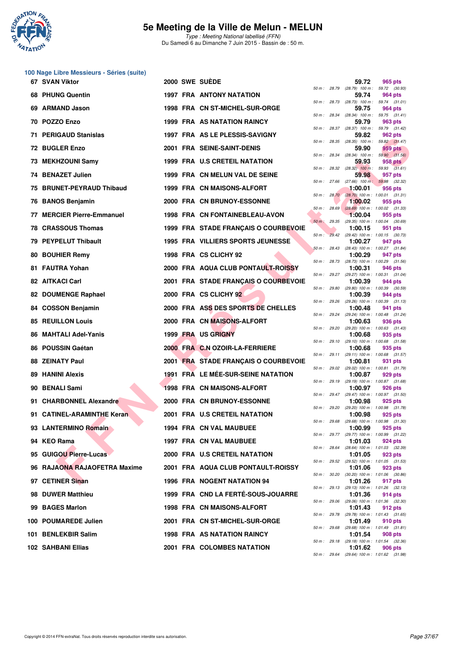

**100 Nage Libre Messieurs - Séries (suite)**

### **5e Meeting de la Ville de Melun - MELUN**

|     | 67 SVAN Viktor                |  | <b>2000 SWE SUEDE</b>                    |                |                | 59.72                                                   | 965 pts |  |
|-----|-------------------------------|--|------------------------------------------|----------------|----------------|---------------------------------------------------------|---------|--|
| 68. | <b>PHUNG Quentin</b>          |  | 1997 FRA ANTONY NATATION                 | 50 m : 28.79   |                | (28.79) 100 m : 59.72 (30.93)<br>59.74                  | 964 pts |  |
| 69  | <b>ARMAND Jason</b>           |  | 1998 FRA CN ST-MICHEL-SUR-ORGE           |                |                | 50 m: 28.73 (28.73) 100 m: 59.74 (31.01)<br>59.75       | 964 pts |  |
|     | 70 POZZO Enzo                 |  | 1999 FRA AS NATATION RAINCY              |                |                | 50 m: 28.34 (28.34) 100 m: 59.75 (31.41)<br>59.79       | 963 pts |  |
| 71  | <b>PERIGAUD Stanislas</b>     |  | 1997 FRA AS LE PLESSIS-SAVIGNY           |                |                | 50 m: 28.37 (28.37) 100 m: 59.79 (31.42)<br>59.82       | 962 pts |  |
|     | 72 BUGLER Enzo                |  | 2001 FRA SEINE-SAINT-DENIS               |                |                | 50 m: 28.35 (28.35) 100 m: 59.82 (31.47)<br>59.90       | 959 pts |  |
|     | 73 MEKHZOUNI Samy             |  | 1999 FRA U.S CRETEIL NATATION            |                | 50 m : 28.34   | $(28.34)$ 100 m : 59.90 $(31.56)$<br>59.93              | 958 pts |  |
|     | 74 BENAZET Julien             |  | 1999 FRA CN MELUN VAL DE SEINE           |                |                | 50 m : 28.32 (28.32) 100 m : 59.93 (31.61)<br>59.98     | 957 pts |  |
| 75  | <b>BRUNET-PEYRAUD Thibaud</b> |  | 1999 FRA CN MAISONS-ALFORT               | 50 m: 27.66    |                | $(27.66)$ 100 m : 59.98 $(32.32)$<br>1:00.01            | 956 pts |  |
|     |                               |  |                                          |                | 50 m: 28.70    | $(28.70)$ 100 m : 1:00.01 $(31.31)$                     |         |  |
| 76  | <b>BANOS Benjamin</b>         |  | 2000 FRA CN BRUNOY-ESSONNE               |                | $50 m$ : 28.69 | 1:00.02<br>$(28.69)$ 100 m : 1:00.02 $(31.33)$          | 955 pts |  |
|     | 77 MERCIER Pierre-Emmanuel    |  | 1998 FRA CN FONTAINEBLEAU-AVON           | $50 m$ : 29.35 |                | 1:00.04<br>(29.35) 100 m: 1:00.04 (30.69)               | 955 pts |  |
| 78  | <b>CRASSOUS Thomas</b>        |  | 1999 FRA STADE FRANÇAIS O COURBEVOIE     |                |                | 1:00.15<br>50 m: 29.42 (29.42) 100 m: 1:00.15 (30.73)   | 951 pts |  |
|     | 79 PEYPELUT Thibault          |  | <b>1995 FRA VILLIERS SPORTS JEUNESSE</b> | 50 m: 28.43    |                | 1:00.27<br>$(28.43)$ 100 m : 1:00.27 $(31.84)$          | 947 pts |  |
| 80  | <b>BOUHIER Remy</b>           |  | 1998 FRA CS CLICHY 92                    |                |                | 1:00.29<br>50 m: 28.73 (28.73) 100 m: 1:00.29 (31.56)   | 947 pts |  |
|     | 81 FAUTRA Yohan               |  | 2000 FRA AQUA CLUB PONTAULT-ROISSY       |                | 50 m : 29.27   | 1:00.31<br>(29.27) 100 m: 1:00.31 (31.04)               | 946 pts |  |
|     | <b>82 AITKACI Carl</b>        |  | 2001 FRA STADE FRANÇAIS O COURBEVOIE     | 50 m : 29.80   |                | 1:00.39<br>(29.80) 100 m : 1:00.39 (30.59)              | 944 pts |  |
| 82  | <b>DOUMENGE Raphael</b>       |  | 2000 FRA CS CLICHY 92                    |                |                | 1:00.39                                                 | 944 pts |  |
|     | 84 COSSON Benjamin            |  | 2000 FRA ASS DES SPORTS DE CHELLES       | 50 m: 29.26    |                | $(29.26)$ 100 m : 1:00.39 $(31.13)$<br>1:00.48          | 941 pts |  |
| 85  | <b>REUILLON Louis</b>         |  | 2000 FRA CN MAISONS-ALFORT               |                | 50 m : 29.24   | (29.24) 100 m: 1:00.48 (31.24)<br>1:00.63               | 936 pts |  |
| 86  | <b>MAHTALI Adel-Yanis</b>     |  | 1999 FRA US GRIGNY                       |                |                | 50 m: 29.20 (29.20) 100 m: 1:00.63 (31.43)<br>1:00.68   | 935 pts |  |
| 86  | <b>POUSSIN Gaétan</b>         |  | 2000 FRA C.N OZOIR-LA-FERRIERE           | 50 m: 29.10    |                | $(29.10)$ 100 m : 1:00.68 $(31.58)$<br>1:00.68          | 935 pts |  |
| 88  | <b>ZEINATY Paul</b>           |  | 2001 FRA STADE FRANÇAIS O COURBEVOIE     |                |                | 50 m: 29.11 (29.11) 100 m: 1:00.68 (31.57)<br>1:00.81   | 931 pts |  |
|     | 89 HANINI Alexis              |  | 1991 FRA LE MÉE-SUR-SEINE NATATION       | 50 m: 29.02    |                | (29.02) 100 m: 1:00.81 (31.79)<br>1:00.87               | 929 pts |  |
| 90  | <b>BENALI Sami</b>            |  | <b>1998 FRA CN MAISONS-ALFORT</b>        |                | 50 m : 29.19   | (29.19) 100 m: 1:00.87 (31.68)<br>1:00.97               | 926 pts |  |
|     | 91 CHARBONNEL Alexandre       |  | 2000 FRA CN BRUNOY-ESSONNE               |                |                | 50 m: 29.47 (29.47) 100 m: 1:00.97 (31.50)<br>1:00.98   | 925 pts |  |
|     | 91 CATINEL-ARAMINTHE Keran    |  | 2001 FRA U.S CRETEIL NATATION            | 50 m : 29.20   |                | $(29.20)$ 100 m : 1:00.98 $(31.78)$<br>1:00.98          | 925 pts |  |
|     |                               |  | 1994 FRA CN VAL MAUBUEE                  | 50 m : 29.68   |                | $(29.68)$ 100 m : 1:00.98 $(31.30)$                     |         |  |
|     | 93 LANTERMINO Romain          |  |                                          |                |                | 1:00.99<br>50 m: 29.77 (29.77) 100 m: 1:00.99 (31.22)   | 925 pts |  |
|     | 94 KEO Rama                   |  | 1997 FRA CN VAL MAUBUEE                  |                |                | 1:01.03<br>50 m: 28.64 (28.64) 100 m: 1:01.03 (32.39)   | 924 pts |  |
|     | 95 GUIGOU Pierre-Lucas        |  | 2000 FRA U.S CRETEIL NATATION            |                |                | 1:01.05<br>50 m: 29.52 (29.52) 100 m: 1:01.05 (31.53)   | 923 pts |  |
|     | 96 RAJAONA RAJAOFETRA Maxime  |  | 2001 FRA AQUA CLUB PONTAULT-ROISSY       |                |                | 1:01.06<br>50 m : 30.20 (30.20) 100 m : 1:01.06 (30.86) | 923 pts |  |
|     | 97 CETINER Sinan              |  | 1996 FRA NOGENT NATATION 94              |                |                | 1:01.26<br>50 m: 29.13 (29.13) 100 m: 1:01.26 (32.13)   | 917 pts |  |
|     | 98 DUWER Matthieu             |  | 1999 FRA CND LA FERTÉ-SOUS-JOUARRE       |                |                | 1:01.36<br>50 m : 29.06 (29.06) 100 m : 1:01.36 (32.30) | 914 pts |  |
|     | 99 BAGES Marlon               |  | 1998 FRA CN MAISONS-ALFORT               |                |                | 1:01.43<br>50 m: 29.78 (29.78) 100 m: 1:01.43 (31.65)   | 912 pts |  |
|     | 100 POUMAREDE Julien          |  | 2001 FRA CN ST-MICHEL-SUR-ORGE           |                |                | 1:01.49<br>50 m: 29.68 (29.68) 100 m: 1:01.49 (31.81)   | 910 pts |  |
|     | 101 BENLEKBIR Salim           |  | 1998 FRA AS NATATION RAINCY              |                |                | 1:01.54                                                 | 908 pts |  |
|     | 102 SAHBANI Ellias            |  | 2001 FRA COLOMBES NATATION               |                |                | 50 m : 29.18 (29.18) 100 m : 1:01.54 (32.36)<br>1:01.62 | 906 pts |  |

|          |       | 59.72                        | 965 pts                 |         |
|----------|-------|------------------------------|-------------------------|---------|
| $50 m$ : | 28.79 | $(28.79)$ 100 m :            | 59.72                   | (30.93) |
|          |       | 59.74                        | 964 pts                 |         |
| $50 m$ : | 28.73 | $(28.73)$ 100 m :            | 59.74                   | (31.01) |
|          |       | 59.75                        | 964 pts                 |         |
| $50 m$ : | 28.34 | $(28.34)$ 100 m :<br>59.79   | 59.75                   | (31.41) |
| $50 m$ : | 28.37 | $(28.37)$ 100 m :            | <b>963 pts</b><br>59.79 | (31.42) |
|          |       | 59.82                        | 962 pts                 |         |
| $50 m$ : | 28.35 | $(28.35)$ 100 m :            | 59.82                   | (31.47) |
|          |       | 59.90                        | 959 pts                 |         |
| $50 m$ : | 28.34 | $(28.34)$ 100 m :            | 59.90                   | (31.56) |
|          |       | 59.93                        | <b>958 pts</b>          |         |
| $50 m$ : | 28.32 | $(28.32)$ 100 m :            | 59.93                   | (31.61) |
|          |       | 59.98                        | 957 pts                 |         |
| $50 m$ : | 27.66 | $(27.66)$ 100 m :            | 59.98                   | (32.32) |
|          |       | 1:00.01                      | 956 pts                 |         |
| $50 m$ : | 28.70 | $(28.70)$ 100 m :            | 1:00.01                 | (31.31) |
| $50 m$ : | 28.69 | 1:00.02<br>$(28.69)$ 100 m : | 955 pts<br>1:00.02      | (31.33) |
|          |       | 1:00.04                      | 955 pts                 |         |
| $50 m$ : | 29.35 | (29.35) 100 m :              | 1:00.04                 | (30.69) |
|          |       | 1:00.15                      | 951 pts                 |         |
| $50 m$ : | 29.42 | (29.42) 100 m :              | 1:00.15                 | (30.73) |
|          |       | 1:00.27                      | 947 pts                 |         |
| $50 m$ : | 28.43 | $(28.43) 100 m$ :            | 1:00.27                 | (31.84) |
|          |       | 1:00.29                      | 947 pts                 |         |
| $50 m$ : | 28.73 | $(28.73) 100 m$ :            | 1:00.29                 | (31.56) |
|          |       | 1:00.31                      | 946 pts                 |         |
| $50 m$ : | 29.27 | (29.27) 100 m :              | 1:00.31                 | (31.04) |
|          |       | 1:00.39                      | 944 pts<br>1:00.39      |         |
| $50 m$ : | 29.80 | (29.80) 100 m :<br>1:00.39   | 944 pts                 | (30.59) |
| $50 m$ : | 29.26 | (29.26) 100 m :              | 1:00.39                 | (31.13) |
|          |       | 1:00.48                      | 941 pts                 |         |
| $50 m$ : | 29.24 | (29.24) 100 m :              | 1:00.48                 | (31.24) |
|          |       | 1:00.63                      | 936 pts                 |         |
| $50 m$ : | 29.20 | (29.20) 100 m :              | 1:00.63                 | (31.43) |
|          |       | 1:00.68                      | 935 pts                 |         |
| $50 m$ : | 29.10 | $(29.10) 100 m$ :            | 1:00.68                 | (31.58) |
|          |       | 1:00.68                      | 935 pts                 |         |
| $50 m$ : | 29.11 | $(29.11)$ 100 m :            | 1:00.68                 | (31.57) |
|          | 29.02 | 1:00.81                      | 931 pts                 |         |
| $50 m$ : |       | (29.02) 100 m :<br>1:00.87   | 1:00.81<br>929 pts      | (31.79) |
| $50 m$ : | 29.19 | (29.19) 100 m :              | 1:00.87                 | (31.68) |
|          |       | 1:00.97                      | 926 pts                 |         |
| $50 m$ : | 29.47 | (29.47) 100 m :              | 1:00.97                 | (31.50) |
|          |       | 1:00.98                      | 925 pts                 |         |
| $50 m$ : | 29.20 | (29.20) 100 m :              | 1:00.98                 | (31.78) |
|          |       | 1:00.98                      | 925 pts                 |         |
| $50 m$ : | 29.68 | $(29.68) 100 m$ :            | 1:00.98                 | (31.30) |
|          |       | 1:00.99                      | 925 pts                 |         |
| 50 m :   | 29.77 | $(29.77)$ 100 m :            | 1:00.99                 | (31.22) |
|          | 28.64 | 1:01.03<br>$(28.64) 100 m$ : | 924 pts<br>1:01.03      |         |
| $50 m$ : |       | 1:01.05                      | 923 pts                 | (32.39) |
| $50 m$ : | 29.52 | $(29.52)$ 100 m :            | 1:01.05                 | (31.53) |
|          |       | 1:01.06                      | 923 pts                 |         |
| $50 m$ : | 30.20 | $(30.20)$ 100 m :            | 1:01.06                 | (30.86) |
|          |       | 1:01.26                      | 917 pts                 |         |
| 50 m :   | 29.13 | (29.13) 100 m :              | 1:01.26                 | (32.13) |
|          |       | 1:01.36                      | 914 pts                 |         |
| $50 m$ : | 29.06 | $(29.06)$ 100 m :            | 1:01.36                 | (32.30) |
|          |       | 1:01.43                      | 912 pts                 |         |
| $50 m$ : | 29.78 | $(29.78) 100 m$ :            | 1:01.43                 | (31.65) |
|          |       | 1:01.49                      | 910 pts                 |         |
| 50 m :   | 29.68 | $(29.68) 100 m$ :            | 1:01.49                 | (31.81) |
| $50 m$ : | 29.18 | 1:01.54<br>$(29.18) 100 m$ : | 908 pts<br>1:01.54      | (32.36) |
|          |       | 1:01.62                      | <b>906 pts</b>          |         |
| $50 m$ : | 29.64 | $(29.64) 100 m$ :            | 1:01.62                 | (31.98) |
|          |       |                              |                         |         |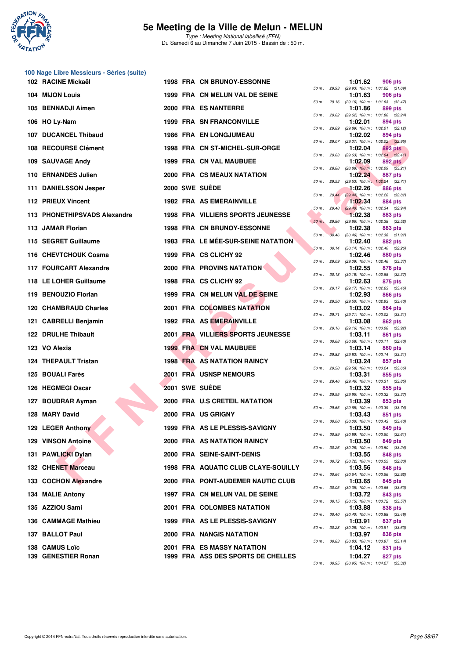

| 100 Nage Libre Messieurs - Séries (suite) |  |                                           |              |              |         |                                                         |
|-------------------------------------------|--|-------------------------------------------|--------------|--------------|---------|---------------------------------------------------------|
| 102 RACINE Mickaël                        |  | <b>1998 FRA CN BRUNOY-ESSONNE</b>         |              | 50 m : 29.93 | 1:01.62 | 906 pts<br>(29.93) 100 m: 1:01.62 (31.69)               |
| 104 MIJON Louis                           |  | 1999 FRA CN MELUN VAL DE SEINE            |              |              | 1:01.63 | 906 pts<br>50 m: 29.16 (29.16) 100 m: 1:01.63 (32.47)   |
| 105 BENNADJI Aimen                        |  | 2000 FRA ES NANTERRE                      |              | 50 m : 29.62 | 1:01.86 | 899 pts<br>(29.62) 100 m: 1:01.86 (32.24)               |
| 106 HO Ly-Nam                             |  | <b>1999 FRA SN FRANCONVILLE</b>           |              |              | 1:02.01 | 894 pts                                                 |
| <b>107 DUCANCEL Thibaud</b>               |  | <b>1986 FRA EN LONGJUMEAU</b>             | 50 m : 29.89 |              | 1:02.02 | (29.89) 100 m: 1:02.01 (32.12)<br>894 pts               |
| 108 RECOURSE Clément                      |  | 1998 FRA CN ST-MICHEL-SUR-ORGE            |              |              | 1:02.04 | 50 m : 29.07 (29.07) 100 m : 1:02.02 (32.95)<br>893 pts |
| 109 SAUVAGE Andy                          |  | <b>1999 FRA CN VAL MAUBUEE</b>            |              | 50 m : 29.63 | 1:02.09 | $(29.63)$ 100 m : 1:02.04 $(32.41)$<br>892 pts          |
| 110 ERNANDES Julien                       |  | 2000 FRA CS MEAUX NATATION                |              | 50 m : 28.88 | 1:02.24 | $(28.88)$ 100 m : 1:02.09 $(33.21)$<br>887 pts          |
| 111 DANIELSSON Jesper                     |  | 2000 SWE SUEDE                            |              | 50 m : 29.53 | 1:02.26 | (29.53) 100 m: 1:02.24 (32.71)<br>886 pts               |
| 112 PRIEUX Vincent                        |  | <b>1982 FRA AS EMERAINVILLE</b>           |              | 50 m: 29.44  | 1:02.34 | (29.44) 100 m : 1:02.26 (32.82)<br>884 pts              |
| 113 PHONETHIPSVADS Alexandre              |  | 1998 FRA VILLIERS SPORTS JEUNESSE         |              | 50 m: 29.40  | 1:02.38 | $(29.40)$ 100 m : 1:02.34 $(32.94)$<br>883 pts          |
| 113 JAMAR Florian                         |  | <b>1998 FRA CN BRUNOY-ESSONNE</b>         |              | 50 m : 29.86 | 1:02.38 | (29.86) 100 m: 1:02.38 (32.52)<br>883 pts               |
| 115 SEGRET Guillaume                      |  | <b>1983 FRA LE MÉE-SUR-SEINE NATATION</b> | $50 m$ :     |              | 1:02.40 | 30.46 (30.46) 100 m : 1:02.38 (31.92)<br><b>882 pts</b> |
| 116 CHEVTCHOUK Cosma                      |  | 1999 FRA CS CLICHY 92                     |              |              | 1:02.46 | 50 m : 30.14 (30.14) 100 m : 1:02.40 (32.26)<br>880 pts |
| 117 FOURCART Alexandre                    |  | <b>2000 FRA PROVINS NATATION</b>          |              |              | 1:02.55 | 50 m: 29.09 (29.09) 100 m: 1:02.46 (33.37)<br>878 pts   |
| 118 LE LOHER Guillaume                    |  | 1998 FRA CS CLICHY 92                     |              |              | 1:02.63 | 50 m: 30.18 (30.18) 100 m: 1:02.55 (32.37)<br>875 pts   |
| 119 BENOUZIO Florian                      |  | 1999 FRA CN MELUN VAL DE SEINE            |              |              | 1:02.93 | 50 m: 29.17 (29.17) 100 m: 1:02.63 (33.46)<br>866 pts   |
| 120 CHAMBRAUD Charles                     |  | 2001 FRA COLOMBES NATATION                |              | 50 m : 29.50 | 1:03.02 | (29.50) 100 m : 1:02.93 (33.43)<br>864 pts              |
| 121 CABRELLI Benjamin                     |  | 1992 FRA AS EMERAINVILLE                  |              | 50 m : 29.71 | 1:03.08 | (29.71) 100 m: 1:03.02 (33.31)<br>862 pts               |
| 122 DRULHE Thibault                       |  | 2001 FRA VILLIERS SPORTS JEUNESSE         |              |              | 1:03.11 | 50 m: 29.16 (29.16) 100 m: 1:03.08 (33.92)              |
|                                           |  |                                           | 50 m : 30.68 |              |         | 861 pts<br>$(30.68)$ 100 m : 1:03.11 $(32.43)$          |
| 123 VO Alexis                             |  | <b>1999 FRA CN VAL MAUBUEE</b>            |              |              | 1:03.14 | 860 pts<br>50 m: 29.83 (29.83) 100 m: 1:03.14 (33.31)   |
| 124 THEPAULT Tristan                      |  | <b>1998 FRA AS NATATION RAINCY</b>        | 50 m: 29.58  |              | 1:03.24 | 857 pts<br>(29.58) 100 m: 1:03.24 (33.66)               |
| 125 BOUALI Farès                          |  | 2001 FRA USNSP NEMOURS                    |              | 50 m : 29.46 | 1:03.31 | 855 pts<br>(29.46) 100 m: 1:03.31 (33.85)               |
| 126 HEGMEGI Oscar                         |  | 2001 SWE SUEDE                            |              |              | 1:03.32 | 855 pts<br>50 m: 29.95 (29.95) 100 m: 1:03.32 (33.37)   |
| 127 BOUDRAR Ayman                         |  | 2000 FRA U.S CRETEIL NATATION             |              |              | 1:03.39 | 853 pts<br>50 m : 29.65 (29.65) 100 m : 1:03.39 (33.74) |
| 128 MARY David                            |  | 2000 FRA US GRIGNY                        |              |              | 1:03.43 | 851 pts<br>50 m: 30.00 (30.00) 100 m: 1:03.43 (33.43)   |
| 129 LEGER Anthony                         |  | 1999 FRA AS LE PLESSIS-SAVIGNY            |              |              | 1:03.50 | 849 pts<br>50 m: 30.89 (30.89) 100 m: 1:03.50 (32.61)   |
| <b>129 VINSON Antoine</b>                 |  | <b>2000 FRA AS NATATION RAINCY</b>        |              |              | 1:03.50 | 849 pts<br>50 m: 30.26 (30.26) 100 m: 1:03.50 (33.24)   |
| 131 PAWLICKI Dylan                        |  | 2000 FRA SEINE-SAINT-DENIS                |              | 50 m : 30.72 | 1:03.55 | 848 pts<br>(30.72) 100 m: 1:03.55 (32.83)               |
| 132 CHENET Marceau                        |  | 1998 FRA AQUATIC CLUB CLAYE-SOUILLY       |              |              | 1:03.56 | 848 pts<br>50 m: 30.64 (30.64) 100 m: 1:03.56 (32.92)   |
| 133 COCHON Alexandre                      |  | 2000 FRA PONT-AUDEMER NAUTIC CLUB         |              |              | 1:03.65 | 845 pts<br>50 m : 30.05 (30.05) 100 m : 1:03.65 (33.60) |
| 134 MALIE Antony                          |  | 1997 FRA CN MELUN VAL DE SEINE            |              |              | 1:03.72 | 843 pts                                                 |
| 135 AZZIOU Sami                           |  | 2001 FRA COLOMBES NATATION                |              |              | 1:03.88 | 50 m: 30.15 (30.15) 100 m: 1:03.72 (33.57)<br>838 pts   |
| 136 CAMMAGE Mathieu                       |  | 1999 FRA AS LE PLESSIS-SAVIGNY            |              |              | 1:03.91 | 50 m : 30.40 (30.40) 100 m : 1:03.88 (33.48)<br>837 pts |
| 137 BALLOT Paul                           |  | 2000 FRA NANGIS NATATION                  |              |              | 1:03.97 | 50 m : 30.28 (30.28) 100 m : 1:03.91 (33.63)<br>836 pts |
| 138 CAMUS Loïc                            |  | 2001 FRA ES MASSY NATATION                |              | 50 m : 30.83 | 1:04.12 | $(30.83)$ 100 m : 1:03.97 $(33.14)$<br>831 pts          |
| 139 GENESTIER Ronan                       |  | 1999 FRA ASS DES SPORTS DE CHELLES        |              |              | 1:04.27 | 827 pts                                                 |

|          |       | 1:01.62                      | 906 pts                               |
|----------|-------|------------------------------|---------------------------------------|
| 50 m :   | 29.93 | (29.93) 100 m :              | 1:01.62 (31.69)                       |
| 50 m :   | 29.16 | 1:01.63<br>$(29.16) 100 m$ : | 906 pts<br>1:01.63<br>(32.47)         |
|          |       | 1:01.86                      | <b>899 pts</b>                        |
| $50 m$ : | 29.62 | (29.62) 100 m :              | 1:01.86 (32.24)                       |
| $50 m$ : | 29.89 | 1:02.01                      | 894 pts                               |
|          |       | (29.89) 100 m :<br>1:02.02   | (32.12)<br>1:02.01<br>894 pts         |
| $50 m$ : | 29.07 | (29.07) 100 m :              | 1:02.02 (32.95)                       |
|          |       | 1:02.04                      | 893 pts                               |
| $50 m$ : | 29.63 | (29.63) 100 m :<br>1:02.09   | $1:02.04$ $(32.41)$<br><b>892 pts</b> |
| $50 m$ : | 28.88 | $(28.88)$ 100 m :            | (33.21)<br>1:02.09                    |
|          |       | 1:02.24                      | 887 pts                               |
| $50 m$ : | 29.53 | $(29.53)$ 100 m :            | 1:02.24 (32.71)                       |
| $50 m$ : | 29.44 | 1:02.26<br>$(29.44)$ 100 m : | 886 pts<br>(32.82)<br>1:02.26         |
|          |       | 1:02.34                      | 884 pts                               |
| 50 m :   | 29.40 | $(29.40)$ 100 m :            | 1:02.34 (32.94)                       |
| $50 m$ : | 29.86 | 1:02.38<br>(29.86) 100 m :   | 883 pts<br>1:02.38<br>(32.52)         |
|          |       | 1:02.38                      | 883 pts                               |
| $50 m$ : | 30.46 | $(30.46)$ 100 m :            | (31.92)<br>1:02.38                    |
|          |       | 1:02.40                      | <b>882 pts</b>                        |
| $50 m$ : | 30.14 | $(30.14) 100 m$ :<br>1:02.46 | 1:02.40<br>(32.26)<br>880 pts         |
| $50 m$ : | 29.09 | (29.09) 100 m :              | 1:02.46<br>(33.37)                    |
|          |       | 1:02.55                      | 878 pts                               |
| 50 m :   | 30.18 | $(30.18) 100 m$ :            | 1:02.55 (32.37)                       |
| $50 m$ : | 29.17 | 1:02.63<br>(29.17) 100 m :   | 875 pts<br>1:02.63<br>(33.46)         |
|          |       | 1:02.93                      | <b>866 pts</b>                        |
| $50 m$ : | 29.50 | $(29.50)$ 100 m :            | 1:02.93<br>(33.43)                    |
| 50 m :   | 29.71 | 1:03.02<br>(29.71) 100 m :   | 864 pts<br>1:03.02<br>(33.31)         |
|          |       | 1:03.08                      | 862 pts                               |
| $50 m$ : | 29.16 | $(29.16) 100 m$ :            | 1:03.08<br>(33.92)                    |
|          |       | 1:03.11                      | <b>861 pts</b>                        |
| $50 m$ : | 30.68 | $(30.68) 100 m$ :<br>1:03.14 | 1:03.11<br>(32.43)<br>860 pts         |
| $50 m$ : | 29.83 | (29.83) 100 m :              | 1:03.14<br>(33.31)                    |
|          | 29.58 | 1:03.24                      | 857 pts                               |
| $50 m$ : |       | (29.58) 100 m :<br>1:03.31   | 1:03.24 (33.66)<br>855 pts            |
| $50 m$ : | 29.46 | $(29.46) 100 m$ :            | 1:03.31<br>(33.85)                    |
|          |       | 1:03.32                      | 855 pts                               |
| $50 m$ : | 29.95 | $(29.95) 100 m$ :<br>1:03.39 | 1:03.32<br>(33.37)<br>853 pts         |
| $50 m$ : | 29.65 | (29.65) 100 m :              | 1:03.39 (33.74)                       |
|          |       | 1:03.43                      | 851 pts                               |
| $50 m$ : | 30.00 | $(30.00)$ 100 m :<br>1:03.50 | 1:03.43 (33.43)<br>849 pts            |
| 50 m:    | 30.89 | $(30.89)$ 100 m :            | $1:03.50$ $(32.61)$                   |
|          |       | 1:03.50                      | 849 pts                               |
| $50 m$ : | 30.26 | $(30.26)$ 100 m :            | 1:03.50<br>(33.24)                    |
| $50 m$ : | 30.72 | 1:03.55<br>$(30.72)$ 100 m : | 848 pts<br>1:03.55<br>(32.83)         |
|          |       | 1:03.56                      | 848 pts                               |
| 50 m :   | 30.64 | $(30.64)$ 100 m :            | 1:03.56<br>(32.92)                    |
| $50 m$ : | 30.05 | 1:03.65<br>$(30.05)$ 100 m : | 845 pts<br>1:03.65<br>(33.60)         |
|          |       | 1:03.72                      | 843 pts                               |
| $50 m$ : | 30.15 | $(30.15)$ 100 m :            | 1:03.72<br>(33.57)                    |
| $50 m$ : | 30.40 | 1:03.88<br>$(30.40)$ 100 m : | 838 pts<br>1:03.88<br>(33.48)         |
|          |       | 1:03.91                      | 837 pts                               |
| $50 m$ : | 30.28 | $(30.28)$ 100 m :            | 1:03.91<br>(33.63)                    |
|          |       | 1:03.97                      | <b>836 pts</b>                        |
| $50 m$ : | 30.83 | $(30.83)$ 100 m :<br>1:04.12 | 1:03.97<br>(33.14)<br>831 pts         |
|          |       | 1:04.27                      | 827 pts                               |
| 50 m :   | 30.95 |                              | $(30.95)$ 100 m : 1:04.27 $(33.32)$   |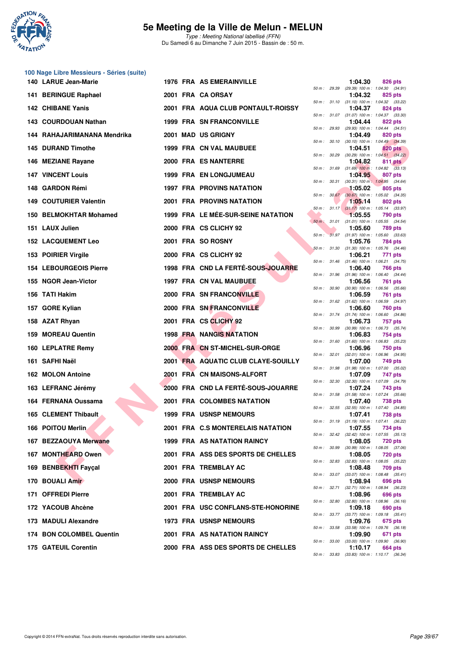

**100 Nage Libre Messieurs - Séries (suite)**

### **5e Meeting de la Ville de Melun - MELUN**

Type : Meeting National labellisé (FFN) Du Samedi 6 au Dimanche 7 Juin 2015 - Bassin de : 50 m.

|      | 140 LARUE Jean-Marie          |  | <b>1976 FRA AS EMERAINVILLE</b>     |              |              | 1:04.30 | 826 pts                                                        |
|------|-------------------------------|--|-------------------------------------|--------------|--------------|---------|----------------------------------------------------------------|
|      | 141 BERINGUE Raphael          |  | 2001 FRA CA ORSAY                   |              |              | 1:04.32 | 50 m : 29.39 (29.39) 100 m : 1:04.30 (34.91)<br>825 pts        |
|      | 142 CHIBANE Yanis             |  | 2001 FRA AQUA CLUB PONTAULT-ROISSY  |              |              | 1:04.37 | 50 m: 31.10 (31.10) 100 m: 1:04.32 (33.22)<br>824 pts          |
|      | 143 COURDOUAN Nathan          |  | <b>1999 FRA SN FRANCONVILLE</b>     |              |              | 1:04.44 | 50 m: 31.07 (31.07) 100 m: 1:04.37 (33.30)<br>822 pts          |
|      | 144 RAHAJARIMANANA Mendrika   |  | 2001 MAD US GRIGNY                  |              |              | 1:04.49 | 50 m: 29.93 (29.93) 100 m: 1:04.44 (34.51)<br>820 pts          |
|      | <b>145 DURAND Timothe</b>     |  | 1999 FRA CN VAL MAUBUEE             |              | 50 m : 30.10 | 1:04.51 | $(30.10)$ 100 m : 1:04.49 $(34.39)$<br>820 pts                 |
|      | 146 MEZIANE Rayane            |  | 2000 FRA ES NANTERRE                | 50 m : 30.29 |              | 1:04.82 | $(30.29)$ 100 m : 1:04.51 $(34.22)$<br>811 pts                 |
|      | <b>147 VINCENT Louis</b>      |  | <b>1999 FRA EN LONGJUMEAU</b>       |              |              | 1:04.95 | 50 m : 31.69 (31.69) 100 m : 1:04.82 (33.13)<br>807 pts        |
|      | 148 GARDON Rémi               |  | <b>1997 FRA PROVINS NATATION</b>    |              | 50 m : 30.31 | 1:05.02 | $(30.31)$ 100 m : 1:04.95 $(34.64)$<br>805 pts                 |
| 149. | <b>COUTURIER Valentin</b>     |  | <b>2001 FRA PROVINS NATATION</b>    |              |              | 1:05.14 | 50 m : 30.67 (30.67) 100 m : 1:05.02 (34.35)<br>802 pts        |
|      | 150 BELMOKHTAR Mohamed        |  | 1999 FRA LE MÉE-SUR-SEINE NATATION  |              |              | 1:05.55 | 50 m: 31.17 (31.17) 100 m: 1:05.14 (33.97)<br>790 pts          |
|      | 151 LAUX Julien               |  | 2000 FRA CS CLICHY 92               |              |              | 1:05.60 | 50 m : 31.01 (31.01) 100 m : 1:05.55 (34.54)<br>789 pts        |
|      | <b>152 LACQUEMENT Leo</b>     |  | 2001 FRA SO ROSNY                   | $50 m$ :     |              | 1:05.76 | 31.97 (31.97) 100 m : 1:05.60 (33.63)<br>784 pts               |
|      | 153 POIRIER Virgile           |  | 2000 FRA CS CLICHY 92               |              |              | 1:06.21 | 50 m: 31.30 (31.30) 100 m: 1:05.76 (34.46)<br>771 pts          |
|      | <b>154 LEBOURGEOIS Pierre</b> |  | 1998 FRA CND LA FERTÉ-SOUS-JOUARRE  |              |              | 1:06.40 | 50 m: 31.46 (31.46) 100 m: 1:06.21 (34.75)<br><b>766 pts</b>   |
|      | 155 NGOR Jean-Victor          |  | <b>1997 FRA CN VAL MAUBUEE</b>      |              |              | 1:06.56 | 50 m: 31.96 (31.96) 100 m: 1:06.40 (34.44)<br>761 pts          |
|      | 156 TATI Hakim                |  | 2000 FRA SN FRANCONVILLE            |              |              | 1:06.59 | 50 m : 30.90 (30.90) 100 m : 1:06.56 (35.66)<br>761 pts        |
|      | 157 GORE Kylian               |  | 2000 FRA SN FRANCONVILLE            |              | 50 m : 31.62 | 1:06.60 | $(31.62)$ 100 m : 1:06.59 $(34.97)$<br>760 pts                 |
|      | 158 AZAT Rhyan                |  | 2001 FRA CS CLICHY 92               |              |              | 1:06.73 | 50 m: 31.74 (31.74) 100 m: 1:06.60 (34.86)<br>757 pts          |
|      | 159 MOREAU Quentin            |  | <b>1998 FRA NANGIS NATATION</b>     |              |              | 1:06.83 | 50 m: 30.99 (30.99) 100 m: 1:06.73 (35.74)<br>754 pts          |
|      | 160 LEPLATRE Remy             |  | 2000 FRA CN ST-MICHEL-SUR-ORGE      |              |              | 1:06.96 | 50 m: 31.60 (31.60) 100 m: 1:06.83 (35.23)<br>750 pts          |
|      | 161 SAFHI Naël                |  | 2001 FRA AQUATIC CLUB CLAYE-SOUILLY |              |              | 1:07.00 | 50 m: 32.01 (32.01) 100 m: 1:06.96 (34.95)<br>749 pts          |
|      | 162 MOLON Antoine             |  | 2001 FRA CN MAISONS-ALFORT          |              |              | 1:07.09 | 50 m: 31.98 (31.98) 100 m: 1:07.00 (35.02)<br>747 pts          |
|      | 163 LEFRANC Jérémy            |  | 2000 FRA CND LA FERTÉ-SOUS-JOUARRE  |              |              | 1:07.24 | 50 m : 32.30 (32.30) 100 m : 1:07.09 (34.79)<br>743 pts        |
|      | 164 FERNANA Oussama           |  | <b>2001 FRA COLOMBES NATATION</b>   |              | 50 m : 31.58 | 1:07.40 | $(31.58)$ 100 m : 1:07.24 $(35.66)$<br>738 pts                 |
|      | <b>165 CLEMENT Thibault</b>   |  | <b>1999 FRA USNSP NEMOURS</b>       |              |              | 1:07.41 | 50 m: 32.55 (32.55) 100 m: 1:07.40 (34.85)<br>738 pts          |
|      | 166 POITOU Merlin             |  | 2001 FRA C.S MONTERELAIS NATATION   |              |              | 1:07.55 | 50 m: 31.19 (31.19) 100 m: 1:07.41 (36.22)<br>734 pts          |
|      | 167 BEZZAOUYA Merwane         |  | <b>1999 FRA AS NATATION RAINCY</b>  |              |              | 1:08.05 | 50 m : 32.42 (32.42) 100 m : 1:07.55 (35.13)<br><b>720 pts</b> |
|      | 167 MONTHEARD Owen            |  | 2001 FRA ASS DES SPORTS DE CHELLES  |              |              | 1:08.05 | 50 m : 30.99 (30.99) 100 m : 1:08.05 (37.06)<br><b>720 pts</b> |
|      | 169 BENBEKHTI Fayçal          |  | 2001 FRA TREMBLAY AC                |              |              | 1:08.48 | 50 m : 32.83 (32.83) 100 m : 1:08.05 (35.22)<br>709 pts        |
|      | 170 BOUALI Amir               |  | 2000 FRA USNSP NEMOURS              |              |              | 1:08.94 | 50 m: 33.07 (33.07) 100 m: 1:08.48 (35.41)<br>696 pts          |
|      | 171 OFFREDI Pierre            |  | 2001 FRA TREMBLAY AC                |              |              | 1:08.96 | 50 m : 32.71 (32.71) 100 m : 1:08.94 (36.23)<br>696 pts        |
|      | 172 YACOUB Ahcène             |  | 2001 FRA USC CONFLANS-STE-HONORINE  |              |              | 1:09.18 | 50 m : 32.80 (32.80) 100 m : 1:08.96 (36.16)<br>690 pts        |
|      | 173 MADULI Alexandre          |  | <b>1973 FRA USNSP NEMOURS</b>       |              |              | 1:09.76 | 50 m: 33.77 (33.77) 100 m: 1:09.18 (35.41)<br>675 pts          |
|      | 174 BON COLOMBEL Quentin      |  | <b>2001 FRA AS NATATION RAINCY</b>  |              |              | 1:09.90 | 50 m : 33.58 (33.58) 100 m : 1:09.76 (36.18)<br>671 pts        |
|      | 175 GATEUIL Corentin          |  | 2000 FRA ASS DES SPORTS DE CHELLES  |              |              | 1:10.17 | 50 m: 33.00 (33.00) 100 m: 1:09.90 (36.90)<br>664 pts          |
|      |                               |  |                                     |              |              |         | 50 m: 33.83 (33.83) 100 m: 1:10.17 (36.34)                     |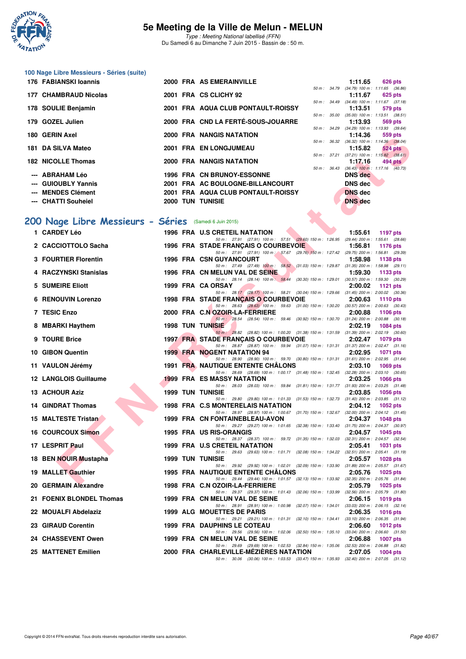

Type : Meeting National labellisé (FFN) Du Samedi 6 au Dimanche 7 Juin 2015 - Bassin de : 50 m.

| 100 Nage Libre Messieurs - Séries (suite) |  |
|-------------------------------------------|--|
| <b>47C EADIANOVILANADA</b>                |  |

| 176 FABIANSKI Ioannis             |  | 2000 FRA AS EMERAINVILLE           |                  |             | 1:11.65                                        | <b>626 pts</b> |
|-----------------------------------|--|------------------------------------|------------------|-------------|------------------------------------------------|----------------|
| 177 CHAMBRAUD Nicolas             |  | 2001 FRA CS CLICHY 92              | $50 m$ : $34.79$ |             | $(34.79)$ 100 m : 1:11.65 $(36.86)$<br>1:11.67 | 625 pts        |
|                                   |  |                                    |                  |             | 50 m: 34.49 (34.49) 100 m: 1:11.67 (37.18)     |                |
| 178 SOULIE Benjamin               |  | 2001 FRA AQUA CLUB PONTAULT-ROISSY |                  |             | 1:13.51                                        | 579 pts        |
|                                   |  |                                    |                  |             | 50 m: 35.00 (35.00) 100 m: 1:13.51 (38.51)     |                |
| 179 GOZEL Julien                  |  | 2000 FRA CND LA FERTÉ-SOUS-JOUARRE |                  |             | 1:13.93                                        | 569 pts        |
| 180 GERIN Axel                    |  | 2000 FRA NANGIS NATATION           | $50 m$ : $34.29$ |             | $(34.29)$ 100 m : 1:13.93 $(39.64)$            |                |
|                                   |  |                                    | $50 m$ : $36.32$ |             | 1:14.36<br>$(36.32)$ 100 m : 1:14.36 $(38.04)$ | 559 pts        |
| 181 DA SILVA Mateo                |  | 2001 FRA EN LONGJUMEAU             |                  |             | 1:15.82                                        | <b>524 pts</b> |
|                                   |  |                                    |                  | 50 m: 37.21 | $(37.21)$ 100 m : 1:15.82 $(38.61)$            |                |
| <b>182 NICOLLE Thomas</b>         |  | 2000 FRA NANGIS NATATION           |                  |             | 1:17.16                                        | 494 pts        |
|                                   |  |                                    | $50 m$ : $36.43$ |             | $(36.43)$ 100 m : 1:17.16 $(40.73)$            |                |
| --- ABRAHAM Léo                   |  | <b>1996 FRA CN BRUNOY-ESSONNE</b>  |                  |             | <b>DNS</b> dec                                 |                |
| --- GUIOUBLY Yannis               |  | 2001 FRA AC BOULOGNE-BILLANCOURT   |                  |             | <b>DNS</b> dec                                 |                |
| --- MENDES Clément                |  | 2001 FRA AQUA CLUB PONTAULT-ROISSY |                  |             | <b>DNS</b> dec                                 |                |
| --- CHATTI Souheiel               |  | <b>2000 TUN TUNISIE</b>            |                  |             | <b>DNS</b> dec                                 |                |
|                                   |  |                                    |                  |             |                                                |                |
| 200 Nage Libre Messieurs - Séries |  | (Samedi 6 Juin 2015)               |                  |             |                                                |                |
|                                   |  |                                    |                  |             |                                                |                |

### **[200 Nage Libre Messieurs - Séries](http://www.ffnatation.fr/webffn/resultats.php?idact=nat&go=epr&idcpt=31115&idepr=53)** (Samedi 6 Juin 2015)

| OV VENIN AACI                                         |  | ZUU FRA NANGIS NATATUN                                                                                                               | 1.14.30        | ບບວ µເວ                                                      |
|-------------------------------------------------------|--|--------------------------------------------------------------------------------------------------------------------------------------|----------------|--------------------------------------------------------------|
| 81   DA SILVA Mateo                                   |  | 2001 FRA EN LONGJUMEAU                                                                                                               | 1:15.82        | 50 m: 36.32 (36.32) 100 m: 1:14.36 (38.04)<br><b>524 pts</b> |
| 82 NICOLLE Thomas                                     |  | 2000 FRA NANGIS NATATION                                                                                                             | 1:17.16        | 50 m: 37.21 (37.21) 100 m: 1:15.82 (38.61)<br>494 pts        |
| ---   ABRAHAM Léo                                     |  | <b>1996 FRA CN BRUNOY-ESSONNE</b>                                                                                                    | <b>DNS</b> dec | 50 m: 36.43 (36.43) 100 m: 1:17.16 (40.73)                   |
| --- GUIOUBLY Yannis                                   |  | 2001 FRA AC BOULOGNE-BILLANCOURT                                                                                                     | <b>DNS</b> dec |                                                              |
| --- MENDES Clément                                    |  | 2001 FRA AQUA CLUB PONTAULT-ROISSY                                                                                                   | <b>DNS</b> dec |                                                              |
| --- CHATTI Souheiel                                   |  | <b>2000 TUN TUNISIE</b>                                                                                                              | <b>DNS</b> dec |                                                              |
|                                                       |  |                                                                                                                                      |                |                                                              |
| 00 Nage Libre Messieurs - Séries (Samedi 6 Juin 2015) |  |                                                                                                                                      |                |                                                              |
| 1 CARDEY Léo                                          |  | 1996 FRA U.S CRETEIL NATATION                                                                                                        |                | 1:55.61 1197 pts                                             |
| 2 CACCIOTTOLO Sacha                                   |  | 50 m: 27.91 (27.91) 100 m: 57.51 (29.60) 150 m: 1:26.95 (29.44) 200 m: 1:55.61 (28.66)<br>1996 FRA STADE FRANCAIS O COURBEVOIE       | 1:56.81        | 1176 pts                                                     |
|                                                       |  | 50 m: 27.91 (27.91) 100 m: 57.67 (29.76) 150 m: 1:27.42 (29.75) 200 m: 1:56.81 (29.39)                                               |                |                                                              |
| 3 FOURTIER Florentin                                  |  | <b>1996 FRA CSN GUYANCOURT</b><br>50 m: 27.49 (27.49) 100 m: 58.52 (31.03) 150 m: 1:29.87 (31.35) 200 m: 1:58.98 (29.11)             | 1:58.98        | 1138 pts                                                     |
| 4 RACZYNSKI Stanislas                                 |  | 1996 FRA CN MELUN VAL DE SEINE                                                                                                       | 1:59.30        | 1133 $pts$                                                   |
|                                                       |  | 50 m: 28.14 (28.14) 100 m: 58.44 (30.30) 150 m: 1:29.01 (30.57) 200 m: 1:59.30 (30.29)                                               |                |                                                              |
| 5 SUMEIRE Eliott                                      |  | 1999 FRA CA ORSAY<br>50 m: 28.17 (28.17) 100 m: 58.21 (30.04) 150 m: 1:29.66 (31.45) 200 m: 2:00.02 (30.36)                          | 2:00.02        | 1121 $pts$                                                   |
| <b>6 RENOUVIN Lorenzo</b>                             |  | 1998 FRA STADE FRANCAIS O COURBEVOIE                                                                                                 | 2:00.63        | <b>1110 pts</b>                                              |
|                                                       |  | 50 m: 28.63 (28.63) 100 m: 59.63 (31.00) 150 m: 1:30.20 (30.57) 200 m: 2:00.63 (30.43)                                               |                |                                                              |
| 7 TESIC Enzo                                          |  | 2000 FRA C.N OZOIR-LA-FERRIERE<br>50 m: 28.54 (28.54) 100 m: 59.46 (30.92) 150 m: 1:30.70 (31.24) 200 m: 2:00.88 (30.18)             | 2:00.88        | 1106 $pts$                                                   |
| 8 MBARKI Haythem                                      |  | <b>1998 TUN TUNISIE</b>                                                                                                              | 2:02.19        | <b>1084 pts</b>                                              |
| 9 TOURE Brice                                         |  | 50 m: 28.82 (28.82) 100 m: 1:00.20 (31.38) 150 m: 1:31.59 (31.39) 200 m: 2:02.19 (30.60)<br>1997 FRA STADE FRANÇAIS O COURBEVOIE     | 2:02.47        | 1079 pts                                                     |
|                                                       |  | 50 m: 28.87 (28.87) 100 m: 59.94 (31.07) 150 m: 1:31.31 (31.37) 200 m: 2:02.47 (31.16)                                               |                |                                                              |
| 10 GIBON Quentin                                      |  | <b>1999 FRA NOGENT NATATION 94</b>                                                                                                   | 2:02.95        | <b>1071 pts</b>                                              |
| 11 VAULON Jérémy                                      |  | 50 m: 28.90 (28.90) 100 m: 59.70 (30.80) 150 m: 1:31.31 (31.61) 200 m: 2:02.95 (31.64)<br><b>1991 FRA NAUTIQUE ENTENTE CHALONS</b>   | 2:03.10        | 1069 $pts$                                                   |
|                                                       |  | 50 m: 28.69 (28.69) 100 m: 1:00.17 (31.48) 150 m: 1:32.45 (32.28) 200 m: 2:03.10 (30.65)                                             |                |                                                              |
| 12 LANGLOIS Guillaume                                 |  | <b>1999 FRA ES MASSY NATATION</b><br>50 m: 28.03 (28.03) 100 m: 59.84 (31.81) 150 m: 1:31.77 (31.93) 200 m: 2:03.25 (31.48)          | 2:03.25        | <b>1066 pts</b>                                              |
| 13 ACHOUR Aziz                                        |  | <b>1999 TUN TUNISIE</b>                                                                                                              | 2:03.85        | <b>1056 pts</b>                                              |
| 14 GINDRAT Thomas                                     |  | 50 m: 29.80 (29.80) 100 m: 1:01.33 (31.53) 150 m: 1:32.73 (31.40) 200 m: 2:03.85 (31.12)<br>1998 FRA C.S MONTERELAIS NATATION        | 2:04.12        | 1052 $pts$                                                   |
|                                                       |  | 50 m: 28.97 (28.97) 100 m: 1:00.67 (31.70) 150 m: 1:32.67 (32.00) 200 m: 2:04.12 (31.45)                                             |                |                                                              |
| 15 MALTESTE Tristan                                   |  | 1999 FRA CN FONTAINEBLEAU-AVON                                                                                                       | 2:04.37        | 1048 pts                                                     |
| 16 COURCOUX Simon                                     |  | 50 m: 29.27 (29.27) 100 m: 1:01.65 (32.38) 150 m: 1:33.40 (31.75) 200 m: 2:04.37 (30.97)<br>1995 FRA US RIS-ORANGIS                  | 2:04.57        | 1045 pts                                                     |
|                                                       |  | 50 m: 28.37 (28.37) 100 m: 59.72 (31.35) 150 m: 1.32.03 (32.31) 200 m: 2.04.57 (32.54)                                               |                |                                                              |
| 17 LESPRIT Paul                                       |  | 1999 FRA U.S CRETEIL NATATION<br>50 m: 29.63 (29.63) 100 m: 1:01.71 (32.08) 150 m: 1:34.22 (32.51) 200 m: 2:05.41 (31.19)            | 2:05.41        | <b>1031 pts</b>                                              |
| 18 BEN NOUIR Mustapha                                 |  | 1999 TUN TUNISIE                                                                                                                     | 2:05.57        | 1028 $pts$                                                   |
| 19 MALLET Gauthier                                    |  | 50 m: 29.92 (29.92) 100 m: 1:02.01 (32.09) 150 m: 1:33.90 (31.89) 200 m: 2:05.57 (31.67)<br><b>1995 FRA NAUTIQUE ENTENTE CHALONS</b> | 2:05.76        | 1025 pts                                                     |
|                                                       |  | 50 m: 29.44 (29.44) 100 m: 1:01.57 (32.13) 150 m: 1:33.92 (32.35) 200 m: 2:05.76 (31.84)                                             |                |                                                              |
| 20 GERMAIN Alexandre                                  |  | 1998 FRA C.N OZOIR-LA-FERRIERE                                                                                                       | 2:05.79        | 1025 pts                                                     |
| 21 FOENIX BLONDEL Thomas                              |  | 50 m: 29.37 (29.37) 100 m: 1:01.43 (32.06) 150 m: 1:33.99 (32.56) 200 m: 2:05.79 (31.80)<br>1999 FRA CN MELUN VAL DE SEINE           | 2:06.15        | 1019 $pts$                                                   |
|                                                       |  | 50 m: 28.91 (28.91) 100 m: 1.00.98 (32.07) 150 m: 1.34.01 (33.03) 200 m: 2.06.15 (32.14)                                             |                |                                                              |
| 22 MOUALFI Abdelaziz                                  |  | 1999 ALG MOUETTES DE PARIS<br>50 m: 29.21 (29.21) 100 m: 1:01.31 (32.10) 150 m: 1:34.41 (33.10) 200 m: 2:06.35 (31.94)               | 2:06.35        | <b>1016 pts</b>                                              |
| 23 GIRAUD Corentin                                    |  | <b>1999 FRA DAUPHINS LE COTEAU</b>                                                                                                   | 2:06.60        | 1012 pts                                                     |
| 24   CHASSEVENT Owen                                  |  | 50 m: 29.56 (29.56) 100 m: 1:02.06 (32.50) 150 m: 1:35.10 (33.04) 200 m: 2:06.60 (31.50)<br>1999 FRA CN MELUN VAL DE SEINE           | 2:06.88        | <b>1007 pts</b>                                              |
|                                                       |  | 50 m: 29.69 (29.69) 100 m: 1:02.53 (32.84) 150 m: 1:35.06 (32.53) 200 m: 2:06.88 (31.82)                                             |                |                                                              |
| 25 MATTENET Emilien                                   |  | 2000 FRA CHARLEVILLE-MEZIERES NATATION                                                                                               | 2:07.05        | $1004$ pts                                                   |
|                                                       |  | 50 m: 30.06 (30.06) 100 m: 1:03.53 (33.47) 150 m: 1:35.93 (32.40) 200 m: 2:07.05 (31.12)                                             |                |                                                              |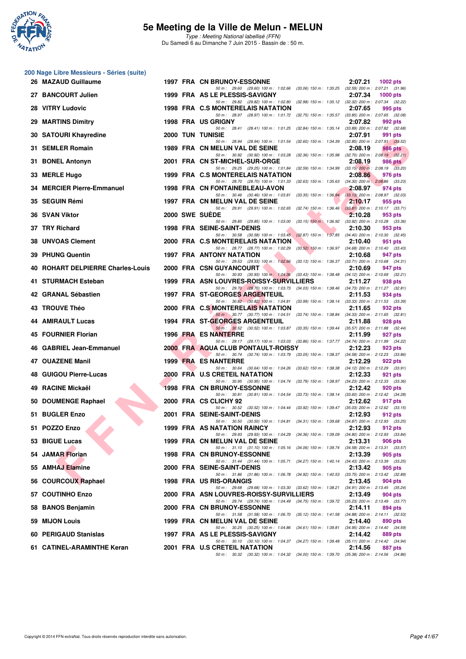

|     | 200 Nage Libre Messieurs - Séries (suite) |  |                                                                                                                                         |         |                 |
|-----|-------------------------------------------|--|-----------------------------------------------------------------------------------------------------------------------------------------|---------|-----------------|
|     | 26 MAZAUD Guillaume                       |  | 1997 FRA CN BRUNOY-ESSONNE                                                                                                              | 2:07.21 | <b>1002 pts</b> |
|     | 27 BANCOURT Julien                        |  | 50 m: 29.60 (29.60) 100 m: 1:02.66 (33.06) 150 m: 1:35.25 (32.59) 200 m: 2:07.21 (31.96)<br>1999 FRA AS LE PLESSIS-SAVIGNY              | 2:07.34 | <b>1000 pts</b> |
|     | 28 VITRY Ludovic                          |  | 50 m: 29.82 (29.82) 100 m: 1:02.80 (32.98) 150 m: 1:35.12 (32.32) 200 m: 2:07.34 (32.22)<br>1998 FRA C.S MONTERELAIS NATATION           | 2:07.65 | 995 pts         |
| 29  | <b>MARTINS Dimitry</b>                    |  | 50 m: 28.97 (28.97) 100 m: 1:01.72 (32.75) 150 m: 1:35.57 (33.85) 200 m: 2:07.65 (32.08)<br>1998 FRA US GRIGNY                          | 2:07.82 | 992 pts         |
|     | 30 SATOURI Khayredine                     |  | 50 m : 28.41<br>(28.41) 100 m: 1:01.25 (32.84) 150 m: 1:35.14 (33.89) 200 m: 2:07.82 (32.68)<br><b>2000 TUN TUNISIE</b>                 | 2:07.91 | 991 pts         |
|     | 31 SEMLER Romain                          |  | 50 m : 28.94 (28.94) 100 m : 1:01.54<br>(32.60) 150 m : 1:34.39 (32.85) 200 m : 2:07.91 (33.52)<br>1989 FRA CN MELUN VAL DE SEINE       | 2:08.19 | 986 pts         |
|     | 31 BONEL Antonyn                          |  | 50 m: 30.92 (30.92) 100 m: 1:03.28 (32.36) 150 m: 1:35.98 (32.70) 200 m: 2:08.19 (32.21)<br>2001 FRA CN ST-MICHEL-SUR-ORGE              | 2:08.19 | <b>986 pts</b>  |
|     | 33 MERLE Hugo                             |  | 50 m: 29.25 (29.25) 100 m: 1:01.84 (32.59) 150 m: 1:34.99 (33.15) 200 m: 2:08.19 (33.20)<br>1999 FRA C.S MONTERELAIS NATATION           | 2:08.86 | 976 pts         |
|     | 34 MERCIER Pierre-Emmanuel                |  | 50 m: 28.70 (28.70) 100 m: 1:01.33 (32.63) 150 m: 1:35.63 (34.30) 200 m: 2:08.86 (33.23)<br>1998 FRA CN FONTAINEBLEAU-AVON              | 2:08.97 | 974 pts         |
|     | 35 SEGUIN Rémi                            |  | 50 m: 30.46 (30.46) 100 m: 1:03.81 (33.35) 150 m: 1:36.94 (33.13) 200 m: 2:08.97 (32.03)<br>1997 FRA CN MELUN VAL DE SEINE              | 2:10.17 | 955 pts         |
|     | 36 SVAN Viktor                            |  | 50 m: 29.91 (29.91) 100 m: 1:02.65 (32.74) 150 m: 1:36.46 (33.81) 200 m: 2:10.17 (33.71)<br>2000 SWE SUEDE                              | 2:10.28 | 953 pts         |
|     | 37 TRY Richard                            |  | 50 m: 29.85 (29.85) 100 m: 1:03.00 (33.15) 150 m: 1:36.92 (33.92) 200 m: 2:10.28 (33.36)<br>1998 FRA SEINE-SAINT-DENIS                  | 2:10.30 | 953 pts         |
| 38  | <b>UNVOAS Clement</b>                     |  | 50 m: 30.58 (30.58) 100 m: 1:03.45 (32.87) 150 m: 1:37.85 (34.40) 200 m: 2:10.30 (32.45)<br>2000 FRA C.S MONTERELAIS NATATION           | 2:10.40 | 951 pts         |
| 39. | <b>PHUNG Quentin</b>                      |  | 50 m: 28.77 (28.77) 100 m: 1:02.29 (33.52) 150 m: 1:36.97 (34.68) 200 m: 2:10.40 (33.43)<br><b>1997 FRA ANTONY NATATION</b>             | 2:10.68 | 947 pts         |
| 40  | <b>ROHART DELPIERRE Charles-Louis</b>     |  | 50 m: 29.53 (29.53) 100 m: 1:02.66 (33.13) 150 m: 1:36.37 (33.71) 200 m: 2:10.68 (34.31)<br>2000 FRA CSN GUYANCOURT                     | 2:10.69 | 947 pts         |
|     | 41 STURMACH Esteban                       |  | 50 m: 30.93 (30.93) 100 m: 1.04.36 (33.43) 150 m: 1.38.48 (34.12) 200 m: 2.10.69 (32.21)<br>1999 FRA ASN LOUVRES-ROISSY-SURVILLIERS     | 2:11.27 | 938 pts         |
|     | 42 GRANAL Sébastien                       |  | 50 m: 29.70 (29.70) 100 m: 1:03.73 (34.03) 150 m: 1:38.46 (34.73) 200 m: 2:11.27 (32.81)<br><b>1997 FRA ST-GEORGES ARGENTEUIL</b>       | 2:11.53 | 934 pts         |
|     | 43 TROUVE Théo                            |  | 50 m: 30.82 (30.82) 100 m: 1:04.81 (33.99) 150 m: 1:38.14 (33.33) 200 m: 2:11.53 (33.39)<br>2000 FRA C.S MONTERELAIS NATATION           | 2:11.65 | 932 pts         |
|     | 44 AMIRAULT Lucas                         |  | 50 m: 30.77 (30.77) 100 m: 1:04.51 (33.74) 150 m: 1:38.84 (34.33) 200 m: 2:11.65 (32.81)<br>1994 FRA ST-GEORGES ARGENTEUIL              | 2:11.88 | 928 pts         |
|     | <b>45 FOURNIER Florian</b>                |  | 50 m: 30.52 (30.52) 100 m: 1:03.87 (33.35) 150 m: 1:39.44 (35.57) 200 m: 2:11.88 (32.44)<br>1996 FRA ES NANTERRE                        | 2:11.99 | 927 pts         |
|     | 46 GABRIEL Jean-Emmanuel                  |  | 50 m: 29.17 (29.17) 100 m: 1:03.03 (33.86) 150 m: 1:37.77 (34.74) 200 m: 2:11.99 (34.22)<br>2000 FRA AQUA CLUB PONTAULT-ROISSY          | 2:12.23 | 923 pts         |
|     | 47 OUAZENE Manil                          |  | 50 m: 30.74 (30.74) 100 m: 1:03.79 (33.05) 150 m: 1:38.37 (34.58) 200 m: 2:12.23 (33.86)<br>1999 FRA ES NANTERRE                        | 2:12.29 | 922 pts         |
|     | 48 GUIGOU Pierre-Lucas                    |  | 50 m: 30.64 (30.64) 100 m: 1:04.26 (33.62) 150 m: 1:38.38 (34.12) 200 m: 2:12.29 (33.91)<br>2000 FRA U.S CRETEIL NATATION               | 2:12.33 | 921 pts         |
| 49  | <b>RACINE Mickaël</b>                     |  | 50 m: 30.95 (30.95) 100 m: 1:04.74 (33.79) 150 m: 1:38.97 (34.23) 200 m: 2:12.33 (33.36)<br><b>1998 FRA CN BRUNOY-ESSONNE</b>           | 2:12.42 | 920 pts         |
|     | 50 DOUMENGE Raphael                       |  | 50 m: 30.81 (30.81) 100 m: 1:04.54 (33.73) 150 m: 1:38.14 (33.60) 200 m: 2:12.42 (34.28)<br>2000 FRA CS CLICHY 92                       | 2:12.62 | 917 pts         |
|     | 51 BUGLER Enzo                            |  | 50 m: 30.52 (30.52) 100 m: 1:04.44 (33.92) 150 m: 1:39.47 (35.03) 200 m: 2:12.62 (33.15)<br>2001 FRA SEINE-SAINT-DENIS                  | 2:12.93 | 912 pts         |
|     | 51 POZZO Enzo                             |  | 50 m: 30.50 (30.50) 100 m: 1:04.81 (34.31) 150 m: 1:39.68 (34.87) 200 m: 2:12.93 (33.25)<br>1999 FRA AS NATATION RAINCY                 | 2:12.93 | 912 pts         |
|     | 53 BIGUE Lucas                            |  | 50 m: 29.93 (29.93) 100 m: 1:04.29 (34.36) 150 m: 1:39.09 (34.80) 200 m: 2:12.93 (33.84)<br>1999 FRA CN MELUN VAL DE SEINE              | 2:13.31 | 906 pts         |
|     | 54 JAMAR Florian                          |  | 50 m: 31.10 (31.10) 100 m: 1:05.16 (34.06) 150 m: 1:39.74 (34.58) 200 m: 2:13.31 (33.57)<br><b>1998 FRA CN BRUNOY-ESSONNE</b>           | 2:13.39 | 905 pts         |
|     | 55 AMHAJ Elamine                          |  | 50 m: 31.44 (31.44) 100 m: 1:05.71 (34.27) 150 m: 1:40.14 (34.43) 200 m: 2:13.39 (33.25)<br>2000 FRA SEINE-SAINT-DENIS                  | 2:13.42 | 905 pts         |
|     | 56 COURCOUX Raphael                       |  | 50 m: 31.86 (31.86) 100 m: 1:06.78 (34.92) 150 m: 1:40.53 (33.75) 200 m: 2:13.42 (32.89)<br>1998 FRA US RIS-ORANGIS                     | 2:13.45 | 904 pts         |
|     | 57 COUTINHO Enzo                          |  | 50 m : 29.68 (29.68) 100 m : 1:03.30 (33.62) 150 m : 1:38.21 (34.91) 200 m : 2:13.45 (35.24)<br>2000 FRA ASN LOUVRES-ROISSY-SURVILLIERS | 2:13.49 | 904 pts         |
|     | 58 BANOS Benjamin                         |  | 50 m : 29.74 (29.74) 100 m : 1:04.49 (34.75) 150 m : 1:39.72 (35.23) 200 m : 2:13.49 (33.77)<br>2000 FRA CN BRUNOY-ESSONNE              | 2:14.11 | 894 pts         |
|     | 59 MIJON Louis                            |  | 50 m: 31.58 (31.58) 100 m: 1.06.70 (35.12) 150 m: 1.41.58 (34.88) 200 m: 2.14.11 (32.53)<br>1999 FRA CN MELUN VAL DE SEINE              | 2:14.40 | 890 pts         |
|     | 60 PERIGAUD Stanislas                     |  | 50 m: 30.25 (30.25) 100 m: 1:04.86 (34.61) 150 m: 1:39.81 (34.95) 200 m: 2:14.40 (34.59)<br>1997 FRA AS LE PLESSIS-SAVIGNY              | 2:14.42 | 889 pts         |
|     | 61 CATINEL-ARAMINTHE Keran                |  | 50 m: 30.10 (30.10) 100 m: 1:04.37 (34.27) 150 m: 1:39.48 (35.11) 200 m: 2:14.42 (34.94)<br>2001 FRA U.S CRETEIL NATATION               | 2:14.56 | 887 pts         |
|     |                                           |  | 50 m: 30.32 (30.32) 100 m: 1:04.32 (34.00) 150 m: 1:39.70 (35.38) 200 m: 2:14.56 (34.86)                                                |         |                 |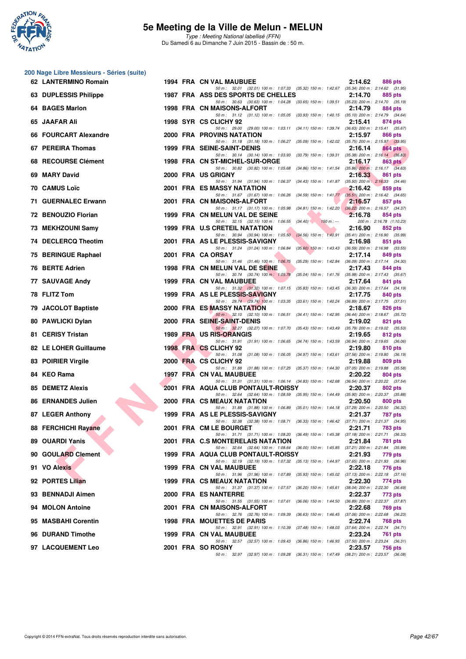

Type : Meeting National labellisé (FFN) Du Samedi 6 au Dimanche 7 Juin 2015 - Bassin de : 50 m.

#### **200 Nage Libre Messieurs - Séries (suite)**

| 62 LANTERMINO Romain                          |  | 1994 FRA CN VAL MAUBUEE                                                                                                             | 2:14.62 | 886 pts                                        |
|-----------------------------------------------|--|-------------------------------------------------------------------------------------------------------------------------------------|---------|------------------------------------------------|
| 63 DUPLESSIS Philippe                         |  | 50 m: 32.01 (32.01) 100 m: 1:07.33 (35.32) 150 m: 1:42.67 (35.34) 200 m: 2:14.62 (31.95)<br>1987 FRA ASS DES SPORTS DE CHELLES      | 2:14.70 | 885 pts                                        |
| 64 BAGES Marlon                               |  | 50 m: 30.63 (30.63) 100 m: 1:04.28 (33.65) 150 m: 1:39.51 (35.23) 200 m: 2:14.70 (35.19)<br>1998 FRA CN MAISONS-ALFORT              | 2:14.79 | 884 pts                                        |
| 65 JAAFAR Ali                                 |  | 50 m: 31.12 (31.12) 100 m: 1:05.05 (33.93) 150 m: 1:40.15 (35.10) 200 m: 2:14.79 (34.64)<br>1998 SYR CS CLICHY 92                   | 2:15.41 | 874 pts                                        |
| 66 FOURCART Alexandre                         |  | 50 m: 29.00 (29.00) 100 m: 1:03.11 (34.11) 150 m: 1:39.74 (36.63) 200 m: 2:15.41 (35.67)<br>2000 FRA PROVINS NATATION               | 2:15.97 | 866 pts                                        |
| 67 PEREIRA Thomas                             |  | 50 m: 31.18 (31.18) 100 m: 1:06.27 (35.09) 150 m: 1:42.02 (35.75) 200 m: 2:15.97 (33.95)<br><b>1999 FRA SEINE-SAINT-DENIS</b>       | 2:16.14 | 864 pts                                        |
| 68 RECOURSE Clément                           |  | 50 m: 30.14 (30.14) 100 m: 1:03.93 (33.79) 150 m: 1:39.31 (35.38) 200 m: 2:16.14 (36.83)<br>1998 FRA CN ST-MICHEL-SUR-ORGE          | 2:16.17 | 863 pts                                        |
| 69 MARY David                                 |  | 50 m: 30.82 (30.82) 100 m: 1:05.68 (34.86) 150 m: 1:41.54 (35.86) 200 m: 2:16.17 (34.63)<br>2000 FRA US GRIGNY                      | 2:16.33 | 861 pts                                        |
| 70 CAMUS Loïc                                 |  | 50 m: 31.94 (31.94) 100 m: 1:06.37 (34.43) 150 m: 1:41.87 (35.50) 200 m: 2:16.33 (34.46)<br>2001 FRA ES MASSY NATATION              | 2:16.42 | 859 pts                                        |
| 71 GUERNALEC Erwann                           |  | 50 m: 31.67 (31.67) 100 m: 1:06.26 (34.59) 150 m: 1:41.77 (35.51) 200 m: 2:16.42 (34.65)<br>2001 FRA CN MAISONS-ALFORT              | 2:16.57 | 857 pts                                        |
| 72 BENOUZIO Florian                           |  | 50 m: 31.17 (31.17) 100 m: 1:05.98 (34.81) 150 m: 1:42.20 (36.22) 200 m: 2:16.57 (34.37)<br>1999 FRA CN MELUN VAL DE SEINE          | 2:16.78 | 854 pts                                        |
| 73 MEKHZOUNI Samy                             |  | 50 m : 32.15 (32.15) 100 m : 1:06.55 (34.40)<br>$150 m: -$<br>1999 FRA U.S CRETEIL NATATION                                         | 2:16.90 | 200 m: 2:16.78 (1:10.23)<br>852 pts            |
| 74 DECLERCQ Theotim                           |  | 50 m: 30.94 (30.94) 100 m: 1:05.50 (34.56) 150 m: 1:40.91 (35.41) 200 m: 2:16.90 (35.99)<br>2001 FRA AS LE PLESSIS-SAVIGNY          | 2:16.98 | 851 pts                                        |
| 75 BERINGUE Raphael                           |  | 50 m: 31.24 (31.24) 100 m: 1:06.84 (35.60) 150 m: 1:43.43 (36.59) 200 m: 2:16.98 (33.55)<br>2001 FRA CA ORSAY                       | 2:17.14 | 849 pts                                        |
| 76 BERTE Adrien                               |  | 50 m: 31.46 (31.46) 100 m: 1:06.75 (35.29) 150 m: 1:42.84 (36.09) 200 m: 2:17.14 (34.30)<br>1998 FRA CN MELUN VAL DE SEINE          | 2:17.43 | 844 pts                                        |
| 77 SAUVAGE Andy                               |  | 50 m: 30.74 (30.74) 100 m: 1:05.78<br>(35.04) 150 m : 1:41.76 (35.98) 200 m : 2:17.43 (35.67)<br>1999 FRA CN VAL MAUBUEE            | 2:17.64 | 841 pts                                        |
| 78 FLITZ Tom                                  |  | 50 m: 31.32 (31.32) 100 m: 1:07.15 (35.83) 150 m: 1:43.45 (36.30) 200 m: 2:17.64 (34.19)<br>1999 FRA AS LE PLESSIS-SAVIGNY          | 2:17.75 | 840 pts                                        |
| 79 JACOLOT Baptiste                           |  | 50 m: 29.74 (29.74) 100 m: 1:03.35 (33.61) 150 m: 1:40.24 (36.89) 200 m: 2:17.75 (37.51)<br>2000 FRA ES MASSY NATATION              | 2:18.67 | 826 pts                                        |
| 80 PAWLICKI Dylan                             |  | 50 m: 32.10 (32.10) 100 m: 1:06.51 (34.41) 150 m: 1:42.95 (36.44) 200 m: 2:18.67 (35.72)<br>2000 FRA SEINE-SAINT-DENIS              | 2:19.02 | 821 pts                                        |
| 81 CERISY Tristan                             |  | 50 m: 32.27 (32.27) 100 m: 1:07.70 (35.43) 150 m: 1:43.49 (35.79) 200 m: 2:19.02 (35.53)<br>1989 FRA US RIS-ORANGIS                 | 2:19.65 | 812 pts                                        |
| 82 LE LOHER Guillaume                         |  | 50 m: 31.91 (31.91) 100 m: 1:06.65 (34.74) 150 m: 1:43.59 (36.94) 200 m: 2:19.65 (36.06)<br>1998 FRA CS CLICHY 92                   | 2:19.80 | 810 pts                                        |
| 83 POIRIER Virgile                            |  | 50 m: 31.08 (31.08) 100 m: 1:06.05 (34.97) 150 m: 1:43.61 (37.56) 200 m: 2:19.80 (36.19)<br>2000 FRA CS CLICHY 92                   | 2:19.88 | 809 pts                                        |
| 84 KEO Rama                                   |  | 50 m: 31.88 (31.88) 100 m: 1:07.25 (35.37) 150 m: 1:44.30 (37.05) 200 m: 2:19.88 (35.58)<br>1997 FRA CN VAL MAUBUEE                 | 2:20.22 |                                                |
|                                               |  | 50 m: 31.31 (31.31) 100 m: 1:06.14 (34.83) 150 m: 1:42.68 (36.54) 200 m: 2:20.22 (37.54)                                            | 2:20.37 | 804 pts                                        |
| 85 DEMETZ Alexis<br><b>86 ERNANDES Julien</b> |  | 2001 FRA AQUA CLUB PONTAULT-ROISSY<br>50 m: 32.64 (32.64) 100 m: 1:08.59 (35.95) 150 m: 1:44.49 (35.90) 200 m: 2:20.37 (35.88)      |         | 802 pts                                        |
|                                               |  | 2000 FRA CS MEAUX NATATION<br>50 m: 31.88 (31.88) 100 m: 1:06.89 (35.01) 150 m: 1:44.18 (37.29) 200 m: 2:20.50 (36.32)              | 2:20.50 | 800 pts                                        |
| 87 LEGER Anthony                              |  | 1999 FRA AS LE PLESSIS-SAVIGNY<br>50 m: 32.38 (32.38) 100 m: 1:08.71 (36.33) 150 m: 1:46.42 (37.71) 200 m: 2:21.37 (34.95)          | 2:21.37 | 787 pts                                        |
| 88 FERCHICHI Rayane                           |  | 2001 FRA CM LE BOURGET<br>50 m: 31.71 (31.71) 100 m: 1:08.20 (36.49) 150 m: 1:45.38 (37.18) 200 m: 2:21.71 (36.33)                  | 2:21.71 | <b>783 pts</b>                                 |
| 89 OUARDI Yanis                               |  | 2001 FRA C.S MONTERELAIS NATATION<br>50 m: 32.64 (32.64) 100 m: 1:08.64 (36.00) 150 m: 1:45.85 (37.21) 200 m: 2:21.84 (35.99)       | 2:21.84 | 781 pts                                        |
| 90 GOULARD Clement                            |  | 1999 FRA AQUA CLUB PONTAULT-ROISSY<br>50 m: 32.19 (32.19) 100 m: 1:07.32<br>(35.13) 150 m : 1:44.97 (37.65) 200 m : 2:21.93 (36.96) | 2:21.93 | 779 pts                                        |
| 91 VO Alexis                                  |  | <b>1999 FRA CN VAL MAUBUEE</b><br>50 m: 31.96 (31.96) 100 m: 1:07.89<br>(35.93) 150 m: 1:45.02 (37.13) 200 m: 2:22.18 (37.16)       | 2:22.18 | 776 pts                                        |
| 92 PORTES Lilian                              |  | <b>1999 FRA CS MEAUX NATATION</b><br>50 m: 31.37 (31.37) 100 m: 1:07.57<br>(36.20) 150 m : 1:45.61                                  | 2:22.30 | 774 pts<br>$(38.04)$ 200 m : 2:22.30 $(36.69)$ |
| 93 BENNADJI Aimen                             |  | 2000 FRA ES NANTERRE<br>50 m: 31.55 (31.55) 100 m: 1:07.61<br>$(36.06)$ 150 m : 1:44.50                                             | 2:22.37 | 773 pts<br>(36.89) 200 m : 2:22.37 (37.87)     |
| 94 MOLON Antoine                              |  | 2001 FRA CN MAISONS-ALFORT<br>50 m: 32.76 (32.76) 100 m: 1:09.39<br>(36.63) 150 m: 1:46.45 (37.06) 200 m: 2:22.68 (36.23)           | 2:22.68 | 769 pts                                        |
| 95 MASBAHI Corentin                           |  | 1998 FRA MOUETTES DE PARIS<br>50 m: 32.91 (32.91) 100 m: 1:10.39<br>(37.48) 150 m : 1:48.03 (37.64) 200 m : 2:22.74 (34.71)         | 2:22.74 | 768 pts                                        |
| 96 DURAND Timothe                             |  | 1999 FRA CN VAL MAUBUEE<br>50 m: 32.57 (32.57) 100 m: 1:09.43<br>(36.86) 150 m : 1:46.93                                            | 2:23.24 | 761 pts<br>$(37.50)$ 200 m : 2:23.24 $(36.31)$ |
| 97 LACQUEMENT Leo                             |  | 2001 FRA SO ROSNY<br>50 m: 32.97 (32.97) 100 m: 1:09.28<br>(36.31) 150 m : 1:47.49 (38.21) 200 m : 2:23.57 (36.08)                  | 2:23.57 | <b>756 pts</b>                                 |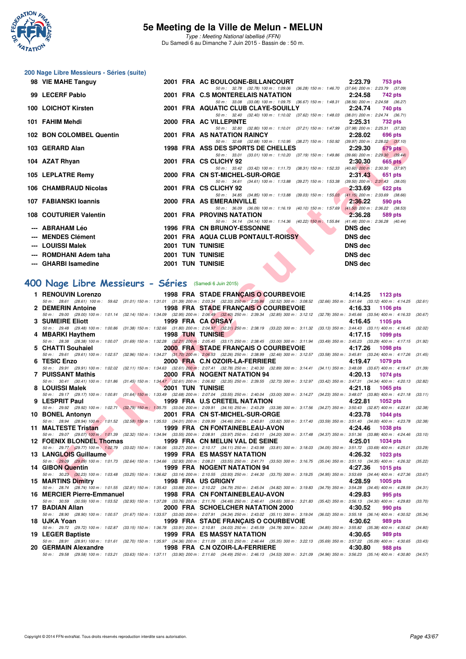

Type : Meeting National labellisé (FFN) Du Samedi 6 au Dimanche 7 Juin 2015 - Bassin de : 50 m.

## **200 Nage Libre Messieurs - Séries (suite)**

| 98 VIE MAHE Tanguy       |  | 2001 FRA AC BOULOGNE-BILLANCOURT 2:23.79                                                                                                                                                                                                                                |                | 753 pts |
|--------------------------|--|-------------------------------------------------------------------------------------------------------------------------------------------------------------------------------------------------------------------------------------------------------------------------|----------------|---------|
|                          |  | 50 m: 32.78 (32.78) 100 m: 1:09.06 (36.28) 150 m: 1:46.70 (37.64) 200 m: 2:23.79 (37.09)                                                                                                                                                                                |                |         |
| 99 LECERF Pablo          |  | 2001 FRA C.S MONTERELAIS NATATION 2:24.58                                                                                                                                                                                                                               |                | 742 pts |
|                          |  | 50 m: 33.08 (33.08) 100 m: 1:09.75 (36.67) 150 m: 1:48.31 (38.56) 200 m: 2:24.58 (36.27)                                                                                                                                                                                |                |         |
| 100 LOICHOT Kirsten      |  | 2001 FRA AQUATIC CLUB CLAYE-SOUILLY 2:24.74 740 pts                                                                                                                                                                                                                     |                |         |
|                          |  | 50 m: 32.40 (32.40) 100 m: 1:10.02 (37.62) 150 m: 1:48.03 (38.01) 200 m: 2:24.74 (36.71)                                                                                                                                                                                |                |         |
| 101 FAHIM Mehdi          |  | 2000 FRA AC VILLEPINTE                                                                                                                                                                                                                                                  | 2:25.31        | 732 pts |
|                          |  | 50 m: 32.80 (32.80) 100 m: 1:10.01 (37.21) 150 m: 1:47.99 (37.98) 200 m: 2:25.31 (37.32)                                                                                                                                                                                |                |         |
| 102 BON COLOMBEL Quentin |  | 2001 FRA AS NATATION RAINCY 2:28.02                                                                                                                                                                                                                                     |                | 696 pts |
|                          |  | 50 m: 32.68 (32.68) 100 m: 1:10.95 (38.27) 150 m: 1:50.92 (39.97) 200 m: 2:28.02 (37.10)                                                                                                                                                                                |                |         |
| 103 GERARD Alan          |  | 1998 FRA ASS DES SPORTS DE CHELLES 2:29.30                                                                                                                                                                                                                              |                | 679 pts |
|                          |  | 50 m: 33.01 (33.01) 100 m: 1:10.20 (37.19) 150 m: 1:49.86 (39.66) 200 m: 2:29.30 (39.44)                                                                                                                                                                                |                |         |
| 104 AZAT Rhyan           |  | 2001 FRA CS CLICHY 92                                                                                                                                                                                                                                                   | 2:30.30        | 665 pts |
|                          |  | 50 m: 33.42 (33.42) 100 m: 1:11.73 (38.31) 150 m: 1:52.33 (40.60) 200 m: 2:30.30 (37.97)                                                                                                                                                                                |                |         |
| 105 LEPLATRE Remy        |  | 2000 FRA CN ST-MICHEL-SUR-ORGE 2:31.43                                                                                                                                                                                                                                  |                | 651 pts |
|                          |  | 50 m: 34.61 (34.61) 100 m: 1:13.88 (39.27) 150 m: 1:53.38 (39.50) 200 m: 2:31.43 (38.05)                                                                                                                                                                                |                |         |
| 106 CHAMBRAUD Nicolas    |  | 2001 FRA CS CLICHY 92                                                                                                                                                                                                                                                   | 2:33.69        | 622 pts |
|                          |  | 50 m: 34.85 (34.85) 100 m: 1:13.88 (39.03) 150 m: 1:55.03 (41.15) 200 m: 2:33.69 (38.66)                                                                                                                                                                                |                |         |
| 107 FABIANSKI Ioannis    |  | 2000 FRA AS EMERAINVILLE                                                                                                                                                                                                                                                | 2:36.22        | 590 pts |
|                          |  | 50 m: 36.09 (36.09) 100 m: 1:16.19 (40.10) 150 m: 1:57.69 (41.50) 200 m: 2:36.22 (38.53)                                                                                                                                                                                |                |         |
| 108 COUTURIER Valentin   |  | <b><i>Contract Contract Contract Contract Contract Contract Contract Contract Contract Contract Contract Contract Contract Contract Contract Contract Contract Contract Contract Contract Contract Contract Contract Contract Cont</i></b><br>2001 FRA PROVINS NATATION | 2:36.28        | 589 pts |
|                          |  | 50 m: 34.14 (34.14) 100 m: 1:14.36 (40.22) 150 m: 1:55.84 (41.48) 200 m: 2:36.28 (40.44)                                                                                                                                                                                |                |         |
| --- ABRAHAM Léo          |  | 1996 FRA CN BRUNOY-ESSONNE                                                                                                                                                                                                                                              | <b>DNS</b> dec |         |
| --- MENDES Clément       |  | 2001 FRA AQUA CLUB PONTAULT-ROISSY                                                                                                                                                                                                                                      | DNS dec        |         |
| --- LOUISSI Malek        |  | <b>2001 TUN TUNISIE</b>                                                                                                                                                                                                                                                 | <b>DNS</b> dec |         |
| --- ROMDHANI Adem taha   |  | <b>2001 TUN TUNISIE</b>                                                                                                                                                                                                                                                 | <b>DNS</b> dec |         |
| --- GHARBI Isamedine     |  |                                                                                                                                                                                                                                                                         |                |         |
|                          |  | <b>2001 TUN TUNISIE</b>                                                                                                                                                                                                                                                 | <b>DNS dec</b> |         |
|                          |  |                                                                                                                                                                                                                                                                         |                |         |

## **[400 Nage Libre Messieurs - Séries](http://www.ffnatation.fr/webffn/resultats.php?idact=nat&go=epr&idcpt=31115&idepr=54)** (Samedi 6 Juin 2015)

| UZ BUN COLUMBEL QUEINIII                                                                                                                |                           | <b><i>LUUT FRA AJINATATIUN RAINUT</i></b><br>Z.ZO.UZ<br>ี บฮบ มเจ                                                                                                                                                                                                                       |         |
|-----------------------------------------------------------------------------------------------------------------------------------------|---------------------------|-----------------------------------------------------------------------------------------------------------------------------------------------------------------------------------------------------------------------------------------------------------------------------------------|---------|
| 03 GERARD Alan                                                                                                                          |                           | 50 m: 32.68 (32.68) 100 m: 1:10.95 (38.27) 150 m: 1:50.92 (39.97) 200 m: 2:28.02 (37.10)<br>1998 FRA ASS DES SPORTS DE CHELLES<br>2:29.30<br>679 pts                                                                                                                                    |         |
| 04 AZAT Rhyan                                                                                                                           |                           | 50 m: 33.01 (33.01) 100 m: 1:10.20 (37.19) 150 m: 1:49.86 (39.66) 200 m: 2:29.30 (39.44)<br>2001 FRA CS CLICHY 92<br>2:30.30<br>$665$ pts                                                                                                                                               |         |
|                                                                                                                                         |                           | 50 m: 33.42 (33.42) 100 m: 1:11.73 (38.31) 150 m: 1:52.33 (40.60) 200 m: 2:30.30 (37.97)                                                                                                                                                                                                |         |
| <b>05 LEPLATRE Remy</b>                                                                                                                 |                           | 2000 FRA CN ST-MICHEL-SUR-ORGE<br>2:31.43<br>651 pts<br>50 m: 34.61 (34.61) 100 m: 1:13.88 (39.27) 150 m: 1:53.38 (39.50) 200 m: 2:31.43 (38.05)                                                                                                                                        |         |
| 06   CHAMBRAUD Nicolas                                                                                                                  |                           | 2001 FRA CS CLICHY 92<br>2:33.69<br><b>622 pts</b><br>50 m: 34.85 (34.85) 100 m: 1:13.88 (39.03) 150 m: 1:55.03 (41.15) 200 m: 2:33.69 (38.66)                                                                                                                                          |         |
| 07 FABIANSKI Ioannis                                                                                                                    |                           | 2000 FRA AS EMERAINVILLE<br>2:36.22<br>590 pts                                                                                                                                                                                                                                          |         |
| 08 COUTURIER Valentin                                                                                                                   |                           | 50 m: 36.09 (36.09) 100 m: 1:16.19 (40.10) 150 m: 1:57.69 (41.50) 200 m: 2:36.22 (38.53)<br>2001 FRA PROVINS NATATION<br>2:36.28<br>589 pts                                                                                                                                             |         |
| ---   ABRAHAM Léo                                                                                                                       |                           | 50 m: 34.14 (34.14) 100 m: 1:14.36 (40.22) 150 m: 1:55.84 (41.48) 200 m: 2:36.28 (40.44)<br>1996 FRA CN BRUNOY-ESSONNE<br><b>DNS</b> dec                                                                                                                                                |         |
| --- MENDES Clément                                                                                                                      |                           | 2001 FRA AQUA CLUB PONTAULT-ROISSY<br><b>DNS dec</b>                                                                                                                                                                                                                                    |         |
| --- LOUISSI Malek                                                                                                                       |                           | <b>2001 TUN TUNISIE</b><br><b>DNS</b> dec                                                                                                                                                                                                                                               |         |
| --- ROMDHANI Adem taha                                                                                                                  |                           | <b>2001 TUN TUNISIE</b><br><b>DNS</b> dec                                                                                                                                                                                                                                               |         |
| --- GHARBI Isamedine                                                                                                                    | <b>2001 TUN TUNISIE</b>   | <b>DNS dec</b>                                                                                                                                                                                                                                                                          |         |
|                                                                                                                                         |                           |                                                                                                                                                                                                                                                                                         |         |
| 00 Nage Libre Messieurs - Séries (Samedi 6 Juin 2015)                                                                                   |                           |                                                                                                                                                                                                                                                                                         |         |
| 1 RENOUVIN Lorenzo                                                                                                                      |                           | 1998 FRA STADE FRANÇAIS O COURBEVOIE 4:14.25 1123 pts<br>50 m: 28.61 (28.61) 100 m: 59.62 (31.01) 150 m: 1:31.01 (31.39) 200 m: 2:03.34 (32.33) 250 m: 2:35.86 (32.52) 300 m: 3:08.52 (32.66) 350 m: 3:41.64 (33.12) 400 m: 4:14.25 (32.61)                                             |         |
|                                                                                                                                         |                           | 2 DEMERIN Antoine <b>1998 FRA STADE FRANÇAIS O COURBEVOIE</b><br>4:16.33<br>1106 pts                                                                                                                                                                                                    |         |
| 3 SUMEIRE Eliott                                                                                                                        |                           | 50 m : 29.00 (29.00) 100 m : 1:01.14 (32.14) 150 m : 1:34.09 (32.95) 200 m : 2:06.49 (32.40) 250 m : 2:39.34 (32.85) 300 m : 3:12.12 (32.78) 350 m : 3:45.66 (33.54) 400 m : 4:16.33 (30.67)<br>1999 FRA CA ORSAY<br>4:16.45<br>1105 pts                                                |         |
|                                                                                                                                         |                           | 50 m: 29.48 (29.48) 100 m: 1:00.86 (31.38) 150 m: 1:32.66 (31.80) 200 m: 2:04.97 (32.31) 250 m: 2:38.19 (33.22) 300 m: 3:11.32 (33.13) 350 m: 3:44.43 (33.11) 400 m: 4:16.45 (32.02)                                                                                                    |         |
| 4 MBARKI Haythem 1998 TUN TUNISIE                                                                                                       |                           | 4:17.15<br>1099 pts<br>50 m: 28.38 (28.38) 100 m: 1:00.07 (31.69) 150 m: 1:32.28 (32.21) 200 m: 2:05.45 (33.17) 250 m: 2:38.45 (33.00) 300 m: 3:11.94 (33.49) 350 m: 3:45.23 (33.29) 400 m: 4:17.15 (31.92)                                                                             |         |
| 5 CHATTI Souhaiel <b>Security Service Service Service Service</b>                                                                       |                           | 2000 FRA STADE FRANCAIS O COURBEVOIE<br>4:17.26<br>1098 pts                                                                                                                                                                                                                             |         |
| 6 TESIC Enzo                                                                                                                            |                           | 50 m: 29.61 (29.61) 100 m: 1:02.57 (32.96) 150 m: 1:34.27 (31.70) 200 m: 2:06.53 (32.26) 250 m: 2:38.99 (32.46) 300 m: 3:12.57 (33.58) 350 m: 3:45.81 (33.24) 400 m: 4:17.26 (31.45)<br>2000 FRA C.N OZOIR-LA-FERRIERE<br>4:19.47<br>1079 pts                                           |         |
| 7 PUISSANT Mathis                                                                                                                       |                           | 50 m: 29.91 (29.91) 100 m: 1:02.02 (32.11) 150 m: 1:34.63 (32.61) 200 m: 2:07.41 (32.78) 250 m: 2:40.30 (32.89) 300 m: 3:14.41 (34.11) 350 m: 3:48.08 (33.67) 400 m: 4:19.47 (31.39)<br>2000 FRA NOGENT NATATION 94<br>4:20.13                                                          |         |
|                                                                                                                                         |                           | 1074 pts<br>50 m: 30.41 (30.41) 100 m: 1:01.86 (31.45) 150 m: 1:34.47 (32.61) 200 m: 2:06.82 (32.35) 250 m: 2:39.55 (32.73) 300 m: 3:12.97 (33.42) 350 m: 3:47.31 (34.34) 400 m: 4:20.13 (32.82)                                                                                        |         |
| <b><i>Contract Contract Contract Contract</i></b><br>8 LOUISSI Malek                                                                    |                           | <b>2001 TUN TUNISIE</b><br>4:21.18<br>1065 pts<br>50 m: 29.17 (29.17) 100 m: 1:00.81 (31.64) 150 m: 1:33.49 (32.68) 200 m: 2:07.04 (33.55) 250 m: 2:40.04 (33.00) 300 m: 3:14.27 (34.23) 350 m: 3:48.07 (33.80) 400 m: 4:21.18 (33.11)                                                  |         |
| <u> André de la propincia de la propincia de la propincia de la propincia de la propincia de la propincia de la p</u><br>9 LESPRIT Paul |                           | 1999 FRA U.S CRETEIL NATATION<br>4:22.81<br>1052 pts                                                                                                                                                                                                                                    |         |
| 10 BONEL Antonyn                                                                                                                        |                           | 50 m : 29.92 (29.92) 100 m : 1.02.71 (32.79) 150 m : 1,35.75 (33.04) 200 m : 2.09.91 (34.16) 250 m : 2:43.29 (33.38) 300 m : 3:17.56 (34.27) 350 m : 3:50.43 (32.87) 400 m : 4:22.81<br>2001 FRA CN ST-MICHEL-SUR-ORGE<br>4:23.78<br><b>1044 pts</b>                                    | (32.38) |
|                                                                                                                                         |                           | 50 m: 28.94 (28.94) 100 m: 1:01.52 (32.58) 150 m: 1:35.53 (34.01) 200 m: 2:09.99 (34.46) 250 m: 2:43.81 (33.82) 300 m: 3:17.40 (33.59) 350 m: 3:51.40 (34.00) 400 m: 4:23.78 (32.38)                                                                                                    |         |
|                                                                                                                                         |                           | 11 MALTESTE Tristan <b>1999 FRA CN FONTAINEBLEAU-AVON</b><br>4:24.46<br><b>1038 pts</b><br>50 m : 29.07 (29.07) 100 m : 1:01.39 (32.32) 150 m : 1:34.94 (33.55) 200 m : 2:08.91 (33.97) 250 m : 2:43.11 (34.20) 300 m : 3:17.48 (34.37) 350 m : 3:51.36 (33.88) 400 m : 4:24.46 (33.10) |         |
| 12 FOENIX BLONDEL Thomas                                                                                                                |                           | 1999 FRA  CN MELUN VAL DE SEINE<br>4:25.01<br><b>1034 pts</b>                                                                                                                                                                                                                           |         |
| 13 LANGLOIS Guillaume                                                                                                                   |                           | 50 m: 29.77 (29.77) 100 m: 1:02.79 (33.02) 150 m: 1:36.06 (33.27) 200 m: 2:10.17 (34.11) 250 m: 2:43.98 (33.81) 300 m: 3:18.03 (34.05) 350 m: 3:51.72 (33.69) 400 m: 4:25.01 (33.29)<br>1999 FRA ES MASSY NATATION<br>4:26.32<br>1023 pts                                               |         |
|                                                                                                                                         |                           | 50 m: 29.09 (29.09) 100 m: 1:01.73 (32.64) 150 m: 1:34.66 (32.93) 200 m: 2:08.21 (33.55) 250 m: 2:41.71 (33.50) 300 m: 3:16.75 (35.04) 350 m: 3:51.10 (34.35) 400 m: 4:26.32 (35.22)<br>$\frac{1}{2}$ , ,                                                                               |         |
| 14 GIBON Quentin                                                                                                                        |                           | 1999 FRA NOGENT NATATION 94<br>4:27.36<br>1015 pts<br>50 m: 30.23 (30.23) 100 m: 1:03.48 (33.25) 150 m: 1:36.62 (33.14) 200 m: 2:10.55 (33.93) 250 m: 2:44.30 (33.75) 300 m: 3:19.25 (34.95) 350 m: 3:53.69 (34.44) 400 m: 4:27.36 (33.67)                                              |         |
| 15 MARTINS Dimitry                                                                                                                      | <b>1998 FRA US GRIGNY</b> | 4:28.59 1005 pts                                                                                                                                                                                                                                                                        |         |
| 16 MERCIER Pierre-Emmanuel                                                                                                              |                           | 50 m: 28.74 (28.74) 100 m: 1:01.55 (32.81) 150 m: 1:35.43 (33.88) 200 m: 2:10.22 (34.79) 250 m: 2:45.04 (34.82) 300 m: 3:19.83 (34.79) 350 m: 3:54.28 (34.45) 400 m: 4:28.59 (34.31)<br>1998 FRA CN FONTAINEBLEAU-AVON<br>4:29.83<br>995 pts                                            |         |
| 17 BADIAN Allan                                                                                                                         |                           | 50 m : 30.59 (30.59) 100 m : 1:03.52 (32.93) 150 m : 1:37.28 (33.76) 200 m : 2:11.76 (34.48) 250 m : 2:46.41 (34.65) 300 m : 3:21.83 (35.42) 350 m : 3:56.13 (34.30) 400 m : 4:29.83<br>2000 FRA SCHOELCHER NATATION 2000<br>4:30.52<br>990 pts                                         | (33.70) |
|                                                                                                                                         |                           | 50 m : 28.90 (28.90) 100 m : 1:00.57 (31.67) 150 m : 1:33.57 (33.00) 200 m : 2:07.91 (34.34) 250 m : 2:43.02 (35.11) 300 m : 3:19.04<br>$(36.02)$ 350 m : 3:55.18 $(36.14)$ 400 m : 4:30.52                                                                                             | (35.34) |
| 18 UJKA Yoan                                                                                                                            |                           | 1999 FRA STADE FRANÇAIS O COURBEVOIE<br>4:30.62<br>989 pts<br>50 m : 29.72 (29.72) 100 m : 1:02.87 (33.15) 150 m : 1:36.78 (33.91) 200 m : 2:10.81 (34.03) 250 m : 2:45.59 (34.78) 300 m : 3:20.44 (34.85) 350 m : 3:55.82 (35.38) 400 m : 4:30.62 (34.80)                              |         |
| 19 LEGER Baptiste                                                                                                                       |                           | 1999 FRA ES MASSY NATATION<br>4:30.65<br>989 pts                                                                                                                                                                                                                                        |         |
| 20 GERMAIN Alexandre                                                                                                                    |                           | 50 m: 28.91 (28.91) 100 m: 1:01.61 (32.70) 150 m: 1:35.97 (34.36) 200 m: 2:11.09 (35.12) 250 m: 2:46.44 (35.35) 300 m: 3:22.13 (35.69) 350 m: 3:57.22 (35.09) 400 m: 4:30.65 (33.43)<br>4:30.80<br>1998 FRA C.N OZOIR-LA-FERRIERE<br>988 pts                                            |         |
|                                                                                                                                         |                           | 50 m : 29.58 (29.58) 100 m : 1:03.21 (33.63) 150 m : 1:37.11 (33.90) 200 m : 2:11.60 (34.49) 250 m : 2:46.13 (34.53) 300 m : 3:21.09 (34.96) 350 m : 3:56.23 (35.14) 400 m : 4:30.80 (34.57)                                                                                            |         |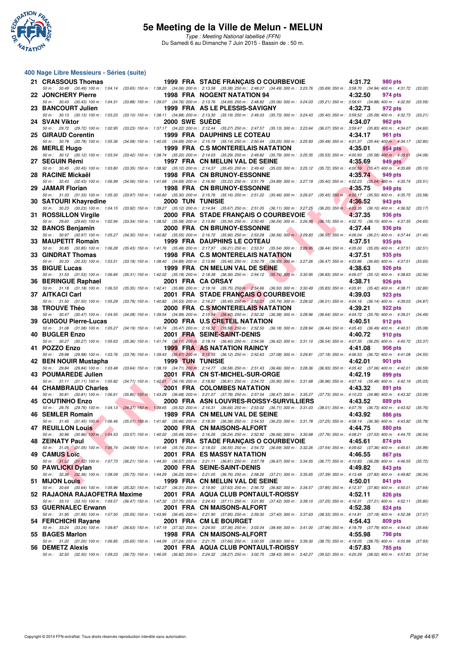

#### **400 Nage Libre Messieurs - Séries (suite)**

| 21 CRASSOUS Thomas                                          |  | 1999 FRA STADE FRANÇAIS O COURBEVOIE                                                                                                                                                                                               | 4:31.72<br>980 pts                                                                   |         |
|-------------------------------------------------------------|--|------------------------------------------------------------------------------------------------------------------------------------------------------------------------------------------------------------------------------------|--------------------------------------------------------------------------------------|---------|
| 22 JONCHERY Pierre                                          |  | 50 m: 30.49 (30.49) 100 m: 1:04.14 (33.65) 150 m: 1:38.20 (34.06) 200 m: 2:13.58 (35.38) 250 m: 2:48.07 (34.49) 300 m: 3:23.76 (35.69) 350 m: 3:58.70 (34.94) 400 m: 4:31.72 (33.02)<br>1998 FRA NOGENT NATATION 94                | 4:32.50<br>974 pts                                                                   |         |
| 23 BANCOURT Julien                                          |  | 50 m: 30.43 (30.43) 100 m: 1:04.31 (33.88) 150 m: 1:39.07 (34.76) 200 m: 2:13.76 (34.69) 250 m: 2:48.82 (35.06) 300 m: 3:24.03<br>1999 FRA AS LE PLESSIS-SAVIGNY                                                                   | (35.21) 350 m : 3:58.91 (34.88) 400 m : 4:32.50<br>4:32.73<br>972 pts                | (33.59) |
| 50 m : 30.13 (30.13) 100 m : 1:03.23                        |  | $(33.10)$ 150 m : 1:38.11 $(34.88)$ 200 m : 2:13.30 $(35.19)$ 250 m : 2:49.03 $(35.73)$ 300 m : 3:24.43                                                                                                                            | (35.40) 350 m : 3:59.52 (35.09) 400 m : 4:32.73                                      | (33.21) |
| 24 SVAN Viktor                                              |  | <b>2000 SWE SUEDE</b><br>50 m: 29.72 (29.72) 100 m: 1:02.95 (33.23) 150 m: 1:37.17 (34.22) 200 m: 2:12.44 (35.27) 250 m: 2:47.57 (35.13) 300 m: 3:23.64                                                                            | 4:34.07<br>962 pts<br>(36.07) 350 m : 3:59.47 (35.83) 400 m : 4:34.07                | (34.60) |
| 25 GIRAUD Corentin                                          |  | <b>1999 FRA DAUPHINS LE COTEAU</b>                                                                                                                                                                                                 | 4:34.17<br><b>961 pts</b>                                                            |         |
| 26 MERLE Hugo                                               |  | 50 m : 30.78 (30.78) 100 m : 1:05.36 (34.58) 150 m : 1:40.05 (34.69) 200 m : 2:15.19 (35.14) 250 m : 2:50.44 (35.25) 300 m : 3:25.93<br>1999 FRA C.S MONTERELAIS NATATION                                                          | $(35.49)$ 350 m : 4:01.37 $(35.44)$ 400 m : 4:34.17<br>4:35.01<br>954 pts            | (32.80) |
| 50 m : 30.12 (30.12) 100 m : 1:03.54                        |  | (33.42) 150 m : 1:38.74 (35.20) 200 m : 2:14.03 (35.29) 250 m : 2:49.82 (35.79) 300 m : 3:25.35                                                                                                                                    | $(35.53)$ 350 m : 4:00.93 $(35.58)$ 400 m : 4:35.01                                  | (34.08) |
| 27 SEGUIN Rémi<br>50 m: 30.45 (30.45) 100 m: 1:03.80        |  | 1997 FRA CN MELUN VAL DE SEINE<br>(33.35) 150 m : 1:38.92 (35.12) 200 m : 2:14.37 (35.45) 250 m : 2:49.40 (35.03) 300 m : 3:25.12 (35.72) 350 m : 4:00.59 (35.47) 400 m : 4:35.69                                                  | 4:35.69<br><b>949 pts</b>                                                            | (35.10) |
| 28 RACINE Mickaël                                           |  | 1998 FRA CN BRUNOY-ESSONNE<br>(34.56) 150 m: 1:41.68 (34.69) 200 m: 2:16.90 (35.22) 250 m: 2:51.79 (34.89) 300 m: 3:27.19                                                                                                          | 4:35.74<br>949 pts<br>$(35.40)$ 350 m : 4:02.23 $(35.04)$ 400 m : 4:35.74            |         |
| 50 m: 32.43 (32.43) 100 m: 1:06.99<br>29 JAMAR Florian      |  | <b>1998 FRA CN BRUNOY-ESSONNE</b>                                                                                                                                                                                                  | 4:35.75<br>949 pts                                                                   | (33.51) |
| 50 m: 31.33 (31.33) 100 m: 1:05.30<br>30 SATOURI Khayredine |  | (33.97) 150 m : 1:40.60 (35.30) 200 m : 2:15.76 (35.16) 250 m : 2:51.22 (35.46) 300 m : 3:26.67<br><b>2000 TUN TUNISIE</b>                                                                                                         | $(35.45)$ 350 m : 4:02.17 $(35.50)$ 400 m : 4:35.75<br>4:36.52<br>943 pts            | (33.58) |
|                                                             |  | 50 m: 30.23 (30.23) 100 m: 1:04.15 (33.92) 150 m: 1:39.27 (35.12) 200 m: 2:14.94 (35.67) 250 m: 2:51.05 (36.11) 300 m: 3:27.25 (36.20) 350 m: 4:03.35 (36.10) 400 m: 4:36.52                                                       |                                                                                      | (33.17) |
| 31 ROSSILLON Virgile                                        |  | 2000 FRA STADE FRANÇAIS O COURBEVOIE<br>50 m: 29.60 (29.60) 100 m: 1:02.94 (33.34) 150 m: 1:38.52 (35.58) 200 m: 2:13.86 (35.34) 250 m: 2:50.40 (36.54) 300 m: 3:26.55 (36.15) 350 m: 4:02.70 (36.15) 400 m: 4:37.35               | 4:37.35<br>936 pts                                                                   | (34.65) |
| 32 BANOS Benjamin                                           |  | 2000 FRA CN BRUNOY-ESSONNE                                                                                                                                                                                                         | 4:37.44<br>936 pts                                                                   |         |
| 33 MAUPETIT Romain                                          |  | 50 m: 30.97 (30.97) 100 m: 1:05.27 (34.30) 150 m: 1:40.82 (35.55) 200 m: 2:16.72 (35.90) 250 m: 2:53.28 (36.56) 300 m: 3:29.83 (36.55) 350 m: 4:06.04 (36.21) 400 m: 4:37.44<br><b>1999 FRA DAUPHINS LE COTEAU</b>                 | 4:37.51<br>935 pts                                                                   | (31.40) |
|                                                             |  | 50 m: 30.85 (30.85) 100 m: 1:06.28 (35.43) 150 m: 1:41.76 (35.48) 200 m: 2:17.97 (36.21) 250 m: 2:53.51 (35.54) 300 m: 3:29.95 (36.44) 350 m: 4:05.00 (35.05) 400 m: 4:37.51                                                       |                                                                                      | (32.51) |
| 33 GINDRAT Thomas                                           |  | 1998 FRA C.S MONTERELAIS NATATION<br>50 m : 30.33 (30.33) 100 m : 1:03.51 (33.18) 150 m : 1:38.40 (34.89) 200 m : 2:13.86 (35.46) 250 m : 2:50.79 (36.93) 300 m : 3:27.26                                                          | 4:37.51<br>935 pts<br>(36.47) 350 m : 4:03.86 (36.60) 400 m : 4:37.51                | (33.65) |
| 35 BIGUE Lucas                                              |  | 1999 FRA CN MELUN VAL DE SEINE                                                                                                                                                                                                     | 4:38.63<br>926 pts                                                                   |         |
| 36 BERINGUE Raphael                                         |  | 50 m: 31.53 (31.53) 100 m: 1:06.84 (35.31) 150 m: 1:42.02 (35.18) 200 m: 2:18.38 (36.36) 250 m: 2:54.12 (35.74) 300 m: 3:30.95<br>2001 FRA CA ORSAY                                                                                | $(36.83)$ 350 m : $4.06.07$ $(35.12)$ 400 m : $4.38.63$<br>4:38.71<br>926 pts        | (32.56) |
| 50 m: 31.18 (31.18) 100 m: 1:06.53<br>37 AITKACI Carl       |  | (35.35) 150 m: 1:42.41 (35.88) 200 m: 2:18.16 (35.75) 250 m: 2:54.66 (36.50) 300 m: 3:30.49                                                                                                                                        | (35.83) 350 m : 4:05.91 (35.42) 400 m : 4:38.71<br>4:39.03                           | (32.80) |
| 50 m: 31.50 (31.50) 100 m: 1:05.29                          |  | 2001 FRA STADE FRANÇAIS O COURBEVOIE<br>(33.79) 150 m : 1:40.82 (35.53) 200 m : 2:16.27 (35.45) 250 m : 2:52.01 (35.74) 300 m : 3:28.02 (36.01) 350 m : 4:04.16 (36.14) 400 m : 4:39.03                                            | 923 pts                                                                              | (34.87) |
| 38 TROUVE Théo                                              |  | 2000 FRA C.S MONTERELAIS NATATION<br>50 m : 30.47 (30.47) 100 m : 1:04.55 (34.08) 150 m : 1:39.54 (34.99) 200 m : 2:15.94 (36.40) 250 m : 2:52.32 (36.38) 300 m : 3:28.96 (36.64) 350 m : 4:04.72 (35.76) 400 m : 4:39.21          | 4:39.21<br>922 pts                                                                   | (34.49) |
| 39 GUIGOU Pierre-Lucas                                      |  | 2000 FRA U.S CRETEIL NATATION                                                                                                                                                                                                      | 4:40.51<br>912 pts                                                                   |         |
| 40 BUGLER Enzo                                              |  | 50 m : 31.08 (31.08) 100 m : 1:05.27 (34.19) 150 m : 1:40.74 (35.47) 200 m : 2:16.32 (35.58) 250 m : 2:52.50 (36.18) 300 m : 3:28.94<br>2001 FRA SEINE-SAINT-DENIS                                                                 | (36.44) 350 m : 4:05.43 (36.49) 400 m : 4:40.51 (35.08)<br>4:40.72<br>910 pts        |         |
| 50 m: 30.27 (30.27) 100 m: 1:05.63                          |  | $(35.36)$ 150 m : 1:41.74 $(36.11)$ 200 m : 2:18.14 $(36.40)$ 250 m : 2:54.56 $(36.42)$ 300 m : 3:31.10                                                                                                                            | (36.54) 350 m : 4:07.35 (36.25) 400 m : 4:40.72                                      | (33.37) |
| 41 POZZO Enzo                                               |  | 1999 FRA AS NATATION RAINCY<br>50 m : 29.98 (29.98) 100 m : 1:03.76 (33.78) 150 m : 1:39.43 (35.67) 200 m : 2:15.55 (36.12) 250 m : 2:52.63 (37.08) 300 m : 3:29.81                                                                | 4:41.08<br><b>908 pts</b><br>(37.18) 350 m : 4:06.53 (36.72) 400 m : 4:41.08 (34.55) |         |
| 42 BEN NOUIR Mustapha                                       |  | <b>1999 TUN TUNISIE</b>                                                                                                                                                                                                            | 4:42.01<br>901 pts                                                                   |         |
| 43 POUMAREDE Julien                                         |  | 50 m : 29.84 (29.84) 100 m : 1:03.48 (33.64) 150 m : 1:38.19 (34.71) 200 m : 2:14.77 (36.58) 250 m : 2:51.43 (36.66) 300 m : 3:28.36<br>2001 FRA CN ST-MICHEL-SUR-ORGE                                                             | (36.93) 350 m : 4:05.42 (37.06) 400 m : 4:42.01<br>4:42.19<br>899 pts                | (36.59) |
| 44 CHAMBRAUD Charles                                        |  | 50 m: 31.11 (31.11) 100 m: 1:05.82 (34.71) 150 m: 1:42.01 (36.19) 200 m: 2:18.82 (36.81) 250 m: 2:54.72 (35.90) 300 m: 3:31.68<br>2001 FRA COLOMBES NATATION                                                                       | (36.96) 350 m : 4:07.16 (35.48) 400 m : 4:42.19<br>4:43.32<br>891 pts                | (35.03) |
|                                                             |  | 50 m : 30.81 (30.81) 100 m : 1:06.61 (35.80) 150 m : 1:43.29 (36.68) 200 m : 2:21.07 (37.78) 250 m : 2:57.54 (36.47) 300 m : 3:35.27 (37.73) 350 m : 4:10.23 (34.96) 400 m : 4:43.32 (33.09)                                       |                                                                                      |         |
| 45 COUTINHO Enzo                                            |  | 2000 FRA ASN LOUVRES-ROISSY-SURVILLIERS<br>50 m: 29.76 (29.76) 100 m: 1:04.13 (34.37) 150 m: 1:39.65 (35.52) 200 m: 2:16.31 (36.66) 250 m: 2:53.02 (36.71) 300 m: 3:31.03 (38.01) 350 m: 4:07.76 (36.73) 400 m: 4:43.52            | 4:43.52<br><b>889 pts</b>                                                            | (35.76) |
| 46 SEMLER Romain                                            |  | 1989 FRA CN MELUN VAL DE SEINE                                                                                                                                                                                                     | 4:43.92<br>886 pts                                                                   |         |
| 47 REUILLON Louis                                           |  | 50 m: 31.45 (31.45) 100 m: 1:06.46 (35.01) 150 m: 1:41.92 (35.46) 200 m: 2:18.30 (36.38) 250 m: 2:54.53 (36.23) 300 m: 3:31.78 (37.25) 350 m: 4:08.14 (36.36) 400 m: 4:43.92 (35.78)<br>2000 FRA CN MAISONS-ALFORT                 | 4:44.75<br>880 pts                                                                   |         |
|                                                             |  | 50 m : 30.96 (30.96) 100 m : 1:04.53 (33.57) 150 m : 1:40.02 (35.49) 200 m : 2:16.26 (36.24) 250 m : 2:52.92 (36.66) 300 m : 3:30.68 (37.76) 350 m : 4:08.21 (37.53) 400 m : 4:44.75 (36.54)                                       |                                                                                      |         |
| 48 ZEINATY Paul                                             |  | 2001 FRA STADE FRANÇAIS O COURBEVOIE<br>50 m : 31.05 (31.05) 100 m : 1:05.74 (34.69) 150 m : 1:41.48 (35.74) 200 m : 2:18.03 (36.55) 250 m : 2:54.72 (36.69) 300 m : 3:32.26 (37.54) 350 m : 4:09.62 (37.36) 400 m : 4:45.61       | 4:45.61<br>874 pts                                                                   | (35.99) |
| 49 CAMUS Loïc                                               |  | 2001 FRA ES MASSY NATATION                                                                                                                                                                                                         | 4:46.55<br>867 pts                                                                   |         |
| 50 PAWLICKI Dylan                                           |  | 50 m: 31.52 (31.52) 100 m: 1:07.73 (36.21) 150 m: 1:44.30 (36.57) 200 m: 2:21.11 (36.81) 250 m: 2:57.78 (36.67) 300 m: 3:34.55 (36.77) 350 m: 4:10.83 (36.28) 400 m: 4:46.55 (35.72)<br>2000 FRA SEINE-SAINT-DENIS                 | 4:49.82<br>843 pts                                                                   |         |
| 51 MIJON Louis                                              |  | 50 m: 32.36 (32.36) 100 m: 1:08.09 (35.73) 150 m: 1:44.29 (36.20) 200 m: 2:21.05 (36.76) 250 m: 2:58.26 (37.21) 300 m: 3:35.65 (37.39) 350 m: 4:13.48 (37.83) 400 m: 4:49.82 (36.34)<br>1999 FRA CN MELUN VAL DE SEINE             | 4:50.01<br>841 pts                                                                   |         |
|                                                             |  | 50 m : 30.64 (30.64) 100 m : 1:05.96 (35.32) 150 m : 1:42.27 (36.31) 200 m : 2:19.90 (37.63) 250 m : 2:56.72 (36.82) 300 m : 3:34.57 (37.85) 350 m : 4:12.37 (37.80) 400 m : 4:50.01 (37.64)                                       |                                                                                      |         |
| 52 RAJAONA RAJAOFETRA Maxime                                |  | 2001 FRA AQUA CLUB PONTAULT-ROISSY<br>50 m : 33.10 (33.10) 100 m : 1:09.57 (36.47) 150 m : 1:47.32 (37.75) 200 m : 2:24.43 (37.11) 250 m : 3:01.85 (37.42) 300 m : 3:39.10 (37.25) 350 m : 4:16.31 (37.21) 400 m : 4:52.11 (35.80) | 4:52.11<br>826 pts                                                                   |         |
| 53 GUERNALEC Erwann                                         |  | 2001 FRA CN MAISONS-ALFORT                                                                                                                                                                                                         | 4:52.38<br>824 pts                                                                   |         |
| 54 FERCHICHI Rayane                                         |  | 50 m: 31.95 (31.95) 100 m: 1:07.50 (35.55) 150 m: 1:43.95 (36.45) 200 m: 2:21.90 (37.95) 250 m: 2:59.30 (37.40) 300 m: 3:37.63 (38.33) 350 m: 4:14.81 (37.18) 400 m: 4:52.38 (37.57)<br>2001 FRA CM LE BOURGET                     | 4:54.43<br>809 pts                                                                   |         |
|                                                             |  | 50 m : 33.24 (33.24) 100 m : 1:09.87 (36.63) 150 m : 1:47.19 (37.32) 200 m : 2:24.55 (37.36) 250 m : 3:03.04 (38.49) 300 m : 3:41.00 (37.96) 350 m : 4:18.79 (37.79) 400 m : 4:54.43 (35.64)                                       |                                                                                      |         |
| 55 BAGES Marlon                                             |  | 1998 FRA CN MAISONS-ALFORT<br>50 m : 31.20 (31.20) 100 m : 1:06.85 (35.65) 150 m : 1:44.09 (37.24) 200 m : 2:21.75 (37.66) 250 m : 3:00.55 (38.80) 300 m : 3:39.30 (38.75) 350 m : 4:18.05 (38.75) 400 m : 4:55.98 (37.93)         | 4:55.98<br>798 pts                                                                   |         |
| 56 DEMETZ Alexis                                            |  | 2001 FRA AQUA CLUB PONTAULT-ROISSY                                                                                                                                                                                                 | 4:57.83<br>785 pts                                                                   |         |
|                                                             |  | 50 m: 32.50 (32.50) 100 m: 1:09.23 (36.73) 150 m: 1:46.05 (36.82) 200 m: 2:24.32 (38.27) 250 m: 3:02.75 (38.43) 300 m: 3:42.27 (39.52) 350 m: 4:20.29 (38.02) 400 m: 4:57.83 (37.54)                                               |                                                                                      |         |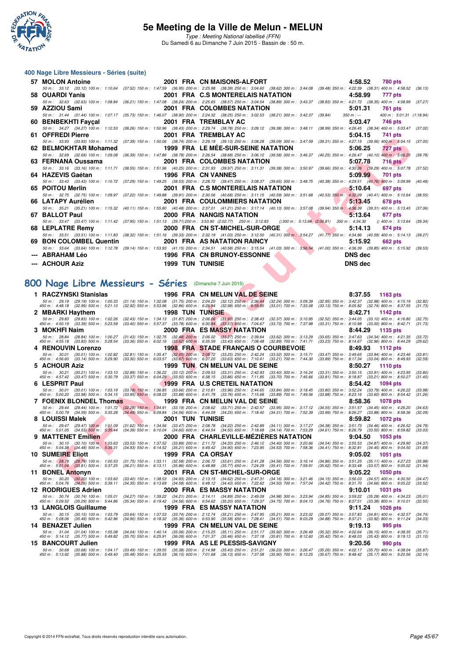

Type : Meeting National labellisé (FFN) Du Samedi 6 au Dimanche 7 Juin 2015 - Bassin de : 50 m.

#### **400 Nage Libre Messieurs - Séries (suite)**

| 57 MOLON Antoine        | 2001 FRA CN MAISONS-ALFORT                                                                                                                               | 4:58.52<br><b>780 pts</b>                                                                                                                                                                       |  |
|-------------------------|----------------------------------------------------------------------------------------------------------------------------------------------------------|-------------------------------------------------------------------------------------------------------------------------------------------------------------------------------------------------|--|
|                         |                                                                                                                                                          | 50 m : 33.12 (33.12) 100 m : 1:10.64 (37.52) 150 m : 1:47.59 (36.95) 200 m : 2:25.98 (38.39) 250 m : 3:04.60 (38.62) 300 m : 3:44.08 (39.48) 350 m : 4:22.39 (38.31) 400 m : 4:58.52 (36.13)    |  |
| 58 OUARDI Yanis         | 2001 FRA C.S MONTERELAIS NATATION                                                                                                                        | 4:58.99<br>777 pts                                                                                                                                                                              |  |
|                         |                                                                                                                                                          | 50 m: 32.63 (32.63) 100 m: 1:08.84 (36.21) 150 m: 1:47.08 (38.24) 200 m: 2:25.65 (38.57) 250 m: 3:04.54 (38.89) 300 m: 3:43.37 (38.83) 350 m: 4:21.72 (38.35) 400 m: 4:58.99 (37.27)            |  |
| 59 AZZIOU Sami          | 2001 FRA COLOMBES NATATION                                                                                                                               | 5:01.31<br>761 pts                                                                                                                                                                              |  |
|                         | 50 m : 31.44 (31.44) 100 m : 1:07.17 (35.73) 150 m : 1:46.07 (38.90) 200 m : 2:24.32 (38.25) 250 m : 3:02.53 (38.21) 300 m : 3:42.37 (39.84) 350 m : --- | 400 m: 5:01.31 (1:18.94)                                                                                                                                                                        |  |
| 60 BENBEKHTI Faycal     | 2001 FRA TREMBLAY AC                                                                                                                                     | 5:03.47<br>746 pts                                                                                                                                                                              |  |
|                         |                                                                                                                                                          | 50 m: 34.27 (34.27) 100 m: 1:12.53 (38.26) 150 m: 1:50.96 (38.43) 200 m: 2:29.74 (38.78) 250 m: 3:09.12 (39.38) 300 m: 3:48.11 (38.99) 350 m: 4:26.45 (38.34) 400 m: 5:03.47 (37.02)            |  |
| 61 OFFREDI Pierre       | 2001 FRA TREMBLAY AC                                                                                                                                     | 5:04.15<br>741 pts                                                                                                                                                                              |  |
|                         |                                                                                                                                                          | 50 m: 33.93 (33.93) 100 m: 1:11.32 (37.39) 150 m: 1:50.06 (38.74) 200 m: 2:29.19 (39.13) 250 m: 3:08.28 (39.09) 300 m: 3:47.59 (39.31) 350 m: 4:27.15 (39.56) 400 m: 5:04.15 (37.00)            |  |
|                         | 62 BELMOKHTAR Mohamed        1999 FRA LE MEE-SUR-SEINE NATATION                                                                                          | 5:06.25<br>727 pts                                                                                                                                                                              |  |
|                         |                                                                                                                                                          | 50 m : 32.69 (32.69) 100 m : 1:09.08 (36.39) 150 m : 1:47.86 (38.78) 200 m : 2:26.54 (38.68) 250 m : 3:06.12 (39.58) 300 m : 3:46.37 (40.25) 350 m : 4:26.47 (40.10) 400 m : 5:06.25<br>(39.78) |  |
| 63 FERNANA Oussama      | 2001 FRA COLOMBES NATATION                                                                                                                               | 5:07.78<br>$716$ pts                                                                                                                                                                            |  |
|                         |                                                                                                                                                          | 50 m: 33.16 (33.16) 100 m: 1:11.71 (38.55) 150 m: 1:51.96 (40.25) 200 m: 2:31.93 (39.97) 250 m: 3:11.31 (39.38) 300 m: 3:50.97 (39.66) 350 m: 4:30.26 (39.29) 400 m: 5:07.78 (37.52)            |  |
| 64 HAZEVIS Gaétan       | 1996 FRA CN VANNES                                                                                                                                       | 5:09.99<br>701 pts                                                                                                                                                                              |  |
|                         |                                                                                                                                                          | 50 m: 33.43 (33.43) 100 m: 1:10.72 (37.29) 150 m: 1:49.25 (38.53) 200 m: 2:28.72 (39.47) 250 m: 3:08.37 (39.65) 300 m: 3:48.75 (40.38) 350 m: 4:29.51 (40.76) 400 m: 5:09.99 (40.48)            |  |
| 65 POITOU Merlin        | 2001 FRA C.S MONTERELAIS NATATION                                                                                                                        | 5:10.64<br>697 pts                                                                                                                                                                              |  |
|                         |                                                                                                                                                          | 50 m: 32.75 (32.75) 100 m: 1:09.97 (37.22) 150 m: 1:49.88 (39.91) 200 m: 2:30.56 (40.68) 250 m: 3:11.15 (40.59) 300 m: 3:51.68 (40.53) 350 m: 4:32.09 (40.41) 400 m: 5:10.64<br>(38.55)         |  |
| 66 LATAPY Aurélien      | 2001 FRA COULOMMIERS NATATION                                                                                                                            | 5:13.45<br><b>678 pts</b>                                                                                                                                                                       |  |
|                         |                                                                                                                                                          | 50 m: 35.21 (35.21) 100 m: 1:15.32 (40.11) 150 m: 1:55.80 (40.48) 200 m: 2:37.01 (41.21) 250 m: 3:17.14 (40.13) 300 m: 3:57.08 (39.94) 350 m: 4:36.39 (39.31) 400 m: 5:13.45 (37.06)            |  |
| 67 BALLOT Paul          | 2000 FRA NANGIS NATATION                                                                                                                                 | 5:13.64<br>677 pts                                                                                                                                                                              |  |
|                         | 50 m: 33.47 (33.47) 100 m: 1:11.42 (37.95) 150 m: 1:51.13 (39.71) 200 m: 3:53.90 (2:02.77) 250 m: 3:12.83 ()300 m: 5:13.64 (2:00.81) 350 m: 4:34.30      | $(1400 \text{ m} : 5:13.64)$ (39.34)                                                                                                                                                            |  |
| 68 LEPLATRE Remv        | 2000 FRA CN ST-MICHEL-SUR-ORGE                                                                                                                           | 5:14.13<br>674 pts                                                                                                                                                                              |  |
|                         |                                                                                                                                                          | 50 m: 33.51 (33.51) 100 m: 1:11.83 (38.32) 150 m: 1:51.16 (39.33) 200 m: 2:32.19 (41.03) 250 m: 3:12.50 (40.31) 300 m: 3:54.27 (41.77) 350 m: 4:34.86 (40.59) 400 m: 5:14.13 (39.27)            |  |
| 69 BON COLOMBEL Quentin | 2001 FRA AS NATATION RAINCY                                                                                                                              | 5:15.92<br><b>662 pts</b>                                                                                                                                                                       |  |
|                         |                                                                                                                                                          | 50 m: 33.64 (33.64) 100 m: 1:12.78 (39.14) 150 m: 1:53.93 (41.15) 200 m: 2:34.51 (40.58) 250 m: 3:15.54 (41.03) 300 m: 3:56.54 (41.00) 350 m: 4:36.39 (39.85) 400 m: 5:15.92 (39.85)            |  |
| --- ABRAHAM Léo         |                                                                                                                                                          | <b>DNS</b> dec                                                                                                                                                                                  |  |
| --- ACHOUR Aziz         | 1996 FRA CNBRUNOY-ESSONNE<br>1999 TUN TUNISIE                                                                                                            | <b>DNS</b> dec                                                                                                                                                                                  |  |

## **[800 Nage Libre Messieurs - Séries](http://www.ffnatation.fr/webffn/resultats.php?idact=nat&go=epr&idcpt=31115&idepr=55)** (Dimanche 7 Juin 2015)

| <u>UFFREDI FICIIC</u>                                                                                                         |                                                                                                                                              | ZUVI FRA IREMDLAIAV                                                                                                                                                                                                                                                                                                                                                             |                                                                                   | <b>J.V4.IJ</b><br>$1 + 1$ pis                                                                        |                    |
|-------------------------------------------------------------------------------------------------------------------------------|----------------------------------------------------------------------------------------------------------------------------------------------|---------------------------------------------------------------------------------------------------------------------------------------------------------------------------------------------------------------------------------------------------------------------------------------------------------------------------------------------------------------------------------|-----------------------------------------------------------------------------------|------------------------------------------------------------------------------------------------------|--------------------|
| 62 BELMOKHTAR Mohamed                                                                                                         |                                                                                                                                              | 50 m: 33.93 (33.93) 100 m: 1:11.32 (37.39) 150 m: 1:50.06 (38.74) 200 m: 2:29.19 (39.13) 250 m: 3:08.28 (39.09) 300 m: 3:47.59 (39.31) 350 m: 4:27.15 (39.56) 400 m: 5:04.15 (37.00)<br><b>1999 FRA LE MÉE-SUR-SEINE NATATION</b>                                                                                                                                               |                                                                                   | 5:06.25<br>727 pts                                                                                   |                    |
| 50 m: 32.69 (32.69) 100 m: 1:09.08                                                                                            |                                                                                                                                              | (36.39) 150 m : 1:47.86 (38.78) 200 m : 2:26.54 (38.68) 250 m : 3:06.12 (39.58) 300 m : 3:46.37 (40.25) 350 m : 4:26.47 (40.10) 400 m : 5:06.25                                                                                                                                                                                                                                 |                                                                                   |                                                                                                      | (39.78)            |
| 63   FERNANA Oussama                                                                                                          |                                                                                                                                              | 2001 FRA COLOMBES NATATION<br>50 m: 33.16 (33.16) 100 m: 1:11.71 (38.55) 150 m: 1:51.96 (40.25) 200 m: 2:31.93 (39.97) 250 m: 3:11.31 (39.38) 300 m: 3:50.97 (39.66) 350 m: 4:30.26 (39.29) 400 m: 5:07.78                                                                                                                                                                      |                                                                                   | 5:07.78<br>716 pts                                                                                   | (37.52)            |
| 64   HAZEVIS Gaétan                                                                                                           |                                                                                                                                              | 1996 FRA CN VANNES                                                                                                                                                                                                                                                                                                                                                              |                                                                                   | 5:09.99<br>701 pts                                                                                   |                    |
| 65 POITOU Merlin                                                                                                              |                                                                                                                                              | 50 m : 33.43 (33.43) 100 m : 1:10.72 (37.29) 150 m : 1:49.25 (38.53) 200 m : 2:28.72 (39.47) 250 m : 3:08.37 (39.65) 300 m : 3:48.75 (40.38) 350 m : 4:29.51 (40.76) 400 m : 5:09.99<br>2001 FRA C.S MONTERELAIS NATATION                                                                                                                                                       |                                                                                   | 5:10.64<br>697 pts                                                                                   | (40.48)            |
|                                                                                                                               |                                                                                                                                              | 50 m: 32.75 (32.75) 100 m: 1:09.97 (37.22) 150 m: 1:49.88 (39.91) 200 m: 2:30.56 (40.68) 250 m: 3:11.15 (40.59) 300 m: 3:51.68 (40.53) 350 m: 4:32.09 (40.41) 400 m: 5:10.64                                                                                                                                                                                                    |                                                                                   |                                                                                                      | (38.55)            |
| 66 LATAPY Aurélien                                                                                                            |                                                                                                                                              | <b>2001 FRA COULOMMIERS NATATION</b><br>50 m: 35.21 (35.21) 100 m: 1:15.32 (40.11) 150 m: 1:55.80 (40.48) 200 m: 2:37.01 (41.21) 250 m: 3:17.14 (40.13) 300 m: 3:57.08 (39.94) 350 m: 4:36.39 (39.31) 400 m: 5:13.45 (37.06)                                                                                                                                                    |                                                                                   | 5:13.45<br>678 pts                                                                                   |                    |
| 67 BALLOT Paul                                                                                                                |                                                                                                                                              | 2000 FRA NANGIS NATATION                                                                                                                                                                                                                                                                                                                                                        |                                                                                   | 5:13.64<br>677 pts                                                                                   |                    |
| 50 m: 33.47 (33.47) 100 m: 1:11.42 (37.95) 150 m: 1:51.13 (39.71) 200 m: 3:53.90 (2:02.77) 250 m: 3:12.83<br>68 LEPLATRE Remy |                                                                                                                                              | 2000 FRA CN ST-MICHEL-SUR-ORGE                                                                                                                                                                                                                                                                                                                                                  | () 300 m : 5:13.64 (2:00.81) 350 m : 4:34.30                                      | $()$ 400 m : 5:13.64<br>5:14.13<br>674 pts                                                           | (39.34)            |
|                                                                                                                               |                                                                                                                                              | 50 m: 33.51 (33.51) 100 m: 1:11.83 (38.32) 150 m: 1:51.16 (39.33) 200 m: 2:32.19 (41.03) 250 m: 3:12.50 (40.31) 300 m: 3:54.27 (41.77) 350 m: 4:34.86 (40.59) 400 m: 5:14.13 (39.27)                                                                                                                                                                                            |                                                                                   |                                                                                                      |                    |
| 69 BON COLOMBEL Quentin                                                                                                       |                                                                                                                                              | 2001 FRA AS NATATION RAINCY<br>50 m: 33.64 (33.64) 100 m: 1:12.78 (39.14) 150 m: 1:53.93 (41.15) 200 m: 2:34.51 (40.58) 250 m: 3:15.54 (41.03) 300 m: 3:56.54 (41.00) 350 m: 4:36.39 (39.85) 400 m: 5:15.92 (39.53)                                                                                                                                                             |                                                                                   | 5:15.92<br>662 pts                                                                                   |                    |
| ---   ABRAHAM Léo                                                                                                             |                                                                                                                                              | 1996 FRA CN BRUNOY-ESSONNE                                                                                                                                                                                                                                                                                                                                                      |                                                                                   | <b>DNS</b> dec                                                                                       |                    |
| ---   ACHOUR Aziz                                                                                                             | <b>1999 TUN TUNISIE</b>                                                                                                                      |                                                                                                                                                                                                                                                                                                                                                                                 |                                                                                   | <b>DNS dec</b>                                                                                       |                    |
|                                                                                                                               |                                                                                                                                              |                                                                                                                                                                                                                                                                                                                                                                                 |                                                                                   |                                                                                                      |                    |
| 00 Nage Libre Messieurs - Séries (Dimanche 7 Juin 2015)                                                                       |                                                                                                                                              |                                                                                                                                                                                                                                                                                                                                                                                 |                                                                                   |                                                                                                      |                    |
| 1 RACZYNSKI Stanislas                                                                                                         |                                                                                                                                              | 1996 FRA CN MELUN VAL DE SEINE                                                                                                                                                                                                                                                                                                                                                  |                                                                                   | 8:37.55<br>1163 pts                                                                                  |                    |
|                                                                                                                               |                                                                                                                                              | 50 m: 29.19 (29.19) 100 m: 1:00.33 (31.14) 150 m: 1:32.08 (31.75) 200 m: 2:04.20 (32.12) 250 m: 2:36.44 (32.24) 300 m: 3:09.39 (32.95) 350 m: 3:42.37 (32.98) 400 m: 4:15.19 (32.82)<br>450 m : 4:48.18 (32.99) 500 m : 5:21.10 (32.92) 550 m : 5:53.96 (32.86) 600 m : 6:26.94 (32.98) 650 m : 6:59.95 (33.01) 700 m : 7:33.08 (33.13) 750 m : 8:05.82 (32.74) 800 m : 8:37.55 |                                                                                   |                                                                                                      | (31.73)            |
| 2 MBARKI Haythem<br>50 m: 29.83 (29.83) 100 m: 1:02.26                                                                        | <b>1998 TUN TUNISIE</b>                                                                                                                      | (32.43) 150 m : 1:34.13 (31.87) 200 m : 2:06.06 (31.93) 250 m : 2:38.43 (32.37) 300 m : 3:10.95                                                                                                                                                                                                                                                                                 |                                                                                   | 8:42.71<br>1142 pts<br>(32.52) 350 m: 3:44.05 (33.10) 400 m: 4:16.80                                 | (32.75)            |
| 450 m : 4:50.19 (33.39) 500 m : 5:23.59                                                                                       |                                                                                                                                              | $(33.40)$ 550 m : 5:57.37 $(33.78)$ 600 m : 6:30.94 $(33.57)$ 650 m : 7:04.67 $(33.73)$ 700 m : 7:37.98                                                                                                                                                                                                                                                                         |                                                                                   | (33.31) 750 m: 8:10.98 (33.00) 800 m: 8:42.71                                                        | (31.73)            |
| 3 MOKHFI Naim<br>50 m : 28.84 (28.84) 100 m : 1:00.27                                                                         | $(31.43)$ 150 m : 1:32.75 $(32.48)$ 200 m : 2:06.02 $(33.27)$ 250 m : 2:39.64                                                                | 2000 FRA ES MASSY NATATION                                                                                                                                                                                                                                                                                                                                                      | $(33.62)$ 300 m : 3:13.29                                                         | 8:44.29<br>1135 pts<br>(33.65) 350 m: 3:47.63 (34.34) 400 m: 4:21.35                                 | (33.72)            |
| 450 m: 4:55.18 (33.83) 500 m: 5:28.54<br>4 RENOUVIN Lorenzo                                                                   | $(33.36)$ 550 m : 6:02.16                                                                                                                    | $(33.62)$ 600 m : 6:35.59 $(33.43)$ 650 m : 7:08.48<br><b>1998 FRA STADE FRANÇAIS O COURBEVOIE</b>                                                                                                                                                                                                                                                                              | $(32.89)$ 700 m : 7:41.71<br>(33.23) 750 m : 8:14.67                              | $(32.96)$ 800 m : 8:44.29<br>8:49.93<br><b>1112 pts</b>                                              | (29.62)            |
| 50 m: 30.01 (30.01) 100 m: 1:02.82<br>450 m : 4:56.60<br>(33.14) 500 m : 5:29.90                                              | (32.81) 150 m : 1:35.47<br>$(33.30)$ 550 m : 6:03.57 $(33.67)$ 600 m : 6:37.20 $(33.63)$ 650 m : 7:10.41                                     | (32.65) 200 m : 2:08.72 (33.25) 250 m : 2:42.24 (33.52) 300 m : 3:15.71                                                                                                                                                                                                                                                                                                         | (33.21) 700 m : 7:44.30                                                           | (33.47) 350 m: 3:49.65 (33.94) 400 m: 4:23.46<br>(33.89) 750 m : 8:17.34 (33.04) 800 m : 8:49.93     | (33.81)<br>(32.59) |
| 5 ACHOUR Aziz                                                                                                                 |                                                                                                                                              | <b>1999 TUN CN MELUN VAL DE SEINE</b>                                                                                                                                                                                                                                                                                                                                           |                                                                                   | 8:50.27<br><b>1110 pts</b>                                                                           |                    |
| 50 m : 30.21 (30.21) 100 m : 1:03.10<br>450 m: 4:57.42 (33.47) 500 m: 5:30.79                                                 |                                                                                                                                              | (32.89) 150 m : 1:36.22 (33.12) 200 m : 2:09.53 (33.31) 250 m : 2:42.93 (33.40) 300 m : 3:16.24<br>(33.37) 550 m : 6:04.29 (33.50) 600 m : 6:38.15 (33.86) 650 m : 7:11.85 (33.70) 700 m : 7:45.66                                                                                                                                                                              |                                                                                   | $(33.31)$ 350 m : 3:50.15 $(33.91)$ 400 m : 4:23.95<br>(33.81) 750 m: 8:18.87 (33.21) 800 m: 8:50.27 | (33.80)<br>(31.40) |
| 6 LESPRIT Paul<br>50 m: 30.01 (30.01) 100 m: 1:03.19                                                                          |                                                                                                                                              | 1999 FRA U.S CRETEIL NATATION<br>(33.18) 150 m : 1:36.85 (33.66) 200 m : 2:10.81 (33.96) 250 m : 2:44.65 (33.84) 300 m : 3:18.45                                                                                                                                                                                                                                                |                                                                                   | 8:54.42<br>1094 pts<br>(33.80) 350 m: 3:52.24 (33.79) 400 m: 4:26.22                                 | (33.98)            |
| 450 m: 5:00.20 (33.98) 500 m: 5:34.15                                                                                         | (33.95) 550 m: 6:08.03 (33.88) 600 m: 6:41.79 (33.76) 650 m: 7:15.68                                                                         |                                                                                                                                                                                                                                                                                                                                                                                 | (33.89) 700 m : 7:49.56                                                           | (33.88) 750 m : 8:23.16 (33.60) 800 m : 8:54.42                                                      | (31.26)            |
| 7 FOENIX BLONDEL Thomas                                                                                                       |                                                                                                                                              | 1999 FRA CN MELUN VAL DE SEINE<br>50 m : 29.44 (29.44) 100 m : 1:01.72 (32.28) 150 m : 1:34.91 (33.19) 200 m : 2:08.62 (33.71) 250 m : 2:42.57 (33.95) 300 m : 3:17.12                                                                                                                                                                                                          |                                                                                   | 8:58.36<br>1078 pts<br>(34.55) 350 m: 3:51.57 (34.45) 400 m: 4:26.20                                 | (34.63)            |
| 450 m : 5:00.79 (34.59) 500 m : 5:35.28<br>8 LOUISSI Malek                                                                    | 2001 TUN TUNISIE                                                                                                                             | (34.49) 550 m : 6:09.84 (34.56) 600 m : 6:44.09 (34.25) 650 m : 7:18.40 (34.31) 700 m : 7:52.39                                                                                                                                                                                                                                                                                 |                                                                                   | (33.99) 750 m : 8:26.27 (33.88) 800 m : 8:58.36<br>8:59.82<br><b>1072 pts</b>                        | (32.09)            |
| 50 m: 29.47 (29.47) 100 m: 1:01.09<br>450 m : 5:01.05 (34.53) 500 m : 5:35.44                                                 |                                                                                                                                              | $(31.62)$ 150 m : 1:34.56 $(33.47)$ 200 m : 2:08.78 $(34.22)$ 250 m : 2:42.89 $(34.11)$ 300 m : 3:17.27<br>(34.39) 550 m : 6:10.04 (34.60) 600 m : 6:44.54 (34.50) 650 m : 7:18.68 (34.14) 700 m : 7:53.29                                                                                                                                                                      |                                                                                   | (34.38) 350 m: 3:51.73 (34.46) 400 m: 4:26.52<br>(34.61) 750 m : 8:26.79 (33.50) 800 m : 8:59.82     | (34.79)<br>(33.03) |
| 9 MATTENET Emilien                                                                                                            |                                                                                                                                              | 2000 FRA CHARLEVILLE-MEZIERES NATATION                                                                                                                                                                                                                                                                                                                                          |                                                                                   | 9:04.50<br>1053 pts                                                                                  |                    |
| 50 m : 30.10 (30.10) 100 m : 1:03.63<br>450 m : 5:04.38 (34.48) 500 m : 5:39.31                                               |                                                                                                                                              | (33.53) 150 m: 1:37.52 (33.89) 200 m: 2:11.72 (34.20) 250 m: 2:46.12 (34.40) 300 m: 3:20.66<br>(34.93) 550 m: 6:14.52 (35.21) 600 m: 6:49.42 (34.90) 650 m: 7:23.95 (34.53) 700 m: 7:58.36                                                                                                                                                                                      |                                                                                   | (34.54) 350 m : 3:55.53 (34.87) 400 m : 4:29.90<br>(34.41) 750 m : 8:32.81 (34.45) 800 m : 9:04.50   | (34.37)<br>(31.69) |
| <b>10 SUMEIRE Eliott</b>                                                                                                      | 1999 FRA CA ORSAY                                                                                                                            |                                                                                                                                                                                                                                                                                                                                                                                 |                                                                                   | 9:05.02<br><b>1051 pts</b>                                                                           |                    |
|                                                                                                                               |                                                                                                                                              | 50 m: 28.78 (28.78) 100 m: 1:00.53 (31.75) 150 m: 1:33.11 (32.58) 200 m: 2:06.72 (33.61) 250 m: 2:41.28 (34.56) 300 m: 3:16.14 (34.86) 350 m: 3:51.25 (35.11) 400 m: 4:27.23<br>450 m: 5:01.04 (33.81) 500 m: 5:37.25 (36.21) 550                                                                                                                                               |                                                                                   |                                                                                                      | (35.98)<br>(31.54) |
| 11 BONEL Antonyn                                                                                                              |                                                                                                                                              | 2001 FRA CN ST-MICHEL-SUR-ORGE<br>50 m: 30.20 (30.20) 100 m: 1:03.60 (33.40) 150 m: 1:38.53 (34.93) 200 m: 2:13.15 (34.62) 250 m: 2:47.31 (34.16) 300 m: 3:21.46 (34.15) 350 m: 3:56.03 (34.57) 400 m: 4:30.50                                                                                                                                                                  |                                                                                   | 9:05.22<br><b>1050 pts</b>                                                                           | (34.47)            |
| 12 RODRIGUES Adrien                                                                                                           |                                                                                                                                              | 450 m : 5:04.76 (34,26) 500 m : 5:39.11 (34.35) 550 m : 6:13.69 (34.58) 600 m : 6:48.12 (34.43) 650 m : 7:22.62 (34.50) 700 m : 7:57.04 (34.42) 750 m : 8:31.70 (34.66) 800 m : 9:05.22 (33.52)<br>2000 FRA ES MASSY NATATION                                                                                                                                                   |                                                                                   | 9:10.01<br>1031 pts                                                                                  |                    |
| 50 m : 30.74 (30.74) 100 m : 1:05.01                                                                                          | (34.27) 150 m: 1:39.22 (34.21) 200 m: 2:14.11 (34.89) 250 m: 2:49.09                                                                         |                                                                                                                                                                                                                                                                                                                                                                                 | $(34.98)$ 300 m : 3:23.94                                                         | (34.85) 350 m : 3:59.22 (35.28) 400 m : 4:34.23                                                      | (35.01)            |
| 450 m : 5:09.52<br>$(35.29)$ 500 m : 5:44.86<br>13 LANGLOIS Guillaume                                                         | (35.34) 550 m : 6:19.42 (34.56) 600 m : 6:54.62 (35.20) 650 m : 7:29.37                                                                      | 1999 FRA ES MASSY NATATION                                                                                                                                                                                                                                                                                                                                                      | $(34.75)$ 700 m : 8:04.13                                                         | $(34.76)$ 750 m : 8:37.51 $(33.38)$ 800 m : 9:10.01<br>9:11.24<br><b>1026 pts</b>                    | (32.50)            |
| 50 m: 30.15 (30.15) 100 m: 1:03.79<br>450 m : 5:08.06 (35.49) 500 m : 5:42.96                                                 | (33.64) 150 m: 1:37.53 (33.74) 200 m: 2:12.74 (35.21) 250 m: 2:47.95<br>(34.90) 550 m: 6:18.32 (35.36) 600 m: 6:53.90 (35.58) 650 m: 7:28.41 |                                                                                                                                                                                                                                                                                                                                                                                 | $(35.21)$ 300 m : 3:23.02<br>$(34.51)$ 700 m : 8:03.29                            | (35.07) 350 m : 3:57.83 (34.81) 400 m : 4:32.57<br>(34.88) 750 m : 8:37.21 (33.92) 800 m : 9:11.24   | (34.74)<br>(34.03) |
| 14 BENAZET Julien                                                                                                             |                                                                                                                                              | 1999 FRA CN MELUN VAL DE SEINE                                                                                                                                                                                                                                                                                                                                                  |                                                                                   | 9:19.13<br>995 pts                                                                                   |                    |
| 50 m: 31.04 (31.04) 100 m: 1:05.08<br>450 m: 5:14.12 (35.77) 500 m: 5:49.82                                                   | (34.04) 150 m: 1:40.14 (35.06) 200 m: 2:15.25 (35.11) 250 m: 2:51.17                                                                         | (35.70) 550 m : 6:25.91 (36.09) 600 m : 7:01.37 (35.46) 650 m : 7:37.18 (35.81) 700 m : 8:12.60                                                                                                                                                                                                                                                                                 | (35.92) 300 m : 3:26.49<br>(35.32) 350 m : 4:02.64                                | $(36.15)$ 400 m : 4:38.35<br>(35.42) 750 m : 8:48.03 (35.43) 800 m : 9:19.13                         | (35.71)<br>(31.10) |
| <b>15 BANCOURT Julien</b><br>50 m : 30.68 (30.68) 100 m : 1:04.17                                                             |                                                                                                                                              | 1999 FRA AS LE PLESSIS-SAVIGNY                                                                                                                                                                                                                                                                                                                                                  |                                                                                   | 9:20.56<br>990 pts<br>$(35.70)$ 400 m : 4:38.04                                                      |                    |
| 450 m : 5:13.92 (35.88) 500 m : 5:49.40                                                                                       | (33.49) 150 m : 1:39.55<br>(35.48) 550 m: 6:25.55 (36.15) 600 m: 7:01.68 (36.13) 650 m: 7:37.58                                              | (35.38) 200 m : 2:14.98 (35.43) 250 m : 2:51.21                                                                                                                                                                                                                                                                                                                                 | (35.26) 350 m : 4:02.17<br>$(36.23)$ 300 m : 3:26.47<br>$(35.90)$ 700 m : 8:13.25 | (35.67) 750 m : 8:48.42 (35.17) 800 m : 9:20.56                                                      | (35.87)<br>(32.14) |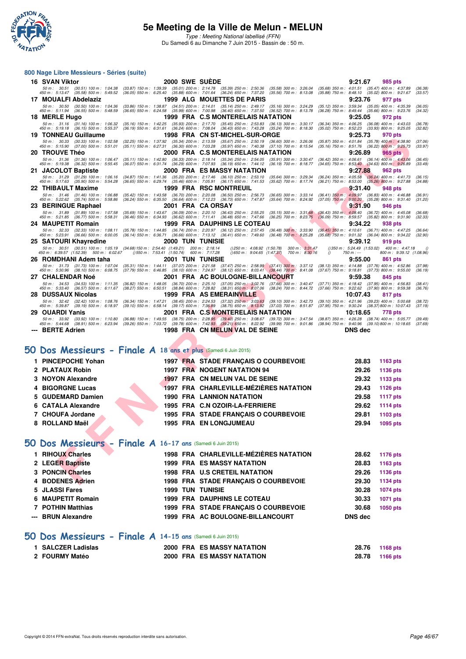

Type : Meeting National labellisé (FFN) Du Samedi 6 au Dimanche 7 Juin 2015 - Bassin de : 50 m.

#### **800 Nage Libre Messieurs - Séries (suite)**

|    | 16 SVAN Viktor                                                                           | <b>2000 SWE SUEDE</b>                                                                                                                                                                                                  |                                                                                                                                                                                                                                   | 9:21.67<br>985 pts                                                                                                                     |
|----|------------------------------------------------------------------------------------------|------------------------------------------------------------------------------------------------------------------------------------------------------------------------------------------------------------------------|-----------------------------------------------------------------------------------------------------------------------------------------------------------------------------------------------------------------------------------|----------------------------------------------------------------------------------------------------------------------------------------|
|    | 50 m : 30.51<br>$(30.51)$ 100 m : 1:04.38<br>450 m: 5:13.47 (35.58) 500 m: 5:49.52       | $(33.87)$ 150 m : 1:39.39<br>$(36.05)$ 550 m : 6:25.40                                                                                                                                                                 | (35.01) 200 m : 2:14.78 (35.39) 250 m : 2:50.36<br>$(35.58)$ 300 m : 3:26.04<br>$(35.88)$ 600 m : 7:01.64 $(36.24)$ 650 m : 7:37.20<br>$(35.56)$ 700 m : 8:13.08                                                                  | (35.68) 350 m : 4:01.51 (35.47) 400 m : 4:37.89<br>(36.38)<br>$(35.88)$ 750 m : 8:48.10 $(35.02)$ 800 m : 9:21.67<br>(33.57)           |
|    | 17 MOUALFI Abdelaziz                                                                     |                                                                                                                                                                                                                        | 1999 ALG MOUETTES DE PARIS                                                                                                                                                                                                        | 9:23.76<br>977 pts                                                                                                                     |
|    | 50 m: 30.50 (30.50) 100 m: 1:04.36                                                       | $(33.86)$ 150 m : 1:38.87                                                                                                                                                                                              | $\begin{array}{cccc} (34.51) \ 200 \ m \ \vdots \ \ 2:14.01 & (35.14) \ 250 \ m \ \vdots \ \ 2:49.17 \\ (35.99) \ 600 \ m \ \vdots \ \ 7:00.98 & (36.40) \ 650 \ m \ \vdots \ \ 7:37.50 \end{array}$<br>$(35.16)$ 300 m : 3:24.29 | (35.12) 350 m : 3:59.34<br>$(35.05)$ 400 m : 4:35.39<br>(36.05)                                                                        |
|    | 450 m: 5:11.94 (36.55) 500 m: 5:48.59<br>18 MERLE Hugo                                   | $(36.65)$ 550 m : 6:24.58                                                                                                                                                                                              | $(36.52)$ 700 m : 8:13.78<br>1999 FRA C.S MONTERELAIS NATATION                                                                                                                                                                    | $(36.28)$ 750 m : 8:49.44<br>$(35.66)$ 800 m : 9:23.76<br>(34.32)<br>9:25.05<br>972 pts                                                |
|    | 50 m: 31.16 (31.16) 100 m: 1:06.32                                                       | (35.16) 150 m: 1:42.25 (35.93) 200 m: 2:17.70 (35.45) 250 m: 2:53.83                                                                                                                                                   | $(36.13)$ 300 m : 3:30.17                                                                                                                                                                                                         | $(36.34)$ 350 m : 4:06.25<br>$(36.08)$ 400 m : 4:43.03<br>(36.78)                                                                      |
|    | 450 m: 5:19.18 (36.15) 500 m: 5:55.37                                                    | (36.19) 550 m: 6:31.61 (36.24) 600 m: 7:08.04 (36.43) 650 m: 7:43.28                                                                                                                                                   | (35.24) 700 m: 8:18.30                                                                                                                                                                                                            | $(33.93)$ 800 m : 9:25.05<br>$(35.02)$ 750 m : 8:52.23<br>(32.82)                                                                      |
|    | <b>19 TONNEAU Guillaume</b><br>50 m: 30.33<br>$(30.33)$ 100 m : 1:02.58                  | (32.25) 150 m: 1:37.92 (35.34) 200 m: 2:13.59 (35.67) 250 m: 2:50.19                                                                                                                                                   | 1998 FRA CN ST-MICHEL-SUR-ORGE<br>$(36.60)$ 300 m : 3:26.06                                                                                                                                                                       | 9:25.73<br>970 pts<br>$(35.87)$ 350 m : 4:01.84<br>$(35.78)$ 400 m : 4:38.90<br>(37.06)                                                |
|    | 450 m: 5:15.90 (37.00) 500 m: 5:51.01                                                    | (36.30) 600 m : 7:03.28<br>(35.11) 550 m : 6:27.31                                                                                                                                                                     | $(35.97)$ 650 m : 7:40.38<br>$(37.10)$ 700 m : 8:15.54                                                                                                                                                                            | (35.16) 750 m: 8:51.76 (36.22) 800 m: 9:25.73<br>(33.97)                                                                               |
|    | <b>20 TROUVE Théo</b>                                                                    |                                                                                                                                                                                                                        | 2000 FRA C.S MONTERELAIS NATATION                                                                                                                                                                                                 | 9:26.89<br><b>965 pts</b>                                                                                                              |
|    | 50 m: 31.36<br>$(31.36)$ 100 m : 1:06.47<br>450 m : 5:19.38<br>$(36.32)$ 500 m : 5:55.45 | $(35.11)$ 150 m : 1:42.80<br>$(36.33)$ 200 m : 2:18.14<br>(36.07) 550 m : 6:31.74                                                                                                                                      | $(35.34)$ 250 m : 2:54.05<br>$(35.91)$ 300 m : 3:30.47<br>(36.29) 600 m : 7:07.93 (36.19) 650 m : 7:44.12<br>$(36.19)$ 700 m : 8:18.77                                                                                            | $(36.14)$ 400 m : 4:43.06<br>$(34.63)$ 800 m : 9:26.89<br>$(36.42)$ 350 m : 4:06.61<br>(36.45)<br>$(34.65)$ 750 m : 8:53.40<br>(33.49) |
|    | 21 JACOLOT Baptiste                                                                      |                                                                                                                                                                                                                        | 2000 FRA ES MASSY NATATION                                                                                                                                                                                                        | 9:27.88<br>962 pts                                                                                                                     |
|    | 50 m: 31.29 (31.29) 100 m: 1:06.16<br>450 m: 5:17.63 (35.90) 500 m: 5:54.28              | $\left(34.87\right) \ 150\ m : \ \ 1.41.36 \quad \left(35.20\right) \ 200\ m : \ \ 2.17.46 \quad \left(36.10\right) \ 250\ m : \ \ 2.53.10$<br>(36.65) 550 m : 6:29.74 (35.46) 600 m : 7:05.91 (36.17) 650 m : 7:41.53 | $(35.64)$ 300 m : 3:29.34<br>$(35.62)$ 700 m : 8:17.74                                                                                                                                                                            | $(36.24)$ 350 m : 4:05.58<br>$(36.24)$ 400 m : 4:41.73<br>(36.15)<br>(36.21) 750 m : 8:53.00 (35.26) 800 m : 9:27.88<br>(34.88)        |
|    | 22 THIBAULT Maxime                                                                       |                                                                                                                                                                                                                        | <b>1999 FRA RSC MONTREUIL</b>                                                                                                                                                                                                     | 9:31.40<br>948 pts                                                                                                                     |
|    | 50 m: 31.46 (31.46) 100 m: 1:06.88                                                       | (35.42) 150 m: 1:43.58 (36.70) 200 m: 2:20.08 (36.50) 250 m: 2:56.73                                                                                                                                                   | $(36.65)$ 300 m : 3:33.14                                                                                                                                                                                                         | $(36.41)$ 350 m : 4:09.97 $(36.83)$ 400 m : 4:46.88<br>(36.91)                                                                         |
|    | 450 m : 5:22.62 (35.74) 500 m : 5:58.86                                                  | (36.24) 550 m: 6:35.50 (36.64) 600 m: 7:12.23 (36.73) 650 m: 7:47.87                                                                                                                                                   | $(35.64)$ 700 m : 8:24.92                                                                                                                                                                                                         | $(37.05)$ 750 m : 9:00.20 $(35.28)$ 800 m : 9:31.40<br>(31.20)                                                                         |
|    | 23 BERINGUE Raphael<br>50 m : 31.89 (31.89) 100 m : 1:07.58                              | $(35.69)$ 150 m : 1:43.67                                                                                                                                                                                              | 2001 FRA CAORSAY<br>$(35.15)$ 300 m : 3:31.68                                                                                                                                                                                     | 9:31.90<br><b>946 pts</b><br>$(36.43)$ 350 m : 4:08.40<br>$(36.72)$ 400 m : 4:45.08<br>(36.68)                                         |
|    | 450 m: 5:21.85 (36.77) 500 m: 5:58.31                                                    | (36.46) 550 m : 6:34.93                                                                                                                                                                                                | $\begin{array}{cccc} (36.09) \ 200 \ m \ \vdots \ 2:20.10 & (36.43) \ 250 \ m \ \vdots \ 2:55.25 \\ (36.62) \ 600 \ m \ \vdots \ 7:11.41 & (36.48) \ 650 \ m \ \vdots \ 7:47.66 \end{array}$<br>$(36.25)$ 700 m : 8:23.75         | $(36.09)$ 750 m : 8:59.57<br>$(35.82)$ 800 m : $9:31.90$<br>(32.33)                                                                    |
|    | 24 MAUPETIT Romain                                                                       |                                                                                                                                                                                                                        | <b>1999 FRA DAUPHINS LE COTEAU</b>                                                                                                                                                                                                | 9:34.22<br>938 pts                                                                                                                     |
|    | 50 m : 32.33 (32.33) 100 m : 1:08.11<br>450 m : 5:23.91 (36.66) 500 m : 6:00.05          | (35.78) 150 m: 1:44.85 (36.74) 200 m: 2:20.97 (36.12) 250 m: 2:57.45<br>(36.14) 550 m: 6:36.71 (36.66) 600 m: 7:13.12 (36.41) 650 m: 7:49.60                                                                           | $(36.48)$ 300 m : 3:33.90<br>$(36.48)$ 700 m : 8:25.28                                                                                                                                                                            | (36.45) 350 m: 4:10.61 (36.71) 400 m: 4:47.25<br>(36.64)<br>(35.68) 750 m : 9:01.32 (36.04) 800 m : 9:34.22<br>(32.90)                 |
|    | 25 SATOURI Khayredine                                                                    | <b>2000 TUN TUNISIE</b>                                                                                                                                                                                                |                                                                                                                                                                                                                                   | 9:39.12<br>919 pts                                                                                                                     |
|    | 50 m: 30.51 (30.51) 100 m: 1:05.19<br>450 m: 6:39.57 (1:52.39) 500 m: 6:02.67            | (34.68) 150 m : 2:54.40 (1:49.21) 200 m : 2:18.14<br>() 550 m: 7:53.41 (1:50.74) 600 m: 7:17.28                                                                                                                        | $(250 \text{ m}: 4:08.92 (1:50.78))$<br>300 m : 3:31.47<br>(1.47.37)<br>700 m : 8:30.16                                                                                                                                           | $(350 \text{ m}: 5:24.49 (1:53.02)$<br>400 m : 4:47.18<br>$750 m: -$<br>800 m: 9:39.12 (1:08.96)<br>0                                  |
|    | 26 ROMDHANI Adem taha                                                                    | 2001 TUN TUNISIE                                                                                                                                                                                                       |                                                                                                                                                                                                                                   | 9:55.00<br>861 pts                                                                                                                     |
|    | 50 m: 31.73 (31.73) 100 m: 1:07.04                                                       |                                                                                                                                                                                                                        | (35.31) 150 m : 1:44.11 (37.07) 200 m : 2:21.58 (37.47) 250 m : 2:58.99 (37.41) 300 m : 3:37.12                                                                                                                                   | $(38.13)$ 350 m : 4:14.88 $(37.76)$ 400 m : 4:52.86<br>(37.98)                                                                         |
|    | 450 m : 5:30.96 (38.10) 500 m : 6:08.75                                                  |                                                                                                                                                                                                                        | (37.79) 550 m: 6:46.85 (38.10) 600 m: 7:24.97 (38.12) 650 m: 8:03.41 (38.44) 700 m: 8:41.08                                                                                                                                       | (37.67) 750 m : 9:18.81 (37.73) 800 m : 9:55.00<br>(36.19)                                                                             |
|    | <b>27 CHALENDAR Noe</b><br>50 m: 34.53 (34.53) 100 m: 1:11.35                            |                                                                                                                                                                                                                        | 2001 FRA AC BOULOGNE-BILLANCOURT<br>(36.82) 150 m : 1:48.05 (36.70) 200 m : 2:25.10 (37.05) 250 m : 3:02.76<br>$(37.66)$ 300 m : 3:40.47                                                                                          | 9:59.38<br>845 pts<br>$(37.71)$ 350 m : 4:18.42<br>$(37.95)$ 400 m : 4:56.83<br>(38.41)                                                |
|    | 450 m: 5:33.40 (36.57) 500 m: 6:11.67                                                    | $(38.27)$ 550 m : 6:50.51                                                                                                                                                                                              | $(38.84)$ 600 m : 7:28.82 $(38.31)$ 650 m : 8:07.06<br>(38.24) 700 m : 8:44.72                                                                                                                                                    | (37.66) 750 m : 9:22.62 (37.90) 800 m : 9:59.38<br>(36.76)                                                                             |
|    | 28 DUSSAUX Nicolas<br>50 m: 32.42 (32.42) 100 m: 1:08.76                                 | $(36.34)$ 150 m : 1:47.21 $(38.45)$ 200 m : 2:24.53 $(37.32)$ 250 m : 3:03.63                                                                                                                                          | 1999 FRA AS EMERAINVILLE                                                                                                                                                                                                          | 10:07.43<br>817 pts<br>$(39.23)$ 400 m : 5:00.68                                                                                       |
|    | 450 m: 5:39.87 (39.19) 500 m: 6:18.97                                                    |                                                                                                                                                                                                                        | $(39.10)$ 300 m : 3:42.73<br>(39.10) 550 m: 6:58.14 (39.17) 600 m: 7:36.89 (38.75) 650 m: 8:13.92<br>$(37.03)$ 700 m : 8:51.87                                                                                                    | (39.10) 350 m : 4:21.96<br>(38.72)<br>$(37.95)$ 750 m : 9:30.24<br>$(38.37)800 \text{ m}$ : 10:07.43<br>(37.19)                        |
| 29 | OUARDI Yanis                                                                             |                                                                                                                                                                                                                        | 2001 FRA C.S MONTERELAIS NATATION                                                                                                                                                                                                 | 10:18.65<br>778 pts                                                                                                                    |
|    | 50 m: 33.92 (33.92) 100 m: 1:10.80<br>450 m : 5:44.68 (38.91) 500 m : 6:23.94            |                                                                                                                                                                                                                        | (36.88) 150 m : 1:49.55 (38.75) 200 m : 2:28.95 (39.40) 250 m : 3:08.67 (39.72) 300 m : 3:47.54<br>(39.26) 550 m : 7:03.72 (39.78) 600 m : 7:42.93 (39.21) 650 m : 8:22.92 (39.99) 700 m : 9:01.86                                | (38.87) 350 m : 4:26.28 (38.74) 400 m : 5:05.77<br>(39.49)<br>(38.94) 750 m : 9:40.96 (39.10) 800 m : 10:18.65<br>(37.69)              |
|    | --- BERTE Adrien                                                                         |                                                                                                                                                                                                                        | 1998 FRA CN MELUN VAL DE SEINE                                                                                                                                                                                                    | <b>DNS</b> dec                                                                                                                         |
|    |                                                                                          |                                                                                                                                                                                                                        |                                                                                                                                                                                                                                   |                                                                                                                                        |
|    |                                                                                          |                                                                                                                                                                                                                        |                                                                                                                                                                                                                                   |                                                                                                                                        |
|    | $60$ Dos Messieurs - Finale A 18 ans et plus (Samedi 6 Juin 2015)                        |                                                                                                                                                                                                                        |                                                                                                                                                                                                                                   |                                                                                                                                        |
|    | 1 PINCEPOCHE Yohan                                                                       |                                                                                                                                                                                                                        | 1997 FRA STADE FRANÇAIS O COURBEVOIE                                                                                                                                                                                              | 28.83<br>1163 pts                                                                                                                      |
|    | 2 PLATAUX Robin                                                                          |                                                                                                                                                                                                                        | 1997 FRA NOGENT NATATION 94                                                                                                                                                                                                       | 29.26<br>1136 pts                                                                                                                      |
|    | 3 NOYON Alexandre                                                                        |                                                                                                                                                                                                                        | 1997 FRA CN MELUN VAL DE SEINE                                                                                                                                                                                                    | 29.32<br>1133 pts                                                                                                                      |
| 4  | <b>BIGORGNE Lucas</b>                                                                    |                                                                                                                                                                                                                        | 1997 FRA CHARLEVILLE-MEZIERES NATATION                                                                                                                                                                                            | 29.43<br>1126 pts                                                                                                                      |
| 5  | <b>GUDEMARD Damien</b>                                                                   |                                                                                                                                                                                                                        | <b>1990 FRA LANNION NATATION</b>                                                                                                                                                                                                  | 29.58<br><b>1117 pts</b>                                                                                                               |
| 6  | <b>CATALA Alexandre</b>                                                                  |                                                                                                                                                                                                                        | 1995 FRA C.N OZOIR-LA-FERRIERE                                                                                                                                                                                                    | 29.62                                                                                                                                  |
|    |                                                                                          |                                                                                                                                                                                                                        |                                                                                                                                                                                                                                   | 1114 pts                                                                                                                               |
|    | 7 CHOUFA Jordane                                                                         |                                                                                                                                                                                                                        | 1995 FRA STADE FRANÇAIS O COURBEVOIE                                                                                                                                                                                              | 29.81<br>1103 pts                                                                                                                      |
|    | 8 ROLLAND Maël                                                                           |                                                                                                                                                                                                                        | <b>1995 FRA EN LONGJUMEAU</b>                                                                                                                                                                                                     | 29.94<br>1095 pts                                                                                                                      |
|    |                                                                                          |                                                                                                                                                                                                                        |                                                                                                                                                                                                                                   |                                                                                                                                        |
| )U | Dos Messieurs - Finale A 16-17 ans (Samedi 6 Juin 2015)                                  |                                                                                                                                                                                                                        |                                                                                                                                                                                                                                   |                                                                                                                                        |
|    | 1 RIHOUX Charles                                                                         |                                                                                                                                                                                                                        | 1998 FRA CHARLEVILLE-MEZIERES NATATION                                                                                                                                                                                            | 28.62<br><b>1176 pts</b>                                                                                                               |
|    |                                                                                          |                                                                                                                                                                                                                        |                                                                                                                                                                                                                                   |                                                                                                                                        |
|    | 2 LEGER Baptiste                                                                         |                                                                                                                                                                                                                        | <b>1999 FRA ES MASSY NATATION</b>                                                                                                                                                                                                 | 28.83<br>1163 pts                                                                                                                      |
|    | 3 PONCIN Charles                                                                         |                                                                                                                                                                                                                        | <b>1998 FRA U.S CRETEIL NATATION</b>                                                                                                                                                                                              | 29.26<br>1136 pts                                                                                                                      |
|    | 4 BODENES Adrien                                                                         |                                                                                                                                                                                                                        | 1998 FRA STADE FRANÇAIS O COURBEVOIE                                                                                                                                                                                              | 29.30<br>1134 pts                                                                                                                      |

#### **[50 Dos Messieurs - Finale A](http://www.ffnatation.fr/webffn/resultats.php?idact=nat&go=epr&idcpt=31115&idepr=61) 18 ans et plus** (Samedi 6 Juin 2015)

| <b>PINCEPOCHE Yohan</b>                                    |  | 1997 FRA STADE FRANÇAIS O COURBEVOIE   | 28.83 | $1163$ pts      |
|------------------------------------------------------------|--|----------------------------------------|-------|-----------------|
| 2 PLATAUX Robin                                            |  | <b>1997 FRA NOGENT NATATION 94</b>     | 29.26 | 1136 pts        |
| 3 NOYON Alexandre                                          |  | 1997 FRA CN MELUN VAL DE SEINE         | 29.32 | 1133 pts        |
| 4 BIGORGNE Lucas                                           |  | 1997 FRA CHARLEVILLE-MÉZIÈRES NATATION | 29.43 | <b>1126 pts</b> |
| 5 GUDEMARD Damien                                          |  | <b>1990 FRA LANNION NATATION</b>       | 29.58 | <b>1117 pts</b> |
| 6 CATALA Alexandre                                         |  | 1995 FRA C.N OZOIR-LA-FERRIERE         | 29.62 | 1114 pts        |
| 7 CHOUFA Jordane                                           |  | 1995 FRA STADE FRANCAIS O COURBEVOIE   | 29.81 | 1103 pts        |
| 8 ROLLAND Maël                                             |  | <b>1995 FRA EN LONGJUMEAU</b>          | 29.94 | 1095 pts        |
|                                                            |  |                                        |       |                 |
| 50 Dos Messieurs - Finale A 16-17 ans (Samedi 6 Juin 2015) |  |                                        |       |                 |
| 1 RIHOUX Charles                                           |  | 1998 FRA CHARLEVILLE-MÉZIÈRES NATATION | 28.62 | 1176 pts        |

#### **2 LEGER Baptiste 1999 FRA ES MASSY NATATION 28.83 1163 pts 3 PONCIN Charles 1998 FRA U.S CRETEIL NATATION 29.26 1136 pts 4 BODENES Adrien 1998 FRA STADE FRANÇAIS O COURBEVOIE 29.30 1134 pts 5 JLASSI Fares 1999 TUN TUNISIE 30.28 1074 pts 6 MAUPETIT Romain 1999 FRA DAUPHINS LE COTEAU 30.33 1071 pts 7 POTHIN Matthias 1999 FRA STADE FRANÇAIS O COURBEVOIE 30.68 1050 pts --- BRUN Alexandre 1999 FRA AC BOULOGNE-BILLANCOURT DNS dec**

#### **[50 Dos Messieurs - Finale A](http://www.ffnatation.fr/webffn/resultats.php?idact=nat&go=epr&idcpt=31115&idepr=61) 14-15 ans** (Samedi 6 Juin 2015)

| 1 SALCZER Ladislas | <b>2000 FRA ES MASSY NATATION</b> | 28.76 | 1168 pts |
|--------------------|-----------------------------------|-------|----------|
| 2 FOURMY Matéo     | <b>2000 FRA ES MASSY NATATION</b> | 28.78 | 1166 pts |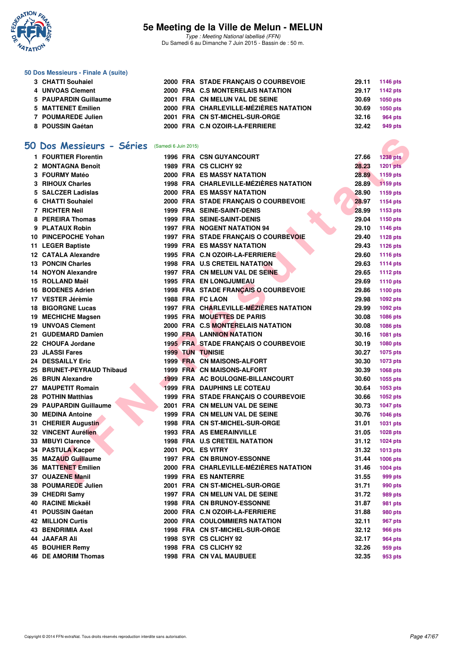

Type : Meeting National labellisé (FFN) Du Samedi 6 au Dimanche 7 Juin 2015 - Bassin de : 50 m.

#### **50 Dos Messieurs - Finale A (suite)**

|                                                                                                                                |  |                                                                                                                                                                                                                           | 29.11 1146 pts  |
|--------------------------------------------------------------------------------------------------------------------------------|--|---------------------------------------------------------------------------------------------------------------------------------------------------------------------------------------------------------------------------|-----------------|
|                                                                                                                                |  | 29.17                                                                                                                                                                                                                     | 1142 pts        |
|                                                                                                                                |  | 30.69                                                                                                                                                                                                                     | 1050 pts        |
|                                                                                                                                |  | 30.69                                                                                                                                                                                                                     | <b>1050 pts</b> |
|                                                                                                                                |  | 32.16                                                                                                                                                                                                                     | 964 pts         |
|                                                                                                                                |  | 32.42                                                                                                                                                                                                                     | 949 pts         |
| 3 CHATTI Souhaiel<br>4 UNVOAS Clement<br>5 PAUPARDIN Guillaume<br>5 MATTENET Emilien<br>7 POUMAREDE Julien<br>8 POUSSIN Gaétan |  | 2000 FRA STADE FRANCAIS O COURBEVOIE<br>2000 FRA C.S MONTERELAIS NATATION<br>2001 FRA CN MELUN VAL DE SEINE<br>2000 FRA CHARLEVILLE-MÉZIÈRES NATATION<br>2001 FRA CN ST-MICHEL-SUR-ORGE<br>2000 FRA C.N OZOIR-LA-FERRIERE |                 |

### **[50 Dos Messieurs - Séries](http://www.ffnatation.fr/webffn/resultats.php?idact=nat&go=epr&idcpt=31115&idepr=61)** (Samedi 6 Juin 2015)

| 50 Dos Messieurs - Séries (Samedi 6 Juin 2015) |  |                                                                        |       |                 |
|------------------------------------------------|--|------------------------------------------------------------------------|-------|-----------------|
| 1 FOURTIER Florentin                           |  | <b>1996 FRA CSN GUYANCOURT</b>                                         | 27.66 | <b>1238 pts</b> |
| 2 MONTAGNA Benoît                              |  | 1989 FRA CS CLICHY 92                                                  | 28.23 | <b>1201 pts</b> |
| 3 FOURMY Matéo                                 |  | <b>2000 FRA ES MASSY NATATION</b>                                      | 28.89 | 1159 pts        |
| 3 RIHOUX Charles                               |  | 1998 FRA CHARLEVILLE-MÉZIÈRES NATATION                                 | 28.89 | 1159 pts        |
| 5 SALCZER Ladislas                             |  | <b>2000 FRA ES MASSY NATATION</b>                                      | 28.90 | 1159 pts        |
| 6 CHATTI Souhaiel                              |  | 2000 FRA STADE FRANÇAIS O COURBEVOIE                                   | 28.97 | 1154 pts        |
| 7 RICHTER Neil                                 |  | <b>1999 FRA SEINE-SAINT-DENIS</b>                                      | 28.99 | 1153 pts        |
| 8 PEREIRA Thomas                               |  | <b>1999 FRA SEINE-SAINT-DENIS</b>                                      | 29.04 | 1150 pts        |
| 9 PLATAUX Robin                                |  | 1997 FRA NOGENT NATATION 94                                            | 29.10 | 1146 pts        |
| 10 PINCEPOCHE Yohan                            |  | 1997 FRA STADE FRANÇAIS O COURBEVOIE                                   | 29.40 | <b>1128 pts</b> |
| 11 LEGER Baptiste                              |  | <b>1999 FRA ES MASSY NATATION</b>                                      | 29.43 | <b>1126 pts</b> |
| <b>12 CATALA Alexandre</b>                     |  | 1995 FRA C.N OZOIR-LA-FERRIERE                                         | 29.60 | 1116 pts        |
| <b>13 PONCIN Charles</b>                       |  | 1998 FRA U.S CRETEIL NATATION                                          | 29.63 | <b>1114 pts</b> |
| 14 NOYON Alexandre                             |  | 1997 FRA CN MELUN VAL DE SEINE                                         | 29.65 | <b>1112 pts</b> |
| 15 ROLLAND Maël                                |  | <b>1995 FRA EN LONGJUMEAU</b>                                          | 29.69 | 1110 pts        |
| 16 BODENES Adrien                              |  | 1998 FRA STADE FRANÇAIS O COURBEVOIE                                   | 29.86 | 1100 pts        |
| 17 VESTER Jérèmie                              |  | 1988 FRA FC LAON                                                       | 29.98 | 1092 pts        |
| <b>18 BIGORGNE Lucas</b>                       |  | 1997 FRA CHARLEVILLE-MÉZIÈRES NATATION                                 | 29.99 | 1092 pts        |
| 19 MECHICHE Magsen                             |  | 1995 FRA MOUETTES DE PARIS                                             | 30.08 | 1086 pts        |
| <b>19 UNVOAS Clement</b>                       |  | 2000 FRA C.S MONTERELAIS NATATION                                      | 30.08 | 1086 pts        |
| 21 GUDEMARD Damien                             |  | <b>1990 FRA LANNION NATATION</b>                                       | 30.16 | 1081 pts        |
| 22 CHOUFA Jordane                              |  | 1995 FRA STADE FRANÇAIS O COURBEVOIE                                   | 30.19 | 1080 pts        |
| 23 JLASSI Fares                                |  | <b>1999 TUN TUNISIE</b>                                                | 30.27 | 1075 pts        |
| 24 DESSAILLY Eric                              |  | 1999 FRA CN MAISONS-ALFORT                                             | 30.30 | 1073 pts        |
| 25 BRUNET-PEYRAUD Thibaud                      |  | 1999 FRA CN MAISONS-ALFORT                                             | 30.39 | 1068 pts        |
| 26 BRUN Alexandre                              |  | 1999 FRA AC BOULOGNE-BILLANCOURT                                       | 30.60 | 1055 pts        |
| 27 MAUPETIT Romain                             |  | <b>1999 FRA DAUPHINS LE COTEAU</b>                                     | 30.64 | 1053 pts        |
| 28 POTHIN Matthias                             |  |                                                                        | 30.66 |                 |
| 29 PAUPARDIN Guillaume                         |  | 1999 FRA STADE FRANÇAIS O COURBEVOIE<br>2001 FRA CN MELUN VAL DE SEINE | 30.73 | 1052 pts        |
|                                                |  |                                                                        |       | <b>1047 pts</b> |
| <b>30 MEDINA Antoine</b>                       |  | 1999 FRA CN MELUN VAL DE SEINE                                         | 30.76 | 1046 pts        |
| 31 CHERIER Augustin                            |  | 1998 FRA CN ST-MICHEL-SUR-ORGE                                         | 31.01 | 1031 pts        |
| 32 VINCENT Aurélien                            |  | <b>1993 FRA AS EMERAINVILLE</b>                                        | 31.05 | 1028 pts        |
| 33 MBUYI Clarence                              |  | 1998 FRA U.S CRETEIL NATATION                                          | 31.12 | 1024 pts        |
| 34 PASTULA Kacper                              |  | 2001 POL ES VITRY                                                      | 31.32 | 1013 pts        |
| 35 MAZAUD Guillaume                            |  | <b>1997 FRA CN BRUNOY-ESSONNE</b>                                      | 31.44 | 1006 pts        |
| 36 MATTENET Emilien                            |  | 2000 FRA CHARLEVILLE-MÉZIÈRES NATATION                                 | 31.46 | 1004 pts        |
| 37 OUAZENE Manil                               |  | <b>1999 FRA ES NANTERRE</b>                                            | 31.55 | 999 pts         |
| 38 POUMAREDE Julien                            |  | 2001 FRA CN ST-MICHEL-SUR-ORGE                                         | 31.71 | 990 pts         |
| 39 CHEDRI Samy                                 |  | 1997 FRA CN MELUN VAL DE SEINE                                         | 31.72 | 989 pts         |
| 40 RACINE Mickaël                              |  | <b>1998 FRA CN BRUNOY-ESSONNE</b>                                      | 31.87 | 981 pts         |
| 41 POUSSIN Gaétan                              |  | 2000 FRA C.N OZOIR-LA-FERRIERE                                         | 31.88 | 980 pts         |
| <b>42 MILLION Curtis</b>                       |  | 2000 FRA COULOMMIERS NATATION                                          | 32.11 | 967 pts         |
| 43 BENDRIMIA Axel                              |  | 1998 FRA CN ST-MICHEL-SUR-ORGE                                         | 32.12 | <b>966 pts</b>  |
| <b>44 JAAFAR Ali</b>                           |  | 1998 SYR CS CLICHY 92                                                  | 32.17 | <b>964 pts</b>  |
| 45 BOUHIER Remy                                |  | 1998 FRA CS CLICHY 92                                                  | 32.26 | 959 pts         |
| <b>46 DE AMORIM Thomas</b>                     |  | 1998 FRA CN VAL MAUBUEE                                                | 32.35 | 953 pts         |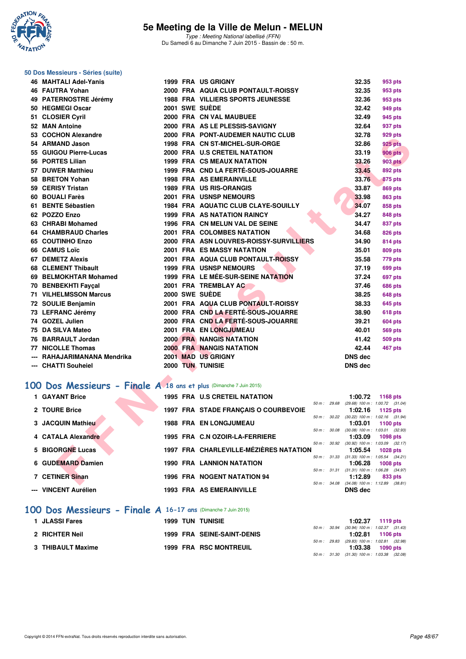

Type : Meeting National labellisé (FFN) Du Samedi 6 au Dimanche 7 Juin 2015 - Bassin de : 50 m.

## **50 Dos Messieurs - Séries (suite)**

| 46 MAHTALI Adel-Yanis                                             |  | <b>1999 FRA US GRIGNY</b>                  |              | 32.35          | 953 pts                                                       |  |
|-------------------------------------------------------------------|--|--------------------------------------------|--------------|----------------|---------------------------------------------------------------|--|
| 46 FAUTRA Yohan                                                   |  | 2000 FRA AQUA CLUB PONTAULT-ROISSY         |              | 32.35          | 953 pts                                                       |  |
| 49 PATERNOSTRE Jérémy                                             |  | 1988 FRA VILLIERS SPORTS JEUNESSE          |              | 32.36          | 953 pts                                                       |  |
| 50 HEGMEGI Oscar                                                  |  | 2001 SWE SUEDE                             |              | 32.42          | 949 pts                                                       |  |
| 51 CLOSIER Cyril                                                  |  | 2000 FRA CN VAL MAUBUEE                    |              | 32.49          | 945 pts                                                       |  |
| 52 MAN Antoine                                                    |  | 2000 FRA AS LE PLESSIS-SAVIGNY             |              | 32.64          | 937 pts                                                       |  |
| 53 COCHON Alexandre                                               |  | 2000 FRA PONT-AUDEMER NAUTIC CLUB          |              | 32.78          | 929 pts                                                       |  |
| 54 ARMAND Jason                                                   |  | 1998 FRA CN ST-MICHEL-SUR-ORGE             |              | 32.86          | <b>925 pts</b>                                                |  |
| 55 GUIGOU Pierre-Lucas                                            |  | 2000 FRA U.S CRETEIL NATATION              |              | 33.19          | <b>906 pts</b>                                                |  |
| 56 PORTES Lilian                                                  |  | <b>1999 FRA CS MEAUX NATATION</b>          |              | 33.26          | <b>903 pts</b>                                                |  |
| 57 DUWER Matthieu                                                 |  | 1999 FRA CND LA FERTÉ-SOUS-JOUARRE         |              | 33.45          | 892 pts                                                       |  |
| 58 BRETON Yohan                                                   |  | <b>1998 FRA AS EMERAINVILLE</b>            |              | 33.76          | 875 pts                                                       |  |
| 59 CERISY Tristan                                                 |  | 1989 FRA US RIS-ORANGIS                    |              | 33.87          | <b>869 pts</b>                                                |  |
| 60 BOUALI Farès                                                   |  | 2001 FRA USNSP NEMOURS                     |              | 33.98          | <b>863 pts</b>                                                |  |
| 61 BENTE Sébastien                                                |  | <b>1984 FRA AQUATIC CLUB CLAYE-SOUILLY</b> |              | 34.07          | 858 pts                                                       |  |
| 62 POZZO Enzo                                                     |  | <b>1999 FRA AS NATATION RAINCY</b>         |              | 34.27          | 848 pts                                                       |  |
| 63 CHRABI Mohamed                                                 |  | 1996 FRA CN MELUN VAL DE SEINE             |              | 34.47          | 837 pts                                                       |  |
| 64 CHAMBRAUD Charles                                              |  | 2001 FRA COLOMBES NATATION                 |              | 34.68          | <b>826 pts</b>                                                |  |
| 65 COUTINHO Enzo                                                  |  | 2000 FRA ASN LOUVRES-ROISSY-SURVILLIERS    |              | 34.90          | <b>814 pts</b>                                                |  |
| 66 CAMUS Loïc                                                     |  | <b>2001 FRA ES MASSY NATATION</b>          |              | 35.01          | <b>809 pts</b>                                                |  |
| <b>67 DEMETZ Alexis</b>                                           |  | 2001 FRA AQUA CLUB PONTAULT-ROISSY         |              | 35.58          | 779 pts                                                       |  |
| <b>68 CLEMENT Thibault</b>                                        |  | <b>1999 FRA USNSP NEMOURS</b>              |              | 37.19          | <b>699 pts</b>                                                |  |
| 69 BELMOKHTAR Mohamed                                             |  | 1999 FRA LE MÉE-SUR-SEINE NATATION         |              | 37.24          | 697 pts                                                       |  |
| 70 BENBEKHTI Fayçal                                               |  | 2001 FRA TREMBLAY AC                       |              | 37.46          | <b>686 pts</b>                                                |  |
| <b>71 VILHELMSSON Marcus</b>                                      |  | 2000 SWE SUEDE                             |              | 38.25          | <b>648 pts</b>                                                |  |
| 72 SOULIE Benjamin                                                |  | 2001 FRA AQUA CLUB PONTAULT-ROISSY         |              | 38.33          | <b>645 pts</b>                                                |  |
| 73 LEFRANC Jérémy                                                 |  | 2000 FRA CND LA FERTÉ-SOUS-JOUARRE         |              | 38.90          | <b>618 pts</b>                                                |  |
| 74 GOZEL Julien                                                   |  | 2000 FRA CND LA FERTÉ-SOUS-JOUARRE         |              | 39.21          | <b>604 pts</b>                                                |  |
| 75 DA SILVA Mateo                                                 |  | 2001 FRA EN LONGJUMEAU                     |              | 40.01          | <b>569 pts</b>                                                |  |
| 76 BARRAULT Jordan                                                |  | <b>2000 FRA NANGIS NATATION</b>            |              | 41.42          | <b>509 pts</b>                                                |  |
| <b>77 NICOLLE Thomas</b>                                          |  | <b>2000 FRA NANGIS NATATION</b>            |              | 42.44          | <b>467 pts</b>                                                |  |
| --- RAHAJARIMANANA Mendrika                                       |  | 2001 MAD US GRIGNY                         |              | <b>DNS dec</b> |                                                               |  |
| --- CHATTI Souheiel                                               |  | 2000 TUN TUNISIE                           |              | <b>DNS dec</b> |                                                               |  |
|                                                                   |  |                                            |              |                |                                                               |  |
| 00 Dos Messieurs - Finale A 18 ans et plus (Dimanche 7 Juin 2015) |  |                                            |              |                |                                                               |  |
| 1 GAYANT Brice                                                    |  | <b>1995 FRA U.S CRETEIL NATATION</b>       | 50 m: 29.68  | 1:00.72        | 1168 pts                                                      |  |
| 2 TOURE Brice                                                     |  | 1997 FRA STADE FRANÇAIS O COURBEVOIE       |              | 1:02.16        | (29.68) 100 m: 1:00.72 (31.04)<br>1125 pts                    |  |
| 3 JACQUIN Mathieu                                                 |  | <b>1988 FRA EN LONGJUMEAU</b>              | 50 m: 30.22  | 1:03.01        | $(30.22)$ 100 m : 1:02.16 $(31.94)$<br>1100 pts               |  |
| 4 CATALA Alexandre                                                |  | 1995 FRA C.N OZOIR-LA-FERRIERE             | 50 m : 30.08 | 1:03.09        | $(30.08)$ 100 m : 1:03.01 $(32.93)$<br>1098 pts               |  |
| 5 BIGORGNE Lucas                                                  |  | 1997 FRA CHARLEVILLE-MÉZIÈRES NATATION     |              | 1:05.54        | 50 m: 30.92 (30.92) 100 m: 1:03.09 (32.17)<br><b>1028 pts</b> |  |
| 6 GUDEMARD Damien                                                 |  | <b>1990 FRA LANNION NATATION</b>           |              | 1:06.28        | 50 m: 31.33 (31.33) 100 m: 1:05.54 (34.21)<br><b>1008 pts</b> |  |
|                                                                   |  |                                            |              |                | 50 m: 31.31 (31.31) 100 m: 1:06.28 (34.97)                    |  |
| 7 CETINER Sinan                                                   |  | <b>1996 FRA NOGENT NATATION 94</b>         |              | 1:12.89        | 833 pts                                                       |  |
|                                                                   |  |                                            |              |                | 50 m: 34.08 (34.08) 100 m: 1:12.89 (38.81)                    |  |

### **[100 Dos Messieurs - Finale A](http://www.ffnatation.fr/webffn/resultats.php?idact=nat&go=epr&idcpt=31115&idepr=62) 18 ans et plus** (Dimanche 7 Juin 2015)

| 1 GAYANT Brice           |  | <b>1995 FRA U.S CRETEIL NATATION</b>   |             | 1:00.72                                        |            | 1168 $pts$ |
|--------------------------|--|----------------------------------------|-------------|------------------------------------------------|------------|------------|
|                          |  |                                        | 50 m: 29.68 | (29.68) 100 m : 1:00.72 (31.04)                |            |            |
| 2 TOURE Brice            |  | 1997 FRA STADE FRANCAIS O COURBEVOIE   |             | 1:02.16                                        | $1125$ pts |            |
|                          |  |                                        | 50 m: 30.22 | $(30.22)$ 100 m : 1:02.16 $(31.94)$            |            |            |
| <b>3 JACQUIN Mathieu</b> |  | <b>1988 FRA EN LONGJUMEAU</b>          |             | 1:03.01                                        | 1100 $pts$ |            |
|                          |  |                                        | 50 m: 30.08 | $(30.08)$ 100 m : 1:03.01 $(32.93)$            |            |            |
| 4 CATALA Alexandre       |  | 1995 FRA C.N OZOIR-LA-FERRIERE         |             | 1:03.09                                        | 1098 pts   |            |
| 5 BIGORGNE Lucas         |  | 1997 FRA CHARLEVILLE-MÉZIÈRES NATATION | 50 m: 30.92 | $(30.92)$ 100 m : 1:03.09 $(32.17)$            |            |            |
|                          |  |                                        | 50 m: 31.33 | 1:05.54<br>$(31.33)$ 100 m : 1:05.54 $(34.21)$ |            | 1028 pts   |
| 6 GUDEMARD Damien        |  | <b>1990 FRA LANNION NATATION</b>       |             | 1:06.28                                        | $1008$ pts |            |
|                          |  |                                        | 50 m: 31.31 | $(31.31)$ 100 m : 1:06.28 $(34.97)$            |            |            |
| 7 CETINER Sinan          |  | <b>1996 FRA NOGENT NATATION 94</b>     |             | 1:12.89                                        |            | 833 pts    |
|                          |  |                                        | 50 m: 34.08 | $(34.08)$ 100 m : 1:12.89 $(38.81)$            |            |            |
| --- VINCENT Aurélien     |  | <b>1993 FRA AS EMERAINVILLE</b>        |             | <b>DNS</b> dec                                 |            |            |
|                          |  |                                        |             |                                                |            |            |

#### **[100 Dos Messieurs - Finale A](http://www.ffnatation.fr/webffn/resultats.php?idact=nat&go=epr&idcpt=31115&idepr=62) 16-17 ans** (Dimanche 7 Juin 2015)

| 1 JLASSI Fares    |  |  | <b>1999 TUN TUNISIE</b>           |  | $1:02.37$ 1119 pts                           |                  |  |
|-------------------|--|--|-----------------------------------|--|----------------------------------------------|------------------|--|
|                   |  |  |                                   |  | 50 m : 30.94 (30.94) 100 m : 1:02.37 (31.43) |                  |  |
| 2 RICHTER Neil    |  |  | <b>1999 FRA SEINE-SAINT-DENIS</b> |  |                                              | 1:02.81 1106 pts |  |
|                   |  |  |                                   |  | 50 m : 29.83 (29.83) 100 m : 1:02.81 (32.98) |                  |  |
| 3 THIBAULT Maxime |  |  | 1999 FRA RSC MONTREUIL            |  | 1:03.38 1090 pts                             |                  |  |
|                   |  |  |                                   |  | 50 m : 31.30 (31.30) 100 m : 1:03.38 (32.08) |                  |  |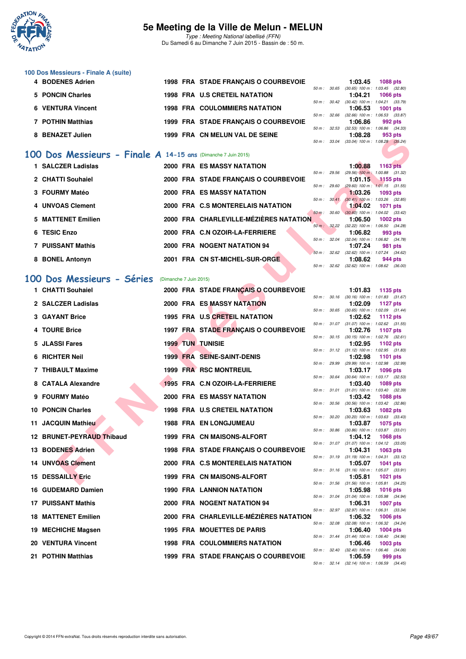

Type : Meeting National labellisé (FFN) Du Samedi 6 au Dimanche 7 Juin 2015 - Bassin de : 50 m.

| 100 Dos Messieurs - Finale A (suite) |  |                                      |                          |                                     |                 |
|--------------------------------------|--|--------------------------------------|--------------------------|-------------------------------------|-----------------|
| 4 BODENES Adrien                     |  | 1998 FRA STADE FRANCAIS O COURBEVOIE |                          | 1:03.45                             | <b>1088 pts</b> |
|                                      |  |                                      | $50 \text{ m}$ : $30.65$ | (30.65) 100 m : 1:03.45 (32.80      |                 |
| 5 PONCIN Charles                     |  | <b>1998 FRA U.S CRETEIL NATATION</b> |                          | 1:04.21                             | 1066 pts        |
|                                      |  |                                      | $50 \text{ m}$ : $30.42$ | (30.42) 100 m : 1:04.21 (33.79)     |                 |
| <b>6 VENTURA Vincent</b>             |  | <b>1998 FRA COULOMMIERS NATATION</b> |                          | 1:06.53                             | 1001 $pts$      |
|                                      |  |                                      | $50 \text{ m}$ : 32.66   | (32.66) 100 m : 1:06.53 (33.87      |                 |
| 7 POTHIN Matthias                    |  | 1999 FRA STADE FRANCAIS O COURBEVOIE |                          | 1:06.86                             | 992 pts         |
|                                      |  |                                      | $50 \text{ m}$ : 32.53   | (32.53) 100 m : 1:06.86 (34.33      |                 |
| <b>BENAZET Julien</b>                |  | 1999 FRA CN MELUN VAL DE SEINE       |                          | 1:08.28                             | 953 pts         |
|                                      |  |                                      | $50 \text{ m}$ : 33.04   | $(33.04)$ 100 m : 1:08.28 $(35.24)$ |                 |

### **[100 Dos Messieurs - Finale A](http://www.ffnatation.fr/webffn/resultats.php?idact=nat&go=epr&idcpt=31115&idepr=62) 14-15 ans** (Dimanche 7 Juin 2015)

| 1 SALCZER Ladislas |  | 2000 FRA ES MASSY NATATION             |                        | 1:00.88                                        | 1163 pts        |         |
|--------------------|--|----------------------------------------|------------------------|------------------------------------------------|-----------------|---------|
| 2 CHATTI Souhaiel  |  | 2000 FRA STADE FRANCAIS O COURBEVOIE   | 50 m: 29.56            | $(29.56)$ 100 m : 1:00.88 $(31.32)$<br>1:01.15 |                 |         |
|                    |  |                                        | 50 m : 29.60           | $(29.60)$ 100 m : 1:01.15 $(31.55)$            | 1155 pts        |         |
| 3 FOURMY Matéo     |  | <b>2000 FRA ES MASSY NATATION</b>      |                        | 1:03.26                                        | 1093 pts        |         |
| 4 UNVOAS Clement   |  | 2000 FRA C.S MONTERELAIS NATATION      | 50 m: 30.41            | $(30.41)$ 100 m : 1:03.26 $(32.85)$<br>1:04.02 | <b>1071 pts</b> |         |
|                    |  |                                        | 50 m : 30.60           | $(30.60)$ 100 m : 1:04.02 $(33.42)$            |                 |         |
| 5 MATTENET Emilien |  | 2000 FRA CHARLEVILLE-MÉZIÈRES NATATION |                        | 1:06.50                                        | $1002$ pts      |         |
| 6 TESIC Enzo       |  | 2000 FRA C.N OZOIR-LA-FERRIERE         | 50 m : 32.22           | $(32.22)$ 100 m : 1:06.50 $(34.28)$<br>1:06.82 | 993 pts         |         |
|                    |  |                                        | $50 \text{ m}$ : 32.04 | $(32.04)$ 100 m : 1:06.82 $(34.78)$            |                 |         |
| 7 PUISSANT Mathis  |  | 2000 FRA NOGENT NATATION 94            |                        | 1:07.24                                        |                 | 981 pts |
| 8 BONEL Antonyn    |  | 2001 FRA CN ST-MICHEL-SUR-ORGE         | 50 m: 32.62            | $(32.62)$ 100 m : 1:07.24 $(34.62)$<br>1:08.62 |                 | 944 pts |
|                    |  |                                        |                        | 50 m: 32.62 (32.62) 100 m: 1:08.62 (36.00)     |                 |         |

### **[100 Dos Messieurs - Séries](http://www.ffnatation.fr/webffn/resultats.php?idact=nat&go=epr&idcpt=31115&idepr=62)** (Dimanche 7 Juin 2015)

|                                                              |                        |                                        |              | vo.zo                                                   | ອບບ µເວ         |  |
|--------------------------------------------------------------|------------------------|----------------------------------------|--------------|---------------------------------------------------------|-----------------|--|
|                                                              |                        |                                        | 50 m : 33.04 | $(33.04)$ 100 m : 1:08.28 $(35.24)$                     |                 |  |
| 00 Dos Messieurs - Finale A 14-15 ans (Dimanche 7 Juin 2015) |                        |                                        |              |                                                         |                 |  |
| 1 SALCZER Ladislas                                           |                        | <b>2000 FRA ES MASSY NATATION</b>      | 50 m: 29.56  | 1:00.88<br>$(29.56)$ 100 m : 1:00.88 $(31.32)$          | <b>1163 pts</b> |  |
| 2 CHATTI Souhaiel                                            |                        | 2000 FRA STADE FRANÇAIS O COURBEVOIE   | 50 m: 29.60  | 1:01.15<br>$(29.60)$ 100 m : 1:01.15 $(31.55)$          | <b>1155 pts</b> |  |
| 3 FOURMY Matéo                                               |                        | <b>2000 FRA ES MASSY NATATION</b>      |              | 1:03.26                                                 | 1093 pts        |  |
| 4 UNVOAS Clement                                             |                        | 2000 FRA C.S MONTERELAIS NATATION      | 50 m: 30.41  | $(30.41)$ 100 m : 1:03.26 $(32.85)$<br>1:04.02          | 1071 pts        |  |
| 5 MATTENET Emilien                                           |                        | 2000 FRA CHARLEVILLE-MÉZIÈRES NATATION | 50 m: 30.60  | $(30.60)$ 100 m : 1:04.02 $(33.42)$<br>1:06.50          | <b>1002 pts</b> |  |
| 6 TESIC Enzo                                                 |                        | 2000 FRA C.N OZOIR-LA-FERRIERE         |              | 50 m: 32.22 (32.22) 100 m: 1:06.50 (34.28)<br>1:06.82   | 993 pts         |  |
| <b>7 PUISSANT Mathis</b>                                     |                        | 2000 FRA NOGENT NATATION 94            |              | 50 m: 32.04 (32.04) 100 m: 1:06.82 (34.78)<br>1:07.24   | 981 pts         |  |
|                                                              |                        |                                        |              | 50 m: 32.62 (32.62) 100 m: 1:07.24 (34.62)              |                 |  |
| 8 BONEL Antonyn                                              |                        | 2001 FRA CN ST-MICHEL-SUR-ORGE         | 50 m: 32.62  | 1:08.62<br>$(32.62)$ 100 m : 1:08.62 $(36.00)$          | 944 pts         |  |
| 00 Dos Messieurs - Séries                                    | (Dimanche 7 Juin 2015) |                                        |              |                                                         |                 |  |
| 1 CHATTI Souhaiel                                            |                        | 2000 FRA STADE FRANÇAIS O COURBEVOIE   |              | 1:01.83                                                 | 1135 pts        |  |
| 2 SALCZER Ladislas                                           |                        | <b>2000 FRA ES MASSY NATATION</b>      |              | 50 m: 30.16 (30.16) 100 m: 1:01.83 (31.67)<br>1:02.09   | 1127 pts        |  |
| <b>3 GAYANT Brice</b>                                        |                        | 1995 FRA U.S CRETEIL NATATION          |              | 50 m: 30.65 (30.65) 100 m: 1:02.09 (31.44)<br>1:02.62   | 1112 pts        |  |
|                                                              |                        |                                        |              | 50 m: 31.07 (31.07) 100 m: 1:02.62 (31.55)              |                 |  |
| 4 TOURE Brice                                                |                        | 1997 FRA STADE FRANÇAIS O COURBEVOIE   |              | 1:02.76<br>50 m: 30.15 (30.15) 100 m: 1:02.76 (32.61)   | 1107 pts        |  |
| 5 JLASSI Fares                                               |                        | <b>1999 TUN TUNISIE</b>                |              | 1:02.95<br>50 m: 31.12 (31.12) 100 m: 1:02.95 (31.83)   | 1102 pts        |  |
| 6 RICHTER Neil                                               |                        | <b>1999 FRA SEINE-SAINT-DENIS</b>      |              | 1:02.98<br>50 m: 29.99 (29.99) 100 m: 1:02.98 (32.99)   | 1101 pts        |  |
| 7 THIBAULT Maxime                                            |                        | 1999 FRA RSC MONTREUIL                 |              | 1:03.17                                                 | <b>1096 pts</b> |  |
| 8 CATALA Alexandre                                           |                        | 1995 FRA C.N OZOIR-LA-FERRIERE         |              | 50 m: 30.64 (30.64) 100 m: 1:03.17 (32.53)<br>1:03.40   | <b>1089 pts</b> |  |
| 9 FOURMY Matéo                                               |                        | <b>2000 FRA ES MASSY NATATION</b>      |              | 50 m: 31.01 (31.01) 100 m: 1:03.40 (32.39)<br>1:03.42   | <b>1088 pts</b> |  |
| <b>10 PONCIN Charles</b>                                     |                        | 1998 FRA U.S CRETEIL NATATION          |              | 50 m: 30.56 (30.56) 100 m: 1:03.42 (32.86)<br>1:03.63   | 1082 pts        |  |
|                                                              |                        |                                        | 50 m: 30.20  | $(30.20)$ 100 m : 1:03.63 $(33.43)$                     |                 |  |
| 11 JACQUIN Mathieu                                           |                        | <b>1988 FRA EN LONGJUMEAU</b>          |              | 1:03.87<br>50 m: 30.86 (30.86) 100 m: 1:03.87 (33.01)   | 1075 pts        |  |
| 12 BRUNET-PEYRAUD Thibaud                                    |                        | 1999 FRA CN MAISONS-ALFORT             |              | 1:04.12<br>50 m: 31.07 (31.07) 100 m: 1:04.12 (33.05)   | <b>1068 pts</b> |  |
| 13 BODENES Adrien                                            |                        | 1998 FRA STADE FRANÇAIS O COURBEVOIE   |              | 1:04.31<br>50 m: 31.19 (31.19) 100 m: 1:04.31 (33.12)   | 1063 pts        |  |
| <b>14 UNVOAS Clement</b>                                     |                        | 2000 FRA C.S MONTERELAIS NATATION      |              | 1:05.07                                                 | 1041 pts        |  |
| <b>15 DESSAILLY Eric</b>                                     |                        | 1999 FRA CN MAISONS-ALFORT             |              | 50 m: 31.16 (31.16) 100 m: 1:05.07 (33.91)<br>1:05.81   | <b>1021 pts</b> |  |
| 16 GUDEMARD Damien                                           |                        | <b>1990 FRA LANNION NATATION</b>       |              | 50 m: 31.56 (31.56) 100 m: 1:05.81 (34.25)<br>1:05.98   | <b>1016 pts</b> |  |
| 17 PUISSANT Mathis                                           |                        | 2000 FRA NOGENT NATATION 94            | 50 m: 31.04  | $(31.04)$ 100 m : 1:05.98 $(34.94)$<br>1:06.31          | <b>1007 pts</b> |  |
| <b>18 MATTENET Emilien</b>                                   |                        | 2000 FRA CHARLEVILLE-MÉZIÈRES NATATION |              | 50 m: 32.97 (32.97) 100 m: 1:06.31 (33.34)<br>1:06.32   |                 |  |
|                                                              |                        |                                        |              | 50 m: 32.08 (32.08) 100 m: 1:06.32 (34.24)              | <b>1006 pts</b> |  |
| 19 MECHICHE Magsen                                           |                        | 1995 FRA MOUETTES DE PARIS             |              | 1:06.40<br>50 m: 31.44 (31.44) 100 m: 1:06.40 (34.96)   | 1004 pts        |  |
| 20 VENTURA Vincent                                           |                        | <b>1998 FRA COULOMMIERS NATATION</b>   |              | 1:06.46<br>50 m : 32.40 (32.40) 100 m : 1:06.46 (34.06) | 1003 pts        |  |
| 21 POTHIN Matthias                                           |                        | 1999 FRA STADE FRANÇAIS O COURBEVOIE   |              | 1:06.59                                                 | 999 pts         |  |
|                                                              |                        |                                        |              | 50 m: 32.14 (32.14) 100 m: 1:06.59 (34.45)              |                 |  |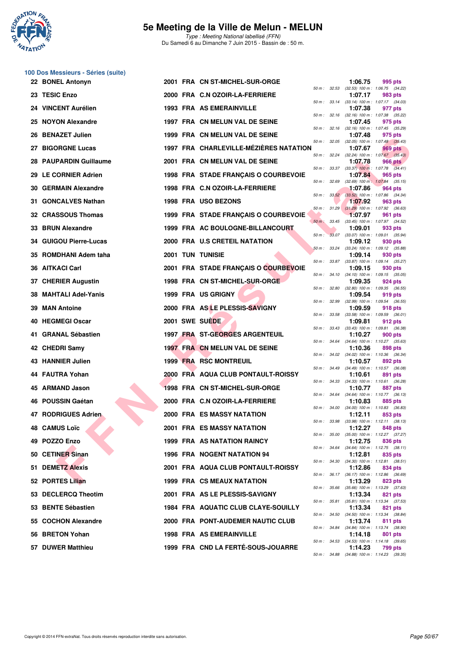

**100 Dos Messieurs - Séries (suite)**

#### **5e Meeting de la Ville de Melun - MELUN**

|     | 22 BONEL Antonyn           |  | 2001 FRA CN ST-MICHEL-SUR-ORGE         |                             |                  | 1:06.75 | 995 pts                                                                                                    |
|-----|----------------------------|--|----------------------------------------|-----------------------------|------------------|---------|------------------------------------------------------------------------------------------------------------|
| 23  | <b>TESIC Enzo</b>          |  | 2000 FRA C.N OZOIR-LA-FERRIERE         |                             |                  | 1:07.17 | 50 m: 32.53 (32.53) 100 m: 1:06.75 (34.22)<br>983 pts                                                      |
|     | 24 VINCENT Aurélien        |  | 1993 FRA AS EMERAINVILLE               |                             |                  | 1:07.38 | 50 m: 33.14 (33.14) 100 m: 1:07.17 (34.03)<br>977 pts                                                      |
|     | 25 NOYON Alexandre         |  | 1997 FRA CN MELUN VAL DE SEINE         |                             |                  | 1:07.45 | 50 m: 32.16 (32.16) 100 m: 1:07.38 (35.22)<br>975 pts                                                      |
| 26  | <b>BENAZET Julien</b>      |  | 1999 FRA CN MELUN VAL DE SEINE         |                             |                  | 1:07.48 | 50 m: 32.16 (32.16) 100 m: 1:07.45 (35.29)<br>975 pts                                                      |
|     | 27 BIGORGNE Lucas          |  | 1997 FRA CHARLEVILLE-MEZIERES NATATION | 50 m: 32.05                 |                  | 1:07.67 | $(32.05)$ 100 m : 1:07.48 $(35.43)$<br>969 pts                                                             |
| 28  | <b>PAUPARDIN Guillaume</b> |  | 2001 FRA CN MELUN VAL DE SEINE         |                             | 50 m : 32.24     | 1:07.78 | $(32.24)$ 100 m : 1:07.67 $(35.43)$<br><b>966 pts</b>                                                      |
|     | 29 LE CORNIER Adrien       |  | 1998 FRA STADE FRANÇAIS O COURBEVOIE   |                             |                  | 1:07.84 | 50 m : 33.37 (33.37) 100 m : 1:07.78 (34.41)<br>965 pts                                                    |
| 30  | <b>GERMAIN Alexandre</b>   |  | 1998 FRA C.N OZOIR-LA-FERRIERE         | 50 m: 32.69                 |                  | 1:07.86 | $(32.69)$ 100 m : 1:07.84 $(35.15)$<br>964 pts                                                             |
| 31  | <b>GONCALVES Nathan</b>    |  | 1998 FRA USO BEZONS                    |                             |                  | 1:07.92 | 50 m : 33.52 (33.52) 100 m : 1:07.86 (34.34)<br>963 pts                                                    |
|     | 32 CRASSOUS Thomas         |  | 1999 FRA STADE FRANÇAIS O COURBEVOIE   |                             | $50 m$ : $31.29$ | 1:07.97 | $(31.29)$ 100 m : 1:07.92 $(36.63)$<br>961 pts                                                             |
| 33  | <b>BRUN Alexandre</b>      |  | 1999 FRA AC BOULOGNE-BILLANCOURT       |                             | 50 m : 33.45     | 1:09.01 | (33.45) 100 m: 1:07.97 (34.52)<br>933 pts                                                                  |
|     | 34 GUIGOU Pierre-Lucas     |  | 2000 FRA U.S CRETEIL NATATION          | $50 m$ :                    |                  | 1:09.12 | 33.07 (33.07) 100 m : 1:09.01 (35.94)<br>930 pts                                                           |
| 35  | <b>ROMDHANI Adem taha</b>  |  | <b>2001 TUN TUNISIE</b>                |                             | 50 m: 33.24      | 1:09.14 | $(33.24)$ 100 m : 1:09.12 $(35.88)$<br>930 pts                                                             |
| 36  | <b>AITKACI Carl</b>        |  | 2001 FRA STADE FRANÇAIS O COURBEVOIE   |                             |                  | 1:09.15 | 50 m: 33.87 (33.87) 100 m: 1:09.14 (35.27)<br>930 pts<br>50 m: 34.10 (34.10) 100 m: 1:09.15 (35.05)        |
| 37  | <b>CHERIER Augustin</b>    |  | 1998 FRA CN ST-MICHEL-SUR-ORGE         |                             |                  | 1:09.35 | 924 pts<br>$(32.80)$ 100 m : 1:09.35 $(36.55)$                                                             |
| 38  | <b>MAHTALI Adel-Yanis</b>  |  | 1999 FRA US GRIGNY                     | 50 m : 32.80<br>50 m: 32.99 |                  | 1:09.54 | 919 pts<br>(32.99) 100 m: 1:09.54 (36.55)                                                                  |
| 39  | <b>MAN Antoine</b>         |  | 2000 FRA AS LE PLESSIS-SAVIGNY         | 50 m : 33.58                |                  | 1:09.59 | 918 pts                                                                                                    |
| 40  | <b>HEGMEGI Oscar</b>       |  | 2001 SWE SUEDE                         |                             |                  | 1:09.81 | $(33.58)$ 100 m : 1:09.59 $(36.01)$<br>912 pts<br>50 m: 33.43 (33.43) 100 m: 1:09.81 (36.38)               |
| 41. | <b>GRANAL Sébastien</b>    |  | <b>1997 FRA ST-GEORGES ARGENTEUIL</b>  |                             |                  | 1:10.27 | 900 pts                                                                                                    |
|     | 42 CHEDRI Samy             |  | 1997 FRA CN MELUN VAL DE SEINE         |                             |                  | 1:10.36 | 50 m: 34.64 (34.64) 100 m: 1:10.27 (35.63)<br>898 pts<br>50 m: 34.02 (34.02) 100 m: 1:10.36 (36.34)        |
|     | 43 HANNIER Julien          |  | 1999 FRA RSC MONTREUIL                 | 50 m: 34.49                 |                  | 1:10.57 | 892 pts<br>$(34.49)$ 100 m : 1:10.57 $(36.08)$                                                             |
|     | 44 FAUTRA Yohan            |  | 2000 FRA AQUA CLUB PONTAULT-ROISSY     |                             |                  | 1:10.61 | 891 pts<br>50 m: 34.33 (34.33) 100 m: 1:10.61 (36.28)                                                      |
| 45  | <b>ARMAND Jason</b>        |  | 1998 FRA CN ST-MICHEL-SUR-ORGE         |                             | 50 m : 34.64     | 1:10.77 | 887 pts<br>$(34.64)$ 100 m : 1:10.77 $(36.13)$                                                             |
|     | 46 POUSSIN Gaétan          |  | 2000 FRA C.N OZOIR-LA-FERRIERE         |                             | 50 m : 34.00     | 1:10.83 | 885 pts<br>$(34.00)$ 100 m : 1:10.83 $(36.83)$                                                             |
|     | 47 RODRIGUES Adrien        |  | 2000 FRA ES MASSY NATATION             | 50 m : 33.98                |                  | 1:12.11 | 853 pts<br>$(33.98)$ 100 m : 1:12.11 $(38.13)$                                                             |
|     | <b>48 CAMUS Loïc</b>       |  | 2001 FRA ES MASSY NATATION             |                             |                  | 1:12.27 | 848 pts<br>50 m: 35.00 (35.00) 100 m: 1:12.27 (37.27)                                                      |
|     | 49 POZZO Enzo              |  | <b>1999 FRA AS NATATION RAINCY</b>     |                             |                  | 1:12.75 | 836 pts<br>50 m: 34.64 (34.64) 100 m: 1:12.75 (38.11)                                                      |
|     | 50 CETINER Sinan           |  | <b>1996 FRA NOGENT NATATION 94</b>     |                             | 50 m : 34.30     | 1:12.81 | 835 pts<br>$(34.30)$ 100 m : 1:12.81 $(38.51)$                                                             |
|     | <b>51 DEMETZ Alexis</b>    |  | 2001 FRA AQUA CLUB PONTAULT-ROISSY     |                             |                  | 1:12.86 | 834 pts<br>50 m: 36.17 (36.17) 100 m: 1:12.86 (36.69)                                                      |
|     | 52 PORTES Lilian           |  | <b>1999 FRA CS MEAUX NATATION</b>      |                             | 50 m : 35.66     | 1:13.29 | 823 pts                                                                                                    |
|     | 53 DECLERCQ Theotim        |  | 2001 FRA AS LE PLESSIS-SAVIGNY         |                             |                  | 1:13.34 | $(35.66)$ 100 m : 1:13.29 $(37.63)$<br>821 pts                                                             |
|     | 53 BENTE Sébastien         |  | 1984 FRA AQUATIC CLUB CLAYE-SOUILLY    |                             |                  | 1:13.34 | 50 m: 35.81 (35.81) 100 m: 1:13.34 (37.53)<br>821 pts<br>50 m: 34.50 (34.50) 100 m: 1:13.34 (38.84)        |
|     | 55 COCHON Alexandre        |  | 2000 FRA PONT-AUDEMER NAUTIC CLUB      |                             |                  | 1:13.74 | 811 pts<br>50 m: 34.84 (34.84) 100 m: 1:13.74 (38.90)                                                      |
|     | 56 BRETON Yohan            |  | <b>1998 FRA AS EMERAINVILLE</b>        |                             |                  | 1:14.18 | 801 pts                                                                                                    |
|     | 57 DUWER Matthieu          |  | 1999 FRA CND LA FERTÉ-SOUS-JOUARRE     |                             |                  | 1:14.23 | 50 m: 34.53 (34.53) 100 m: 1:14.18 (39.65)<br><b>799 pts</b><br>50 m: 34.88 (34.88) 100 m: 1:14.23 (39.35) |
|     |                            |  |                                        |                             |                  |         |                                                                                                            |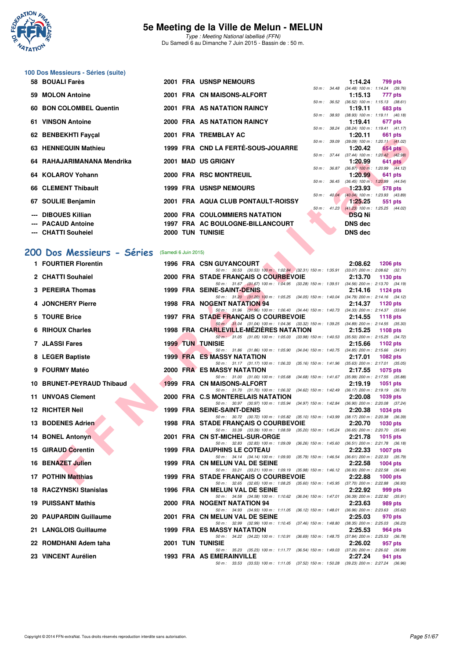

Type : Meeting National labellisé (FFN) Du Samedi 6 au Dimanche 7 Juin 2015 - Bassin de : 50 m.

# **100 Dos Messieurs - Séries (suite)**

| 58 BOUALI Farès            |  | 2001 FRA USNSP NEMOURS             |                  |                          | 1:14.24                                        | 799 pts |
|----------------------------|--|------------------------------------|------------------|--------------------------|------------------------------------------------|---------|
|                            |  |                                    |                  | 50 m : 34.48             | $(34.48)$ 100 m : 1:14.24 $(39.76)$            |         |
| 59 MOLON Antoine           |  | 2001 FRA CN MAISONS-ALFORT         |                  |                          | 1:15.13                                        | 777 pts |
|                            |  |                                    | $50 m$ : $36.52$ |                          | $(36.52)$ 100 m : 1:15.13 $(38.61)$            |         |
| 60 BON COLOMBEL Quentin    |  | 2001 FRA AS NATATION RAINCY        |                  |                          | 1:19.11                                        | 683 pts |
| 61 VINSON Antoine          |  | 2000 FRA AS NATATION RAINCY        |                  | 50 m : 38.93             | $(38.93)$ 100 m : 1:19.11 $(40.18)$<br>1:19.41 |         |
|                            |  |                                    |                  |                          | 50 m: 38.24 (38.24) 100 m: 1:19.41 (41.17)     | 677 pts |
| 62 BENBEKHTI Fayçal        |  | 2001 FRA TREMBLAY AC               |                  |                          | 1:20.11                                        | 661 pts |
|                            |  |                                    |                  |                          | 50 m: 39.09 (39.09) 100 m: 1:20.11 (41.02)     |         |
| 63 HENNEQUIN Mathieu       |  | 1999 FRA CND LA FERTÉ-SOUS-JOUARRE |                  |                          | 1:20.42                                        | 654 pts |
|                            |  |                                    |                  |                          | 50 m: 37.44 (37.44) 100 m: 1:20.42 (42.98)     |         |
| 64 RAHAJARIMANANA Mendrika |  | 2001 MAD US GRIGNY                 |                  |                          | 1:20.99                                        | 641 pts |
|                            |  |                                    |                  |                          | 50 m: 36.87 (36.87) 100 m: 1:20.99 (44.12)     |         |
| 64 KOLAROV Yohann          |  | 2000 FRA RSC MONTREUIL             |                  |                          | 1:20.99                                        | 641 pts |
|                            |  |                                    |                  |                          | 50 m: 36.45 (36.45) 100 m: 1:20.99 (44.54)     |         |
| 66 CLEMENT Thibault        |  | <b>1999 FRA USNSP NEMOURS</b>      |                  |                          | 1:23.93                                        | 578 pts |
|                            |  |                                    |                  | $50 \text{ m}$ : $40.04$ | $(40.04)$ 100 m : 1:23.93 $(43.89)$            |         |
| 67 SOULIE Benjamin         |  | 2001 FRA AQUA CLUB PONTAULT-ROISSY |                  |                          | 1:25.25                                        | 551 pts |
|                            |  |                                    |                  |                          | 50 m: 41.23 (41.23) 100 m: 1:25.25 (44.02)     |         |
| --- DIBOUES Killian        |  | 2000 FRA COULOMMIERS NATATION      |                  |                          | <b>DSQ Ni</b>                                  |         |
| --- PACAUD Antoine         |  | 1997 FRA AC BOULOGNE-BILLANCOURT   |                  |                          | <b>DNS dec</b>                                 |         |
| --- CHATTI Souheiel        |  | <b>2000 TUN TUNISIE</b>            |                  |                          | <b>DNS</b> dec                                 |         |

### **[200 Dos Messieurs - Séries](http://www.ffnatation.fr/webffn/resultats.php?idact=nat&go=epr&idcpt=31115&idepr=63)** (Samedi 6 Juin 2015)

| UZ DENDENIIIFAYYAI                             |  | ZUUL FRA IREMBLAIAU                                                                                                                |  | 1.20.11                                                 | <b>UUI DIS</b>  |  |
|------------------------------------------------|--|------------------------------------------------------------------------------------------------------------------------------------|--|---------------------------------------------------------|-----------------|--|
| 63 HENNEQUIN Mathieu                           |  | 1999 FRA CND LA FERTÉ-SOUS-JOUARRE                                                                                                 |  | 50 m: 39.09 (39.09) 100 m: 1:20.11 (41.02)<br>1:20.42   | 654 pts         |  |
| 64   RAHAJARIMANANA Mendrika                   |  | 2001 MAD US GRIGNY                                                                                                                 |  | 50 m: 37.44 (37.44) 100 m: 1:20.42 (42.98)<br>1:20.99   | $641$ pts       |  |
| 64 KOLAROV Yohann                              |  | 2000 FRA RSC MONTREUIL                                                                                                             |  | 50 m : 36.87 (36.87) 100 m : 1:20.99 (44.12)<br>1:20.99 | 641 pts         |  |
| 66 CLEMENT Thibault                            |  | <b>1999 FRA USNSP NEMOURS</b>                                                                                                      |  | 50 m: 36.45 (36.45) 100 m: 1:20.99 (44.54)              |                 |  |
|                                                |  |                                                                                                                                    |  | 1:23.93<br>50 m : 40.04 (40.04) 100 m : 1:23.93 (43.89) | 578 pts         |  |
| 67 SOULIE Benjamin                             |  | 2001 FRA AQUA CLUB PONTAULT-ROISSY                                                                                                 |  | 1:25.25<br>50 m: 41.23 (41.23) 100 m: 1:25.25 (44.02)   | 551 pts         |  |
| --- DIBOUES Killian                            |  | 2000 FRA COULOMMIERS NATATION                                                                                                      |  | <b>DSQ Ni</b>                                           |                 |  |
| --- PACAUD Antoine                             |  | 1997 FRA AC BOULOGNE-BILLANCOURT                                                                                                   |  | <b>DNS dec</b>                                          |                 |  |
| --- CHATTI Souheiel                            |  | 2000 TUN TUNISIE                                                                                                                   |  | <b>DNS dec</b>                                          |                 |  |
| OO Dos Messieurs - Séries (Samedi 6 Juin 2015) |  |                                                                                                                                    |  |                                                         |                 |  |
| 1 FOURTIER Florentin                           |  | <b>1996 FRA CSN GUYANCOURT</b>                                                                                                     |  | 2:08.62                                                 | 1206 pts        |  |
| 2 CHATTI Souhaiel                              |  | 50 m: 30.53 (30.53) 100 m: 1:02.84 (32.31) 150 m: 1:35.91 (33.07) 200 m: 2:08.62 (32.71)<br>2000 FRA STADE FRANÇAIS O COURBEVOIE   |  | 2:13.70                                                 | 1130 pts        |  |
|                                                |  | 50 m: 31.67 (31.67) 100 m: 1:04.95 (33.28) 150 m: 1:39.51 (34.56) 200 m: 2:13.70 (34.19)                                           |  |                                                         |                 |  |
| 3 PEREIRA Thomas                               |  | <b>1999 FRA SEINE-SAINT-DENIS</b><br>50 m: 31.20 (31.20) 100 m: 1:05.25 (34.05) 150 m: 1:40.04 (34.79) 200 m: 2:14.16 (34.12)      |  | 2:14.16                                                 | 1124 $pts$      |  |
| 4 JONCHERY Pierre                              |  | 1998 FRA NOGENT NATATION 94<br>50 m: 31.96 (31.96) 100 m: 1.06.40 (34.44) 150 m: 1.40.73 (34.33) 200 m: 2.14.37 (33.64)            |  | 2:14.37                                                 | 1120 pts        |  |
| 5 TOURE Brice                                  |  | 1997 FRA STADE FRANÇAIS O COURBEVOIE                                                                                               |  | 2:14.55                                                 | <b>1118 pts</b> |  |
| 6 RIHOUX Charles                               |  | 50 m: 31.04 (31.04) 100 m: 1:04.36 (33.32) 150 m: 1:39.25 (34.89) 200 m: 2:14.55 (35.30)<br>1998 FRA CHARLEVILLE-MEZIERES NATATION |  | 2:15.25                                                 | 1108 $pts$      |  |
| <b>7 JLASSI Fares</b>                          |  | 50 m: 31.05 (31.05) 100 m: 1:05.03 (33.98) 150 m: 1:40.53 (35.50) 200 m: 2:15.25 (34.72)<br><b>1999 TUN TUNISIE</b>                |  | 2:15.66                                                 | 1102 pts        |  |
|                                                |  | 50 m: 31.86 (31.86) 100 m: 1:05.90 (34.04) 150 m: 1:40.75 (34.85) 200 m: 2:15.66 (34.91)                                           |  |                                                         |                 |  |
| 8 LEGER Baptiste                               |  | <b>1999 FRA ES MASSY NATATION</b><br>50 m: 31.17 (31.17) 100 m: 1:06.33 (35.16) 150 m: 1:41.96 (35.63) 200 m: 2:17.01 (35.05)      |  | 2:17.01                                                 | 1082 pts        |  |
| 9 FOURMY Matéo                                 |  | 2000 FRA ES MASSY NATATION<br>50 m: 31.00 (31.00) 100 m: 1:05.68 (34.68) 150 m: 1:41.67 (35.99) 200 m: 2:17.55 (35.88)             |  | 2:17.55                                                 | 1075 pts        |  |
| 10 BRUNET-PEYRAUD Thibaud                      |  | 1999 FRA CN MAISONS-ALFORT                                                                                                         |  | 2:19.19                                                 | <b>1051 pts</b> |  |
| <b>11 UNVOAS Clement</b>                       |  | 50 m: 31.70 (31.70) 100 m: 1:06.32 (34.62) 150 m: 1:42.49 (36.17) 200 m: 2:19.19 (36.70)<br>2000 FRA C.S MONTERELAIS NATATION      |  | 2:20.08                                                 | 1039 pts        |  |
| 12 RICHTER Neil                                |  | 50 m: 30.97 (30.97) 100 m: 1:05.94 (34.97) 150 m: 1:42.84 (36.90) 200 m: 2:20.08 (37.24)<br>1999 FRA SEINE-SAINT-DENIS             |  | 2:20.38                                                 | <b>1034 pts</b> |  |
|                                                |  | 50 m: 30.72 (30.72) 100 m: 1:05.82 (35.10) 150 m: 1:43.99 (38.17) 200 m: 2:20.38 (36.39)                                           |  |                                                         |                 |  |
| 13 BODENES Adrien                              |  | 1998 FRA STADE FRANÇAIS O COURBEVOIE<br>50 m: 33.39 (33.39) 100 m: 1:08.59 (35.20) 150 m: 1:45.24 (36.65) 200 m: 2:20.70 (35.46)   |  | 2:20.70                                                 | <b>1030 pts</b> |  |
| 14 BONEL Antonyn                               |  | 2001 FRA CN ST-MICHEL-SUR-ORGE<br>50 m: 32.83 (32.83) 100 m: 1:09.09 (36.26) 150 m: 1:45.60 (36.51) 200 m: 2:21.78 (36.18)         |  | 2:21.78                                                 | 1015 $pts$      |  |
| 15 GIRAUD Corentin                             |  | <b>1999 FRA DAUPHINS LE COTEAU</b>                                                                                                 |  | 2:22.33                                                 | <b>1007 pts</b> |  |
| 16 BENAZET Julien                              |  | 50 m: 34.14 (34.14) 100 m: 1:09.93 (35.79) 150 m: 1:46.54 (36.61) 200 m: 2:22.33 (35.79)<br>1999 FRA CN MELUN VAL DE SEINE         |  | 2:22.58                                                 | $1004$ pts      |  |
| 17 POTHIN Matthias                             |  | 50 m: 33.21 (33.21) 100 m: 1:09.19 (35.98) 150 m: 1:46.12 (36.93) 200 m: 2:22.58 (36.46)<br>1999 FRA STADE FRANÇAIS O COURBEVOIE   |  | 2:22.88                                                 | 1000 pts        |  |
|                                                |  | 50 m: 32.65 (32.65) 100 m: 1:08.25 (35.60) 150 m: 1:45.95 (37.70) 200 m: 2:22.88 (36.93)                                           |  |                                                         |                 |  |
| 18 RACZYNSKI Stanislas                         |  | 1996 FRA CN MELUN VAL DE SEINE<br>50 m: 34.58 (34.58) 100 m: 1:10.62 (36.04) 150 m: 1:47.01                                        |  | 2:22.92<br>$(36.39)$ 200 m : 2:22.92 $(35.91)$          | 999 pts         |  |
| 19 PUISSANT Mathis                             |  | 2000 FRA NOGENT NATATION 94<br>50 m: 34.93 (34.93) 100 m: 1:11.05 (36.12) 150 m: 1:48.01 (36.96) 200 m: 2:23.63 (35.62)            |  | 2:23.63                                                 | 989 pts         |  |
| 20 PAUPARDIN Guillaume                         |  | 2001 FRA CN MELUN VAL DE SEINE                                                                                                     |  | 2:25.03                                                 | 970 pts         |  |
| 21 LANGLOIS Guillaume                          |  | 50 m: 32.99 (32.99) 100 m: 1:10.45 (37.46) 150 m: 1:48.80<br><b>1999 FRA ES MASSY NATATION</b>                                     |  | $(38.35)$ 200 m : 2:25.03 $(36.23)$<br>2:25.53          | 964 pts         |  |
| 22 ROMDHANI Adem taha                          |  | 50 m: 34.22 (34.22) 100 m: 1:10.91 (36.69) 150 m: 1:48.75 (37.84) 200 m: 2:25.53 (36.78)<br><b>2001 TUN TUNISIE</b>                |  | 2:26.02                                                 | 957 pts         |  |
|                                                |  | 50 m: 35.23 (35.23) 100 m: 1:11.77 (36.54) 150 m: 1:49.03 (37.26) 200 m: 2:26.02 (36.99)                                           |  |                                                         |                 |  |
| 23 VINCENT Aurélien                            |  | <b>1993 FRA AS EMERAINVILLE</b><br>50 m: 33.53 (33.53) 100 m: 1:11.05 (37.52) 150 m: 1:50.28 (39.23) 200 m: 2:27.24 (36.96)        |  | 2:27.24                                                 | 941 pts         |  |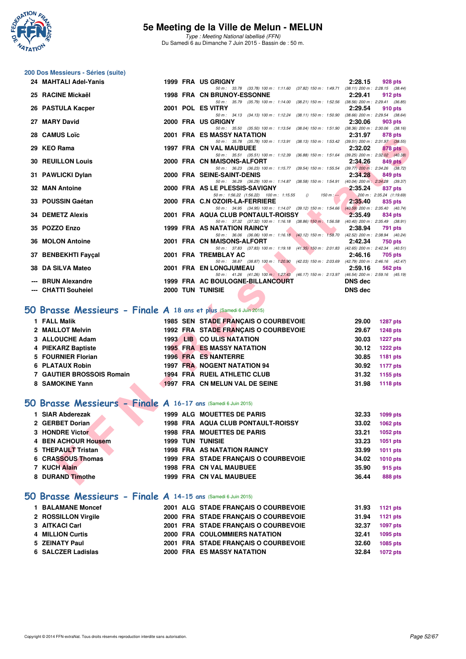

Type : Meeting National labellisé (FFN) Du Samedi 6 au Dimanche 7 Juin 2015 - Bassin de : 50 m.

# **200 Dos Messieurs - Séries (suite)**

|   | 24 MAHTALI Adel-Yanis                                                |  | 1999 FRA US GRIGNY                                                                                                                                                | 2:28.15        | <b>928 pts</b>                      |
|---|----------------------------------------------------------------------|--|-------------------------------------------------------------------------------------------------------------------------------------------------------------------|----------------|-------------------------------------|
|   | 25 RACINE Mickaël                                                    |  | 50 m: 33.78 (33.78) 100 m: 1:11.60 (37.82) 150 m: 1:49.71 (38.11) 200 m: 2:28.15 (38.44)<br><b>1998 FRA CN BRUNOY-ESSONNE</b>                                     | 2:29.41        | 912 pts                             |
|   | 26 PASTULA Kacper                                                    |  | 50 m: 35.79 (35.79) 100 m: 1:14.00 (38.21) 150 m: 1:52.56 (38.56) 200 m: 2:29.41 (36.85)<br>2001 POL ES VITRY                                                     | 2:29.54        | 910 pts                             |
|   | 27 MARY David                                                        |  | 50 m: 34.13 (34.13) 100 m: 1:12.24 (38.11) 150 m: 1:50.90 (38.66) 200 m: 2:29.54 (38.64)<br>2000 FRA US GRIGNY                                                    | 2:30.06        | 903 pts                             |
|   | 28 CAMUS Loïc                                                        |  | 50 m: 35.50 (35.50) 100 m: 1:13.54 (38.04) 150 m: 1:51.90 (38.36) 200 m: 2:30.06 (38.16)<br><b>2001 FRA ES MASSY NATATION</b>                                     | 2:31.97        | 878 pts                             |
|   |                                                                      |  | 50 m: 35.78 (35.78) 100 m: 1:13.91 (38.13) 150 m: 1:53.42 (39.51) 200 m: 2:31.97 (38.55)                                                                          |                |                                     |
|   | 29 KEO Rama                                                          |  | <b>1997 FRA CN VAL MAUBUEE</b><br>50 m: 35.51 (35.51) 100 m: 1:12.39 (36.88) 150 m: 1:51.64 (39.25) 200 m: 2:32.02 (40.38)                                        | 2:32.02        | <b>878 pts</b>                      |
|   | <b>30 REUILLON Louis</b>                                             |  | 2000 FRA CN MAISONS-ALFORT<br>50 m: 36.23 (36.23) 100 m: 1:15.77 (39.54) 150 m: 1:55.54 (39.77) 200 m: 2:34.26 (38.72)                                            | 2:34.26        | 849 pts                             |
|   | 31 PAWLICKI Dylan                                                    |  | 2000 FRA SEINE-SAINT-DENIS                                                                                                                                        | 2:34.28        | 849 pts                             |
|   | 32 MAN Antoine                                                       |  | 50 m: 36.29 (36.29) 100 m: 1:14.87 (38.58) 150 m: 1:54.91 (40.04) 200 m: 2:34.28 (39.37)<br>2000 FRA AS LE PLESSIS-SAVIGNY                                        | 2:35.24        | 837 pts                             |
|   | 33 POUSSIN Gaétan                                                    |  | 50 m: 1:56.22 (1:56.22) 100 m: 1:15.55<br>$\theta$<br>$150 m : -$<br>2000 FRA C.N OZOIR-LA-FERRIERE                                                               | 2:35.40        | 200 m: 2:35.24 (1:19.69)<br>835 pts |
|   | 34 DEMETZ Alexis                                                     |  | 50 m: 34.95 (34.95) 100 m: 1:14.07 (39.12) 150 m: 1:54.66 (40.59) 200 m: 2:35.40 (40.74)<br>2001 FRA AQUA CLUB PONTAULT-ROISSY                                    | 2:35.49        | 834 pts                             |
|   |                                                                      |  | 50 m: 37.32 (37.32) 100 m: 1:16.18 (38.86) 150 m: 1:56.58 (40.40) 200 m: 2:35.49 (38.91)                                                                          |                |                                     |
|   | 35 POZZO Enzo                                                        |  | 1999 FRA AS NATATION RAINCY<br>50 m: 36.06 (36.06) 100 m: 1:16.18 (40.12) 150 m: 1:58.70 (42.52) 200 m: 2:38.94 (40.24)                                           | 2:38.94        | <b>791 pts</b>                      |
|   | 36 MOLON Antoine                                                     |  | 2001 FRA CN MAISONS-ALFORT<br>50 m: 37.83 (37.83) 100 m: 1:19.18 (41.35) 150 m: 2:01.83 (42.65) 200 m: 2:42.34 (40.51)                                            | 2:42.34        | 750 pts                             |
|   | 37 BENBEKHTI Fayçal                                                  |  | 2001 FRA TREMBLAY AC                                                                                                                                              | 2:46.16        | 705 pts                             |
|   | 38 DA SILVA Mateo                                                    |  | 50 m: 38.87 (38.87) 100 m: 1:20.90 (42.03) 150 m: 2:03.69 (42.79) 200 m: 2:46.16 (42.47)<br>2001 FRA EN LONGJUMEAU                                                | 2:59.16        | 562 pts                             |
|   | --- BRUN Alexandre                                                   |  | 50 m: $41.26$ (41.26) $100 \text{ m}$ : $1.27.43$ (46.17) $150 \text{ m}$ : 2:13.97 (46.54) $200 \text{ m}$ : 2:59.16 (45.19)<br>1999 FRA AC BOULOGNE-BILLANCOURT | <b>DNS dec</b> |                                     |
|   | <b>CHATTI Souheiel</b>                                               |  | 2000 TUN TUNISIE                                                                                                                                                  | <b>DNS</b> dec |                                     |
|   |                                                                      |  |                                                                                                                                                                   |                |                                     |
|   | iO Brasse Messieurs - Finale A 18 ans et plus (Samedi 6 Juin 2015)   |  |                                                                                                                                                                   |                |                                     |
|   | 1 FALL Malik                                                         |  | 1985 SEN STADE FRANÇAIS O COURBEVOIE                                                                                                                              | 29.00          | <b>1287 pts</b>                     |
|   | 2 MAILLOT Melvin                                                     |  | 1992 FRA STADE FRANÇAIS O COURBEVOIE                                                                                                                              | 29.67          | <b>1248 pts</b>                     |
|   | 3 ALLOUCHE Adam                                                      |  | 1993 LIB CO ULIS NATATION                                                                                                                                         | 30.03          | <b>1227 pts</b>                     |
|   | 4 PIEKARZ Baptiste                                                   |  | <b>1995 FRA ES MASSY NATATION</b>                                                                                                                                 | 30.12          | <b>1222 pts</b>                     |
|   | 5 FOURNIER Florian                                                   |  | <b>1996 FRA ES NANTERRE</b>                                                                                                                                       | 30.85          | 1181 pts                            |
|   | 6 PLATAUX Robin<br><b>7 GAUTIER BROSSOIS Romain</b>                  |  | <b>1997 FRA NOGENT NATATION 94</b><br>1994 FRA RUEIL ATHLETIC CLUB                                                                                                | 30.92<br>31.32 | <b>1177 pts</b>                     |
|   | 8 SAMOKINE Yann                                                      |  | 1997 FRA CN MELUN VAL DE SEINE                                                                                                                                    | 31.98          | 1155 pts<br><b>1118 pts</b>         |
|   |                                                                      |  |                                                                                                                                                                   |                |                                     |
|   | <b>iO Brasse Messieurs - Finale A 16-17 ans (Samedi 6 Juin 2015)</b> |  |                                                                                                                                                                   |                |                                     |
|   | 1 SIAR Abderezak                                                     |  | <b>1999 ALG MOUETTES DE PARIS</b>                                                                                                                                 | 32.33          | 1099 pts                            |
|   | 2 GERBET Dorian                                                      |  | <b>1998 FRA AQUA CLUB PONTAULT-ROISSY</b>                                                                                                                         | 33.02          | 1062 pts                            |
|   | 3 HONDRE Victor                                                      |  | <b>1998 FRA MOUETTES DE PARIS</b>                                                                                                                                 | 33.21          | 1052 pts                            |
| 4 | <b>BEN ACHOUR Housem</b>                                             |  | <b>1999 TUN TUNISIE</b>                                                                                                                                           | 33.23          | 1051 pts                            |
|   | 5 THEPAULT Tristan                                                   |  | <b>1998 FRA AS NATATION RAINCY</b>                                                                                                                                | 33.99          | 1011 pts                            |
|   | 6 CRASSOUS Thomas                                                    |  | 1999 FRA STADE FRANÇAIS O COURBEVOIE                                                                                                                              | 34.02          | 1010 pts                            |
|   | 7 KUCH Alain                                                         |  | 1998 FRA CN VAL MAUBUEE                                                                                                                                           | 35.90          | 915 pts                             |
|   | 8 DURAND Timothe                                                     |  | 1999 FRA CN VAL MAUBUEE                                                                                                                                           | 36.44          | 888 pts                             |
|   |                                                                      |  |                                                                                                                                                                   |                |                                     |

### **[50 Brasse Messieurs - Finale A](http://www.ffnatation.fr/webffn/resultats.php?idact=nat&go=epr&idcpt=31115&idepr=71) 18 ans et plus** (Samedi 6 Juin 2015)

| 1 FALL Malik              |  | 1985 SEN STADE FRANCAIS O COURBEVOIE | 29.00 | <b>1287 pts</b> |
|---------------------------|--|--------------------------------------|-------|-----------------|
| 2 MAILLOT Melvin          |  | 1992 FRA STADE FRANCAIS O COURBEVOIE | 29.67 | <b>1248 pts</b> |
| 3 ALLOUCHE Adam           |  | <b>1993 LIB CO ULIS NATATION</b>     | 30.03 | <b>1227 pts</b> |
| 4 PIEKARZ Baptiste        |  | <b>1995 FRA ES MASSY NATATION</b>    | 30.12 | <b>1222 pts</b> |
| 5 FOURNIER Florian        |  | 1996 FRA ES NANTERRE                 | 30.85 | 1181 pts        |
| 6 PLATAUX Robin           |  | 1997 FRA NOGENT NATATION 94          | 30.92 | 1177 pts        |
| 7 GAUTIER BROSSOIS Romain |  | 1994 FRA RUEIL ATHLETIC CLUB         | 31.32 | 1155 pts        |
| 8 SAMOKINE Yann           |  | 1997 FRA CN MELUN VAL DE SEINE       | 31.98 | 1118 pts        |

## **[50 Brasse Messieurs - Finale A](http://www.ffnatation.fr/webffn/resultats.php?idact=nat&go=epr&idcpt=31115&idepr=71) 16-17 ans** (Samedi 6 Juin 2015)

| 1 SIAR Abderezak    |  | <b>1999 ALG MOUETTES DE PARIS</b>         | 32.33 | 1099 pts       |
|---------------------|--|-------------------------------------------|-------|----------------|
| 2 GERBET Dorian     |  | <b>1998 FRA AQUA CLUB PONTAULT-ROISSY</b> | 33.02 | 1062 pts       |
| 3 HONDRE Victor     |  | <b>1998 FRA MOUETTES DE PARIS</b>         | 33.21 | 1052 pts       |
| 4 BEN ACHOUR Housem |  | <b>1999 TUN TUNISIE</b>                   | 33.23 | 1051 pts       |
| 5 THEPAULT Tristan  |  | <b>1998 FRA AS NATATION RAINCY</b>        | 33.99 | 1011 pts       |
| 6 CRASSOUS Thomas   |  | 1999 FRA STADE FRANCAIS O COURBEVOIE      | 34.02 | 1010 pts       |
| 7 KUCH Alain        |  | <b>1998 FRA CN VAL MAUBUEE</b>            | 35.90 | 915 pts        |
| 8 DURAND Timothe    |  | <b>1999 FRA CN VAL MAUBUEE</b>            | 36.44 | <b>888 pts</b> |
|                     |  |                                           |       |                |

### **[50 Brasse Messieurs - Finale A](http://www.ffnatation.fr/webffn/resultats.php?idact=nat&go=epr&idcpt=31115&idepr=71) 14-15 ans** (Samedi 6 Juin 2015)

| <b>1 BALAMANE Moncef</b> |  | 2001 ALG STADE FRANCAIS O COURBEVOIE | 31.93 | 1121 pts        |
|--------------------------|--|--------------------------------------|-------|-----------------|
| 2 ROSSILLON Virgile      |  | 2000 FRA STADE FRANCAIS O COURBEVOIE | 31.94 | 1121 pts        |
| 3 AITKACI Carl           |  | 2001 FRA STADE FRANCAIS O COURBEVOIE | 32.37 | <b>1097 pts</b> |
| 4 MILLION Curtis         |  | <b>2000 FRA COULOMMIERS NATATION</b> | 32.41 | 1095 pts        |
| 5 ZEINATY Paul           |  | 2001 FRA STADE FRANCAIS O COURBEVOIE | 32.60 | 1085 pts        |
| 6 SALCZER Ladislas       |  | <b>2000 FRA ES MASSY NATATION</b>    | 32.84 | 1072 pts        |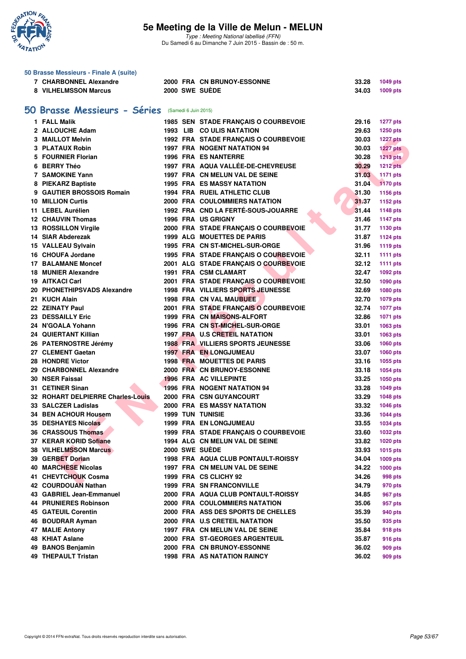

|    | 50 Brasse Messieurs - Finale A (suite)                   |                      |                                                              |                |                 |
|----|----------------------------------------------------------|----------------------|--------------------------------------------------------------|----------------|-----------------|
|    | <b>7 CHARBONNEL Alexandre</b>                            |                      | <b>2000 FRA CN BRUNOY-ESSONNE</b>                            | 33.28          | 1049 pts        |
|    | 8 VILHELMSSON Marcus                                     |                      | 2000 SWE SUÈDE                                               | 34.03          | 1009 pts        |
|    |                                                          |                      |                                                              |                |                 |
| 50 | <b>Brasse Messieurs - Séries</b>                         | (Samedi 6 Juin 2015) |                                                              |                |                 |
|    | 1 FALL Malik                                             |                      | 1985 SEN STADE FRANÇAIS O COURBEVOIE                         | 29.16          | <b>1277 pts</b> |
|    | 2 ALLOUCHE Adam                                          |                      | 1993 LIB CO ULIS NATATION                                    | 29.63          | 1250 pts        |
|    | 3 MAILLOT Melvin                                         |                      | 1992 FRA STADE FRANÇAIS O COURBEVOIE                         | 30.03          | <b>1227 pts</b> |
|    | 3 PLATAUX Robin                                          |                      | 1997 FRA NOGENT NATATION 94                                  | 30.03          | <b>1227 pts</b> |
|    | 5 FOURNIER Florian                                       |                      | <b>1996 FRA ES NANTERRE</b>                                  | 30.28          | 1213 pts        |
|    | 6 BERRY Théo                                             |                      | 1997 FRA AQUA VALLÉE-DE-CHEVREUSE                            | 30.29          | <b>1212 pts</b> |
|    | 7 SAMOKINE Yann                                          |                      | 1997 FRA CN MELUN VAL DE SEINE                               | 31.03          | 1171 pts        |
|    | 8 PIEKARZ Baptiste                                       |                      | <b>1995 FRA ES MASSY NATATION</b>                            | 31.04          | 1170 pts        |
|    | 9 GAUTIER BROSSOIS Romain                                |                      | <b>1994 FRA RUEIL ATHLETIC CLUB</b>                          | 31.30          | 1156 pts        |
|    | <b>10 MILLION Curtis</b>                                 |                      | <b>2000 FRA COULOMMIERS NATATION</b>                         | 31.37          | 1152 pts        |
|    | 11 LEBEL Aurélien                                        |                      | 1992 FRA CND LA FERTÉ-SOUS-JOUARRE                           | 31.44          | 1148 pts        |
|    | <b>12 CHAUVIN Thomas</b>                                 |                      | <b>1996 FRA US GRIGNY</b>                                    | 31.46          | <b>1147 pts</b> |
|    | 13 ROSSILLON Virgile                                     |                      | 2000 FRA STADE FRANÇAIS O COURBEVOIE                         | 31.77          | 1130 pts        |
|    | 14 SIAR Abderezak                                        |                      | <b>1999 ALG MOUETTES DE PARIS</b>                            | 31.87          | <b>1124 pts</b> |
|    | 15 VALLEAU Sylvain                                       |                      | 1995 FRA CN ST-MICHEL-SUR-ORGE                               | 31.96          | 1119 pts        |
|    | 16 CHOUFA Jordane                                        |                      | 1995 FRA STADE FRANÇAIS O COURBEVOIE                         | 32.11          | <b>1111 pts</b> |
|    | <b>17 BALAMANE Moncef</b>                                |                      | 2001 ALG STADE FRANÇAIS O COURBEVOIE                         | 32.12          | <b>1111 pts</b> |
|    | 18 MUNIER Alexandre                                      |                      | 1991 FRA CSM CLAMART                                         | 32.47          | 1092 pts        |
|    | 19 AITKACI Carl                                          |                      | 2001 FRA STADE FRANÇAIS O COURBEVOIE                         | 32.50          | 1090 pts        |
|    | 20 PHONETHIPSVADS Alexandre                              |                      | 1998 FRA VILLIERS SPORTS JEUNESSE                            | 32.69          | 1080 pts        |
|    | 21 KUCH Alain                                            |                      | 1998 FRA CN VAL MAUBUEE                                      | 32.70          | 1079 pts        |
|    | 22 ZEINATY Paul                                          |                      | 2001 FRA STADE FRANÇAIS O COURBEVOIE                         | 32.74          | <b>1077 pts</b> |
|    | 23 DESSAILLY Eric                                        |                      | <b>1999 FRA CN MAISONS-ALFORT</b>                            | 32.86          | 1071 pts        |
|    | 24 N'GOALA Yohann                                        |                      | 1996 FRA CN ST-MICHEL-SUR-ORGE                               | 33.01          | 1063 pts        |
|    | 24 QUIERTANT Killian                                     |                      | 1997 FRA U.S CRETEIL NATATION                                | 33.01          |                 |
|    |                                                          |                      | <b>1988 FRA VILLIERS SPORTS JEUNESSE</b>                     | 33.06          | 1063 pts        |
|    | 26 PATERNOSTRE Jérémy<br>27 CLEMENT Gaetan               |                      | 1997 FRA EN LONGJUMEAU                                       | 33.07          | 1060 pts        |
|    | 28 HONDRE Victor                                         |                      | <b>1998 FRA MOUETTES DE PARIS</b>                            | 33.16          | 1060 pts        |
|    | 29 CHARBONNEL Alexandre                                  |                      | 2000 FRA CN BRUNOY-ESSONNE                                   | 33.18          | 1055 pts        |
|    | 30 NSER Faissal                                          |                      |                                                              |                | 1054 pts        |
|    | 31 CETINER Sinan                                         |                      | <b>1996 FRA AC VILLEPINTE</b><br>1996 FRA NOGENT NATATION 94 | 33.25<br>33.28 | 1050 pts        |
|    |                                                          |                      | 2000 FRA CSN GUYANCOURT                                      |                | 1049 pts        |
|    | 32 ROHART DELPIERRE Charles-Louis<br>33 SALCZER Ladislas |                      | 2000 FRA ES MASSY NATATION                                   | 33.29          | 1048 pts        |
|    | 34 BEN ACHOUR Housem                                     |                      |                                                              | 33.32<br>33.36 | 1046 pts        |
|    | <b>35 DESHAYES Nicolas</b>                               |                      | <b>1999 TUN TUNISIE</b><br><b>1999 FRA EN LONGJUMEAU</b>     |                | 1044 pts        |
|    | 36 CRASSOUS Thomas                                       |                      | 1999 FRA STADE FRANCAIS O COURBEVOIE                         | 33.55          | 1034 pts        |
|    |                                                          |                      | 1994 ALG CN MELUN VAL DE SEINE                               | 33.60          | 1032 pts        |
|    | 37 KERAR KORID Sofiane                                   |                      | 2000 SWE SUÈDE                                               | 33.82          | 1020 pts        |
|    | <b>38 VILHELMSSON Marcus</b>                             |                      |                                                              | 33.93          | 1015 pts        |
|    | 39 GERBET Dorian                                         |                      | 1998 FRA AQUA CLUB PONTAULT-ROISSY                           | 34.04          | 1009 pts        |
|    | <b>40 MARCHESE Nicolas</b>                               |                      | 1997 FRA CN MELUN VAL DE SEINE                               | 34.22          | 1000 pts        |
|    | 41 CHEVTCHOUK Cosma                                      |                      | 1999 FRA CS CLICHY 92                                        | 34.26          | 998 pts         |
|    | 42 COURDOUAN Nathan                                      |                      | <b>1999 FRA SN FRANCONVILLE</b>                              | 34.79          | 970 pts         |
|    | 43 GABRIEL Jean-Emmanuel                                 |                      | 2000 FRA AQUA CLUB PONTAULT-ROISSY                           | 34.85          | 967 pts         |
|    | <b>44 PRUNIERES Robinson</b>                             |                      | <b>2000 FRA COULOMMIERS NATATION</b>                         | 35.06          | 957 pts         |
|    | <b>45 GATEUIL Corentin</b>                               |                      | 2000 FRA ASS DES SPORTS DE CHELLES                           | 35.39          | 940 pts         |
|    | 46 BOUDRAR Ayman                                         |                      | 2000 FRA U.S CRETEIL NATATION                                | 35.50          | 935 pts         |
|    | 47 MALIE Antony                                          |                      | 1997 FRA CN MELUN VAL DE SEINE                               | 35.84          | 918 pts         |
|    | 48 KHIAT Aslane                                          |                      | 2000 FRA ST-GEORGES ARGENTEUIL                               | 35.87          | 916 pts         |
|    | 49 BANOS Benjamin                                        |                      | <b>2000 FRA CN BRUNOY-ESSONNE</b>                            | 36.02          | 909 pts         |
|    | 49 THEPAULT Tristan                                      |                      | <b>1998 FRA AS NATATION RAINCY</b>                           | 36.02          | 909 pts         |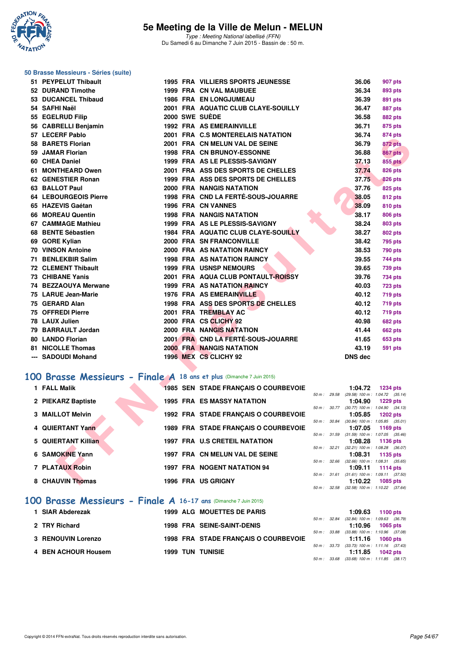

#### **50 Brasse Messieurs - Séries (suite)**

| 51 PEYPELUT Thibault                                                 |  | 1995 FRA VILLIERS SPORTS JEUNESSE    |              | 36.06                                           | 907 pts                                                            |
|----------------------------------------------------------------------|--|--------------------------------------|--------------|-------------------------------------------------|--------------------------------------------------------------------|
| 52 DURAND Timothe                                                    |  | 1999 FRA CN VAL MAUBUEE              |              | 36.34                                           | 893 pts                                                            |
| 53 DUCANCEL Thibaud                                                  |  | <b>1986 FRA EN LONGJUMEAU</b>        |              | 36.39                                           | 891 pts                                                            |
| 54 SAFHI Naël                                                        |  | 2001 FRA AQUATIC CLUB CLAYE-SOUILLY  |              | 36.47                                           | <b>887 pts</b>                                                     |
| 55 EGELRUD Filip                                                     |  | 2000 SWE SUÈDE                       |              | 36.58                                           | 882 pts                                                            |
| 56 CABRELLI Benjamin                                                 |  | <b>1992 FRA AS EMERAINVILLE</b>      |              | 36.71                                           | 875 pts                                                            |
| 57 LECERF Pablo                                                      |  | 2001 FRA C.S MONTERELAIS NATATION    |              | 36.74                                           | 874 pts                                                            |
| 58 BARETS Florian                                                    |  | 2001 FRA CN MELUN VAL DE SEINE       |              | 36.79                                           | 872 pts                                                            |
| 59 JAMAR Florian                                                     |  | <b>1998 FRA CN BRUNOY-ESSONNE</b>    |              | 36.88                                           | 867 pts                                                            |
| 60 CHEA Daniel                                                       |  | 1999 FRA AS LE PLESSIS-SAVIGNY       |              | 37.13                                           | <b>855 pts</b>                                                     |
| 61 MONTHEARD Owen                                                    |  | 2001 FRA ASS DES SPORTS DE CHELLES   |              | 37.74                                           | <b>826 pts</b>                                                     |
| 62 GENESTIER Ronan                                                   |  | 1999 FRA ASS DES SPORTS DE CHELLES   |              | 37.75                                           | <b>826 pts</b>                                                     |
| 63 BALLOT Paul                                                       |  | 2000 FRA NANGIS NATATION             |              | 37.76                                           | <b>825 pts</b>                                                     |
| 64 LEBOURGEOIS Pierre                                                |  | 1998 FRA CND LA FERTÉ-SOUS-JOUARRE   |              | 38.05                                           | <b>812 pts</b>                                                     |
| 65 HAZEVIS Gaétan                                                    |  | 1996 FRA CN VANNES                   |              | 38.09                                           | 810 pts                                                            |
| 66 MOREAU Quentin                                                    |  | <b>1998 FRA NANGIS NATATION</b>      |              | 38.17                                           | 806 pts                                                            |
| 67 CAMMAGE Mathieu                                                   |  | 1999 FRA AS LE PLESSIS-SAVIGNY       |              | 38.24                                           | 803 pts                                                            |
| 68 BENTE Sébastien                                                   |  | 1984 FRA AQUATIC CLUB CLAYE-SOUILLY  |              | 38.27                                           | 802 pts                                                            |
| 69 GORE Kylian                                                       |  | 2000 FRA SN FRANCONVILLE             |              | 38.42                                           | 795 pts                                                            |
| <b>70 VINSON Antoine</b>                                             |  | 2000 FRA AS NATATION RAINCY          |              | 38.53                                           | <b>790 pts</b>                                                     |
| 71 BENLEKBIR Salim                                                   |  | <b>1998 FRA AS NATATION RAINCY</b>   |              | 39.55                                           | 744 pts                                                            |
| <b>72 CLEMENT Thibault</b>                                           |  | <b>1999 FRA USNSP NEMOURS</b>        |              | 39.65                                           | <b>739 pts</b>                                                     |
| 73 CHIBANE Yanis                                                     |  | 2001 FRA AQUA CLUB PONTAULT-ROISSY   |              | 39.76                                           | 734 pts                                                            |
| 74 BEZZAOUYA Merwane                                                 |  | 1999 FRA AS NATATION RAINCY          |              | 40.03                                           | <b>723 pts</b>                                                     |
| 75 LARUE Jean-Marie                                                  |  | 1976 FRA AS EMERAINVILLE             |              | 40.12                                           | <b>719 pts</b>                                                     |
| 75 GERARD Alan                                                       |  | 1998 FRA ASS DES SPORTS DE CHELLES   |              | 40.12                                           | 719 pts                                                            |
| 75 OFFREDI Pierre                                                    |  | 2001 FRA TREMBLAY AC                 |              | 40.12                                           | 719 pts                                                            |
| 78 LAUX Julien                                                       |  | 2000 FRA CS CLICHY 92                |              | 40.98                                           | <b>682 pts</b>                                                     |
| 79 BARRAULT Jordan                                                   |  | 2000 FRA NANGIS NATATION             |              | 41.44                                           | <b>662 pts</b>                                                     |
| 80 LANDO Florian                                                     |  | 2001 FRA CND LA FERTÉ-SOUS-JOUARRE   |              | 41.65                                           | 653 pts                                                            |
| 81 NICOLLE Thomas                                                    |  | <b>2000 FRA NANGIS NATATION</b>      |              | 43.19                                           | 591 pts                                                            |
| --- SADOUDI Mohand                                                   |  | 1996 MEX CS CLICHY 92                |              | <b>DNS dec</b>                                  |                                                                    |
|                                                                      |  |                                      |              |                                                 |                                                                    |
| 00 Brasse Messieurs - Finale A 18 ans et plus (Dimanche 7 Juin 2015) |  |                                      |              |                                                 |                                                                    |
| 1 FALL Malik                                                         |  | 1985 SEN STADE FRANÇAIS O COURBEVOIE |              | 1:04.72                                         | <b>1234 pts</b>                                                    |
|                                                                      |  |                                      | 50 m: 29.58  |                                                 | (29.58) 100 m : 1:04.72 (35.14)                                    |
| 2 PIEKARZ Baptiste                                                   |  | <b>1995 FRA ES MASSY NATATION</b>    | 50 m : 30.77 | 1:04.90                                         | <b>1229 pts</b><br>$(30.77)$ 100 m : 1:04.90 $(34.13)$             |
| 3 MAILLOT Melvin                                                     |  | 1992 FRA STADE FRANÇAIS O COURBEVOIE |              | 1:05.85                                         | <b>1202 pts</b>                                                    |
|                                                                      |  |                                      | 50 m : 30.84 |                                                 | $(30.84)$ 100 m : 1:05.85 $(35.01)$                                |
| 4 QUIERTANT Yann                                                     |  | 1989 FRA STADE FRANÇAIS O COURBEVOIE |              | 1:07.05                                         | 1169 pts<br>$50 m$ : $31.59$ $(31.59) 100 m$ : $1.07.05$ $(35.46)$ |
| 5 QUIERTANT Killian                                                  |  | 1997 FRA U.S CRETEIL NATATION        |              | 1:08.28                                         | 1136 pts                                                           |
|                                                                      |  |                                      | 50 m: 32.21  |                                                 | $(32.21)$ 100 m : 1:08.28 $(36.07)$                                |
| 6 SAMOKINE Yann                                                      |  | 1997 FRA CN MELUN VAL DE SEINE       |              | 1:08.31<br>50 m : 32.66 (32.66) 100 m : 1:08.31 | 1135 pts<br>(35.65)                                                |
| 7 PLATAUX Robin                                                      |  | <b>1997 FRA NOGENT NATATION 94</b>   |              | 1:09.11                                         | 1114 pts                                                           |
|                                                                      |  |                                      |              |                                                 | 50 m: 31.61 (31.61) 100 m: 1:09.11 (37.50)                         |
| 8 CHAUVIN Thomas                                                     |  | 1996 FRA US GRIGNY                   |              | 1:10.22                                         | 1085 pts                                                           |

### **[100 Brasse Messieurs - Finale A](http://www.ffnatation.fr/webffn/resultats.php?idact=nat&go=epr&idcpt=31115&idepr=72) 18 ans et plus** (Dimanche 7 Juin 2015)

| 1 FALL Malik        | <b>1985 SEN STADE FRANCAIS O COURBEVOIE</b> |              | 1:04.72<br><b>1234 pts</b>                                        |
|---------------------|---------------------------------------------|--------------|-------------------------------------------------------------------|
| 2 PIEKARZ Baptiste  | <b>1995 FRA ES MASSY NATATION</b>           | 50 m: 29.58  | $(29.58)$ 100 m : 1:04.72 $(35.14)$<br>1:04.90<br><b>1229 pts</b> |
| 3 MAILLOT Melvin    | 1992 FRA STADE FRANCAIS O COURBEVOIE        | 50 m: 30.77  | $(30.77)$ 100 m : 1:04.90 $(34.13)$<br>1:05.85<br><b>1202 pts</b> |
| 4 QUIERTANT Yann    | 1989 FRA STADE FRANCAIS O COURBEVOIE        | 50 m : 30.84 | $(30.84)$ 100 m : 1:05.85 $(35.01)$<br>1:07.05<br>1169 pts        |
| 5 QUIERTANT Killian | <b>1997 FRA U.S CRETEIL NATATION</b>        | 50 m: 31.59  | $(31.59)$ 100 m : 1:07.05 $(35.46)$<br>1:08.28<br>1136 pts        |
| 6 SAMOKINE Yann     | 1997 FRA CN MELUN VAL DE SEINE              | 50 m: 32.21  | $(32.21)$ 100 m : 1:08.28 $(36.07)$<br>1:08.31<br>1135 pts        |
| 7 PLATAUX Robin     | 1997 FRA NOGENT NATATION 94                 | 50 m: 32.66  | $(32.66)$ 100 m : 1:08.31 $(35.65)$<br>1:09.11<br>1114 $pts$      |
| 8 CHAUVIN Thomas    | <b>1996 FRA US GRIGNY</b>                   | 50 m: 31.61  | $(31.61)$ 100 m : 1:09.11 $(37.50)$<br>1:10.22<br><b>1085 pts</b> |
|                     |                                             | 50 m : 32.58 | $(32.58)$ 100 m : 1:10.22 $(37.64)$                               |
|                     |                                             |              |                                                                   |

#### **[100 Brasse Messieurs - Finale A](http://www.ffnatation.fr/webffn/resultats.php?idact=nat&go=epr&idcpt=31115&idepr=72) 16-17 ans** (Dimanche 7 Juin 2015)

| 1 SIAR Abderezak    | <b>1999 ALG MOUETTES DE PARIS</b>    |  | 1:09.63 | 1100 pts                                                                 |
|---------------------|--------------------------------------|--|---------|--------------------------------------------------------------------------|
| 2 TRY Richard       | <b>1998 FRA SEINE-SAINT-DENIS</b>    |  |         | 50 m: 32.84 (32.84) 100 m: 1:09.63 (36.79)<br>$1:10.96$ 1065 pts         |
| 3 RENOUVIN Lorenzo  | 1998 FRA STADE FRANCAIS O COURBEVOIE |  |         | 50 m: 33.88 (33.88) 100 m: 1:10.96 (37.08)<br>$1:11.16$ 1060 pts         |
| 4 BEN ACHOUR Housem | <b>1999 TUN TUNISIE</b>              |  |         | 50 m: 33.73 (33.73) 100 m: 1:11.16 (37.43)<br>1:11.85 $1042 \text{ pts}$ |
|                     |                                      |  |         | 50 m: 33.68 (33.68) 100 m: 1:11.85 (38.17)                               |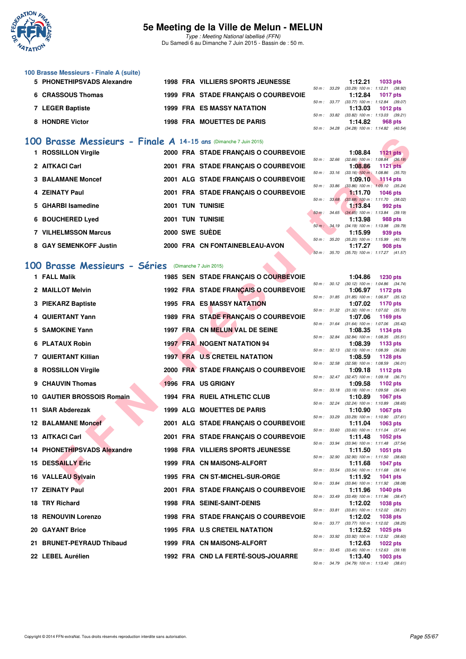

Type : Meeting National labellisé (FFN) Du Samedi 6 au Dimanche 7 Juin 2015 - Bassin de : 50 m.

| 100 Brasse Messieurs - Finale A (suite) |                                          |                  |         |                                               |
|-----------------------------------------|------------------------------------------|------------------|---------|-----------------------------------------------|
| 5 PHONETHIPSVADS Alexandre              | <b>1998 FRA VILLIERS SPORTS JEUNESSE</b> |                  | 1:12.21 | 1033 pts                                      |
|                                         |                                          | 50 m: 33.29      |         | $(33.29)$ 100 m : 1:12.21 $(38.92)$           |
| 6 CRASSOUS Thomas                       | 1999 FRA STADE FRANCAIS O COURBEVOIE     |                  | 1:12.84 | 1017 pts                                      |
|                                         |                                          | $50 m$ : $33.77$ |         | $(33.77)$ 100 m : 1:12.84 $(39.07)$           |
| 7 LEGER Baptiste                        | <b>1999 FRA ES MASSY NATATION</b>        |                  | 1:13.03 | 1012 pts                                      |
|                                         |                                          | 50 m: 33.82      |         | $(33.82)$ 100 m : 1:13.03 $(39.21)$           |
| 8 HONDRE Victor                         | <b>1998 FRA MOUETTES DE PARIS</b>        |                  | 1:14.82 | 968 pts                                       |
|                                         |                                          |                  |         | $50 m - 3428$ $(3428) 100 m - 11482$ $(4054)$ |

#### **[100 Brasse Messieurs - Finale A](http://www.ffnatation.fr/webffn/resultats.php?idact=nat&go=epr&idcpt=31115&idepr=72) 14-15 ans** (Dimanche 7 Juin 2015)

| 1 ROSSILLON Virgile         |                 | 2000 FRA STADE FRANCAIS O COURBEVOIE |              |       | 1:08.84                                        | $1121$ pts                        |  |
|-----------------------------|-----------------|--------------------------------------|--------------|-------|------------------------------------------------|-----------------------------------|--|
|                             |                 |                                      | 50 m: 32.66  |       | $(32.66)$ 100 m : 1:08.84 $(36.18)$            |                                   |  |
| 2 AITKACI Carl              |                 | 2001 FRA STADE FRANCAIS O COURBEVOIE |              |       | 1:08.86                                        | $1121$ pts                        |  |
| <b>3 BALAMANE Moncef</b>    |                 | 2001 ALG STADE FRANÇAIS O COURBEVOIE | 50 m: 33.16  |       | $(33.16)$ 100 m :<br>1:09.10                   | $1:08.86$ $(35.70)$<br>$1114$ pts |  |
| 4 ZEINATY Paul              |                 | 2001 FRA STADE FRANCAIS O COURBEVOIE | 50 m: 33.86  |       | $(33.86)$ 100 m : 1:09.10 $(35.24)$<br>1:11.70 | <b>1046 pts</b>                   |  |
| 5 GHARBI Isamedine          | <b>2001 TUN</b> | <b>TUNISIE</b>                       | 50 m: 33.68  |       | $(33.68)$ 100 m : 1:11.70 $(38.02)$<br>1:13.84 | 992 pts                           |  |
|                             |                 |                                      | 50 m : 34.65 |       | $(34.65)$ 100 m : 1:13.84 $(39.19)$            |                                   |  |
| 6 BOUCHERED Lyed            | <b>2001 TUN</b> | <b>TUNISIE</b>                       |              |       | 1:13.98                                        | 988 pts                           |  |
| <b>7 VILHELMSSON Marcus</b> |                 | 2000 SWE SUÈDE                       | 50 m : 34.19 |       | $(34.19)$ 100 m : 1:13.98 $(39.79)$<br>1:15.99 | 939 pts                           |  |
|                             |                 |                                      | 50 m: 35.20  |       | $(35.20)$ 100 m : 1:15.99 $(40.79)$            |                                   |  |
| 8 GAY SEMENKOFF Justin      |                 | 2000 FRA CN FONTAINEBLEAU-AVON       |              |       | 1:17.27                                        | 908 pts                           |  |
|                             |                 |                                      | $50 m$ :     | 35.70 | $(35.70)$ 100 m : 1:17.27 $(41.57)$            |                                   |  |

#### **[100 Brasse Messieurs - Séries](http://www.ffnatation.fr/webffn/resultats.php?idact=nat&go=epr&idcpt=31115&idepr=72)** (Dimanche 7 Juin 2015)

| <b>00 Brasse Messieurs - Finale A 14-15 ans (Dimanche 7 Juin 2015)</b> |  |                                          |              |              |                |                                                               |
|------------------------------------------------------------------------|--|------------------------------------------|--------------|--------------|----------------|---------------------------------------------------------------|
| 1 ROSSILLON Virgile                                                    |  | 2000 FRA STADE FRANÇAIS O COURBEVOIE     |              |              | 1:08.84        | 1121 $pts$                                                    |
| 2 AITKACI Carl                                                         |  | 2001 FRA STADE FRANÇAIS O COURBEVOIE     | 50 m: 32.66  |              | 1:08.86        | $(32.66)$ 100 m : 1:08.84 $(36.18)$<br><b>1121 pts</b>        |
| 3 BALAMANE Moncef                                                      |  | 2001 ALG STADE FRANCAIS O COURBEVOIE     | 50 m: 33.16  |              | 1:09.10        | $(33.16)$ 100 m : 1:08.86 $(35.70)$<br>1114 pts               |
|                                                                        |  |                                          | 50 m : 33.86 |              |                | $(33.86)$ 100 m : 1:09.10 $(35.24)$                           |
| 4 ZEINATY Paul                                                         |  | 2001 FRA STADE FRANÇAIS O COURBEVOIE     | 50 m: 33.68  |              | 1.11.70        | <b>1046 pts</b><br>$(33.68)$ 100 m : 1:11.70 $(38.02)$        |
| 5 GHARBI Isamedine                                                     |  | <b>2001 TUN TUNISIE</b>                  |              |              | <b>1:13.84</b> | 992 pts                                                       |
| 6 BOUCHERED Lyed                                                       |  | <b>2001 TUN TUNISIE</b>                  | $50 m$ :     | 34.65        | 1:13.98        | $(34.65)$ 100 m : 1:13.84 $(39.19)$<br>988 pts                |
| <b>7 VILHELMSSON Marcus</b>                                            |  | 2000 SWE SUEDE                           |              |              | 1:15.99        | 50 m : 34.19 (34.19) 100 m : 1:13.98 (39.79)<br>939 pts       |
|                                                                        |  |                                          | 50 m : 35.20 |              |                | $(35.20)$ 100 m : 1:15.99 $(40.79)$                           |
| 8 GAY SEMENKOFF Justin                                                 |  | 2000 FRA CN FONTAINEBLEAU-AVON           |              | 50 m : 35.70 | 1:17.27        | 908 pts<br>$(35.70)$ 100 m : 1:17.27 $(41.57)$                |
| 00 Brasse Messieurs - Séries (Dimanche 7 Juin 2015)                    |  |                                          |              |              |                |                                                               |
|                                                                        |  |                                          |              |              |                |                                                               |
| 1 FALL Malik                                                           |  | 1985 SEN STADE FRANÇAIS O COURBEVOIE     |              |              | 1:04.86        | <b>1230 pts</b><br>50 m: 30.12 (30.12) 100 m: 1:04.86 (34.74) |
| 2 MAILLOT Melvin                                                       |  | 1992 FRA STADE FRANÇAIS O COURBEVOIE     |              |              | 1:06.97        | 1172 pts<br>$(31.85)$ 100 m : 1:06.97 $(35.12)$               |
| 3 PIEKARZ Baptiste                                                     |  | 1995 FRA ES MASSY NATATION               |              | 50 m : 31.85 | 1:07.02        | <b>1170 pts</b>                                               |
| 4 QUIERTANT Yann                                                       |  | 1989 FRA STADE FRANÇAIS O COURBEVOIE     |              |              | 1:07.06        | 50 m: 31.32 (31.32) 100 m: 1:07.02 (35.70)<br>1169 pts        |
|                                                                        |  |                                          | 50 m: 31.64  |              |                | $(31.64)$ 100 m : 1:07.06 $(35.42)$                           |
| 5 SAMOKINE Yann                                                        |  | 1997 FRA CN MELUN VAL DE SEINE           | 50 m : 32.84 |              | 1:08.35        | 1134 pts<br>$(32.84)$ 100 m : 1:08.35 $(35.51)$               |
| 6 PLATAUX Robin                                                        |  | <b>1997 FRA NOGENT NATATION 94</b>       |              |              | 1:08.39        | 1133 pts                                                      |
| 7 QUIERTANT Killian                                                    |  | <b>1997 FRA U.S CRETEIL NATATION</b>     |              | 50 m: 32.13  | 1:08.59        | $(32.13)$ 100 m : 1:08.39 $(36.26)$<br>1128 pts               |
| 8 ROSSILLON Virgile                                                    |  | 2000 FRA STADE FRANÇAIS O COURBEVOIE     | 50 m: 32.58  |              | 1:09.18        | $(32.58)$ 100 m : 1:08.59 $(36.01)$<br>1112 pts               |
|                                                                        |  |                                          |              |              |                | 50 m: 32.47 (32.47) 100 m: 1:09.18 (36.71)                    |
| 9 CHAUVIN Thomas                                                       |  | 1996 FRA US GRIGNY                       |              | 50 m : 33.18 | 1:09.58        | 1102 pts<br>$(33.18)$ 100 m : 1:09.58 $(36.40)$               |
| 10 GAUTIER BROSSOIS Romain                                             |  | <b>1994 FRA RUEIL ATHLETIC CLUB</b>      |              |              | 1:10.89        | <b>1067 pts</b>                                               |
| 11 SIAR Abderezak                                                      |  | <b>1999 ALG MOUETTES DE PARIS</b>        | 50 m: 32.24  |              | 1:10.90        | (32.24) 100 m: 1:10.89 (38.65)<br><b>1067 pts</b>             |
| <b>12 BALAMANE Moncef</b>                                              |  | 2001 ALG STADE FRANÇAIS O COURBEVOIE     | 50 m: 33.29  |              | 1:11.04        | $(33.29)$ 100 m : 1:10.90 $(37.61)$<br>1063 pts               |
|                                                                        |  |                                          | 50 m: 33.60  |              |                | $(33.60)$ 100 m : 1:11.04 $(37.44)$                           |
| 13 AITKACI Carl                                                        |  | 2001 FRA STADE FRANÇAIS O COURBEVOIE     | 50 m : 33.94 |              | 1:11.48        | 1052 pts<br>$(33.94)$ 100 m : 1:11.48 $(37.54)$               |
| 14 PHONETHIPSVADS Alexandre                                            |  | <b>1998 FRA VILLIERS SPORTS JEUNESSE</b> |              |              | 1:11.50        | 1051 pts                                                      |
| <b>15 DESSAILLY Eric</b>                                               |  | 1999 FRA CN MAISONS-ALFORT               | 50 m: 32.90  |              | 1:11.68        | $(32.90)$ 100 m : 1:11.50 $(38.60)$<br>1047 pts               |
| 16 VALLEAU Sylvain                                                     |  | 1995 FRA CN ST-MICHEL-SUR-ORGE           |              | 50 m : 33.54 | 1:11.92        | $(33.54)$ 100 m : 1:11.68 $(38.14)$<br><b>1041 pts</b>        |
|                                                                        |  |                                          |              | 50 m : 33.84 |                | $(33.84)$ 100 m : 1:11.92 $(38.08)$                           |
| 17 ZEINATY Paul                                                        |  | 2001 FRA STADE FRANÇAIS O COURBEVOIE     |              |              | 1:11.96        | 1040 pts<br>50 m: 33.49 (33.49) 100 m: 1:11.96 (38.47)        |
| 18 TRY Richard                                                         |  | <b>1998 FRA SEINE-SAINT-DENIS</b>        |              |              | 1:12.02        | <b>1038 pts</b>                                               |
| <b>18 RENOUVIN Lorenzo</b>                                             |  | 1998 FRA STADE FRANÇAIS O COURBEVOIE     |              |              | 1:12.02        | 50 m: 33.81 (33.81) 100 m: 1:12.02 (38.21)<br><b>1038 pts</b> |
| 20 GAYANT Brice                                                        |  | 1995 FRA U.S CRETEIL NATATION            |              |              | 1:12.52        | 50 m: 33.77 (33.77) 100 m: 1:12.02 (38.25)<br>1025 pts        |
|                                                                        |  |                                          |              |              |                | 50 m: 33.92 (33.92) 100 m: 1:12.52 (38.60)                    |
| 21 BRUNET-PEYRAUD Thibaud                                              |  | <b>1999 FRA CN MAISONS-ALFORT</b>        |              |              | 1:12.63        | <b>1022 pts</b><br>50 m: 33.45 (33.45) 100 m: 1:12.63 (39.18) |
| 22 LEBEL Aurélien                                                      |  | 1992 FRA CND LA FERTÉ-SOUS-JOUARRE       |              |              | 1:13.40        | 1003 pts<br>50 m : 34.79 (34.79) 100 m : 1:13.40 (38.61)      |
|                                                                        |  |                                          |              |              |                |                                                               |

#### 50 m : 30.12 (30.12) 100 m : 1:04.86 (34.74) 50 m : 31.85 (31.85) 100 m : 1:06.97 (35.12)<br>**1:07.02** 1170 pts 50 m : 31.32 (31.32) 100 m : 1:07.02 (35.70)<br>**1:07.06** 1169 pts 50 m : 31.64 (31.64) 100 m : 1:07.06 (35.42)<br>**1:08.35** 1134 pts 50 m : 32.84 (32.84) 100 m : 1:08.35 (35.51)<br>**1:08.39** 1133 pts 50 m : 32.13 (32.13) 100 m : 1:08.39 (36.26)<br>**1:08.59** 1128 pts 50 m : 32.58 (32.58) 100 m : 1:08.59 (36.01)<br>**1:09.18** 1112 pts 50 m : 32.47 (32.47) 100 m : 1:09.18 (36.71) 50 m : 33.18 (33.18) 100 m : 1:09.58 (36.40)<br>**1:10.89** 1067 pts 50 m : 32.24 (32.24) 100 m : 1:10.89 (38.65) 50 m : 33.29 (33.29) 100 m : 1:10.90 (37.61) **1:11.04 1063 pts** 50 m : 33.60 (33.60) 100 m : 1:11.04 (37.44) **1:11.48 1052 pts** 50 m : 33.94 (33.94) 100 m : 1:11.48 (37.54) **1:11.50 1051 pts** 50 m : 32.90 (32.90) 100 m : 1:11.50 (38.60) **15 DESSAILLY Eric 1999 FRA CN MAISONS-ALFORT 1:11.68 1047 pts** 50 m : 33.54 (33.54) 100 m : 1:11.68 (38.14) **1:11.92 1041 pts**<br>13.84) 100 m : 1:11.92 (38.08) 50 m : 33.84 (33.84) 100 m : 1:11.92 (38.08) **17 ZEINATY Paul 2001 FRA STADE FRANÇAIS O COURBEVOIE 1:11.96 1040 pts** 50 m : 33.49 (33.49) 100 m : 1:11.96 (38.47) **18 TRY Richard 1998 FRA SEINE-SAINT-DENIS 1:12.02 1038 pts** 50 m : 33.81 (33.81) 100 m : 1:12.02 (38.21) **1:12.02 1038 pts** 50 m : 33.77 (33.77) 100 m : 1:12.02 (38.25) **20 GAYANT Brice 1995 FRA U.S CRETEIL NATATION 1:12.52 1025 pts** 50 m : 33.92 (33.92) 100 m : 1:12.52 (38.60) **1:12.63 1022 pts**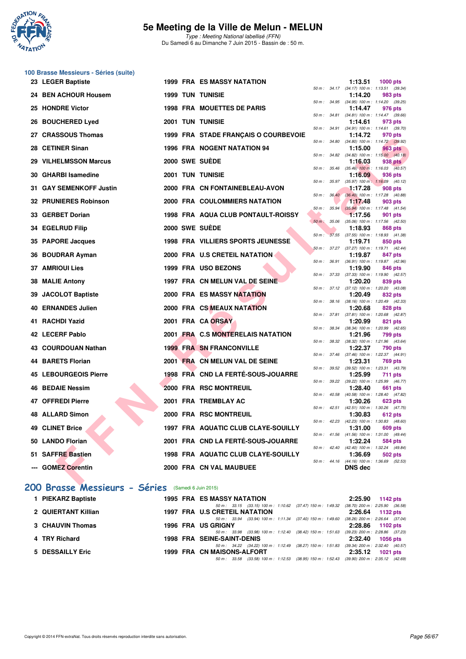

**100 Brasse Messieurs - Séries (suite)**

### **5e Meeting de la Ville de Melun - MELUN**

Type : Meeting National labellisé (FFN) Du Samedi 6 au Dimanche 7 Juin 2015 - Bassin de : 50 m.

|     | 23 LEGER Baptiste            |  | <b>1999 FRA ES MASSY NATATION</b>         |                |                        | 1:13.51                                               | 1000 pts       |  |
|-----|------------------------------|--|-------------------------------------------|----------------|------------------------|-------------------------------------------------------|----------------|--|
|     | 24 BEN ACHOUR Housem         |  | <b>1999 TUN TUNISIE</b>                   |                | $50 m$ : $34.17$       | $(34.17)$ 100 m : 1:13.51 $(39.34)$<br>1:14.20        | 983 pts        |  |
|     | 25 HONDRE Victor             |  | <b>1998 FRA MOUETTES DE PARIS</b>         |                |                        | 50 m: 34.95 (34.95) 100 m: 1:14.20 (39.25)<br>1:14.47 | 976 pts        |  |
| 26  | <b>BOUCHERED Lyed</b>        |  | <b>2001 TUN TUNISIE</b>                   |                | 50 m : 34.81           | (34.81) 100 m: 1:14.47 (39.66)<br>1:14.61             | 973 pts        |  |
| 27. | <b>CRASSOUS Thomas</b>       |  |                                           |                |                        | 50 m: 34.91 (34.91) 100 m: 1:14.61 (39.70)            |                |  |
|     |                              |  | 1999 FRA STADE FRANÇAIS O COURBEVOIE      | $50 m$ : 34.80 |                        | 1:14.72<br>(34.80) 100 m: 1:14.72 (39.92)             | 970 pts        |  |
|     | 28 CETINER Sinan             |  | <b>1996 FRA NOGENT NATATION 94</b>        | 50 m: 34.82    |                        | 1:15.00<br>$(34.82)$ 100 m : 1:15.00 $(40.18)$        | 963 pts        |  |
|     | 29 VILHELMSSON Marcus        |  | 2000 SWE SUEDE                            |                |                        | 1:16.03                                               | 938 pts        |  |
|     | 30 GHARBI Isamedine          |  | <b>2001 TUN TUNISIE</b>                   | 50 m: 35.46    |                        | $(35.46)$ 100 m : 1:16.03 $(40.57)$<br>1:16.09        | 936 pts        |  |
|     | 31 GAY SEMENKOFF Justin      |  | 2000 FRA CN FONTAINEBLEAU-AVON            | 50 m : 35.97   |                        | $(35.97)$ 100 m : 1:16.09 $(40.12)$<br>1:17.28        | 908 pts        |  |
|     |                              |  |                                           |                | 50 m: 36.40            | (36.40) 100 m: 1:17.28 (40.88)                        |                |  |
|     | 32 PRUNIERES Robinson        |  | 2000 FRA COULOMMIERS NATATION             | 50 m: 35.94    |                        | 1:17.48<br>(35.94) 100 m: 1:17.48 (41.54)             | 903 pts        |  |
|     | 33 GERBET Dorian             |  | <b>1998 FRA AQUA CLUB PONTAULT-ROISSY</b> |                |                        | 1:17.56                                               | 901 pts        |  |
|     | 34 EGELRUD Filip             |  | 2000 SWE SUEDE                            | $50 m$ :       | 35.06                  | (35.06) 100 m: 1:17.56 (42.50)<br>1:18.93             | 868 pts        |  |
|     |                              |  |                                           | $50 m$ :       | 37.55                  | (37.55) 100 m: 1:18.93 (41.38)                        |                |  |
|     | 35 PAPORE Jacques            |  | 1998 FRA VILLIERS SPORTS JEUNESSE         |                |                        | 1:19.71<br>50 m: 37.27 (37.27) 100 m: 1:19.71 (42.44) | 850 pts        |  |
|     | 36 BOUDRAR Ayman             |  | 2000 FRA U.S CRETEIL NATATION             |                | 50 m : 36.91           | 1:19.87<br>$(36.91)$ 100 m : 1:19.87 $(42.96)$        | 847 pts        |  |
|     | <b>37 AMRIOUI Lies</b>       |  | 1999 FRA USO BEZONS                       |                |                        | 1:19.90                                               | 846 pts        |  |
|     | 38 MALIE Antony              |  | 1997 FRA CN MELUN VAL DE SEINE            | 50 m: 37.33    |                        | (37.33) 100 m: 1:19.90 (42.57)<br>1:20.20             | 839 pts        |  |
| 39  | <b>JACOLOT Baptiste</b>      |  | 2000 FRA ES MASSY NATATION                |                | 50 m: 37.12            | $(37.12)$ 100 m : 1:20.20 $(43.08)$<br>1:20.49        | 832 pts        |  |
|     |                              |  |                                           |                |                        | 50 m: 38.16 (38.16) 100 m: 1:20.49 (42.33)            |                |  |
| 40  | <b>ERNANDES Julien</b>       |  | 2000 FRA CS MEAUX NATATION                |                | 50 m : 37.81           | 1:20.68<br>$(37.81)$ 100 m : 1:20.68 $(42.87)$        | 828 pts        |  |
|     | 41 RACHDI Yazid              |  | 2001 FRA CA ORSAY                         |                |                        | 1:20.99                                               | 821 pts        |  |
|     | 42 LECERF Pablo              |  | 2001 FRA C.S MONTERELAIS NATATION         |                | $50 \text{ m}$ : 38.34 | (38.34) 100 m: 1:20.99 (42.65)<br>1:21.96             | 799 pts        |  |
|     | 43 COURDOUAN Nathan          |  | <b>1999 FRA SN FRANCONVILLE</b>           |                | 50 m : 38.32           | $(38.32)$ 100 m : 1:21.96 $(43.64)$                   |                |  |
|     |                              |  |                                           | 50 m : 37.46   |                        | 1:22.37<br>$(37.46)$ 100 m : 1:22.37 $(44.91)$        | 790 pts        |  |
| 44  | <b>BARETS Florian</b>        |  | 2001 FRA CN MELUN VAL DE SEINE            |                | 50 m : 39.52           | 1:23.31<br>(39.52) 100 m : 1:23.31 (43.79)            | <b>769 pts</b> |  |
|     | <b>45 LEBOURGEOIS Pierre</b> |  | 1998 FRA CND LA FERTÉ-SOUS-JOUARRE        |                |                        | 1:25.99                                               | <b>711 pts</b> |  |
|     | <b>46 BEDAIE Nessim</b>      |  | 2000 FRA RSC MONTREUIL                    | 50 m : 39.22   |                        | (39.22) 100 m: 1:25.99 (46.77)<br>1:28.40             | 661 pts        |  |
|     | 47 OFFREDI Pierre            |  |                                           | 50 m: 40.58    |                        | (40.58) 100 m: 1:28.40 (47.82)                        |                |  |
|     |                              |  | 2001 FRA TREMBLAY AC                      |                | $50 m$ : $42.51$       | 1:30.26<br>(42.51) 100 m: 1:30.26 (47.75)             | 623 pts        |  |
| 48  | <b>ALLARD Simon</b>          |  | 2000 FRA RSC MONTREUIL                    | 50 m: 42.23    |                        | 1:30.83<br>$(42.23)$ 100 m : 1:30.83 $(48.60)$        | 612 pts        |  |
|     | <b>49 CLINET Brice</b>       |  | 1997 FRA AQUATIC CLUB CLAYE-SOUILLY       |                |                        | 1:31.00                                               | 609 pts        |  |
|     | 50 LANDO Florian             |  | 2001 FRA CND LA FERTÉ-SOUS-JOUARRE        |                |                        | 50 m: 41.56 (41.56) 100 m: 1:31.00 (49.44)<br>1:32.24 | 584 pts        |  |
|     | 51 SAFFRE Bastien            |  | 1998 FRA AQUATIC CLUB CLAYE-SOUILLY       | 50 m: 42.40    |                        | (42.40) 100 m: 1:32.24 (49.84)<br>1:36.69             | 502 pts        |  |
|     |                              |  |                                           |                | 50 m: 44.16            | $(44.16)$ 100 m : 1:36.69 (52.53)                     |                |  |
|     | --- GOMEZ Corentin           |  | 2000 FRA CN VAL MAUBUEE                   |                |                        | <b>DNS</b> dec                                        |                |  |
|     | $\sim$<br>$\sim$             |  |                                           |                |                        |                                                       |                |  |

### **[200 Brasse Messieurs - Séries](http://www.ffnatation.fr/webffn/resultats.php?idact=nat&go=epr&idcpt=31115&idepr=73)** (Samedi 6 Juin 2015)

| 1 PIEKARZ Baptiste  | <b>1995 FRA ES MASSY NATATION</b>                                                                                                                                                                 | 2:25.90 | 1142 $pts$                                                |
|---------------------|---------------------------------------------------------------------------------------------------------------------------------------------------------------------------------------------------|---------|-----------------------------------------------------------|
| 2 QUIERTANT Killian | 50 m: 33.15 (33.15) 100 m: 1:10.62 (37.47) 150 m: 1:49.32<br><b>1997 FRA U.S CRETEIL NATATION</b>                                                                                                 |         | $(38.70)$ 200 m : 2:25.90 $(36.58)$<br>2:26.64 1132 pts   |
| 3 CHAUVIN Thomas    | 50 m: 33.94 (33.94) 100 m: 1:11.34 (37.40) 150 m: 1:49.60<br><b>1996 FRA US GRIGNY</b>                                                                                                            |         | $(38.26)$ 200 m : 2:26.64 $(37.04)$<br>2:28.86 1102 pts   |
| 4 TRY Richard       | (38.42) 150 m : 1:51.63<br>50 m: 33.98 (33.98) 100 m: 1:12.40<br><b>1998 FRA SEINE-SAINT-DENIS</b>                                                                                                |         | $(39.23)$ 200 m : 2:28.86 $(37.23)$<br>2:32.40 1056 pts   |
| 5 DESSAILLY Eric    | (38.27) 150 m : 1:51.83<br>50 m: 34.22 (34.22) 100 m: 1:12.49<br>1999 FRA CN MAISONS-ALFORT<br>(38.95) 150 m : 1:52.43 (39.90) 200 m : 2:35.12 (42.69)<br>(33.58) 100 m : 1:12.53<br>50 m : 33.58 |         | $(39.34)$ 200 m : 2:32.40 $(40.57)$<br>$2:35.12$ 1021 pts |
|                     |                                                                                                                                                                                                   |         |                                                           |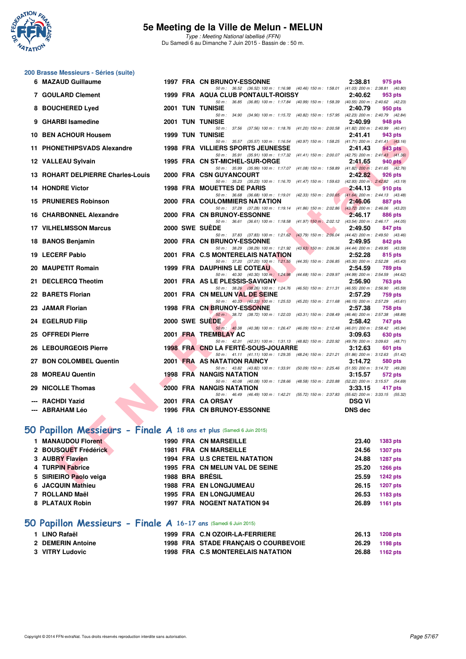

Type : Meeting National labellisé (FFN) Du Samedi 6 au Dimanche 7 Juin 2015 - Bassin de : 50 m.

# **200 Brasse Messieurs - Séries (suite)**

| 6 MAZAUD Guillaume                                                  |  | <b>1997 FRA CN BRUNOY-ESSONNE</b>                                                                                                     | 2:38.81        | 975 pts                       |
|---------------------------------------------------------------------|--|---------------------------------------------------------------------------------------------------------------------------------------|----------------|-------------------------------|
| 7 GOULARD Clement                                                   |  | 50 m: 36.52 (36.52) 100 m: 1:16.98 (40.46) 150 m: 1:58.01 (41.03) 200 m: 2:38.81 (40.80)<br>1999 FRA AQUA CLUB PONTAULT-ROISSY        | 2:40.62        | 953 pts                       |
| 8 BOUCHERED Lyed                                                    |  | 50 m: 36.85 (36.85) 100 m: 1:17.84 (40.99) 150 m: 1:58.39 (40.55) 200 m: 2:40.62 (42.23)<br><b>2001 TUN TUNISIE</b>                   | 2:40.79        | 950 pts                       |
| 9 GHARBI Isamedine                                                  |  | 50 m: 34.90 (34.90) 100 m: 1:15.72 (40.82) 150 m: 1:57.95 (42.23) 200 m: 2:40.79 (42.84)<br><b>2001 TUN TUNISIE</b>                   | 2:40.99        | 948 pts                       |
|                                                                     |  | 50 m: 37.56 (37.56) 100 m: 1:18.76 (41.20) 150 m: 2:00.58 (41.82) 200 m: 2:40.99 (40.41)                                              |                |                               |
| 10 BEN ACHOUR Housem                                                |  | <b>1999 TUN TUNISIE</b><br>(40.97) 150 m: 1:58.25 (41.71) 200 m: 2:41.41 (43.16)<br>50 m: 35.57 (35.57) 100 m: 1:16.54                | 2:41.41        | 943 pts                       |
| 11 PHONETHIPSVADS Alexandre                                         |  | 1998 FRA VILLIERS SPORTS JEUNESSE<br>50 m: 35.91 (35.91) 100 m: 1:17.32 (41.41) 150 m: 2:00.07 (42.75) 200 m: 2:41.43 (41.36)         | 2:41.43        | <b>943 pts</b>                |
| 12 VALLEAU Sylvain                                                  |  | 1995 FRA CN ST-MICHEL-SUR-ORGE                                                                                                        | 2:41.65        | 940 pts                       |
| 13 ROHART DELPIERRE Charles-Louis                                   |  | 50 m: 35.99 (35.99) 100 m: 1:17.07 (41.08) 150 m: 1:58.89 (41.82) 200 m: 2:41.65 (42.76)<br>2000 FRA CSN GUYANCOURT                   | 2:42.82        | 926 pts                       |
| <b>14 HONDRE Victor</b>                                             |  | 50 m: 35.23 (35.23) 100 m: 1:16.70 (41.47) 150 m: 1:59.63 (42.93) 200 m: 2:42.82 (43.19)<br>1998 FRA MOUETTES DE PARIS                | 2:44.13        | 910 pts                       |
|                                                                     |  | 50 m: 36.68 (36.68) 100 m: 1:19.01 (42.33) 150 m: 2:00.65 (41.64) 200 m: 2:44.13 (43.48)                                              |                |                               |
| <b>15 PRUNIERES Robinson</b>                                        |  | 2000 FRA COULOMMIERS NATATION<br>50 m: 37.28 (37.28) 100 m: 1:19.14 (41.86) 150 m: 2:02.86 (43.72) 200 m: 2:46.06 (43.20)             | 2:46.06        | <b>887 pts</b>                |
| <b>16 CHARBONNEL Alexandre</b>                                      |  | 2000 FRA CN BRUNOY-ESSONNE<br>50 m: 36.61 (36.61) 100 m: 1:18.58 (41.97) 150 m: 2:02.12 (43.54) 200 m: 2:46.17 (44.05)                | 2:46.17        | 886 pts                       |
| <b>17 VILHELMSSON Marcus</b>                                        |  | 2000 SWE SUEDE                                                                                                                        | 2:49.50        | 847 pts                       |
| 18 BANOS Benjamin                                                   |  | 50 m: 37.83 (37.83) 100 m: 1:21.62 (43.79) 150 m: 2:06.04 (44.42) 200 m: 2:49.50 (43.46)<br>2000 FRA CN BRUNOY-ESSONNE                | 2:49.95        | 842 pts                       |
|                                                                     |  | 50 m: 38.29 (38.29) 100 m: 1:21.92 (43.63) 150 m: 2:06.36 (44.44) 200 m: 2:49.95 (43.59)                                              |                |                               |
| 19 LECERF Pablo                                                     |  | 2001 FRA C.S MONTERELAIS NATATION<br>50 m: 37.20 (37.20) 100 m: 1:21.55<br>(44.35) 150 m : 2:06.85 (45.30) 200 m : 2:52.28 (45.43)    | 2:52.28        | 815 pts                       |
| 20 MAUPETIT Romain                                                  |  | <b>1999 FRA DAUPHINS LE COTEAU</b><br>50 m: 40.30 (40.30) 100 m: 1:24.98<br>(44.68) 150 m : 2:09.97 (44.99) 200 m : 2:54.59 (44.62)   | 2:54.59        | <b>789 pts</b>                |
| 21 DECLERCQ Theotim                                                 |  | 2001 FRA AS LE PLESSIS-SAVIGNY                                                                                                        | 2:56.90        | 763 pts                       |
| 22 BARETS Florian                                                   |  | 50 m : 38.26 (38.26) 100 m : 1:24.76<br>(46.50) 150 m : 2:11.31 (46.55) 200 m : 2:56.90 (45.59)<br>2001 FRA CN MELUN VAL DE SEINE     | 2:57.29        | <b>759 pts</b>                |
|                                                                     |  | 50 m: 40.33 (40.33) 100 m: 1:25.53 (45.20) 150 m: 2:11.68 (46.15) 200 m: 2:57.29 (45.61)                                              |                |                               |
| 23 JAMAR Florian                                                    |  | <b>1998 FRA CN BRUNOY-ESSONNE</b><br>50 m: 38.72 (38.72) 100 m: 1:22.03 (43.31) 150 m: 2:08.49 (46.46) 200 m: 2:57.38 (48.89)         | 2:57.38        | <b>758 pts</b>                |
| 24 EGELRUD Filip                                                    |  | 2000 SWE SUEDE<br>50 m: 40.38 (40.38) 100 m: 1:26.47 (46.09) 150 m: 2:12.48 (46.01) 200 m: 2:58.42 (45.94)                            | 2:58.42        | 747 pts                       |
| 25 OFFREDI Pierre                                                   |  | 2001 FRA TREMBLAY AC                                                                                                                  | 3:09.63        | 630 pts                       |
| 26 LEBOURGEOIS Pierre                                               |  | 50 m: 42.31 (42.31) 100 m: 1:31.13 (48.82) 150 m: 2:20.92 (49.79) 200 m: 3:09.63 (48.71)<br><b>1998 FRA CND LA FERTE-SOUS-JOUARRE</b> | 3:12.63        | 601 pts                       |
|                                                                     |  | 50 m: 41.11 (41.11) 100 m: 1:29.35 (48.24) 150 m: 2:21.21 (51.86) 200 m: 3:12.63 (51.42)                                              |                |                               |
| 27 BON COLOMBEL Quentin                                             |  | 2001 FRA AS NATATION RAINCY<br>50 m: 43.82 (43.82) 100 m: 1:33.91 (50.09) 150 m: 2:25.46 (51.55) 200 m: 3:14.72 (49.26)               | 3:14.72        | 580 pts                       |
| 28 MOREAU Quentin                                                   |  | <b>1998 FRA NANGIS NATATION</b><br>50 m: 40.08 (40.08) 100 m: 1:28.66 (48.58) 150 m: 2:20.88 (52.22) 200 m: 3:15.57 (54.69)           | 3:15.57        | 572 pts                       |
| 29 NICOLLE Thomas                                                   |  | 2000 FRA NANGIS NATATION                                                                                                              | 3:33.15        | 417 pts                       |
| --- RACHDI Yazid                                                    |  | 50 m: 46.49 (46.49) 100 m: 1:42.21 (55.72) 150 m: 2:37.83 (55.62) 200 m: 3:33.15 (55.32)<br>2001 FRA CA ORSAY                         | <b>DSQ Vi</b>  |                               |
| --- ABRAHAM Léo                                                     |  | <b>1996 FRA CN BRUNOY-ESSONNE</b>                                                                                                     | <b>DNS</b> dec |                               |
|                                                                     |  |                                                                                                                                       |                |                               |
| O Papillon Messieurs - Finale A 18 ans et plus (Samedi 6 Juin 2015) |  |                                                                                                                                       |                |                               |
| 1 MANAUDOU Florent                                                  |  | <b>1990 FRA CN MARSEILLE</b>                                                                                                          | 23.40          | 1383 pts                      |
| 2 BOUSQUET Frédérick                                                |  | <b>1981 FRA CN MARSEILLE</b>                                                                                                          | 24.56          | 1307 pts                      |
| 3 AUBRY Flavien                                                     |  | 1994 FRA U.S CRETEIL NATATION                                                                                                         | 24.88          | <b>1287 pts</b>               |
| 4 TURPIN Fabrice                                                    |  | 1995 FRA CN MELUN VAL DE SEINE                                                                                                        | 25.20          | <b>1266 pts</b>               |
| 5 SIRIEIRO Paolo veiga<br>$I$ AOOUINI Maakisto                      |  | 1988 BRA BRÉSIL<br>4000 FBA FULLOUGHIMEAU                                                                                             | 25.59<br>00.45 | <b>1242 pts</b><br>$4007 - 1$ |

# **[50 Papillon Messieurs - Finale A](http://www.ffnatation.fr/webffn/resultats.php?idact=nat&go=epr&idcpt=31115&idepr=81) 18 ans et plus** (Samedi 6 Juin 2015)

| 1 MANAUDOU Florent     |                 | <b>1990 FRA CN MARSEILLE</b>       | 23.40 | <b>1383 pts</b> |
|------------------------|-----------------|------------------------------------|-------|-----------------|
| 2 BOUSQUET Frédérick   |                 | <b>1981 FRA CN MARSEILLE</b>       | 24.56 | <b>1307 pts</b> |
| 3 AUBRY Flavien        |                 | 1994 FRA U.S CRETEIL NATATION      | 24.88 | <b>1287 pts</b> |
| 4 TURPIN Fabrice       |                 | 1995 FRA CN MELUN VAL DE SEINE     | 25.20 | <b>1266 pts</b> |
| 5 SIRIEIRO Paolo veiga | 1988 BRA BRÉSIL |                                    | 25.59 | <b>1242 pts</b> |
| 6 JACQUIN Mathieu      |                 | <b>1988 FRA EN LONGJUMEAU</b>      | 26.15 | <b>1207 pts</b> |
| 7 ROLLAND Maël         |                 | <b>1995 FRA EN LONGJUMEAU</b>      | 26.53 | 1183 pts        |
| 8 PLATAUX Robin        |                 | <b>1997 FRA NOGENT NATATION 94</b> | 26.89 | 1161 pts        |
|                        |                 |                                    |       |                 |

## **[50 Papillon Messieurs - Finale A](http://www.ffnatation.fr/webffn/resultats.php?idact=nat&go=epr&idcpt=31115&idepr=81) 16-17 ans** (Samedi 6 Juin 2015)

| 1 LINO Rafaël     |  | 1999 FRA C.N OZOIR-LA-FERRIERE       | 26.13          | <b>1208 pts</b> |
|-------------------|--|--------------------------------------|----------------|-----------------|
| 2 DEMERIN Antoine |  | 1998 FRA STADE FRANÇAIS O COURBEVOIE | 26.29 1198 pts |                 |
| 3 VITRY Ludovic   |  | 1998 FRA C.S MONTERELAIS NATATION    | 26.88 1162 pts |                 |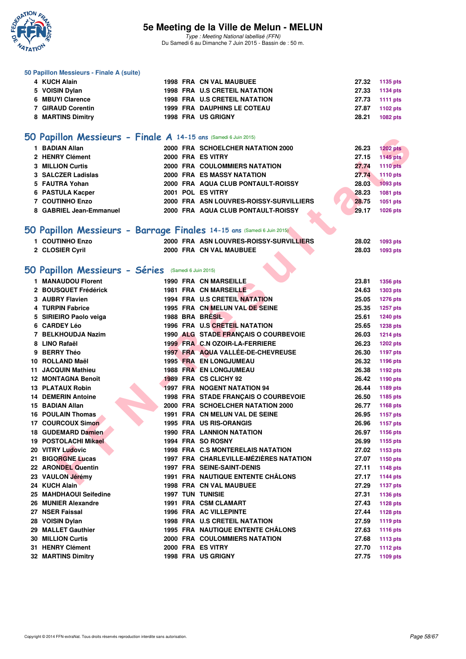

Type : Meeting National labellisé (FFN) Du Samedi 6 au Dimanche 7 Juin 2015 - Bassin de : 50 m.

#### **50 Papillon Messieurs - Finale A (suite)**

| 4 KUCH Alain      |  | <b>1998 FRA CN VAL MAUBUEE</b>       |       | 27.32 1135 pts |
|-------------------|--|--------------------------------------|-------|----------------|
| 5 VOISIN Dylan    |  | <b>1998 FRA U.S CRETEIL NATATION</b> |       | 27.33 1134 pts |
| 6 MBUYI Clarence  |  | <b>1998 FRA U.S CRETEIL NATATION</b> |       | 27.73 1111 pts |
| 7 GIRAUD Corentin |  | <b>1999 FRA DAUPHINS LE COTEAU</b>   |       | 27.87 1102 pts |
| 8 MARTINS Dimitry |  | <b>1998 FRA US GRIGNY</b>            | 28.21 | 1082 pts       |

### **[50 Papillon Messieurs - Finale A](http://www.ffnatation.fr/webffn/resultats.php?idact=nat&go=epr&idcpt=31115&idepr=81) 14-15 ans** (Samedi 6 Juin 2015)

| 1 BADIAN Allan          |  | 2000 FRA SCHOELCHER NATATION 2000       | 26.23 | <b>1202 pts</b> |
|-------------------------|--|-----------------------------------------|-------|-----------------|
| 2 HENRY Clément         |  | 2000 FRA ES VITRY                       | 27.15 | 1145 pts        |
| <b>3 MILLION Curtis</b> |  | 2000 FRA COULOMMIERS NATATION           | 27.74 | 1110 pts        |
| 3 SALCZER Ladislas      |  | 2000 FRA ES MASSY NATATION              | 27.74 | 1110 pts        |
| 5 FAUTRA Yohan          |  | 2000 FRA AQUA CLUB PONTAULT-ROISSY      | 28.03 | 1093 pts        |
| 6 PASTULA Kacper        |  | 2001 POL ES VITRY                       | 28.23 | 1081 pts        |
| 7 COUTINHO Enzo         |  | 2000 FRA ASN LOUVRES-ROISSY-SURVILLIERS | 28.75 | 1051 pts        |
| 8 GABRIEL Jean-Emmanuel |  | 2000 FRA AQUA CLUB PONTAULT-ROISSY      | 29.17 | 1026 pts        |

## **[50 Papillon Messieurs - Barrage Finales](http://www.ffnatation.fr/webffn/resultats.php?idact=nat&go=epr&idcpt=31115&idepr=81) 14-15 ans** (Samedi 6 Juin 2015)

| <b>1 COUTINHO Enzo</b> | 2000 FRA ASN LOUVRES-ROISSY-SURVILLIERS | 28.02 | 1093 pts |
|------------------------|-----------------------------------------|-------|----------|
| 2 CLOSIER Cyril        | 2000 FRA CN VAL MAUBUEE                 | 28.03 | 1093 pts |

### **[50 Papillon Messieurs - Séries](http://www.ffnatation.fr/webffn/resultats.php?idact=nat&go=epr&idcpt=31115&idepr=81)** (Samedi 6 Juin 2015)

| <b>IO Papillon Messieurs - Finale A 14-15 ans (Samedi 6 Juin 2015)</b> |  |                                          |       |                 |
|------------------------------------------------------------------------|--|------------------------------------------|-------|-----------------|
| 1 BADIAN Allan                                                         |  | 2000 FRA SCHOELCHER NATATION 2000        | 26.23 | <b>1202 pts</b> |
| 2 HENRY Clément                                                        |  | 2000 FRA ES VITRY                        | 27.15 | <b>1145 pts</b> |
| <b>3 MILLION Curtis</b>                                                |  | 2000 FRA COULOMMIERS NATATION            | 27.74 | <b>1110 pts</b> |
| 3 SALCZER Ladislas                                                     |  | 2000 FRA ES MASSY NATATION               | 27.74 | 1110 pts        |
| 5 FAUTRA Yohan                                                         |  | 2000 FRA AQUA CLUB PONTAULT-ROISSY       | 28.03 | <b>1093 pts</b> |
| 6 PASTULA Kacper                                                       |  | 2001 POL ES VITRY                        | 28.23 | 1081 pts        |
| 7 COUTINHO Enzo                                                        |  | 2000 FRA ASN LOUVRES-ROISSY-SURVILLIERS  | 28.75 | 1051 pts        |
| 8 GABRIEL Jean-Emmanuel                                                |  | 2000 FRA AQUA CLUB PONTAULT-ROISSY       | 29.17 | 1026 pts        |
|                                                                        |  |                                          |       |                 |
| iO Papillon Messieurs - Barrage Finales 14-15 ans (Samedi 6 Juin 2015) |  |                                          |       |                 |
| 1 COUTINHO Enzo                                                        |  | 2000 FRA ASN LOUVRES-ROISSY-SURVILLIERS  | 28.02 | <b>1093 pts</b> |
| 2 CLOSIER Cyril                                                        |  | 2000 FRA CN VAL MAUBUEE                  | 28.03 | 1093 pts        |
|                                                                        |  |                                          |       |                 |
|                                                                        |  |                                          |       |                 |
| iO Papillon Messieurs - Séries (Samedi 6 Juin 2015)                    |  |                                          |       |                 |
| 1 MANAUDOU Florent                                                     |  | <b>1990 FRA CN MARSEILLE</b>             | 23.81 | 1356 pts        |
| 2 BOUSQUET Frédérick                                                   |  | <b>1981 FRA CN MARSEILLE</b>             | 24.63 | <b>1303 pts</b> |
| 3 AUBRY Flavien                                                        |  | 1994 FRA U.S CRETEIL NATATION            | 25.05 | <b>1276 pts</b> |
| 4 TURPIN Fabrice                                                       |  | 1995 FRA CN MELUN VAL DE SEINE           | 25.35 | 1257 pts        |
| 5 SIRIEIRO Paolo veiga                                                 |  | 1988 BRA BRÉSIL                          | 25.61 | 1240 pts        |
| 6 CARDEY Léo                                                           |  | 1996 FRA U.S CRETEIL NATATION            | 25.65 | <b>1238 pts</b> |
| 7 BELKHOUDJA Nazim                                                     |  | 1990 ALG STADE FRANÇAIS O COURBEVOIE     | 26.03 | <b>1214 pts</b> |
| 8 LINO Rafaël                                                          |  | 1999 FRA C.N OZOIR-LA-FERRIERE           | 26.23 | 1202 pts        |
| 9 BERRY Théo                                                           |  | 1997 FRA AQUA VALLÉE-DE-CHEVREUSE        | 26.30 | 1197 pts        |
| 10 ROLLAND Maël                                                        |  | <b>1995 FRA EN LONGJUMEAU</b>            | 26.32 | 1196 pts        |
| 11 JACQUIN Mathieu                                                     |  | <b>1988 FRA EN LONGJUMEAU</b>            | 26.38 | 1192 pts        |
| 12 MONTAGNA Benoît                                                     |  | 1989 FRA CS CLICHY 92                    | 26.42 | 1190 pts        |
| <b>13 PLATAUX Robin</b>                                                |  | <b>1997 FRA NOGENT NATATION 94</b>       | 26.44 | 1189 pts        |
| <b>14 DEMERIN Antoine</b>                                              |  | 1998 FRA STADE FRANÇAIS O COURBEVOIE     | 26.50 | 1185 pts        |
| 15 BADIAN Allan                                                        |  | 2000 FRA SCHOELCHER NATATION 2000        | 26.77 | 1168 pts        |
| <b>16 POULAIN Thomas</b>                                               |  | 1991 FRA CN MELUN VAL DE SEINE           | 26.95 | 1157 pts        |
| 17 COURCOUX Simon                                                      |  | <b>1995 FRA US RIS-ORANGIS</b>           | 26.96 | <b>1157 pts</b> |
| 18 GUDEMARD Damien                                                     |  | <b>1990 FRA LANNION NATATION</b>         | 26.97 | 1156 pts        |
| <b>19 POSTOLACHI Mikael</b>                                            |  | 1994 FRA SO ROSNY                        | 26.99 | 1155 pts        |
| 20 VITRY Ludovic                                                       |  | 1998 FRA C.S MONTERELAIS NATATION        | 27.02 | 1153 pts        |
| 21 BIGORGNE Lucas                                                      |  | 1997 FRA CHARLEVILLE-MÉZIÈRES NATATION   | 27.07 | 1150 pts        |
| 22 ARONDEL Quentin                                                     |  | <b>1997 FRA SEINE-SAINT-DENIS</b>        | 27.11 | <b>1148 pts</b> |
| 23 VAULON Jérémy                                                       |  | 1991 FRA NAUTIQUE ENTENTE CHÂLONS        | 27.17 | <b>1144 pts</b> |
| 24 KUCH Alain                                                          |  | <b>1998 FRA CN VAL MAUBUEE</b>           | 27.29 | <b>1137 pts</b> |
| 25 MAHDHAOUI Seifedine                                                 |  | <b>1997 TUN TUNISIE</b>                  | 27.31 | 1136 pts        |
| 26 MUNIER Alexandre                                                    |  | 1991 FRA CSM CLAMART                     | 27.43 | 1128 pts        |
| 27 NSER Faissal                                                        |  | 1996 FRA AC VILLEPINTE                   | 27.44 | 1128 pts        |
| 28 VOISIN Dylan                                                        |  | 1998 FRA U.S CRETEIL NATATION            | 27.59 | <b>1119 pts</b> |
| 29 MALLET Gauthier                                                     |  | <b>1995 FRA NAUTIQUE ENTENTE CHALONS</b> | 27.63 | <b>1116 pts</b> |
| <b>30 MILLION Curtis</b>                                               |  | 2000 FRA COULOMMIERS NATATION            | 27.68 | <b>1113 pts</b> |
| 31 HENRY Clément                                                       |  | 2000 FRA ES VITRY                        | 27.70 | <b>1112 pts</b> |
| <b>32 MARTINS Dimitry</b>                                              |  | 1998 FRA US GRIGNY                       | 27.75 | 1109 pts        |
|                                                                        |  |                                          |       |                 |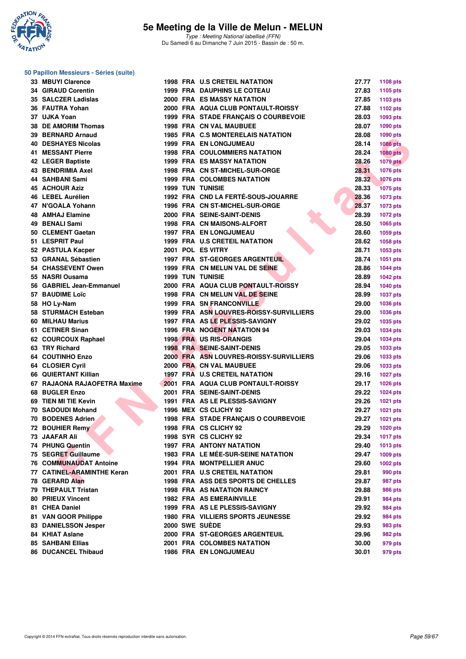

#### **50 Papillon Messieurs - Séries (suite)**

| 33 MBUYI Clarence             |  | <b>1998 FRA U.S CRETEIL NATATION</b>      | 27.77 | 1108 pts        |
|-------------------------------|--|-------------------------------------------|-------|-----------------|
| <b>34 GIRAUD Corentin</b>     |  | <b>1999 FRA DAUPHINS LE COTEAU</b>        | 27.83 | 1105 pts        |
| 35 SALCZER Ladislas           |  | <b>2000 FRA ES MASSY NATATION</b>         | 27.85 | 1103 pts        |
| 36 FAUTRA Yohan               |  | 2000 FRA AQUA CLUB PONTAULT-ROISSY        | 27.88 | 1102 pts        |
| 37 UJKA Yoan                  |  | 1999 FRA STADE FRANÇAIS O COURBEVOIE      | 28.03 | 1093 pts        |
| 38 DE AMORIM Thomas           |  | <b>1998 FRA CN VAL MAUBUEE</b>            | 28.07 | 1090 pts        |
| 39 BERNARD Arnaud             |  | 1985 FRA C.S MONTERELAIS NATATION         | 28.08 | 1090 pts        |
| 40 DESHAYES Nicolas           |  | <b>1999 FRA EN LONGJUMEAU</b>             | 28.14 | <b>1086 pts</b> |
| <b>41 MESSANT Pierre</b>      |  | <b>1998 FRA COULOMMIERS NATATION</b>      | 28.24 | <b>1080 pts</b> |
| 42 LEGER Baptiste             |  | <b>1999 FRA ES MASSY NATATION</b>         | 28.26 | <b>1079 pts</b> |
| <b>43 BENDRIMIA Axel</b>      |  | 1998 FRA CN ST-MICHEL-SUR-ORGE            | 28.31 | 1076 pts        |
| 44 SAHBANI Sami               |  | <b>1999 FRA COLOMBES NATATION</b>         | 28.32 | <b>1076 pts</b> |
| 45 ACHOUR Aziz                |  | <b>1999 TUN TUNISIE</b>                   | 28.33 | <b>1075 pts</b> |
| 46 LEBEL Aurélien             |  | 1992 FRA CND LA FERTÉ-SOUS-JOUARRE        | 28.36 | <b>1073 pts</b> |
| 47 N'GOALA Yohann             |  | 1996 FRA CN ST-MICHEL-SUR-ORGE            | 28.37 | 1073 pts        |
| 48 AMHAJ Elamine              |  | 2000 FRA SEINE-SAINT-DENIS                | 28.39 | <b>1072 pts</b> |
| 49 BENALI Sami                |  | <b>1998 FRA CN MAISONS-ALFORT</b>         | 28.50 | 1065 pts        |
| 50 CLEMENT Gaetan             |  | <b>1997 FRA EN LONGJUMEAU</b>             | 28.60 | 1059 pts        |
| 51 LESPRIT Paul               |  | 1999 FRA U.S CRETEIL NATATION             | 28.62 | 1058 pts        |
| 52 PASTULA Kacper             |  | 2001 POL ES VITRY                         | 28.71 | 1053 pts        |
| 53 GRANAL Sébastien           |  | <b>1997 FRA ST-GEORGES ARGENTEUIL</b>     | 28.74 | 1051 pts        |
| 54 CHASSEVENT Owen            |  | 1999 FRA CN MELUN VAL DE SEINE            | 28.86 | <b>1044 pts</b> |
| 55 NASRI Ousama               |  | <b>1999 TUN TUNISIE</b>                   | 28.89 |                 |
| 56 GABRIEL Jean-Emmanuel      |  | 2000 FRA AQUA CLUB PONTAULT-ROISSY        | 28.94 | <b>1042 pts</b> |
| 57 BAUDIME Loïc               |  | 1998 FRA CN MELUN VAL DE SEINE            | 28.99 | <b>1040 pts</b> |
| 58 HO Ly-Nam                  |  | <b>1999 FRA SN FRANCONVILLE</b>           | 29.00 | <b>1037 pts</b> |
|                               |  |                                           |       | <b>1036 pts</b> |
| 58 STURMACH Esteban           |  | 1999 FRA ASN LOUVRES-ROISSY-SURVILLIERS   | 29.00 | <b>1036 pts</b> |
| 60 MILHAU Marius              |  | 1997 FRA AS LE PLESSIS-SAVIGNY            | 29.02 | 1035 pts        |
| 61 CETINER Sinan              |  | 1996 FRA NOGENT NATATION 94               | 29.03 | 1034 pts        |
| 62 COURCOUX Raphael           |  | <b>1998 FRA US RIS-ORANGIS</b>            | 29.04 | <b>1034 pts</b> |
| 63 TRY Richard                |  | <b>1998 FRA SEINE-SAINT-DENIS</b>         | 29.05 | 1033 pts        |
| 64 COUTINHO Enzo              |  | 2000 FRA ASN LOUVRES-ROISSY-SURVILLIERS   | 29.06 | 1033 pts        |
| 64 CLOSIER Cyril              |  | 2000 FRA CN VAL MAUBUEE                   | 29.06 | 1033 pts        |
| 66 QUIERTANT Killian          |  | 1997 FRA U.S CRETEIL NATATION             | 29.16 | <b>1027 pts</b> |
| 67 RAJAONA RAJAOFETRA Maxime  |  | 2001 FRA AQUA CLUB PONTAULT-ROISSY        | 29.17 | <b>1026 pts</b> |
| 68 BUGLER Enzo                |  | 2001 FRA SEINE-SAINT-DENIS                | 29.22 | <b>1024 pts</b> |
| 69 TIEN MI TIE Kevin          |  | 1991 FRA AS LE PLESSIS-SAVIGNY            | 29.26 | <b>1021 pts</b> |
| 70 SADOUDI Mohand             |  | 1996 MEX CS CLICHY 92                     | 29.27 | 1021 pts        |
| 70 BODENES Adrien             |  | 1998 FRA STADE FRANÇAIS O COURBEVOIE      | 29.27 | 1021 pts        |
| 72 BOUHIER Remy               |  | 1998 FRA CS CLICHY 92                     | 29.29 | 1020 pts        |
| 73 JAAFAR Ali                 |  | 1998 SYR CS CLICHY 92                     | 29.34 | <b>1017 pts</b> |
| 74 PHUNG Quentin              |  | <b>1997 FRA ANTONY NATATION</b>           | 29.40 | 1013 pts        |
| 75 SEGRET Guillaume           |  | <b>1983 FRA LE MÉE-SUR-SEINE NATATION</b> | 29.47 | 1009 pts        |
| <b>76 COMMUNAUDAT Antoine</b> |  | 1994 FRA MONTPELLIER ANUC                 | 29.60 | 1002 pts        |
| 77 CATINEL-ARAMINTHE Keran    |  | 2001 FRA U.S CRETEIL NATATION             | 29.81 | 990 pts         |
| 78 GERARD Alan                |  | 1998 FRA ASS DES SPORTS DE CHELLES        | 29.87 | 987 pts         |
| 79 THEPAULT Tristan           |  | <b>1998 FRA AS NATATION RAINCY</b>        | 29.88 | 986 pts         |
| <b>80 PRIEUX Vincent</b>      |  | <b>1982 FRA AS EMERAINVILLE</b>           | 29.91 | 984 pts         |
| 81 CHEA Daniel                |  | 1999 FRA AS LE PLESSIS-SAVIGNY            | 29.92 | 984 pts         |
| 81 VAN GOOR Philippe          |  | <b>1980 FRA VILLIERS SPORTS JEUNESSE</b>  | 29.92 | 984 pts         |
| 83 DANIELSSON Jesper          |  | 2000 SWE SUÈDE                            | 29.93 | 983 pts         |
| 84 KHIAT Aslane               |  | 2000 FRA ST-GEORGES ARGENTEUIL            | 29.96 | 982 pts         |
| 85 SAHBANI Ellias             |  | 2001 FRA COLOMBES NATATION                | 30.00 | 979 pts         |
| 86 DUCANCEL Thibaud           |  | 1986 FRA EN LONGJUMEAU                    | 30.01 | 979 pts         |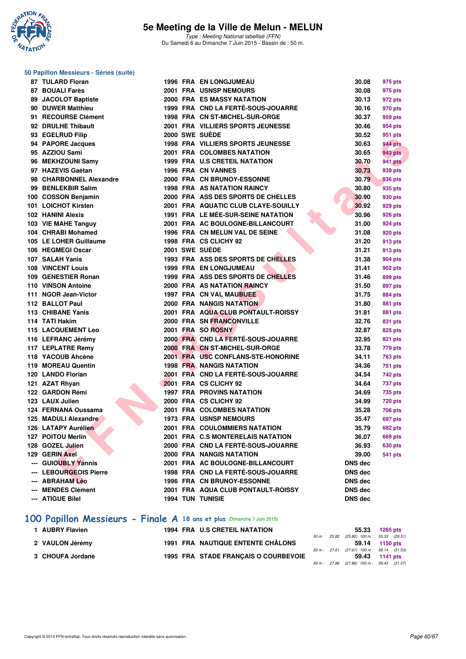

#### **50 Papillon Messieurs - Séries (suite)**

| 87 TULARD Floran                              |  | <b>1996 FRA EN LONGJUMEAU</b>                                  | 30.08                            | 975 pts                          |
|-----------------------------------------------|--|----------------------------------------------------------------|----------------------------------|----------------------------------|
| 87 BOUALI Farès                               |  | 2001 FRA USNSP NEMOURS                                         | 30.08                            | 975 pts                          |
| 89 JACOLOT Baptiste                           |  | <b>2000 FRA ES MASSY NATATION</b>                              | 30.13                            | 972 pts                          |
| 90 DUWER Matthieu                             |  | 1999 FRA CND LA FERTÉ-SOUS-JOUARRE                             | 30.16                            | 970 pts                          |
| 91 RECOURSE Clément                           |  | 1998 FRA CN ST-MICHEL-SUR-ORGE                                 | 30.37                            | 959 pts                          |
| 92 DRULHE Thibault                            |  | 2001 FRA VILLIERS SPORTS JEUNESSE                              | 30.46                            | 954 pts                          |
| 93 EGELRUD Filip                              |  | 2000 SWE SUEDE                                                 | 30.52                            | 951 pts                          |
| 94 PAPORE Jacques                             |  | 1998 FRA VILLIERS SPORTS JEUNESSE                              | 30.63                            | <b>944 pts</b>                   |
| 95 AZZIOU Sami                                |  | 2001 FRA COLOMBES NATATION                                     | 30.65                            | <b>943 pts</b>                   |
| 96 MEKHZOUNI Samy                             |  | 1999 FRA U.S CRETEIL NATATION                                  | 30.70                            | <b>941 pts</b>                   |
| 97 HAZEVIS Gaétan                             |  | <b>1996 FRA CN VANNES</b>                                      | 30.73                            | 939 pts                          |
| 98 CHARBONNEL Alexandre                       |  | 2000 FRA CN BRUNOY-ESSONNE                                     | 30.79                            | 936 pts                          |
| 99 BENLEKBIR Salim                            |  | <b>1998 FRA AS NATATION RAINCY</b>                             | 30.80                            | 935 pts                          |
| 100 COSSON Benjamin                           |  | 2000 FRA ASS DES SPORTS DE CHELLES                             | 30.90                            | 930 pts                          |
| 101 LOICHOT Kirsten                           |  | 2001 FRA AQUATIC CLUB CLAYE-SOUILLY                            | 30.92                            | 929 pts                          |
| 102 HANINI Alexis                             |  | <b>1991 FRA LE MÉE-SUR-SEINE NATATION</b>                      | 30.96                            | 926 pts                          |
| 103 VIE MAHE Tanguy                           |  | 2001 FRA AC BOULOGNE-BILLANCOURT                               | 31.00                            | 924 pts                          |
| 104 CHRABI Mohamed                            |  | 1996 FRA CN MELUN VAL DE SEINE                                 | 31.08                            | 920 pts                          |
| 105 LE LOHER Guillaume                        |  | 1998 FRA CS CLICHY 92                                          | 31.20                            | 913 pts                          |
| 106 HEGMEGI Oscar                             |  | 2001 SWE SUEDE                                                 | 31.21                            | 913 pts                          |
| 107 SALAH Yanis                               |  | 1993 FRA ASS DES SPORTS DE CHELLES                             | 31.38                            | 904 pts                          |
| <b>108 VINCENT Louis</b>                      |  | <b>1999 FRA EN LONGJUMEAU</b>                                  | 31.41                            | 902 pts                          |
| 109 GENESTIER Ronan                           |  | 1999 FRA ASS DES SPORTS DE CHELLES                             | 31.46                            | 899 pts                          |
| 110 VINSON Antoine                            |  | 2000 FRA AS NATATION RAINCY                                    | 31.50                            | 897 pts                          |
| 111 NGOR Jean-Victor                          |  | 1997 FRA CN VAL MAUBUEE                                        | 31.75                            | 884 pts                          |
| 112 BALLOT Paul                               |  | 2000 FRA NANGIS NATATION                                       | 31.80                            | <b>881 pts</b>                   |
| 113 CHIBANE Yanis                             |  | 2001 FRA AQUA CLUB PONTAULT-ROISSY                             | 31.81                            | 881 pts                          |
| 114 TATI Hakim                                |  | 2000 FRA SN FRANCONVILLE                                       | 32.76                            | 831 pts                          |
| <b>115 LACQUEMENT Leo</b>                     |  | 2001 FRA SO ROSNY                                              | 32.87                            | 825 pts                          |
| 116 LEFRANC Jérémy                            |  | 2000 FRA CND LA FERTÉ-SOUS-JOUARRE                             | 32.95                            | 821 pts                          |
| 117 LEPLATRE Remy                             |  | 2000 FRA CN ST-MICHEL-SUR-ORGE                                 | 33.78                            | 779 pts                          |
| 118 YACOUB Ahcène                             |  | 2001 FRA USC CONFLANS-STE-HONORINE                             | 34.11                            | <b>763 pts</b>                   |
| 119 MOREAU Quentin                            |  | <b>1998 FRA NANGIS NATATION</b>                                | 34.36                            | 751 pts                          |
| 120 LANDO Florian                             |  | 2001 FRA CND LA FERTÉ-SOUS-JOUARRE                             | 34.54                            | 742 pts                          |
| 121 AZAT Rhyan                                |  | 2001 FRA CS CLICHY 92                                          | 34.64                            | 737 pts                          |
| 122 GARDON Rémi                               |  | <b>1997 FRA PROVINS NATATION</b>                               | 34.69                            | 735 pts                          |
| 123 LAUX Julien                               |  | 2000 FRA CS CLICHY 92                                          | 34.99                            | <b>720 pts</b>                   |
| 124 FERNANA Oussama                           |  | 2001 FRA COLOMBES NATATION                                     | 35.28                            | 706 pts                          |
| 125 MADULI Alexandre                          |  | <b>1973 FRA USNSP NEMOURS</b><br>2001 FRA COULOMMIERS NATATION | 35.47                            | 697 pts                          |
| 126 LATAPY Aurélien                           |  | 2001 FRA C.S MONTERELAIS NATATION                              | 35.79                            | <b>682 pts</b>                   |
| 127 POITOU Merlin<br>128 GOZEL Julien         |  | 2000 FRA CND LA FERTÉ-SOUS-JOUARRE                             | 36.07<br>36.93                   | <b>669 pts</b>                   |
| 129 GERIN Axel                                |  | 2000 FRA NANGIS NATATION                                       | 39.00                            | <b>630 pts</b><br><b>541 pts</b> |
|                                               |  | 2001 FRA AC BOULOGNE-BILLANCOURT                               |                                  |                                  |
| --- GUIOUBLY Yannis<br>--- LEBOURGEOIS Pierre |  | 1998 FRA CND LA FERTÉ-SOUS-JOUARRE                             | <b>DNS dec</b><br><b>DNS dec</b> |                                  |
| --- ABRAHAM Léo                               |  | 1996 FRA CN BRUNOY-ESSONNE                                     | <b>DNS dec</b>                   |                                  |
| <b>MENDES Clément</b>                         |  | 2001 FRA AQUA CLUB PONTAULT-ROISSY                             | <b>DNS dec</b>                   |                                  |
| --- ATIGUE Bilel                              |  | <b>1994 TUN TUNISIE</b>                                        | <b>DNS dec</b>                   |                                  |
|                                               |  |                                                                |                                  |                                  |
|                                               |  |                                                                |                                  |                                  |

### **[100 Papillon Messieurs - Finale A](http://www.ffnatation.fr/webffn/resultats.php?idact=nat&go=epr&idcpt=31115&idepr=82) 18 ans et plus** (Dimanche 7 Juin 2015)

| 1 AUBRY Flavien  |  | <b>1994 FRA U.S CRETEIL NATATION</b>     |  | 55.33 1265 pts                           |  |
|------------------|--|------------------------------------------|--|------------------------------------------|--|
|                  |  |                                          |  | 50 m: 25.82 (25.82) 100 m: 55.33 (29.51) |  |
| 2 VAULON Jérémy  |  | <b>1991 FRA NAUTIQUE ENTENTE CHÂLONS</b> |  | 59.14 1150 pts                           |  |
|                  |  |                                          |  | 50 m: 27.61 (27.61) 100 m: 59.14 (31.53) |  |
| 3 CHOUFA Jordane |  | 1995 FRA STADE FRANCAIS O COURBEVOIE     |  | 59.43 1141 pts                           |  |
|                  |  |                                          |  | 50 m: 27.86 (27.86) 100 m: 59.43 (31.57) |  |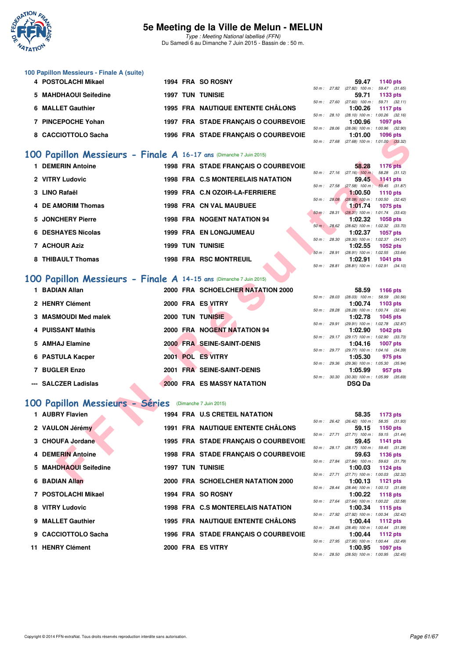

Type : Meeting National labellisé (FFN) Du Samedi 6 au Dimanche 7 Juin 2015 - Bassin de : 50 m.

| 100 Papillon Messieurs - Finale A (suite) |  |                                      |                        |       |         |                                     |
|-------------------------------------------|--|--------------------------------------|------------------------|-------|---------|-------------------------------------|
| 4 POSTOLACHI Mikael                       |  | 1994 FRA SO ROSNY                    |                        |       | 59.47   | <b>1140 pts</b>                     |
|                                           |  |                                      | $50 \text{ m}$ : 27.82 |       |         | $(27.82)$ 100 m : 59.47 $(31.65)$   |
| 5 MAHDHAOUI Seifedine                     |  | <b>1997 TUN TUNISIE</b>              |                        |       | 59.71   | 1133 pts                            |
|                                           |  |                                      | 50 m: 27.60            |       |         | $(27.60)$ 100 m : 59.71 $(32.11)$   |
| 6 MALLET Gauthier                         |  | 1995 FRA NAUTIQUE ENTENTE CHÂLONS    |                        |       | 1:00.26 | 1117 $pts$                          |
|                                           |  |                                      | $50 \text{ m}$ : 28.10 |       |         | $(28.10)$ 100 m : 1:00.26 $(32.16)$ |
| <b>PINCEPOCHE Yohan</b>                   |  | 1997 FRA STADE FRANCAIS O COURBEVOIE |                        |       | 1:00.96 | <b>1097 pts</b>                     |
|                                           |  |                                      | $50 m$ :               | 28.06 |         | $(28.06)$ 100 m : 1:00.96 $(32.90)$ |
| 8 CACCIOTTOLO Sacha                       |  | 1996 FRA STADE FRANCAIS O COURBEVOIE |                        |       | 1:01.00 | 1096 pts                            |
|                                           |  |                                      | $50 \text{ m}$ : 27.68 |       |         | $(27.68)$ 100 m : 1:01.00 $(33.32)$ |

### **[100 Papillon Messieurs - Finale A](http://www.ffnatation.fr/webffn/resultats.php?idact=nat&go=epr&idcpt=31115&idepr=82) 16-17 ans** (Dimanche 7 Juin 2015)

| <b>UAUUIU I IULU JAUIIA</b>                                       |  | <b>1990 FRA STADE FRANÇAIS O COURDEVOIE</b> |              | <br>50 m: 27.68 (27.68) 100 m: 1:01.00 (33.32)        | າ ບອບ ນເອ                        |  |
|-------------------------------------------------------------------|--|---------------------------------------------|--------------|-------------------------------------------------------|----------------------------------|--|
| 00 Papillon Messieurs - Finale A 16-17 ans (Dimanche 7 Juin 2015) |  |                                             |              |                                                       |                                  |  |
| 1 DEMERIN Antoine                                                 |  | 1998 FRA STADE FRANÇAIS O COURBEVOIE        |              | 58.28                                                 | <b>1176 pts</b>                  |  |
|                                                                   |  |                                             |              | $50 m$ : 27.16 (27.16) 100 m:                         | 58.28 (31.12)                    |  |
| 2 VITRY Ludovic                                                   |  | 1998 FRA C.S MONTERELAIS NATATION           | 50 m: 27.58  | 59.45<br>$(27.58)$ 100 m : 59.45 $(31.87)$            | 1141 pts                         |  |
| 3 LINO Rafaël                                                     |  | 1999 FRA C.N OZOIR-LA-FERRIERE              |              | 1:00.50                                               | <b>1110 pts</b>                  |  |
|                                                                   |  |                                             | 50 m: 28.08  | $(28.08)$ 100 m : 1:00.50 $(32.42)$                   |                                  |  |
| 4 DE AMORIM Thomas                                                |  | <b>1998 FRA CN VAL MAUBUEE</b>              |              | 1:01.74                                               | <b>1075 pts</b>                  |  |
| 5 JONCHERY Pierre                                                 |  | <b>1998 FRA NOGENT NATATION 94</b>          | 50 m: 28.31  | $(28.31)$ 100 m : 1:01.74 $(33.43)$<br>1:02.32        | <b>1058 pts</b>                  |  |
|                                                                   |  |                                             |              | 50 m : 28.62 (28.62) 100 m : 1:02.32 (33.70)          |                                  |  |
| 6 DESHAYES Nicolas                                                |  | <b>1999 FRA EN LONGJUMEAU</b>               |              | 1:02.37                                               | <b>1057 pts</b>                  |  |
|                                                                   |  |                                             |              | 50 m: 28.30 (28.30) 100 m: 1:02.37 (34.07)            |                                  |  |
| 7 ACHOUR Aziz                                                     |  | <b>1999 TUN TUNISIE</b>                     |              | 1:02.55<br>50 m: 28.91 (28.91) 100 m: 1:02.55 (33.64) | <b>1052 pts</b>                  |  |
| 8 THIBAULT Thomas                                                 |  | <b>1998 FRA RSC MONTREUIL</b>               |              | 1:02.91                                               | 1041 pts                         |  |
|                                                                   |  |                                             | 50 m : 28.81 | $(28.81)$ 100 m : 1:02.91 $(34.10)$                   |                                  |  |
|                                                                   |  |                                             |              |                                                       |                                  |  |
| 00 Papillon Messieurs - Finale A 14-15 ans (Dimanche 7 Juin 2015) |  |                                             |              |                                                       |                                  |  |
| 1 BADIAN Allan                                                    |  | 2000 FRA SCHOELCHER NATATION 2000           |              | 58.59                                                 | <b>1166 pts</b>                  |  |
|                                                                   |  |                                             |              | 50 m : 28.03 (28.03) 100 m : 58.59 (30.56)            |                                  |  |
| 2 HENRY Clément                                                   |  | 2000 FRA ES VITRY                           |              | 1:00.74<br>50 m: 28.28 (28.28) 100 m: 1:00.74 (32.46) | 1103 pts                         |  |
| 3 MASMOUDI Med malek                                              |  | <b>2000 TUN TUNISIE</b>                     |              | 1:02.78                                               | 1045 pts                         |  |
|                                                                   |  |                                             |              | 50 m: 29.91 (29.91) 100 m: 1:02.78 (32.87)            |                                  |  |
| 4 PUISSANT Mathis                                                 |  | 2000 FRA NOGENT NATATION 94                 |              | 1:02.90                                               | <b>1042 pts</b>                  |  |
| 5 AMHAJ Elamine                                                   |  | 2000 FRA SEINE-SAINT-DENIS                  |              | 50 m: 29.17 (29.17) 100 m: 1:02.90 (33.73)<br>1:04.16 | <b>1007 pts</b>                  |  |
|                                                                   |  |                                             |              | 50 m: 29.77 (29.77) 100 m: 1:04.16 (34.39)            |                                  |  |
| 6 PASTULA Kacper                                                  |  | 2001 POL ES VITRY                           |              | 1:05.30                                               | 975 pts                          |  |
|                                                                   |  |                                             | 50 m : 29.36 | $(29.36)$ 100 m : 1:05.30 $(35.94)$                   |                                  |  |
| 7 BUGLER Enzo                                                     |  | 2001 FRA SEINE-SAINT-DENIS                  |              | 1:05.99                                               | 957 pts                          |  |
| --- SALCZER Ladislas                                              |  | <b>2000 FRA ES MASSY NATATION</b>           | 50 m: 30.30  | $(30.30)$ 100 m : 1:05.99 $(35.69)$<br><b>DSQ Da</b>  |                                  |  |
|                                                                   |  |                                             |              |                                                       |                                  |  |
|                                                                   |  |                                             |              |                                                       |                                  |  |
| 00 Papillon Messieurs - Séries                                    |  | (Dimanche 7 Juin 2015)                      |              |                                                       |                                  |  |
| 1 AUBRY Flavien                                                   |  | 1994 FRA U.S CRETEIL NATATION               |              | 58.35                                                 | 1173 pts                         |  |
|                                                                   |  |                                             |              | 50 m : 26.42 (26.42) 100 m :                          | 58.35 (31.93)                    |  |
| 2 VAULON Jérémy                                                   |  | <b>1991 FRA NAUTIQUE ENTENTE CHALONS</b>    |              | 59.15<br>$50 m$ : 27.71 (27.71) 100 m :               | <b>1150 pts</b><br>59.15 (31.44) |  |
| 3 CHOUFA Jordane                                                  |  | 1995 FRA STADE FRANÇAIS O COURBEVOIE        |              | 59.45                                                 | 1141 pts                         |  |
|                                                                   |  |                                             |              | 50 m: 28.17 (28.17) 100 m:                            | 59.45 (31.28)                    |  |
| 4 DEMERIN Antoine                                                 |  | 1998 FRA STADE FRANÇAIS O COURBEVOIE        |              | 59.63                                                 | 1136 pts                         |  |
| 5 MAHDHAOUI Seifedine                                             |  | <b>1997 TUN TUNISIE</b>                     |              | 50 m: 27.84 (27.84) 100 m: 59.63 (31.79)              |                                  |  |
|                                                                   |  |                                             |              | 1:00.03<br>50 m: 27.71 (27.71) 100 m: 1:00.03 (32.32) | 1124 pts                         |  |
| 6 BADIAN Allan                                                    |  | 2000 FRA SCHOELCHER NATATION 2000           |              | 1:00.13                                               | <b>1121 pts</b>                  |  |
|                                                                   |  |                                             |              |                                                       |                                  |  |

### **[100 Papillon Messieurs - Finale A](http://www.ffnatation.fr/webffn/resultats.php?idact=nat&go=epr&idcpt=31115&idepr=82) 14-15 ans** (Dimanche 7 Juin 2015)

| 1 BADIAN Allan       |      | 2000 FRA SCHOELCHER NATATION 2000 |        |                        | 58.59                                         | 1166 pts |  |
|----------------------|------|-----------------------------------|--------|------------------------|-----------------------------------------------|----------|--|
| 2 HENRY Clément      |      | 2000 FRA ES VITRY                 |        | 50 m: 28.03            | $(28.03)$ 100 m : 58.59 (30.<br>1:00.74       | 1103 pts |  |
| 3 MASMOUDI Med malek |      | <b>2000 TUN TUNISIE</b>           |        | 50 m: 28.28            | $(28.28)$ 100 m : 1:00.74 $(32.$<br>1:02.78   | 1045 pts |  |
| 4 PUISSANT Mathis    |      | 2000 FRA NOGENT NATATION 94       |        | 50 m: 29.91            | $(29.91)$ 100 m : 1:02.78 $(32.1)$<br>1:02.90 | 1042 pts |  |
| 5 AMHAJ Elamine      |      | 2000 FRA SEINE-SAINT-DENIS        |        | $50 m$ : 29.17         | (29.17) 100 m : 1:02.90 (33.<br>1:04.16       | 1007 pts |  |
| 6 PASTULA Kacper     | 2001 | <b>POL ES VITRY</b>               |        | $50 m$ : 29.77         | (29.77) 100 m : 1:04.16 (34.<br>1:05.30       | 975 pts  |  |
|                      |      |                                   |        | $50 \text{ m}$ : 29.36 | $(29.36)$ 100 m : 1:05.30 $(35.$              |          |  |
| 7 BUGLER Enzo        |      | 2001 FRA SEINE-SAINT-DENIS        | 50 m : | 30.30                  | 1:05.99<br>$(30.30)$ 100 m : 1:05.99 $(35.$   | 957 pts  |  |
| --- SALCZER Ladislas |      | <b>2000 FRA ES MASSY NATATION</b> |        |                        | <b>DSQ Da</b>                                 |          |  |

#### **[100 Papillon Messieurs - Séries](http://www.ffnatation.fr/webffn/resultats.php?idact=nat&go=epr&idcpt=31115&idepr=82)** (Dimanche 7 Juin 2015)

| 1 AUBRY Flavien       |  | 1994 FRA U.S CRETEIL NATATION            |  | 58.35                                                         | 1173 pts               |  |
|-----------------------|--|------------------------------------------|--|---------------------------------------------------------------|------------------------|--|
| 2 VAULON Jérémy       |  | <b>1991 FRA NAUTIQUE ENTENTE CHÂLONS</b> |  | 50 m: 26.42 (26.42) 100 m: 58.35 (31.<br>59.15                | 1150 pts               |  |
| 3 CHOUFA Jordane      |  | 1995 FRA STADE FRANCAIS O COURBEVOIE     |  | 50 m : 27.71 (27.71) 100 m :<br>59.45                         | 59.15 (31.<br>1141 pts |  |
| 4 DEMERIN Antoine     |  | 1998 FRA STADE FRANÇAIS O COURBEVOIE     |  | 50 m: 28.17 (28.17) 100 m: 59.45 (31.<br>59.63 1136 pts       |                        |  |
| 5 MAHDHAOUI Seifedine |  | <b>1997 TUN TUNISIE</b>                  |  | 50 m: 27.84 (27.84) 100 m: 59.63 (31.<br>$1:00.03$ 1124 pts   |                        |  |
| 6 BADIAN Allan        |  | 2000 FRA SCHOELCHER NATATION 2000        |  | 50 m: 27.71 (27.71) 100 m: 1:00.03 (32.<br>1:00.13 1121 pts   |                        |  |
| 7 POSTOLACHI Mikael   |  | 1994 FRA SO ROSNY                        |  | 50 m: 28.44 (28.44) 100 m: 1:00.13 (31.<br>$1:00.22$ 1118 pts |                        |  |
| 8 VITRY Ludovic       |  | 1998 FRA C.S MONTERELAIS NATATION        |  | 50 m: 27.64 (27.64) 100 m: 1:00.22 (32.<br>$1:00.34$ 1115 pts |                        |  |
| 9 MALLET Gauthier     |  | 1995 FRA NAUTIQUE ENTENTE CHÂLONS        |  | 50 m : 27.92 (27.92) 100 m : 1:00.34 (32.<br>1:00.44 1112 pts |                        |  |
| 9 CACCIOTTOLO Sacha   |  | 1996 FRA STADE FRANCAIS O COURBEVOIE     |  | 50 m: 28.45 (28.45) 100 m: 1:00.44 (31.<br>1:00.44 1112 pts   |                        |  |
| 11 HENRY Clément      |  | 2000 FRA ES VITRY                        |  | 50 m: 27.95 (27.95) 100 m: 1:00.44 (32.<br>1:00.95 1097 pts   |                        |  |

|                |              | 58.59             | <b>1166 pts</b>     |
|----------------|--------------|-------------------|---------------------|
|                | 50 m: 28.03  | $(28.03)$ 100 m : | 58.59 (30.56)       |
|                |              |                   | 1:00.74 1103 pts    |
| 50 m : 28.28   |              | $(28.28)$ 100 m : | $1:00.74$ $(32.46)$ |
|                |              | 1:02.78           | 1045 pts            |
|                | 50 m : 29.91 | $(29.91)$ 100 m : | 1:02.78 (32.87)     |
|                |              | 1:02.90           | $1042$ pts          |
|                | 50 m : 29.17 | $(29.17)$ 100 m : | 1:02.90 (33.73)     |
|                |              |                   | 1:04,16 1007 pts    |
| $50 m$ : 29.77 |              | $(29.77)$ 100 m : | $1:04.16$ $(34.39)$ |
|                |              |                   | $1:05.30$ 975 pts   |
| 50 m: 29.36    |              | $(29.36)$ 100 m : | 1:05.30 (35.94)     |
|                |              | 1:05.99           | 957 pts             |
| 50 m: 30.30    |              | $(30.30)$ 100 m : | 1:05.99 (35.69)     |
|                |              | DSQ Da            |                     |

|             |              | 58.35                               | 1173 $pts$          |  |
|-------------|--------------|-------------------------------------|---------------------|--|
| 50 m: 26.42 |              | $(26.42)$ 100 m :                   | 58.35 (31.93)       |  |
|             |              | 59.15                               | 1150 pts            |  |
| 50 m: 27.71 |              | $(27.71)$ 100 m :                   | 59.15 (31.44)       |  |
|             |              | 59.45                               | 1141 $pts$          |  |
|             | 50 m : 28.17 | $(28.17)$ 100 m :                   | 59.45 (31.28)       |  |
|             |              | 59.63 1136 pts                      |                     |  |
|             | 50 m : 27.84 | $(27.84)$ 100 m : 59.63 $(31.79)$   |                     |  |
|             |              | 1:00.03                             | 1124 pts            |  |
|             | 50 m : 27.71 | $(27.71)$ 100 m :                   | 1:00.03 (32.32)     |  |
|             |              | 1:00.13                             | 1121 pts            |  |
|             | 50 m : 28.44 | $(28.44)$ 100 m :                   | 1:00.13 (31.69)     |  |
|             |              | 1:00.22                             | $1118$ pts          |  |
| 50 m: 27.64 |              | $(27.64)$ 100 m :                   | 1:00.22 (32.58)     |  |
|             |              | 1:00.34                             | 1115 pts            |  |
|             | 50 m : 27.92 | $(27.92)$ 100 m :                   | $1:00.34$ $(32.42)$ |  |
|             |              | $1:00.44$ 1112 pts                  |                     |  |
|             | 50 m : 28.45 | $(28.45)$ 100 m :                   | 1:00.44 (31.99)     |  |
|             |              | 1:00.44 $1112 \text{ pts}$          |                     |  |
|             | 50 m : 27.95 | $(27.95)$ 100 m : 1:00.44 $(32.49)$ |                     |  |
|             |              | 1:00.95                             | 1097 pts            |  |
| 50 m: 28.50 |              | $(28.50)$ 100 m :                   | $1:00.95$ $(32.45)$ |  |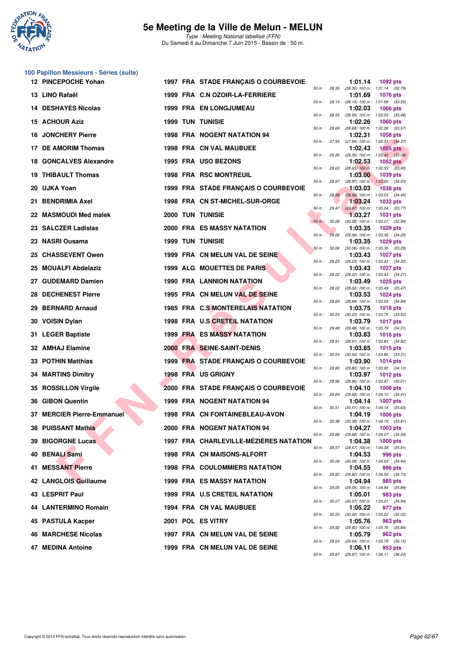

**100 Papillon Messieurs - Séries (suite)**

### **5e Meeting de la Ville de Melun - MELUN**

| 12 PINCEPOCHE Yohan             |                         | 1997 FRA STADE FRANÇAIS O COURBEVOIE   |          |              | 1:01.14<br>1092 pts                                                        |  |
|---------------------------------|-------------------------|----------------------------------------|----------|--------------|----------------------------------------------------------------------------|--|
| 13 LINO Rafaël                  |                         | 1999 FRA C.N OZOIR-LA-FERRIERE         |          | 50 m: 28.35  | (28.35) 100 m: 1:01.14 (32.79)<br>1:01.69<br><b>1076 pts</b>               |  |
| <b>DESHAYES Nicolas</b>         |                         | <b>1999 FRA EN LONGJUMEAU</b>          |          | 50 m : 28.14 | (28.14) 100 m: 1:01.69 (33.55)<br>1:02.03<br><b>1066 pts</b>               |  |
| 15 ACHOUR Aziz                  | <b>1999 TUN TUNISIE</b> |                                        |          |              | 50 m: 28.55 (28.55) 100 m: 1:02.03 (33.48)<br>1:02.26<br><b>1060 pts</b>   |  |
| <b>JONCHERY Pierre</b><br>16    |                         | <b>1998 FRA NOGENT NATATION 94</b>     |          | 50 m: 28.69  | (28.69) 100 m: 1:02.26 (33.57)<br>1:02.31<br>1058 pts                      |  |
| 17 DE AMORIM Thomas             |                         | <b>1998 FRA CN VAL MAUBUEE</b>         |          |              | 50 m: 27.94 (27.94) 100 m: 1:02.31 (34.37)<br>1:02.43<br>$1055$ pts        |  |
| 18 GONCALVES Alexandre          |                         | 1995 FRA USO BEZONS                    |          | 50 m : 29.35 | $(29.35)$ 100 m : 1:02.43 $(33.08)$<br>1:02.53<br>1052 $pts$               |  |
| <b>THIBAULT Thomas</b>          |                         | 1998 FRA RSC MONTREUIL                 |          | 50 m : 28.63 | $(28.63)$ 100 m : 1:02.53 $(33.90)$<br>1:03.00<br>1039 pts                 |  |
| 20 UJKA Yoan                    |                         | 1999 FRA STADE FRANÇAIS O COURBEVOIE   |          | 50 m : 28.97 | (28.97) 100 m: 1:03.00 (34.03)<br>1:03.03<br><b>1038 pts</b>               |  |
| <b>BENDRIMIA Axel</b><br>21     |                         | 1998 FRA CN ST-MICHEL-SUR-ORGE         |          | 50 m: 28.58  | (28.58) 100 m : 1:03.03 (34.45)<br>1:03.24<br><b>1032 pts</b>              |  |
| 22 MASMOUDI Med malek           | <b>2000 TUN TUNISIE</b> |                                        |          |              | 50 m: 29.47 (29.47) 100 m: 1:03.24 (33.77)<br>1:03.27<br><b>1031 pts</b>   |  |
| 23 SALCZER Ladislas             |                         | <b>2000 FRA ES MASSY NATATION</b>      | $50 m$ : | 30.28        | (30.28) 100 m: 1:03.27 (32.99)<br>1:03.35<br><b>1029 pts</b>               |  |
| 23 NASRI Ousama                 | <b>1999 TUN TUNISIE</b> |                                        |          | 50 m: 29.06  | (29.06) 100 m : 1:03.35 (34.29)<br>1:03.35<br>1029 pts                     |  |
| <b>CHASSEVENT Owen</b><br>25    |                         | 1999 FRA CN MELUN VAL DE SEINE         |          | 50 m: 30.06  | $(30.06)$ 100 m : 1:03.35 $(33.29)$<br>1:03.43<br><b>1027 pts</b>          |  |
| <b>MOUALFI Abdelaziz</b><br>25. |                         | 1999 ALG MOUETTES DE PARIS             |          | 50 m : 29.23 | (29.23) 100 m: 1:03.43 (34.20)<br>1:03.43<br><b>1027 pts</b>               |  |
| 27 GUDEMARD Damien              |                         | <b>1990 FRA LANNION NATATION</b>       |          | 50 m : 29.22 | (29.22) 100 m: 1:03.43 (34.21)<br>1:03.49<br><b>1025 pts</b>               |  |
| <b>DECHENEST Pierre</b><br>28   |                         | 1995 FRA CN MELUN VAL DE SEINE         |          |              | 50 m : 28.02 (28.02) 100 m : 1:03.49 (35.47)<br>1:03.53<br><b>1024 pts</b> |  |
| <b>BERNARD Arnaud</b><br>29     |                         | 1985 FRA C.S MONTERELAIS NATATION      |          |              | 50 m : 28.69 (28.69) 100 m : 1:03.53 (34.84)<br>1:03.75<br><b>1018 pts</b> |  |
| 30 VOISIN Dylan                 |                         | 1998 FRA U.S CRETEIL NATATION          |          | 50 m: 30.23  | $(30.23)$ 100 m : 1:03.75 $(33.52)$<br>1:03.79<br>1017 pts                 |  |
| 31 LEGER Baptiste               |                         | <b>1999 FRA ES MASSY NATATION</b>      |          |              | 50 m: 29.48 (29.48) 100 m: 1:03.79 (34.31)<br>1:03.83<br><b>1016 pts</b>   |  |
| 32 AMHAJ Elamine                |                         | 2000 FRA SEINE-SAINT-DENIS             |          | 50 m : 28.91 | (28.91) 100 m: 1:03.83 (34.92)<br>1:03.85<br><b>1015 pts</b>               |  |
| 33 POTHIN Matthias              |                         | 1999 FRA STADE FRANÇAIS O COURBEVOIE   |          | 50 m : 30.54 | $(30.54)$ 100 m : 1:03.85 $(33.31)$<br>1:03.90<br><b>1014 pts</b>          |  |
| <b>34 MARTINS Dimitry</b>       |                         | 1998 FRA US GRIGNY                     |          | 50 m : 29.80 | $(29.80)$ 100 m : 1:03.90 $(34.10)$<br>1:03.97<br><b>1012 pts</b>          |  |
| <b>ROSSILLON Virgile</b><br>35  |                         | 2000 FRA STADE FRANÇAIS O COURBEVOIE   |          | 50 m : 28.96 | (28.96) 100 m: 1:03.97 (35.01)<br>1:04.10<br>1008 pts                      |  |
| <b>GIBON Quentin</b><br>36      |                         | 1999 FRA NOGENT NATATION 94            |          |              | 50 m: 29.69 (29.69) 100 m: 1:04.10 (34.41)<br>1:04.14<br><b>1007 pts</b>   |  |
| 37 MERCIER Pierre-Emmanuel      |                         | 1998 FRA CN FONTAINEBLEAU-AVON         |          | 50 m : 30.51 | $(30.51)$ 100 m : 1:04.14 $(33.63)$<br>1:04.19<br><b>1006 pts</b>          |  |
| 38 PUISSANT Mathis              |                         | 2000 FRA NOGENT NATATION 94            |          | 50 m : 30.38 | $(30.38)$ 100 m : 1:04.19 $(33.81)$<br>1:04.27<br>1003 pts                 |  |
| <b>39 BIGORGNE Lucas</b>        |                         | 1997 FRA CHARLEVILLE-MÉZIÈRES NATATION |          | 50 m : 29.68 | (29.68) 100 m : 1:04.27 (34.59)<br>1:04.38<br>1000 pts                     |  |
| 40 BENALI Sami                  |                         | <b>1998 FRA CN MAISONS-ALFORT</b>      |          | 50 m : 28.57 | $(28.57)$ 100 m : 1:04.38 $(35.81)$<br>1:04.53<br>996 pts                  |  |
| <b>MESSANT Pierre</b><br>41     |                         | <b>1998 FRA COULOMMIERS NATATION</b>   |          | 50 m : 30.09 | $(30.09)$ 100 m : 1:04.53 $(34.44)$<br>1:04.55<br>996 pts                  |  |
| 42 LANGLOIS Guillaume           |                         | <b>1999 FRA ES MASSY NATATION</b>      |          |              | 50 m : 29.82 (29.82) 100 m : 1:04.55 (34.73)<br>1:04.94                    |  |
|                                 |                         |                                        |          | 50 m : 29.05 | 985 pts<br>(29.05) 100 m : 1:04.94 (35.89)                                 |  |
| 43 LESPRIT Paul                 |                         | 1999 FRA U.S CRETEIL NATATION          |          | 50 m : 30.07 | 1:05.01<br>983 pts<br>(30.07) 100 m: 1:05.01 (34.94)                       |  |
| <b>44 LANTERMINO Romain</b>     |                         | <b>1994 FRA CN VAL MAUBUEE</b>         |          | 50 m : 30.20 | 1:05.22<br>977 pts<br>(30.20) 100 m : 1:05.22 (35.02)                      |  |
| 45 PASTULA Kacper               | 2001 POL ES VITRY       |                                        |          |              | 1:05.76<br><b>963 pts</b><br>50 m : 29.92 (29.92) 100 m : 1:05.76 (35.84)  |  |
| 46 MARCHESE Nicolas             |                         | 1997 FRA CN MELUN VAL DE SEINE         |          |              | 1:05.79<br>962 pts<br>50 m : 29.64 (29.64) 100 m : 1:05.79 (36.15)         |  |
| 47 MEDINA Antoine               |                         | 1999 FRA CN MELUN VAL DE SEINE         |          |              | 1:06.11<br>953 pts<br>50 m: 29.87 (29.87) 100 m: 1:06.11 (36.24)           |  |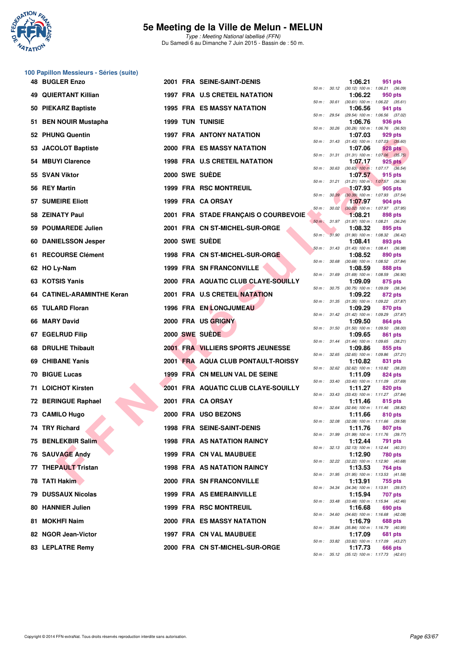

Type : Meeting National labellisé (FFN) Du Samedi 6 au Dimanche 7 Juin 2015 - Bassin de : 50 m.

#### **100 Papillon Messieurs - Séries (suite)**

| 48 BUGLER Enzo              |  | 2001 FRA SEINE-SAINT-DENIS           |              |              | 1:06.21 | 951 pts                                                 |
|-----------------------------|--|--------------------------------------|--------------|--------------|---------|---------------------------------------------------------|
| <b>49 QUIERTANT Killian</b> |  | <b>1997 FRA U.S CRETEIL NATATION</b> |              |              | 1:06.22 | 50 m : 30.12 (30.12) 100 m : 1:06.21 (36.09)<br>950 pts |
| 50 PIEKARZ Baptiste         |  | <b>1995 FRA ES MASSY NATATION</b>    |              | 50 m : 30.61 | 1:06.56 | $(30.61)$ 100 m : 1:06.22 $(35.61)$<br>941 pts          |
| 51 BEN NOUIR Mustapha       |  | <b>1999 TUN TUNISIE</b>              |              | 50 m : 29.54 | 1:06.76 | (29.54) 100 m: 1:06.56 (37.02)<br>936 pts               |
| 52 PHUNG Quentin            |  | <b>1997 FRA ANTONY NATATION</b>      |              |              | 1:07.03 | 50 m : 30.26 (30.26) 100 m : 1:06.76 (36.50)<br>929 pts |
| 53 JACOLOT Baptiste         |  | <b>2000 FRA ES MASSY NATATION</b>    |              |              | 1:07.06 | 50 m: 31.43 (31.43) 100 m: 1:07.03 (35.60)<br>928 pts   |
| 54 MBUYI Clarence           |  | 1998 FRA U.S CRETEIL NATATION        |              |              | 1:07.17 | 50 m: 31.31 (31.31) 100 m: 1:07.06 (35.75)<br>925 pts   |
| 55 SVAN Viktor              |  | 2000 SWE SUEDE                       |              |              | 1:07.57 | 50 m : 30.63 (30.63) 100 m : 1:07.17 (36.54)<br>915 pts |
| 56 REY Martin               |  | <b>1999 FRA RSC MONTREUIL</b>        |              | 50 m : 31.21 | 1:07.93 | $(31.21)$ 100 m : 1:07.57 $(36.36)$<br>905 pts          |
| 57 SUMEIRE Eliott           |  | 1999 FRA CA ORSAY                    |              | 50 m: 30.39  | 1:07.97 | $(30.39)$ 100 m : 1:07.93 $(37.54)$                     |
|                             |  |                                      |              |              |         | 904 pts<br>50 m : 30.02 (30.02) 100 m : 1:07.97 (37.95) |
| 58 ZEINATY Paul             |  | 2001 FRA STADE FRANÇAIS O COURBEVOIE |              |              | 1:08.21 | 898 pts<br>50 m: 31.97 (31.97) 100 m: 1:08.21 (36.24)   |
| 59 POUMAREDE Julien         |  | 2001 FRA CN ST-MICHEL-SUR-ORGE       |              |              | 1:08.32 | 895 pts<br>50 m: 31.90 (31.90) 100 m: 1:08.32 (36.42)   |
| 60 DANIELSSON Jesper        |  | 2000 SWE SUEDE                       |              |              | 1:08.41 | 893 pts<br>50 m: 31.43 (31.43) 100 m: 1:08.41 (36.98)   |
| 61 RECOURSE Clément         |  | 1998 FRA CN ST-MICHEL-SUR-ORGE       | 50 m : 30.68 |              | 1:08.52 | 890 pts<br>$(30.68)$ 100 m : 1:08.52 $(37.84)$          |
| 62 HO Ly-Nam                |  | <b>1999 FRA SN FRANCONVILLE</b>      | 50 m: 31.69  |              | 1:08.59 | 888 pts<br>$(31.69)$ 100 m : 1:08.59 $(36.90)$          |
| 63 KOTSIS Yanis             |  | 2000 FRA AQUATIC CLUB CLAYE-SOUILLY  |              |              | 1:09.09 | 875 pts<br>50 m : 30.75 (30.75) 100 m : 1:09.09 (38.34) |
| 64 CATINEL-ARAMINTHE Keran  |  | 2001 FRA U.S CRETEIL NATATION        |              |              | 1:09.22 | 872 pts<br>50 m: 31.35 (31.35) 100 m: 1:09.22 (37.87)   |
| 65 TULARD Floran            |  | <b>1996 FRA EN LONGJUMEAU</b>        |              |              | 1:09.29 | 870 pts                                                 |
| 66 MARY David               |  | 2000 FRA US GRIGNY                   |              |              | 1:09.50 | 50 m: 31.42 (31.42) 100 m: 1:09.29 (37.87)<br>864 pts   |
| 67 EGELRUD Filip            |  | 2000 SWE SUEDE                       |              |              | 1:09.65 | 50 m: 31.50 (31.50) 100 m: 1:09.50 (38.00)<br>861 pts   |
| 68 DRULHE Thibault          |  | 2001 FRA VILLIERS SPORTS JEUNESSE    |              |              | 1:09.86 | 50 m: 31.44 (31.44) 100 m: 1:09.65 (38.21)<br>855 pts   |
| 69 CHIBANE Yanis            |  | 2001 FRA AQUA CLUB PONTAULT-ROISSY   |              | 50 m : 32.65 | 1:10.82 | $(32.65)$ 100 m : 1:09.86 $(37.21)$<br>831 pts          |
| 70 BIGUE Lucas              |  | 1999 FRA CN MELUN VAL DE SEINE       |              |              | 1:11.09 | 50 m: 32.62 (32.62) 100 m: 1:10.82 (38.20)<br>824 pts   |
| 71 LOICHOT Kirsten          |  | 2001 FRA AQUATIC CLUB CLAYE-SOUILLY  | 50 m : 33.40 |              | 1:11.27 | $(33.40)$ 100 m : 1:11.09 $(37.69)$<br>820 pts          |
| 72 BERINGUE Raphael         |  | 2001 FRA CA ORSAY                    |              |              | 1:11.46 | 50 m: 33.43 (33.43) 100 m: 1:11.27 (37.84)<br>815 pts   |
| 73 CAMILO Hugo              |  | 2000 FRA USO BEZONS                  | 50 m : 32.64 |              | 1:11.66 | $(32.64)$ 100 m : 1:11.46 $(38.82)$<br>810 pts          |
| 74 TRY Richard              |  | 1998 FRA SEINE-SAINT-DENIS           | 50 m: 32.08  |              | 1:11.76 | $(32.08)$ 100 m : 1:11.66 $(39.58)$<br>807 pts          |
| 75 BENLEKBIR Salim          |  | <b>1998 FRA AS NATATION RAINCY</b>   |              |              | 1:12.44 | 50 m : 31.99 (31.99) 100 m : 1:11.76 (39.77)<br>791 pts |
| 76 SAUVAGE Andy             |  | <b>1999 FRA CN VAL MAUBUEE</b>       |              | 50 m : 32.13 | 1:12.90 | $(32.13)$ 100 m : 1:12.44 $(40.31)$<br>780 pts          |
| 77 THEPAULT Tristan         |  | <b>1998 FRA AS NATATION RAINCY</b>   | 50 m: 32.22  |              | 1:13.53 | (32.22) 100 m : 1:12.90 (40.68)<br>764 pts              |
| 78 TATI Hakim               |  | <b>2000 FRA SN FRANCONVILLE</b>      |              |              | 1:13.91 | 50 m: 31.95 (31.95) 100 m: 1:13.53 (41.58)              |
|                             |  |                                      |              | 50 m : 34.34 |         | 755 pts<br>$(34.34)$ 100 m : 1:13.91 $(39.57)$          |
| 79 DUSSAUX Nicolas          |  | <b>1999 FRA AS EMERAINVILLE</b>      |              | 50 m : 33.48 | 1:15.94 | 707 pts<br>(33.48) 100 m: 1:15.94 (42.46)               |
| 80 HANNIER Julien           |  | <b>1999 FRA RSC MONTREUIL</b>        | 50 m : 34.60 |              | 1:16.68 | 690 pts<br>$(34.60)$ 100 m : 1:16.68 $(42.08)$          |
| 81 MOKHFI Naim              |  | <b>2000 FRA ES MASSY NATATION</b>    | 50 m : 35.84 |              | 1:16.79 | 688 pts<br>$(35.84)$ 100 m : 1:16.79 $(40.95)$          |
| 82 NGOR Jean-Victor         |  | 1997 FRA CN VAL MAUBUEE              |              |              | 1:17.09 | 681 pts<br>50 m : 33.82 (33.82) 100 m : 1:17.09 (43.27) |
| 83 LEPLATRE Remy            |  | 2000 FRA CN ST-MICHEL-SUR-ORGE       |              |              | 1:17.73 | 666 pts                                                 |

|          |       | 1:06.21                      | 951 pts                              |
|----------|-------|------------------------------|--------------------------------------|
| $50 m$ : | 30.12 | $(30.12)$ 100 m :            | 1:06.21<br>(36.09)                   |
| $50 m$ : | 30.61 | 1:06.22<br>$(30.61)$ 100 m : | 950 pts<br>1:06.22<br>(35.61)        |
|          |       | 1:06.56                      | 941 pts                              |
| $50 m$ : | 29.54 | (29.54) 100 m :<br>1:06.76   | 1:06.56<br>(37.02)                   |
| $50 m$ : | 30.26 | $(30.26)$ 100 m :            | 936 pts<br>1:06.76<br>(36.50)        |
|          |       | 1:07.03                      | 929 pts                              |
| $50 m$ : | 31.43 | $(31.43) 100 m$ :<br>1:07.06 | 1:07.03 (35.60)<br>928 pts           |
| $50 m$ : | 31.31 | $(31.31) 100 m$ :            | (35.75)<br>1:07.06                   |
| $50 m$ : | 30.63 | 1:07.17<br>$(30.63)$ 100 m : | 925 pts<br>1:07.17 (36.54)           |
|          |       | 1:07.57                      | 915 pts                              |
| $50 m$ : | 31.21 | $(31.21)$ 100 m :<br>1:07.93 | 1:07.57<br>(36.36)<br>$-905$ pts     |
| $50 m$ : | 30.39 | $(30.39)$ 100 m :            | (37.54)<br>1:07.93                   |
|          |       | 1:07.97                      | 904 pts                              |
| $50 m$ : | 30.02 | $(30.02)$ 100 m :<br>1:08.21 | 1:07.97 (37.95)<br>898 pts           |
| $50 m$ : | 31.97 | $(31.97) 100 m$ :            | (36.24)<br>1:08.21                   |
| $50 m$ : | 31.90 | 1:08.32<br>$(31.90) 100 m$ : | 895 pts<br>1:08.32 (36.42)           |
|          |       | 1:08.41                      | 893 pts                              |
| $50 m$ : | 31.43 | $(31.43) 100 m$ :<br>1:08.52 | 1:08.41<br>(36.98)<br>890 pts        |
| 50 m :   | 30.68 | $(30.68) 100 m$ :            | 1:08.52<br>(37.84)                   |
| $50 m$ : | 31.69 | 1:08.59<br>$(31.69) 100 m$ : | 888 pts<br>1:08.59<br>(36.90)        |
|          |       | 1:09.09                      | 875 pts                              |
| $50 m$ : | 30.75 | $(30.75)$ 100 m :<br>1:09.22 | (38.34)<br>1:09.09                   |
| $50 m$ : | 31.35 | $(31.35) 100 m$ :            | 872 pts<br>1:09.22 (37.87)           |
|          |       | 1:09.29                      | 870 pts                              |
| $50 m$ : | 31.42 | $(31.42) 100 m$ :<br>1:09.50 | (37.87)<br>1:09.29<br>864 pts        |
| $50 m$ : | 31.50 | $(31.50) 100 m$ :            | 1:09.50 (38.00)                      |
| $50 m$ : | 31.44 | 1:09.65<br>$(31.44) 100 m$ : | 861 pts<br>1:09.65<br>(38.21)        |
|          |       | 1:09.86                      | 855 pts                              |
| $50 m$ : | 32.65 | $(32.65)$ 100 m :<br>1:10.82 | 1:09.86<br>(37.21)<br>831 pts        |
| $50 m$ : | 32.62 | $(32.62)$ 100 m :            | 1:10.82 (38.20)                      |
| $50 m$ : | 33.40 | 1:11.09<br>$(33.40)$ 100 m : | 824 pts<br>1:11.09<br>(37.69)        |
|          |       | 1:11.27                      | 820 pts                              |
| $50 m$ : | 33.43 | $(33.43) 100 m$ :<br>1:11.46 | 1:11.27 (37.84)<br>815 pts           |
| $50 m$ : | 32.64 | $(32.64) 100 m$ :            | 1:11.46<br>(38.82)                   |
| $50 m$ : | 32.08 | 1:11.66<br>$(32.08)$ 100 m : | 810 pts<br>1:11.66<br>(39.58)        |
|          |       | 1:11.76                      | 807 pts                              |
| $50 m$ : | 31.99 | (31.99) 100 m :              | 1:11.76<br>(39.77)                   |
| $50 m$ : | 32.13 | 1:12.44<br>$(32.13) 100 m$ : | 791<br>pts<br>1:12.44<br>(40.31)     |
|          |       | 1:12.90                      | <b>780 pts</b>                       |
| $50 m$ : | 32.22 | $(32.22)$ 100 m :<br>1:13.53 | 1:12.90<br>(40.68)<br>764 pts        |
| $50 m$ : | 31.95 | $(31.95) 100 m$ :            | 1:13.53<br>(41.58)                   |
| $50 m$ : | 34.34 | 1:13.91<br>$(34.34) 100 m$ : | <b>755 pts</b><br>1:13.91<br>(39.57) |
|          |       | 1:15.94                      | 707 pts                              |
| $50 m$ : | 33.48 | $(33.48) 100 m$ :<br>1:16.68 | 1:15.94<br>(42.46)<br>690 pts        |
| $50 m$ : | 34.60 | $(34.60)$ 100 m :            | 1:16.68<br>(42.08)                   |
| $50 m$ : | 35.84 | 1:16.79<br>$(35.84) 100 m$ : | 688 pts<br>1:16.79<br>(40.95)        |
|          |       | 1:17.09                      | <b>681 pts</b>                       |
| $50 m$ : | 33.82 | $(33.82)$ 100 m :<br>1:17.73 | 1:17.09<br>(43.27)<br>666 pts        |
| $50 m$ : | 35.12 | $(35.12) 100 m$ :            | 1:17.73<br>(42.61)                   |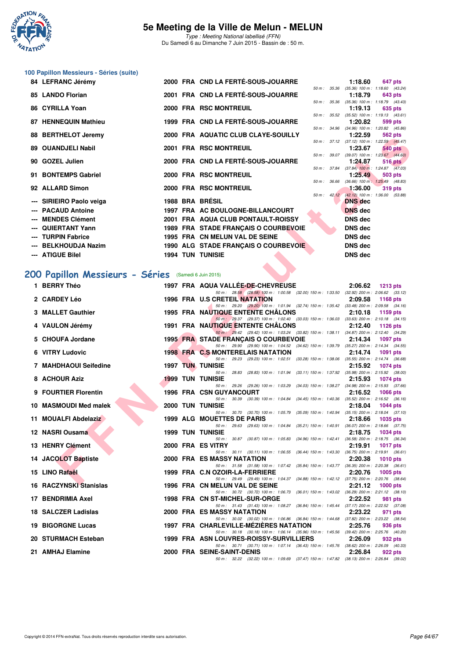

Type : Meeting National labellisé (FFN) Du Samedi 6 au Dimanche 7 Juin 2015 - Bassin de : 50 m.

# **100 Papillon Messieurs - Séries (suite)**

|     | 84 LEFRANC Jérémy           |  | 2000 FRA CND LA FERTÉ-SOUS-JOUARRE   |  | 1:18.60                                                         |                | 647 pts        |
|-----|-----------------------------|--|--------------------------------------|--|-----------------------------------------------------------------|----------------|----------------|
|     |                             |  |                                      |  | 50 m: 35.36 (35.36) 100 m: 1:18.60 (43.24)                      |                |                |
|     | 85 LANDO Florian            |  | 2001 FRA CND LA FERTÉ-SOUS-JOUARRE   |  | 1:18.79<br>50 m: 35.36 (35.36) 100 m: 1:18.79 (43.43)           |                | 643 pts        |
|     | 86 CYRILLA Yoan             |  | 2000 FRA RSC MONTREUIL               |  | 1:19.13                                                         |                | 635 pts        |
|     |                             |  |                                      |  | 50 m: 35.52 (35.52) 100 m: 1:19.13 (43.61)                      |                |                |
|     | <b>87 HENNEQUIN Mathieu</b> |  | 1999 FRA CND LA FERTÉ-SOUS-JOUARRE   |  | 1:20.82                                                         |                | 599 pts        |
|     |                             |  |                                      |  | 50 m : 34.96 (34.96) 100 m : 1:20.82 (45.86)                    |                |                |
|     | 88 BERTHELOT Jeremy         |  | 2000 FRA AQUATIC CLUB CLAYE-SOUILLY  |  | 1:22.59                                                         |                | 562 pts        |
|     | 89 OUANDJELI Nabil          |  | 2001 FRA RSC MONTREUIL               |  | 50 m: 37.12 (37.12) 100 m: 1:22.59 (45.47)<br>1:23.67           |                | <b>540 pts</b> |
|     |                             |  |                                      |  | 50 m : 39.07 (39.07) 100 m : 1:23.67 (44.60)                    |                |                |
|     | 90 GOZEL Julien             |  | 2000 FRA CND LA FERTÉ-SOUS-JOUARRE   |  | 1:24.87                                                         | <b>516 pts</b> |                |
|     |                             |  |                                      |  | 50 m : 37.84 (37.84) 100 m : 1:24.87 (47.03)                    |                |                |
|     | 91 BONTEMPS Gabriel         |  | 2000 FRA RSC MONTREUIL               |  | 1:25.49                                                         |                | 503 pts        |
|     | 92 ALLARD Simon             |  | 2000 FRA RSC MONTREUIL               |  | 50 m: 36.66 (36.66) 100 m: 1:25.49 (48.83)<br>$1:36.00$ 319 pts |                |                |
|     |                             |  |                                      |  | 50 m: 42.12 (42.12) 100 m: 1:36.00 (53.88)                      |                |                |
|     | --- SIRIEIRO Paolo veiga    |  | 1988 BRA BRÉSIL                      |  | <b>DNS</b> dec                                                  |                |                |
|     | --- PACAUD Antoine          |  | 1997 FRA AC BOULOGNE-BILLANCOURT     |  | <b>DNS</b> dec                                                  |                |                |
| --- | <b>MENDES Clément</b>       |  | 2001 FRA AQUA CLUB PONTAULT-ROISSY   |  | DNS dec                                                         |                |                |
|     | --- QUIERTANT Yann          |  | 1989 FRA STADE FRANÇAIS O COURBEVOIE |  | DNS dec                                                         |                |                |
|     | --- TURPIN Fabrice          |  | 1995 FRA CN MELUN VAL DE SEINE       |  | DNS dec                                                         |                |                |
|     | --- BELKHOUDJA Nazim        |  |                                      |  | <b>DNS dec</b>                                                  |                |                |
|     |                             |  | 1990 ALG STADE FRANÇAIS O COURBEVOIE |  |                                                                 |                |                |
|     | --- ATIGUE Bilel            |  | <b>1994 TUN TUNISIE</b>              |  | <b>DNS dec</b>                                                  |                |                |

## **[200 Papillon Messieurs - Séries](http://www.ffnatation.fr/webffn/resultats.php?idact=nat&go=epr&idcpt=31115&idepr=83)** (Samedi 6 Juin 2015)

| 00 DENTILELUI JUULUIN                                               |  | <b>2000 FRA AGOATIC CLOD CLATE-SOUILLT</b>                                                                                         |  | 1.22.33        | סוע שטט                                                      |
|---------------------------------------------------------------------|--|------------------------------------------------------------------------------------------------------------------------------------|--|----------------|--------------------------------------------------------------|
| 89 OUANDJELI Nabil                                                  |  | 2001 FRA RSC MONTREUIL                                                                                                             |  | 1:23.67        | 50 m: 37.12 (37.12) 100 m: 1:22.59 (45.47)<br><b>540 pts</b> |
| 90 GOZEL Julien                                                     |  | 2000 FRA CND LA FERTÉ-SOUS-JOUARRE                                                                                                 |  | 1:24.87        | 50 m : 39.07 (39.07) 100 m : 1:23.67 (44.60)<br>516 pts      |
| 91 BONTEMPS Gabriel                                                 |  | 2000 FRA RSC MONTREUIL                                                                                                             |  | 1:25.49        | 50 m : 37.84 (37.84) 100 m : 1:24.87 (47.03)<br>503 pts      |
| 92 ALLARD Simon                                                     |  | 2000 FRA RSC MONTREUIL                                                                                                             |  | 1:36.00        | 50 m: 36.66 (36.66) 100 m: 1:25.49 (48.83)<br>319 pts        |
|                                                                     |  |                                                                                                                                    |  |                | 50 m : 42.12 (42.12) 100 m : 1:36.00 (53.88)                 |
| --- SIRIEIRO Paolo veiga                                            |  | 1988 BRA BRESIL                                                                                                                    |  | <b>DNS</b> dec |                                                              |
| --- PACAUD Antoine                                                  |  | 1997 FRA AC BOULOGNE-BILLANCOURT                                                                                                   |  | <b>DNS</b> dec |                                                              |
| --- MENDES Clément                                                  |  | 2001 FRA AQUA CLUB PONTAULT-ROISSY                                                                                                 |  | <b>DNS</b> dec |                                                              |
| --- QUIERTANT Yann                                                  |  | 1989 FRA STADE FRANCAIS O COURBEVOIE                                                                                               |  | <b>DNS dec</b> |                                                              |
| --- TURPIN Fabrice                                                  |  | 1995 FRA CN MELUN VAL DE SEINE                                                                                                     |  | <b>DNS dec</b> |                                                              |
| --- BELKHOUDJA Nazim                                                |  | 1990 ALG STADE FRANÇAIS O COURBEVOIE                                                                                               |  | <b>DNS dec</b> |                                                              |
| --- ATIGUE Bilel                                                    |  | <b>1994 TUN TUNISIE</b>                                                                                                            |  | <b>DNS dec</b> |                                                              |
| 00 Papillon Messieurs - Séries (Samedi 6 Juin 2015)<br>1 BERRY Théo |  | 1997 FRA AQUA VALLEE-DE-CHEVREUSE                                                                                                  |  | 2:06.62        | 1213 pts                                                     |
|                                                                     |  | 50 m: 28.58 (28.58) 100 m: 1:00.58 (32.00) 150 m: 1:33.50 (32.92) 200 m: 2:06.62 (33.12)                                           |  |                |                                                              |
| 2 CARDEY Léo                                                        |  | 1996 FRA U.S CRETEIL NATATION<br>50 m: 29.20 (29.20) 100 m: 1:01.94 (32.74) 150 m: 1:35.42 (33.48) 200 m: 2:09.58 (34.16)          |  | 2:09.58        | 1168 pts                                                     |
| 3 MALLET Gauthier                                                   |  | <b>1995 FRA NAUTIQUE ENTENTE CHALONS</b>                                                                                           |  | 2:10.18        | 1159 pts                                                     |
|                                                                     |  | 50 m: 29.37 (29.37) 100 m: 1:02.40 (33.03) 150 m: 1:36.03 (33.63) 200 m: 2:10.18 (34.15)                                           |  |                |                                                              |
| 4 VAULON Jérémy                                                     |  | <b>1991 FRA NAUTIQUE ENTENTE CHALONS</b>                                                                                           |  | 2:12.40        | 1126 $pts$                                                   |
| 5 CHOUFA Jordane                                                    |  | 50 m: 29.42 (29.42) 100 m: 1:03.24 (33.82) 150 m: 1:38.11 (34.87) 200 m: 2:12.40 (34.29)<br>1995 FRA STADE FRANCAIS O COURBEVOIE   |  | 2:14.34        | <b>1097 pts</b>                                              |
|                                                                     |  | 50 m: 29.90 (29.90) 100 m: 1:04.52 (34.62) 150 m: 1:39.79 (35.27) 200 m: 2:14.34 (34.55)                                           |  |                |                                                              |
| 6 VITRY Ludovic                                                     |  | 1998 FRA C.S MONTERELAIS NATATION                                                                                                  |  | 2:14.74        | 1091 pts                                                     |
| 7 MAHDHAOUI Seifedine                                               |  | 50 m: 29.23 (29.23) 100 m: 1:02.51 (33.28) 150 m: 1:38.06 (35.55) 200 m: 2:14.74 (36.68)<br><b>1997 TUN TUNISIE</b>                |  | 2:15.92        | 1074 pts                                                     |
| 8 ACHOUR Aziz                                                       |  | 50 m: 28.83 (28.83) 100 m: 1:01.94 (33.11) 150 m: 1:37.92 (35.98) 200 m: 2:15.92 (38.00)<br><b>1999 TUN TUNISIE</b>                |  | 2:15.93        | 1074 pts                                                     |
| 9 FOURTIER Florentin                                                |  | 50 m: 29.26 (29.26) 100 m: 1:03.29 (34.03) 150 m: 1:38.27 (34.98) 200 m: 2:15.93 (37.66)<br><b>1996 FRA CSN GUYANCOURT</b>         |  | 2:16.52        | <b>1066 pts</b>                                              |
|                                                                     |  | 50 m: 30.39 (30.39) 100 m: 1:04.84 (34.45) 150 m: 1:40.36 (35.52) 200 m: 2:16.52 (36.16)                                           |  |                |                                                              |
| 10 MASMOUDI Med malek                                               |  | <b>2000 TUN TUNISIE</b>                                                                                                            |  | 2:18.04        | 1044 $pts$                                                   |
| 11 MOUALFI Abdelaziz                                                |  | 50 m: 30.70 (30.70) 100 m: 1:05.79 (35.09) 150 m: 1:40.94 (35.15) 200 m: 2:18.04 (37.10)<br>1999 ALG MOUETTES DE PARIS             |  | 2:18.66        | 1035 pts                                                     |
|                                                                     |  | 50 m: 29.63 (29.63) 100 m: 1:04.84 (35.21) 150 m: 1:40.91 (36.07) 200 m: 2:18.66 (37.75)                                           |  |                |                                                              |
| 12 NASRI Ousama                                                     |  | <b>1999 TUN TUNISIE</b>                                                                                                            |  | 2:18.75        | 1034 pts                                                     |
| 13 HENRY Clément                                                    |  | 50 m: 30.87 (30.87) 100 m: 1:05.83 (34.96) 150 m: 1:42.41 (36.58) 200 m: 2:18.75 (36.34)<br>2000 FRA ES VITRY                      |  |                |                                                              |
|                                                                     |  | 50 m: 30.11 (30.11) 100 m: 1:06.55 (36.44) 150 m: 1:43.30 (36.75) 200 m: 2:19.91 (36.61)                                           |  | 2:19.91        | <b>1017 pts</b>                                              |
| 14 JACOLOT Baptiste                                                 |  | 2000 FRA ES MASSY NATATION                                                                                                         |  | 2:20.38        | 1010 $pts$                                                   |
| 15 LINO Rafaël                                                      |  | 50 m: 31.58 (31.58) 100 m: 1:07.42 (35.84) 150 m: 1:43.77 (36.35) 200 m: 2:20.38 (36.61)<br>1999 FRA C.N OZOIR-LA-FERRIERE         |  | 2:20.76        | 1005 pts                                                     |
|                                                                     |  | 50 m: 29.49 (29.49) 100 m: 1:04.37 (34.88) 150 m: 1:42.12 (37.75) 200 m: 2:20.76 (38.64)                                           |  |                |                                                              |
| 16 RACZYNSKI Stanislas                                              |  | 1996 FRA CN MELUN VAL DE SEINE                                                                                                     |  | 2:21.12        | 1000 pts                                                     |
| 17 BENDRIMIA Axel                                                   |  | 50 m: 30.72 (30.72) 100 m: 1.06.73 (36.01) 150 m: 1.43.02 (36.29) 200 m: 2.21.12 (38.10)<br>1998 FRA CN ST-MICHEL-SUR-ORGE         |  | 2:22.52        | 981 pts                                                      |
|                                                                     |  | 50 m: 31.43 (31.43) 100 m: 1:08.27 (36.84) 150 m: 1:45.44 (37.17) 200 m: 2:22.52 (37.08)                                           |  |                |                                                              |
| 18 SALCZER Ladislas                                                 |  | <b>2000 FRA ES MASSY NATATION</b>                                                                                                  |  | 2:23.22        | 971 pts                                                      |
| 19 BIGORGNE Lucas                                                   |  | 50 m: 30.02 (30.02) 100 m: 1:06.86 (36.84) 150 m: 1:44.68 (37.82) 200 m: 2:23.22 (38.54)<br>1997 FRA CHARLEVILLE-MEZIERES NATATION |  | 2:25.76        |                                                              |
|                                                                     |  | 50 m: 30.18 (30.18) 100 m: 1:06.14 (35.96) 150 m: 1:45.56 (39.42) 200 m: 2:25.76 (40.20)                                           |  |                | 936 pts                                                      |
| 20 STURMACH Esteban                                                 |  | 1999 FRA ASN LOUVRES-ROISSY-SURVILLIERS                                                                                            |  | 2:26.09        | 932 pts                                                      |
| 21 AMHAJ Elamine                                                    |  | 50 m: 30.71 (30.71) 100 m: 1:07.14 (36.43) 150 m: 1:45.76 (38.62) 200 m: 2:26.09 (40.33)<br>2000 FRA SEINE-SAINT-DENIS             |  |                |                                                              |
|                                                                     |  | 50 m: 32.22 (32.22) 100 m: 1:09.69 (37.47) 150 m: 1:47.82 (38.13) 200 m: 2:26.84 (39.02)                                           |  | 2:26.84        | 922 pts                                                      |
|                                                                     |  |                                                                                                                                    |  |                |                                                              |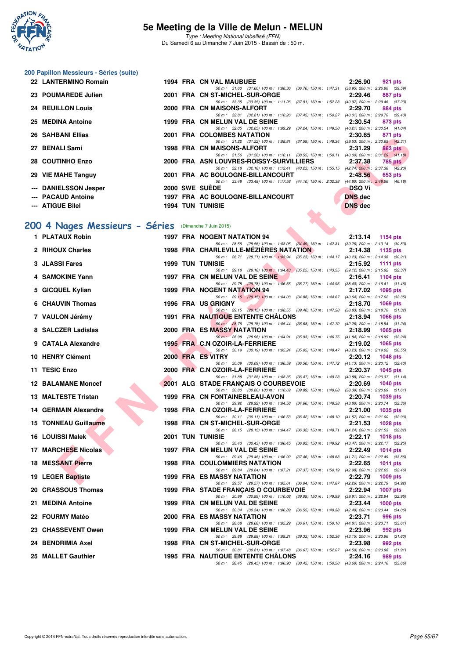

Type : Meeting National labellisé (FFN) Du Samedi 6 au Dimanche 7 Juin 2015 - Bassin de : 50 m.

#### **200 Papillon Messieurs - Séries (suite)**

| 22 LANTERMINO Romain     |  | 1994 FRA CN VAL MAUBUEE                                                                  | 2:26.90        | 921 pts |
|--------------------------|--|------------------------------------------------------------------------------------------|----------------|---------|
|                          |  | 50 m: 31.60 (31.60) 100 m: 1:08.36 (36.76) 150 m: 1:47.31 (38.95) 200 m: 2:26.90 (39.59) |                |         |
| 23 POUMAREDE Julien      |  | 2001 FRA CN ST-MICHEL-SUR-ORGE                                                           | 2:29.46        | 887 pts |
|                          |  | 50 m: 33.35 (33.35) 100 m: 1:11.26 (37.91) 150 m: 1:52.23 (40.97) 200 m: 2:29.46 (37.23) |                |         |
| <b>24 REUILLON Louis</b> |  | 2000 FRA CN MAISONS-ALFORT                                                               | 2:29.70        | 884 pts |
|                          |  | 50 m: 32.81 (32.81) 100 m: 1:10.26 (37.45) 150 m: 1:50.27 (40.01) 200 m: 2:29.70 (39.43) |                |         |
| 25 MEDINA Antoine        |  | 1999 FRA CN MELUN VAL DE SEINE                                                           | 2:30.54        | 873 pts |
|                          |  | 50 m: 32.05 (32.05) 100 m: 1:09.29 (37.24) 150 m: 1:49.50 (40.21) 200 m: 2:30.54 (41.04) |                |         |
| <b>26 SAHBANI Ellias</b> |  | 2001 FRA COLOMBES NATATION                                                               | 2:30.65        | 871 pts |
|                          |  | 50 m: 31.22 (31.22) 100 m: 1:08.81 (37.59) 150 m: 1:48.34 (39.53) 200 m: 2:30.65 (42.31) |                |         |
| 27 BENALI Sami           |  | 1998 FRA CN MAISONS-ALFORT                                                               | 2:31.29        | 863 pts |
|                          |  | 50 m: 31.56 (31.56) 100 m: 1:10.11 (38.55) 150 m: 1:50.11 (40.00) 200 m: 2:31.29 (41.18) |                |         |
| 28 COUTINHO Enzo         |  | 2000 FRA ASN LOUVRES-ROISSY-SURVILLIERS 2:37.38                                          |                | 785 pts |
|                          |  | 50 m: 32.18 (32.18) 100 m: 1:12.41 (40.23) 150 m: 1:55.15 (42.74) 200 m: 2:37.38 (42.23) |                |         |
| 29 VIE MAHE Tanguy       |  | 2001 FRA AC BOULOGNE-BILLANCOURT                                                         | 2:48.56        | 653 pts |
|                          |  | 50 m: 33.48 (33.48) 100 m: 1:17.58 (44.10) 150 m: 2:02.38 (44.80) 200 m: 2:48.56 (46.18) |                |         |
| --- DANIELSSON Jesper    |  | 2000 SWE SUEDE                                                                           | <b>DSQ Vi</b>  |         |
| --- PACAUD Antoine       |  | 1997 FRA AC BOULOGNE-BILLANCOURT                                                         | <b>DNS</b> dec |         |
|                          |  |                                                                                          |                |         |
| --- ATIGUE Bilel         |  | <b>1994 TUN TUNISIE</b><br><b>Contract Contract</b>                                      | <b>DNS</b> dec |         |

### **[200 4 Nages Messieurs - Séries](http://www.ffnatation.fr/webffn/resultats.php?idact=nat&go=epr&idcpt=31115&idepr=91)** (Dimanche 7 Juin 2015)

| <b>JAHDANI LIIIAS</b>                                |  | <b>FRA COLOMBLS NATATION</b><br>2.30.03<br>or i pis                                                                                                                |
|------------------------------------------------------|--|--------------------------------------------------------------------------------------------------------------------------------------------------------------------|
| 27 BENALI Sami                                       |  | 50 m: 31.22 (31.22) 100 m: 1:08.81 (37.59) 150 m: 1:48.34 (39.53) 200 m: 2:30.65 (42.31)<br>1998 FRA CN MAISONS-ALFORT<br>2:31.29<br><b>863 pts</b>                |
| 28 COUTINHO Enzo                                     |  | 50 m: 31.56 (31.56) 100 m: 1:10.11 (38.55) 150 m: 1:50.11 (40.00) 200 m: 2:31.29 (41.18)<br>2000 FRA ASN LOUVRES-ROISSY-SURVILLIERS<br>2:37.38<br><b>785 pts</b>   |
| 29 VIE MAHE Tanguy                                   |  | 50 m: 32.18 (32.18) 100 m: 1:12.41 (40.23) 150 m: 1:55.15 (42.74) 200 m: 2:37.38 (42.23)<br>2001 FRA AC BOULOGNE-BILLANCOURT<br>2:48.56<br>653 pts                 |
| --- DANIELSSON Jesper                                |  | 50 m: 33.48 (33.48) 100 m: 1:17.58 (44.10) 150 m: 2:02.38 (44.80) 200 m: 2:48.56 (46.18)<br>2000 SWE SUEDE<br><b>DSQ Vi</b>                                        |
| <b>PACAUD Antoine</b>                                |  | 1997 FRA AC BOULOGNE-BILLANCOURT<br>DNS dec                                                                                                                        |
|                                                      |  |                                                                                                                                                                    |
| <b>ATIGUE Bilel</b>                                  |  | <b>1994 TUN TUNISIE</b><br><b>DNS</b> dec                                                                                                                          |
| 00 4 Nages Messieurs - Séries (Dimanche 7 Juin 2015) |  |                                                                                                                                                                    |
| 1 PLATAUX Robin                                      |  | 1997 FRA NOGENT NATATION 94<br>2:13.14<br>1154 pts                                                                                                                 |
| 2 RIHOUX Charles                                     |  | 50 m: 28.56 (28.56) 100 m: 1:03.05 (34.49) 150 m: 1:42.31 (39.26) 200 m: 2:13.14 (30.83)<br>1998 FRA CHARLEVILLE-MÉZIÈRES NATATION<br>2:14.38<br>1135 pts          |
|                                                      |  | 50 m: 28.71 (28.71) 100 m: 1:03.94 (35.23) 150 m: 1:44.17 (40.23) 200 m: 2:14.38 (30.21)                                                                           |
| 3 JLASSI Fares                                       |  | <b>1999 TUN TUNISIE</b><br>2:15.92<br><b>1111 pts</b><br>50 m: 29.18 (29.18) 100 m: 1:04.43 (35.25) 150 m: 1:43.55 (39.12) 200 m: 2:15.92 (32.37)                  |
| 4 SAMOKINE Yann                                      |  | 1997 FRA CN MELUN VAL DE SEINE<br>2:16.41<br>1104 pts                                                                                                              |
| 5 GICQUEL Kylian                                     |  | 50 m: 29.78 (29.78) 100 m: 1:06.55 (36.77) 150 m: 1:44.95 (38.40) 200 m: 2:16.41 (31.46)<br>1999 FRA NOGENT NATATION 94<br>2:17.02<br>1095 pts                     |
|                                                      |  | 50 m: 29.15 (29.15) 100 m: 1:04.03 (34.88) 150 m: 1:44.67 (40.64) 200 m: 2:17.02 (32.35)                                                                           |
| 6 CHAUVIN Thomas                                     |  | 1996 FRA US GRIGNY<br>2:18.70<br>1069 pts                                                                                                                          |
| 7 VAULON Jérémy                                      |  | 50 m: 29.15 (29.15) 100 m: 1:08.55 (39.40) 150 m: 1:47.38 (38.83) 200 m: 2:18.70 (31.32)<br><b>1991 FRA NAUTIQUE ENTENTE CHALONS</b><br>2:18.94<br><b>1066 pts</b> |
|                                                      |  | 50 m: 28.76 (28.76) 100 m: 1.05.44 (36.68) 150 m: 1.47.70 (42.26) 200 m: 2.18.94 (31.24)                                                                           |
| 8 SALCZER Ladislas                                   |  | <b>2000 FRA ES MASSY NATATION</b><br>2:18.99<br><b>1065 pts</b><br>50 m : 28.98 (28.98) 100 m : 1:04.91 (35.93) 150 m : 1:46.75 (41.84) 200 m : 2:18.99 (32.24)    |
| 9 CATALA Alexandre                                   |  | 1995 FRA C.N OZOIR-LA-FERRIERE<br>2:19.02<br>1065 pts                                                                                                              |
| 10 HENRY Clément                                     |  | 50 m: 30.19 (30.19) 100 m: 1:05.24 (35.05) 150 m: 1:48.47 (43.23) 200 m: 2:19.02 (30.55)<br>2000 FRA ES VITRY<br>2:20.12<br>1048 pts                               |
| 11 TESIC Enzo                                        |  | 50 m: 30.09 (30.09) 100 m: 1:06.59 (36.50) 150 m: 1:47.72 (41.13) 200 m: 2:20.12 (32.40)<br>2000 FRA C.N OZOIR-LA-FERRIERE<br>2:20.37<br><b>1045 pts</b>           |
| <b>12 BALAMANE Moncef</b>                            |  | 50 m: 31.88 (31.88) 100 m: 1:08.35 (36.47) 150 m: 1:49.23 (40.88) 200 m: 2:20.37 (31.14)<br>2:20.69                                                                |
|                                                      |  | 2001 ALG STADE FRANCAIS O COURBEVOIE<br><b>1040 pts</b><br>50 m: 30.80 (30.80) 100 m: 1:10.69 (39.89) 150 m: 1:49.08 (38.39) 200 m: 2:20.69 (31.61)                |
| <b>13 MALTESTE Tristan</b>                           |  | 1999 FRA CN FONTAINEBLEAU-AVON<br>2:20.74<br>1039 pts<br>50 m: 29.92 (29.92) 100 m: 1:04.58 (34.66) 150 m: 1:48.38 (43.80) 200 m: 2:20.74 (32.36)                  |
| <b>14 GERMAIN Alexandre</b>                          |  | 1998 FRA C.N OZOIR-LA-FERRIERE<br>2:21.00<br>1035 pts                                                                                                              |
| <b>15 TONNEAU Guillaume</b>                          |  | 50 m: 30.11 (30.11) 100 m: 1:06.53 (36.42) 150 m: 1:48.10 (41.57) 200 m: 2:21.00 (32.90)<br>1998 FRA CN ST-MICHEL-SUR-ORGE<br>2:21.53<br><b>1028 pts</b>           |
|                                                      |  | 50 m: 28.15 (28.15) 100 m: 1:04.47 (36.32) 150 m: 1:48.71 (44.24) 200 m: 2:21.53 (32.82)                                                                           |
| <b>16 LOUISSI Malek</b>                              |  | <b>2001 TUN TUNISIE</b><br>2:22.17<br><b>1018 pts</b>                                                                                                              |
| <b>17 MARCHESE Nicolas</b>                           |  | 50 m: 30.43 (30.43) 100 m: 1:06.45 (36.02) 150 m: 1:49.92 (43.47) 200 m: 2:22.17 (32.25)<br>1997 FRA CN MELUN VAL DE SEINE<br>2:22.49<br><b>1014 pts</b>           |
| <b>18 MESSANT Pierre</b>                             |  | 50 m: 29.46 (29.46) 100 m: 1:06.92 (37.46) 150 m: 1:48.63 (41.71) 200 m: 2:22.49 (33.86)<br><b>1998 FRA COULOMMIERS NATATION</b><br>2:22.65<br><b>1011 pts</b>     |
|                                                      |  | 50 m: 29.84 (29.84) 100 m: 1:07.21 (37.37) 150 m: 1:50.19 (42.98) 200 m: 2:22.65 (32.46)                                                                           |
| 19 LEGER Baptiste                                    |  | <b>1999 FRA ES MASSY NATATION</b><br>2:22.79<br>1009 pts<br>50 m: 29.57 (29.57) 100 m: 1:05.61 (36.04) 150 m: 1:47.87 (42.26) 200 m: 2:22.79 (34.92)               |
| 20 CRASSOUS Thomas                                   |  | 1999 FRA STADE FRANÇAIS O COURBEVOIE<br>2:22.94<br>1007 pts                                                                                                        |
| 21 MEDINA Antoine                                    |  | 50 m: 30.99 (30.99) 100 m: 1:10.08 (39.09) 150 m: 1:49.99<br>(39.91) 200 m : 2:22.94 (32.95)<br>1999 FRA CN MELUN VAL DE SEINE<br>2:23.44<br><b>1000 pts</b>       |
| 22 FOURMY Matéo                                      |  | 50 m : 30.34 (30.34) 100 m : 1:06.89 (36.55) 150 m : 1:49.38 (42.49) 200 m : 2:23.44 (34.06)<br>2000 FRA ES MASSY NATATION<br>2:23.71<br>996 pts                   |
|                                                      |  | 50 m: 28.68 (28.68) 100 m: 1:05.29<br>(36.61) 150 m: 1:50.10 (44.81) 200 m: 2:23.71 (33.61)                                                                        |
| 23 CHASSEVENT Owen                                   |  | 1999 FRA CN MELUN VAL DE SEINE<br>2:23.96<br>992 pts<br>50 m : 29.88 (29.88) 100 m : 1:09.21 (39.33) 150 m : 1:52.36 (43.15) 200 m : 2:23.96 (31.60)               |
| 24 BENDRIMIA Axel                                    |  | 1998 FRA CN ST-MICHEL-SUR-ORGE<br>2:23.98<br>992 pts                                                                                                               |
|                                                      |  | 50 m: 30.81 (30.81) 100 m: 1:07.48 (36.67) 150 m: 1:52.07 (44.59) 200 m: 2:23.98 (31.91)<br><b>1995 FRA NAUTIQUE ENTENTE CHALONS</b>                               |
| 25 MALLET Gauthier                                   |  | 2:24.16<br>989 pts<br>50 m: 28.45 (28.45) 100 m: 1:06.90 (38.45) 150 m: 1:50.50 (43.60) 200 m: 2:24.16 (33.66)                                                     |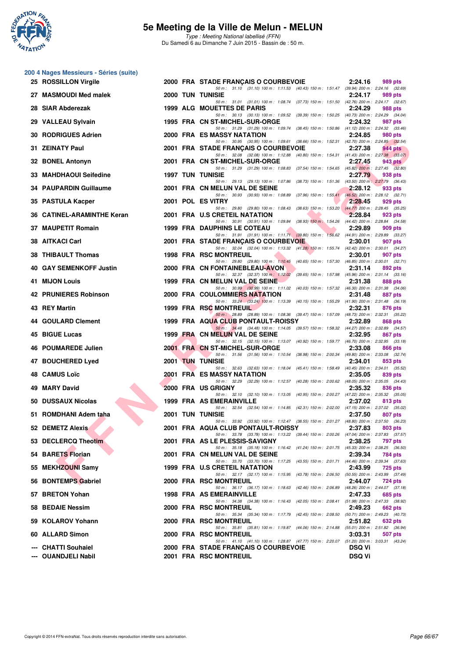

**200 4 Nages Messieurs - Séries (suite)**

|     | 25 ROSSILLON Virgile       |  | 2000 FRA STADE FRANÇAIS O COURBEVOIE                                                                                             | 2:24.16       | 989 pts                                    |
|-----|----------------------------|--|----------------------------------------------------------------------------------------------------------------------------------|---------------|--------------------------------------------|
|     | 27 MASMOUDI Med malek      |  | 50 m: 31.10 (31.10) 100 m: 1:11.53 (40.43) 150 m: 1:51.47 (39.94) 200 m: 2:24.16 (32.69)<br><b>2000 TUN TUNISIE</b>              | 2:24.17       | 989 pts                                    |
|     | 28 SIAR Abderezak          |  | 50 m: 31.01 (31.01) 100 m: 1:08.74 (37.73) 150 m: 1:51.50 (42.76) 200 m: 2:24.17 (32.67)<br>1999 ALG MOUETTES DE PARIS           | 2:24.29       | 988 pts                                    |
|     | 29 VALLEAU Sylvain         |  | 50 m: 30.13 (30.13) 100 m: 1:09.52 (39.39) 150 m: 1:50.25 (40.73) 200 m: 2:24.29 (34.04)<br>1995 FRA CN ST-MICHEL-SUR-ORGE       | 2:24.32       | 987 pts                                    |
| 30. | <b>RODRIGUES Adrien</b>    |  | 50 m: 31.29 (31.29) 100 m: 1:09.74 (38.45) 150 m: 1:50.86 (41.12) 200 m: 2:24.32 (33.46)<br>2000 FRA ES MASSY NATATION           | 2:24.85       | 980 pts                                    |
|     | 31 ZEINATY Paul            |  | 50 m: 30.95 (30.95) 100 m: 1:09.61 (38.66) 150 m: 1:52.31 (42.70) 200 m: 2:24.85 (32.54)<br>2001 FRA STADE FRANÇAIS O COURBEVOIE | 2:27.38       | 944 pts                                    |
|     |                            |  | 50 m: 32.08 (32.08) 100 m: 1:12.88 (40.80) 150 m: 1:54.31 (41.43) 200 m: 2:27.38 (33.07)                                         |               |                                            |
|     | 32 BONEL Antonyn           |  | 2001 FRA CN ST-MICHEL-SUR-ORGE<br>50 m: 31.29 (31.29) 100 m: 1:08.83 (37.54) 150 m: 1:54.65 (45.82) 200 m: 2:27.45 (32.80)       | 2:27.45       | 943 pts                                    |
|     | 33 MAHDHAOUI Seifedine     |  | <b>1997 TUN TUNISIE</b><br>50 m: 29.13 (29.13) 100 m: 1.07.86 (38.73) 150 m: 1.51.36 (43.50) 200 m: 2.27.79 (36.43)              | 2:27.79       | 938 pts                                    |
|     | 34 PAUPARDIN Guillaume     |  | 2001 FRA CN MELUN VAL DE SEINE<br>50 m: 30.93 (30.93) 100 m: 1:08.89 (37.96) 150 m: 1:55.41 (46.52) 200 m: 2:28.12 (32.71)       | 2:28.12       | 933 pts                                    |
|     | 35 PASTULA Kacper          |  | 2001 POL ES VITRY<br>50 m: 29.80 (29.80) 100 m: 1:08.43 (38.63) 150 m: 1:53.20 (44.77) 200 m: 2:28.45 (35.25)                    | 2:28.45       | 929 pts                                    |
|     | 36 CATINEL-ARAMINTHE Keran |  | 2001 FRA U.S CRETEIL NATATION<br>50 m: 30.91 (30.91) 100 m: 1:09.84 (38.93) 150 m: 1:54.26 (44.42) 200 m: 2:28.84 (34.58)        | 2:28.84       | 923 pts                                    |
|     | 37 MAUPETIT Romain         |  | <b>1999 FRA DAUPHINS LE COTEAU</b>                                                                                               | 2:29.89       | 909 pts                                    |
|     | 38 AITKACI Carl            |  | 50 m: 31.91 (31.91) 100 m: 1:11.71 (39.80) 150 m: 1:56.62 (44.91) 200 m: 2:29.89 (33.27)<br>2001 FRA STADE FRANÇAIS O COURBEVOIE | 2:30.01       | 907 pts                                    |
|     | <b>38 THIBAULT Thomas</b>  |  | 50 m: 32.04 (32.04) 100 m: 1:13.32 (41.28) 150 m: 1:55.74 (42.42) 200 m: 2:30.01 (34.27)<br><b>1998 FRA RSC MONTREUIL</b>        | 2:30.01       | 907 pts                                    |
|     | 40 GAY SEMENKOFF Justin    |  | 50 m: 29.80 (29.80) 100 m: 1:10.45 (40.65) 150 m: 1:57.30 (46.85) 200 m: 2:30.01 (32.71)<br>2000 FRA CN FONTAINEBLEAU-AVON       | 2:31.14       | 892 pts                                    |
|     | <b>41 MIJON Louis</b>      |  | 50 m: 32.37 (32.37) 100 m: 1:12.02 (39.65) 150 m: 1:57.98 (45.96) 200 m: 2:31.14 (33.16)<br>1999 FRA CN MELUN VAL DE SEINE       | 2:31.38       | 888 pts                                    |
|     |                            |  | 50 m: 30.99 (30.99) 100 m: 1:11.02 (40.03) 150 m: 1:57.32 (46.30) 200 m: 2:31.38 (34.06)                                         |               |                                            |
|     | 42 PRUNIERES Robinson      |  | 2000 FRA COULOMMIERS NATATION<br>50 m: 33.24 (33.24) 100 m: 1:13.39 (40.15) 150 m: 1:55.29 (41.90) 200 m: 2:31.48 (36.19)        | 2:31.48       | 887 pts                                    |
|     | 43 REY Martin              |  | 1999 FRA RSC MONTREUIL<br>50 m: 28.89 (28.89) 100 m: 1:08.36 (39.47) 150 m: 1:57.09 (48.73) 200 m: 2:32.31 (35.22)               | 2:32.31       | 876 pts                                    |
|     | 44 GOULARD Clement         |  | 1999 FRA AQUA CLUB PONTAULT-ROISSY<br>50 m: 34.48 (34.48) 100 m: 1:14.05 (39.57) 150 m: 1:58.32 (44.27) 200 m: 2:32.89 (34.57)   | 2:32.89       | 868 pts                                    |
|     | 45 BIGUE Lucas             |  | 1999 FRA CN MELUN VAL DE SEINE                                                                                                   | 2:32.95       | 867 pts                                    |
| 46. | <b>POUMAREDE Julien</b>    |  | 50 m: 32.15 (32.15) 100 m: 1:13.07 (40.92) 150 m: 1:59.77 (46.70) 200 m: 2:32.95 (33.18)<br>2001 FRA CN ST-MICHEL-SUR-ORGE       | 2:33.08       | 866 pts                                    |
|     | 47 BOUCHERED Lyed          |  | 50 m: 31.56 (31.56) 100 m: 1:10.54 (38.98) 150 m: 2:00.34 (49.80) 200 m: 2:33.08 (32.74)<br><b>2001 TUN TUNISIE</b>              | 2:34.01       | 853 pts                                    |
|     | 48 CAMUS Loïc              |  | 50 m: 32.63 (32.63) 100 m: 1:18.04 (45.41) 150 m: 1:58.49 (40.45) 200 m: 2:34.01 (35.52)<br><b>2001 FRA ES MASSY NATATION</b>    | 2:35.05       | 839 pts                                    |
| 49  | <b>MARY David</b>          |  | 50 m: 32.29 (32.29) 100 m: 1:12.57 (40.28) 150 m: 2:00.62 (48.05) 200 m: 2:35.05 (34.43)<br>2000 FRA US GRIGNY                   | 2:35.32       | 836 pts                                    |
|     | 50 DUSSAUX Nicolas         |  | 50 m: 32.10 (32.10) 100 m: 1:13.05 (40.95) 150 m: 2:00.27 (47.22) 200 m: 2:35.32 (35.05)<br>1999 FRA AS EMERAINVILLE             | 2:37.02       | 813 pts                                    |
|     | 51 ROMDHANI Adem taha      |  | 50 m: 32.54 (32.54) 100 m: 1:14.85 (42.31) 150 m: 2:02.00 (47.15) 200 m: 2:37.02 (35.02)                                         |               |                                            |
|     |                            |  | <b>2001 TUN TUNISIE</b><br>50 m: 33.92 (33.92) 100 m: 1:12.47 (38.55) 150 m: 2:01.27 (48.80) 200 m: 2:37.50 (36.23)              | 2:37.50       | 807 pts                                    |
|     | 52 DEMETZ Alexis           |  | 2001 FRA AQUA CLUB PONTAULT-ROISSY<br>50 m: 33.78 (33.78) 100 m: 1:13.22 (39.44) 150 m: 2:00.26 (47.04) 200 m: 2:37.83 (37.57)   | 2:37.83       | 803 pts                                    |
|     | 53 DECLERCQ Theotim        |  | 2001 FRA AS LE PLESSIS-SAVIGNY<br>50 m: 35.18 (35.18) 100 m: 1:16.42 (41.24) 150 m: 2:01.75 (45.33) 200 m: 2:38.25 (36.50)       | 2:38.25       | <b>797 pts</b>                             |
|     | 54 BARETS Florian          |  | 2001 FRA CN MELUN VAL DE SEINE<br>50 m: 33.70 (33.70) 100 m: 1:17.25 (43.55) 150 m: 2:01.71 (44.46) 200 m: 2:39.34 (37.63)       | 2:39.34       | 784 pts                                    |
|     | 55 MEKHZOUNI Samy          |  | 1999 FRA U.S CRETEIL NATATION<br>50 m: 32.17 (32.17) 100 m: 1:15.95 (43.78) 150 m: 2:06.50 (50.55) 200 m: 2:43.99 (37.49)        | 2:43.99       | 725 pts                                    |
|     | 56 BONTEMPS Gabriel        |  | 2000 FRA RSC MONTREUIL                                                                                                           | 2:44.07       | 724 pts                                    |
|     | 57 BRETON Yohan            |  | 50 m: 36.17 (36.17) 100 m: 1:18.63 (42.46) 150 m: 2:06.89 (48.26) 200 m: 2:44.07 (37.18)<br>1998 FRA AS EMERAINVILLE             | 2:47.33       | 685 pts                                    |
|     | 58 BEDAIE Nessim           |  | 50 m: 34.38 (34.38) 100 m: 1:16.43 (42.05) 150 m: 2:08.41 (51.98) 200 m: 2:47.33 (38.92)<br>2000 FRA RSC MONTREUIL               | 2:49.23       | 662 pts                                    |
|     | 59 KOLAROV Yohann          |  | 50 m: 35.34 (35.34) 100 m: 1:17.79 (42.45) 150 m: 2:08.50<br>2000 FRA RSC MONTREUIL                                              | 2:51.82       | (50.71) 200 m : 2:49.23 (40.73)<br>632 pts |
|     | 60 ALLARD Simon            |  | 50 m: 35.81 (35.81) 100 m: 1:19.87 (44.06) 150 m: 2:14.88 (55.01) 200 m: 2:51.82 (36.94)<br>2000 FRA RSC MONTREUIL               | 3:03.31       | 507 pts                                    |
|     | <b>CHATTI Souhaiel</b>     |  | 50 m: 41.10 (41.10) 100 m: 1:28.87 (47.77) 150 m: 2:20.07 (51.20) 200 m: 3:03.31 (43.24)<br>2000 FRA STADE FRANÇAIS O COURBEVOIE | <b>DSQ Vi</b> |                                            |
|     | --- OUANDJELI Nabil        |  | 2001 FRA RSC MONTREUIL                                                                                                           | <b>DSQ Vi</b> |                                            |